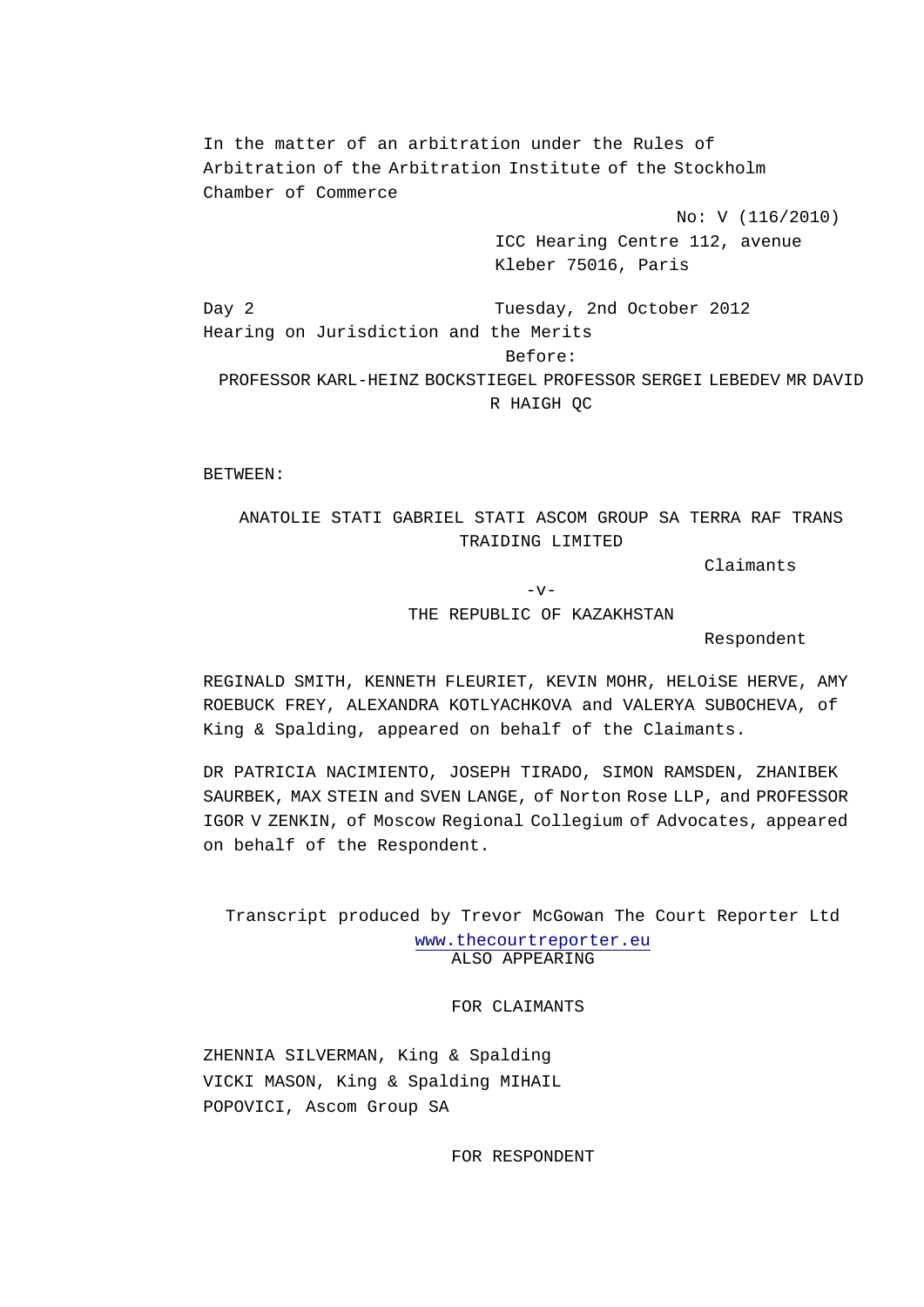In the matter of an arbitration under the Rules of Arbitration of the Arbitration Institute of the Stockholm Chamber of Commerce

No: V (116/2010)

ICC Hearing Centre 112, avenue Kleber 75016, Paris

Day 2 Tuesday, 2nd October 2012 Hearing on Jurisdiction and the Merits Before: PROFESSOR KARL-HEINZ BOCKSTIEGEL PROFESSOR SERGEI LEBEDEV MR DAVID R HAIGH QC

BETWEEN:

ANATOLIE STATI GABRIEL STATI ASCOM GROUP SA TERRA RAF TRANS TRAIDING LIMITED

Claimants

 $-v-$ 

THE REPUBLIC OF KAZAKHSTAN

Respondent

REGINALD SMITH, KENNETH FLEURIET, KEVIN MOHR, HELOiSE HERVE, AMY ROEBUCK FREY, ALEXANDRA KOTLYACHKOVA and VALERYA SUBOCHEVA, of King & Spalding, appeared on behalf of the Claimants.

DR PATRICIA NACIMIENTO, JOSEPH TIRADO, SIMON RAMSDEN, ZHANIBEK SAURBEK, MAX STEIN and SVEN LANGE, of Norton Rose LLP, and PROFESSOR IGOR V ZENKIN, of Moscow Regional Collegium of Advocates, appeared on behalf of the Respondent.

Transcript produced by Trevor McGowan The Court Reporter Ltd www.thecourtreporter.eu ALSO APPEARING

FOR CLAIMANTS

ZHENNIA SILVERMAN, King & Spalding VICKI MASON, King & Spalding MIHAIL POPOVICI, Ascom Group SA

FOR RESPONDENT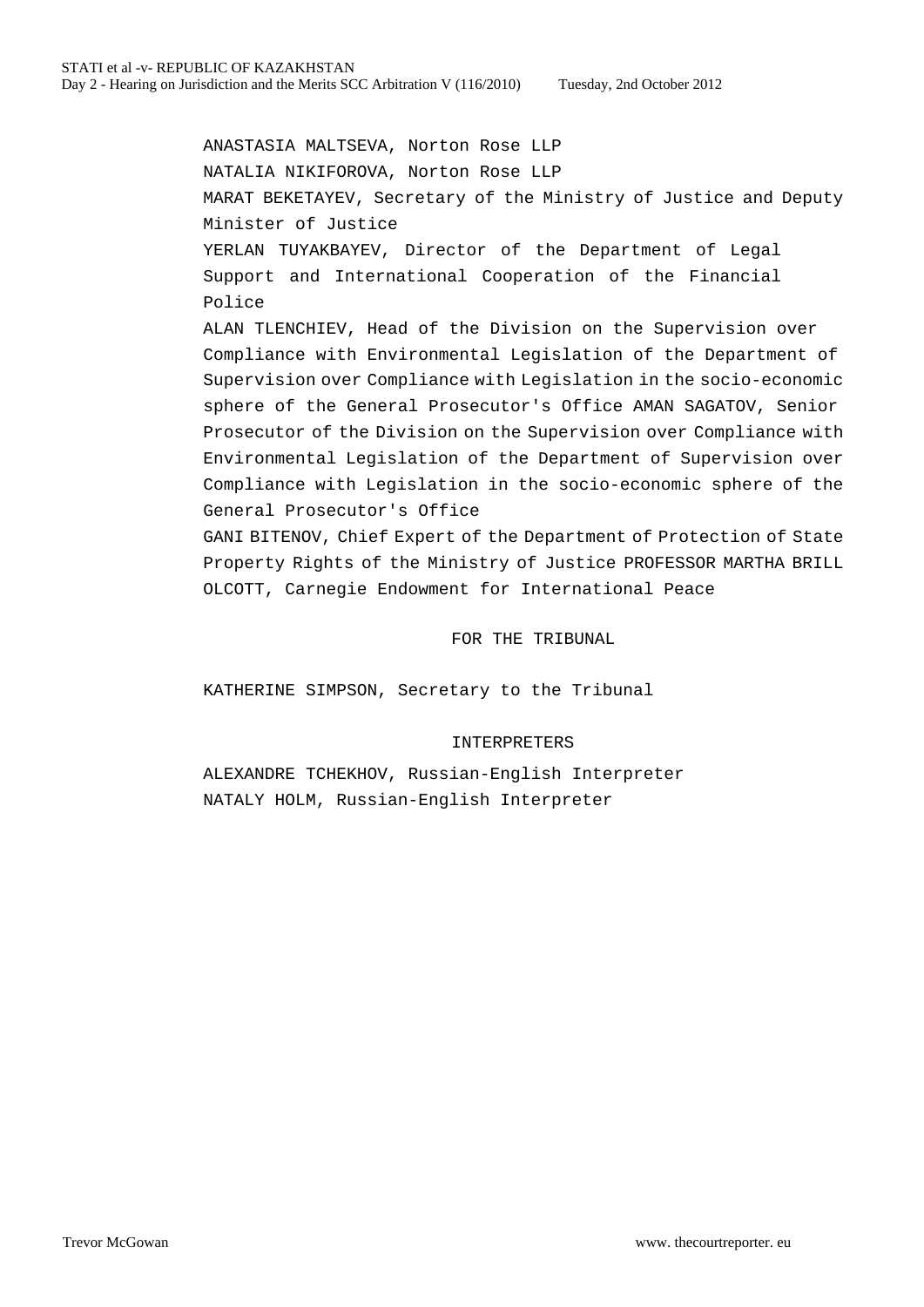ANASTASIA MALTSEVA, Norton Rose LLP NATALIA NIKIFOROVA, Norton Rose LLP MARAT BEKETAYEV, Secretary of the Ministry of Justice and Deputy Minister of Justice YERLAN TUYAKBAYEV, Director of the Department of Legal Support and International Cooperation of the Financial Police ALAN TLENCHIEV, Head of the Division on the Supervision over Compliance with Environmental Legislation of the Department of Supervision over Compliance with Legislation in the socio-economic sphere of the General Prosecutor's Office AMAN SAGATOV, Senior Prosecutor of the Division on the Supervision over Compliance with Environmental Legislation of the Department of Supervision over Compliance with Legislation in the socio-economic sphere of the General Prosecutor's Office

GANI BITENOV, Chief Expert of the Department of Protection of State Property Rights of the Ministry of Justice PROFESSOR MARTHA BRILL OLCOTT, Carnegie Endowment for International Peace

FOR THE TRIBUNAL

KATHERINE SIMPSON, Secretary to the Tribunal

## INTERPRETERS

ALEXANDRE TCHEKHOV, Russian-English Interpreter NATALY HOLM, Russian-English Interpreter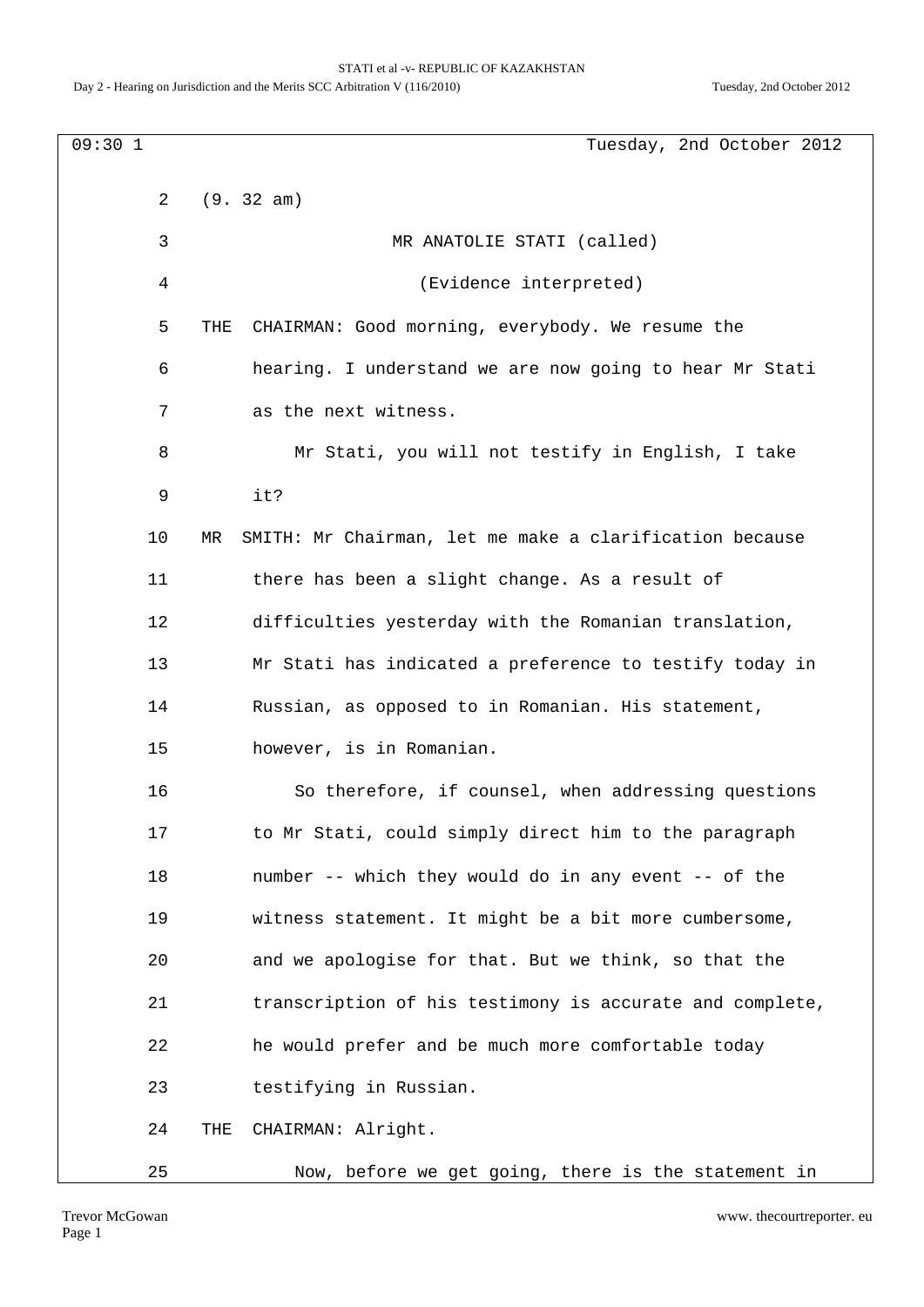| 09:301 | Tuesday, 2nd October 2012                                     |  |
|--------|---------------------------------------------------------------|--|
| 2      | (9.32 am)                                                     |  |
| 3      | MR ANATOLIE STATI (called)                                    |  |
|        |                                                               |  |
| 4      | (Evidence interpreted)                                        |  |
| 5      | CHAIRMAN: Good morning, everybody. We resume the<br>THE       |  |
| 6      | hearing. I understand we are now going to hear Mr Stati       |  |
| 7      | as the next witness.                                          |  |
| 8      | Mr Stati, you will not testify in English, I take             |  |
| 9      | it?                                                           |  |
| 10     | SMITH: Mr Chairman, let me make a clarification because<br>MR |  |
| 11     | there has been a slight change. As a result of                |  |
| 12     | difficulties yesterday with the Romanian translation,         |  |
| 13     | Mr Stati has indicated a preference to testify today in       |  |
| 14     | Russian, as opposed to in Romanian. His statement,            |  |
| 15     | however, is in Romanian.                                      |  |
| 16     | So therefore, if counsel, when addressing questions           |  |
| 17     | to Mr Stati, could simply direct him to the paragraph         |  |
| 18     | number -- which they would do in any event -- of the          |  |
| 19     | witness statement. It might be a bit more cumbersome,         |  |
| 20     | and we apologise for that. But we think, so that the          |  |
| 21     | transcription of his testimony is accurate and complete,      |  |
| 22     | he would prefer and be much more comfortable today            |  |
| 23     | testifying in Russian.                                        |  |
| 24     | CHAIRMAN: Alright.<br>THE                                     |  |
| 25     | Now, before we get going, there is the statement in           |  |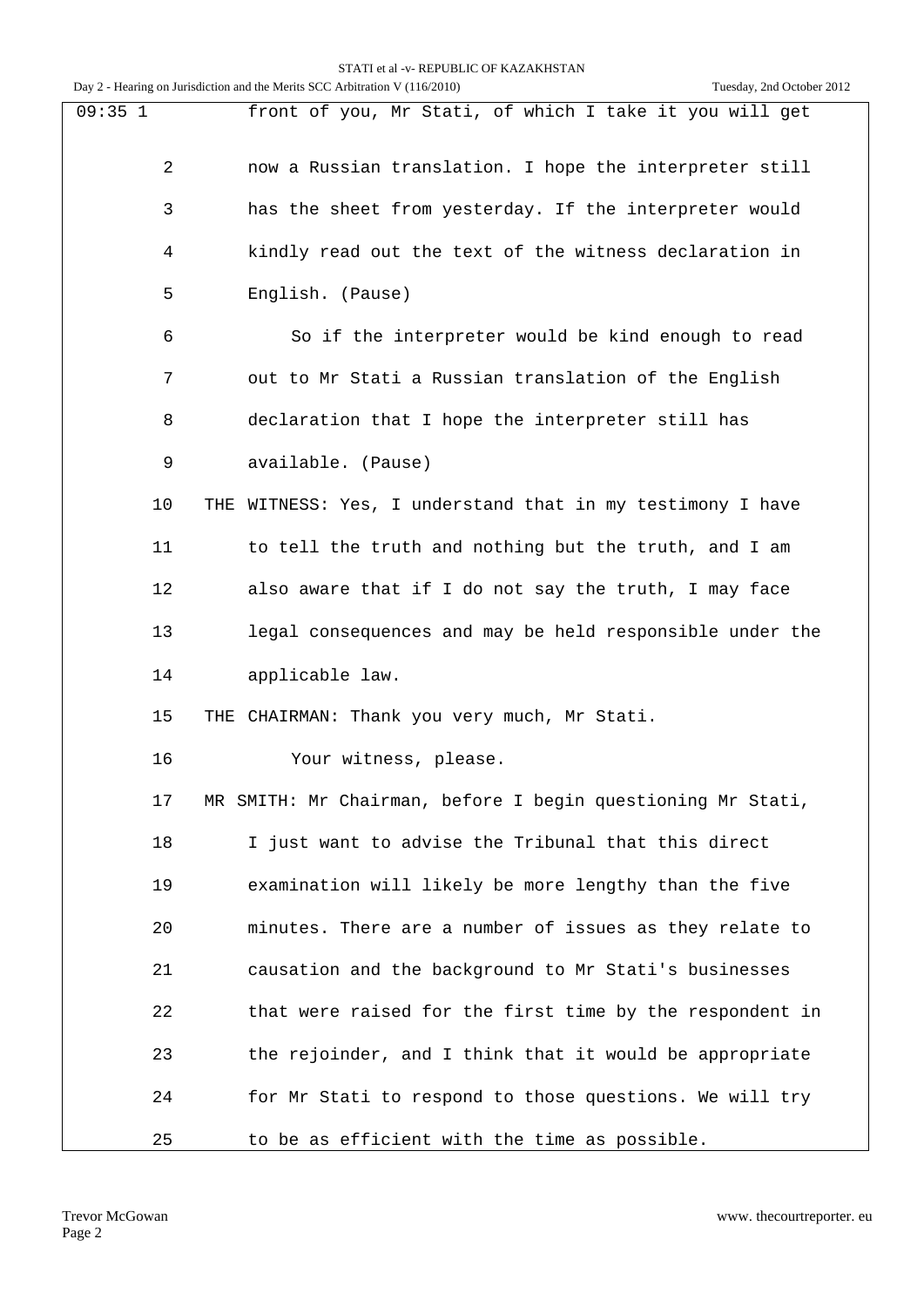| $09:35$ 1      | front of you, Mr Stati, of which I take it you will get     |
|----------------|-------------------------------------------------------------|
| $\overline{2}$ | now a Russian translation. I hope the interpreter still     |
| 3              | has the sheet from yesterday. If the interpreter would      |
| 4              | kindly read out the text of the witness declaration in      |
| 5              | English. (Pause)                                            |
| 6              | So if the interpreter would be kind enough to read          |
| 7              | out to Mr Stati a Russian translation of the English        |
| 8              | declaration that I hope the interpreter still has           |
| 9              | available. (Pause)                                          |
| 10             | THE WITNESS: Yes, I understand that in my testimony I have  |
| 11             | to tell the truth and nothing but the truth, and I am       |
| 12             | also aware that if I do not say the truth, I may face       |
| 13             | legal consequences and may be held responsible under the    |
| 14             | applicable law.                                             |
| 15             | THE CHAIRMAN: Thank you very much, Mr Stati.                |
| 16             | Your witness, please.                                       |
| 17             | MR SMITH: Mr Chairman, before I begin questioning Mr Stati, |
| 18             | I just want to advise the Tribunal that this direct         |
| 19             | examination will likely be more lengthy than the five       |
| 20             | minutes. There are a number of issues as they relate to     |
| 21             | causation and the background to Mr Stati's businesses       |
| 22             | that were raised for the first time by the respondent in    |
| 23             | the rejoinder, and I think that it would be appropriate     |
| 24             | for Mr Stati to respond to those questions. We will try     |
| 25             | to be as efficient with the time as possible.               |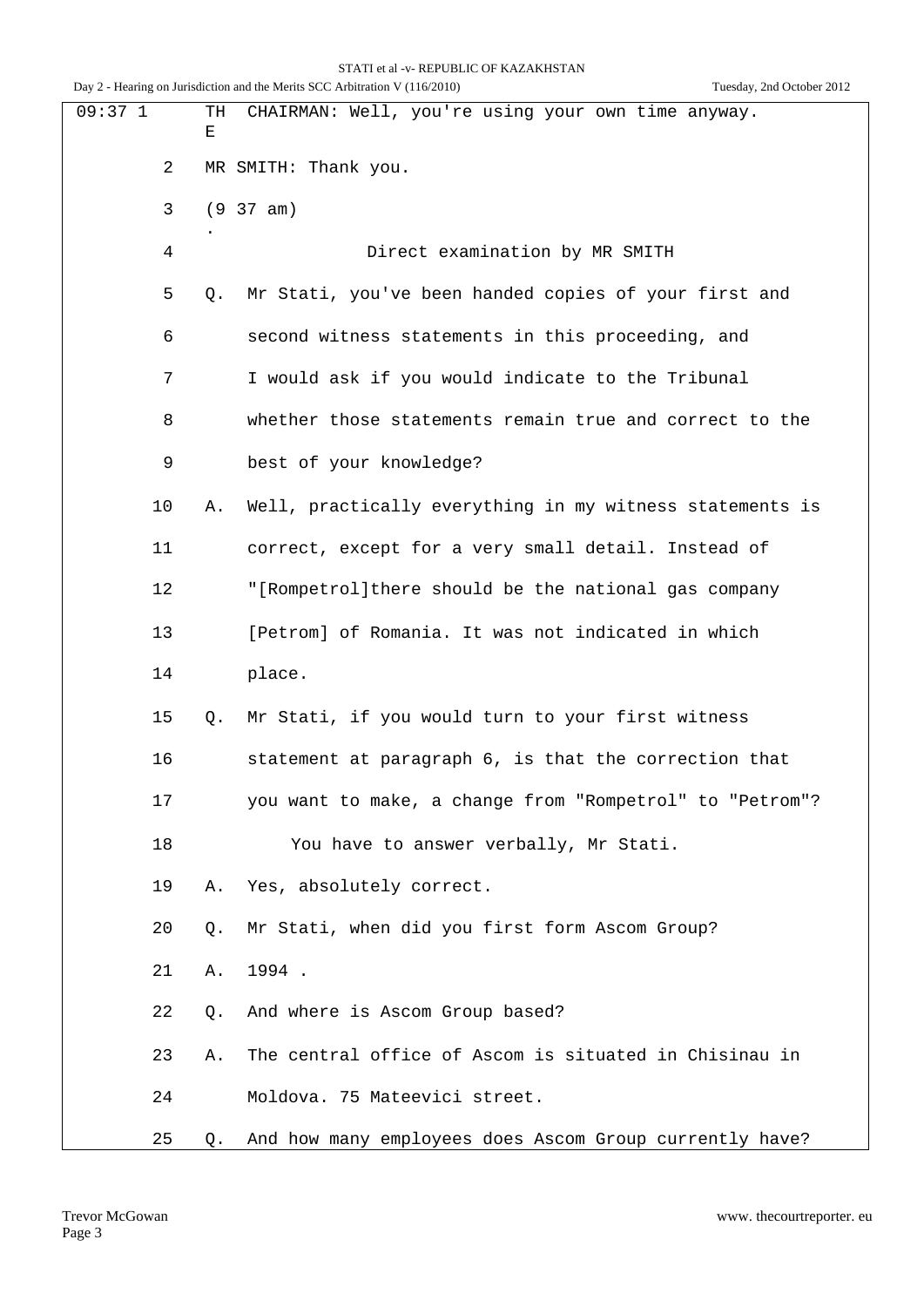| $09:37$ 1      | TH<br>E. | CHAIRMAN: Well, you're using your own time anyway.       |
|----------------|----------|----------------------------------------------------------|
| 2              |          | MR SMITH: Thank you.                                     |
| 3              |          | $(9\;37\;am)$                                            |
| 4              |          | Direct examination by MR SMITH                           |
| 5              | Q.       | Mr Stati, you've been handed copies of your first and    |
| 6              |          | second witness statements in this proceeding, and        |
| $\overline{7}$ |          | I would ask if you would indicate to the Tribunal        |
| 8              |          | whether those statements remain true and correct to the  |
| 9              |          | best of your knowledge?                                  |
| 10             | Α.       | Well, practically everything in my witness statements is |
| 11             |          | correct, except for a very small detail. Instead of      |
| 12             |          | "[Rompetrol]there should be the national gas company     |
| 13             |          | [Petrom] of Romania. It was not indicated in which       |
| 14             |          | place.                                                   |
| 15             | Q.       | Mr Stati, if you would turn to your first witness        |
| 16             |          | statement at paragraph 6, is that the correction that    |
| 17             |          | you want to make, a change from "Rompetrol" to "Petrom"? |
| 18             |          | You have to answer verbally, Mr Stati.                   |
| 19             | Α.       | Yes, absolutely correct.                                 |
| 20             | Q.       | Mr Stati, when did you first form Ascom Group?           |
| 21             | Α.       | 1994.                                                    |
| 22             | Q.       | And where is Ascom Group based?                          |
| 23             | Α.       | The central office of Ascom is situated in Chisinau in   |
| 24             |          | Moldova. 75 Mateevici street.                            |
| 25             | Q.       | And how many employees does Ascom Group currently have?  |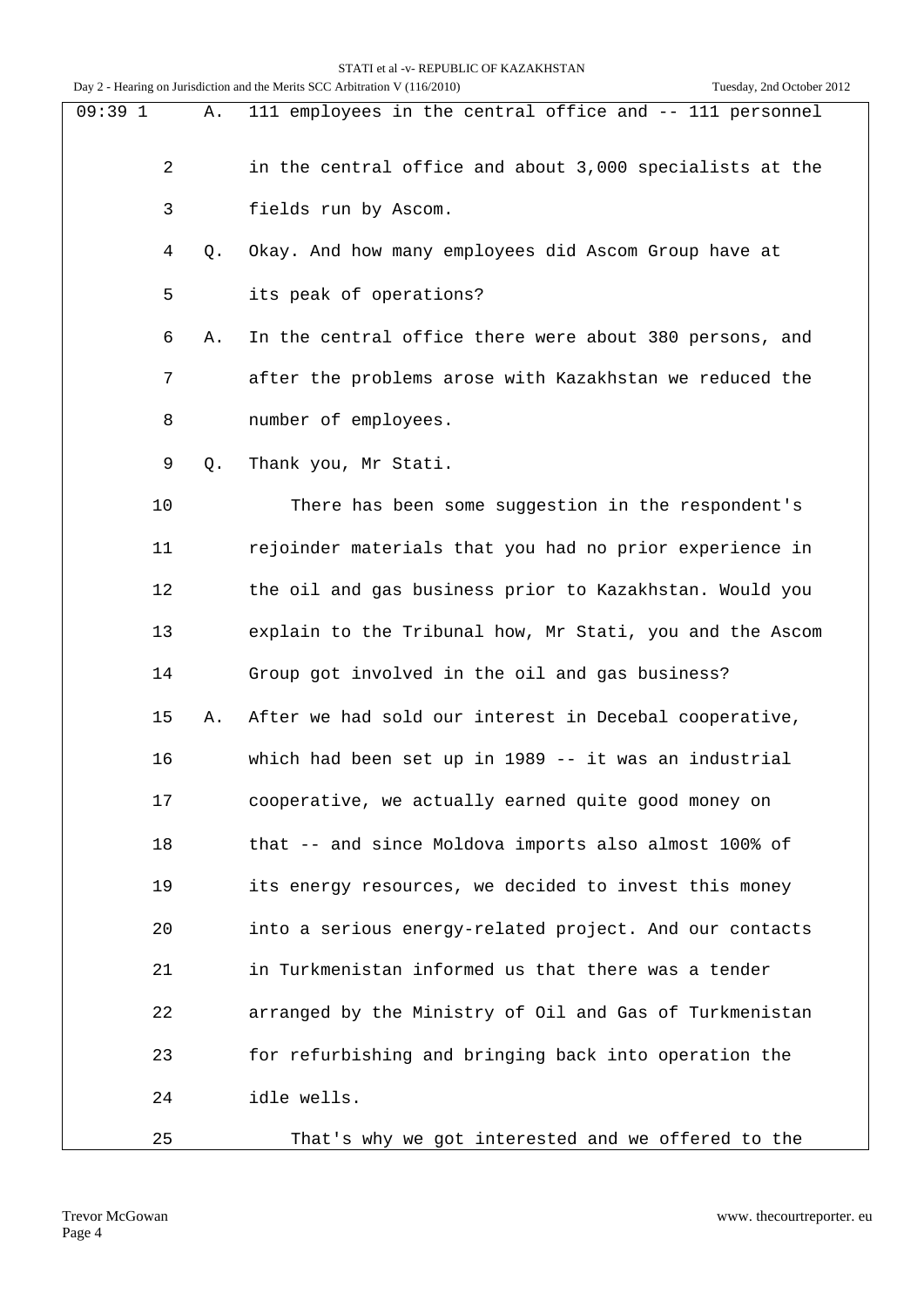| 09:391         | Α. | 111 employees in the central office and -- 111 personnel |
|----------------|----|----------------------------------------------------------|
| $\overline{a}$ |    | in the central office and about 3,000 specialists at the |
| 3              |    | fields run by Ascom.                                     |
| 4              | Q. | Okay. And how many employees did Ascom Group have at     |
| 5              |    | its peak of operations?                                  |
| 6              | Α. | In the central office there were about 380 persons, and  |
| 7              |    | after the problems arose with Kazakhstan we reduced the  |
| 8              |    | number of employees.                                     |
| 9              | Q. | Thank you, Mr Stati.                                     |
| 10             |    | There has been some suggestion in the respondent's       |
| 11             |    | rejoinder materials that you had no prior experience in  |
| 12             |    | the oil and gas business prior to Kazakhstan. Would you  |
| 13             |    | explain to the Tribunal how, Mr Stati, you and the Ascom |
| 14             |    | Group got involved in the oil and gas business?          |
| 15             | Α. | After we had sold our interest in Decebal cooperative,   |
| 16             |    | which had been set up in 1989 -- it was an industrial    |
| 17             |    | cooperative, we actually earned quite good money on      |
| 18             |    | that -- and since Moldova imports also almost 100% of    |
| 19             |    | its energy resources, we decided to invest this money    |
| 20             |    | into a serious energy-related project. And our contacts  |
| 21             |    | in Turkmenistan informed us that there was a tender      |
| 22             |    | arranged by the Ministry of Oil and Gas of Turkmenistan  |
| 23             |    | for refurbishing and bringing back into operation the    |
| 24             |    | idle wells.                                              |
| 25             |    | That's why we got interested and we offered to the       |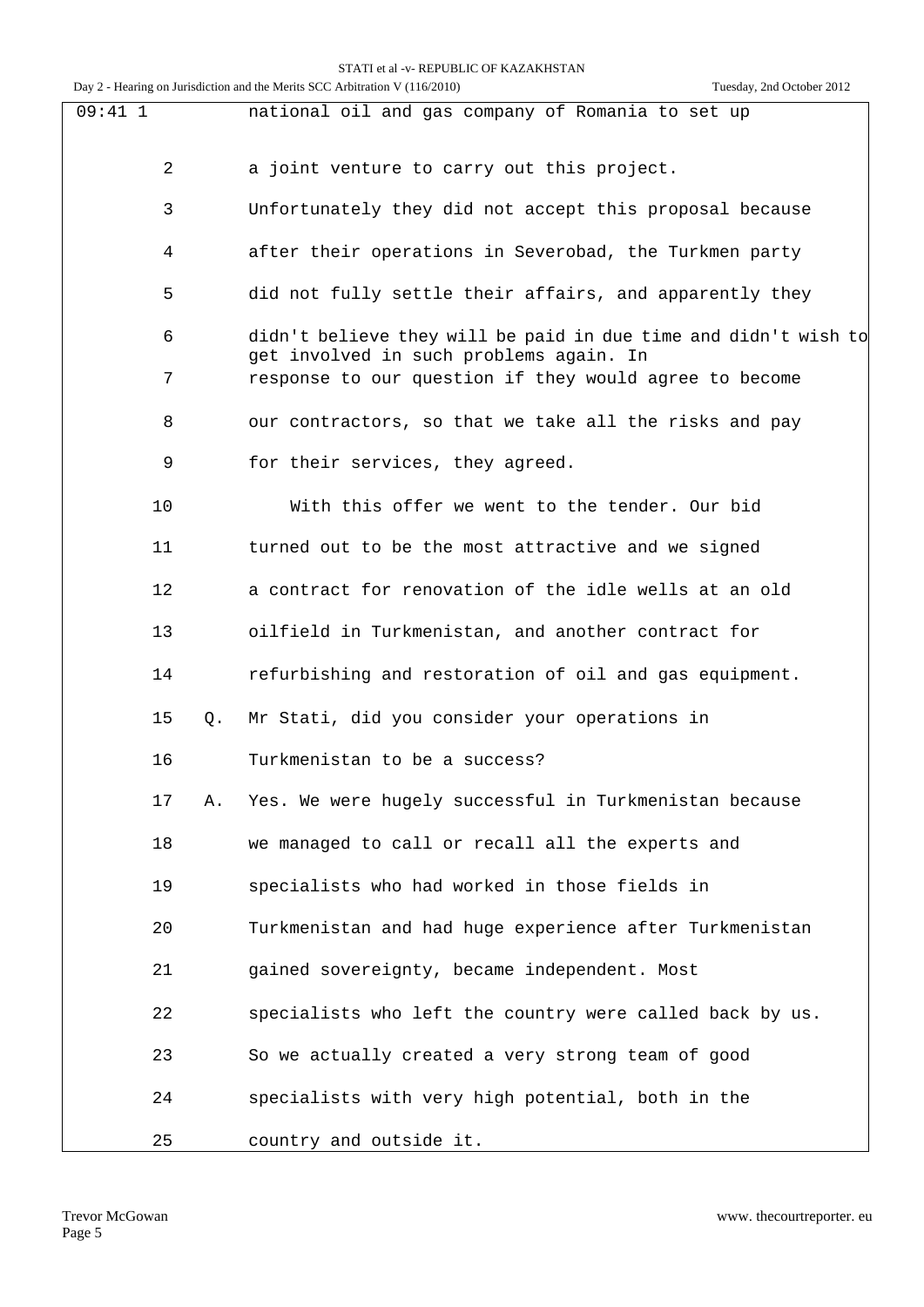| $09:41$ 1      |    | national oil and gas company of Romania to set up                                                          |
|----------------|----|------------------------------------------------------------------------------------------------------------|
| $\overline{2}$ |    | a joint venture to carry out this project.                                                                 |
|                |    |                                                                                                            |
| 3              |    | Unfortunately they did not accept this proposal because                                                    |
| 4              |    | after their operations in Severobad, the Turkmen party                                                     |
| 5              |    | did not fully settle their affairs, and apparently they                                                    |
| 6              |    | didn't believe they will be paid in due time and didn't wish to<br>get involved in such problems again. In |
| 7              |    | response to our question if they would agree to become                                                     |
| 8              |    | our contractors, so that we take all the risks and pay                                                     |
| 9              |    | for their services, they agreed.                                                                           |
| 10             |    | With this offer we went to the tender. Our bid                                                             |
| 11             |    | turned out to be the most attractive and we signed                                                         |
| 12             |    | a contract for renovation of the idle wells at an old                                                      |
| 13             |    | oilfield in Turkmenistan, and another contract for                                                         |
| 14             |    | refurbishing and restoration of oil and gas equipment.                                                     |
| 15             | Q. | Mr Stati, did you consider your operations in                                                              |
| 16             |    | Turkmenistan to be a success?                                                                              |
| 17             | Α. | Yes. We were hugely successful in Turkmenistan because                                                     |
| 18             |    | we managed to call or recall all the experts and                                                           |
| 19             |    | specialists who had worked in those fields in                                                              |
| 20             |    | Turkmenistan and had huge experience after Turkmenistan                                                    |
| 21             |    | gained sovereignty, became independent. Most                                                               |
| 22             |    | specialists who left the country were called back by us.                                                   |
| 23             |    | So we actually created a very strong team of good                                                          |
| 24             |    | specialists with very high potential, both in the                                                          |
| 25             |    | country and outside it.                                                                                    |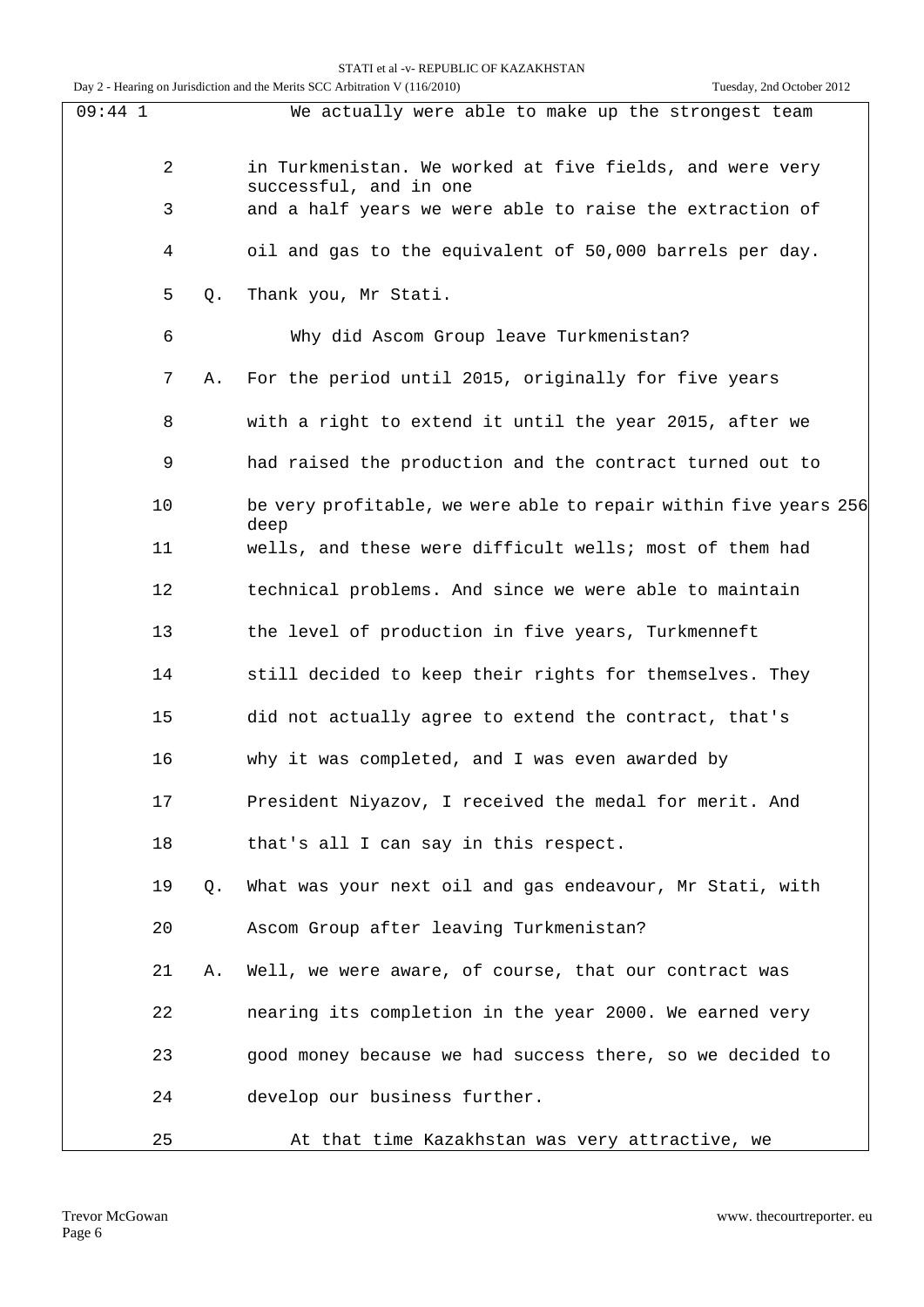| $09:44$ 1 |           | We actually were able to make up the strongest team                                |
|-----------|-----------|------------------------------------------------------------------------------------|
| 2         |           | in Turkmenistan. We worked at five fields, and were very<br>successful, and in one |
| 3         |           | and a half years we were able to raise the extraction of                           |
| 4         |           | oil and gas to the equivalent of 50,000 barrels per day.                           |
| 5         | Q.        | Thank you, Mr Stati.                                                               |
| 6         |           | Why did Ascom Group leave Turkmenistan?                                            |
| 7         | Α.        | For the period until 2015, originally for five years                               |
| 8         |           | with a right to extend it until the year 2015, after we                            |
| 9         |           | had raised the production and the contract turned out to                           |
| 10        |           | be very profitable, we were able to repair within five years 256<br>deep           |
| 11        |           | wells, and these were difficult wells; most of them had                            |
| 12        |           | technical problems. And since we were able to maintain                             |
| 13        |           | the level of production in five years, Turkmenneft                                 |
| 14        |           | still decided to keep their rights for themselves. They                            |
| 15        |           | did not actually agree to extend the contract, that's                              |
| 16        |           | why it was completed, and I was even awarded by                                    |
| 17        |           | President Niyazov, I received the medal for merit. And                             |
| 18        |           | that's all I can say in this respect.                                              |
| 19        | $\circ$ . | What was your next oil and gas endeavour, Mr Stati, with                           |
| 20        |           | Ascom Group after leaving Turkmenistan?                                            |
| 21        | Α.        | Well, we were aware, of course, that our contract was                              |
| 22        |           | nearing its completion in the year 2000. We earned very                            |
| 23        |           | good money because we had success there, so we decided to                          |
| 24        |           | develop our business further.                                                      |
| 25        |           | At that time Kazakhstan was very attractive, we                                    |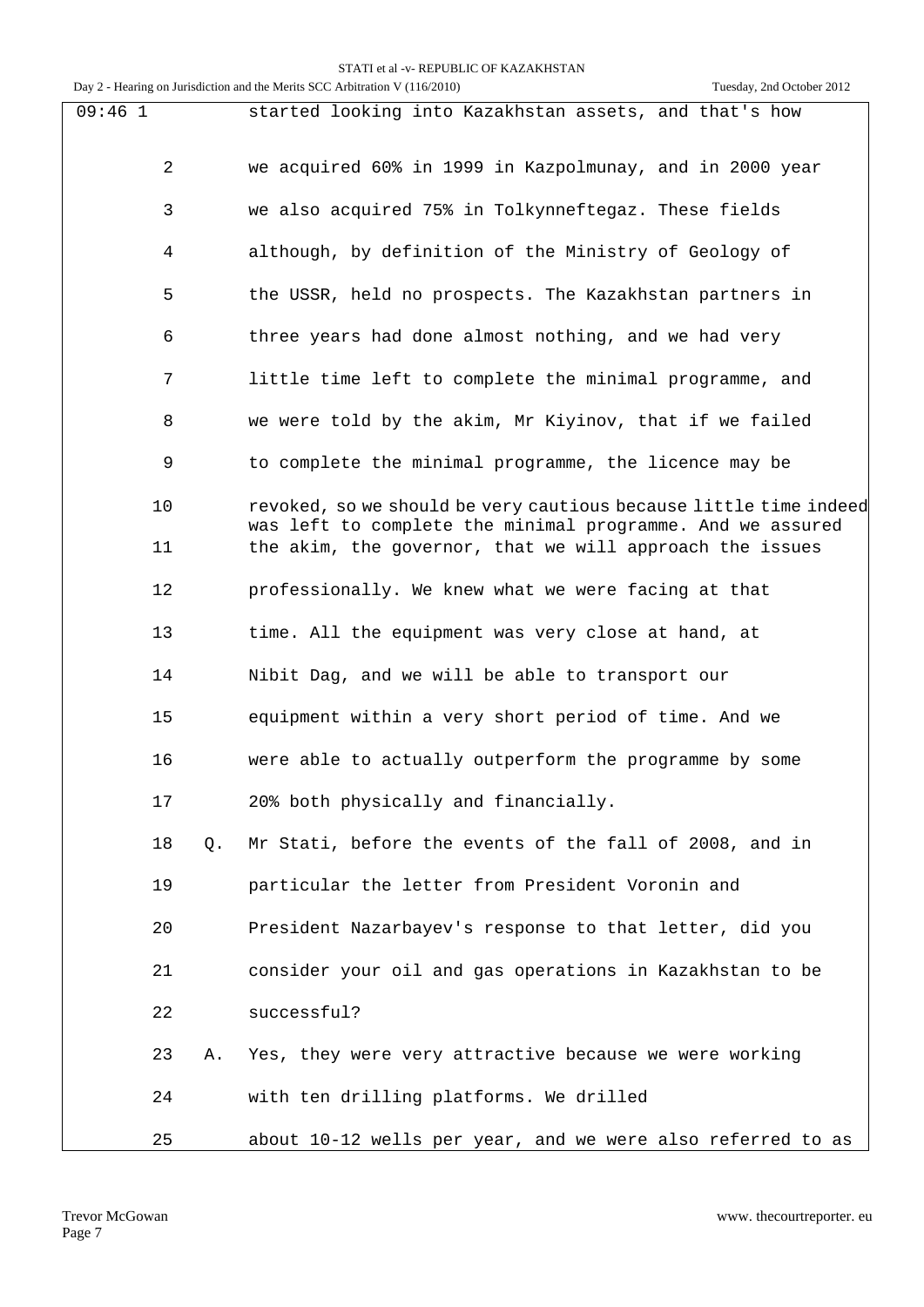| $09:46$ 1   |           | started looking into Kazakhstan assets, and that's how                                                                          |
|-------------|-----------|---------------------------------------------------------------------------------------------------------------------------------|
| 2           |           | we acquired 60% in 1999 in Kazpolmunay, and in 2000 year                                                                        |
| 3           |           | we also acquired 75% in Tolkynneftegaz. These fields                                                                            |
| 4           |           | although, by definition of the Ministry of Geology of                                                                           |
| 5           |           | the USSR, held no prospects. The Kazakhstan partners in                                                                         |
| 6           |           | three years had done almost nothing, and we had very                                                                            |
| 7           |           | little time left to complete the minimal programme, and                                                                         |
| 8           |           | we were told by the akim, Mr Kiyinov, that if we failed                                                                         |
| $\mathsf 9$ |           | to complete the minimal programme, the licence may be                                                                           |
| 10          |           | revoked, so we should be very cautious because little time indeed<br>was left to complete the minimal programme. And we assured |
| 11          |           | the akim, the governor, that we will approach the issues                                                                        |
| 12          |           | professionally. We knew what we were facing at that                                                                             |
| 13          |           | time. All the equipment was very close at hand, at                                                                              |
| 14          |           | Nibit Dag, and we will be able to transport our                                                                                 |
| 15          |           | equipment within a very short period of time. And we                                                                            |
| 16          |           | were able to actually outperform the programme by some                                                                          |
| 17          |           | 20% both physically and financially.                                                                                            |
| $18\,$      | $\circ$ . | Mr Stati, before the events of the fall of 2008, and in                                                                         |
| 19          |           | particular the letter from President Voronin and                                                                                |
| 20          |           | President Nazarbayev's response to that letter, did you                                                                         |
| 21          |           | consider your oil and gas operations in Kazakhstan to be                                                                        |
| 22          |           | successful?                                                                                                                     |
| 23          | Α.        | Yes, they were very attractive because we were working                                                                          |
| 24          |           | with ten drilling platforms. We drilled                                                                                         |
| 25          |           | about 10-12 wells per year, and we were also referred to as                                                                     |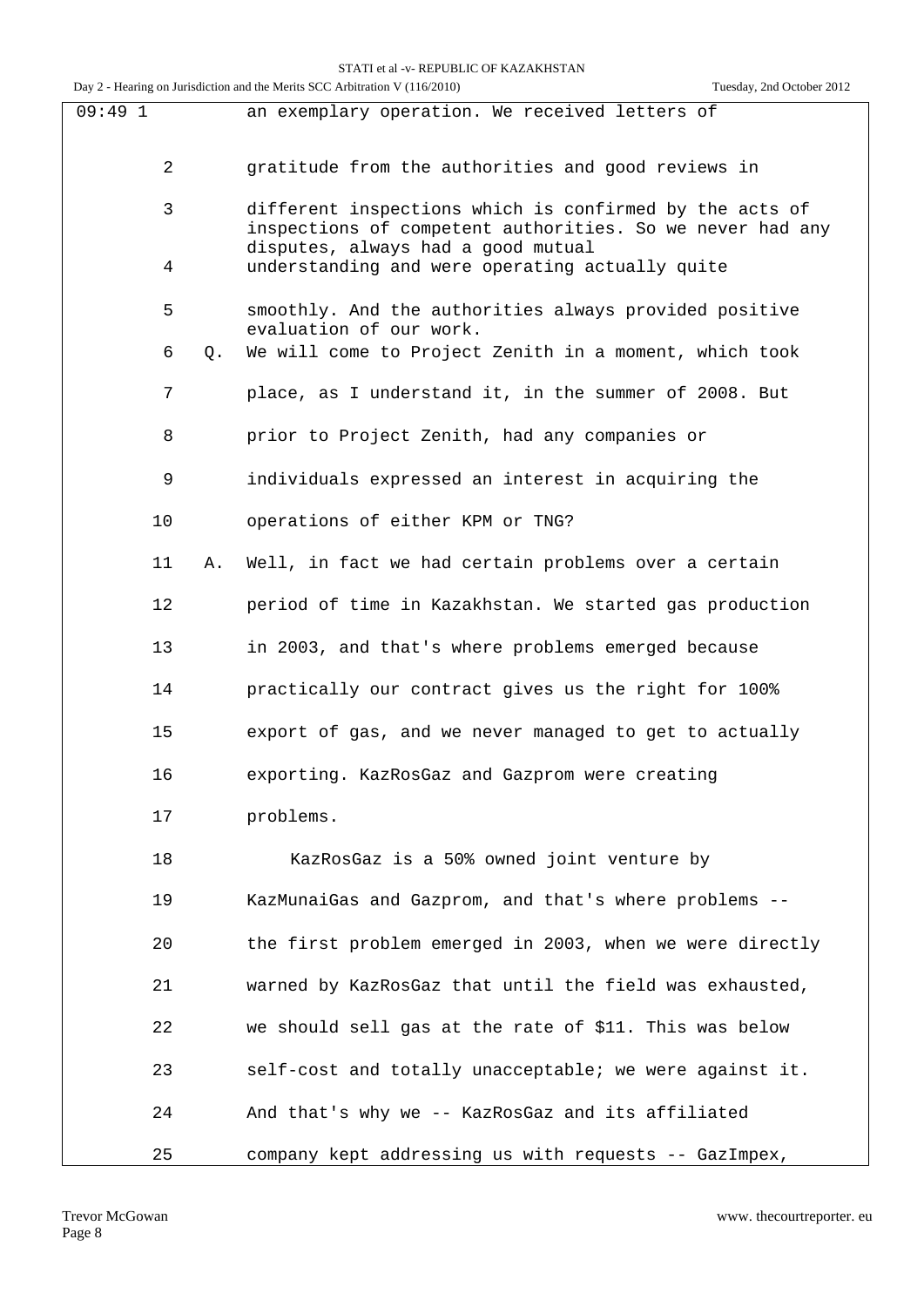| 09:491         |    | an exemplary operation. We received letters of                                                                       |
|----------------|----|----------------------------------------------------------------------------------------------------------------------|
| $\overline{a}$ |    | gratitude from the authorities and good reviews in                                                                   |
| 3              |    | different inspections which is confirmed by the acts of<br>inspections of competent authorities. So we never had any |
| 4              |    | disputes, always had a good mutual<br>understanding and were operating actually quite                                |
| 5              |    | smoothly. And the authorities always provided positive<br>evaluation of our work.                                    |
| 6              | Q. | We will come to Project Zenith in a moment, which took                                                               |
| 7              |    | place, as I understand it, in the summer of 2008. But                                                                |
| 8              |    | prior to Project Zenith, had any companies or                                                                        |
| 9              |    | individuals expressed an interest in acquiring the                                                                   |
| 10             |    | operations of either KPM or TNG?                                                                                     |
| 11             | Α. | Well, in fact we had certain problems over a certain                                                                 |
| 12             |    | period of time in Kazakhstan. We started gas production                                                              |
| 13             |    | in 2003, and that's where problems emerged because                                                                   |
| 14             |    | practically our contract gives us the right for 100%                                                                 |
| 15             |    | export of gas, and we never managed to get to actually                                                               |
| 16             |    | exporting. KazRosGaz and Gazprom were creating                                                                       |
| 17             |    | problems.                                                                                                            |
| 18             |    | KazRosGaz is a 50% owned joint venture by                                                                            |
| 19             |    | KazMunaiGas and Gazprom, and that's where problems --                                                                |
| 20             |    | the first problem emerged in 2003, when we were directly                                                             |
| 21             |    | warned by KazRosGaz that until the field was exhausted,                                                              |
| 22             |    | we should sell gas at the rate of \$11. This was below                                                               |
| 23             |    | self-cost and totally unacceptable; we were against it.                                                              |
| 24             |    | And that's why we -- KazRosGaz and its affiliated                                                                    |
| 25             |    | company kept addressing us with requests -- GazImpex,                                                                |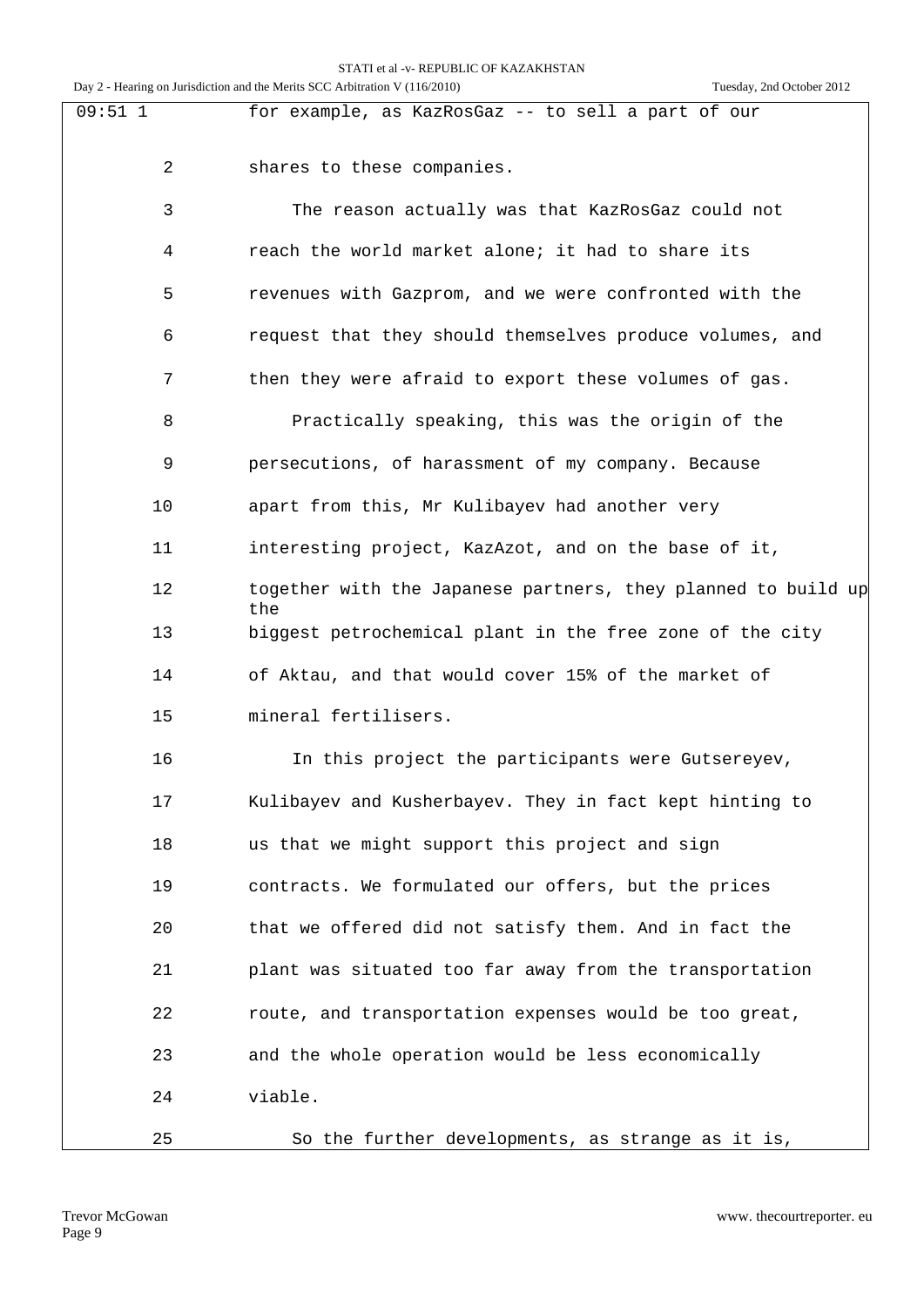| $09:51$ 1   | for example, as KazRosGaz -- to sell a part of our                   |
|-------------|----------------------------------------------------------------------|
| 2           | shares to these companies.                                           |
| 3           | The reason actually was that KazRosGaz could not                     |
| 4           | reach the world market alone; it had to share its                    |
| 5           | revenues with Gazprom, and we were confronted with the               |
| 6           | request that they should themselves produce volumes, and             |
| 7           | then they were afraid to export these volumes of gas.                |
| 8           | Practically speaking, this was the origin of the                     |
| $\mathsf 9$ | persecutions, of harassment of my company. Because                   |
| 10          | apart from this, Mr Kulibayev had another very                       |
| 11          | interesting project, KazAzot, and on the base of it,                 |
| 12          | together with the Japanese partners, they planned to build up<br>the |
| 13          | biggest petrochemical plant in the free zone of the city             |
| 14          | of Aktau, and that would cover 15% of the market of                  |
| 15          | mineral fertilisers.                                                 |
| 16          | In this project the participants were Gutsereyev,                    |
| 17          | Kulibayev and Kusherbayev. They in fact kept hinting to              |
| 18          | us that we might support this project and sign                       |
| 19          | contracts. We formulated our offers, but the prices                  |
| 20          | that we offered did not satisfy them. And in fact the                |
| 21          | plant was situated too far away from the transportation              |
| 22          | route, and transportation expenses would be too great,               |
| 23          | and the whole operation would be less economically                   |
| 24          | viable.                                                              |
| 25          | So the further developments, as strange as it is,                    |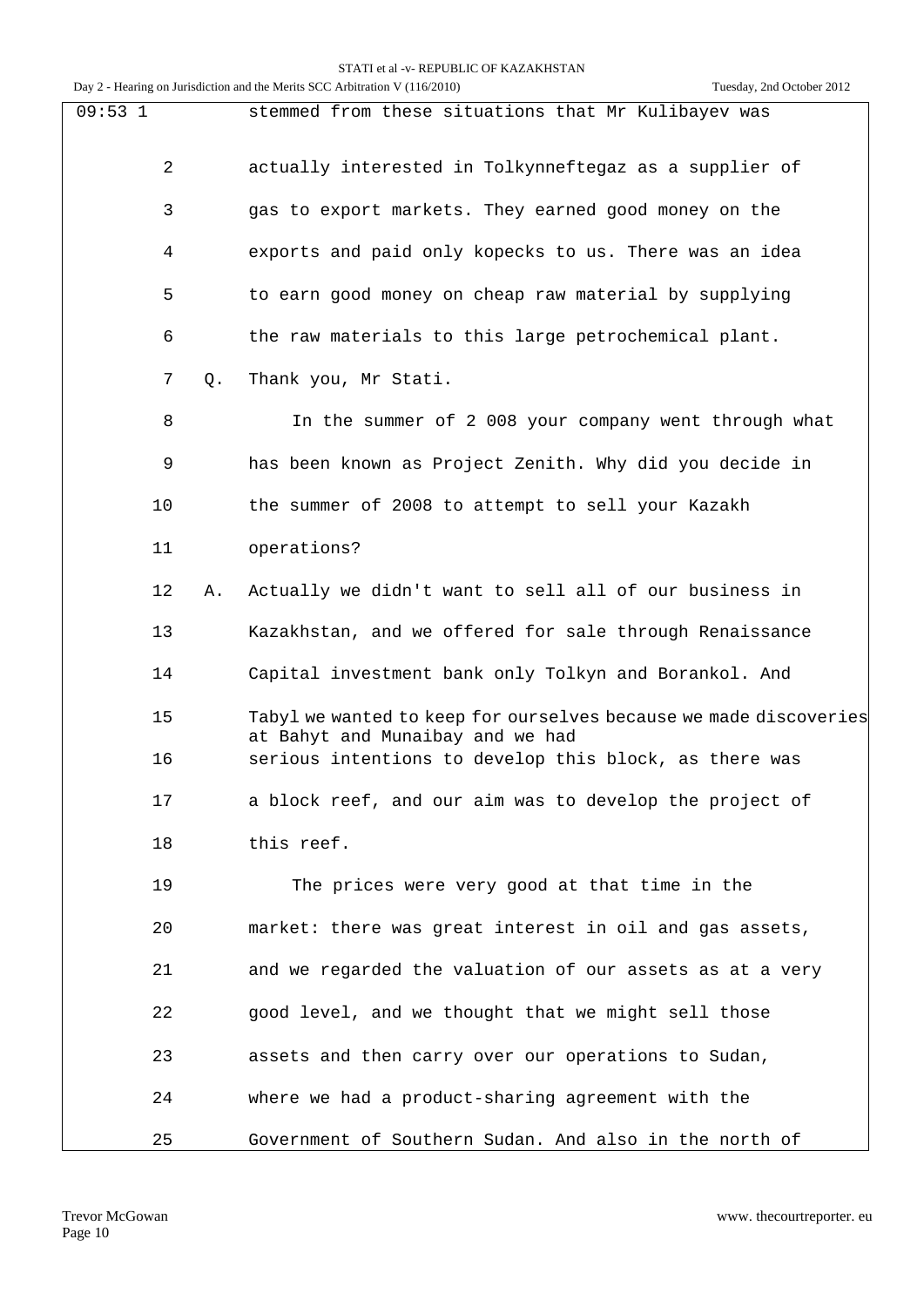| $09:53$ 1      |    | stemmed from these situations that Mr Kulibayev was                                                   |
|----------------|----|-------------------------------------------------------------------------------------------------------|
| $\overline{a}$ |    | actually interested in Tolkynneftegaz as a supplier of                                                |
| 3              |    | gas to export markets. They earned good money on the                                                  |
| 4              |    | exports and paid only kopecks to us. There was an idea                                                |
| 5              |    | to earn good money on cheap raw material by supplying                                                 |
| 6              |    | the raw materials to this large petrochemical plant.                                                  |
| 7              | Q. | Thank you, Mr Stati.                                                                                  |
| 8              |    | In the summer of 2 008 your company went through what                                                 |
| $\mathsf 9$    |    | has been known as Project Zenith. Why did you decide in                                               |
| 10             |    | the summer of 2008 to attempt to sell your Kazakh                                                     |
| 11             |    | operations?                                                                                           |
| 12             | Α. | Actually we didn't want to sell all of our business in                                                |
| 13             |    | Kazakhstan, and we offered for sale through Renaissance                                               |
| 14             |    | Capital investment bank only Tolkyn and Borankol. And                                                 |
| 15             |    | Tabyl we wanted to keep for ourselves because we made discoveries<br>at Bahyt and Munaibay and we had |
| 16             |    | serious intentions to develop this block, as there was                                                |
| 17             |    | a block reef, and our aim was to develop the project of                                               |
| 18             |    | this reef.                                                                                            |
| 19             |    | The prices were very good at that time in the                                                         |
| 20             |    | market: there was great interest in oil and gas assets,                                               |
| 21             |    | and we regarded the valuation of our assets as at a very                                              |
| 22             |    | good level, and we thought that we might sell those                                                   |
| 23             |    | assets and then carry over our operations to Sudan,                                                   |
| 24             |    | where we had a product-sharing agreement with the                                                     |
| 25             |    | Government of Southern Sudan. And also in the north of                                                |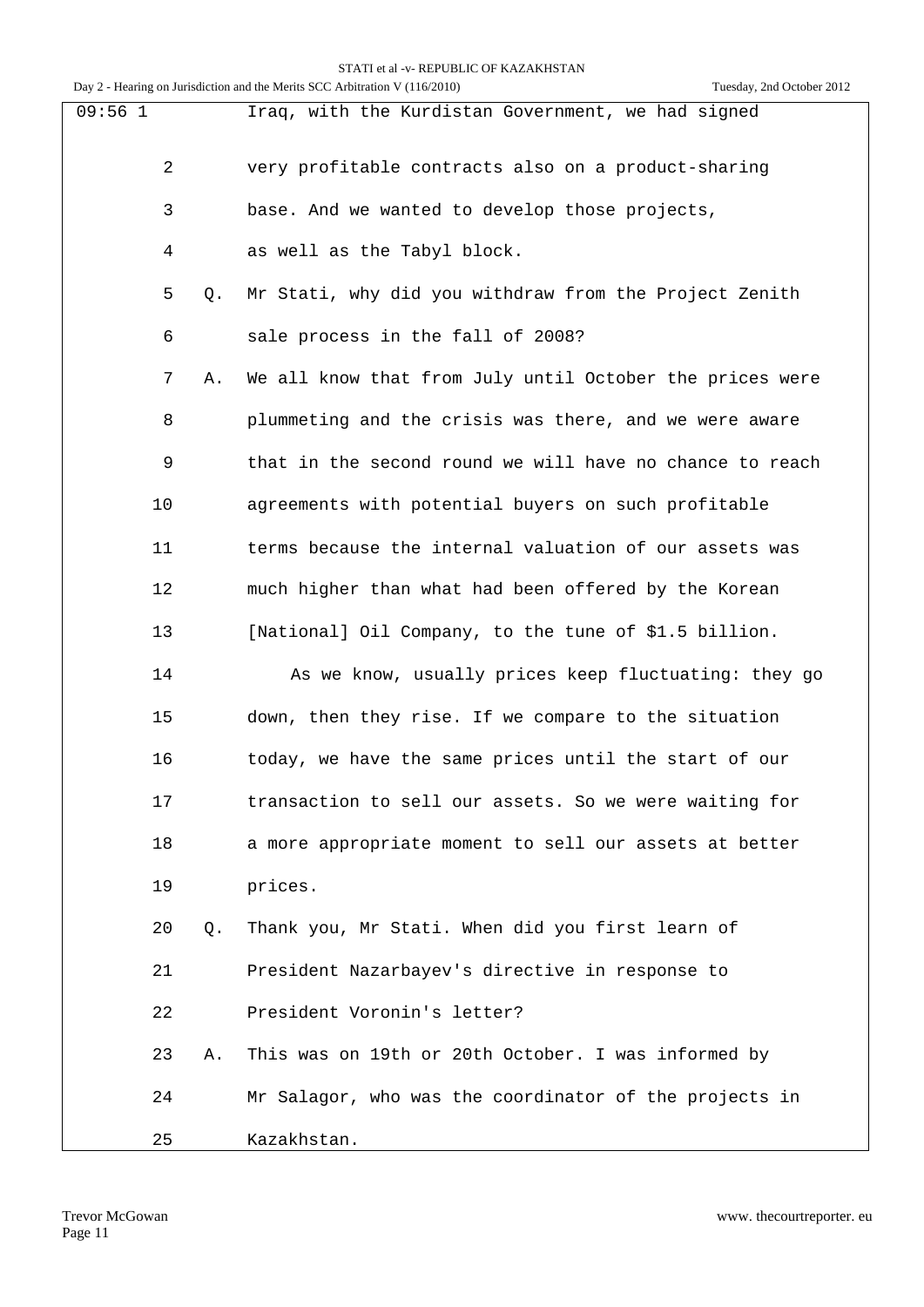| $09:56$ 1 |                |    | Iraq, with the Kurdistan Government, we had signed       |
|-----------|----------------|----|----------------------------------------------------------|
|           | $\overline{2}$ |    | very profitable contracts also on a product-sharing      |
|           | 3              |    | base. And we wanted to develop those projects,           |
|           | 4              |    | as well as the Tabyl block.                              |
|           | 5              | Q. | Mr Stati, why did you withdraw from the Project Zenith   |
|           | 6              |    | sale process in the fall of 2008?                        |
|           | 7              | Α. | We all know that from July until October the prices were |
|           | 8              |    | plummeting and the crisis was there, and we were aware   |
|           | 9              |    | that in the second round we will have no chance to reach |
|           | 10             |    | agreements with potential buyers on such profitable      |
|           | 11             |    | terms because the internal valuation of our assets was   |
|           | 12             |    | much higher than what had been offered by the Korean     |
|           | 13             |    | [National] Oil Company, to the tune of \$1.5 billion.    |
|           | 14             |    | As we know, usually prices keep fluctuating: they go     |
|           | 15             |    | down, then they rise. If we compare to the situation     |
|           | 16             |    | today, we have the same prices until the start of our    |
|           | 17             |    | transaction to sell our assets. So we were waiting for   |
|           | 18             |    | a more appropriate moment to sell our assets at better   |
|           | 19             |    | prices.                                                  |
|           | 20             | Q. | Thank you, Mr Stati. When did you first learn of         |
|           | 21             |    | President Nazarbayev's directive in response to          |
|           | 22             |    | President Voronin's letter?                              |
|           | 23             | Α. | This was on 19th or 20th October. I was informed by      |
|           | 24             |    | Mr Salagor, who was the coordinator of the projects in   |
|           | 25             |    | Kazakhstan.                                              |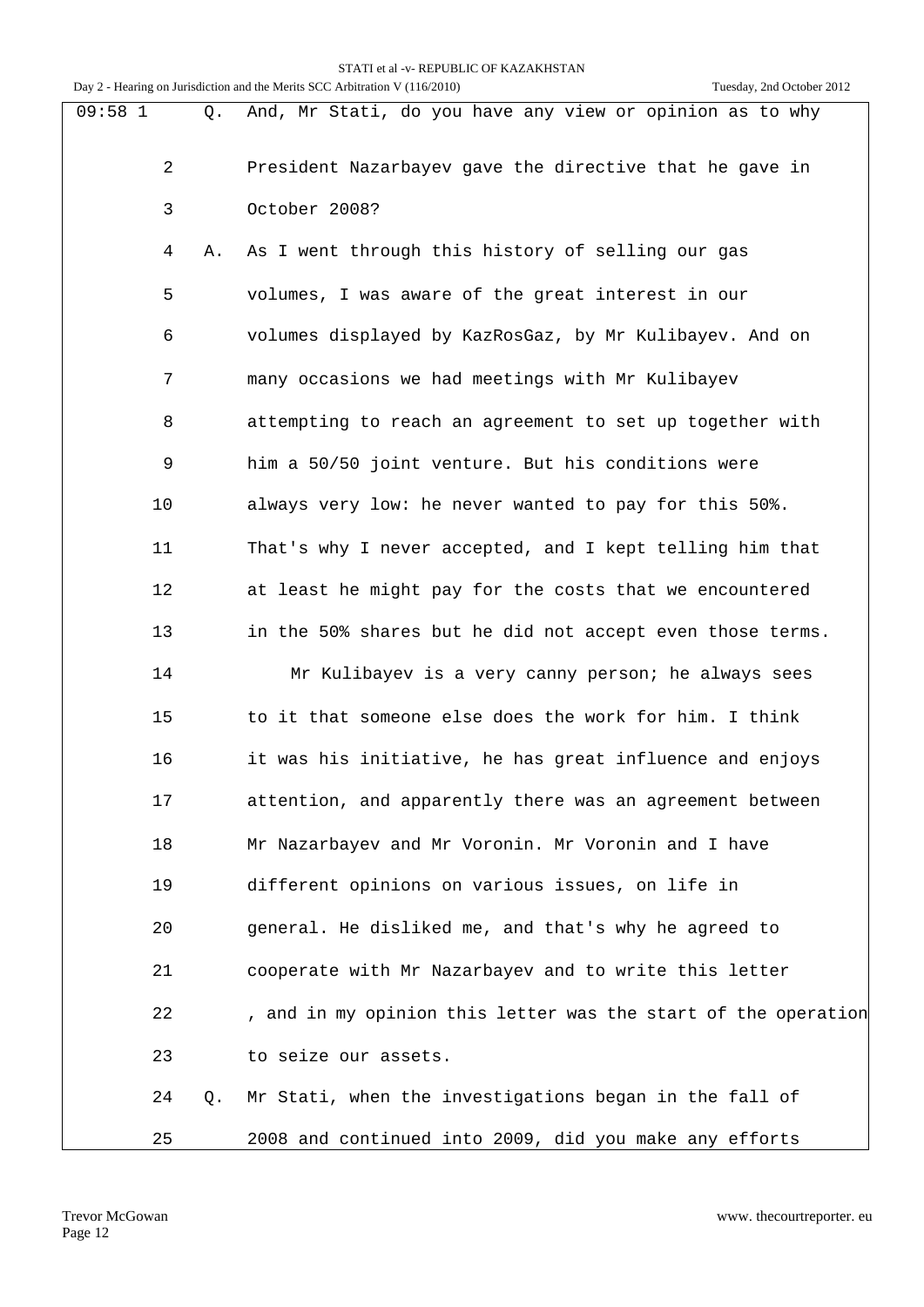| $09:58$ 1 | Q.             | And, Mr Stati, do you have any view or opinion as to why       |
|-----------|----------------|----------------------------------------------------------------|
|           | $\overline{2}$ | President Nazarbayev gave the directive that he gave in        |
|           | 3              | October 2008?                                                  |
|           | 4<br>Α.        | As I went through this history of selling our gas              |
|           | 5              | volumes, I was aware of the great interest in our              |
|           | 6              | volumes displayed by KazRosGaz, by Mr Kulibayev. And on        |
|           | 7              | many occasions we had meetings with Mr Kulibayev               |
|           | 8              | attempting to reach an agreement to set up together with       |
|           | 9              | him a 50/50 joint venture. But his conditions were             |
| 10        |                | always very low: he never wanted to pay for this 50%.          |
| 11        |                | That's why I never accepted, and I kept telling him that       |
| 12        |                | at least he might pay for the costs that we encountered        |
| 13        |                | in the 50% shares but he did not accept even those terms.      |
| 14        |                | Mr Kulibayev is a very canny person; he always sees            |
| 15        |                | to it that someone else does the work for him. I think         |
| 16        |                | it was his initiative, he has great influence and enjoys       |
| 17        |                | attention, and apparently there was an agreement between       |
| 18        |                | Mr Nazarbayev and Mr Voronin. Mr Voronin and I have            |
| 19        |                | different opinions on various issues, on life in               |
| 20        |                | general. He disliked me, and that's why he agreed to           |
| 21        |                | cooperate with Mr Nazarbayev and to write this letter          |
| 22        |                | , and in my opinion this letter was the start of the operation |
| 23        |                | to seize our assets.                                           |
| 24        | Q.             | Mr Stati, when the investigations began in the fall of         |
| 25        |                | 2008 and continued into 2009, did you make any efforts         |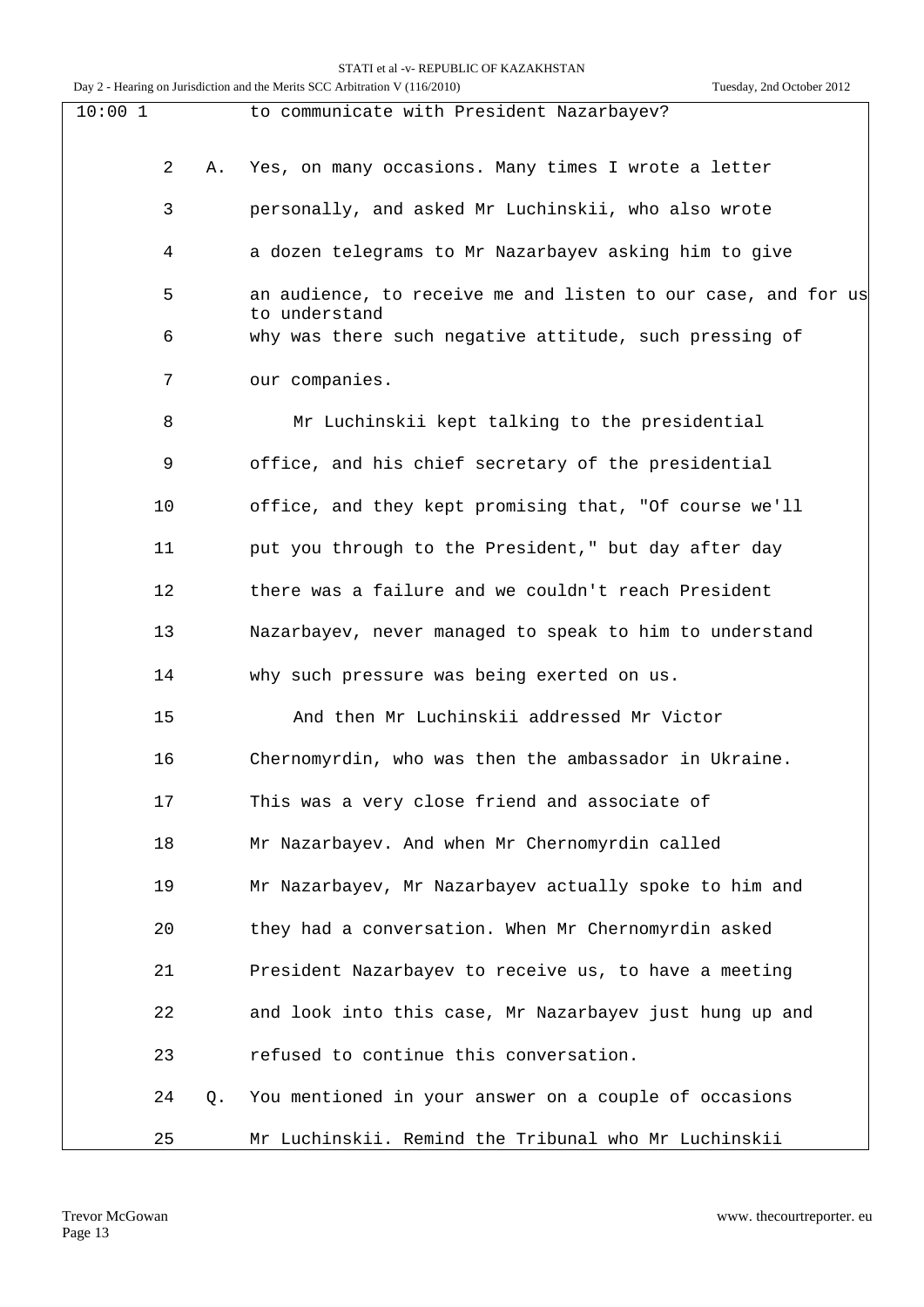| 10:001 |                      | to communicate with President Nazarbayev?                                      |
|--------|----------------------|--------------------------------------------------------------------------------|
|        | $\overline{2}$<br>Α. | Yes, on many occasions. Many times I wrote a letter                            |
|        | 3                    | personally, and asked Mr Luchinskii, who also wrote                            |
|        | 4                    | a dozen telegrams to Mr Nazarbayev asking him to give                          |
|        | 5                    | an audience, to receive me and listen to our case, and for us<br>to understand |
|        | 6                    | why was there such negative attitude, such pressing of                         |
|        | 7                    | our companies.                                                                 |
|        | 8                    | Mr Luchinskii kept talking to the presidential                                 |
|        | 9                    | office, and his chief secretary of the presidential                            |
| 10     |                      | office, and they kept promising that, "Of course we'll                         |
| 11     |                      | put you through to the President," but day after day                           |
| 12     |                      | there was a failure and we couldn't reach President                            |
| 13     |                      | Nazarbayev, never managed to speak to him to understand                        |
| 14     |                      | why such pressure was being exerted on us.                                     |
| 15     |                      | And then Mr Luchinskii addressed Mr Victor                                     |
| 16     |                      | Chernomyrdin, who was then the ambassador in Ukraine.                          |
| 17     |                      | This was a very close friend and associate of                                  |
| 18     |                      | Mr Nazarbayev. And when Mr Chernomyrdin called                                 |
| 19     |                      | Mr Nazarbayev, Mr Nazarbayev actually spoke to him and                         |
| 20     |                      | they had a conversation. When Mr Chernomyrdin asked                            |
| 21     |                      | President Nazarbayev to receive us, to have a meeting                          |
| 22     |                      | and look into this case, Mr Nazarbayev just hung up and                        |
| 23     |                      | refused to continue this conversation.                                         |
| 24     | Q.                   | You mentioned in your answer on a couple of occasions                          |
| 25     |                      | Mr Luchinskii. Remind the Tribunal who Mr Luchinskii                           |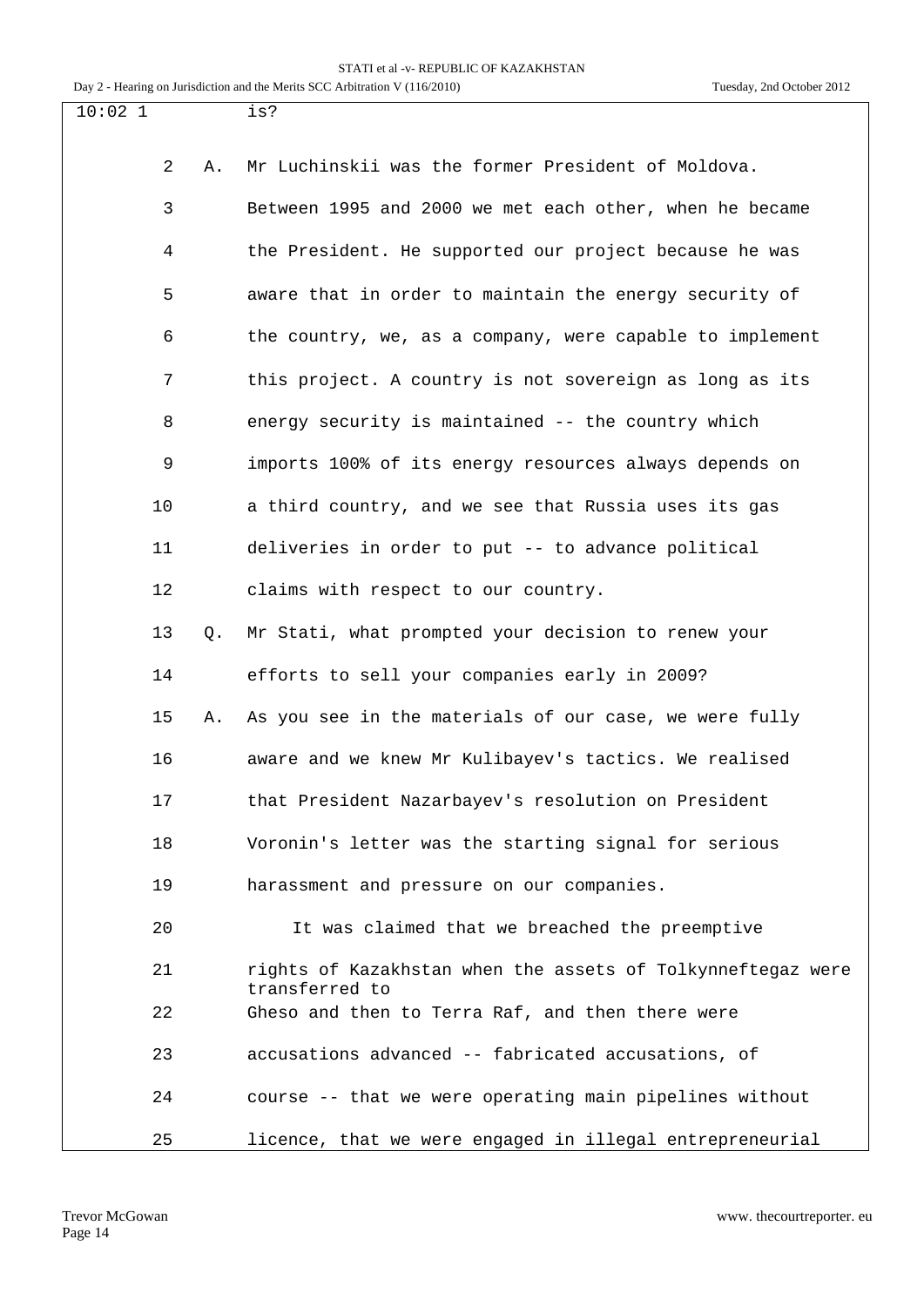| $10:02$ 1 |    | is?                                                                           |
|-----------|----|-------------------------------------------------------------------------------|
| 2         | Α. | Mr Luchinskii was the former President of Moldova.                            |
| 3         |    | Between 1995 and 2000 we met each other, when he became                       |
| 4         |    | the President. He supported our project because he was                        |
| 5         |    | aware that in order to maintain the energy security of                        |
| 6         |    | the country, we, as a company, were capable to implement                      |
| 7         |    | this project. A country is not sovereign as long as its                       |
| 8         |    | energy security is maintained -- the country which                            |
| 9         |    | imports 100% of its energy resources always depends on                        |
| 10        |    | a third country, and we see that Russia uses its gas                          |
| 11        |    | deliveries in order to put -- to advance political                            |
| 12        |    | claims with respect to our country.                                           |
| 13        | Q. | Mr Stati, what prompted your decision to renew your                           |
| 14        |    | efforts to sell your companies early in 2009?                                 |
| 15        | Α. | As you see in the materials of our case, we were fully                        |
| 16        |    | aware and we knew Mr Kulibayev's tactics. We realised                         |
| 17        |    | that President Nazarbayev's resolution on President                           |
| 18        |    | Voronin's letter was the starting signal for serious                          |
| 19        |    | harassment and pressure on our companies.                                     |
| 20        |    | It was claimed that we breached the preemptive                                |
| 21        |    | rights of Kazakhstan when the assets of Tolkynneftegaz were<br>transferred to |
| 22        |    | Gheso and then to Terra Raf, and then there were                              |
| 23        |    | accusations advanced -- fabricated accusations, of                            |
| 24        |    | course -- that we were operating main pipelines without                       |
| 25        |    | licence, that we were engaged in illegal entrepreneurial                      |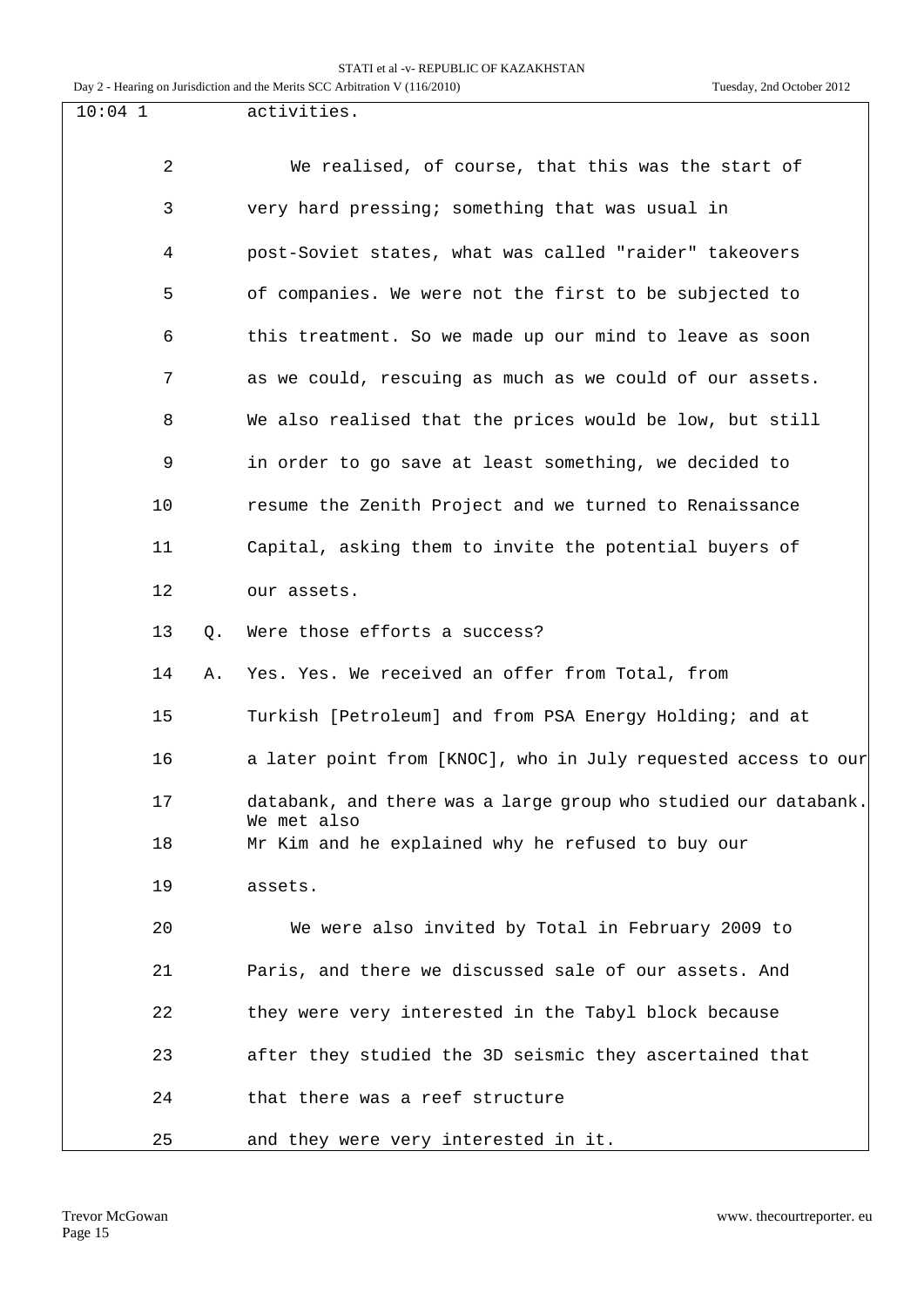| $10:04$ 1   |    | activities.                                                                    |
|-------------|----|--------------------------------------------------------------------------------|
| 2           |    | We realised, of course, that this was the start of                             |
| 3           |    | very hard pressing; something that was usual in                                |
| 4           |    | post-Soviet states, what was called "raider" takeovers                         |
| 5           |    | of companies. We were not the first to be subjected to                         |
| 6           |    | this treatment. So we made up our mind to leave as soon                        |
| 7           |    | as we could, rescuing as much as we could of our assets.                       |
| 8           |    | We also realised that the prices would be low, but still                       |
| $\mathsf 9$ |    | in order to go save at least something, we decided to                          |
| 10          |    | resume the Zenith Project and we turned to Renaissance                         |
| 11          |    | Capital, asking them to invite the potential buyers of                         |
| 12          |    | our assets.                                                                    |
| 13          | Q. | Were those efforts a success?                                                  |
| 14          | Α. | Yes. Yes. We received an offer from Total, from                                |
| 15          |    | Turkish [Petroleum] and from PSA Energy Holding; and at                        |
| 16          |    | a later point from [KNOC], who in July requested access to our                 |
| 17          |    | databank, and there was a large group who studied our databank.<br>We met also |
| 18          |    | Mr Kim and he explained why he refused to buy our                              |
| 19          |    | assets.                                                                        |
| 20          |    | We were also invited by Total in February 2009 to                              |
| 21          |    | Paris, and there we discussed sale of our assets. And                          |
| 22          |    | they were very interested in the Tabyl block because                           |
| 23          |    | after they studied the 3D seismic they ascertained that                        |
| 24          |    | that there was a reef structure                                                |
| 25          |    | and they were very interested in it.                                           |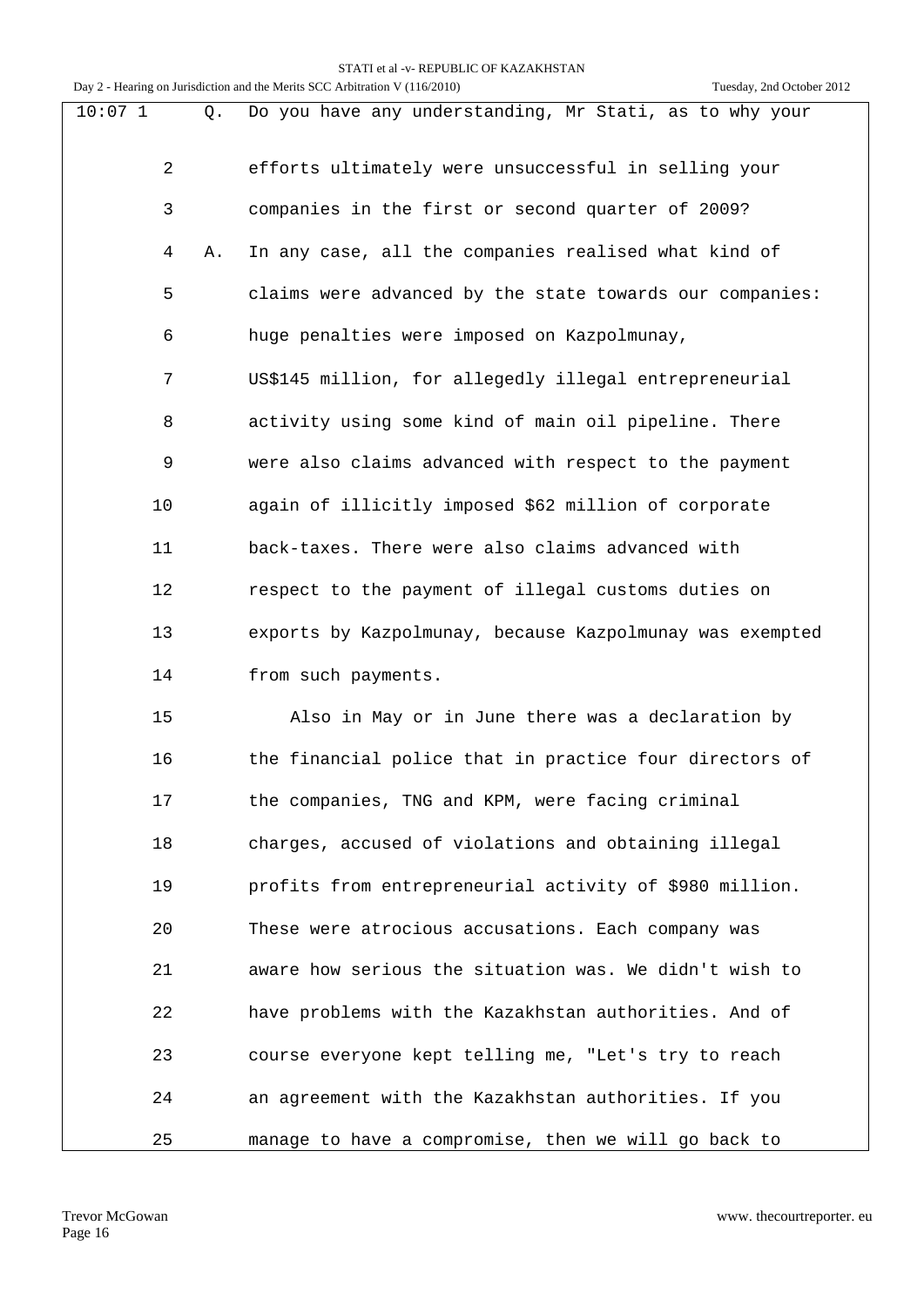|           |                | 51. A 11 C al - V - IXEI ODEIC OF IXALAIXIIS LAIV<br>Day 2 - Hearing on Jurisdiction and the Merits SCC Arbitration V (116/2010) | Tuesday, 2nd October 2 |
|-----------|----------------|----------------------------------------------------------------------------------------------------------------------------------|------------------------|
| $10:07$ 1 | 0.             | Do you have any understanding, Mr Stati, as to why your                                                                          |                        |
|           | $\overline{2}$ | efforts ultimately were unsuccessful in selling your                                                                             |                        |
|           | 3              | companies in the first or second quarter of 2009?                                                                                |                        |
|           | 4<br>Α.        | In any case, all the companies realised what kind of                                                                             |                        |
|           | 5              | claims were advanced by the state towards our companies:                                                                         |                        |
|           | 6              | huge penalties were imposed on Kazpolmunay,                                                                                      |                        |
|           | 7              | US\$145 million, for allegedly illegal entrepreneurial                                                                           |                        |
|           | 8              | activity using some kind of main oil pipeline. There                                                                             |                        |
|           | 9              | were also claims advanced with respect to the payment                                                                            |                        |
| 10        |                | again of illicitly imposed \$62 million of corporate                                                                             |                        |
| 11        |                | back-taxes. There were also claims advanced with                                                                                 |                        |
| 12        |                | respect to the payment of illegal customs duties on                                                                              |                        |
| 13        |                | exports by Kazpolmunay, because Kazpolmunay was exempted                                                                         |                        |

14 from such payments.

15 Also in May or in June there was a declaration by 16 the financial police that in practice four directors of 17 the companies, TNG and KPM, were facing criminal 18 charges, accused of violations and obtaining illegal 19 profits from entrepreneurial activity of \$980 million. 20 These were atrocious accusations. Each company was 21 aware how serious the situation was. We didn't wish to 22 have problems with the Kazakhstan authorities. And of 23 course everyone kept telling me, "Let's try to reach 24 an agreement with the Kazakhstan authorities. If you 25 manage to have a compromise, then we will go back to

2nd October 2012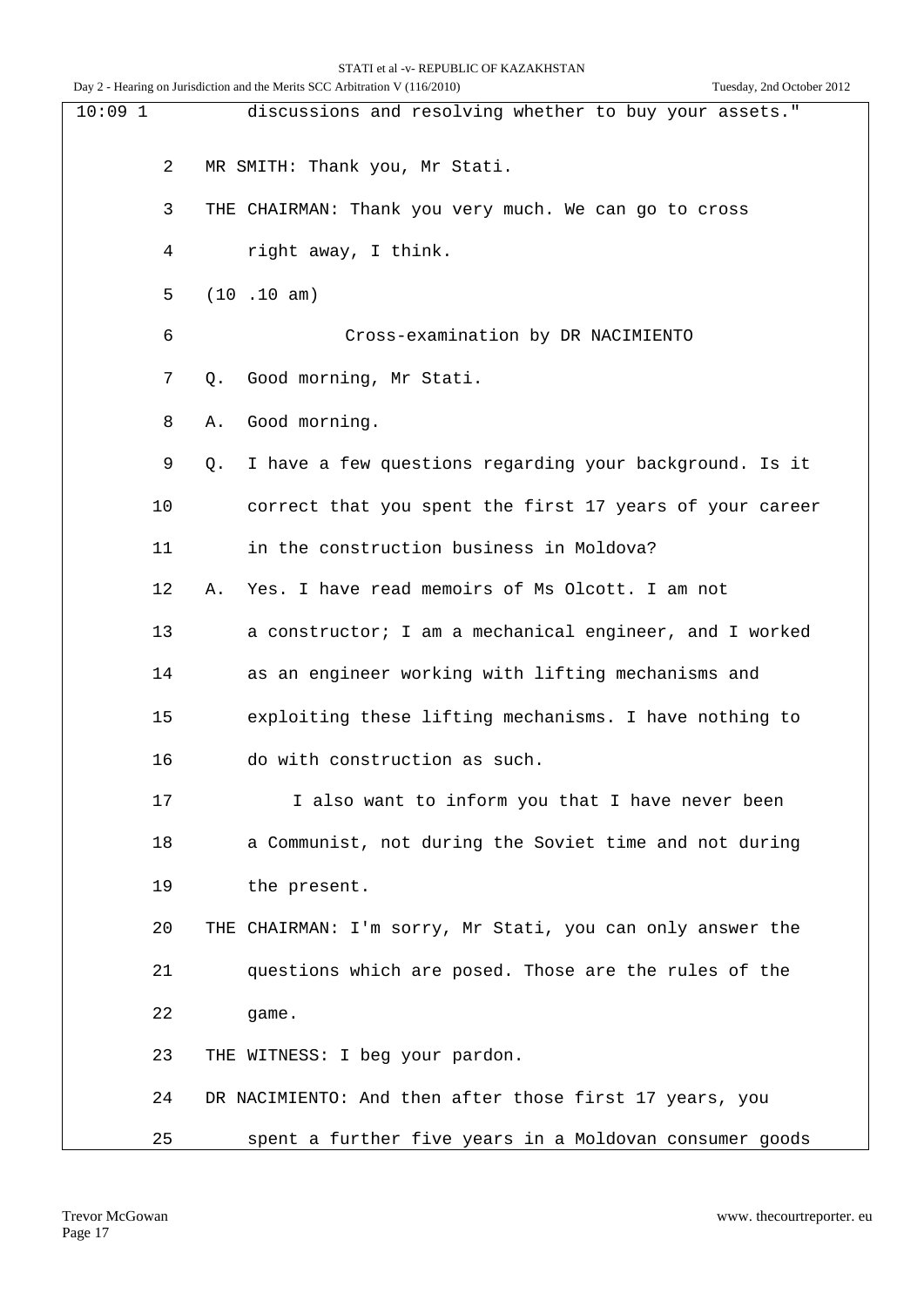| $10:09$ 1  | discussions and resolving whether to buy your assets."        |
|------------|---------------------------------------------------------------|
| 2          | MR SMITH: Thank you, Mr Stati.                                |
| 3          | THE CHAIRMAN: Thank you very much. We can go to cross         |
| 4          | right away, I think.                                          |
| 5          | (10.10 am)                                                    |
| $\epsilon$ | Cross-examination by DR NACIMIENTO                            |
| 7          | Good morning, Mr Stati.<br>Q.                                 |
| 8          | Good morning.<br>Α.                                           |
| 9          | I have a few questions regarding your background. Is it<br>Q. |
| 10         | correct that you spent the first 17 years of your career      |
| 11         | in the construction business in Moldova?                      |
| 12         | Yes. I have read memoirs of Ms Olcott. I am not<br>Α.         |
| 13         | a constructor; I am a mechanical engineer, and I worked       |
| 14         | as an engineer working with lifting mechanisms and            |
| 15         | exploiting these lifting mechanisms. I have nothing to        |
| 16         | do with construction as such.                                 |
| 17         | I also want to inform you that I have never been              |
| 18         | a Communist, not during the Soviet time and not during        |
| 19         | the present.                                                  |
| 20         | THE CHAIRMAN: I'm sorry, Mr Stati, you can only answer the    |
| 21         | questions which are posed. Those are the rules of the         |
| 22         | game.                                                         |
| 23         | THE WITNESS: I beg your pardon.                               |
| 24         | DR NACIMIENTO: And then after those first 17 years, you       |
| 25         | spent a further five years in a Moldovan consumer goods       |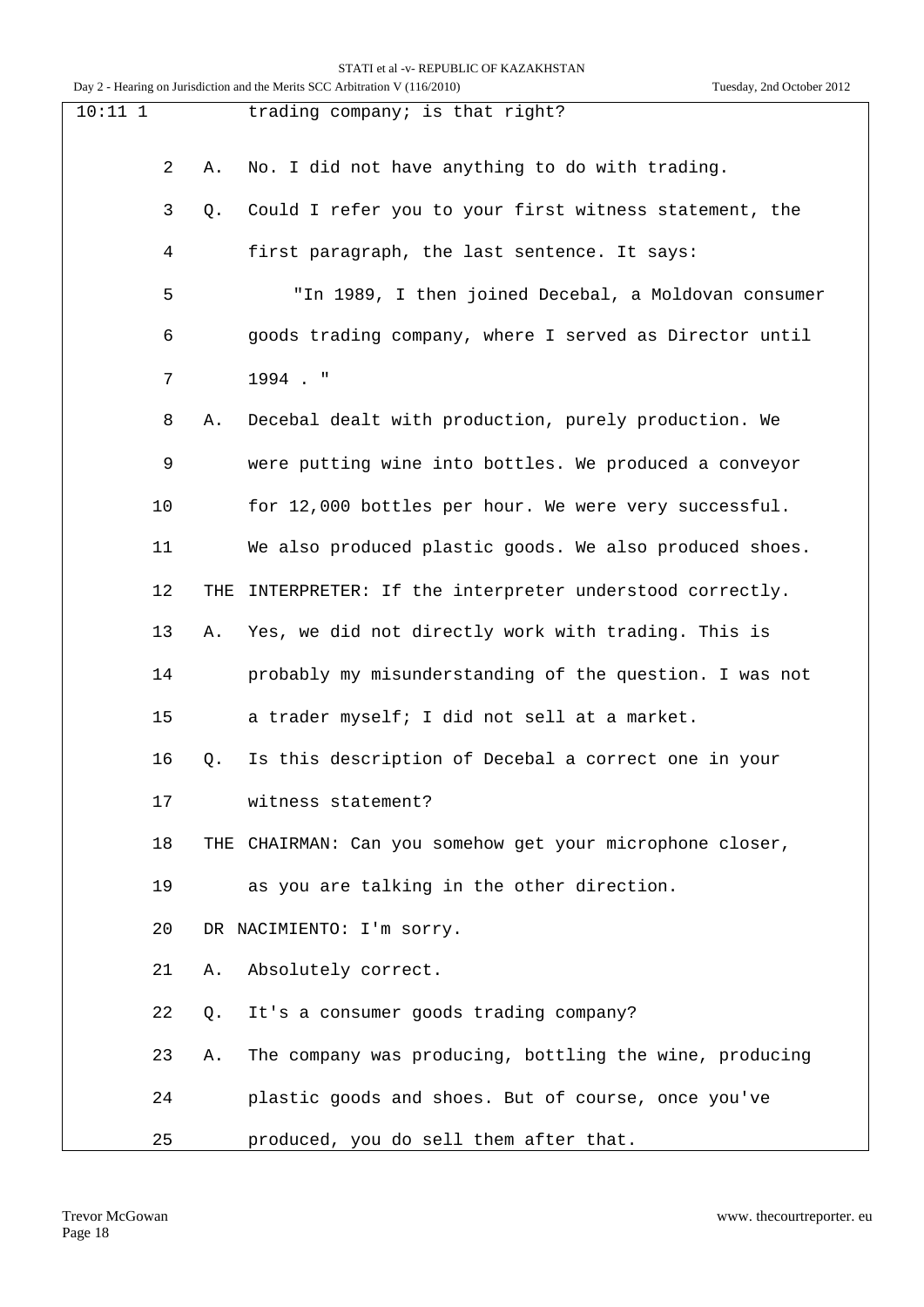| $10:11$ 1 |    |     | trading company; is that right?                           |
|-----------|----|-----|-----------------------------------------------------------|
|           | 2  | Α.  | No. I did not have anything to do with trading.           |
|           | 3  | Q.  | Could I refer you to your first witness statement, the    |
|           | 4  |     | first paragraph, the last sentence. It says:              |
|           | 5  |     | "In 1989, I then joined Decebal, a Moldovan consumer      |
|           | 6  |     | goods trading company, where I served as Director until   |
|           | 7  |     | 1994. "                                                   |
|           | 8  | Α.  | Decebal dealt with production, purely production. We      |
|           | 9  |     | were putting wine into bottles. We produced a conveyor    |
|           | 10 |     | for 12,000 bottles per hour. We were very successful.     |
|           | 11 |     | We also produced plastic goods. We also produced shoes.   |
|           | 12 | THE | INTERPRETER: If the interpreter understood correctly.     |
|           | 13 | Α.  | Yes, we did not directly work with trading. This is       |
|           | 14 |     | probably my misunderstanding of the question. I was not   |
|           | 15 |     | a trader myself; I did not sell at a market.              |
|           | 16 | Q.  | Is this description of Decebal a correct one in your      |
|           | 17 |     | witness statement?                                        |
|           | 18 |     | THE CHAIRMAN: Can you somehow get your microphone closer, |
|           | 19 |     | as you are talking in the other direction.                |
|           | 20 |     | DR NACIMIENTO: I'm sorry.                                 |
|           | 21 | Α.  | Absolutely correct.                                       |
|           | 22 | Q.  | It's a consumer goods trading company?                    |
|           | 23 | Α.  | The company was producing, bottling the wine, producing   |
|           | 24 |     | plastic goods and shoes. But of course, once you've       |
|           | 25 |     | produced, you do sell them after that.                    |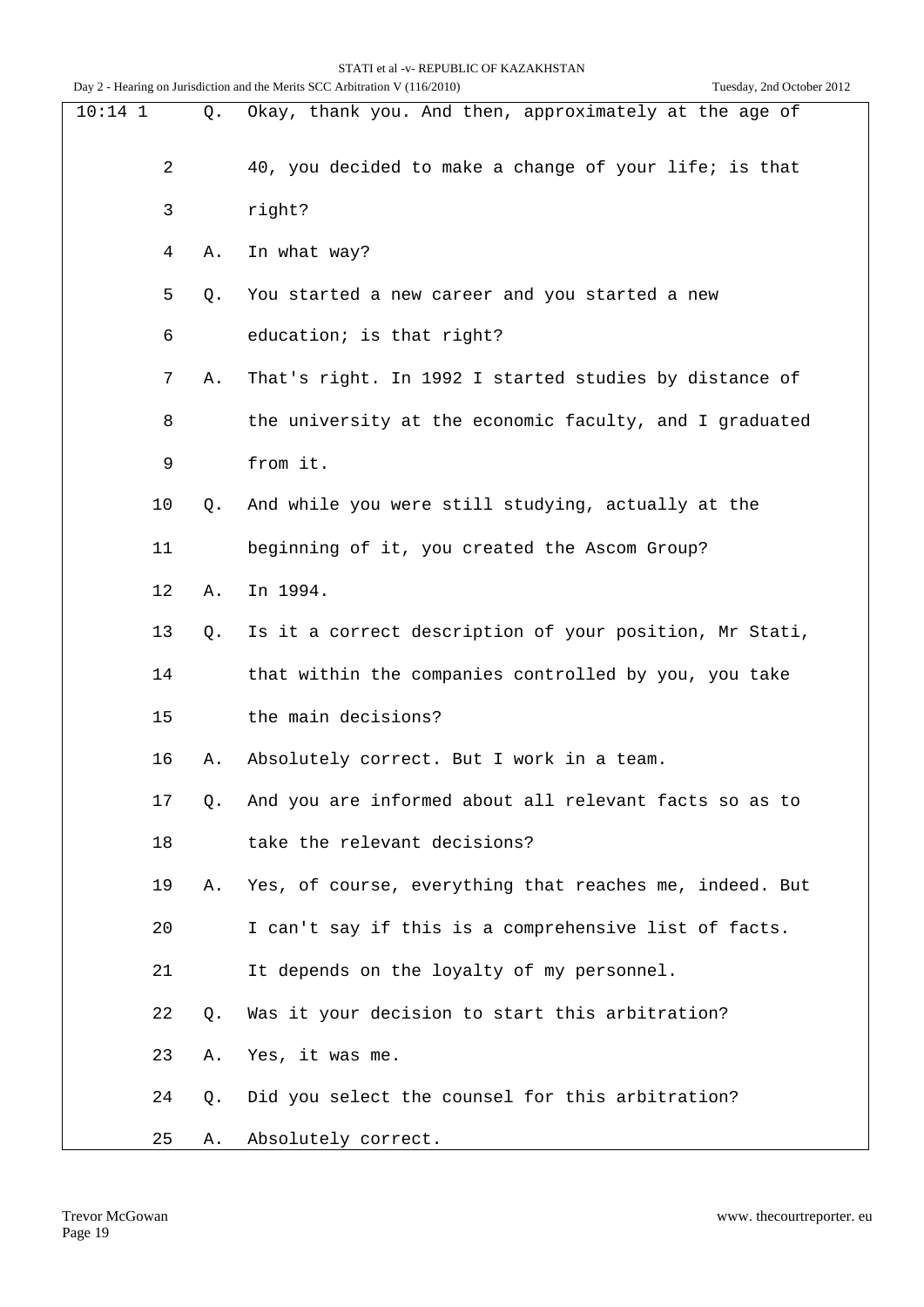| $10:14$ 1 |             | Q. | Okay, thank you. And then, approximately at the age of  |
|-----------|-------------|----|---------------------------------------------------------|
|           | 2           |    | 40, you decided to make a change of your life; is that  |
|           | 3           |    | right?                                                  |
|           | 4           | Α. | In what way?                                            |
|           | 5           | Q. | You started a new career and you started a new          |
|           | 6           |    | education; is that right?                               |
|           | 7           | Α. | That's right. In 1992 I started studies by distance of  |
|           | 8           |    | the university at the economic faculty, and I graduated |
|           | $\mathsf 9$ |    | from it.                                                |
|           | 10          | Q. | And while you were still studying, actually at the      |
|           | 11          |    | beginning of it, you created the Ascom Group?           |
|           | 12          | Α. | In 1994.                                                |
|           | 13          | Q. | Is it a correct description of your position, Mr Stati, |
|           | 14          |    | that within the companies controlled by you, you take   |
|           | 15          |    | the main decisions?                                     |
|           | 16          | Α. | Absolutely correct. But I work in a team.               |
|           | 17          | Q. | And you are informed about all relevant facts so as to  |
|           | 18          |    | take the relevant decisions?                            |
|           | 19          | Α. | Yes, of course, everything that reaches me, indeed. But |
|           | 20          |    | I can't say if this is a comprehensive list of facts.   |
|           | 21          |    | It depends on the loyalty of my personnel.              |
|           | 22          | Q. | Was it your decision to start this arbitration?         |
|           | 23          | Α. | Yes, it was me.                                         |
|           | 24          | Q. | Did you select the counsel for this arbitration?        |
|           | 25          | Α. | Absolutely correct.                                     |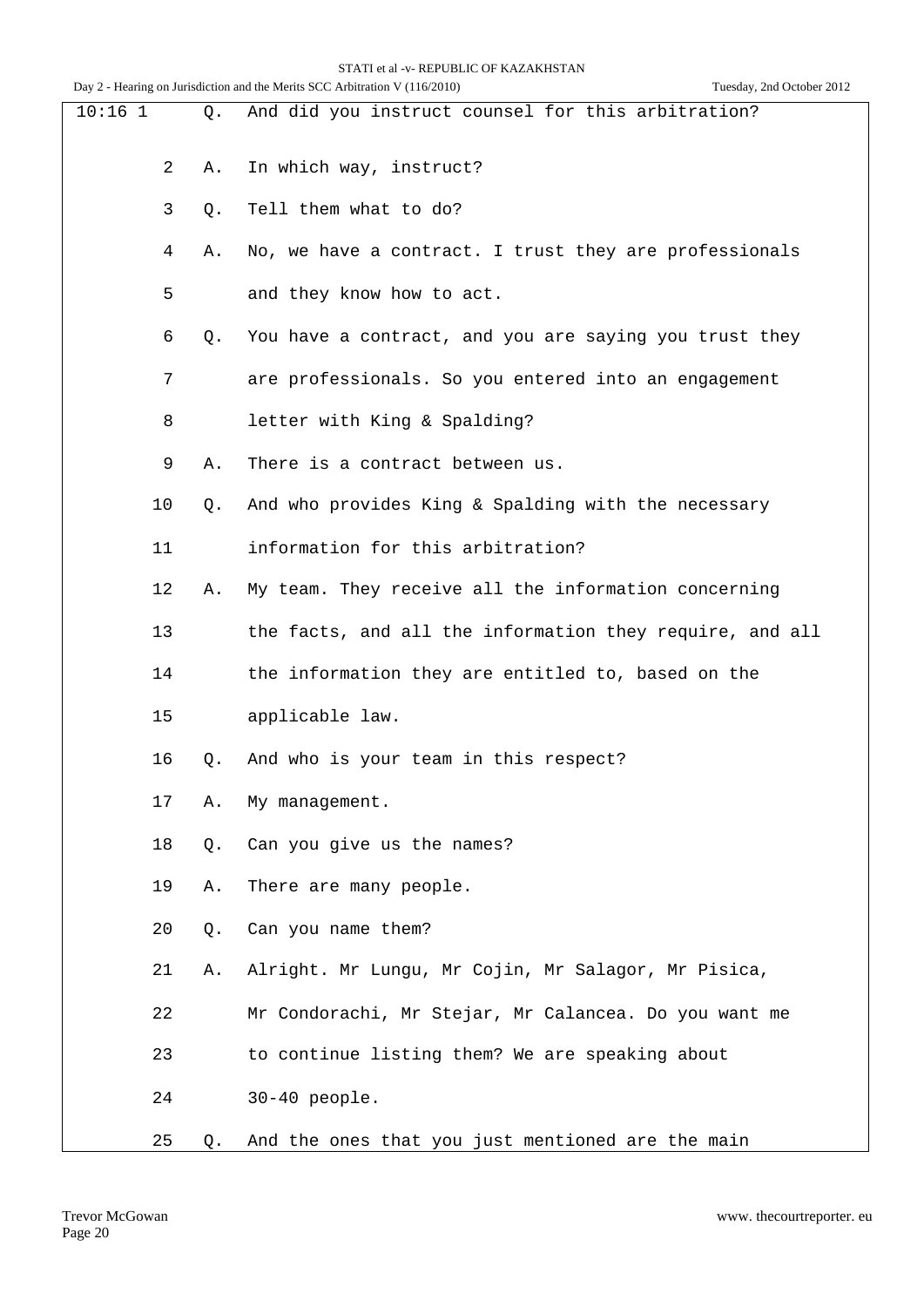STATI et al -v- REPUBLIC OF KAZAKHSTAN

| $10:16$ 1      | Q. | And did you instruct counsel for this arbitration?       |
|----------------|----|----------------------------------------------------------|
|                |    |                                                          |
| $\overline{2}$ | Α. | In which way, instruct?                                  |
| 3              | Q. | Tell them what to do?                                    |
| 4              | Α. | No, we have a contract. I trust they are professionals   |
| 5              |    | and they know how to act.                                |
| 6              | О. | You have a contract, and you are saying you trust they   |
| 7              |    | are professionals. So you entered into an engagement     |
| 8              |    | letter with King & Spalding?                             |
| 9              | Α. | There is a contract between us.                          |
| 10             | Q. | And who provides King & Spalding with the necessary      |
| 11             |    | information for this arbitration?                        |
| 12             | Α. | My team. They receive all the information concerning     |
| 13             |    | the facts, and all the information they require, and all |
| 14             |    | the information they are entitled to, based on the       |
| 15             |    | applicable law.                                          |
| 16             | Q. | And who is your team in this respect?                    |
| 17             | Α. | My management.                                           |
| 18             | Q. | Can you give us the names?                               |
| 19             | Α. | There are many people.                                   |
| 20             | Q. | Can you name them?                                       |
| 21             | Α. | Alright. Mr Lungu, Mr Cojin, Mr Salagor, Mr Pisica,      |
| 22             |    | Mr Condorachi, Mr Stejar, Mr Calancea. Do you want me    |
| 23             |    | to continue listing them? We are speaking about          |
| 24             |    | 30-40 people.                                            |
| 25             | Q. | And the ones that you just mentioned are the main        |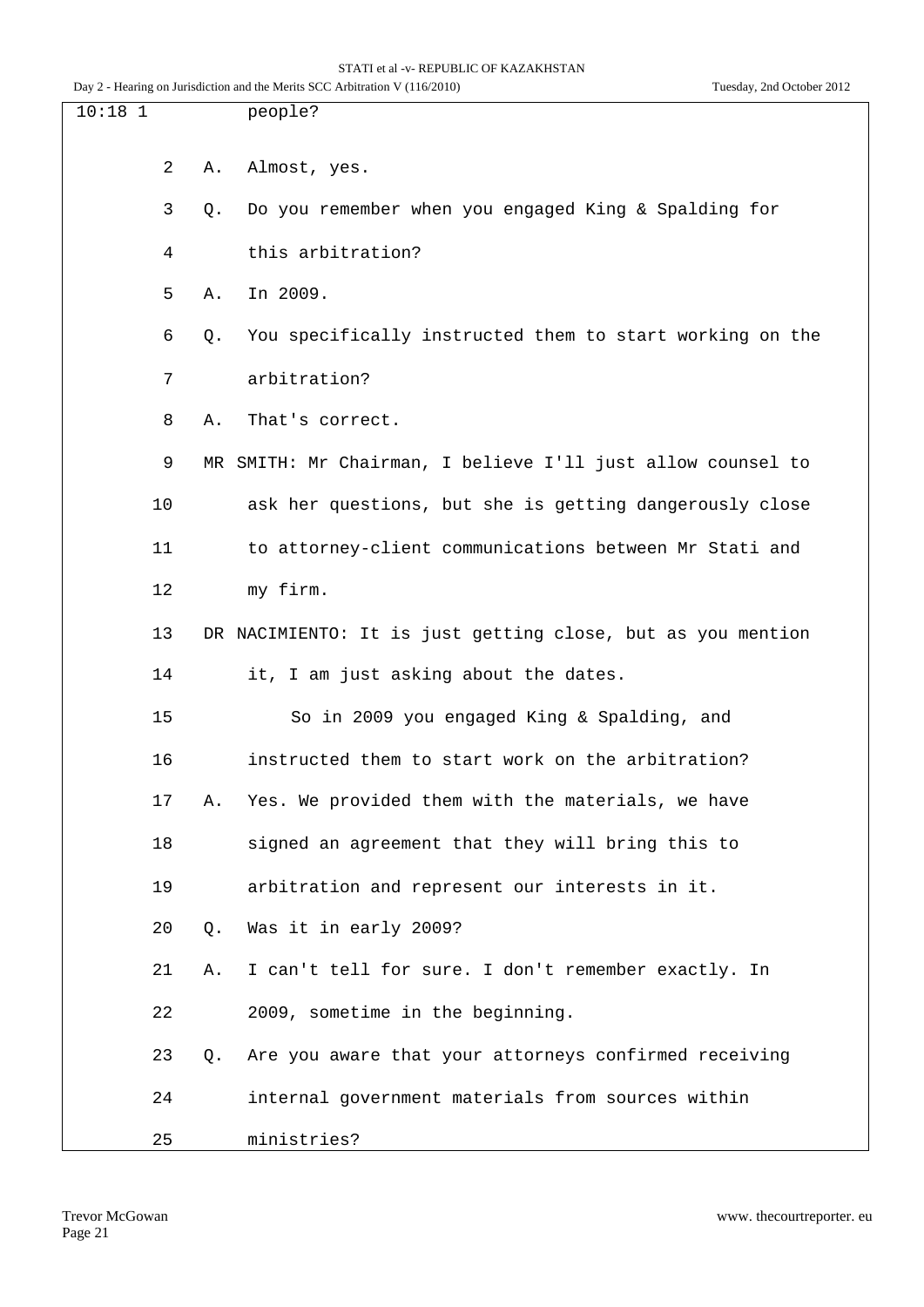| $10:18$ 1 |                |    | people?                                                     |
|-----------|----------------|----|-------------------------------------------------------------|
|           | $\overline{2}$ | Α. | Almost, yes.                                                |
|           | 3              | Q. | Do you remember when you engaged King & Spalding for        |
|           | 4              |    | this arbitration?                                           |
|           | 5              | Α. | In 2009.                                                    |
|           | 6              | Q. | You specifically instructed them to start working on the    |
|           | 7              |    | arbitration?                                                |
|           | 8              | Α. | That's correct.                                             |
|           | 9              |    | MR SMITH: Mr Chairman, I believe I'll just allow counsel to |
|           | 10             |    | ask her questions, but she is getting dangerously close     |
|           | 11             |    | to attorney-client communications between Mr Stati and      |
|           | 12             |    | my firm.                                                    |
|           | 13             |    | DR NACIMIENTO: It is just getting close, but as you mention |
|           | 14             |    | it, I am just asking about the dates.                       |
|           | 15             |    | So in 2009 you engaged King & Spalding, and                 |
|           | 16             |    | instructed them to start work on the arbitration?           |
|           | 17             |    | Yes. We provided them with the materials, we have           |
|           | 18             |    | signed an agreement that they will bring this to            |
|           | 19             |    | arbitration and represent our interests in it.              |
|           | 20             | Q. | Was it in early 2009?                                       |
|           | 21             | Α. | I can't tell for sure. I don't remember exactly. In         |
|           | 22             |    | 2009, sometime in the beginning.                            |
|           | 23             | Q. | Are you aware that your attorneys confirmed receiving       |
|           | 24             |    | internal government materials from sources within           |
|           | 25             |    | ministries?                                                 |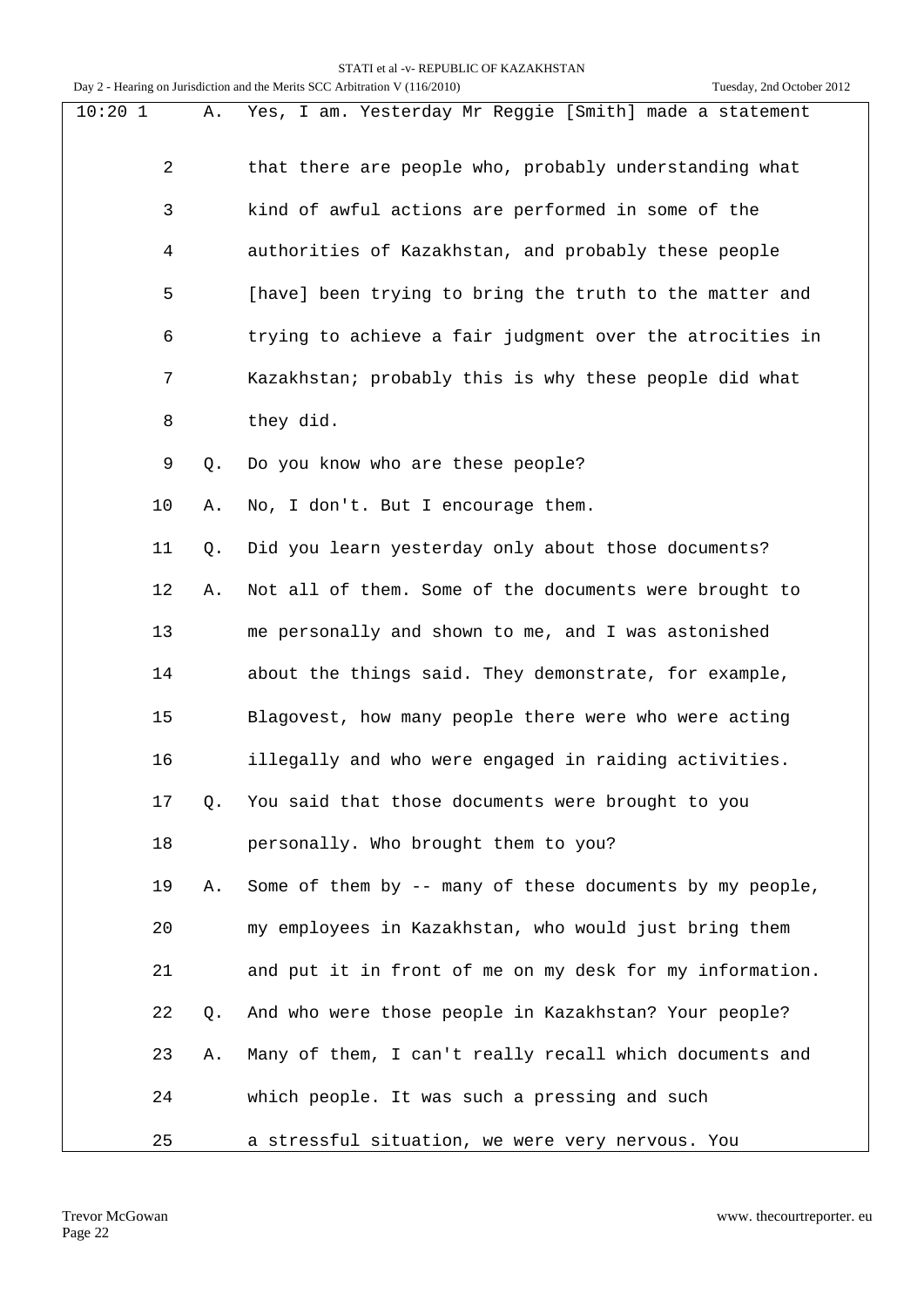| $10:20$ 1      | Α. | Yes, I am. Yesterday Mr Reggie [Smith] made a statement  |
|----------------|----|----------------------------------------------------------|
| $\overline{a}$ |    | that there are people who, probably understanding what   |
| $\mathfrak{Z}$ |    | kind of awful actions are performed in some of the       |
| 4              |    | authorities of Kazakhstan, and probably these people     |
| 5              |    | [have] been trying to bring the truth to the matter and  |
| 6              |    | trying to achieve a fair judgment over the atrocities in |
| 7              |    | Kazakhstan; probably this is why these people did what   |
| 8              |    | they did.                                                |
| 9              | Q. | Do you know who are these people?                        |
| 10             | Α. | No, I don't. But I encourage them.                       |
| 11             | Q. | Did you learn yesterday only about those documents?      |
| 12             | Α. | Not all of them. Some of the documents were brought to   |
| 13             |    | me personally and shown to me, and I was astonished      |
| 14             |    | about the things said. They demonstrate, for example,    |
| 15             |    | Blagovest, how many people there were who were acting    |
| 16             |    | illegally and who were engaged in raiding activities.    |
| 17             |    | You said that those documents were brought to you        |
| 18             |    | personally. Who brought them to you?                     |
| 19             | Α. | Some of them by -- many of these documents by my people, |
| 20             |    | my employees in Kazakhstan, who would just bring them    |
| 21             |    | and put it in front of me on my desk for my information. |
| 22             | Q. | And who were those people in Kazakhstan? Your people?    |
| 23             | Α. | Many of them, I can't really recall which documents and  |
| 24             |    | which people. It was such a pressing and such            |
| 25             |    | a stressful situation, we were very nervous. You         |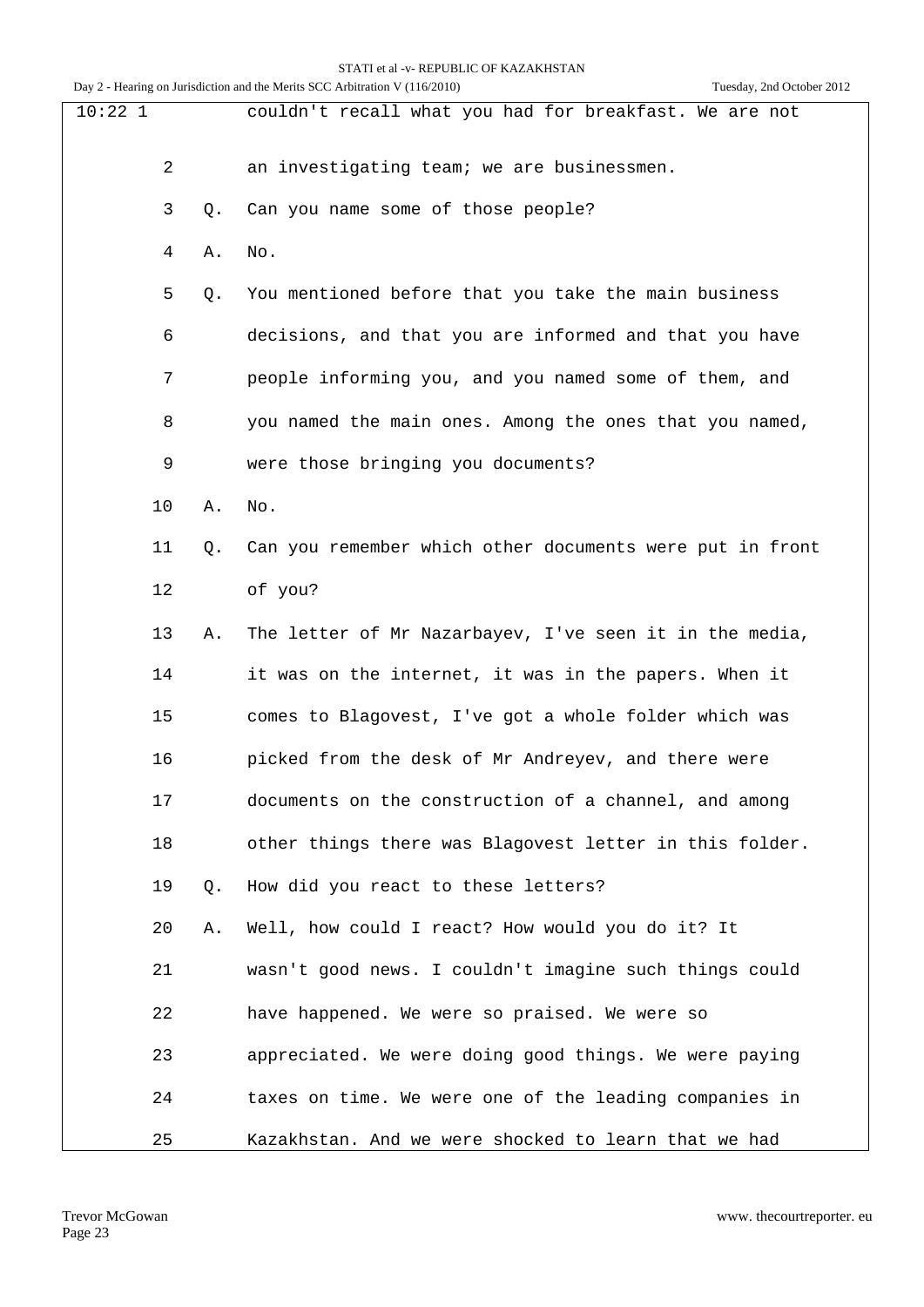| 10:221 |    |    | couldn't recall what you had for breakfast. We are not   |
|--------|----|----|----------------------------------------------------------|
|        | 2  |    | an investigating team; we are businessmen.               |
|        | 3  | Q. | Can you name some of those people?                       |
|        | 4  | Α. | No.                                                      |
|        | 5  | Q. | You mentioned before that you take the main business     |
|        | 6  |    | decisions, and that you are informed and that you have   |
|        | 7  |    | people informing you, and you named some of them, and    |
|        | 8  |    | you named the main ones. Among the ones that you named,  |
|        | 9  |    | were those bringing you documents?                       |
|        | 10 | Α. | No.                                                      |
|        | 11 | Q. | Can you remember which other documents were put in front |
|        | 12 |    | of you?                                                  |
|        | 13 | Α. | The letter of Mr Nazarbayev, I've seen it in the media,  |
|        | 14 |    | it was on the internet, it was in the papers. When it    |
|        | 15 |    | comes to Blagovest, I've got a whole folder which was    |
|        | 16 |    | picked from the desk of Mr Andreyev, and there were      |
|        | 17 |    | documents on the construction of a channel, and among    |
|        | 18 |    | other things there was Blagovest letter in this folder.  |
|        | 19 | Q. | How did you react to these letters?                      |
|        | 20 | Α. | Well, how could I react? How would you do it? It         |
|        | 21 |    | wasn't good news. I couldn't imagine such things could   |
|        | 22 |    | have happened. We were so praised. We were so            |
|        | 23 |    | appreciated. We were doing good things. We were paying   |
|        | 24 |    | taxes on time. We were one of the leading companies in   |
|        | 25 |    | Kazakhstan. And we were shocked to learn that we had     |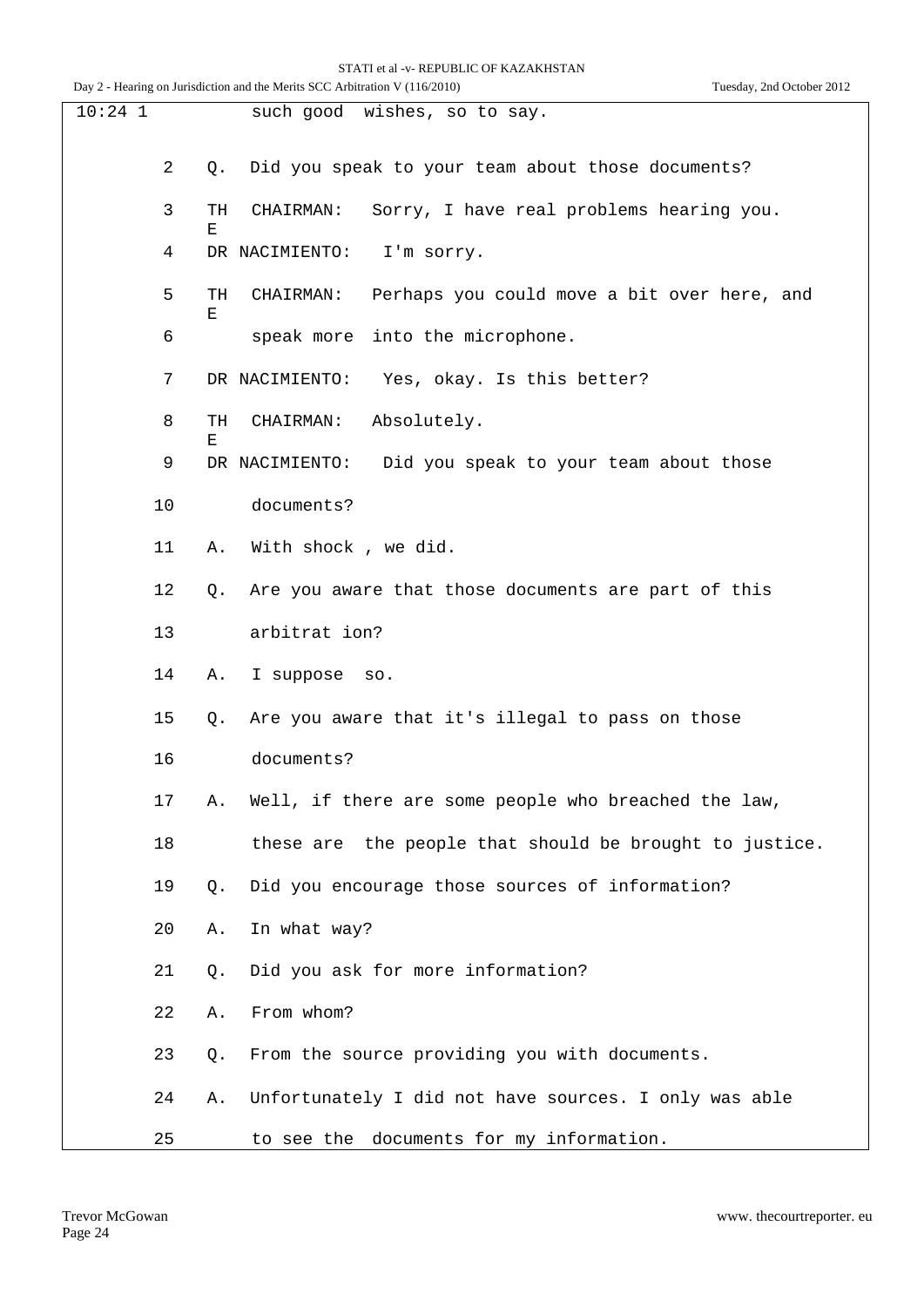| $10:24$ 1      | such good wishes, so to say.                                        |  |
|----------------|---------------------------------------------------------------------|--|
| $\overline{2}$ | Did you speak to your team about those documents?<br>Q.             |  |
| $\mathsf{3}$   | TH<br>CHAIRMAN:<br>Sorry, I have real problems hearing you.<br>Е    |  |
| 4              | I'm sorry.<br>DR NACIMIENTO:                                        |  |
| 5              | Perhaps you could move a bit over here, and<br>TH<br>CHAIRMAN:<br>Ε |  |
| 6              | speak more into the microphone.                                     |  |
| 7              | DR NACIMIENTO: Yes, okay. Is this better?                           |  |
| 8              | Absolutely.<br>TH<br>CHAIRMAN:<br>Ε                                 |  |
| 9              | DR NACIMIENTO:<br>Did you speak to your team about those            |  |
| 10             | documents?                                                          |  |
| 11             | With shock, we did.<br>Α.                                           |  |
| 12             | Are you aware that those documents are part of this<br>Q.           |  |
| 13             | arbitrat ion?                                                       |  |
| 14             | I suppose so.<br>Α.                                                 |  |
| 15             | Are you aware that it's illegal to pass on those<br>Q.              |  |
| 16             | documents?                                                          |  |
| 17             | Well, if there are some people who breached the law,<br>Α.          |  |
| 18             | these are the people that should be brought to justice.             |  |
| 19             | Did you encourage those sources of information?<br>Q.               |  |
| 20             | In what way?<br>Α.                                                  |  |
| 21             | Did you ask for more information?<br>Q.                             |  |
| 22             | From whom?<br>Α.                                                    |  |
| 23             | From the source providing you with documents.<br>Q.                 |  |
| 24             | Unfortunately I did not have sources. I only was able<br>Α.         |  |
| 25             | to see the documents for my information.                            |  |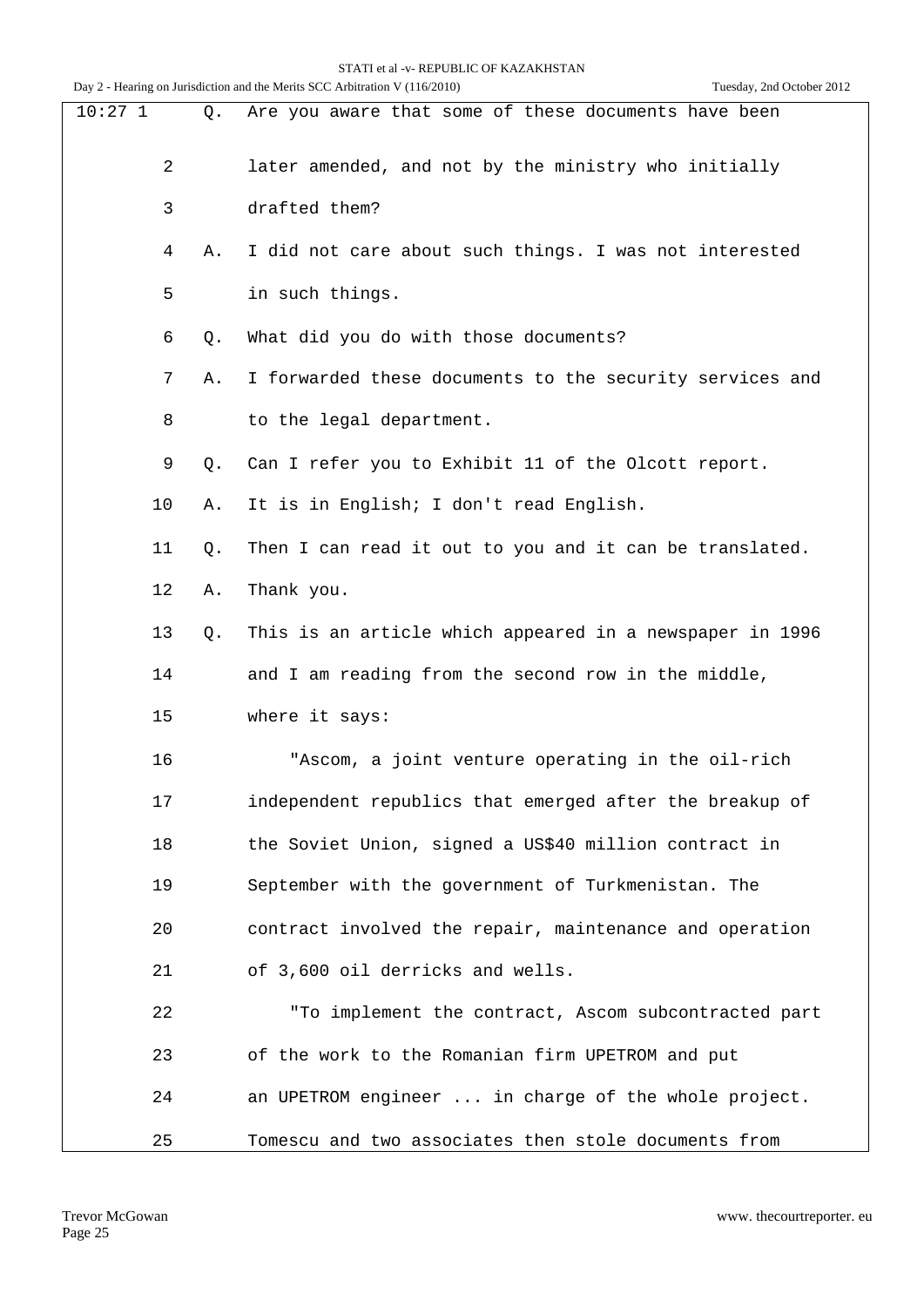| $10:27$ 1 | Q. | Are you aware that some of these documents have been     |
|-----------|----|----------------------------------------------------------|
| 2         |    | later amended, and not by the ministry who initially     |
| 3         |    | drafted them?                                            |
| 4         | Α. | I did not care about such things. I was not interested   |
| 5         |    | in such things.                                          |
| 6         | Q. | What did you do with those documents?                    |
| 7         | Α. | I forwarded these documents to the security services and |
| 8         |    | to the legal department.                                 |
| 9         | Q. | Can I refer you to Exhibit 11 of the Olcott report.      |
| 10        | Α. | It is in English; I don't read English.                  |
| 11        | Q. | Then I can read it out to you and it can be translated.  |
| 12        | Α. | Thank you.                                               |
| 13        | Q. | This is an article which appeared in a newspaper in 1996 |
| 14        |    | and I am reading from the second row in the middle,      |
| 15        |    | where it says:                                           |
| 16        |    | "Ascom, a joint venture operating in the oil-rich        |
| 17        |    | independent republics that emerged after the breakup of  |
| 18        |    | the Soviet Union, signed a US\$40 million contract in    |
| 19        |    | September with the government of Turkmenistan. The       |
| 20        |    | contract involved the repair, maintenance and operation  |
| 21        |    | of 3,600 oil derricks and wells.                         |
| 22        |    | "To implement the contract, Ascom subcontracted part     |
| 23        |    | of the work to the Romanian firm UPETROM and put         |
| 24        |    | an UPETROM engineer  in charge of the whole project.     |
| 25        |    | Tomescu and two associates then stole documents from     |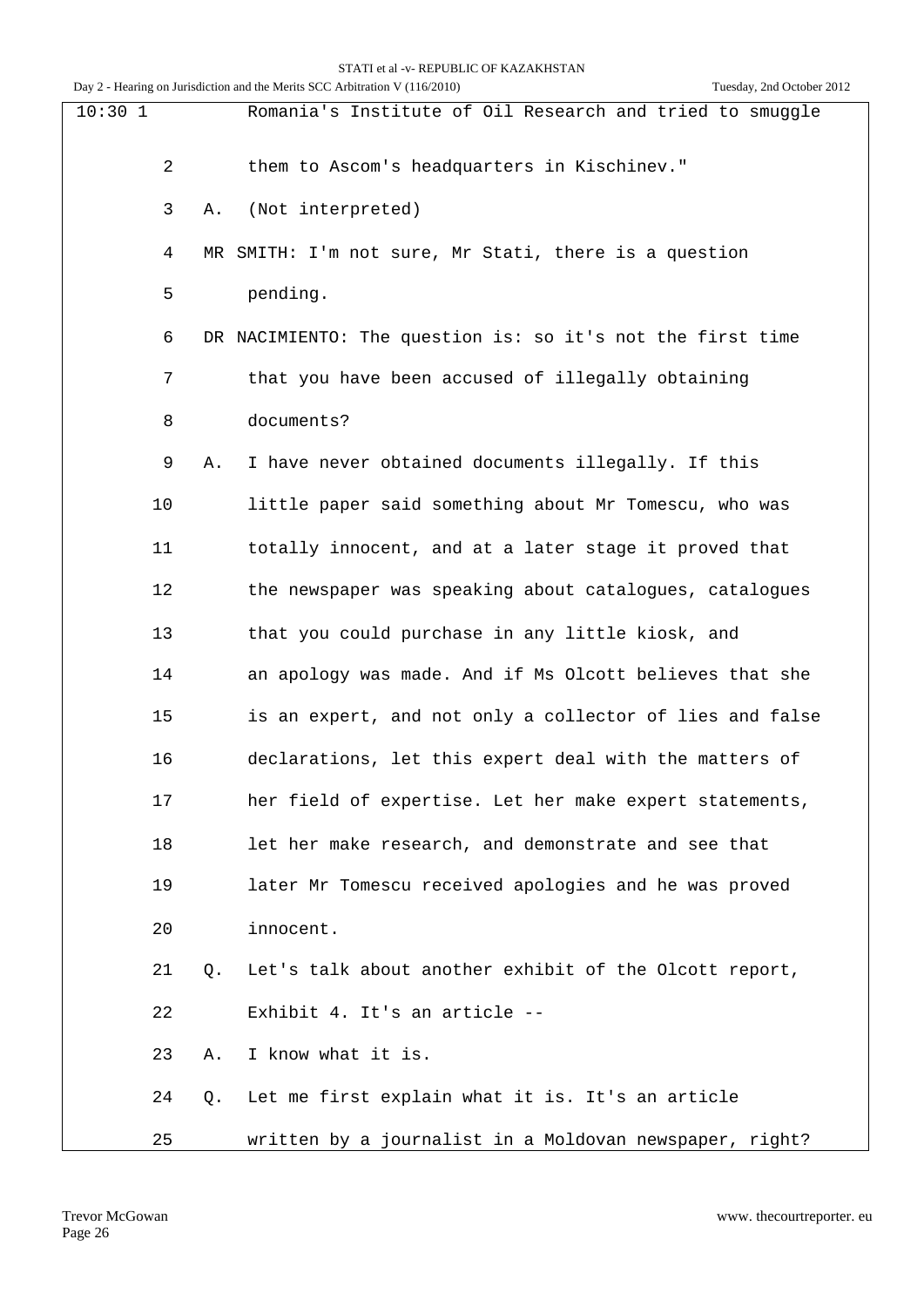| $10:30$ 1 |                |    | Romania's Institute of Oil Research and tried to smuggle   |
|-----------|----------------|----|------------------------------------------------------------|
|           | $\overline{2}$ |    | them to Ascom's headquarters in Kischinev."                |
|           | 3              | Α. | (Not interpreted)                                          |
|           | 4              |    | MR SMITH: I'm not sure, Mr Stati, there is a question      |
|           | 5              |    | pending.                                                   |
|           | 6              |    | DR NACIMIENTO: The question is: so it's not the first time |
|           | 7              |    | that you have been accused of illegally obtaining          |
|           | 8              |    | documents?                                                 |
|           | 9              | Α. | I have never obtained documents illegally. If this         |
|           | 10             |    | little paper said something about Mr Tomescu, who was      |
|           | 11             |    | totally innocent, and at a later stage it proved that      |
|           | 12             |    | the newspaper was speaking about catalogues, catalogues    |
|           | 13             |    | that you could purchase in any little kiosk, and           |
|           | 14             |    | an apology was made. And if Ms Olcott believes that she    |
|           | 15             |    | is an expert, and not only a collector of lies and false   |
|           | 16             |    | declarations, let this expert deal with the matters of     |
|           | 17             |    | her field of expertise. Let her make expert statements,    |
|           | 18             |    | let her make research, and demonstrate and see that        |
|           | 19             |    | later Mr Tomescu received apologies and he was proved      |
|           | 20             |    | innocent.                                                  |
|           | 21             | Q. | Let's talk about another exhibit of the Olcott report,     |
|           | 22             |    | Exhibit 4. It's an article --                              |
|           | 23             | Α. | I know what it is.                                         |
|           | 24             | Q. | Let me first explain what it is. It's an article           |
|           | 25             |    | written by a journalist in a Moldovan newspaper, right?    |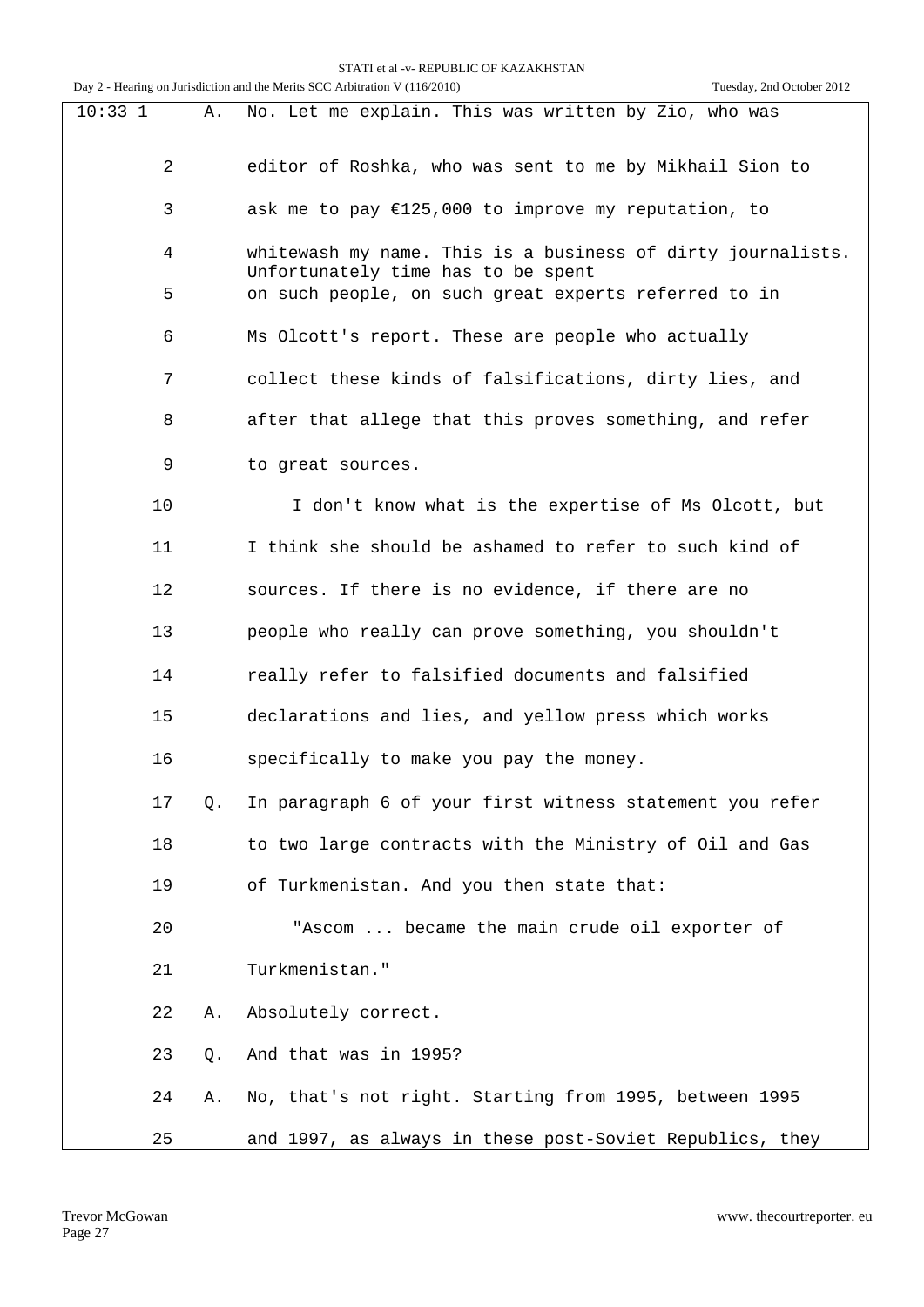STATI et al -v- REPUBLIC OF KAZAKHSTAN

| $10:33$ 1 | Α. | No. Let me explain. This was written by Zio, who was                                              |
|-----------|----|---------------------------------------------------------------------------------------------------|
| 2         |    | editor of Roshka, who was sent to me by Mikhail Sion to                                           |
| 3         |    | ask me to pay €125,000 to improve my reputation, to                                               |
| 4         |    | whitewash my name. This is a business of dirty journalists.<br>Unfortunately time has to be spent |
| 5         |    | on such people, on such great experts referred to in                                              |
| 6         |    | Ms Olcott's report. These are people who actually                                                 |
| 7         |    | collect these kinds of falsifications, dirty lies, and                                            |
| 8         |    | after that allege that this proves something, and refer                                           |
| 9         |    | to great sources.                                                                                 |
| 10        |    | I don't know what is the expertise of Ms Olcott, but                                              |
| 11        |    | I think she should be ashamed to refer to such kind of                                            |
| 12        |    | sources. If there is no evidence, if there are no                                                 |
| 13        |    | people who really can prove something, you shouldn't                                              |
| 14        |    | really refer to falsified documents and falsified                                                 |
| 15        |    | declarations and lies, and yellow press which works                                               |
| 16        |    | specifically to make you pay the money.                                                           |
| 17        | Q. | In paragraph 6 of your first witness statement you refer                                          |
| 18        |    | to two large contracts with the Ministry of Oil and Gas                                           |
| 19        |    | of Turkmenistan. And you then state that:                                                         |
| 20        |    | "Ascom  became the main crude oil exporter of                                                     |
| 21        |    | Turkmenistan."                                                                                    |
| 22        | Α. | Absolutely correct.                                                                               |
| 23        | Q. | And that was in 1995?                                                                             |
| 24        | Α. | No, that's not right. Starting from 1995, between 1995                                            |
| 25        |    | and 1997, as always in these post-Soviet Republics, they                                          |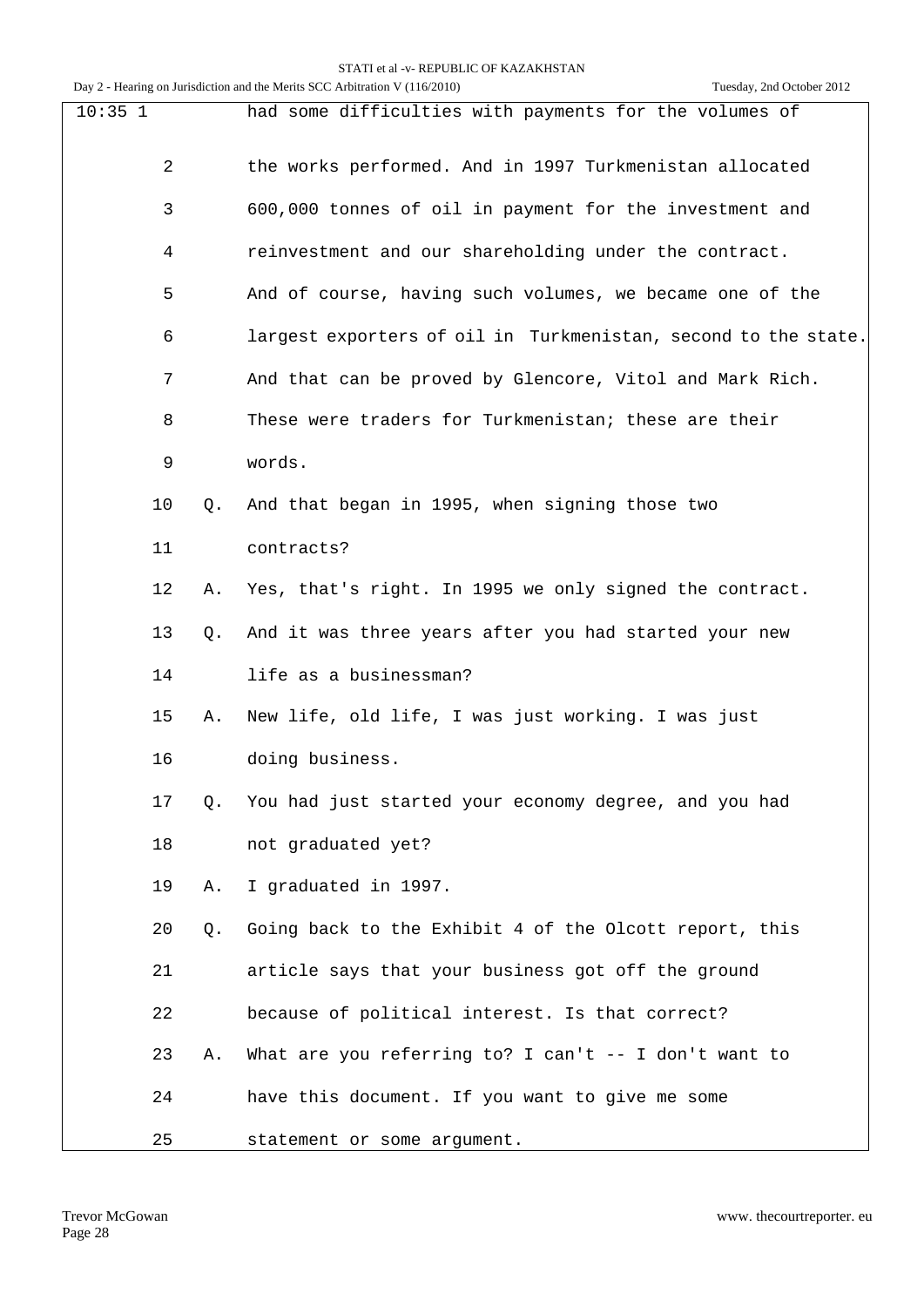| $10:35$ 1   |    | had some difficulties with payments for the volumes of         |
|-------------|----|----------------------------------------------------------------|
| 2           |    | the works performed. And in 1997 Turkmenistan allocated        |
| 3           |    | 600,000 tonnes of oil in payment for the investment and        |
| 4           |    | reinvestment and our shareholding under the contract.          |
| 5           |    | And of course, having such volumes, we became one of the       |
| 6           |    | largest exporters of oil in Turkmenistan, second to the state. |
| 7           |    | And that can be proved by Glencore, Vitol and Mark Rich.       |
| 8           |    | These were traders for Turkmenistan; these are their           |
| $\mathsf 9$ |    | words.                                                         |
| 10          | Q. | And that began in 1995, when signing those two                 |
| 11          |    | contracts?                                                     |
| 12          | Α. | Yes, that's right. In 1995 we only signed the contract.        |
| 13          | Q. | And it was three years after you had started your new          |
| 14          |    | life as a businessman?                                         |
| 15          | Α. | New life, old life, I was just working. I was just             |
| 16          |    | doing business.                                                |
| 17          | Q. | You had just started your economy degree, and you had          |
| 18          |    | not graduated yet?                                             |
| 19          | Α. | I graduated in 1997.                                           |
| 20          | Q. | Going back to the Exhibit 4 of the Olcott report, this         |
| 21          |    | article says that your business got off the ground             |
| 22          |    | because of political interest. Is that correct?                |
| 23          | Α. | What are you referring to? I can't -- I don't want to          |
| 24          |    | have this document. If you want to give me some                |
| 25          |    | statement or some argument.                                    |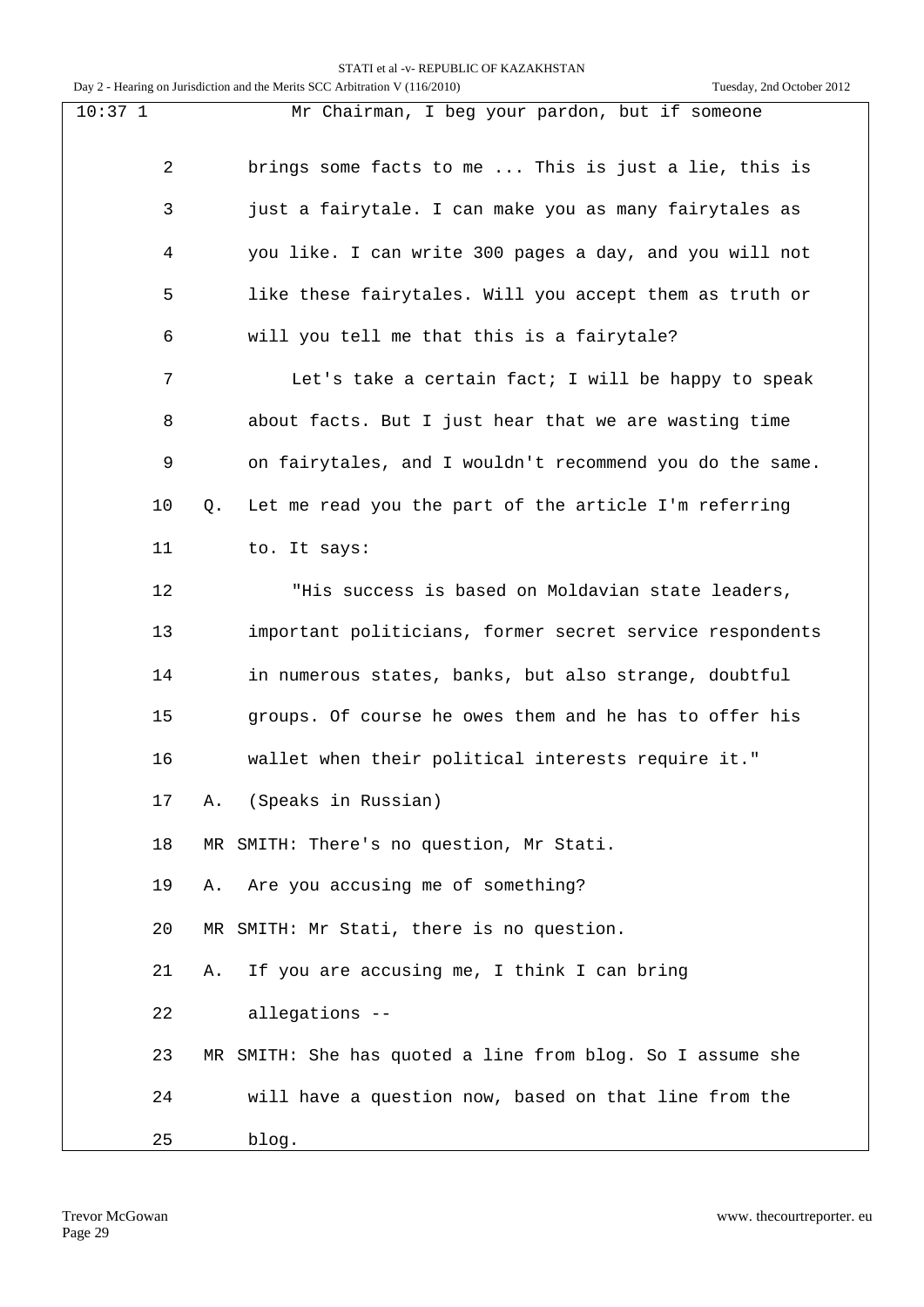| $10:37$ 1 | Mr Chairman, I beg your pardon, but if someone              |
|-----------|-------------------------------------------------------------|
| 2         | brings some facts to me  This is just a lie, this is        |
| 3         | just a fairytale. I can make you as many fairytales as      |
| 4         | you like. I can write 300 pages a day, and you will not     |
| 5         | like these fairytales. Will you accept them as truth or     |
| 6         | will you tell me that this is a fairytale?                  |
| 7         | Let's take a certain fact; I will be happy to speak         |
| 8         | about facts. But I just hear that we are wasting time       |
| 9         | on fairytales, and I wouldn't recommend you do the same.    |
| 10        | Let me read you the part of the article I'm referring<br>Q. |
| 11        | to. It says:                                                |
| 12        | "His success is based on Moldavian state leaders,           |
| 13        | important politicians, former secret service respondents    |
| 14        | in numerous states, banks, but also strange, doubtful       |
| 15        | groups. Of course he owes them and he has to offer his      |
| 16        | wallet when their political interests require it."          |
| 17        | (Speaks in Russian)<br>Α.                                   |
| 18        | MR SMITH: There's no question, Mr Stati.                    |
| 19        | Are you accusing me of something?<br>Α.                     |
| 20        | MR SMITH: Mr Stati, there is no question.                   |
| 21        | If you are accusing me, I think I can bring<br>Α.           |
| 22        | allegations --                                              |
| 23        | MR SMITH: She has quoted a line from blog. So I assume she  |
| 24        | will have a question now, based on that line from the       |
| 25        | blog.                                                       |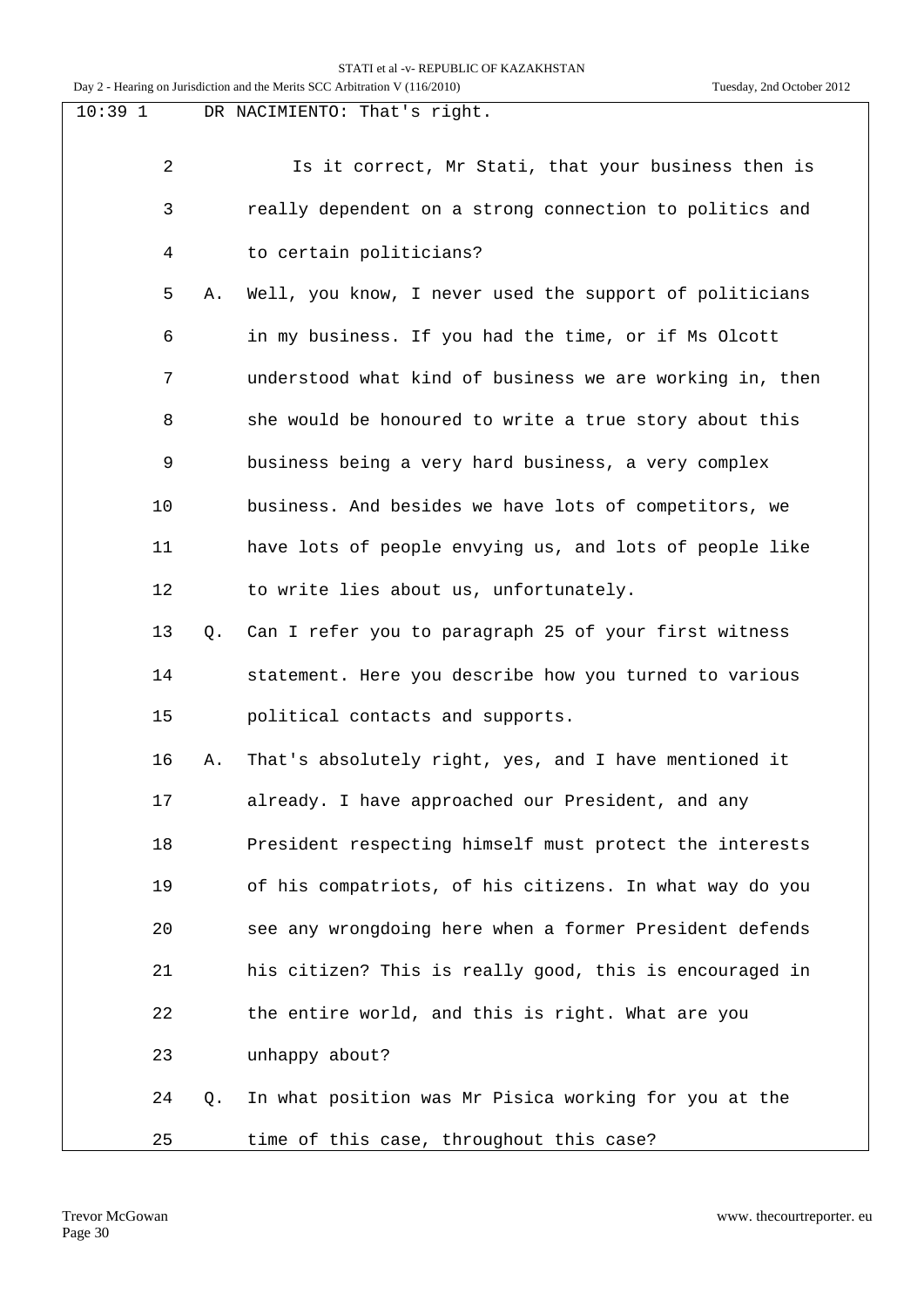| $10:39$ 1 |    | DR NACIMIENTO: That's right.                             |
|-----------|----|----------------------------------------------------------|
| 2         |    | Is it correct, Mr Stati, that your business then is      |
| 3         |    | really dependent on a strong connection to politics and  |
| 4         |    | to certain politicians?                                  |
| 5         | Α. | Well, you know, I never used the support of politicians  |
| 6         |    | in my business. If you had the time, or if Ms Olcott     |
| 7         |    | understood what kind of business we are working in, then |
| 8         |    | she would be honoured to write a true story about this   |
| 9         |    | business being a very hard business, a very complex      |
| 10        |    | business. And besides we have lots of competitors, we    |
| 11        |    | have lots of people envying us, and lots of people like  |
| 12        |    | to write lies about us, unfortunately.                   |
| 13        | Q. | Can I refer you to paragraph 25 of your first witness    |
| 14        |    | statement. Here you describe how you turned to various   |
| 15        |    | political contacts and supports.                         |
| 16        | Α. | That's absolutely right, yes, and I have mentioned it    |
| 17        |    | already. I have approached our President, and any        |
| 18        |    | President respecting himself must protect the interests  |
| 19        |    | of his compatriots, of his citizens. In what way do you  |
| 20        |    | see any wrongdoing here when a former President defends  |
| 21        |    | his citizen? This is really good, this is encouraged in  |
| 22        |    | the entire world, and this is right. What are you        |
| 23        |    | unhappy about?                                           |
| 24        | Q. | In what position was Mr Pisica working for you at the    |
| 25        |    | time of this case, throughout this case?                 |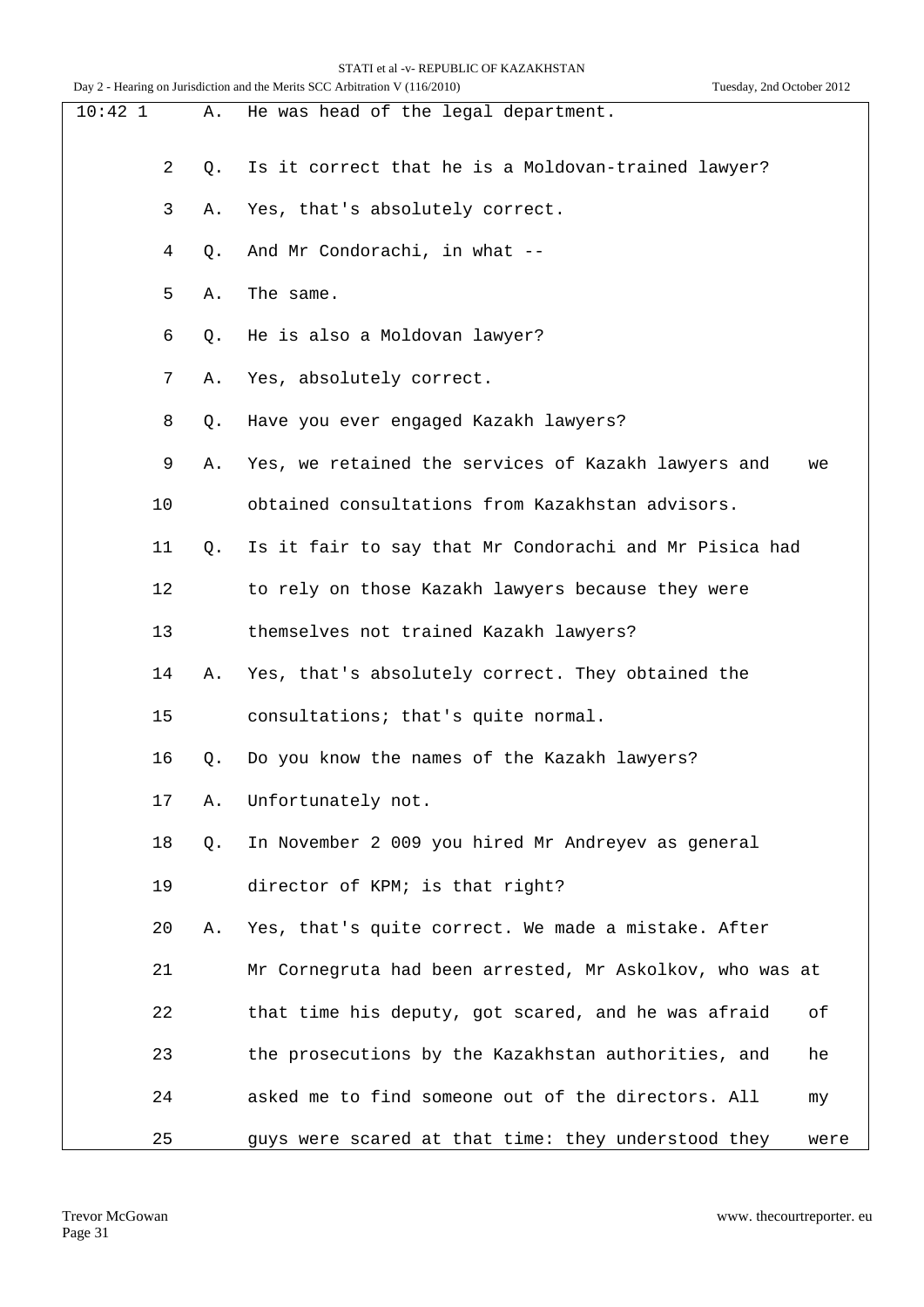| $10:42$ 1       | Α.             | He was head of the legal department.                        |
|-----------------|----------------|-------------------------------------------------------------|
| $\overline{2}$  | Q.             | Is it correct that he is a Moldovan-trained lawyer?         |
| 3               | Α.             | Yes, that's absolutely correct.                             |
| 4               | Q.             | And Mr Condorachi, in what --                               |
| 5               | Α.             | The same.                                                   |
| 6               | 0.             | He is also a Moldovan lawyer?                               |
| 7               | Α.             | Yes, absolutely correct.                                    |
| 8               | Q.             | Have you ever engaged Kazakh lawyers?                       |
| 9               | Α.             | Yes, we retained the services of Kazakh lawyers and<br>we   |
| 10              |                | obtained consultations from Kazakhstan advisors.            |
| 11              | Q <sub>1</sub> | Is it fair to say that Mr Condorachi and Mr Pisica had      |
| 12              |                | to rely on those Kazakh lawyers because they were           |
| 13              |                | themselves not trained Kazakh lawyers?                      |
| 14              | Α.             | Yes, that's absolutely correct. They obtained the           |
| 15              |                | consultations; that's quite normal.                         |
| 16              | Q.             | Do you know the names of the Kazakh lawyers?                |
| 17 <sub>2</sub> | Α.             | Unfortunately not.                                          |
| 18              | Q.             | In November 2 009 you hired Mr Andreyev as general          |
| 19              |                | director of KPM; is that right?                             |
| 20              | Α.             | Yes, that's quite correct. We made a mistake. After         |
| 21              |                | Mr Cornegruta had been arrested, Mr Askolkov, who was at    |
| 22              |                | that time his deputy, got scared, and he was afraid<br>оf   |
| 23              |                | the prosecutions by the Kazakhstan authorities, and<br>he   |
| 24              |                | asked me to find someone out of the directors. All<br>my    |
| 25              |                | guys were scared at that time: they understood they<br>were |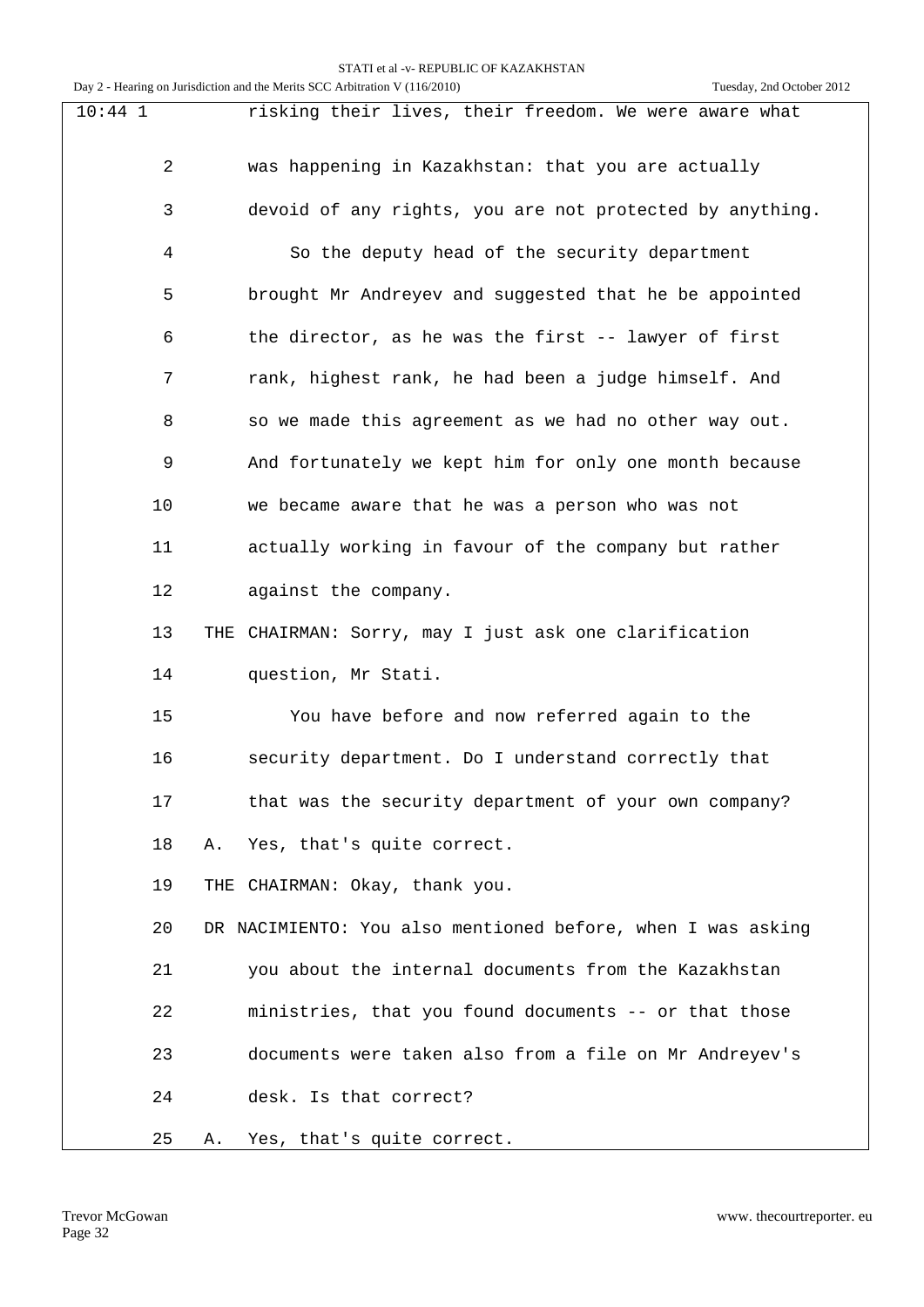| $10:44$ 1      | risking their lives, their freedom. We were aware what      |
|----------------|-------------------------------------------------------------|
| $\overline{a}$ | was happening in Kazakhstan: that you are actually          |
| 3              | devoid of any rights, you are not protected by anything.    |
| 4              | So the deputy head of the security department               |
| 5              | brought Mr Andreyev and suggested that he be appointed      |
| 6              | the director, as he was the first -- lawyer of first        |
| 7              | rank, highest rank, he had been a judge himself. And        |
| 8              | so we made this agreement as we had no other way out.       |
| 9              | And fortunately we kept him for only one month because      |
| 10             | we became aware that he was a person who was not            |
| 11             | actually working in favour of the company but rather        |
| 12             | against the company.                                        |
| 13             | THE CHAIRMAN: Sorry, may I just ask one clarification       |
| 14             | question, Mr Stati.                                         |
| 15             | You have before and now referred again to the               |
| 16             | security department. Do I understand correctly that         |
| 17             | that was the security department of your own company?       |
| 18             | Yes, that's quite correct.<br>Α.                            |
| 19             | THE CHAIRMAN: Okay, thank you.                              |
| 20             | DR NACIMIENTO: You also mentioned before, when I was asking |
| 21             | you about the internal documents from the Kazakhstan        |
| 22             | ministries, that you found documents -- or that those       |
| 23             | documents were taken also from a file on Mr Andreyev's      |
| 24             | desk. Is that correct?                                      |
| 25             | Yes, that's quite correct.<br>Α.                            |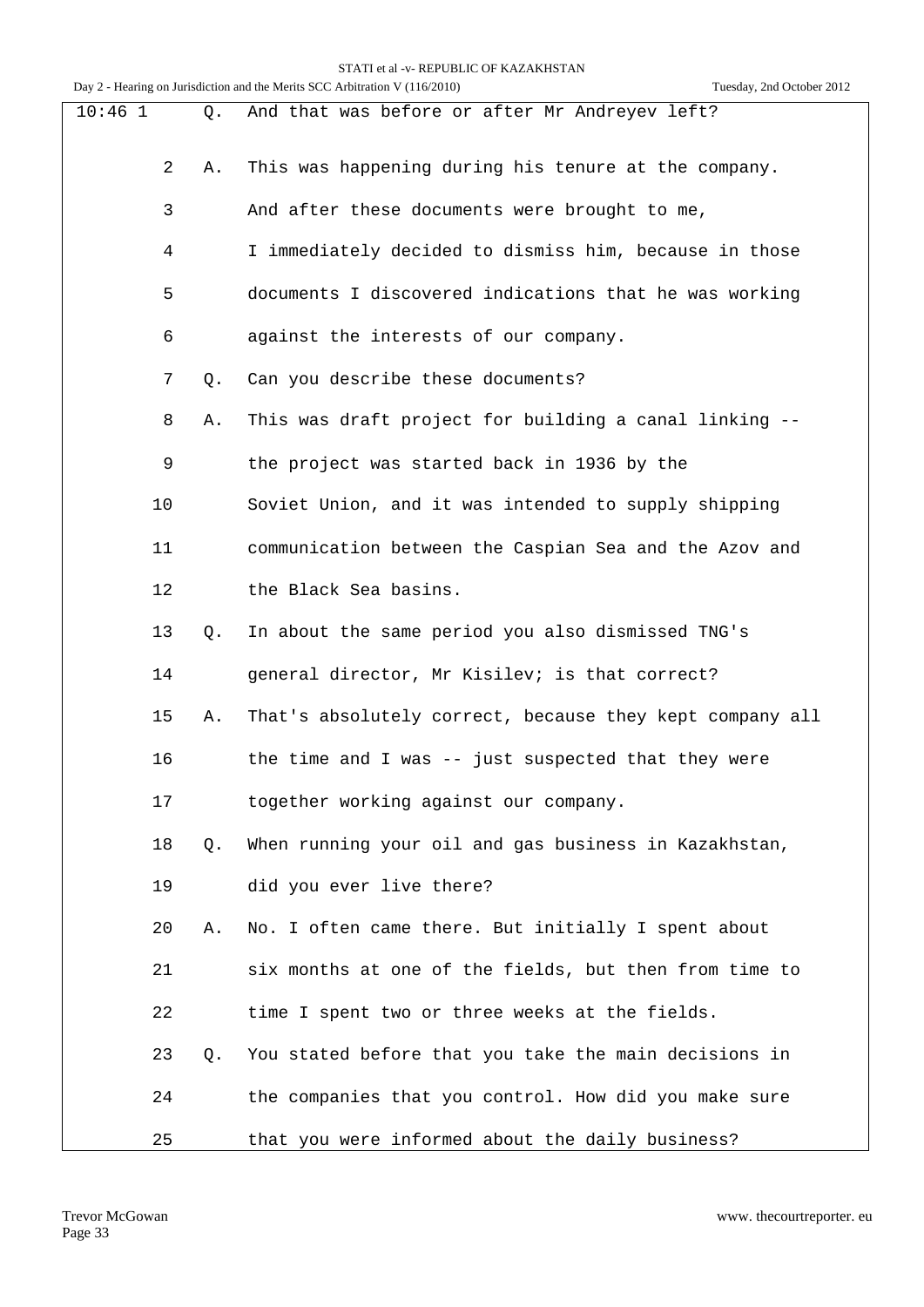| $10:46$ 1      | Q. | And that was before or after Mr Andreyev left?           |
|----------------|----|----------------------------------------------------------|
| $\overline{2}$ | Α. | This was happening during his tenure at the company.     |
| 3              |    | And after these documents were brought to me,            |
| 4              |    | I immediately decided to dismiss him, because in those   |
| 5              |    | documents I discovered indications that he was working   |
| 6              |    | against the interests of our company.                    |
| 7              | Q. | Can you describe these documents?                        |
| 8              | Α. | This was draft project for building a canal linking --   |
| 9              |    | the project was started back in 1936 by the              |
| 10             |    | Soviet Union, and it was intended to supply shipping     |
| 11             |    | communication between the Caspian Sea and the Azov and   |
| 12             |    | the Black Sea basins.                                    |
| 13             | Q. | In about the same period you also dismissed TNG's        |
| 14             |    | general director, Mr Kisilev; is that correct?           |
| 15             | Α. | That's absolutely correct, because they kept company all |
| 16             |    | the time and I was $-$ - just suspected that they were   |
| 17             |    | together working against our company.                    |
| 18             | Q. | When running your oil and gas business in Kazakhstan,    |
| 19             |    | did you ever live there?                                 |
| 20             | Α. | No. I often came there. But initially I spent about      |
| 21             |    | six months at one of the fields, but then from time to   |
| 22             |    | time I spent two or three weeks at the fields.           |
| 23             | Q. | You stated before that you take the main decisions in    |
| 24             |    | the companies that you control. How did you make sure    |
| 25             |    | that you were informed about the daily business?         |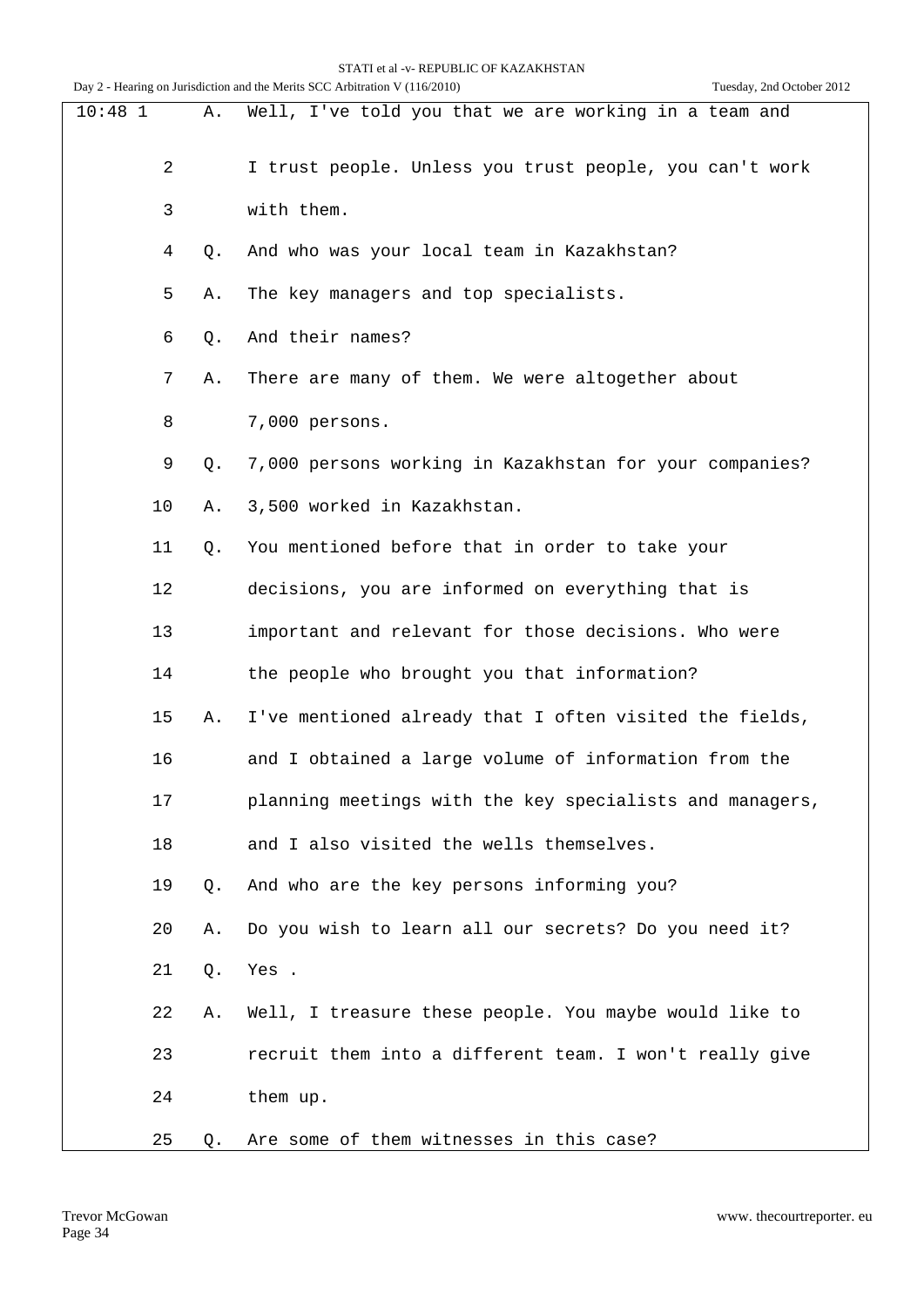| $10:48$ 1      | Α. | Well, I've told you that we are working in a team and    |
|----------------|----|----------------------------------------------------------|
| $\overline{2}$ |    | I trust people. Unless you trust people, you can't work  |
| 3              |    | with them.                                               |
| 4              | Q. | And who was your local team in Kazakhstan?               |
| 5              | Α. | The key managers and top specialists.                    |
| 6              | Q. | And their names?                                         |
| 7              | Α. | There are many of them. We were altogether about         |
| 8              |    | 7,000 persons.                                           |
| 9              | Q. | 7,000 persons working in Kazakhstan for your companies?  |
| 10             | Α. | 3,500 worked in Kazakhstan.                              |
| 11             | Q. | You mentioned before that in order to take your          |
| 12             |    | decisions, you are informed on everything that is        |
| 13             |    | important and relevant for those decisions. Who were     |
| 14             |    | the people who brought you that information?             |
| 15             | Α. | I've mentioned already that I often visited the fields,  |
| 16             |    | and I obtained a large volume of information from the    |
| 17             |    | planning meetings with the key specialists and managers, |
| 18             |    | and I also visited the wells themselves.                 |
| 19             | Q. | And who are the key persons informing you?               |
| 20             | Α. | Do you wish to learn all our secrets? Do you need it?    |
| 21             | Q. | Yes.                                                     |
| 22             | Α. | Well, I treasure these people. You maybe would like to   |
| 23             |    | recruit them into a different team. I won't really give  |
| 24             |    | them up.                                                 |
| 25             | Q. | Are some of them witnesses in this case?                 |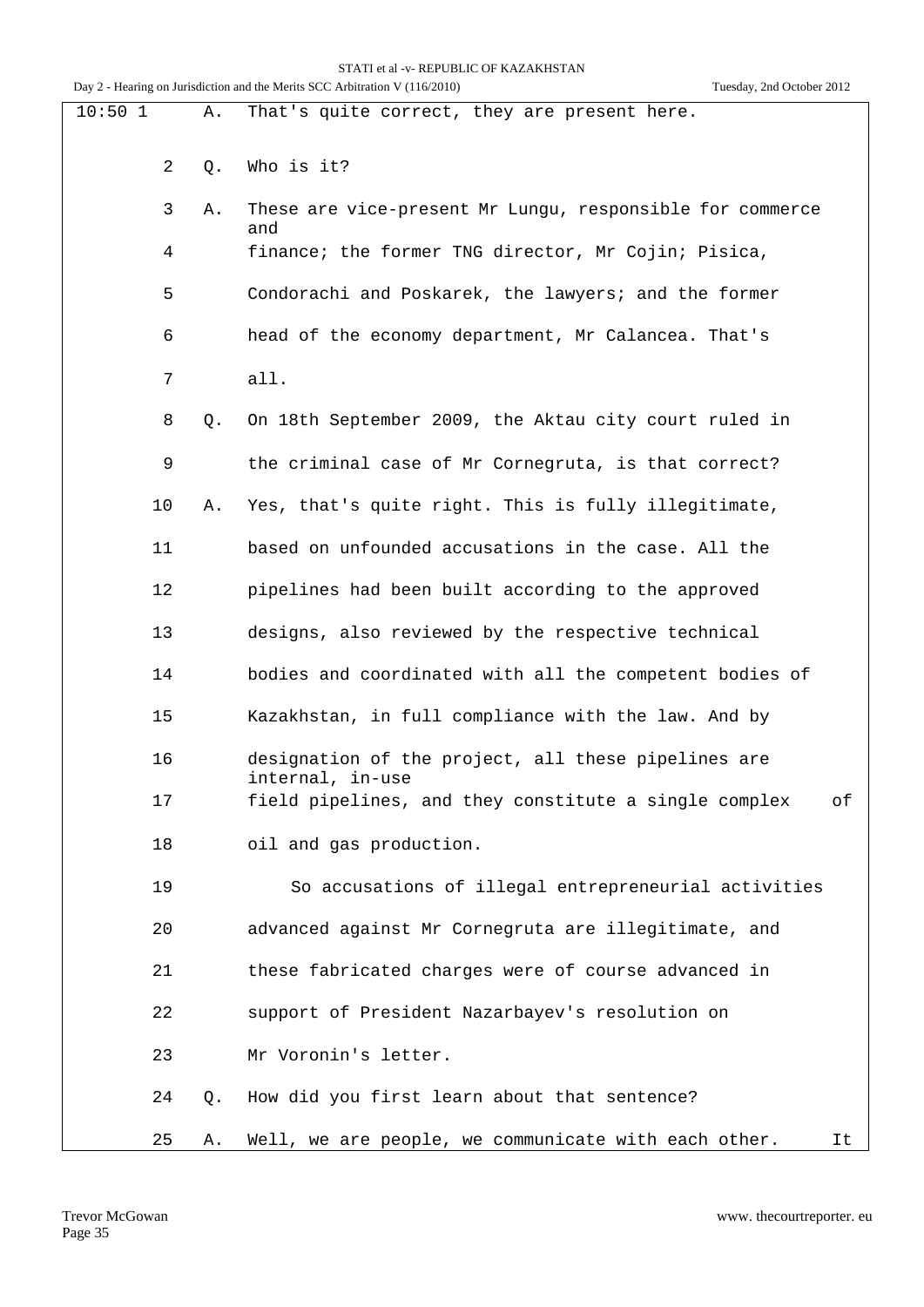| $10:50$ 1 |                | Α.    | That's quite correct, they are present here.                            |    |
|-----------|----------------|-------|-------------------------------------------------------------------------|----|
|           | 2 <sup>1</sup> | $Q$ . | Who is it?                                                              |    |
|           | 3              | Α.    | These are vice-present Mr Lungu, responsible for commerce<br>and        |    |
|           | 4              |       | finance; the former TNG director, Mr Cojin; Pisica,                     |    |
|           | 5              |       | Condorachi and Poskarek, the lawyers; and the former                    |    |
|           | 6              |       | head of the economy department, Mr Calancea. That's                     |    |
|           | 7              |       | all.                                                                    |    |
|           | 8              | Q.    | On 18th September 2009, the Aktau city court ruled in                   |    |
|           | 9              |       | the criminal case of Mr Cornegruta, is that correct?                    |    |
|           | 10             | Α.    | Yes, that's quite right. This is fully illegitimate,                    |    |
|           | 11             |       | based on unfounded accusations in the case. All the                     |    |
|           | 12             |       | pipelines had been built according to the approved                      |    |
|           | 13             |       | designs, also reviewed by the respective technical                      |    |
|           | 14             |       | bodies and coordinated with all the competent bodies of                 |    |
|           | 15             |       | Kazakhstan, in full compliance with the law. And by                     |    |
|           | 16             |       | designation of the project, all these pipelines are<br>internal, in-use |    |
|           | 17             |       | field pipelines, and they constitute a single complex                   | оf |
|           | 18             |       | oil and gas production.                                                 |    |
|           | 19             |       | So accusations of illegal entrepreneurial activities                    |    |
|           | 20             |       | advanced against Mr Cornegruta are illegitimate, and                    |    |
|           | 21             |       | these fabricated charges were of course advanced in                     |    |
|           | 22             |       | support of President Nazarbayev's resolution on                         |    |
|           | 23             |       | Mr Voronin's letter.                                                    |    |
|           | 24             | Q.    | How did you first learn about that sentence?                            |    |
|           | 25             | Α.    | Well, we are people, we communicate with each other.                    | It |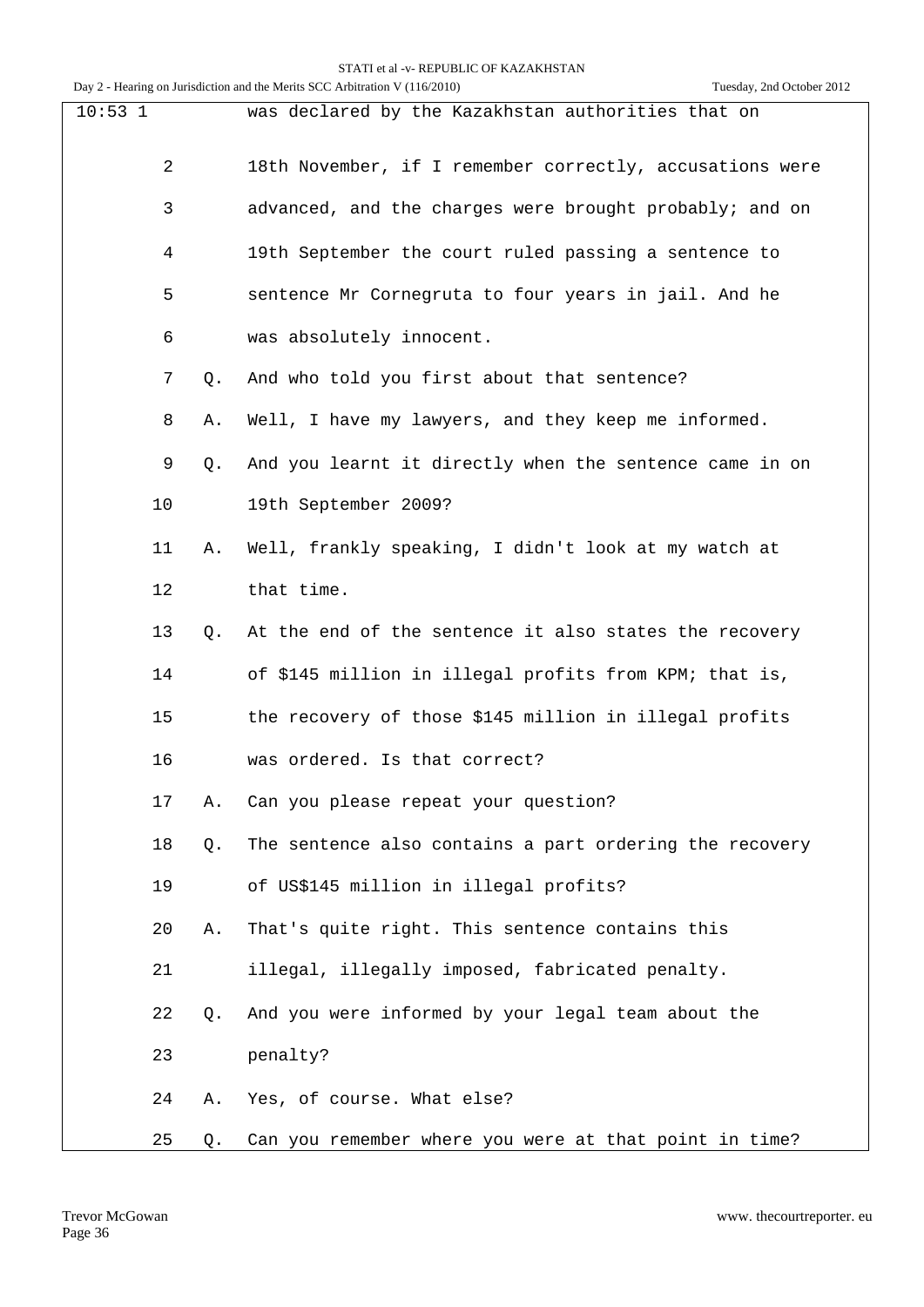| $10:53$ 1 |                |    | was declared by the Kazakhstan authorities that on       |
|-----------|----------------|----|----------------------------------------------------------|
|           | $\overline{2}$ |    | 18th November, if I remember correctly, accusations were |
|           | 3              |    | advanced, and the charges were brought probably; and on  |
|           | 4              |    | 19th September the court ruled passing a sentence to     |
|           | 5              |    | sentence Mr Cornegruta to four years in jail. And he     |
|           | 6              |    | was absolutely innocent.                                 |
|           | 7              | Q. | And who told you first about that sentence?              |
|           | 8              | Α. | Well, I have my lawyers, and they keep me informed.      |
|           | $\mathsf 9$    | Q. | And you learnt it directly when the sentence came in on  |
|           | 10             |    | 19th September 2009?                                     |
|           | 11             | Α. | Well, frankly speaking, I didn't look at my watch at     |
|           | 12             |    | that time.                                               |
|           | 13             | Q. | At the end of the sentence it also states the recovery   |
|           | 14             |    | of \$145 million in illegal profits from KPM; that is,   |
|           | 15             |    | the recovery of those \$145 million in illegal profits   |
|           | 16             |    | was ordered. Is that correct?                            |
|           | 17             | Α. | Can you please repeat your question?                     |
|           | 18             | Q. | The sentence also contains a part ordering the recovery  |
|           | 19             |    | of US\$145 million in illegal profits?                   |
|           | 20             | Α. | That's quite right. This sentence contains this          |
|           | 21             |    | illegal, illegally imposed, fabricated penalty.          |
|           | 22             | Q. | And you were informed by your legal team about the       |
|           | 23             |    | penalty?                                                 |
|           | 24             | Α. | Yes, of course. What else?                               |
|           | 25             | Q. | Can you remember where you were at that point in time?   |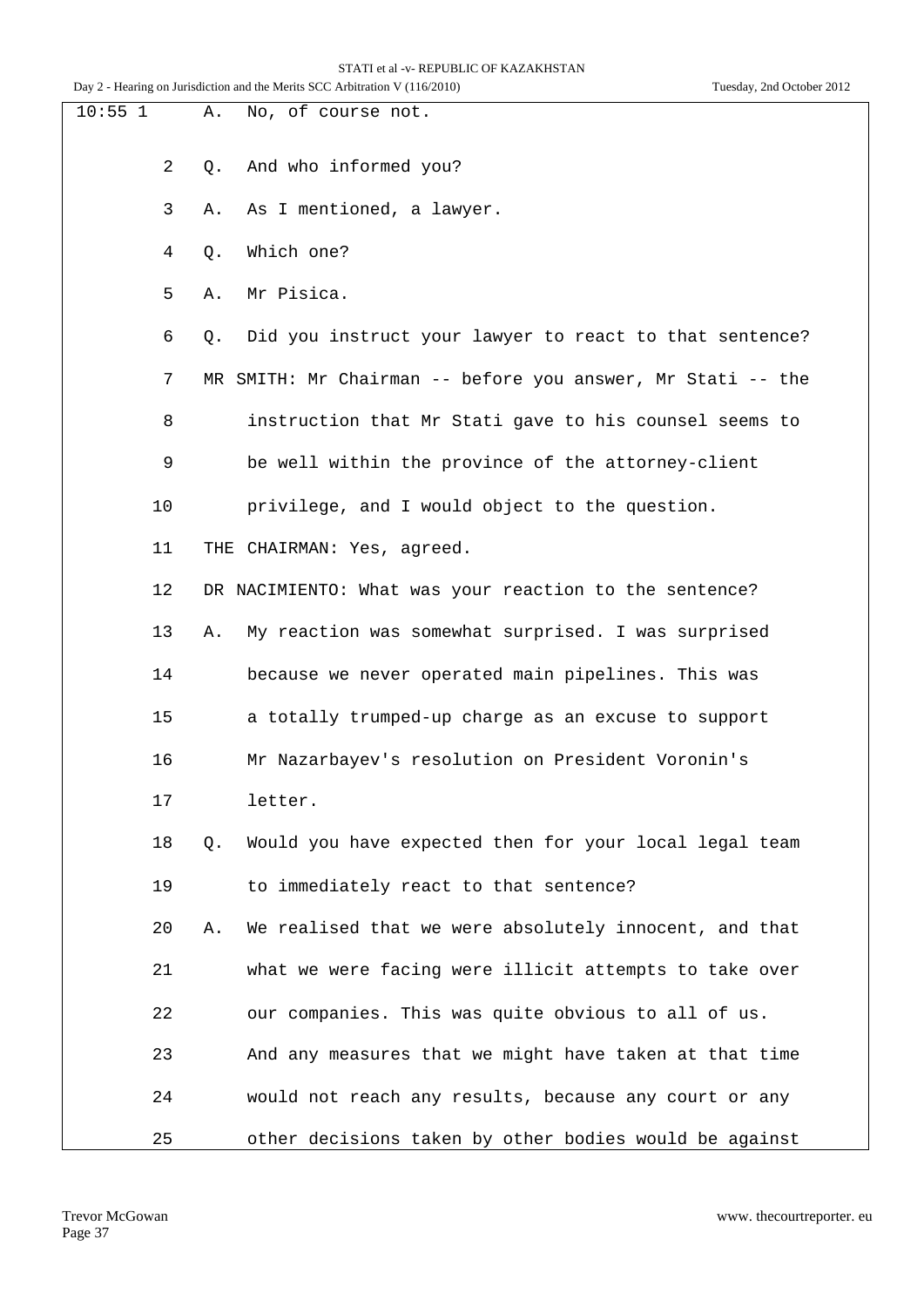| $10:55$ 1      | No, of course not.<br>Α.                                      |
|----------------|---------------------------------------------------------------|
| $\overline{2}$ | And who informed you?<br>Q.                                   |
| 3              | As I mentioned, a lawyer.<br>Α.                               |
| 4              | Which one?<br>Q.                                              |
| 5              | Mr Pisica.<br>Α.                                              |
| 6              | Did you instruct your lawyer to react to that sentence?<br>Q. |
| 7              | MR SMITH: Mr Chairman -- before you answer, Mr Stati -- the   |
| 8              | instruction that Mr Stati gave to his counsel seems to        |
| 9              | be well within the province of the attorney-client            |
| 10             | privilege, and I would object to the question.                |
| 11             | THE CHAIRMAN: Yes, agreed.                                    |
| 12             | DR NACIMIENTO: What was your reaction to the sentence?        |
| 13             | My reaction was somewhat surprised. I was surprised<br>Α.     |
| 14             | because we never operated main pipelines. This was            |
| 15             | a totally trumped-up charge as an excuse to support           |
| 16             | Mr Nazarbayev's resolution on President Voronin's             |
| 17             | letter.                                                       |
| 18             | Would you have expected then for your local legal team<br>Q.  |
| 19             | to immediately react to that sentence?                        |
| 20             | We realised that we were absolutely innocent, and that<br>Α.  |
| 21             | what we were facing were illicit attempts to take over        |
| 22             | our companies. This was quite obvious to all of us.           |
| 23             | And any measures that we might have taken at that time        |
| 24             | would not reach any results, because any court or any         |
| 25             | other decisions taken by other bodies would be against        |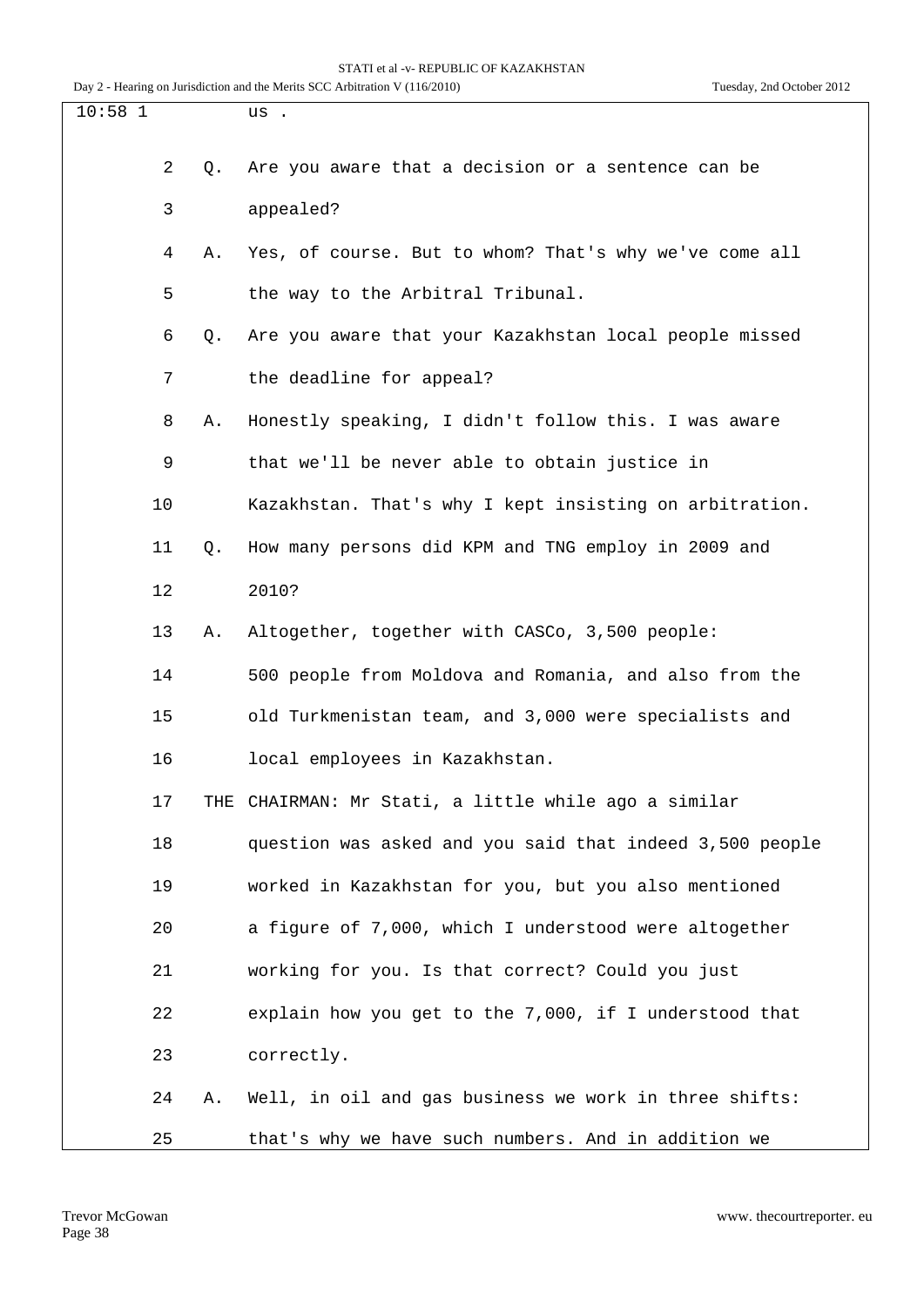| $10:58$ 1 |                |    | us.                                                      |
|-----------|----------------|----|----------------------------------------------------------|
|           | $\overline{2}$ | Q. | Are you aware that a decision or a sentence can be       |
|           | 3              |    | appealed?                                                |
|           | 4              | Α. | Yes, of course. But to whom? That's why we've come all   |
|           | 5              |    | the way to the Arbitral Tribunal.                        |
|           | 6              | Q. | Are you aware that your Kazakhstan local people missed   |
|           | 7              |    | the deadline for appeal?                                 |
|           | 8              | Α. | Honestly speaking, I didn't follow this. I was aware     |
|           | 9              |    | that we'll be never able to obtain justice in            |
|           | 10             |    | Kazakhstan. That's why I kept insisting on arbitration.  |
|           | 11             | Q. | How many persons did KPM and TNG employ in 2009 and      |
|           | 12             |    | 2010?                                                    |
|           | 13             | Α. | Altogether, together with CASCo, 3,500 people:           |
|           | 14             |    | 500 people from Moldova and Romania, and also from the   |
|           | 15             |    | old Turkmenistan team, and 3,000 were specialists and    |
|           | 16             |    | local employees in Kazakhstan.                           |
|           | 17             |    | THE CHAIRMAN: Mr Stati, a little while ago a similar     |
|           | 18             |    | question was asked and you said that indeed 3,500 people |
|           | 19             |    | worked in Kazakhstan for you, but you also mentioned     |
|           | 20             |    | a figure of 7,000, which I understood were altogether    |
|           | 21             |    | working for you. Is that correct? Could you just         |
|           | 22             |    | explain how you get to the 7,000, if I understood that   |
|           | 23             |    | correctly.                                               |
|           | 24             | Α. | Well, in oil and gas business we work in three shifts:   |
|           | 25             |    | that's why we have such numbers. And in addition we      |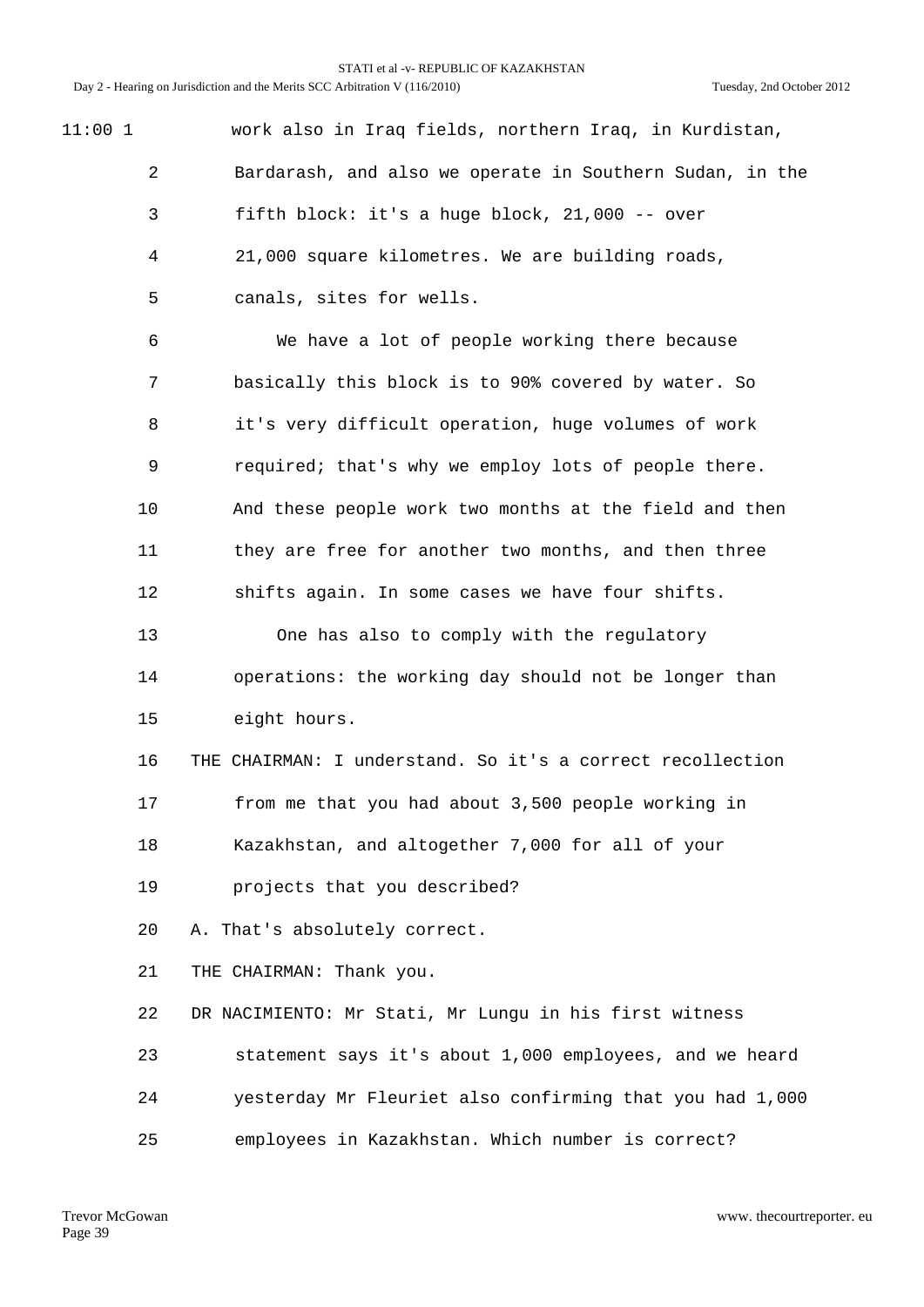## STATI et al -v- REPUBLIC OF KAZAKHSTAN

| Day 2 - Hearing on Jurisdiction and the Merits SCC Arbitration V (116/2010) |  |
|-----------------------------------------------------------------------------|--|
|-----------------------------------------------------------------------------|--|

| 11:001         | work also in Iraq fields, northern Iraq, in Kurdistan,     |
|----------------|------------------------------------------------------------|
| $\overline{2}$ | Bardarash, and also we operate in Southern Sudan, in the   |
| 3              | fifth block: it's a huge block, 21,000 -- over             |
| 4              | 21,000 square kilometres. We are building roads,           |
| 5              | canals, sites for wells.                                   |
| 6              | We have a lot of people working there because              |
| 7              | basically this block is to 90% covered by water. So        |
| 8              | it's very difficult operation, huge volumes of work        |
| 9              | required; that's why we employ lots of people there.       |
| 10             | And these people work two months at the field and then     |
| 11             | they are free for another two months, and then three       |
| 12             | shifts again. In some cases we have four shifts.           |
| 13             | One has also to comply with the regulatory                 |
| 14             | operations: the working day should not be longer than      |
| 15             | eight hours.                                               |
| 16             | THE CHAIRMAN: I understand. So it's a correct recollection |
| 17             | from me that you had about 3,500 people working in         |
| 18             | Kazakhstan, and altogether 7,000 for all of your           |
| 19             | projects that you described?                               |
| 20             | A. That's absolutely correct.                              |
| 21             | THE CHAIRMAN: Thank you.                                   |
| 22             | DR NACIMIENTO: Mr Stati, Mr Lungu in his first witness     |
| 23             | statement says it's about 1,000 employees, and we heard    |
| 24             | yesterday Mr Fleuriet also confirming that you had 1,000   |
| 25             | employees in Kazakhstan. Which number is correct?          |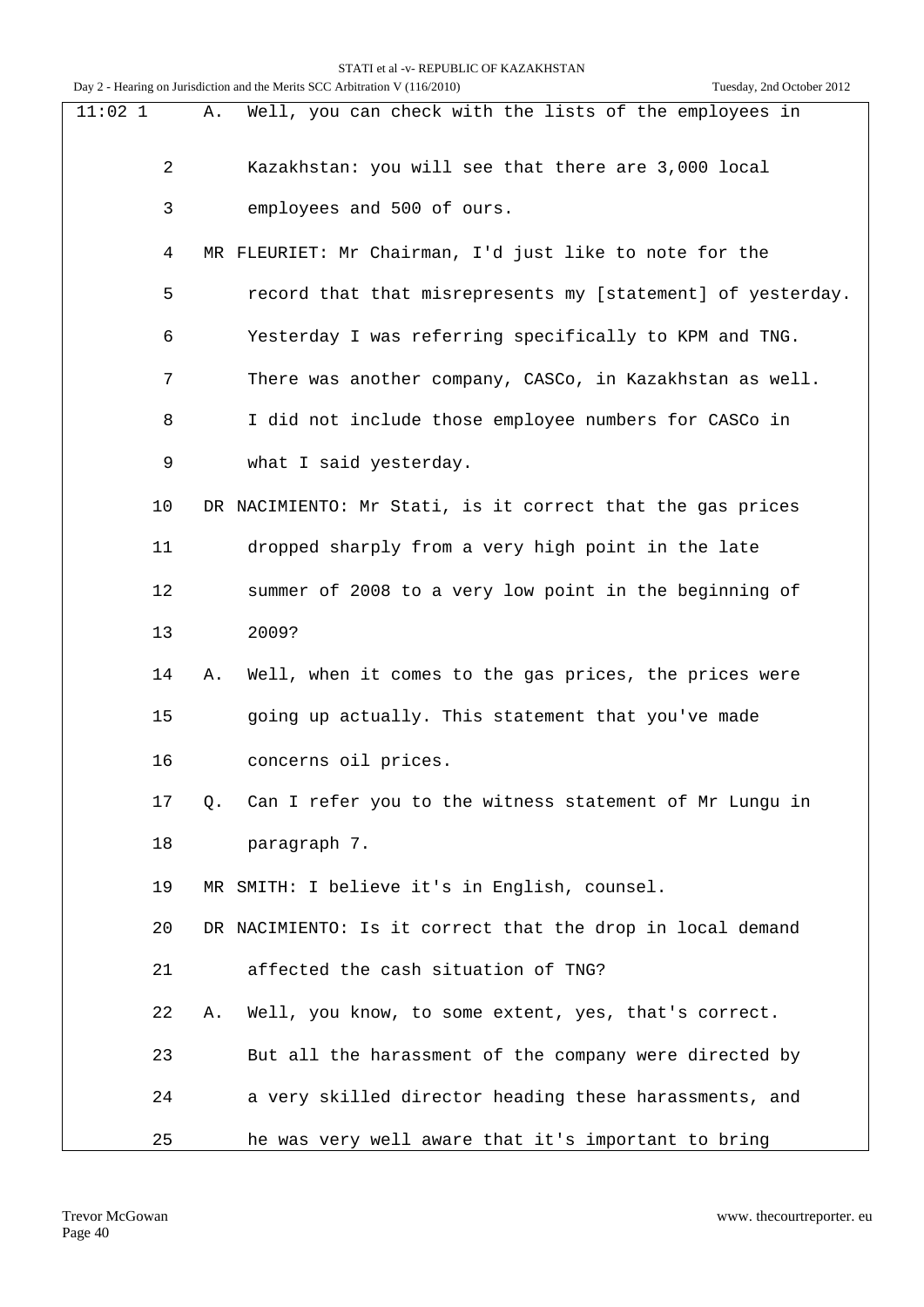| $11:02$ 1      | Α. | Well, you can check with the lists of the employees in      |
|----------------|----|-------------------------------------------------------------|
| $\overline{2}$ |    | Kazakhstan: you will see that there are 3,000 local         |
| 3              |    | employees and 500 of ours.                                  |
| 4              |    | MR FLEURIET: Mr Chairman, I'd just like to note for the     |
| 5              |    | record that that misrepresents my [statement] of yesterday. |
| 6              |    | Yesterday I was referring specifically to KPM and TNG.      |
| 7              |    | There was another company, CASCo, in Kazakhstan as well.    |
| 8              |    | I did not include those employee numbers for CASCo in       |
| 9              |    | what I said yesterday.                                      |
| 10             |    | DR NACIMIENTO: Mr Stati, is it correct that the gas prices  |
| 11             |    | dropped sharply from a very high point in the late          |
| 12             |    | summer of 2008 to a very low point in the beginning of      |
| 13             |    | 2009?                                                       |
| 14             | Α. | Well, when it comes to the gas prices, the prices were      |
| 15             |    | going up actually. This statement that you've made          |
| 16             |    | concerns oil prices.                                        |
| $17$           | Q. | Can I refer you to the witness statement of Mr Lungu in     |
| 18             |    | paragraph 7.                                                |
| 19             |    | MR SMITH: I believe it's in English, counsel.               |
| 20             |    | DR NACIMIENTO: Is it correct that the drop in local demand  |
| 21             |    | affected the cash situation of TNG?                         |
| 22             | Α. | Well, you know, to some extent, yes, that's correct.        |
| 23             |    | But all the harassment of the company were directed by      |
| 24             |    | a very skilled director heading these harassments, and      |
| 25             |    | he was very well aware that it's important to bring         |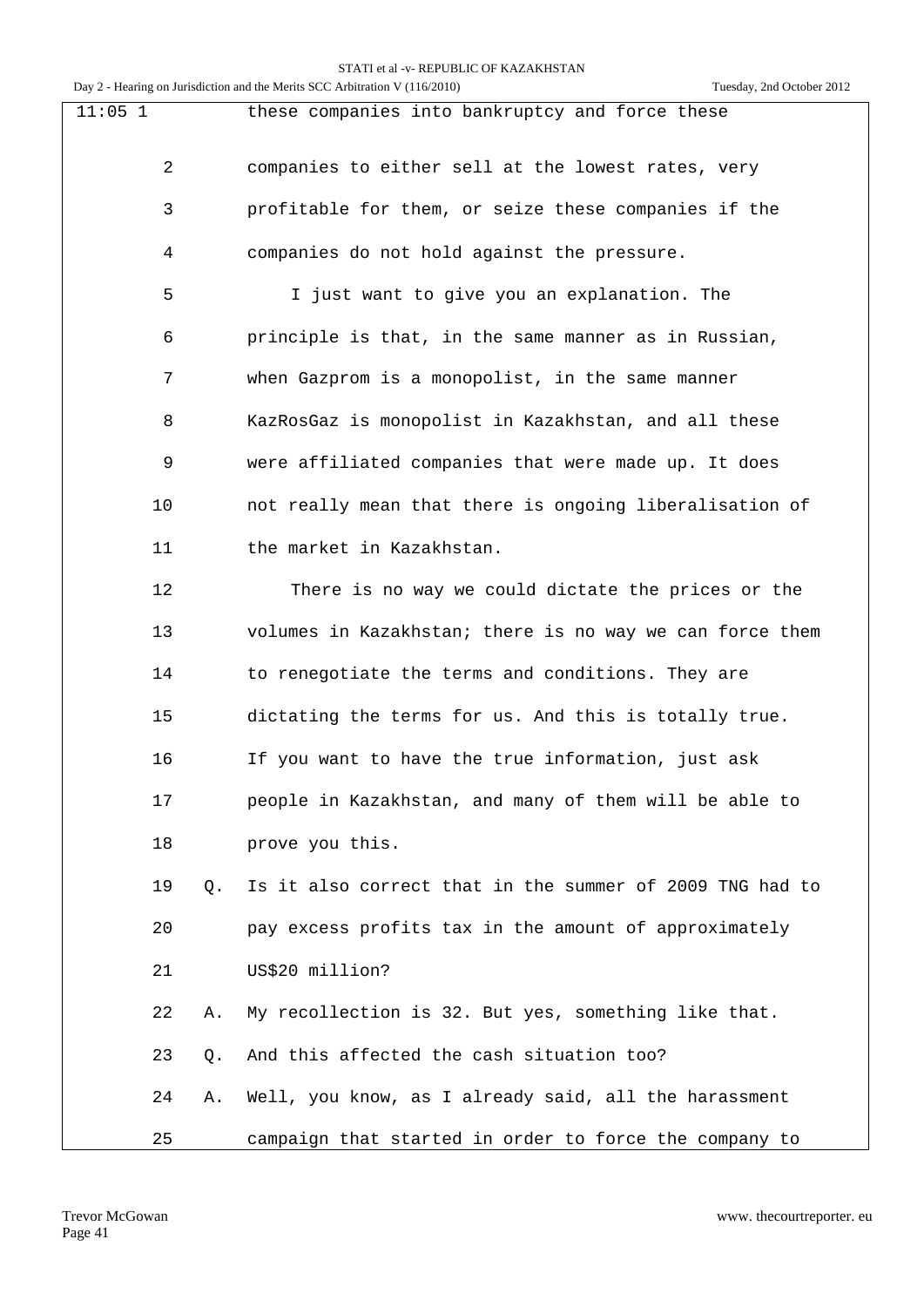| $11:05$ 1 |    |    | these companies into bankruptcy and force these          |
|-----------|----|----|----------------------------------------------------------|
|           | 2  |    | companies to either sell at the lowest rates, very       |
|           | 3  |    | profitable for them, or seize these companies if the     |
|           | 4  |    | companies do not hold against the pressure.              |
|           | 5  |    | I just want to give you an explanation. The              |
|           | 6  |    | principle is that, in the same manner as in Russian,     |
|           | 7  |    | when Gazprom is a monopolist, in the same manner         |
|           | 8  |    | KazRosGaz is monopolist in Kazakhstan, and all these     |
|           | 9  |    | were affiliated companies that were made up. It does     |
|           | 10 |    | not really mean that there is ongoing liberalisation of  |
|           | 11 |    | the market in Kazakhstan.                                |
|           | 12 |    | There is no way we could dictate the prices or the       |
|           | 13 |    | volumes in Kazakhstan; there is no way we can force them |
|           | 14 |    | to renegotiate the terms and conditions. They are        |
|           | 15 |    | dictating the terms for us. And this is totally true.    |
|           | 16 |    | If you want to have the true information, just ask       |
|           | 17 |    | people in Kazakhstan, and many of them will be able to   |
|           | 18 |    | prove you this.                                          |
|           | 19 | Q. | Is it also correct that in the summer of 2009 TNG had to |
|           | 20 |    | pay excess profits tax in the amount of approximately    |
|           | 21 |    | US\$20 million?                                          |
|           | 22 | Α. | My recollection is 32. But yes, something like that.     |
|           | 23 | Q. | And this affected the cash situation too?                |
|           | 24 | Α. | Well, you know, as I already said, all the harassment    |
|           | 25 |    | campaign that started in order to force the company to   |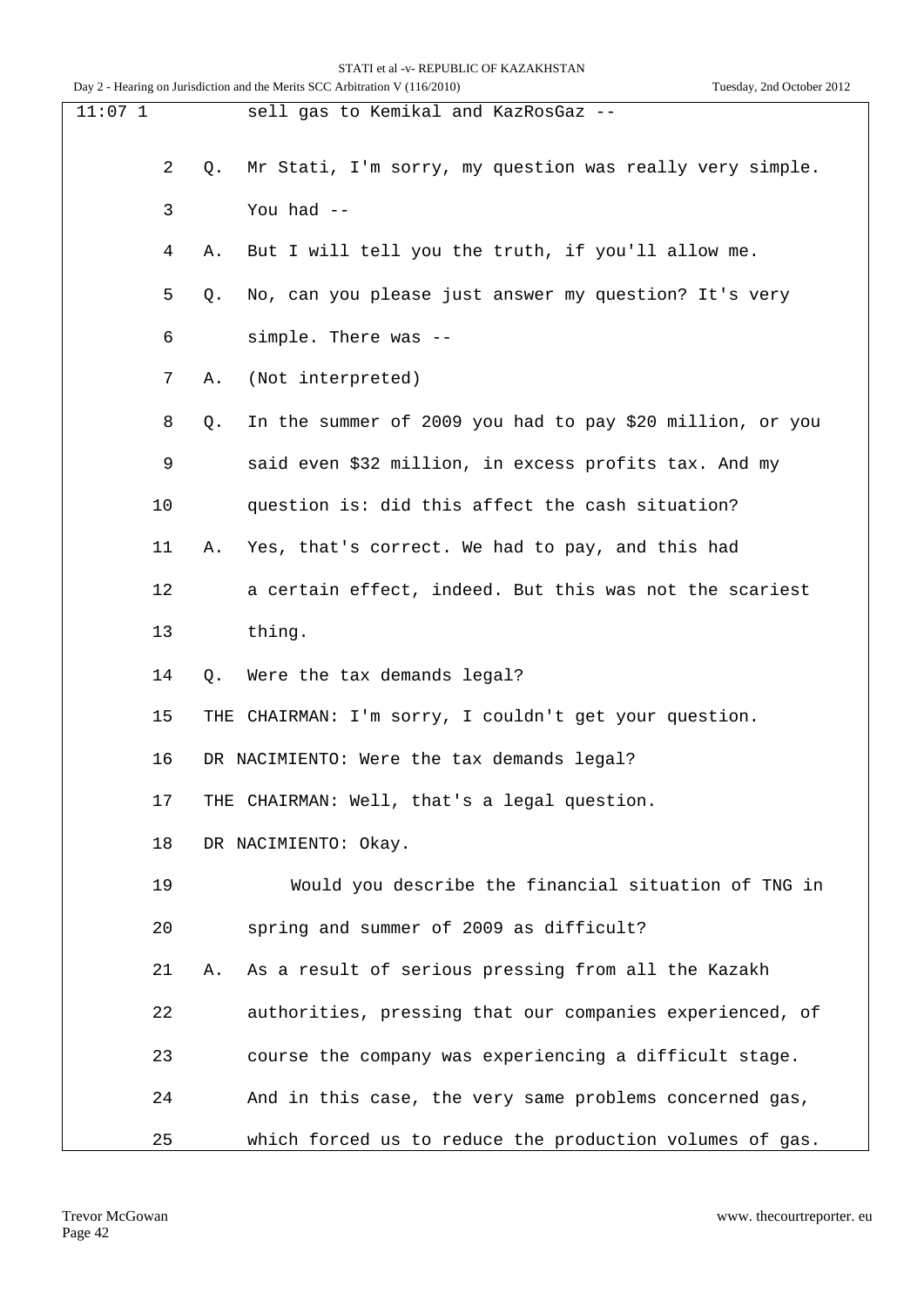| $11:07$ 1 |    | sell gas to Kemikal and KazRosGaz --                      |
|-----------|----|-----------------------------------------------------------|
| 2         | Q. | Mr Stati, I'm sorry, my question was really very simple.  |
| 3         |    | You had --                                                |
| 4         | Α. | But I will tell you the truth, if you'll allow me.        |
| 5         | Q. | No, can you please just answer my question? It's very     |
| 6         |    | simple. There was --                                      |
| 7         | Α. | (Not interpreted)                                         |
| 8         | Q. | In the summer of 2009 you had to pay \$20 million, or you |
| 9         |    | said even \$32 million, in excess profits tax. And my     |
| 10        |    | question is: did this affect the cash situation?          |
| 11        | Α. | Yes, that's correct. We had to pay, and this had          |
| 12        |    | a certain effect, indeed. But this was not the scariest   |
| 13        |    | thing.                                                    |
| 14        | Q. | Were the tax demands legal?                               |
| 15        |    | THE CHAIRMAN: I'm sorry, I couldn't get your question.    |
| 16        |    | DR NACIMIENTO: Were the tax demands legal?                |
| 17        |    | THE CHAIRMAN: Well, that's a legal question.              |
| 18        |    | DR NACIMIENTO: Okay.                                      |
| 19        |    | Would you describe the financial situation of TNG in      |
| 20        |    | spring and summer of 2009 as difficult?                   |
| 21        | Α. | As a result of serious pressing from all the Kazakh       |
| 22        |    | authorities, pressing that our companies experienced, of  |
| 23        |    | course the company was experiencing a difficult stage.    |
| 24        |    | And in this case, the very same problems concerned gas,   |
| 25        |    | which forced us to reduce the production volumes of gas.  |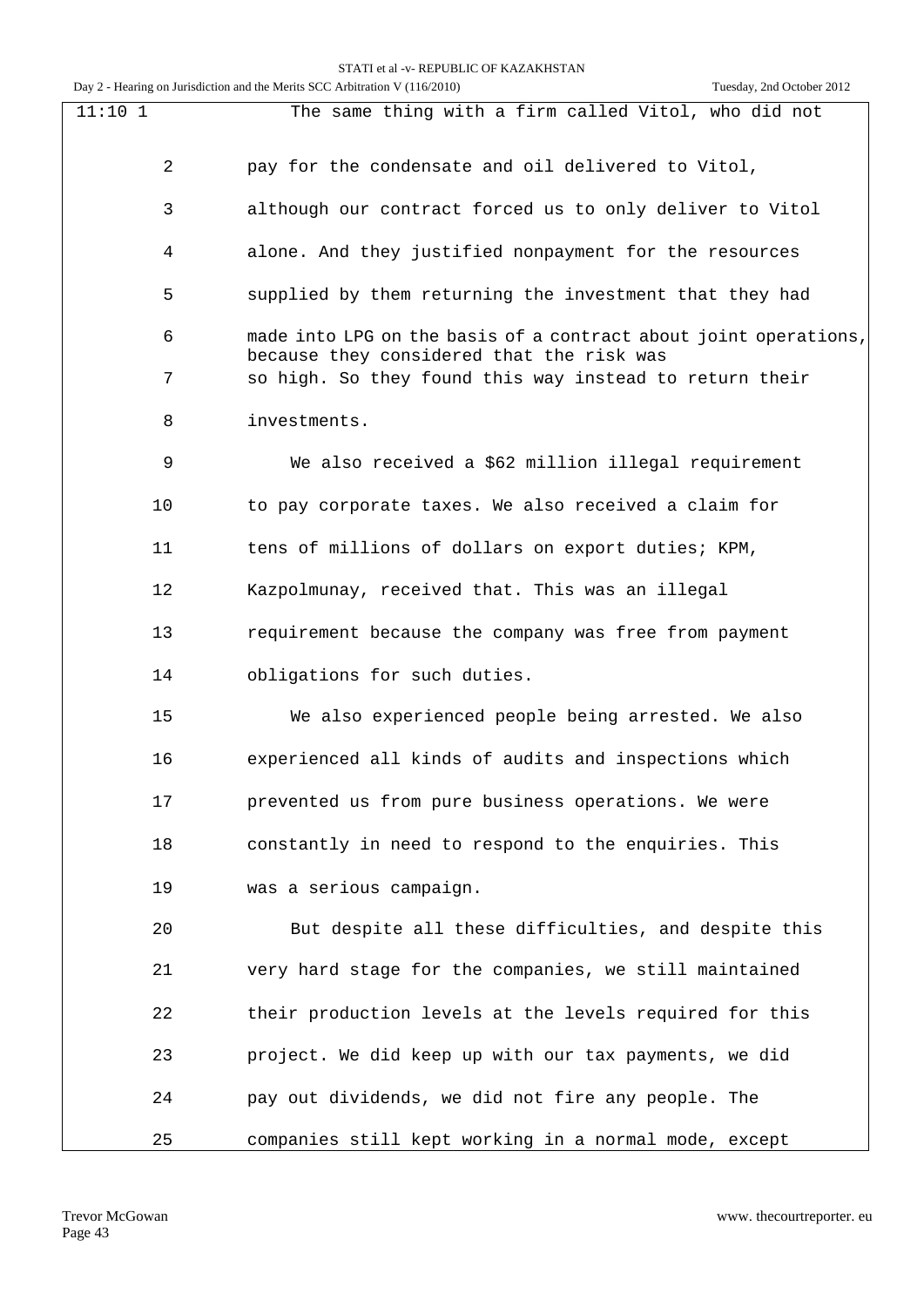| $11:10$ 1      | The same thing with a firm called Vitol, who did not                                                          |
|----------------|---------------------------------------------------------------------------------------------------------------|
| $\overline{2}$ | pay for the condensate and oil delivered to Vitol,                                                            |
| 3              | although our contract forced us to only deliver to Vitol                                                      |
| 4              | alone. And they justified nonpayment for the resources                                                        |
| 5              | supplied by them returning the investment that they had                                                       |
| 6              | made into LPG on the basis of a contract about joint operations,<br>because they considered that the risk was |
| 7              | so high. So they found this way instead to return their                                                       |
| 8              | investments.                                                                                                  |
| 9              | We also received a \$62 million illegal requirement                                                           |
| 10             | to pay corporate taxes. We also received a claim for                                                          |
| 11             | tens of millions of dollars on export duties; KPM,                                                            |
| 12             | Kazpolmunay, received that. This was an illegal                                                               |
| 13             | requirement because the company was free from payment                                                         |
| 14             | obligations for such duties.                                                                                  |
| 15             | We also experienced people being arrested. We also                                                            |
| 16             | experienced all kinds of audits and inspections which                                                         |
| 17             | prevented us from pure business operations. We were                                                           |
| 18             | constantly in need to respond to the enquiries. This                                                          |
| 19             | was a serious campaign.                                                                                       |
| 20             | But despite all these difficulties, and despite this                                                          |
| 21             | very hard stage for the companies, we still maintained                                                        |
| 22             | their production levels at the levels required for this                                                       |
| 23             | project. We did keep up with our tax payments, we did                                                         |
| 24             | pay out dividends, we did not fire any people. The                                                            |
| 25             | companies still kept working in a normal mode, except                                                         |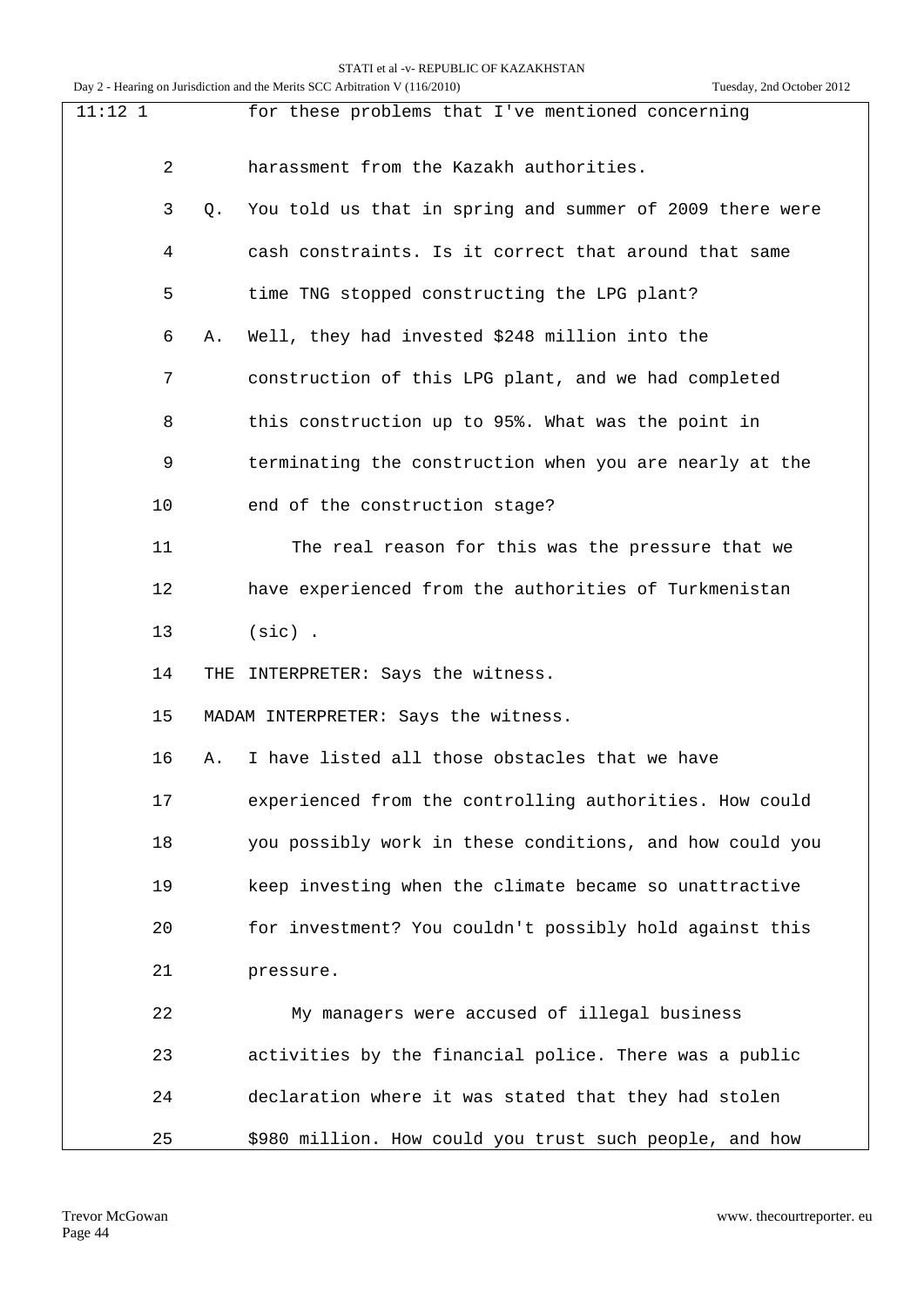| $11:12$ 1 |    | for these problems that I've mentioned concerning        |
|-----------|----|----------------------------------------------------------|
| 2         |    | harassment from the Kazakh authorities.                  |
| 3         | Q. | You told us that in spring and summer of 2009 there were |
| 4         |    | cash constraints. Is it correct that around that same    |
| 5         |    | time TNG stopped constructing the LPG plant?             |
| 6         | Α. | Well, they had invested \$248 million into the           |
| 7         |    | construction of this LPG plant, and we had completed     |
| 8         |    | this construction up to 95%. What was the point in       |
| 9         |    | terminating the construction when you are nearly at the  |
| 10        |    | end of the construction stage?                           |
| 11        |    | The real reason for this was the pressure that we        |
| 12        |    | have experienced from the authorities of Turkmenistan    |
| 13        |    | $(sic)$ .                                                |
| 14        |    | THE INTERPRETER: Says the witness.                       |
| 15        |    | MADAM INTERPRETER: Says the witness.                     |
| 16        | Α. | I have listed all those obstacles that we have           |
| 17        |    | experienced from the controlling authorities. How could  |
| 18        |    | you possibly work in these conditions, and how could you |
| 19        |    | keep investing when the climate became so unattractive   |
| 20        |    | for investment? You couldn't possibly hold against this  |
| 21        |    | pressure.                                                |
| 22        |    | My managers were accused of illegal business             |
| 23        |    | activities by the financial police. There was a public   |
| 24        |    | declaration where it was stated that they had stolen     |
| 25        |    | \$980 million. How could you trust such people, and how  |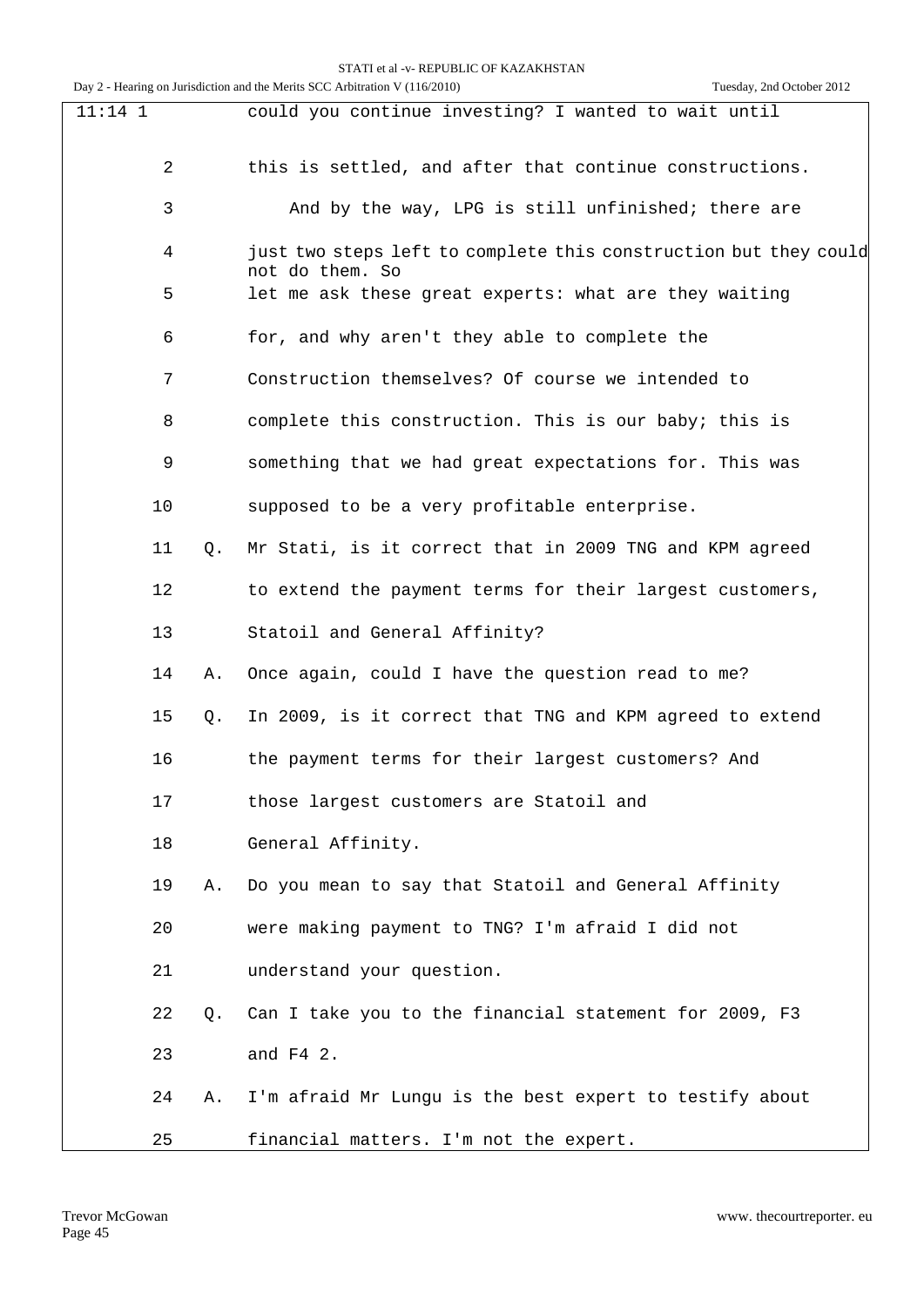| $11:14$ 1 |    | could you continue investing? I wanted to wait until                                |
|-----------|----|-------------------------------------------------------------------------------------|
| 2         |    | this is settled, and after that continue constructions.                             |
| 3         |    | And by the way, LPG is still unfinished; there are                                  |
| 4         |    | just two steps left to complete this construction but they could<br>not do them. So |
| 5         |    | let me ask these great experts: what are they waiting                               |
| 6         |    | for, and why aren't they able to complete the                                       |
| 7         |    | Construction themselves? Of course we intended to                                   |
| 8         |    | complete this construction. This is our baby; this is                               |
| 9         |    | something that we had great expectations for. This was                              |
| 10        |    | supposed to be a very profitable enterprise.                                        |
| 11        | Q. | Mr Stati, is it correct that in 2009 TNG and KPM agreed                             |
| 12        |    | to extend the payment terms for their largest customers,                            |
| 13        |    | Statoil and General Affinity?                                                       |
| 14        | Α. | Once again, could I have the question read to me?                                   |
| 15        | Q. | In 2009, is it correct that TNG and KPM agreed to extend                            |
| 16        |    | the payment terms for their largest customers? And                                  |
| 17        |    | those largest customers are Statoil and                                             |
| 18        |    | General Affinity.                                                                   |
| 19        | Α. | Do you mean to say that Statoil and General Affinity                                |
| 20        |    | were making payment to TNG? I'm afraid I did not                                    |
| 21        |    | understand your question.                                                           |
| 22        | Q. | Can I take you to the financial statement for 2009, F3                              |
| 23        |    | and F4 2.                                                                           |
| 24        | Α. | I'm afraid Mr Lungu is the best expert to testify about                             |
| 25        |    | financial matters. I'm not the expert.                                              |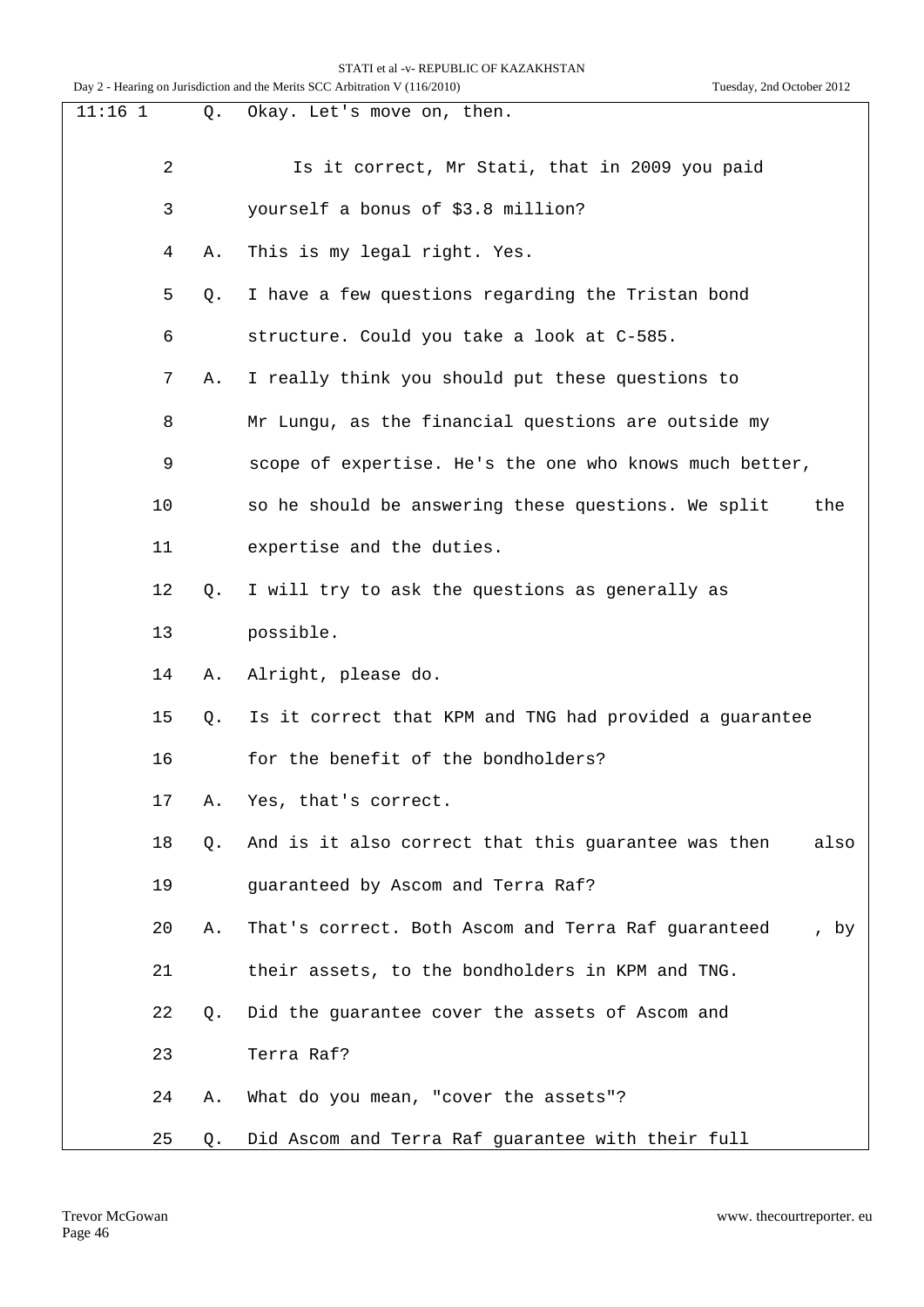| $11:16$ 1 |                 | Q.    | Okay. Let's move on, then.                                  |
|-----------|-----------------|-------|-------------------------------------------------------------|
|           | $\overline{a}$  |       | Is it correct, Mr Stati, that in 2009 you paid              |
|           | 3               |       | yourself a bonus of \$3.8 million?                          |
|           | 4               | Α.    | This is my legal right. Yes.                                |
|           | 5               | Q.    | I have a few questions regarding the Tristan bond           |
|           | 6               |       | structure. Could you take a look at C-585.                  |
|           | 7               | Α.    | I really think you should put these questions to            |
|           | 8               |       | Mr Lungu, as the financial questions are outside my         |
|           | $\mathsf 9$     |       | scope of expertise. He's the one who knows much better,     |
|           | 10              |       | so he should be answering these questions. We split<br>the  |
|           | 11              |       | expertise and the duties.                                   |
|           | 12              | Q.    | I will try to ask the questions as generally as             |
|           | 13              |       | possible.                                                   |
|           | 14              | Α.    | Alright, please do.                                         |
|           | 15              | Q.    | Is it correct that KPM and TNG had provided a guarantee     |
|           | 16              |       | for the benefit of the bondholders?                         |
|           | 17 <sub>2</sub> | Α.    | Yes, that's correct.                                        |
|           | 18              | $Q$ . | And is it also correct that this guarantee was then<br>also |
|           | 19              |       | guaranteed by Ascom and Terra Raf?                          |
|           | 20              | Α.    | That's correct. Both Ascom and Terra Raf guaranteed<br>, by |
|           | 21              |       | their assets, to the bondholders in KPM and TNG.            |
|           | 22              | Q.    | Did the guarantee cover the assets of Ascom and             |
|           | 23              |       | Terra Raf?                                                  |
|           | 24              | Α.    | What do you mean, "cover the assets"?                       |
|           | 25              | Q.    | Did Ascom and Terra Raf guarantee with their full           |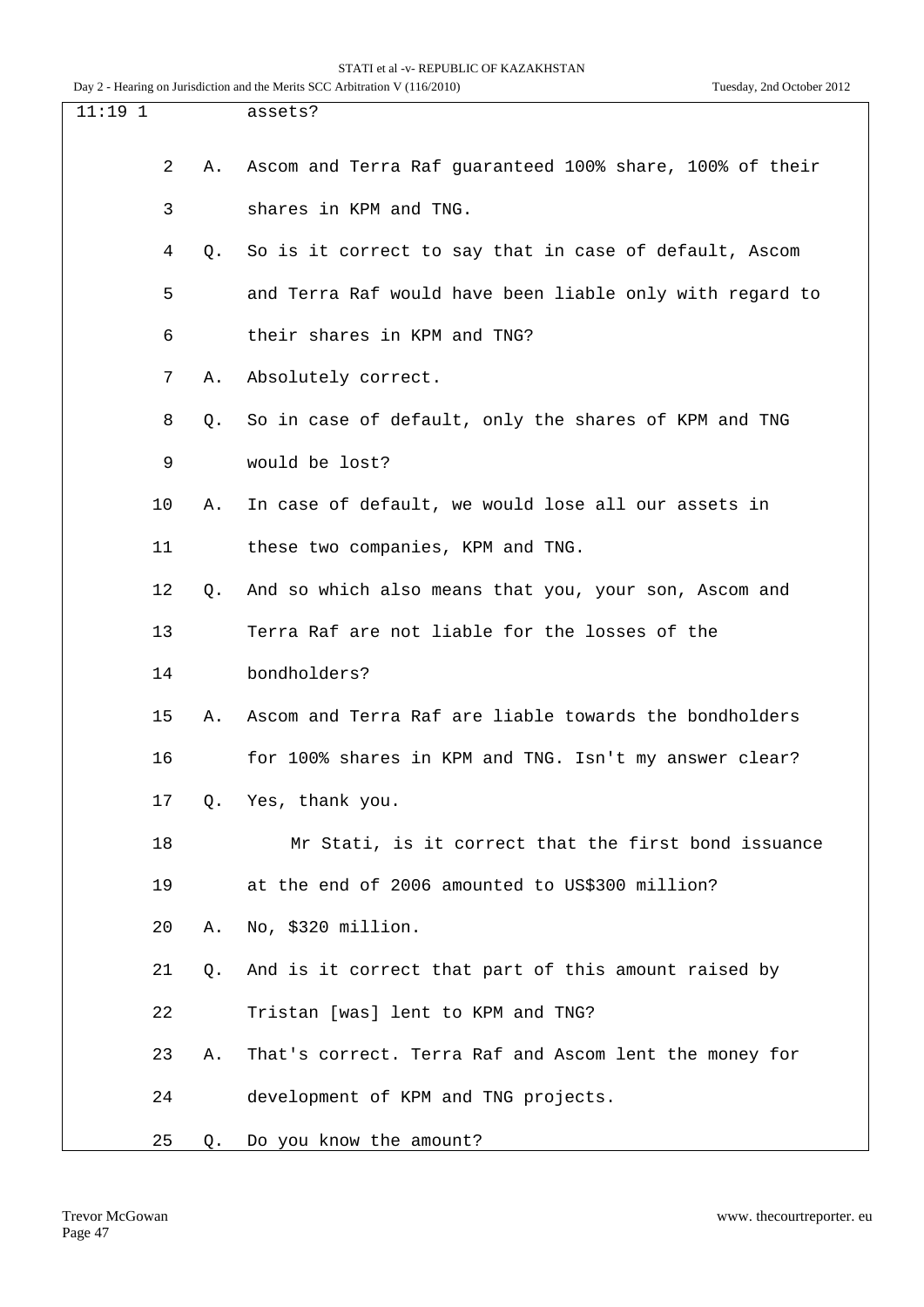| $11:19$ 1 |    | assets?                                                  |
|-----------|----|----------------------------------------------------------|
| 2         | Α. | Ascom and Terra Raf guaranteed 100% share, 100% of their |
| 3         |    | shares in KPM and TNG.                                   |
| 4         | Q. | So is it correct to say that in case of default, Ascom   |
| 5         |    | and Terra Raf would have been liable only with regard to |
| 6         |    | their shares in KPM and TNG?                             |
| 7         | Α. | Absolutely correct.                                      |
| 8         | Q. | So in case of default, only the shares of KPM and TNG    |
| 9         |    | would be lost?                                           |
| 10        | Α. | In case of default, we would lose all our assets in      |
| 11        |    | these two companies, KPM and TNG.                        |
| 12        | Q. | And so which also means that you, your son, Ascom and    |
| 13        |    | Terra Raf are not liable for the losses of the           |
| 14        |    | bondholders?                                             |
| 15        | Α. | Ascom and Terra Raf are liable towards the bondholders   |
| 16        |    | for 100% shares in KPM and TNG. Isn't my answer clear?   |
| 17        | Q. | Yes, thank you.                                          |
| 18        |    | Mr Stati, is it correct that the first bond issuance     |
| 19        |    | at the end of 2006 amounted to US\$300 million?          |
| 20        | Α. | No, \$320 million.                                       |
| 21        | Q. | And is it correct that part of this amount raised by     |
| 22        |    | Tristan [was] lent to KPM and TNG?                       |
| 23        | Α. | That's correct. Terra Raf and Ascom lent the money for   |
| 24        |    | development of KPM and TNG projects.                     |
| 25        | Q. | Do you know the amount?                                  |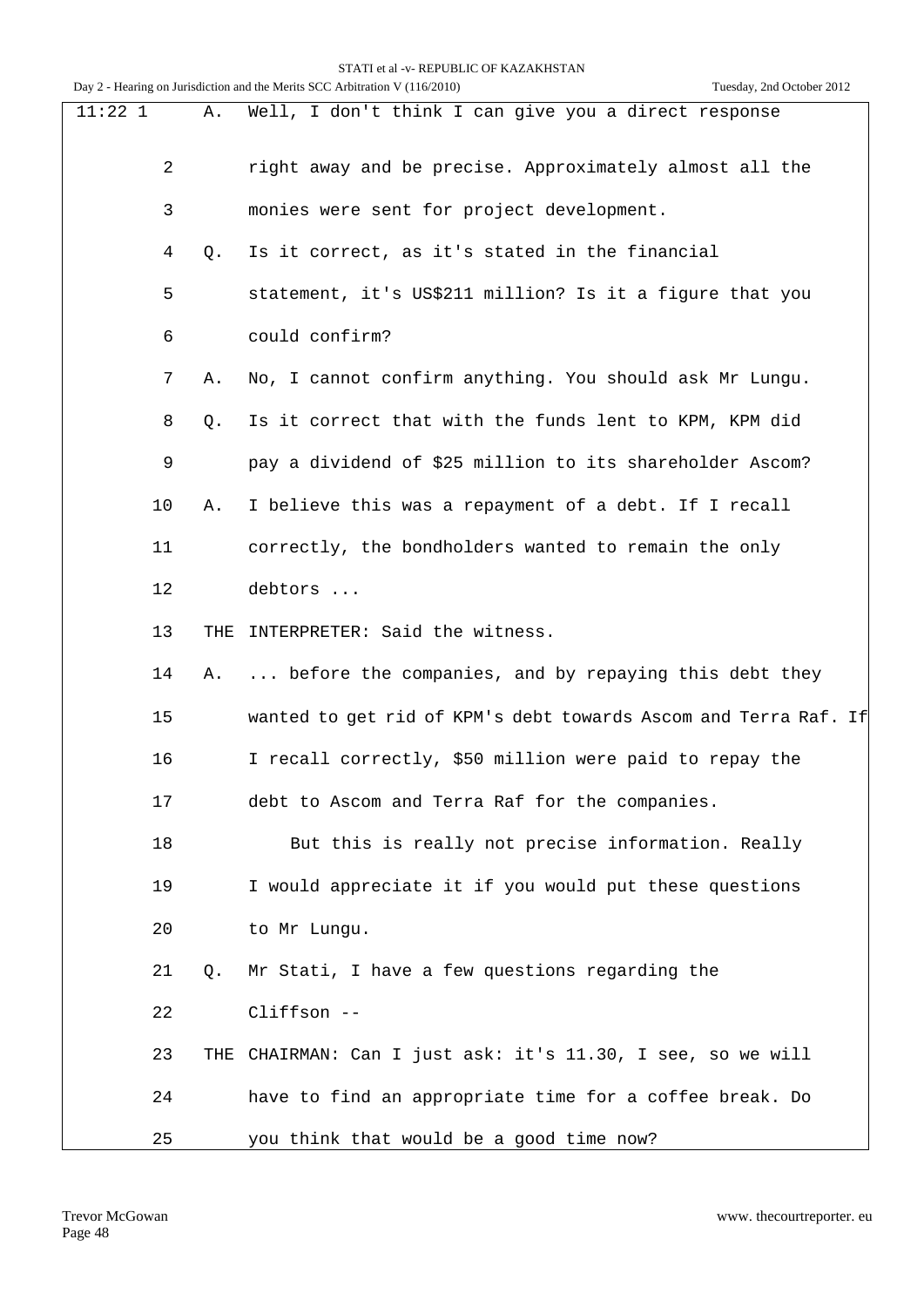| $11:22$ 1 |    | Α. | Well, I don't think I can give you a direct response            |
|-----------|----|----|-----------------------------------------------------------------|
|           | 2  |    | right away and be precise. Approximately almost all the         |
|           | 3  |    | monies were sent for project development.                       |
|           | 4  | Q. | Is it correct, as it's stated in the financial                  |
|           | 5  |    | statement, it's US\$211 million? Is it a figure that you        |
|           | 6  |    | could confirm?                                                  |
|           | 7  | Α. | No, I cannot confirm anything. You should ask Mr Lungu.         |
|           | 8  | Q. | Is it correct that with the funds lent to KPM, KPM did          |
|           | 9  |    | pay a dividend of \$25 million to its shareholder Ascom?        |
|           | 10 | Α. | I believe this was a repayment of a debt. If I recall           |
|           | 11 |    | correctly, the bondholders wanted to remain the only            |
|           | 12 |    | debtors                                                         |
|           | 13 |    | THE INTERPRETER: Said the witness.                              |
|           | 14 | А. | before the companies, and by repaying this debt they            |
|           | 15 |    | wanted to get rid of KPM's debt towards Ascom and Terra Raf. If |
|           | 16 |    | I recall correctly, \$50 million were paid to repay the         |
|           | 17 |    | debt to Ascom and Terra Raf for the companies.                  |
|           | 18 |    | But this is really not precise information. Really              |
|           | 19 |    | I would appreciate it if you would put these questions          |
|           | 20 |    | to Mr Lungu.                                                    |
|           | 21 | Q. | Mr Stati, I have a few questions regarding the                  |
|           | 22 |    | Cliffson --                                                     |
|           | 23 |    | THE CHAIRMAN: Can I just ask: it's 11.30, I see, so we will     |
|           | 24 |    | have to find an appropriate time for a coffee break. Do         |
|           | 25 |    | you think that would be a good time now?                        |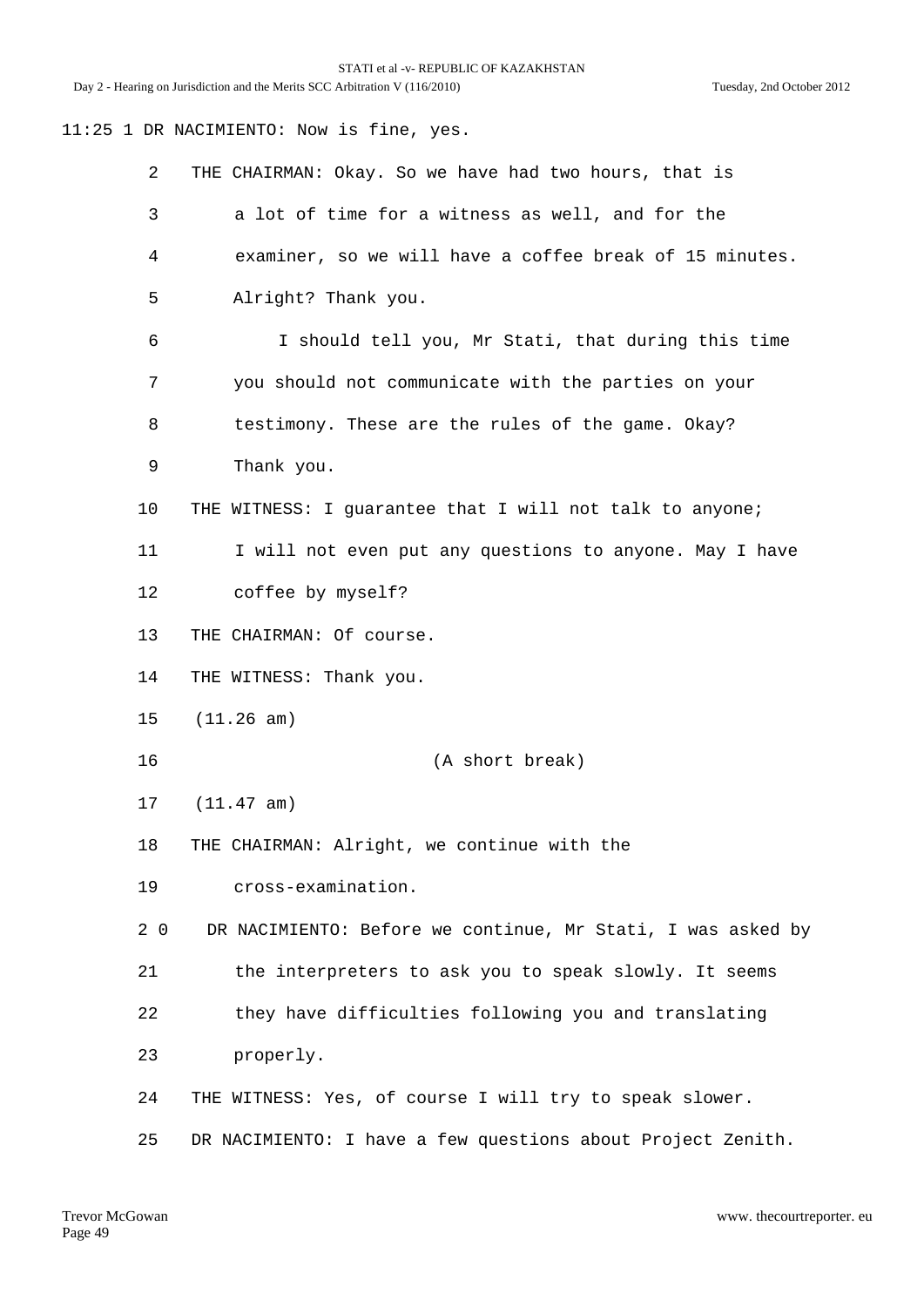|  |  | 11:25 1 DR NACIMIENTO: Now is fine, yes. |  |  |  |  |  |
|--|--|------------------------------------------|--|--|--|--|--|
|--|--|------------------------------------------|--|--|--|--|--|

| $\overline{2}$ | THE CHAIRMAN: Okay. So we have had two hours, that is       |
|----------------|-------------------------------------------------------------|
| 3              | a lot of time for a witness as well, and for the            |
| 4              | examiner, so we will have a coffee break of 15 minutes.     |
| 5              | Alright? Thank you.                                         |
| 6              | I should tell you, Mr Stati, that during this time          |
| 7              | you should not communicate with the parties on your         |
| 8              | testimony. These are the rules of the game. Okay?           |
| 9              | Thank you.                                                  |
| 10             | THE WITNESS: I guarantee that I will not talk to anyone;    |
| 11             | I will not even put any questions to anyone. May I have     |
| 12             | coffee by myself?                                           |
| 13             | THE CHAIRMAN: Of course.                                    |
| 14             | THE WITNESS: Thank you.                                     |
| 15             | (11.26 am)                                                  |
| 16             | (A short break)                                             |
| 17             | (11.47 am)                                                  |
| 18             | THE CHAIRMAN: Alright, we continue with the                 |
| 19             | cross-examination.                                          |
| $2\quad0$      | DR NACIMIENTO: Before we continue, Mr Stati, I was asked by |
| 21             | the interpreters to ask you to speak slowly. It seems       |
| 22             | they have difficulties following you and translating        |
| 23             | properly.                                                   |
| 24             | THE WITNESS: Yes, of course I will try to speak slower.     |
| 25             | DR NACIMIENTO: I have a few questions about Project Zenith. |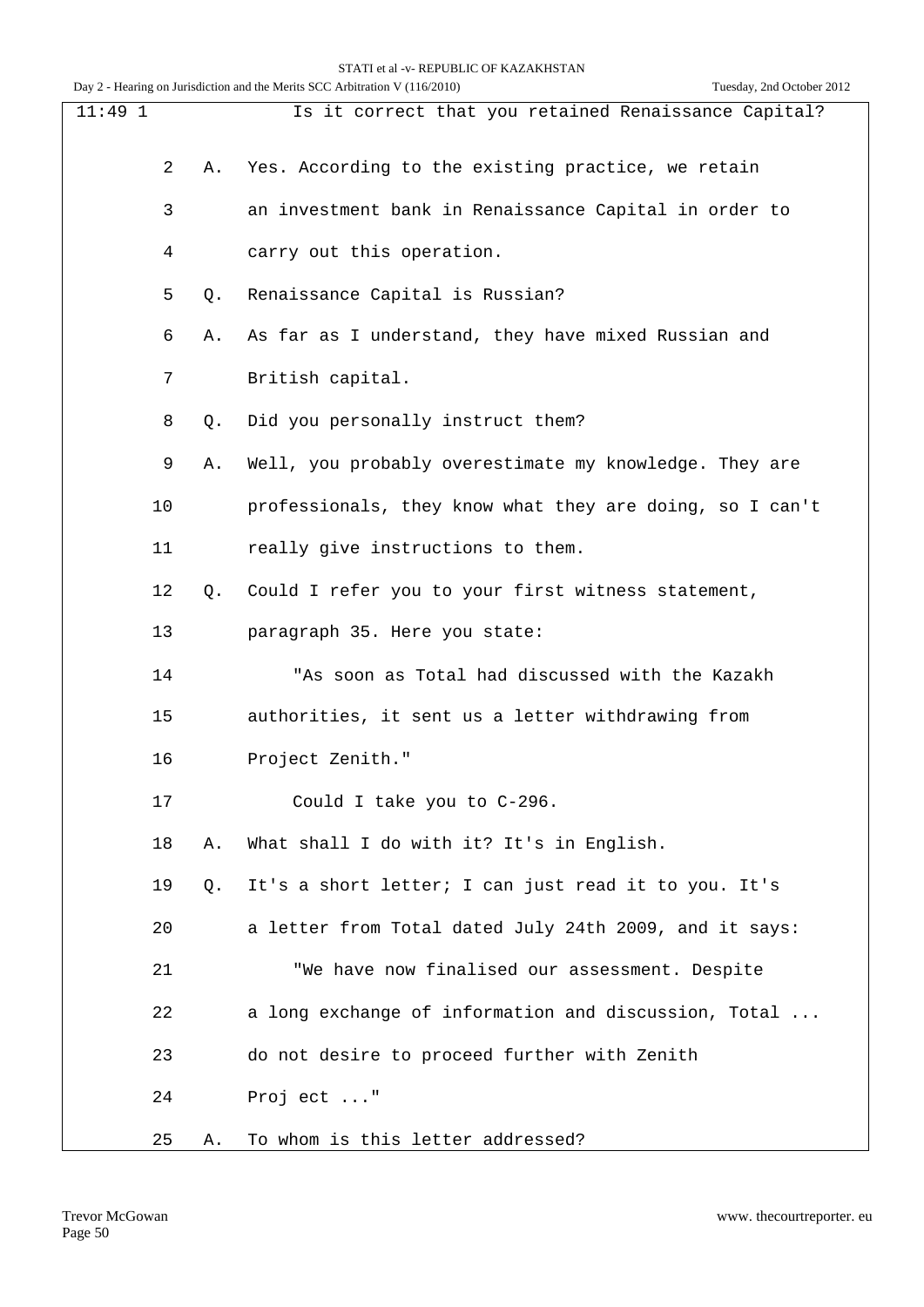| $11:49$ 1 |                      | Is it correct that you retained Renaissance Capital?     |
|-----------|----------------------|----------------------------------------------------------|
|           | $\overline{2}$<br>Α. | Yes. According to the existing practice, we retain       |
|           | 3                    | an investment bank in Renaissance Capital in order to    |
|           | 4                    | carry out this operation.                                |
|           | 5<br>Q.              | Renaissance Capital is Russian?                          |
|           | 6<br>Α.              | As far as I understand, they have mixed Russian and      |
|           | 7                    | British capital.                                         |
|           | 8<br>Q.              | Did you personally instruct them?                        |
|           | 9<br>Α.              | Well, you probably overestimate my knowledge. They are   |
| 10        |                      | professionals, they know what they are doing, so I can't |
| 11        |                      | really give instructions to them.                        |
| 12        | Q.                   | Could I refer you to your first witness statement,       |
| 13        |                      | paragraph 35. Here you state:                            |
| 14        |                      | "As soon as Total had discussed with the Kazakh          |
| 15        |                      | authorities, it sent us a letter withdrawing from        |
| 16        |                      | Project Zenith."                                         |
| 17        |                      | Could I take you to C-296.                               |
| 18        | Α.                   | What shall I do with it? It's in English.                |
| 19        | Q.                   | It's a short letter; I can just read it to you. It's     |
| 20        |                      | a letter from Total dated July 24th 2009, and it says:   |
| 21        |                      | "We have now finalised our assessment. Despite           |
| 22        |                      | a long exchange of information and discussion, Total     |
| 23        |                      | do not desire to proceed further with Zenith             |
| 24        |                      | Proj ect "                                               |
| 25        | Α.                   | To whom is this letter addressed?                        |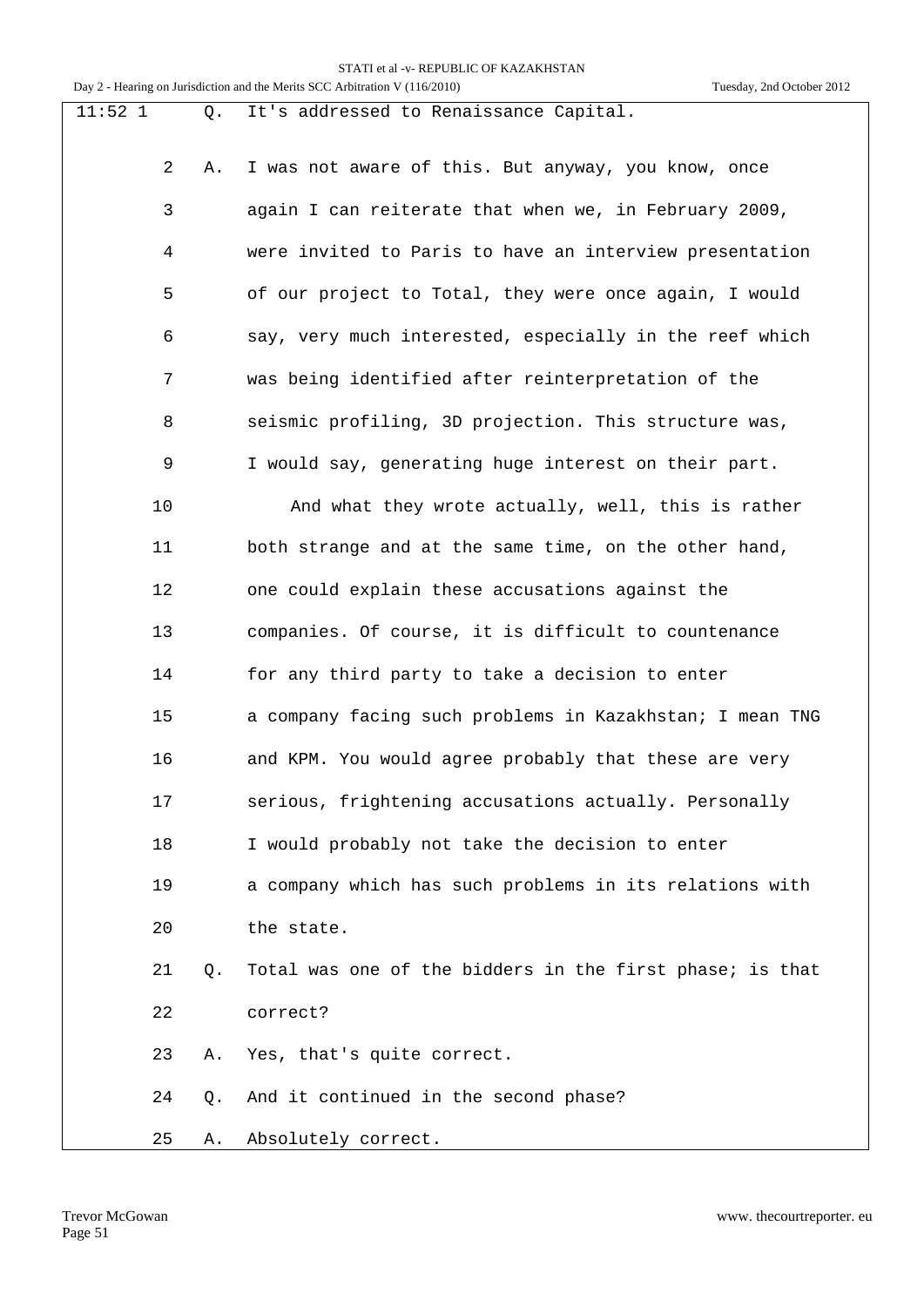| $11:52$ 1 |              | Q. | It's addressed to Renaissance Capital.                   |
|-----------|--------------|----|----------------------------------------------------------|
|           | 2            | Α. | I was not aware of this. But anyway, you know, once      |
|           | $\mathsf{3}$ |    | again I can reiterate that when we, in February 2009,    |
|           | 4            |    | were invited to Paris to have an interview presentation  |
|           | 5            |    | of our project to Total, they were once again, I would   |
|           | 6            |    | say, very much interested, especially in the reef which  |
|           | 7            |    | was being identified after reinterpretation of the       |
|           | 8            |    | seismic profiling, 3D projection. This structure was,    |
|           | 9            |    | I would say, generating huge interest on their part.     |
|           | 10           |    | And what they wrote actually, well, this is rather       |
|           | 11           |    | both strange and at the same time, on the other hand,    |
|           | 12           |    | one could explain these accusations against the          |
|           | 13           |    | companies. Of course, it is difficult to countenance     |
|           | 14           |    | for any third party to take a decision to enter          |
|           | 15           |    | a company facing such problems in Kazakhstan; I mean TNG |
|           | 16           |    | and KPM. You would agree probably that these are very    |
|           | 17           |    | serious, frightening accusations actually. Personally    |
|           | 18           |    | I would probably not take the decision to enter          |
|           | 19           |    | a company which has such problems in its relations with  |
|           | 20           |    | the state.                                               |
|           | 21           | Q. | Total was one of the bidders in the first phase; is that |
|           | 22           |    | correct?                                                 |
|           | 23           | Α. | Yes, that's quite correct.                               |
|           | 24           | Q. | And it continued in the second phase?                    |
|           | 25           | Α. | Absolutely correct.                                      |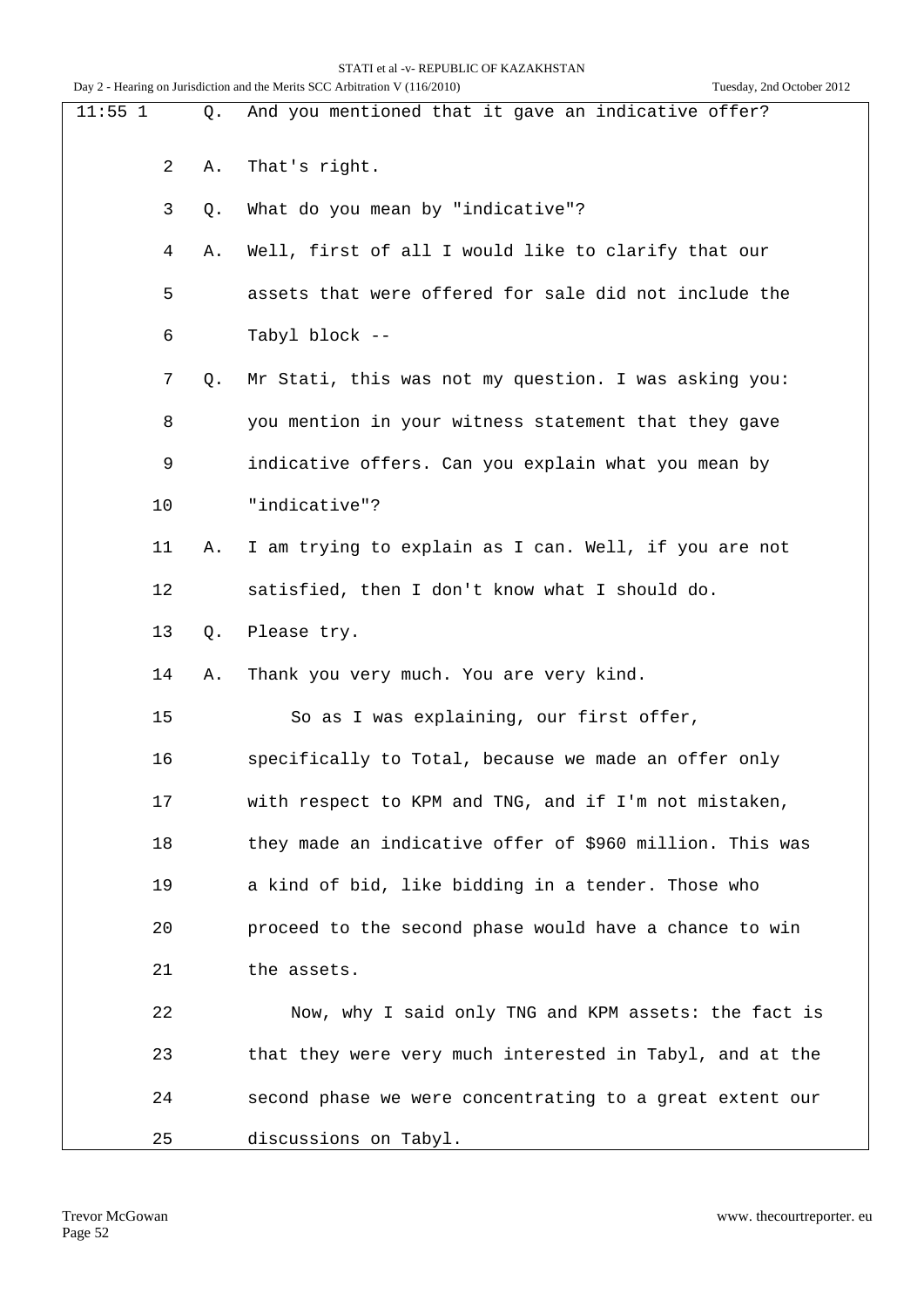| $11:55$ 1 | Q. | And you mentioned that it gave an indicative offer?      |
|-----------|----|----------------------------------------------------------|
| 2         | Α. | That's right.                                            |
| 3         | Q. | What do you mean by "indicative"?                        |
| 4         | Α. | Well, first of all I would like to clarify that our      |
| 5         |    | assets that were offered for sale did not include the    |
| 6         |    | Tabyl block --                                           |
| 7         | Q. | Mr Stati, this was not my question. I was asking you:    |
| 8         |    | you mention in your witness statement that they gave     |
| 9         |    | indicative offers. Can you explain what you mean by      |
| 10        |    | "indicative"?                                            |
| 11        | Α. | I am trying to explain as I can. Well, if you are not    |
| 12        |    | satisfied, then I don't know what I should do.           |
| 13        | Q. | Please try.                                              |
| 14        | Α. | Thank you very much. You are very kind.                  |
| 15        |    | So as I was explaining, our first offer,                 |
| 16        |    | specifically to Total, because we made an offer only     |
| 17        |    | with respect to KPM and TNG, and if I'm not mistaken,    |
| 18        |    | they made an indicative offer of \$960 million. This was |
| 19        |    | a kind of bid, like bidding in a tender. Those who       |
| 20        |    | proceed to the second phase would have a chance to win   |
| 21        |    | the assets.                                              |
| 22        |    | Now, why I said only TNG and KPM assets: the fact is     |
| 23        |    | that they were very much interested in Tabyl, and at the |
| 24        |    | second phase we were concentrating to a great extent our |
| 25        |    | discussions on Tabyl.                                    |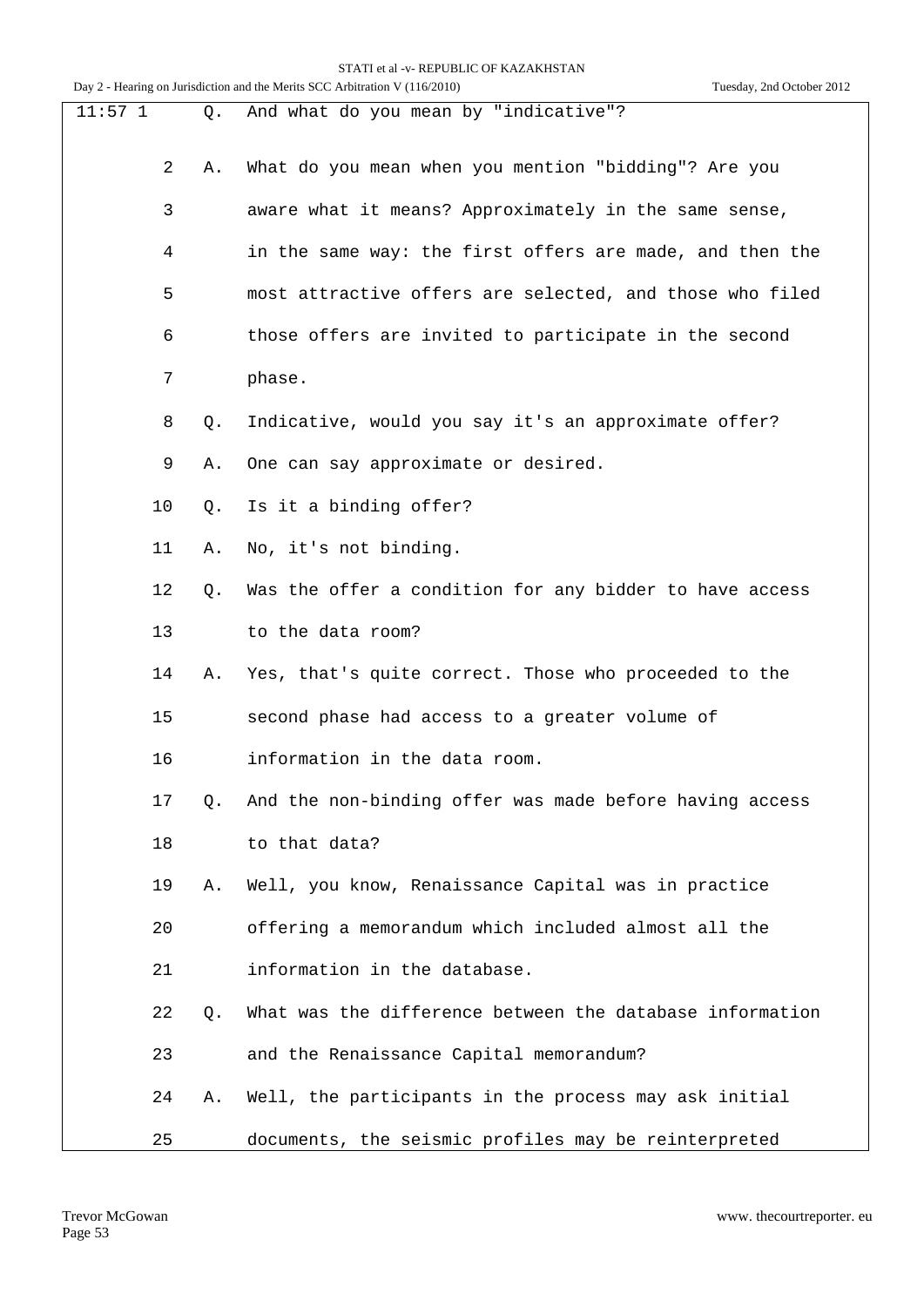| $11:57$ 1 |    | Q. | And what do you mean by "indicative"?                    |
|-----------|----|----|----------------------------------------------------------|
|           | 2  | Α. | What do you mean when you mention "bidding"? Are you     |
|           | 3  |    | aware what it means? Approximately in the same sense,    |
|           | 4  |    | in the same way: the first offers are made, and then the |
|           | 5  |    | most attractive offers are selected, and those who filed |
|           | 6  |    | those offers are invited to participate in the second    |
|           | 7  |    | phase.                                                   |
|           | 8  | Q. | Indicative, would you say it's an approximate offer?     |
|           | 9  | Α. | One can say approximate or desired.                      |
|           | 10 | Q. | Is it a binding offer?                                   |
|           | 11 | Α. | No, it's not binding.                                    |
|           | 12 | Q. | Was the offer a condition for any bidder to have access  |
|           | 13 |    | to the data room?                                        |
|           | 14 | Α. | Yes, that's quite correct. Those who proceeded to the    |
|           | 15 |    | second phase had access to a greater volume of           |
|           | 16 |    | information in the data room.                            |
|           | 17 |    | And the non-binding offer was made before having access  |
|           | 18 |    | to that data?                                            |
|           | 19 | Α. | Well, you know, Renaissance Capital was in practice      |
|           | 20 |    | offering a memorandum which included almost all the      |
|           | 21 |    | information in the database.                             |
|           | 22 | Q. | What was the difference between the database information |
|           | 23 |    | and the Renaissance Capital memorandum?                  |
|           | 24 | Α. | Well, the participants in the process may ask initial    |
|           | 25 |    | documents, the seismic profiles may be reinterpreted     |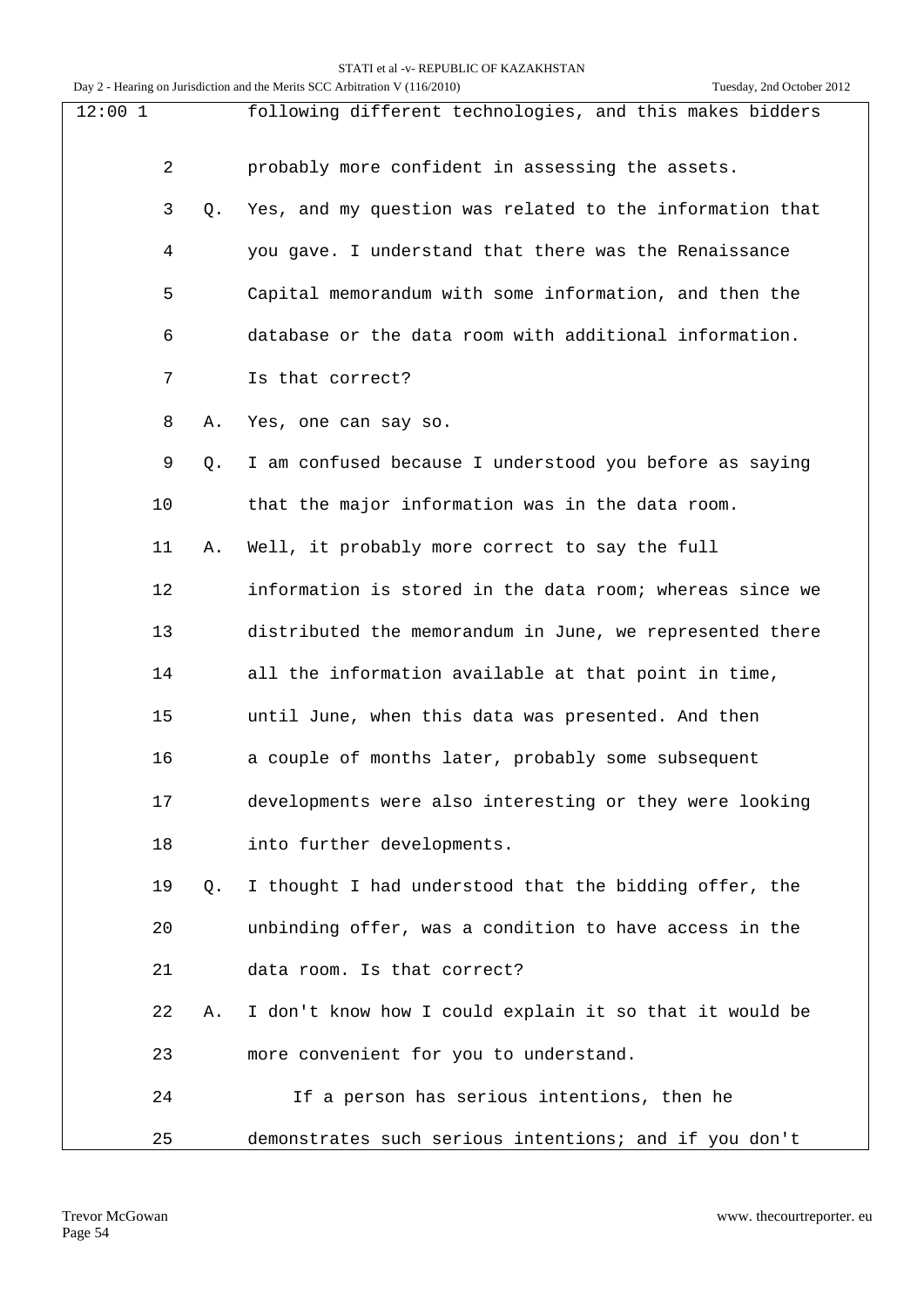| 12:001         |    | following different technologies, and this makes bidders |
|----------------|----|----------------------------------------------------------|
| $\overline{2}$ |    | probably more confident in assessing the assets.         |
| 3              | Q. | Yes, and my question was related to the information that |
| 4              |    | you gave. I understand that there was the Renaissance    |
| 5              |    | Capital memorandum with some information, and then the   |
| 6              |    | database or the data room with additional information.   |
| $\overline{7}$ |    | Is that correct?                                         |
| 8              | Α. | Yes, one can say so.                                     |
| 9              | Q. | I am confused because I understood you before as saying  |
| 10             |    | that the major information was in the data room.         |
| 11             | Α. | Well, it probably more correct to say the full           |
| 12             |    | information is stored in the data room; whereas since we |
| 13             |    | distributed the memorandum in June, we represented there |
| 14             |    | all the information available at that point in time,     |
| 15             |    | until June, when this data was presented. And then       |
| 16             |    | a couple of months later, probably some subsequent       |
| 17             |    | developments were also interesting or they were looking  |
| 18             |    | into further developments.                               |
| 19             | Q. | I thought I had understood that the bidding offer, the   |
| 20             |    | unbinding offer, was a condition to have access in the   |
| 21             |    | data room. Is that correct?                              |
| 22             | Α. | I don't know how I could explain it so that it would be  |
| 23             |    | more convenient for you to understand.                   |
| 24             |    | If a person has serious intentions, then he              |
| 25             |    | demonstrates such serious intentions; and if you don't   |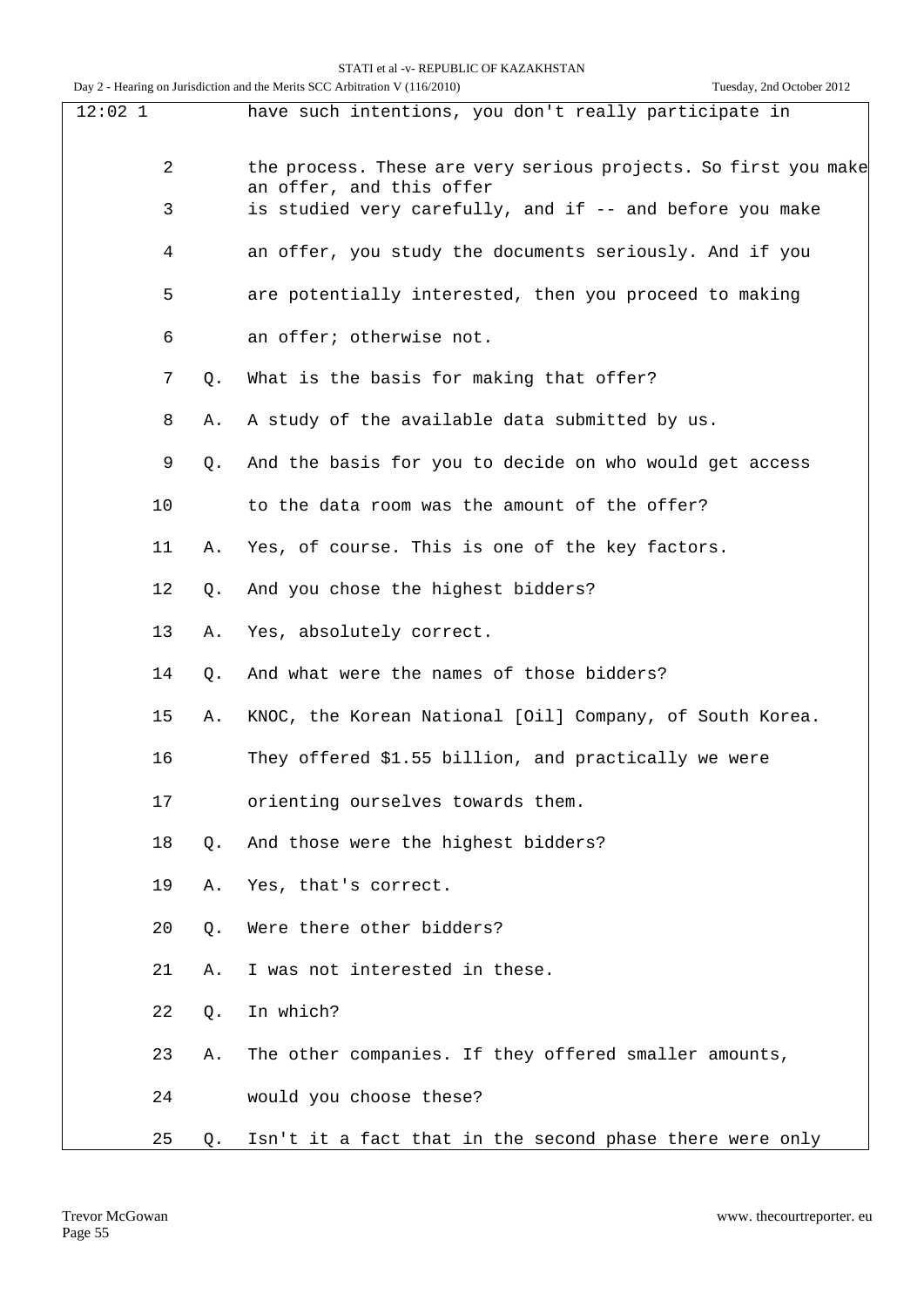| $12:02$ 1 |                |                | have such intentions, you don't really participate in                                       |
|-----------|----------------|----------------|---------------------------------------------------------------------------------------------|
|           | $\overline{2}$ |                | the process. These are very serious projects. So first you make<br>an offer, and this offer |
|           | 3              |                | is studied very carefully, and if -- and before you make                                    |
|           | 4              |                | an offer, you study the documents seriously. And if you                                     |
|           | 5              |                | are potentially interested, then you proceed to making                                      |
|           | 6              |                | an offer; otherwise not.                                                                    |
|           | 7              | Q.             | What is the basis for making that offer?                                                    |
|           | 8              | Α.             | A study of the available data submitted by us.                                              |
|           | 9              | Q.             | And the basis for you to decide on who would get access                                     |
| 10        |                |                | to the data room was the amount of the offer?                                               |
| 11        |                | Α.             | Yes, of course. This is one of the key factors.                                             |
| 12        |                | Q <sub>z</sub> | And you chose the highest bidders?                                                          |
| 13        |                | Α.             | Yes, absolutely correct.                                                                    |
| 14        |                | Q.             | And what were the names of those bidders?                                                   |
| 15        |                | Α.             | KNOC, the Korean National [Oil] Company, of South Korea.                                    |
| 16        |                |                | They offered \$1.55 billion, and practically we were                                        |
|           | 17             |                | orienting ourselves towards them.                                                           |
| 18        |                | Q.             | And those were the highest bidders?                                                         |
| 19        |                | Α.             | Yes, that's correct.                                                                        |
| 20        |                | Q.             | Were there other bidders?                                                                   |
| 21        |                | Α.             | I was not interested in these.                                                              |
| 22        |                | Q.             | In which?                                                                                   |
| 23        |                | Α.             | The other companies. If they offered smaller amounts,                                       |
| 24        |                |                | would you choose these?                                                                     |
| 25        |                | Q.             | Isn't it a fact that in the second phase there were only                                    |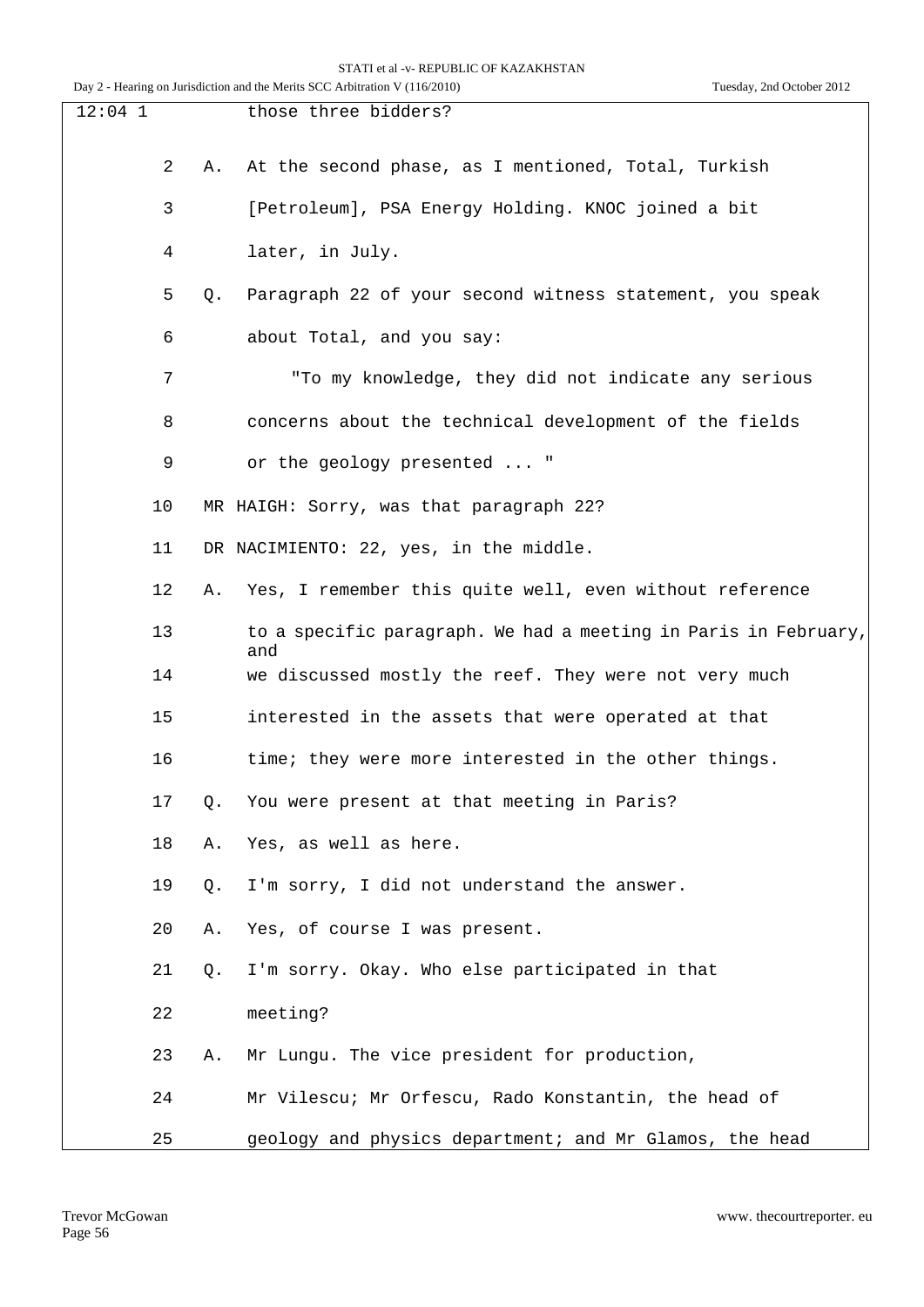| $12:04$ 1 |                |    | those three bidders?                                                   |
|-----------|----------------|----|------------------------------------------------------------------------|
|           | $\overline{2}$ | Α. | At the second phase, as I mentioned, Total, Turkish                    |
|           | 3              |    | [Petroleum], PSA Energy Holding. KNOC joined a bit                     |
|           | 4              |    | later, in July.                                                        |
|           | 5              | Q. | Paragraph 22 of your second witness statement, you speak               |
|           | 6              |    | about Total, and you say:                                              |
|           | 7              |    | "To my knowledge, they did not indicate any serious                    |
|           | 8              |    | concerns about the technical development of the fields                 |
|           | 9              |    | or the geology presented  "                                            |
|           | 10             |    | MR HAIGH: Sorry, was that paragraph 22?                                |
|           | 11             |    | DR NACIMIENTO: 22, yes, in the middle.                                 |
|           | 12             | Α. | Yes, I remember this quite well, even without reference                |
|           | 13             |    | to a specific paragraph. We had a meeting in Paris in February,<br>and |
|           | 14             |    | we discussed mostly the reef. They were not very much                  |
|           | 15             |    | interested in the assets that were operated at that                    |
|           | 16             |    | time; they were more interested in the other things.                   |
|           | 17             | Q. | You were present at that meeting in Paris?                             |
|           | 18             | Α. | Yes, as well as here.                                                  |
|           | 19             | Q. | I'm sorry, I did not understand the answer.                            |
|           | 20             | Α. | Yes, of course I was present.                                          |
|           | 21             | Q. | I'm sorry. Okay. Who else participated in that                         |
|           | 22             |    | meeting?                                                               |
|           | 23             | Α. | Mr Lungu. The vice president for production,                           |
|           | 24             |    | Mr Vilescu; Mr Orfescu, Rado Konstantin, the head of                   |
|           | 25             |    | geology and physics department; and Mr Glamos, the head                |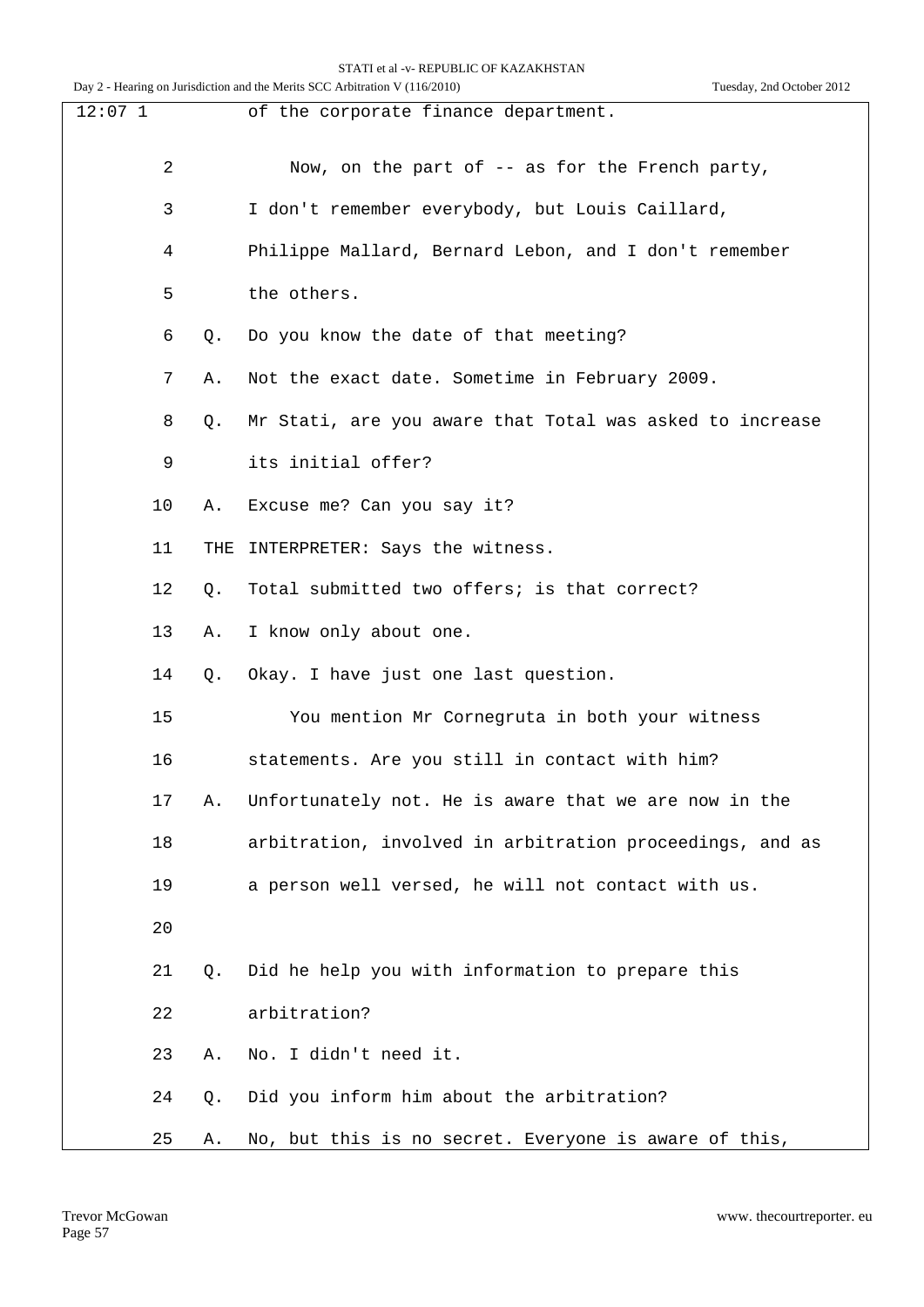| $12:07$ 1      |    | of the corporate finance department.                     |
|----------------|----|----------------------------------------------------------|
| $\overline{a}$ |    | Now, on the part of -- as for the French party,          |
| 3              |    | I don't remember everybody, but Louis Caillard,          |
| 4              |    | Philippe Mallard, Bernard Lebon, and I don't remember    |
| 5              |    | the others.                                              |
| 6              | Q. | Do you know the date of that meeting?                    |
| 7              | Α. | Not the exact date. Sometime in February 2009.           |
| 8              | Q. | Mr Stati, are you aware that Total was asked to increase |
| 9              |    | its initial offer?                                       |
| 10             | Α. | Excuse me? Can you say it?                               |
| 11             |    | THE INTERPRETER: Says the witness.                       |
| 12             | Q. | Total submitted two offers; is that correct?             |
| 13             | Α. | I know only about one.                                   |
| 14             | Q. | Okay. I have just one last question.                     |
| 15             |    | You mention Mr Cornegruta in both your witness           |
| 16             |    | statements. Are you still in contact with him?           |
| 17             | Α. | Unfortunately not. He is aware that we are now in the    |
| 18             |    | arbitration, involved in arbitration proceedings, and as |
| 19             |    | a person well versed, he will not contact with us.       |
| 20             |    |                                                          |
| 21             | Q. | Did he help you with information to prepare this         |
| 22             |    | arbitration?                                             |
| 23             | Α. | No. I didn't need it.                                    |
| 24             | Q. | Did you inform him about the arbitration?                |
| 25             | Α. | No, but this is no secret. Everyone is aware of this,    |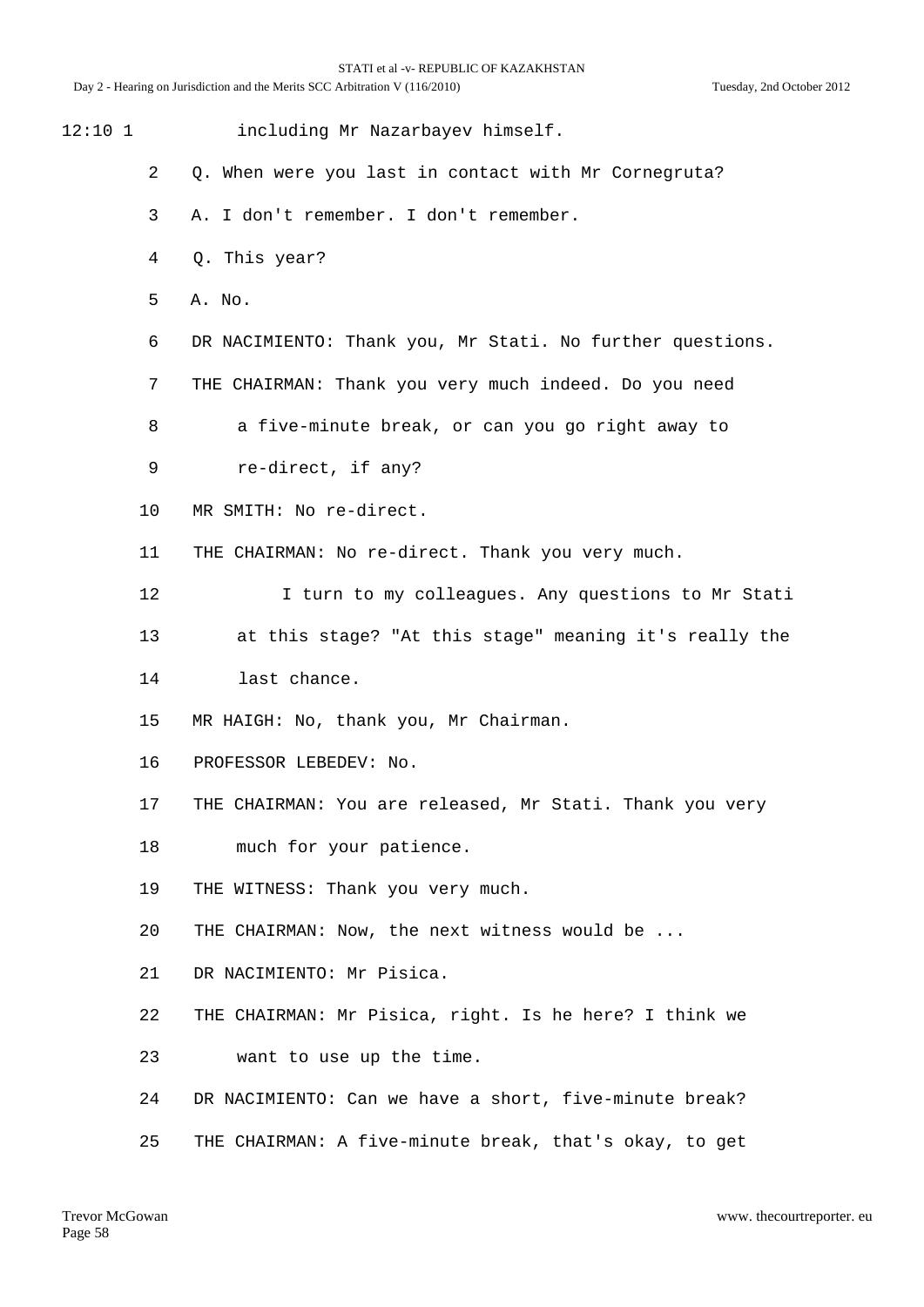| $12:10$ 1      | including Mr Nazarbayev himself.                          |
|----------------|-----------------------------------------------------------|
| $\overline{2}$ | Q. When were you last in contact with Mr Cornegruta?      |
| 3              | A. I don't remember. I don't remember.                    |
| 4              | Q. This year?                                             |
| 5              | A. No.                                                    |
| 6              | DR NACIMIENTO: Thank you, Mr Stati. No further questions. |
| 7              | THE CHAIRMAN: Thank you very much indeed. Do you need     |
| 8              | a five-minute break, or can you go right away to          |
| 9              | re-direct, if any?                                        |
| 10             | MR SMITH: No re-direct.                                   |
| 11             | THE CHAIRMAN: No re-direct. Thank you very much.          |
| 12             | I turn to my colleagues. Any questions to Mr Stati        |
| 13             | at this stage? "At this stage" meaning it's really the    |
| 14             | last chance.                                              |
| 15             | MR HAIGH: No, thank you, Mr Chairman.                     |
| 16             | PROFESSOR LEBEDEV: No.                                    |
| 17             | THE CHAIRMAN: You are released, Mr Stati. Thank you very  |
| 18             | much for your patience.                                   |
| 19             | THE WITNESS: Thank you very much.                         |
| 20             | THE CHAIRMAN: Now, the next witness would be              |
| 21             | DR NACIMIENTO: Mr Pisica.                                 |
| 22             | THE CHAIRMAN: Mr Pisica, right. Is he here? I think we    |
| 23             | want to use up the time.                                  |
| 24             | DR NACIMIENTO: Can we have a short, five-minute break?    |
| 25             | THE CHAIRMAN: A five-minute break, that's okay, to get    |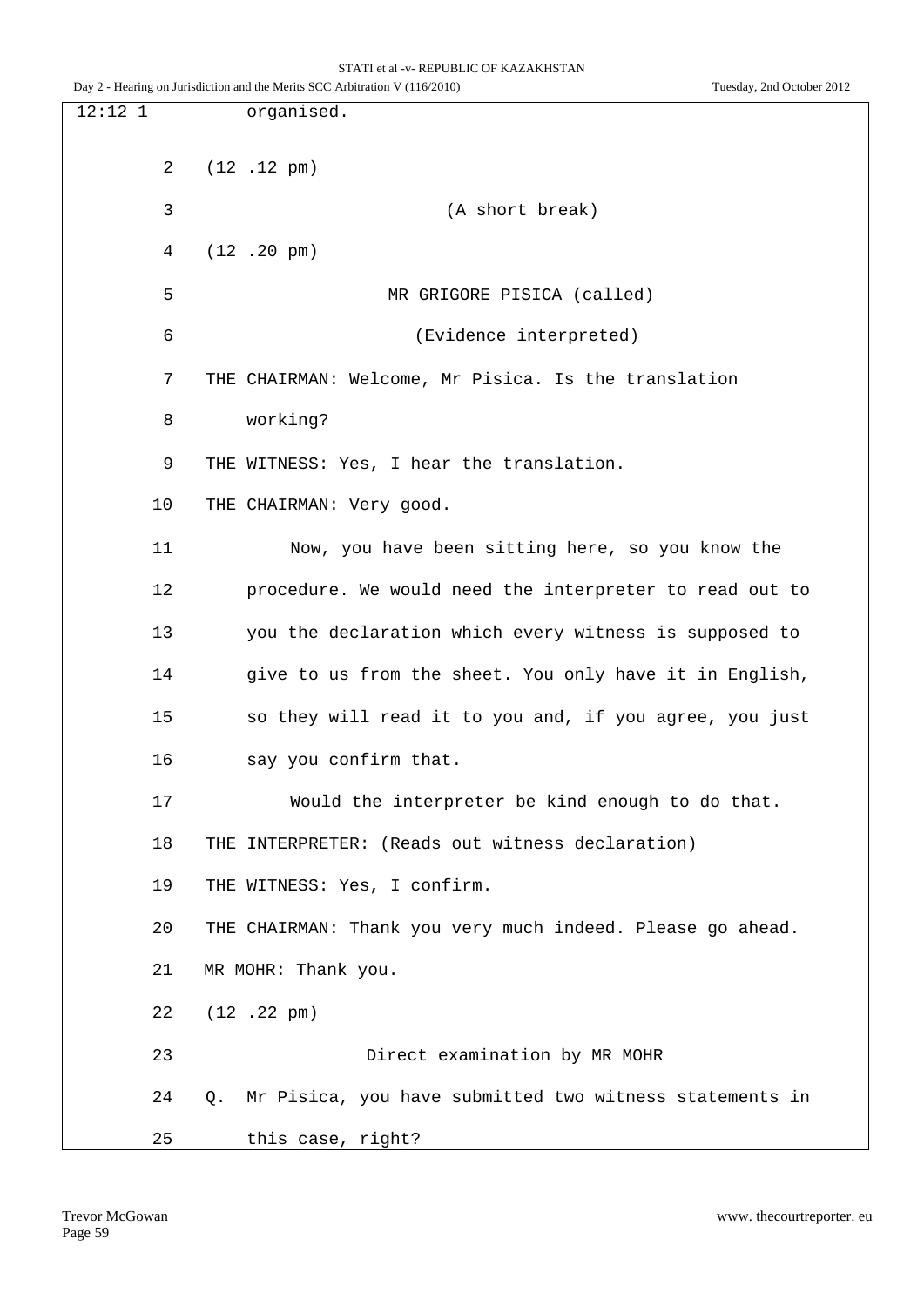| $12:12$ 1 | organised.                                                    |
|-----------|---------------------------------------------------------------|
| 2         | $(12.12 \text{ pm})$                                          |
| 3         | (A short break)                                               |
| 4         | $(12.20 \text{ pm})$                                          |
| 5         | MR GRIGORE PISICA (called)                                    |
| 6         | (Evidence interpreted)                                        |
| 7         | THE CHAIRMAN: Welcome, Mr Pisica. Is the translation          |
| 8         | working?                                                      |
| 9         | THE WITNESS: Yes, I hear the translation.                     |
| 10        | THE CHAIRMAN: Very good.                                      |
| 11        | Now, you have been sitting here, so you know the              |
| 12        | procedure. We would need the interpreter to read out to       |
| 13        | you the declaration which every witness is supposed to        |
| 14        | give to us from the sheet. You only have it in English,       |
| 15        | so they will read it to you and, if you agree, you just       |
| 16        | say you confirm that.                                         |
| 17        | Would the interpreter be kind enough to do that.              |
| 18        | THE INTERPRETER: (Reads out witness declaration)              |
| 19        | THE WITNESS: Yes, I confirm.                                  |
| 20        | THE CHAIRMAN: Thank you very much indeed. Please go ahead.    |
| 21        | MR MOHR: Thank you.                                           |
| 22        | $(12.22 \text{ pm})$                                          |
| 23        | Direct examination by MR MOHR                                 |
| 24        | Mr Pisica, you have submitted two witness statements in<br>Q. |
| 25        | this case, right?                                             |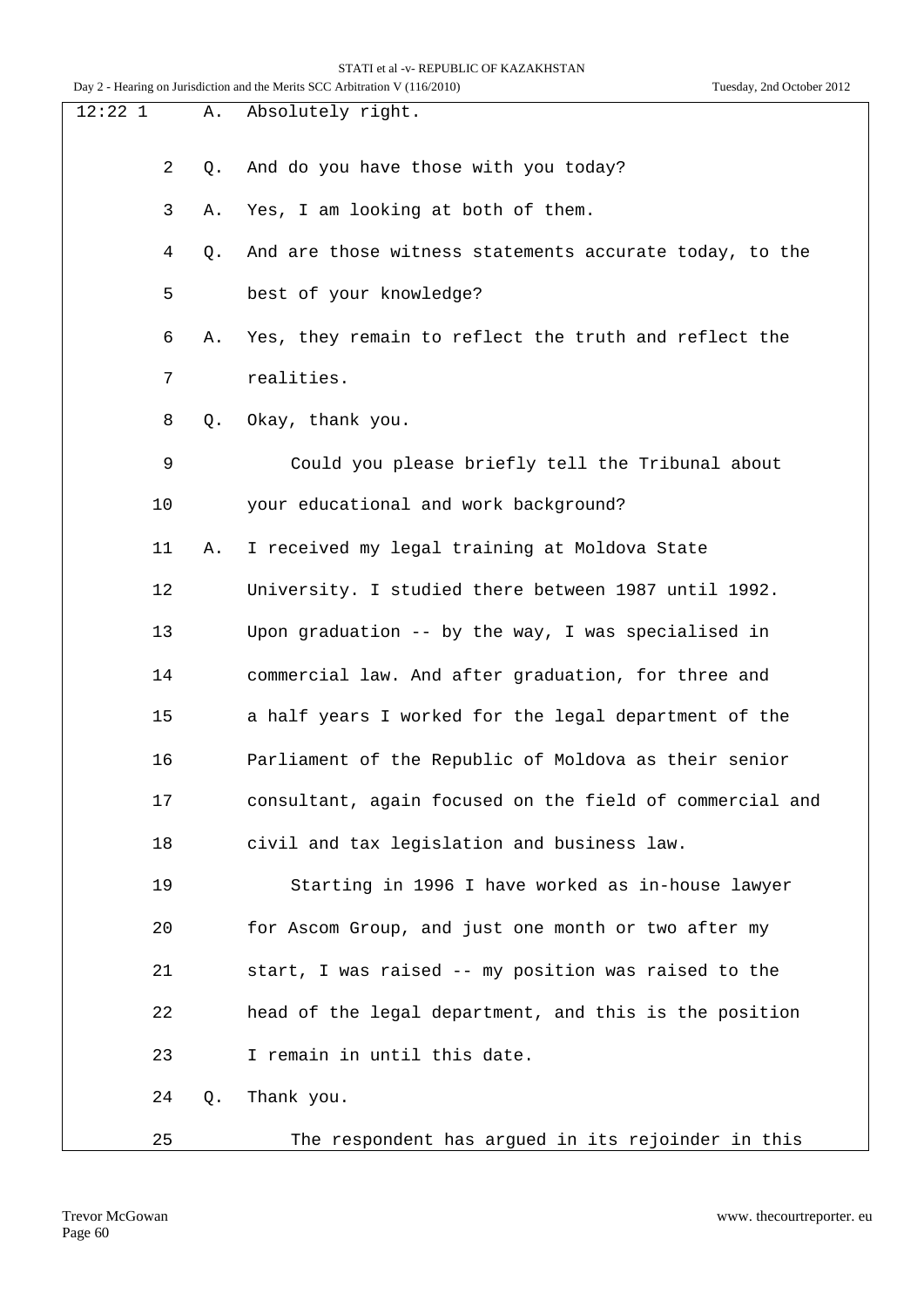| $12:22$ 1 |    | Α. | Absolutely right.                                        |
|-----------|----|----|----------------------------------------------------------|
|           | 2  | Q. | And do you have those with you today?                    |
|           | 3  | Α. | Yes, I am looking at both of them.                       |
|           | 4  | Q. | And are those witness statements accurate today, to the  |
|           | 5  |    | best of your knowledge?                                  |
|           | 6  | Α. | Yes, they remain to reflect the truth and reflect the    |
|           | 7  |    | realities.                                               |
|           | 8  | Q. | Okay, thank you.                                         |
|           | 9  |    | Could you please briefly tell the Tribunal about         |
|           | 10 |    | your educational and work background?                    |
|           | 11 | Α. | I received my legal training at Moldova State            |
|           | 12 |    | University. I studied there between 1987 until 1992.     |
|           | 13 |    | Upon graduation -- by the way, I was specialised in      |
|           | 14 |    | commercial law. And after graduation, for three and      |
|           | 15 |    | a half years I worked for the legal department of the    |
|           | 16 |    | Parliament of the Republic of Moldova as their senior    |
|           | 17 |    | consultant, again focused on the field of commercial and |
|           | 18 |    | civil and tax legislation and business law.              |
|           | 19 |    | Starting in 1996 I have worked as in-house lawyer        |
|           | 20 |    | for Ascom Group, and just one month or two after my      |
|           | 21 |    | start, I was raised -- my position was raised to the     |
|           | 22 |    | head of the legal department, and this is the position   |
|           | 23 |    | I remain in until this date.                             |
|           | 24 | Q. | Thank you.                                               |
|           | 25 |    | The respondent has argued in its rejoinder in this       |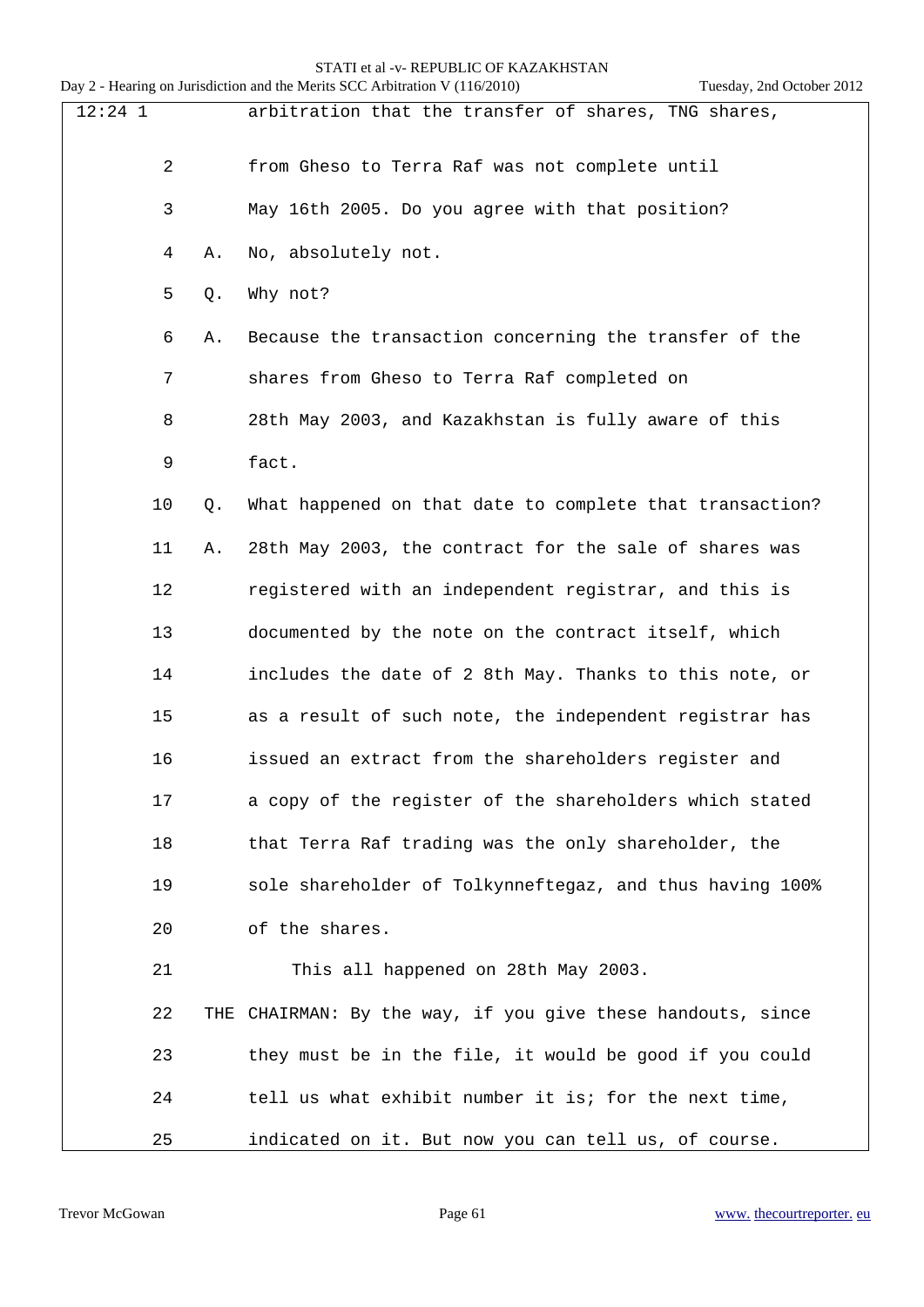| $12:24$ 1 |    | arbitration that the transfer of shares, TNG shares,        |
|-----------|----|-------------------------------------------------------------|
| 2         |    | from Gheso to Terra Raf was not complete until              |
| 3         |    | May 16th 2005. Do you agree with that position?             |
| 4         | Α. | No, absolutely not.                                         |
| 5         | Q. | Why not?                                                    |
| 6         | Α. | Because the transaction concerning the transfer of the      |
| 7         |    | shares from Gheso to Terra Raf completed on                 |
| 8         |    | 28th May 2003, and Kazakhstan is fully aware of this        |
| 9         |    | fact.                                                       |
| 10        | Q. | What happened on that date to complete that transaction?    |
| 11        | Α. | 28th May 2003, the contract for the sale of shares was      |
| 12        |    | registered with an independent registrar, and this is       |
| 13        |    | documented by the note on the contract itself, which        |
| 14        |    | includes the date of 2 8th May. Thanks to this note, or     |
| 15        |    | as a result of such note, the independent registrar has     |
| 16        |    | issued an extract from the shareholders register and        |
| 17        |    | a copy of the register of the shareholders which stated     |
| 18        |    | that Terra Raf trading was the only shareholder, the        |
| 19        |    | sole shareholder of Tolkynneftegaz, and thus having 100%    |
| 20        |    | of the shares.                                              |
| 21        |    | This all happened on 28th May 2003.                         |
| 22        |    | THE CHAIRMAN: By the way, if you give these handouts, since |
| 23        |    | they must be in the file, it would be good if you could     |
| 24        |    | tell us what exhibit number it is; for the next time,       |
| 25        |    | indicated on it. But now you can tell us, of course.        |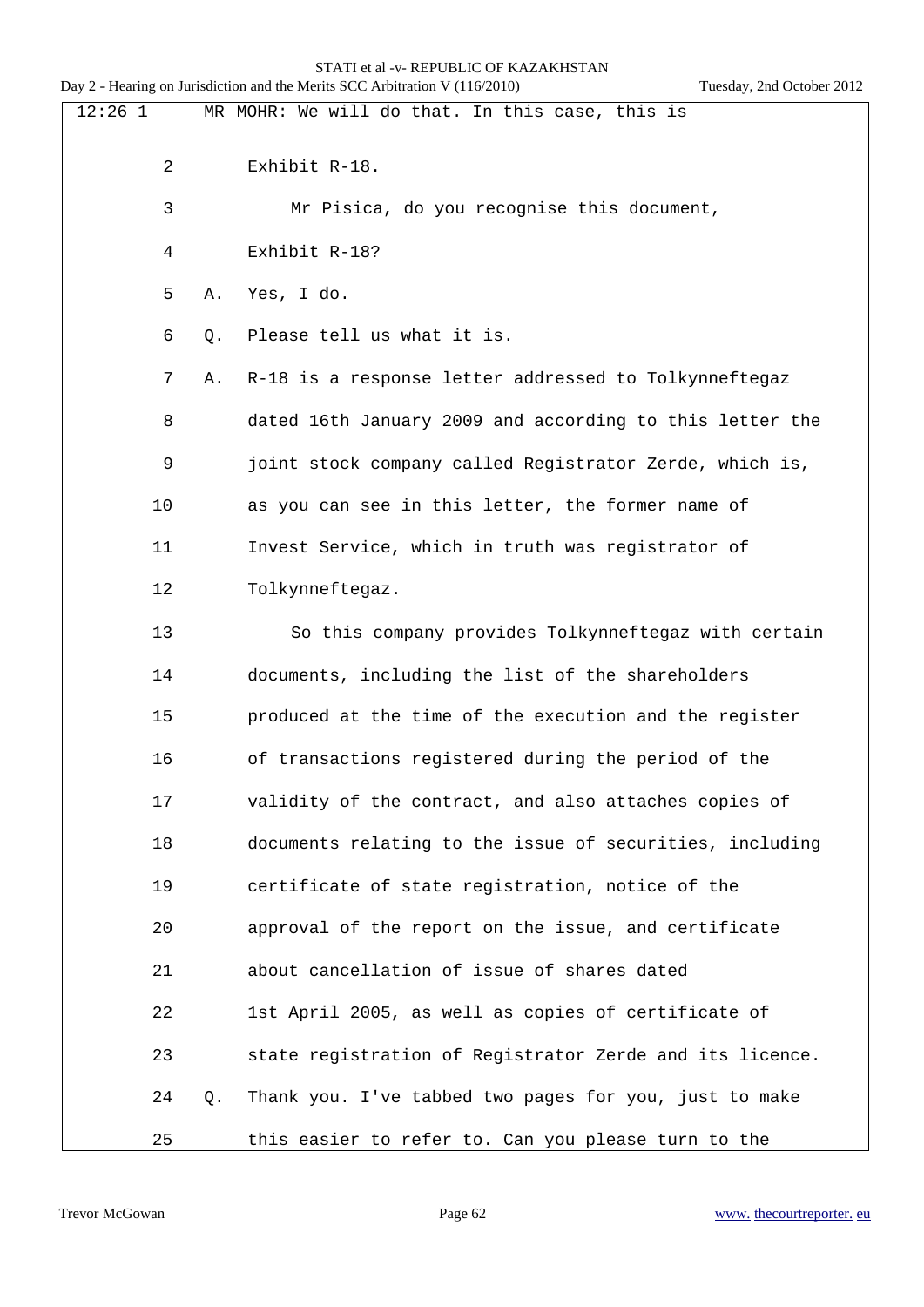| $12:26$ 1 |    | MR MOHR: We will do that. In this case, this is          |
|-----------|----|----------------------------------------------------------|
| 2         |    | Exhibit R-18.                                            |
| 3         |    | Mr Pisica, do you recognise this document,               |
| 4         |    | Exhibit R-18?                                            |
| 5         | Α. | Yes, I do.                                               |
| 6         | Q. | Please tell us what it is.                               |
| 7         | Α. | R-18 is a response letter addressed to Tolkynneftegaz    |
| 8         |    | dated 16th January 2009 and according to this letter the |
| 9         |    | joint stock company called Registrator Zerde, which is,  |
| 10        |    | as you can see in this letter, the former name of        |
| 11        |    | Invest Service, which in truth was registrator of        |
| 12        |    | Tolkynneftegaz.                                          |
| 13        |    | So this company provides Tolkynneftegaz with certain     |
| 14        |    | documents, including the list of the shareholders        |
| 15        |    | produced at the time of the execution and the register   |
| 16        |    | of transactions registered during the period of the      |
| 17        |    | validity of the contract, and also attaches copies of    |
| 18        |    | documents relating to the issue of securities, including |
| 19        |    | certificate of state registration, notice of the         |
| 20        |    | approval of the report on the issue, and certificate     |
| 21        |    | about cancellation of issue of shares dated              |
| 22        |    | 1st April 2005, as well as copies of certificate of      |
| 23        |    | state registration of Registrator Zerde and its licence. |
| 24        | Q. | Thank you. I've tabbed two pages for you, just to make   |
| 25        |    | this easier to refer to. Can you please turn to the      |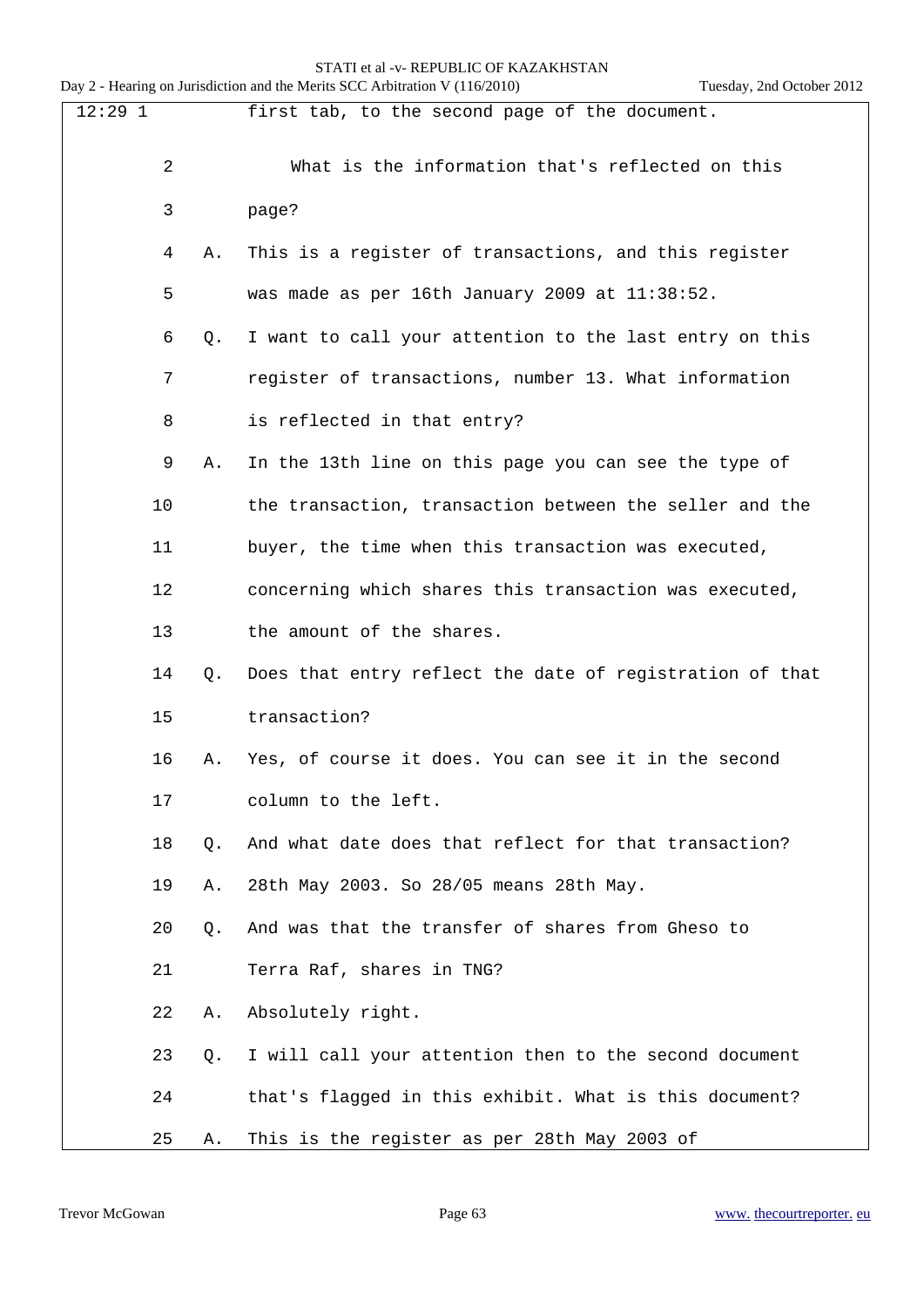| $12:29$ 1      |    | first tab, to the second page of the document.           |
|----------------|----|----------------------------------------------------------|
| $\overline{a}$ |    | What is the information that's reflected on this         |
| 3              |    | page?                                                    |
| 4              | Α. | This is a register of transactions, and this register    |
| 5              |    | was made as per 16th January 2009 at 11:38:52.           |
| 6              | Q. | I want to call your attention to the last entry on this  |
| 7              |    | register of transactions, number 13. What information    |
| 8              |    | is reflected in that entry?                              |
| 9              | Α. | In the 13th line on this page you can see the type of    |
| 10             |    | the transaction, transaction between the seller and the  |
| 11             |    | buyer, the time when this transaction was executed,      |
| 12             |    | concerning which shares this transaction was executed,   |
| 13             |    | the amount of the shares.                                |
| 14             | Q. | Does that entry reflect the date of registration of that |
| 15             |    | transaction?                                             |
| 16             | Α. | Yes, of course it does. You can see it in the second     |
| 17             |    | column to the left.                                      |
| 18             | Q. | And what date does that reflect for that transaction?    |
| 19             | Α. | 28th May 2003. So 28/05 means 28th May.                  |
| 20             | Q. | And was that the transfer of shares from Gheso to        |
| 21             |    | Terra Raf, shares in TNG?                                |
| 22             | Α. | Absolutely right.                                        |
| 23             | Q. | I will call your attention then to the second document   |
| 24             |    | that's flagged in this exhibit. What is this document?   |
| 25             | Α. | This is the register as per 28th May 2003 of             |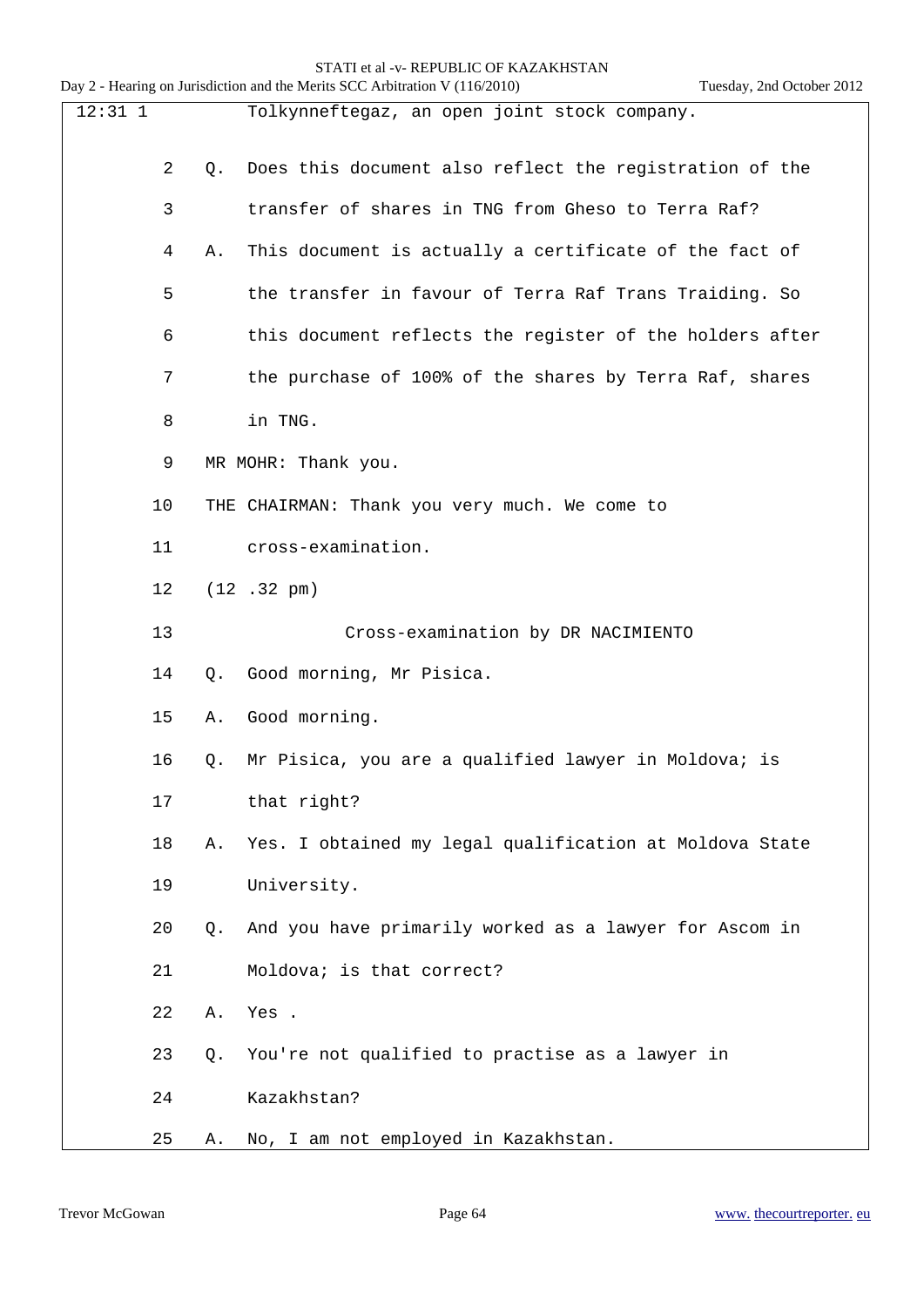| $12:31$ 1      |    | Tolkynneftegaz, an open joint stock company.             |
|----------------|----|----------------------------------------------------------|
| $\overline{2}$ | Q. | Does this document also reflect the registration of the  |
| 3              |    | transfer of shares in TNG from Gheso to Terra Raf?       |
| 4              | Α. | This document is actually a certificate of the fact of   |
| 5              |    | the transfer in favour of Terra Raf Trans Traiding. So   |
| 6              |    | this document reflects the register of the holders after |
| 7              |    | the purchase of 100% of the shares by Terra Raf, shares  |
| 8              |    | in TNG.                                                  |
| 9              |    | MR MOHR: Thank you.                                      |
| 10             |    | THE CHAIRMAN: Thank you very much. We come to            |
| 11             |    | cross-examination.                                       |
| 12             |    | $(12.32 \text{ pm})$                                     |
| 13             |    | Cross-examination by DR NACIMIENTO                       |
| 14             | Q. | Good morning, Mr Pisica.                                 |
| 15             | Α. | Good morning.                                            |
| 16             | Q. | Mr Pisica, you are a qualified lawyer in Moldova; is     |
| 17             |    | that right?                                              |
| 18             | Α. | Yes. I obtained my legal qualification at Moldova State  |
| 19             |    | University.                                              |
| 20             | Q. | And you have primarily worked as a lawyer for Ascom in   |
| 21             |    | Moldova; is that correct?                                |
| 22             | Α. | Yes.                                                     |
| 23             | Q. | You're not qualified to practise as a lawyer in          |
| 24             |    | Kazakhstan?                                              |
| 25             | Α. | No, I am not employed in Kazakhstan.                     |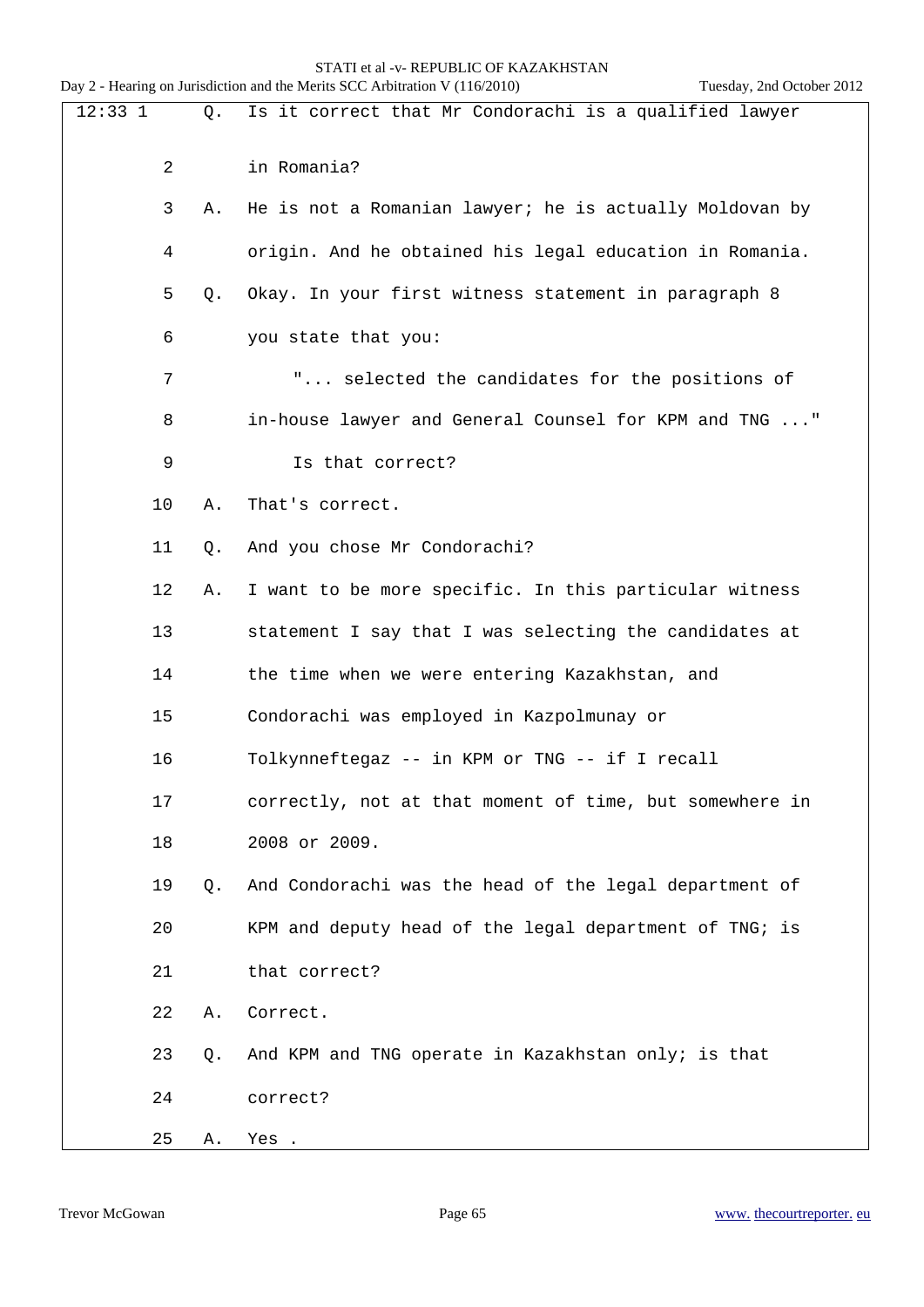| 12:331 | Q. | Is it correct that Mr Condorachi is a qualified lawyer  |
|--------|----|---------------------------------------------------------|
| 2      |    | in Romania?                                             |
| 3      | Α. | He is not a Romanian lawyer; he is actually Moldovan by |
| 4      |    | origin. And he obtained his legal education in Romania. |
| 5      | Q. | Okay. In your first witness statement in paragraph 8    |
| 6      |    | you state that you:                                     |
| 7      |    | " selected the candidates for the positions of          |
| 8      |    | in-house lawyer and General Counsel for KPM and TNG "   |
| 9      |    | Is that correct?                                        |
| 10     | Α. | That's correct.                                         |
| 11     | Q. | And you chose Mr Condorachi?                            |
| 12     | Α. | I want to be more specific. In this particular witness  |
| 13     |    | statement I say that I was selecting the candidates at  |
| 14     |    | the time when we were entering Kazakhstan, and          |
| 15     |    | Condorachi was employed in Kazpolmunay or               |
| 16     |    | Tolkynneftegaz -- in KPM or TNG -- if I recall          |
| $17\,$ |    | correctly, not at that moment of time, but somewhere in |
| 18     |    | 2008 or 2009.                                           |
| 19     | Q. | And Condorachi was the head of the legal department of  |
| 20     |    | KPM and deputy head of the legal department of TNG; is  |
| 21     |    | that correct?                                           |
| 22     | Α. | Correct.                                                |
| 23     | Q. | And KPM and TNG operate in Kazakhstan only; is that     |
| 24     |    | correct?                                                |
| 25     | Α. | Yes .                                                   |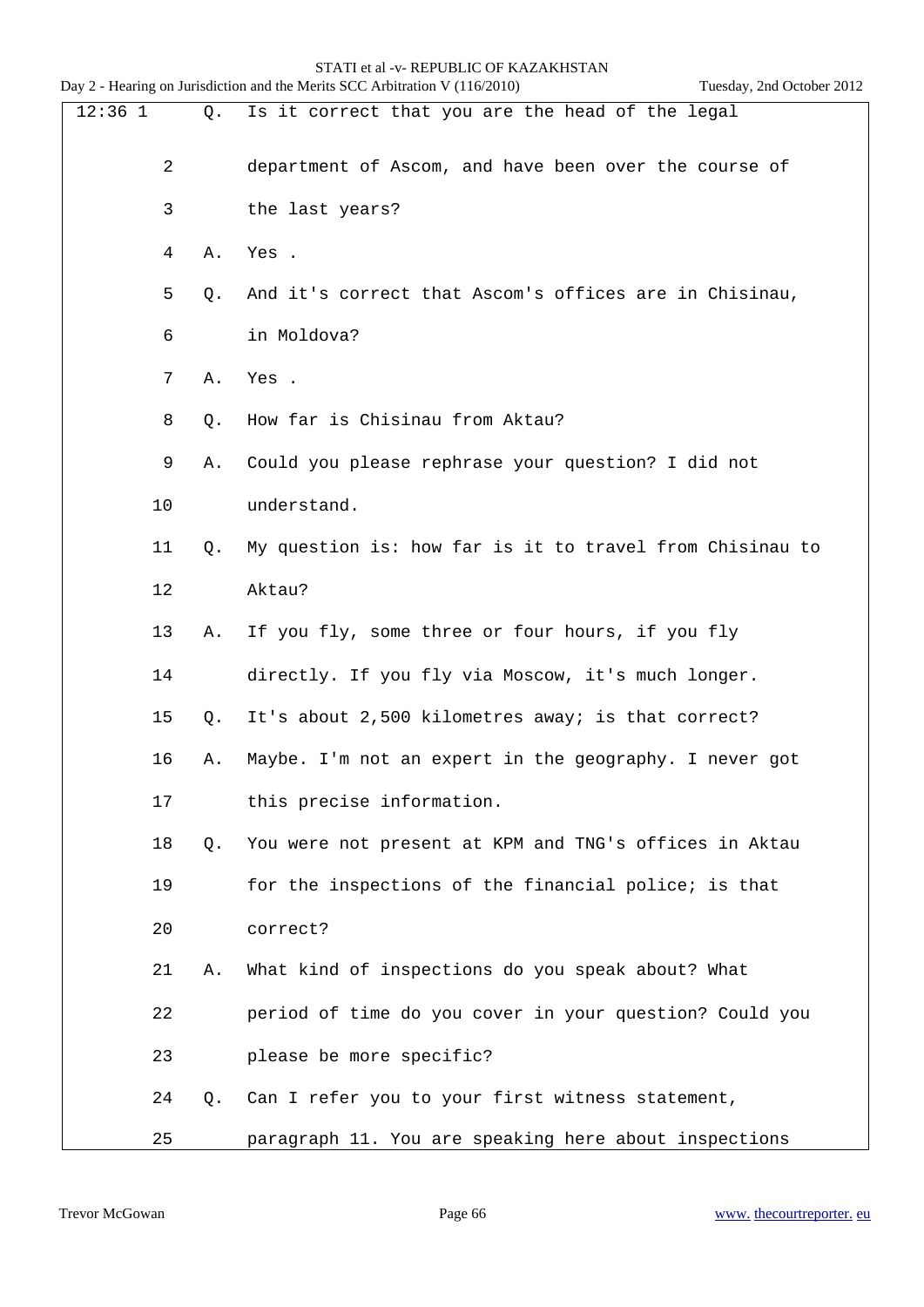Day 2 - Hearing on Jurisdiction and the Merits SCC Arbitration V (116/2010) Tuesday, 2nd October 2012

| $12:36$ 1      | Q. | Is it correct that you are the head of the legal         |
|----------------|----|----------------------------------------------------------|
| $\overline{2}$ |    | department of Ascom, and have been over the course of    |
| 3              |    | the last years?                                          |
| 4              | Α. | Yes.                                                     |
| 5              | Q. | And it's correct that Ascom's offices are in Chisinau,   |
| 6              |    | in Moldova?                                              |
| 7              | Α. | Yes .                                                    |
| 8              | Q. | How far is Chisinau from Aktau?                          |
| 9              | Α. | Could you please rephrase your question? I did not       |
| 10             |    | understand.                                              |
| 11             | Q. | My question is: how far is it to travel from Chisinau to |
| 12             |    | Aktau?                                                   |
| 13             | Α. | If you fly, some three or four hours, if you fly         |
| 14             |    | directly. If you fly via Moscow, it's much longer.       |
| 15             | Q. | It's about 2,500 kilometres away; is that correct?       |
| 16             | Α. | Maybe. I'm not an expert in the geography. I never got   |
| 17             |    | this precise information.                                |
| 18             | Q. | You were not present at KPM and TNG's offices in Aktau   |
| 19             |    | for the inspections of the financial police; is that     |
| 20             |    | correct?                                                 |
| 21             | Α. | What kind of inspections do you speak about? What        |
| 22             |    | period of time do you cover in your question? Could you  |
| 23             |    | please be more specific?                                 |
| 24             | Q. | Can I refer you to your first witness statement,         |
| 25             |    | paragraph 11. You are speaking here about inspections    |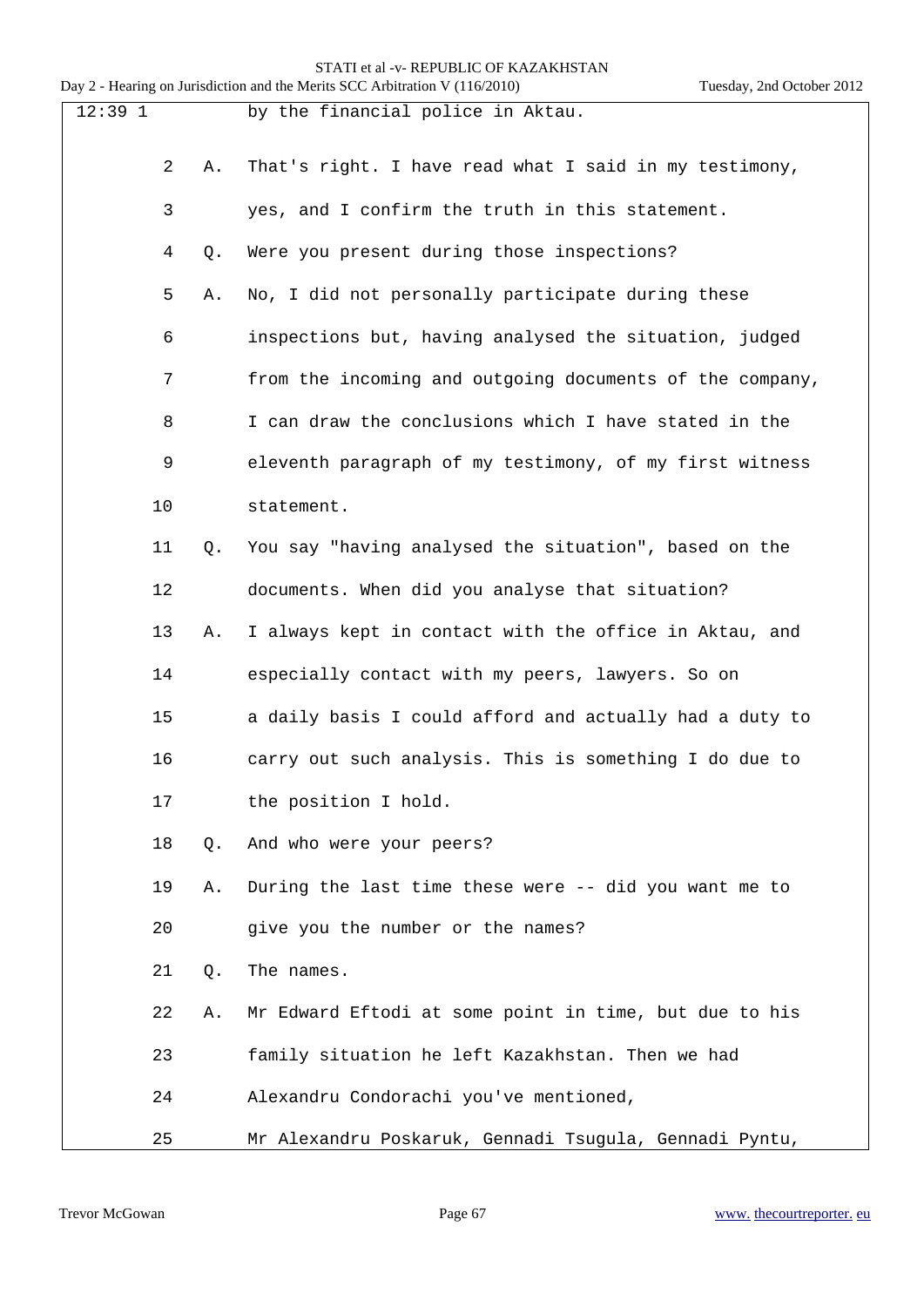| $12:39$ 1      |    | by the financial police in Aktau.                        |
|----------------|----|----------------------------------------------------------|
| $\overline{2}$ | Α. | That's right. I have read what I said in my testimony,   |
| 3              |    | yes, and I confirm the truth in this statement.          |
| 4              | Q. | Were you present during those inspections?               |
| 5              | Α. | No, I did not personally participate during these        |
| 6              |    | inspections but, having analysed the situation, judged   |
| 7              |    | from the incoming and outgoing documents of the company, |
| 8              |    | I can draw the conclusions which I have stated in the    |
| 9              |    | eleventh paragraph of my testimony, of my first witness  |
| 10             |    | statement.                                               |
| 11             | Q. | You say "having analysed the situation", based on the    |
| 12             |    | documents. When did you analyse that situation?          |
| 13             | Α. | I always kept in contact with the office in Aktau, and   |
| 14             |    | especially contact with my peers, lawyers. So on         |
| 15             |    | a daily basis I could afford and actually had a duty to  |
| 16             |    | carry out such analysis. This is something I do due to   |
| 17             |    | the position I hold.                                     |
| 18             | Q. | And who were your peers?                                 |
| 19             | Α. | During the last time these were -- did you want me to    |
| 20             |    | give you the number or the names?                        |
| 21             | Q. | The names.                                               |
| 22             | Α. | Mr Edward Eftodi at some point in time, but due to his   |
| 23             |    | family situation he left Kazakhstan. Then we had         |
| 24             |    | Alexandru Condorachi you've mentioned,                   |
| 25             |    | Mr Alexandru Poskaruk, Gennadi Tsugula, Gennadi Pyntu,   |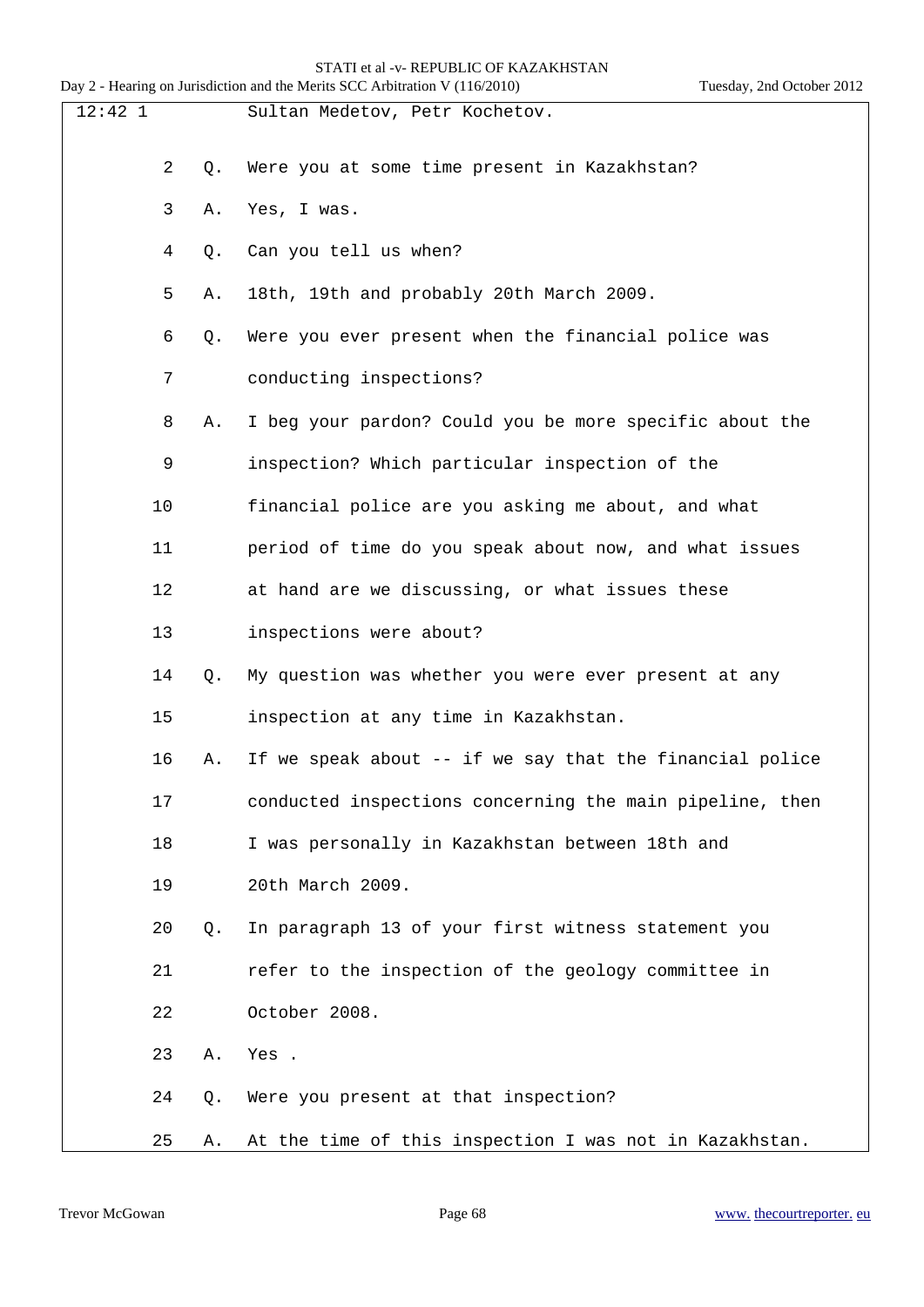| 12:421         |    | Sultan Medetov, Petr Kochetov.                           |
|----------------|----|----------------------------------------------------------|
| $\overline{a}$ | Q. | Were you at some time present in Kazakhstan?             |
| 3              | Α. | Yes, I was.                                              |
| 4              | Q. | Can you tell us when?                                    |
| 5              | Α. | 18th, 19th and probably 20th March 2009.                 |
| 6              | Q. | Were you ever present when the financial police was      |
| 7              |    | conducting inspections?                                  |
| 8              | Α. | I beg your pardon? Could you be more specific about the  |
| 9              |    | inspection? Which particular inspection of the           |
| 10             |    | financial police are you asking me about, and what       |
| 11             |    | period of time do you speak about now, and what issues   |
| 12             |    | at hand are we discussing, or what issues these          |
| 13             |    | inspections were about?                                  |
| 14             | Q. | My question was whether you were ever present at any     |
| 15             |    | inspection at any time in Kazakhstan.                    |
| 16             | Α. | If we speak about -- if we say that the financial police |
| 17             |    | conducted inspections concerning the main pipeline, then |
| 18             |    | I was personally in Kazakhstan between 18th and          |
| 19             |    | 20th March 2009.                                         |
| 20             | Q. | In paragraph 13 of your first witness statement you      |
| 21             |    | refer to the inspection of the geology committee in      |
| 22             |    | October 2008.                                            |
| 23             | Α. | Yes .                                                    |
| 24             | Q. | Were you present at that inspection?                     |
| 25             | Α. | At the time of this inspection I was not in Kazakhstan.  |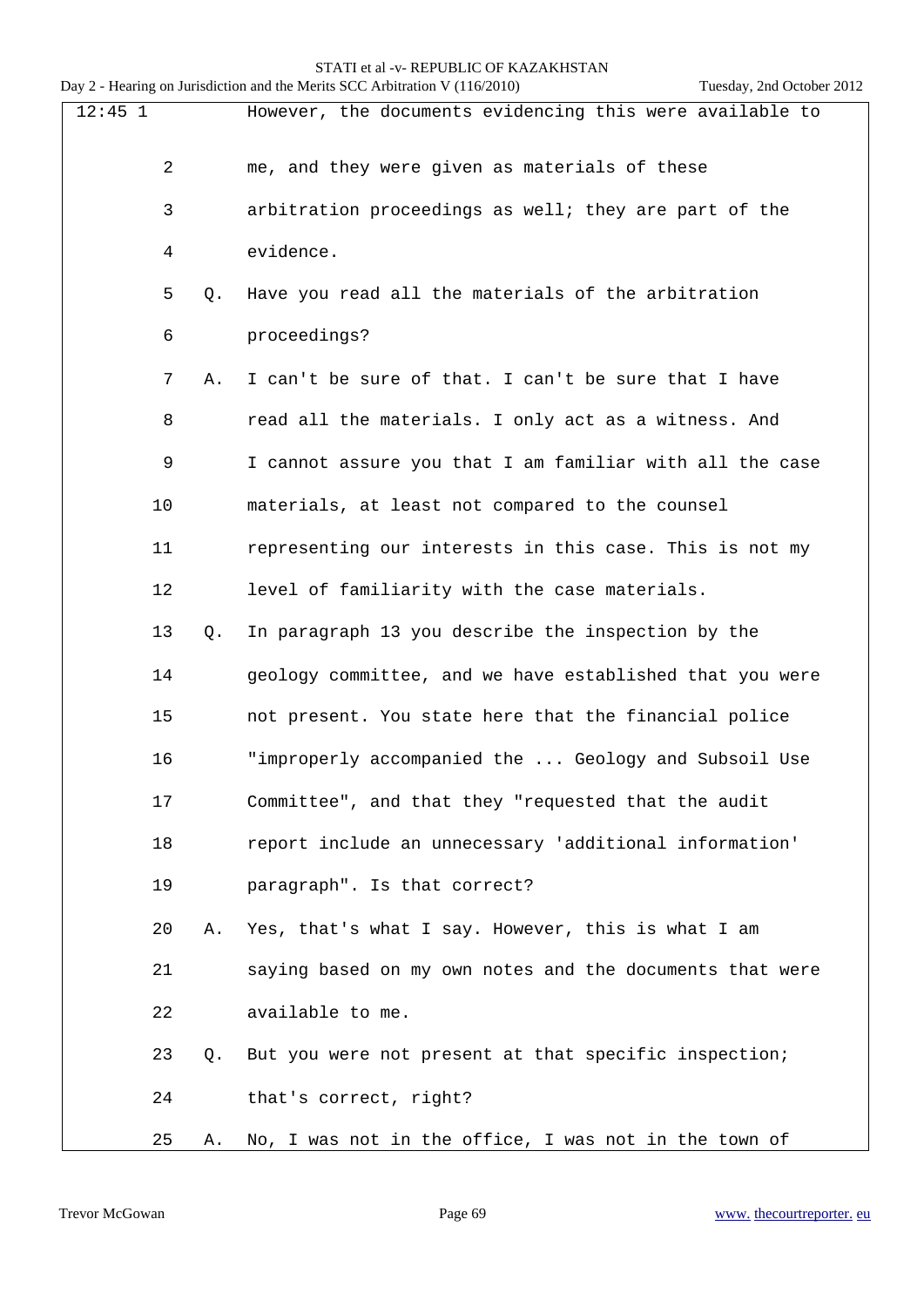| $12:45$ 1      |    | However, the documents evidencing this were available to |
|----------------|----|----------------------------------------------------------|
| $\overline{2}$ |    | me, and they were given as materials of these            |
| 3              |    | arbitration proceedings as well; they are part of the    |
| 4              |    | evidence.                                                |
| 5              | Q. | Have you read all the materials of the arbitration       |
| 6              |    | proceedings?                                             |
| 7              | Α. | I can't be sure of that. I can't be sure that I have     |
| 8              |    | read all the materials. I only act as a witness. And     |
| 9              |    | I cannot assure you that I am familiar with all the case |
| 10             |    | materials, at least not compared to the counsel          |
| 11             |    | representing our interests in this case. This is not my  |
| 12             |    | level of familiarity with the case materials.            |
| 13             | Q. | In paragraph 13 you describe the inspection by the       |
| 14             |    | geology committee, and we have established that you were |
| 15             |    | not present. You state here that the financial police    |
| 16             |    | "improperly accompanied the  Geology and Subsoil Use     |
| 17             |    | Committee", and that they "requested that the audit      |
| 18             |    | report include an unnecessary 'additional information'   |
| 19             |    | paragraph". Is that correct?                             |
| 20             | Α. | Yes, that's what I say. However, this is what I am       |
| 21             |    | saying based on my own notes and the documents that were |
| 22             |    | available to me.                                         |
| 23             | Q. | But you were not present at that specific inspection;    |
| 24             |    | that's correct, right?                                   |
| 25             | Α. | No, I was not in the office, I was not in the town of    |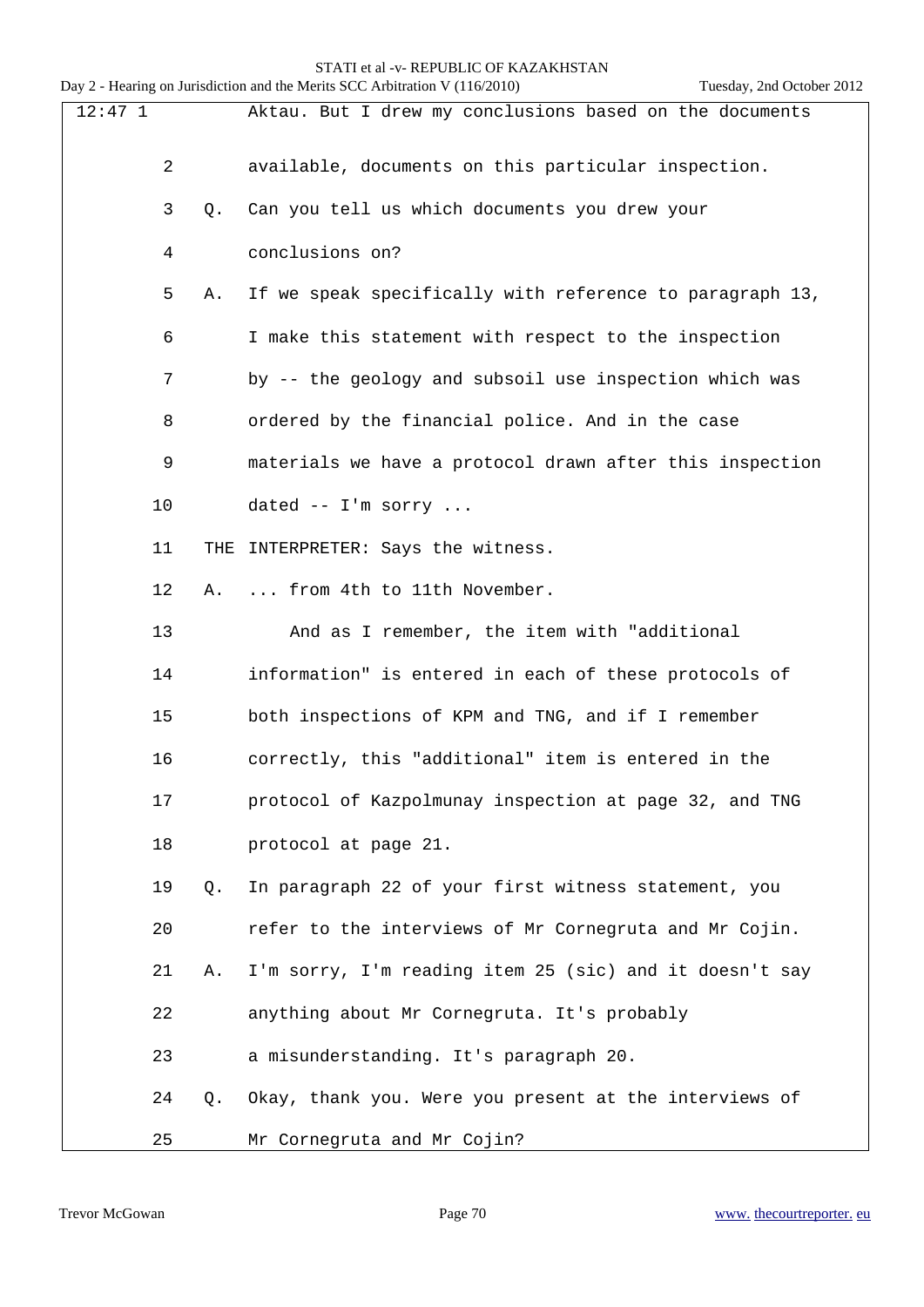| 12:471         |    | Aktau. But I drew my conclusions based on the documents  |
|----------------|----|----------------------------------------------------------|
| $\overline{2}$ |    | available, documents on this particular inspection.      |
| 3              | Q. | Can you tell us which documents you drew your            |
| 4              |    | conclusions on?                                          |
| 5              | Α. | If we speak specifically with reference to paragraph 13, |
| 6              |    | I make this statement with respect to the inspection     |
| 7              |    | by -- the geology and subsoil use inspection which was   |
| 8              |    | ordered by the financial police. And in the case         |
| 9              |    | materials we have a protocol drawn after this inspection |
| 10             |    | dated -- I'm sorry                                       |
| 11             |    | THE INTERPRETER: Says the witness.                       |
| 12             | Α. | from 4th to 11th November.                               |
| 13             |    | And as I remember, the item with "additional             |
| 14             |    | information" is entered in each of these protocols of    |
| 15             |    | both inspections of KPM and TNG, and if I remember       |
| 16             |    | correctly, this "additional" item is entered in the      |
| 17             |    | protocol of Kazpolmunay inspection at page 32, and TNG   |
| 18             |    | protocol at page 21.                                     |
| 19             | Q. | In paragraph 22 of your first witness statement, you     |
| 20             |    | refer to the interviews of Mr Cornegruta and Mr Cojin.   |
| 21             | Α. | I'm sorry, I'm reading item 25 (sic) and it doesn't say  |
| 22             |    | anything about Mr Cornegruta. It's probably              |
| 23             |    | a misunderstanding. It's paragraph 20.                   |
| 24             | Q. | Okay, thank you. Were you present at the interviews of   |
| 25             |    | Mr Cornegruta and Mr Cojin?                              |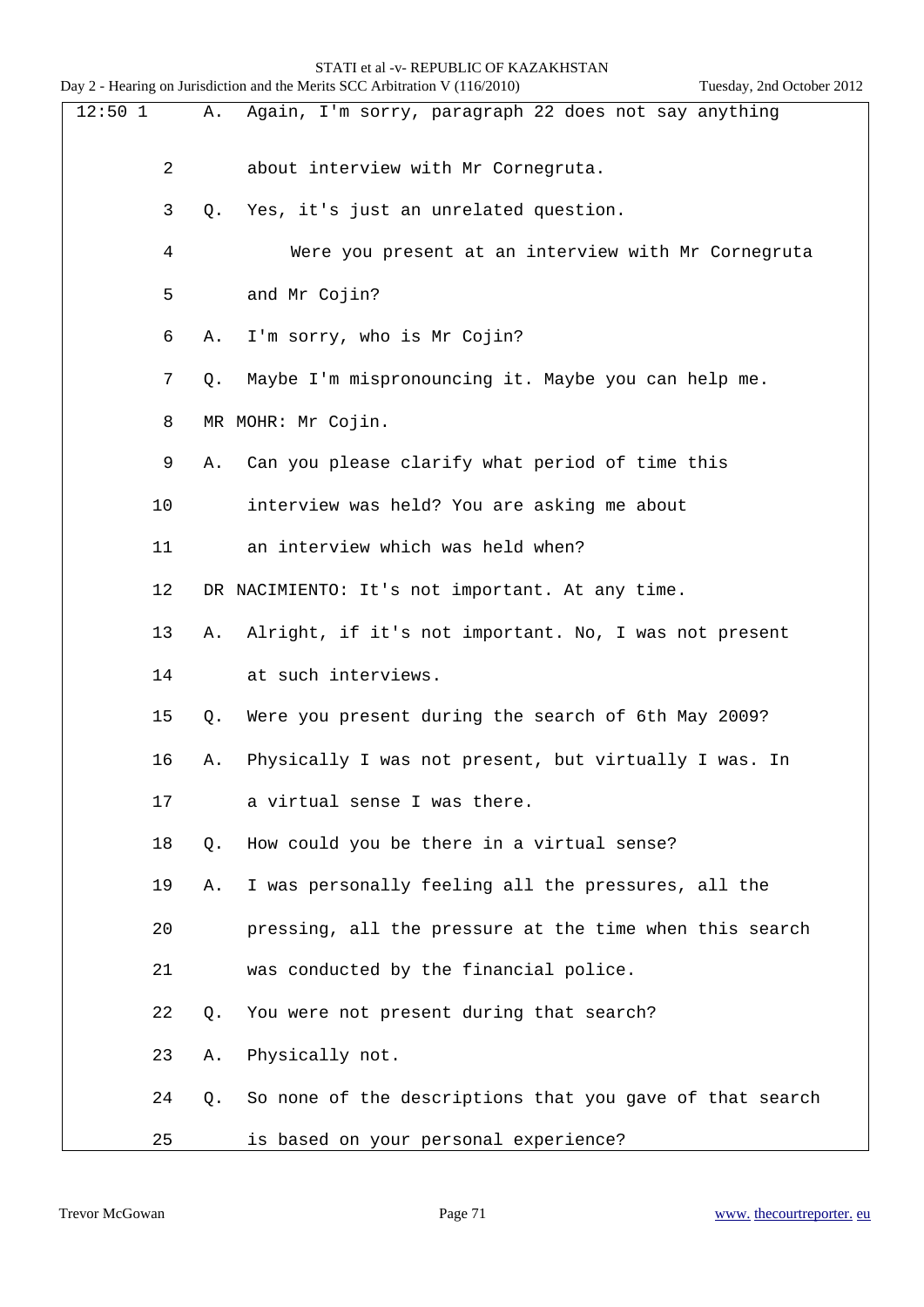| $12:50$ 1 | Again, I'm sorry, paragraph 22 does not say anything<br>Α.     |
|-----------|----------------------------------------------------------------|
| 2         | about interview with Mr Cornegruta.                            |
| 3         | Yes, it's just an unrelated question.<br>$\circ$ .             |
| 4         | Were you present at an interview with Mr Cornegruta            |
| 5         | and Mr Cojin?                                                  |
| 6         | I'm sorry, who is Mr Cojin?<br>Α.                              |
| 7         | Maybe I'm mispronouncing it. Maybe you can help me.<br>Q.      |
| 8         | MR MOHR: Mr Cojin.                                             |
| 9         | Can you please clarify what period of time this<br>Α.          |
| 10        | interview was held? You are asking me about                    |
| 11        | an interview which was held when?                              |
| 12        | DR NACIMIENTO: It's not important. At any time.                |
| 13        | Alright, if it's not important. No, I was not present<br>Α.    |
| 14        | at such interviews.                                            |
| 15        | Were you present during the search of 6th May 2009?<br>Q.      |
| 16        | Physically I was not present, but virtually I was. In<br>Α.    |
| 17        | a virtual sense I was there.                                   |
| 18        | How could you be there in a virtual sense?<br>Q.               |
| 19        | I was personally feeling all the pressures, all the<br>Α.      |
| 20        | pressing, all the pressure at the time when this search        |
| 21        | was conducted by the financial police.                         |
| 22        | You were not present during that search?<br>Q.                 |
| 23        | Physically not.<br>Α.                                          |
| 24        | So none of the descriptions that you gave of that search<br>Q. |
| 25        | is based on your personal experience?                          |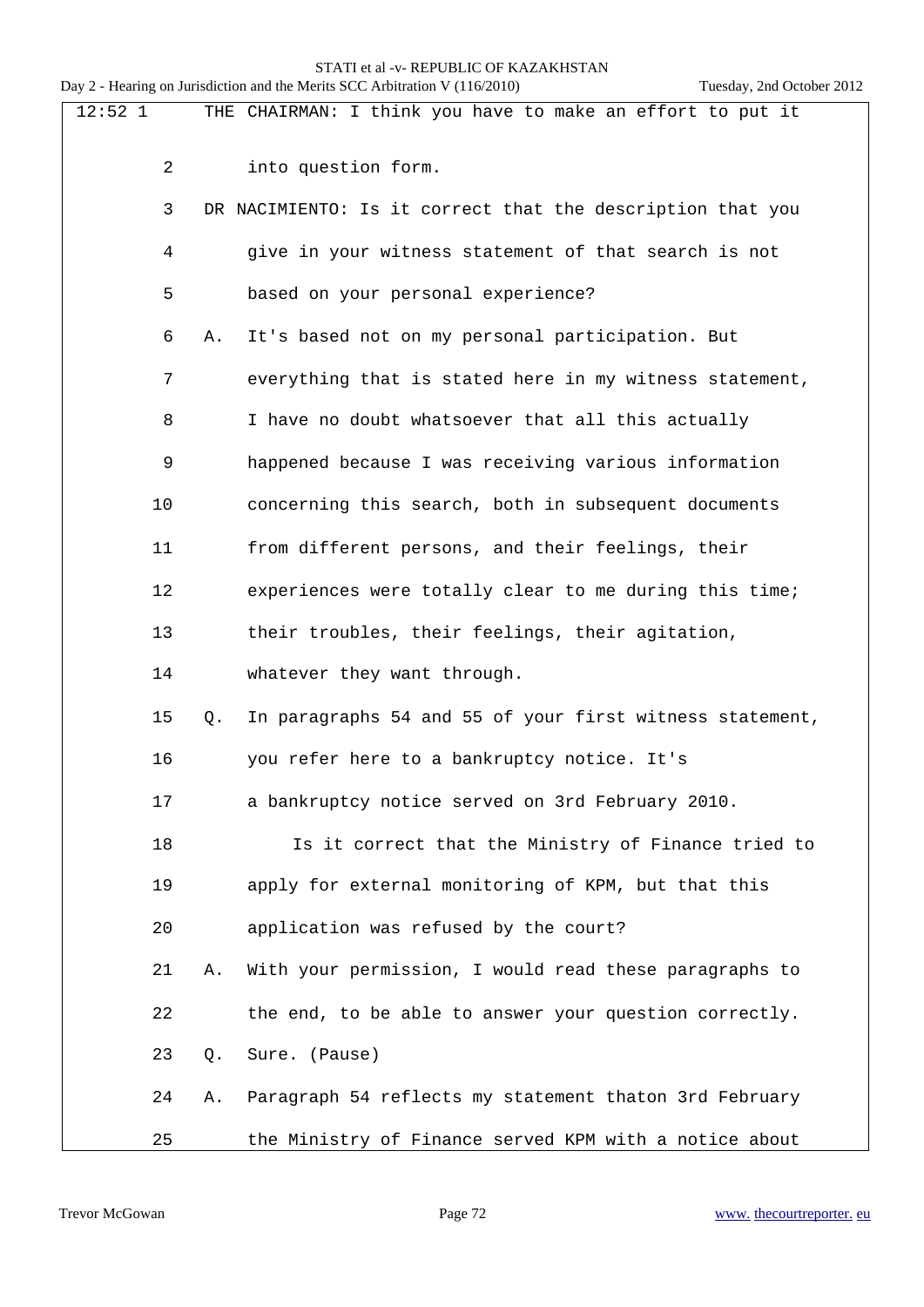| $12:52$ 1      |    | THE CHAIRMAN: I think you have to make an effort to put it |
|----------------|----|------------------------------------------------------------|
| $\overline{2}$ |    | into question form.                                        |
| 3              |    | DR NACIMIENTO: Is it correct that the description that you |
| 4              |    | give in your witness statement of that search is not       |
| 5              |    | based on your personal experience?                         |
| 6              | Α. | It's based not on my personal participation. But           |
| 7              |    | everything that is stated here in my witness statement,    |
| 8              |    | I have no doubt whatsoever that all this actually          |
| 9              |    | happened because I was receiving various information       |
| 10             |    | concerning this search, both in subsequent documents       |
| 11             |    | from different persons, and their feelings, their          |
| 12             |    | experiences were totally clear to me during this time;     |
| 13             |    | their troubles, their feelings, their agitation,           |
| 14             |    | whatever they want through.                                |
| 15             | Q. | In paragraphs 54 and 55 of your first witness statement,   |
| 16             |    | you refer here to a bankruptcy notice. It's                |
| 17             |    | a bankruptcy notice served on 3rd February 2010.           |
| 18             |    | Is it correct that the Ministry of Finance tried to        |
| 19             |    | apply for external monitoring of KPM, but that this        |
| 20             |    | application was refused by the court?                      |
| 21             | Α. | With your permission, I would read these paragraphs to     |
| 22             |    | the end, to be able to answer your question correctly.     |
| 23             | Q. | Sure. (Pause)                                              |
| 24             | Α. | Paragraph 54 reflects my statement thaton 3rd February     |
| 25             |    | the Ministry of Finance served KPM with a notice about     |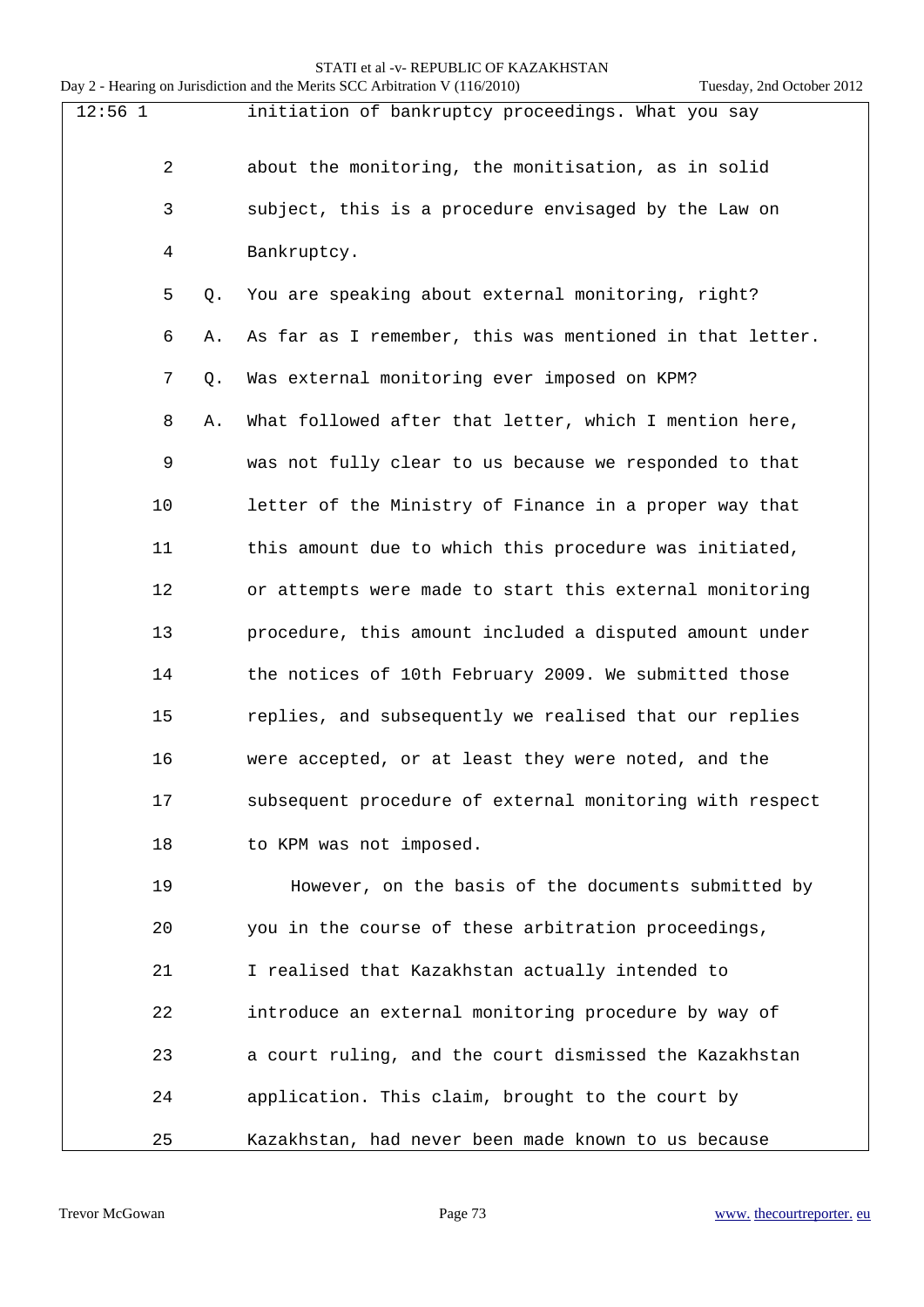| $12:56$ 1      |    | initiation of bankruptcy proceedings. What you say       |
|----------------|----|----------------------------------------------------------|
| $\overline{a}$ |    | about the monitoring, the monitisation, as in solid      |
| 3              |    | subject, this is a procedure envisaged by the Law on     |
|                |    |                                                          |
| 4              |    | Bankruptcy.                                              |
| 5              | Q. | You are speaking about external monitoring, right?       |
| 6              | Α. | As far as I remember, this was mentioned in that letter. |
| 7              | Q. | Was external monitoring ever imposed on KPM?             |
| 8              | Α. | What followed after that letter, which I mention here,   |
| 9              |    | was not fully clear to us because we responded to that   |
| 10             |    | letter of the Ministry of Finance in a proper way that   |
| 11             |    | this amount due to which this procedure was initiated,   |
| 12             |    | or attempts were made to start this external monitoring  |
| 13             |    | procedure, this amount included a disputed amount under  |
| 14             |    | the notices of 10th February 2009. We submitted those    |
| 15             |    | replies, and subsequently we realised that our replies   |
| 16             |    | were accepted, or at least they were noted, and the      |
| $17\,$         |    | subsequent procedure of external monitoring with respect |
| 18             |    | to KPM was not imposed.                                  |
| 19             |    | However, on the basis of the documents submitted by      |
| 20             |    | you in the course of these arbitration proceedings,      |
| 21             |    | I realised that Kazakhstan actually intended to          |
| 22             |    | introduce an external monitoring procedure by way of     |
| 23             |    | a court ruling, and the court dismissed the Kazakhstan   |
| 24             |    | application. This claim, brought to the court by         |
| 25             |    | Kazakhstan, had never been made known to us because      |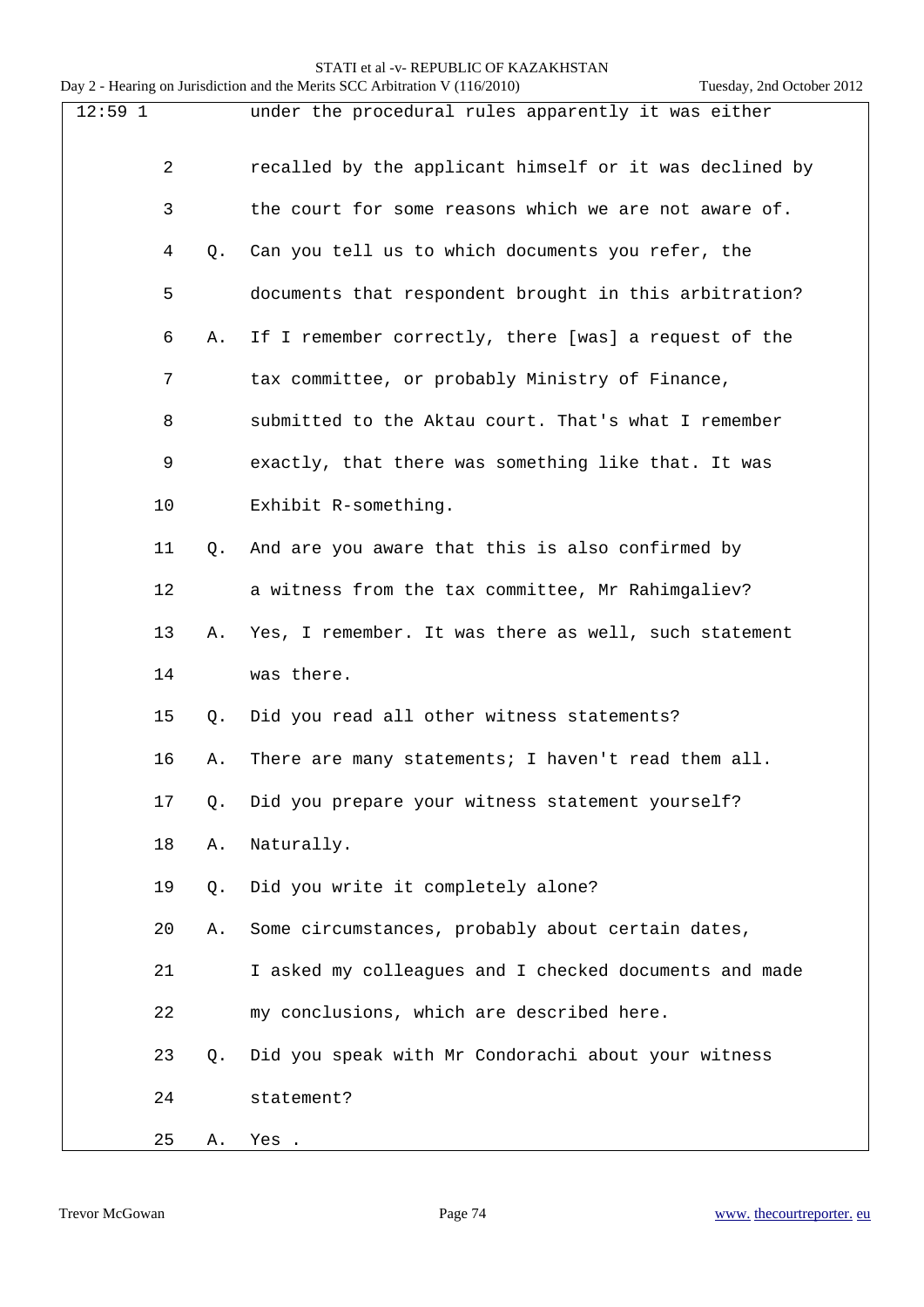| $12:59$ 1      |    | under the procedural rules apparently it was either     |
|----------------|----|---------------------------------------------------------|
| $\overline{2}$ |    | recalled by the applicant himself or it was declined by |
| 3              |    | the court for some reasons which we are not aware of.   |
| 4              | Q. | Can you tell us to which documents you refer, the       |
| 5              |    | documents that respondent brought in this arbitration?  |
| 6              | Α. | If I remember correctly, there [was] a request of the   |
| 7              |    | tax committee, or probably Ministry of Finance,         |
| 8              |    | submitted to the Aktau court. That's what I remember    |
| 9              |    | exactly, that there was something like that. It was     |
| 10             |    | Exhibit R-something.                                    |
| 11             | Q. | And are you aware that this is also confirmed by        |
| 12             |    | a witness from the tax committee, Mr Rahimgaliev?       |
| 13             | Α. | Yes, I remember. It was there as well, such statement   |
| 14             |    | was there.                                              |
| 15             | O. | Did you read all other witness statements?              |
| 16             | Α. | There are many statements; I haven't read them all.     |
| 17             | Q. | Did you prepare your witness statement yourself?        |
| 18             | Α. | Naturally.                                              |
| 19             | Q. | Did you write it completely alone?                      |
| 20             | Α. | Some circumstances, probably about certain dates,       |
| 21             |    | I asked my colleagues and I checked documents and made  |
| 22             |    | my conclusions, which are described here.               |
| 23             | Q. | Did you speak with Mr Condorachi about your witness     |
| 24             |    | statement?                                              |
| 25             | Α. | Yes .                                                   |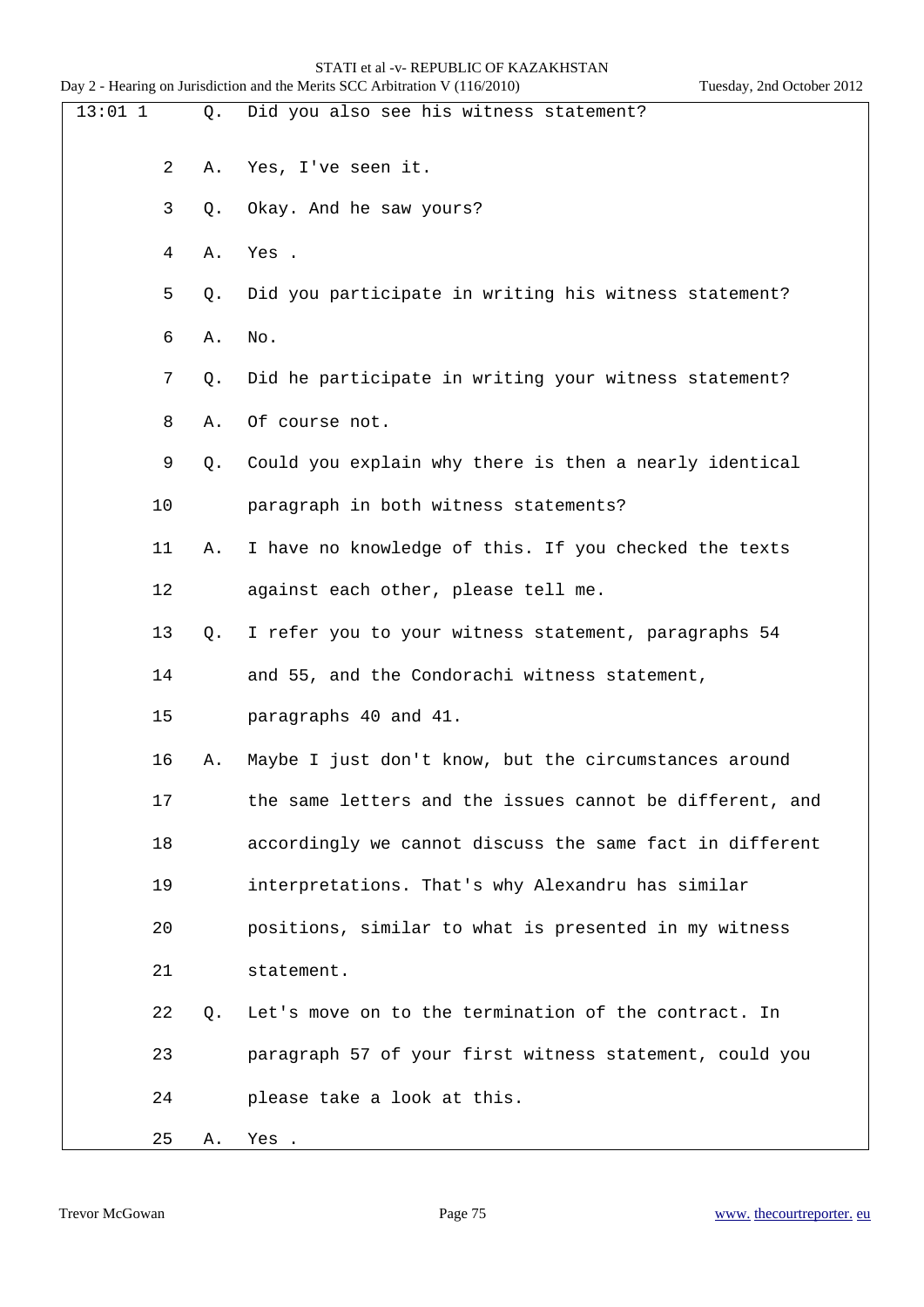| $13:01$ 1 |    | Q. Did you also see his witness statement?               |
|-----------|----|----------------------------------------------------------|
| 2         | Α. | Yes, I've seen it.                                       |
| 3         | Q. | Okay. And he saw yours?                                  |
| 4         | Α. | Yes .                                                    |
| 5         | Q. | Did you participate in writing his witness statement?    |
| 6         | Α. | No.                                                      |
| 7         | Q. | Did he participate in writing your witness statement?    |
| 8         | Α. | Of course not.                                           |
| 9         | Q. | Could you explain why there is then a nearly identical   |
| 10        |    | paragraph in both witness statements?                    |
| 11        | Α. | I have no knowledge of this. If you checked the texts    |
| 12        |    | against each other, please tell me.                      |
| 13        | Q. | I refer you to your witness statement, paragraphs 54     |
| 14        |    | and 55, and the Condorachi witness statement,            |
| 15        |    | paragraphs 40 and 41.                                    |
| 16        | Α. | Maybe I just don't know, but the circumstances around    |
| 17        |    | the same letters and the issues cannot be different, and |
| 18        |    | accordingly we cannot discuss the same fact in different |
| 19        |    | interpretations. That's why Alexandru has similar        |
| 20        |    | positions, similar to what is presented in my witness    |
| 21        |    | statement.                                               |
| 22        | Q. | Let's move on to the termination of the contract. In     |
| 23        |    | paragraph 57 of your first witness statement, could you  |
| 24        |    | please take a look at this.                              |
| 25        | Α. | Yes .                                                    |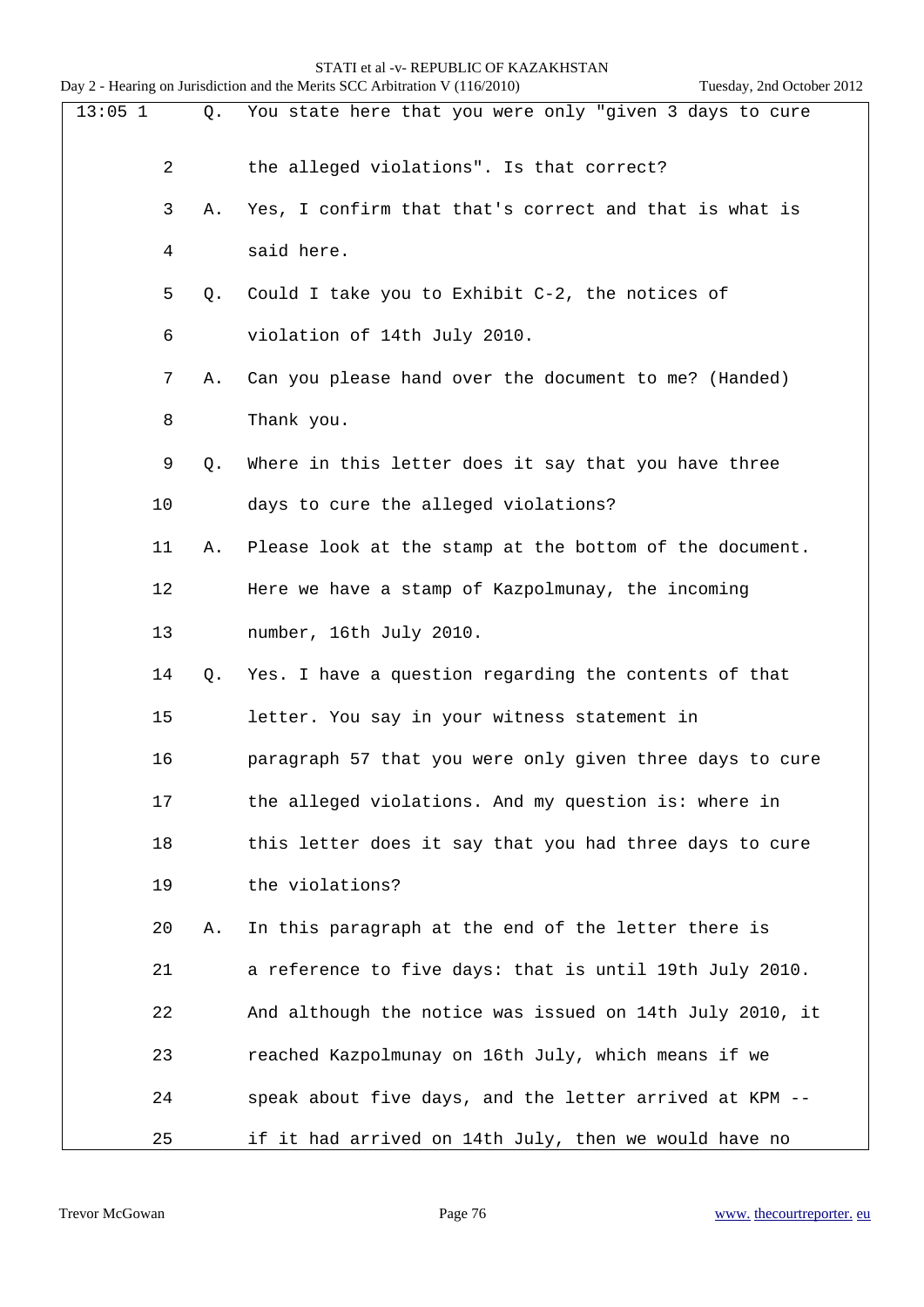| $13:05$ 1 | Q. | You state here that you were only "given 3 days to cure  |
|-----------|----|----------------------------------------------------------|
| 2         |    | the alleged violations". Is that correct?                |
| 3         | Α. | Yes, I confirm that that's correct and that is what is   |
| 4         |    | said here.                                               |
| 5         | Q. | Could I take you to Exhibit C-2, the notices of          |
| 6         |    | violation of 14th July 2010.                             |
| 7         | Α. | Can you please hand over the document to me? (Handed)    |
| 8         |    | Thank you.                                               |
| 9         | Q. | Where in this letter does it say that you have three     |
| 10        |    | days to cure the alleged violations?                     |
| 11        | Α. | Please look at the stamp at the bottom of the document.  |
| 12        |    | Here we have a stamp of Kazpolmunay, the incoming        |
| 13        |    | number, 16th July 2010.                                  |
| 14        | Q. | Yes. I have a question regarding the contents of that    |
| 15        |    | letter. You say in your witness statement in             |
| 16        |    | paragraph 57 that you were only given three days to cure |
| 17        |    | the alleged violations. And my question is: where in     |
| 18        |    | this letter does it say that you had three days to cure  |
| 19        |    | the violations?                                          |
| 20        | Α. | In this paragraph at the end of the letter there is      |
| 21        |    | a reference to five days: that is until 19th July 2010.  |
| 22        |    | And although the notice was issued on 14th July 2010, it |
| 23        |    | reached Kazpolmunay on 16th July, which means if we      |
| 24        |    | speak about five days, and the letter arrived at KPM --  |
| 25        |    | if it had arrived on 14th July, then we would have no    |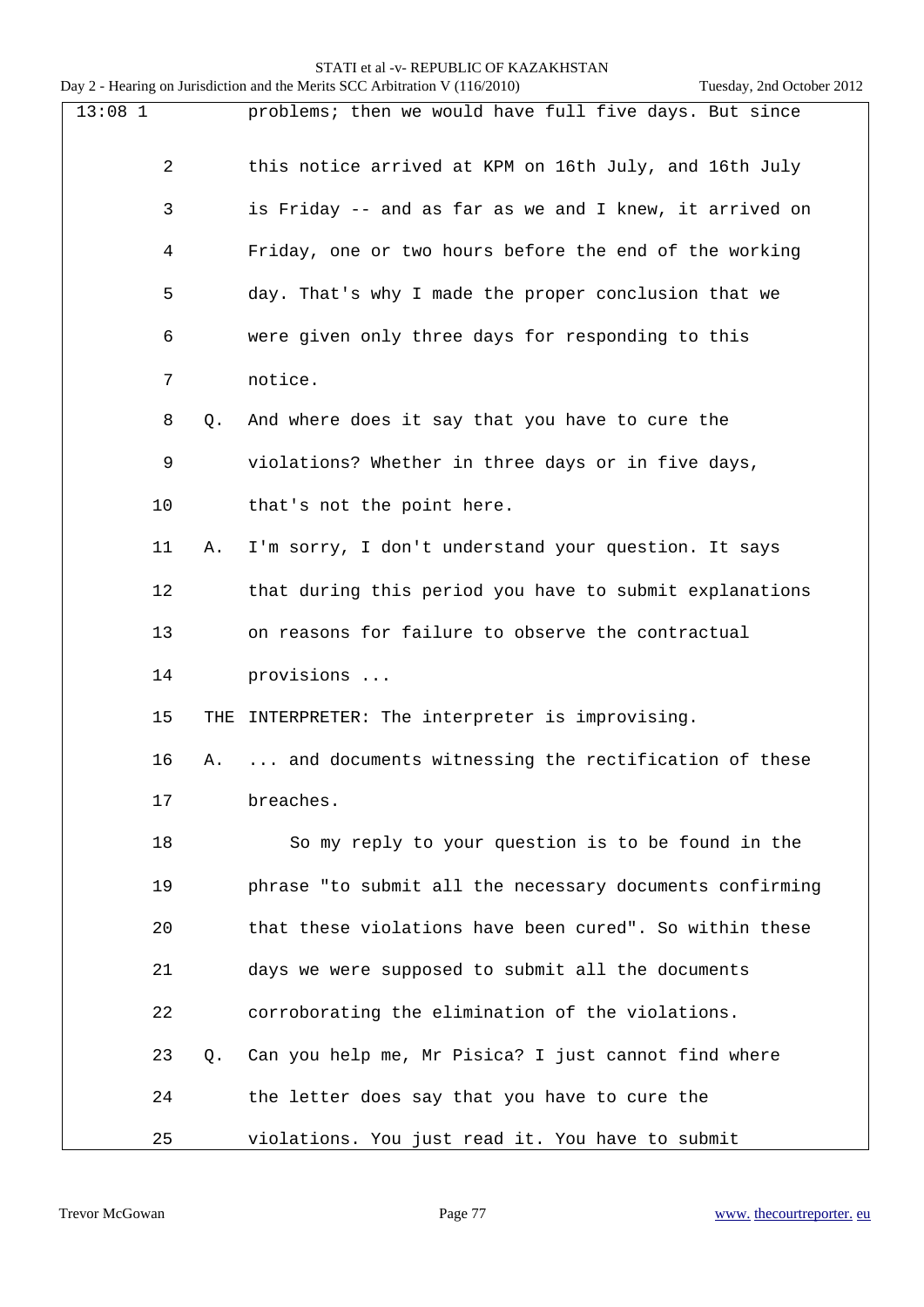| $13:08$ 1 |    | problems; then we would have full five days. But since   |
|-----------|----|----------------------------------------------------------|
| 2         |    | this notice arrived at KPM on 16th July, and 16th July   |
| 3         |    | is Friday -- and as far as we and I knew, it arrived on  |
| 4         |    | Friday, one or two hours before the end of the working   |
| 5         |    | day. That's why I made the proper conclusion that we     |
| 6         |    | were given only three days for responding to this        |
| 7         |    | notice.                                                  |
| 8         | Q. | And where does it say that you have to cure the          |
| 9         |    | violations? Whether in three days or in five days,       |
| 10        |    | that's not the point here.                               |
| 11        | Α. | I'm sorry, I don't understand your question. It says     |
| 12        |    | that during this period you have to submit explanations  |
| 13        |    | on reasons for failure to observe the contractual        |
| 14        |    | provisions                                               |
| 15        |    | THE INTERPRETER: The interpreter is improvising.         |
| 16        | Α. | and documents witnessing the rectification of these      |
| 17        |    | breaches.                                                |
| 18        |    | So my reply to your question is to be found in the       |
| 19        |    | phrase "to submit all the necessary documents confirming |
| 20        |    | that these violations have been cured". So within these  |
| 21        |    | days we were supposed to submit all the documents        |
| 22        |    | corroborating the elimination of the violations.         |
| 23        | Q. | Can you help me, Mr Pisica? I just cannot find where     |
| 24        |    | the letter does say that you have to cure the            |
| 25        |    | violations. You just read it. You have to submit         |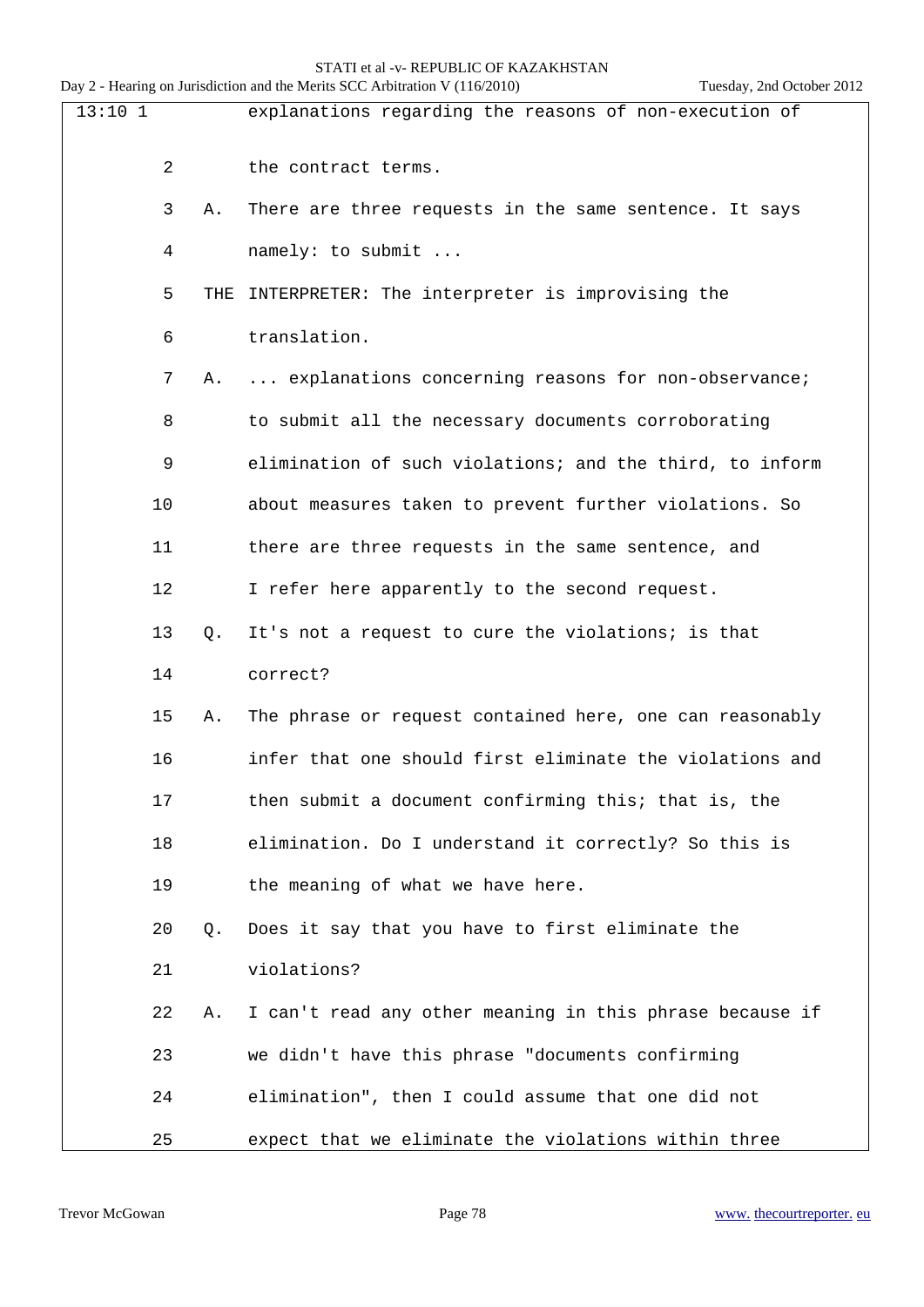| $13:10$ 1 |         | explanations regarding the reasons of non-execution of   |
|-----------|---------|----------------------------------------------------------|
|           | 2       | the contract terms.                                      |
|           | 3<br>Α. | There are three requests in the same sentence. It says   |
|           | 4       | namely: to submit                                        |
|           | 5       | THE INTERPRETER: The interpreter is improvising the      |
|           | 6       | translation.                                             |
|           | 7<br>Α. | explanations concerning reasons for non-observance;      |
|           | 8       | to submit all the necessary documents corroborating      |
|           | 9       | elimination of such violations; and the third, to inform |
| 10        |         | about measures taken to prevent further violations. So   |
| 11        |         | there are three requests in the same sentence, and       |
| 12        |         | I refer here apparently to the second request.           |
| 13        | Q.      | It's not a request to cure the violations; is that       |
| 14        |         | correct?                                                 |
| 15        | Α.      | The phrase or request contained here, one can reasonably |
| 16        |         | infer that one should first eliminate the violations and |
| 17        |         | then submit a document confirming this; that is, the     |
| 18        |         | elimination. Do I understand it correctly? So this is    |
| 19        |         | the meaning of what we have here.                        |
| 20        | Q.      | Does it say that you have to first eliminate the         |
| 21        |         | violations?                                              |
| 22        | Α.      | I can't read any other meaning in this phrase because if |
| 23        |         | we didn't have this phrase "documents confirming         |
| 24        |         | elimination", then I could assume that one did not       |
| 25        |         | expect that we eliminate the violations within three     |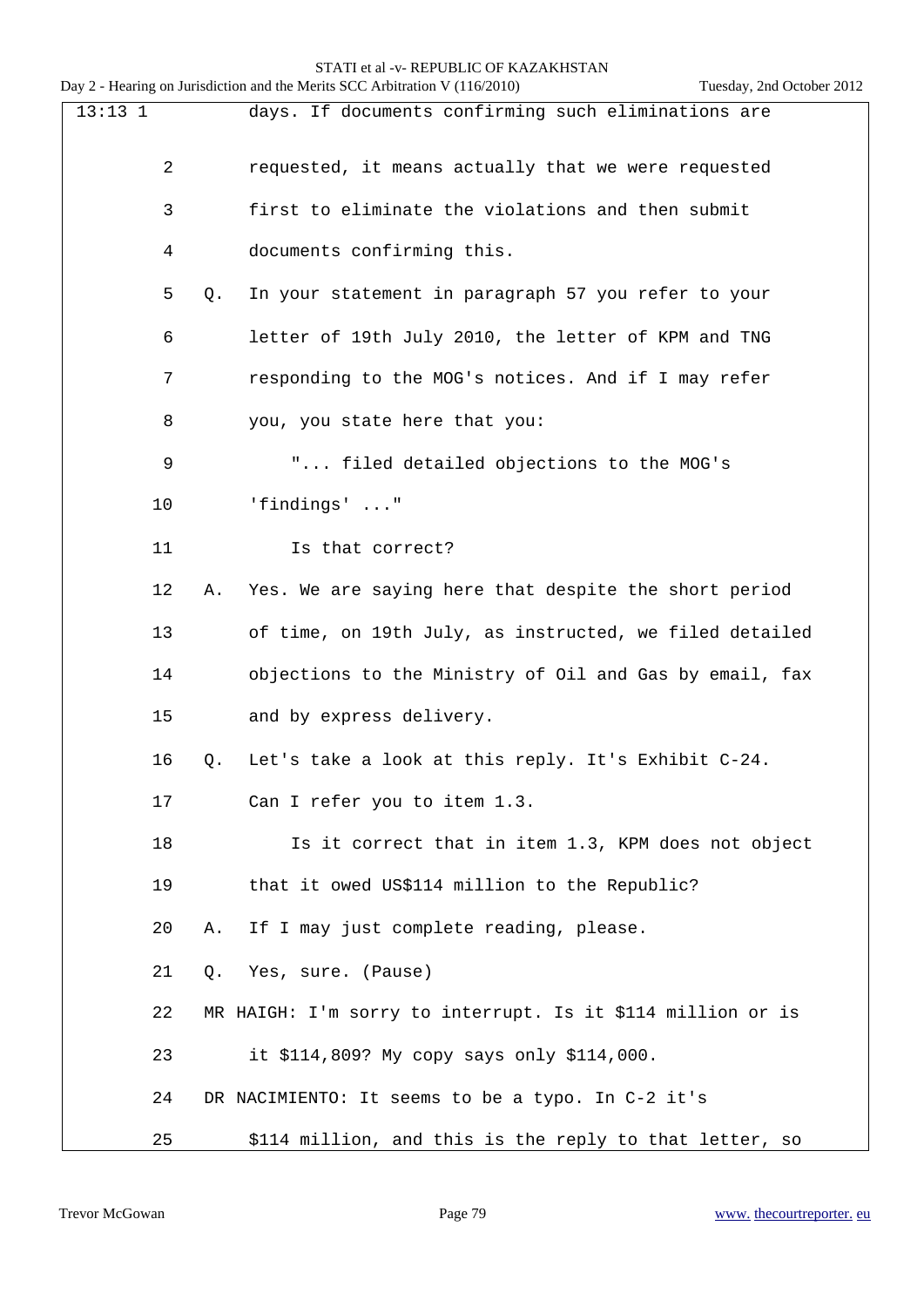| $13:13$ 1      | days. If documents confirming such eliminations are         |
|----------------|-------------------------------------------------------------|
|                |                                                             |
| $\overline{2}$ | requested, it means actually that we were requested         |
| 3              | first to eliminate the violations and then submit           |
| 4              | documents confirming this.                                  |
| 5              | In your statement in paragraph 57 you refer to your<br>Q.   |
| 6              | letter of 19th July 2010, the letter of KPM and TNG         |
| 7              | responding to the MOG's notices. And if I may refer         |
| 8              | you, you state here that you:                               |
| 9              | " filed detailed objections to the MOG's                    |
| 10             | 'findings' "                                                |
| 11             | Is that correct?                                            |
| 12             | Yes. We are saying here that despite the short period<br>Α. |
| 13             | of time, on 19th July, as instructed, we filed detailed     |
| 14             | objections to the Ministry of Oil and Gas by email, fax     |
| 15             | and by express delivery.                                    |
| 16             | Let's take a look at this reply. It's Exhibit C-24.<br>Q.   |
| 17             | Can I refer you to item 1.3.                                |
| 18             | Is it correct that in item 1.3, KPM does not object         |
| 19             | that it owed US\$114 million to the Republic?               |
| 20             | If I may just complete reading, please.<br>Α.               |
| 21             | Yes, sure. (Pause)<br>Q.                                    |
| 22             | MR HAIGH: I'm sorry to interrupt. Is it \$114 million or is |
| 23             | it \$114,809? My copy says only \$114,000.                  |
| 24             | DR NACIMIENTO: It seems to be a typo. In C-2 it's           |
| 25             | \$114 million, and this is the reply to that letter, so     |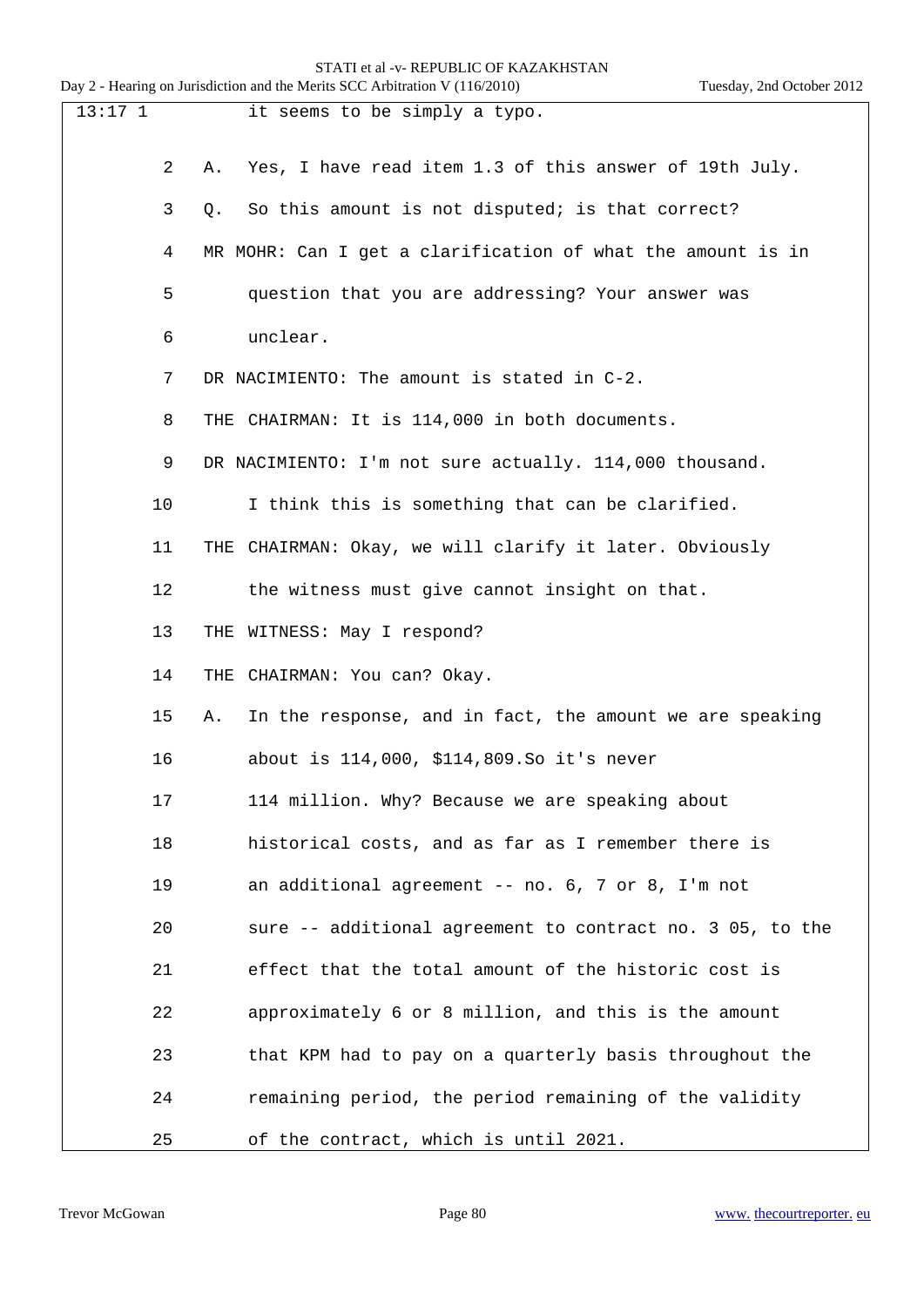| $13:17$ 1 | it seems to be simply a typo.                                  |
|-----------|----------------------------------------------------------------|
| 2         | Yes, I have read item 1.3 of this answer of 19th July.<br>Α.   |
| 3         | So this amount is not disputed; is that correct?<br>Q.         |
| 4         | MR MOHR: Can I get a clarification of what the amount is in    |
| 5         | question that you are addressing? Your answer was              |
| 6         | unclear.                                                       |
| 7         | DR NACIMIENTO: The amount is stated in C-2.                    |
| 8         | THE CHAIRMAN: It is 114,000 in both documents.                 |
| 9         | DR NACIMIENTO: I'm not sure actually. 114,000 thousand.        |
| 10        | I think this is something that can be clarified.               |
| 11        | THE CHAIRMAN: Okay, we will clarify it later. Obviously        |
| 12        | the witness must give cannot insight on that.                  |
| 13        | THE WITNESS: May I respond?                                    |
| 14        | THE CHAIRMAN: You can? Okay.                                   |
| 15        | In the response, and in fact, the amount we are speaking<br>Α. |
| 16        | about is 114,000, \$114,809. So it's never                     |
| 17        | 114 million. Why? Because we are speaking about                |
| 18        | historical costs, and as far as I remember there is            |
| 19        | an additional agreement -- no. 6, 7 or 8, I'm not              |
| 20        | sure -- additional agreement to contract no. 3 05, to the      |
| 21        | effect that the total amount of the historic cost is           |
| 22        | approximately 6 or 8 million, and this is the amount           |
| 23        | that KPM had to pay on a quarterly basis throughout the        |
| 24        | remaining period, the period remaining of the validity         |
| 25        | of the contract, which is until 2021.                          |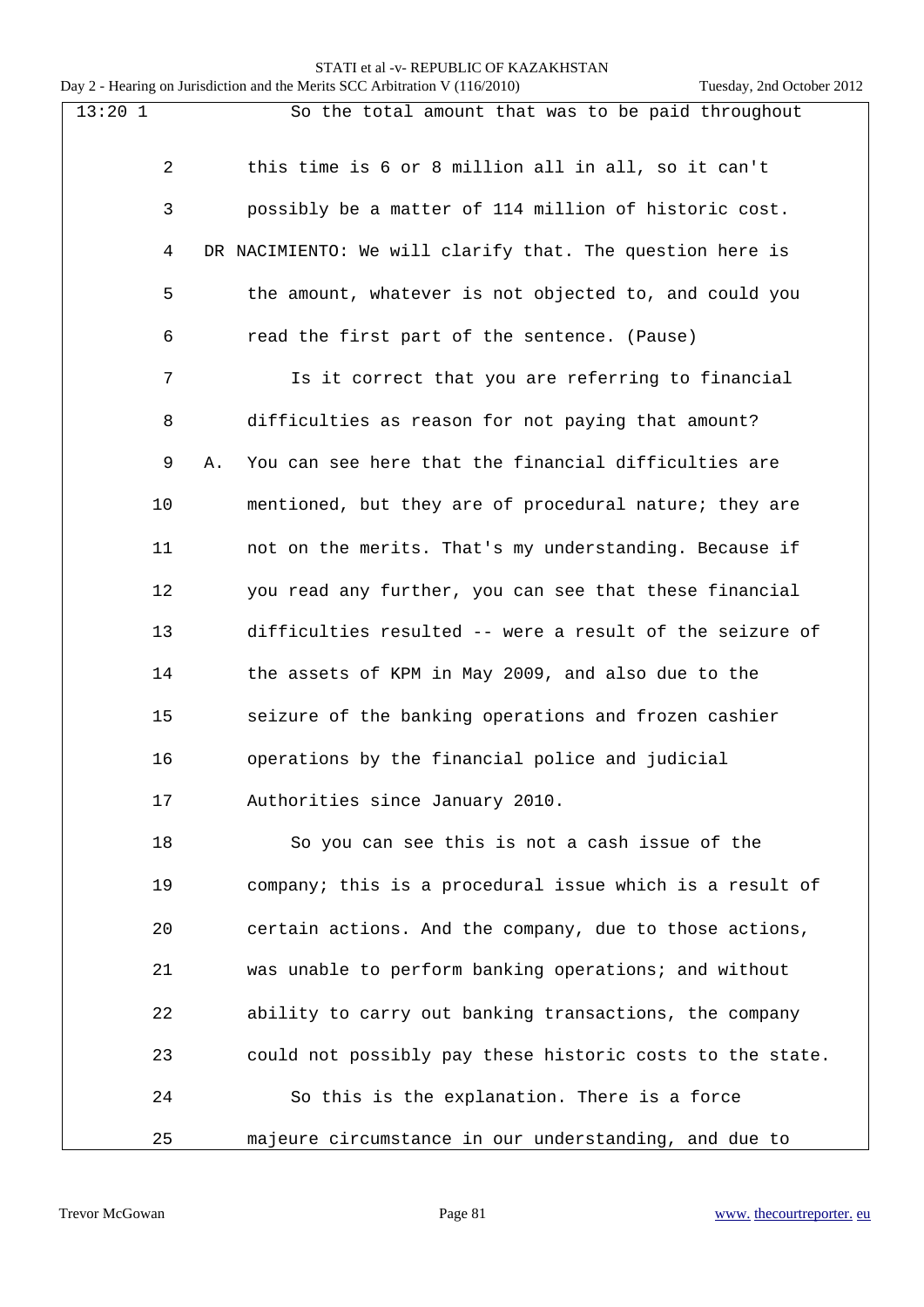| 13:201 | So the total amount that was to be paid throughout         |
|--------|------------------------------------------------------------|
| 2      | this time is 6 or 8 million all in all, so it can't        |
| 3      | possibly be a matter of 114 million of historic cost.      |
| 4      | DR NACIMIENTO: We will clarify that. The question here is  |
| 5      | the amount, whatever is not objected to, and could you     |
| 6      | read the first part of the sentence. (Pause)               |
| 7      | Is it correct that you are referring to financial          |
| 8      | difficulties as reason for not paying that amount?         |
| 9      | You can see here that the financial difficulties are<br>Α. |
| 10     | mentioned, but they are of procedural nature; they are     |
| 11     | not on the merits. That's my understanding. Because if     |
| 12     | you read any further, you can see that these financial     |
| 13     | difficulties resulted -- were a result of the seizure of   |
| 14     | the assets of KPM in May 2009, and also due to the         |
| 15     | seizure of the banking operations and frozen cashier       |
| 16     | operations by the financial police and judicial            |
| 17     | Authorities since January 2010.                            |
| 18     | So you can see this is not a cash issue of the             |
| 19     | company; this is a procedural issue which is a result of   |
| 20     | certain actions. And the company, due to those actions,    |
| 21     | was unable to perform banking operations; and without      |
| 22     | ability to carry out banking transactions, the company     |
| 23     | could not possibly pay these historic costs to the state.  |
| 24     | So this is the explanation. There is a force               |
| 25     | majeure circumstance in our understanding, and due to      |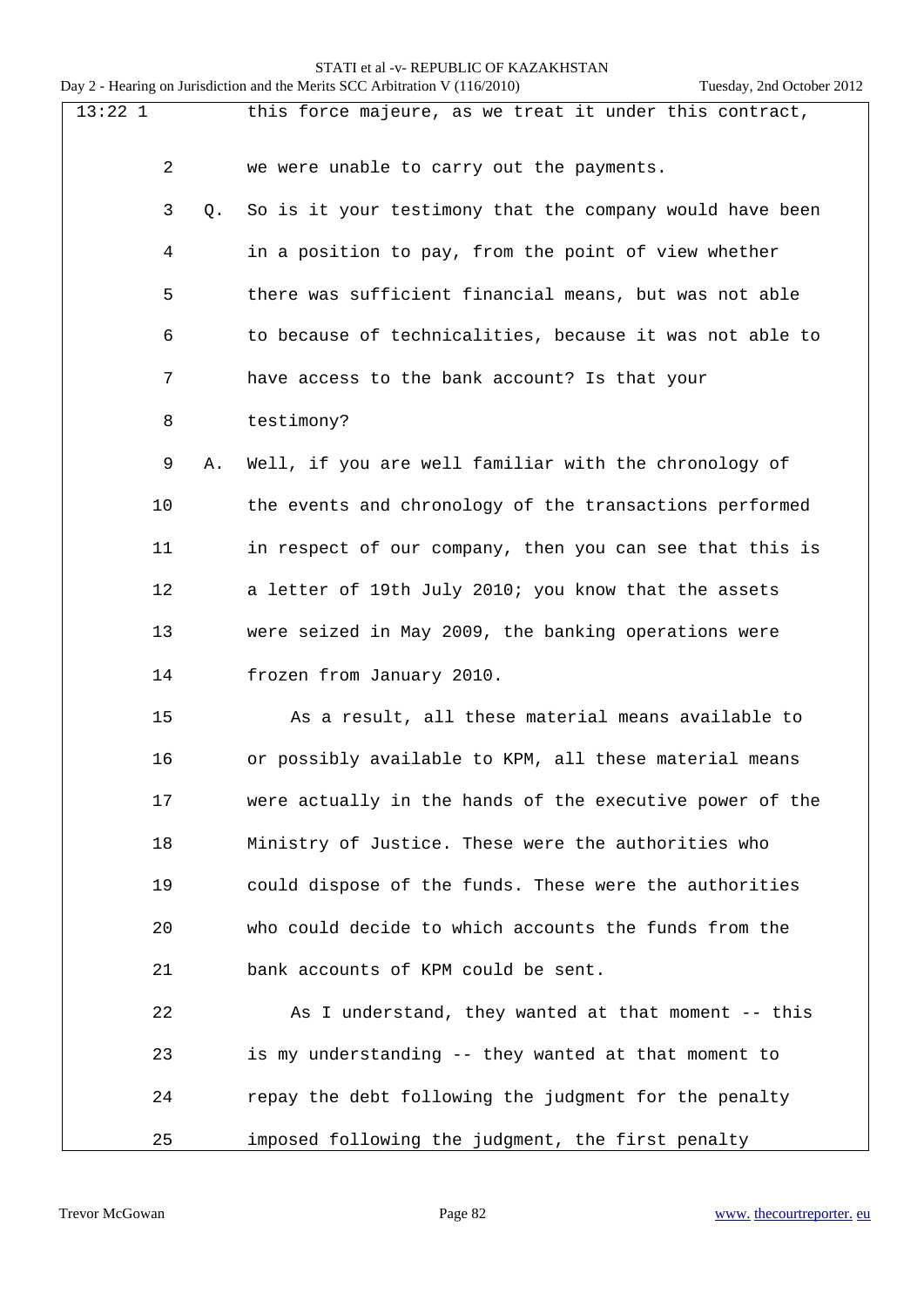| $13:22$ 1 |    | this force majeure, as we treat it under this contract,  |
|-----------|----|----------------------------------------------------------|
| 2         |    | we were unable to carry out the payments.                |
| 3         | Q. | So is it your testimony that the company would have been |
| 4         |    | in a position to pay, from the point of view whether     |
| 5         |    | there was sufficient financial means, but was not able   |
| 6         |    | to because of technicalities, because it was not able to |
| 7         |    | have access to the bank account? Is that your            |
| 8         |    | testimony?                                               |
| 9         | Α. | Well, if you are well familiar with the chronology of    |
| 10        |    | the events and chronology of the transactions performed  |
| 11        |    | in respect of our company, then you can see that this is |
| 12        |    | a letter of 19th July 2010; you know that the assets     |
| 13        |    | were seized in May 2009, the banking operations were     |
| 14        |    | frozen from January 2010.                                |
| 15        |    | As a result, all these material means available to       |
| 16        |    | or possibly available to KPM, all these material means   |
| 17        |    | were actually in the hands of the executive power of the |
| 18        |    | Ministry of Justice. These were the authorities who      |
| 19        |    | could dispose of the funds. These were the authorities   |
| 20        |    | who could decide to which accounts the funds from the    |
| 21        |    | bank accounts of KPM could be sent.                      |
| 22        |    | As I understand, they wanted at that moment -- this      |
| 23        |    | is my understanding -- they wanted at that moment to     |
| 24        |    | repay the debt following the judgment for the penalty    |
| 25        |    | imposed following the judgment, the first penalty        |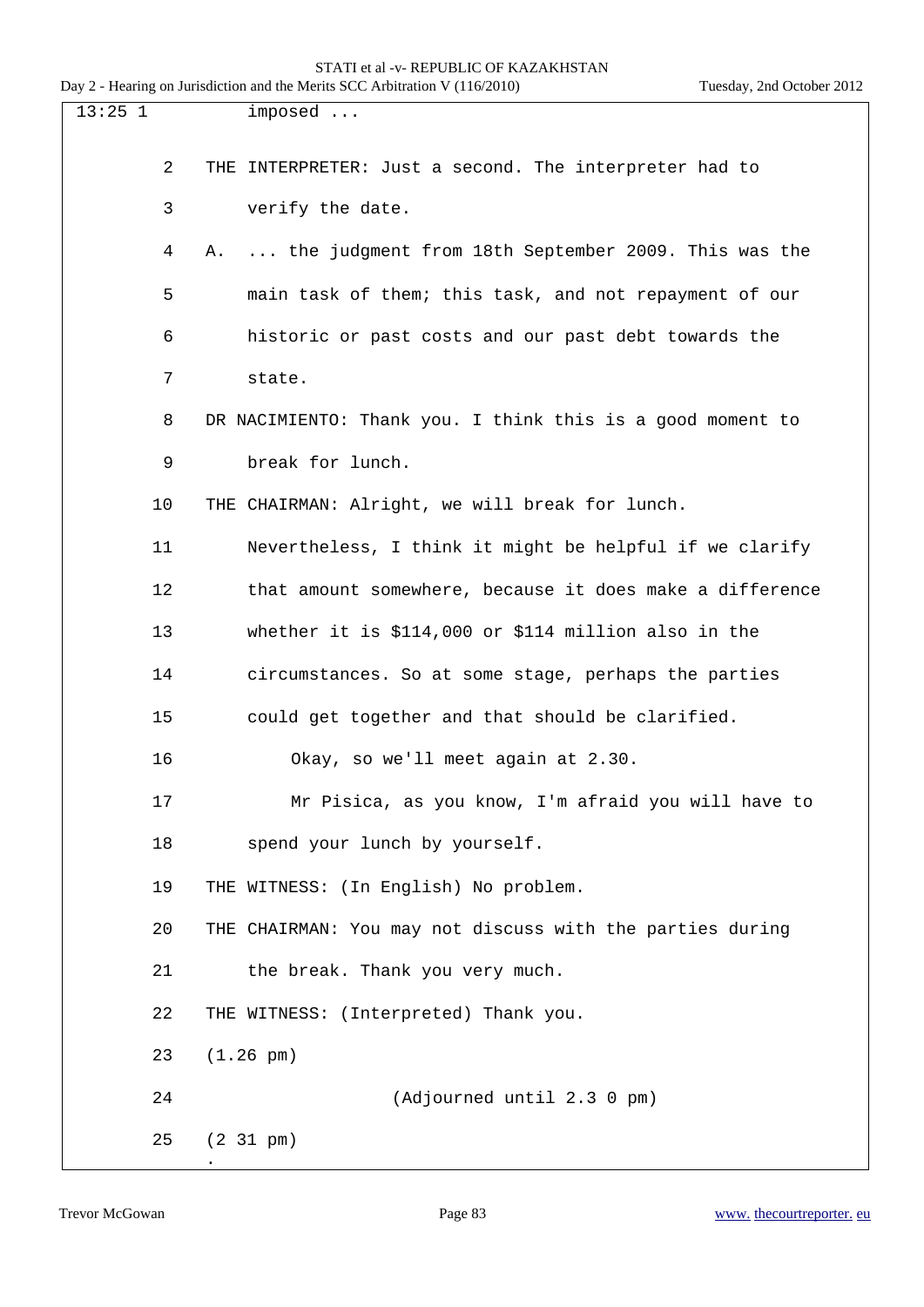| $13:25$ 1 | imposed                                                    |
|-----------|------------------------------------------------------------|
| 2         | THE INTERPRETER: Just a second. The interpreter had to     |
| 3         | verify the date.                                           |
| 4         | the judgment from 18th September 2009. This was the<br>Α.  |
| 5         | main task of them; this task, and not repayment of our     |
| 6         | historic or past costs and our past debt towards the       |
| 7         | state.                                                     |
| 8         | DR NACIMIENTO: Thank you. I think this is a good moment to |
| 9         | break for lunch.                                           |
| 10        | THE CHAIRMAN: Alright, we will break for lunch.            |
| 11        | Nevertheless, I think it might be helpful if we clarify    |
| 12        | that amount somewhere, because it does make a difference   |
| 13        | whether it is \$114,000 or \$114 million also in the       |
| 14        | circumstances. So at some stage, perhaps the parties       |
| 15        | could get together and that should be clarified.           |
| 16        | Okay, so we'll meet again at 2.30.                         |
| 17        | Mr Pisica, as you know, I'm afraid you will have to        |
| 18        | spend your lunch by yourself.                              |
| 19        | THE WITNESS: (In English) No problem.                      |
| 20        | THE CHAIRMAN: You may not discuss with the parties during  |
| 21        | the break. Thank you very much.                            |
| 22        | THE WITNESS: (Interpreted) Thank you.                      |
| 23        | $(1.26 \text{ pm})$                                        |
| 24        | (Adjourned until 2.3 0 pm)                                 |
| 25        | (2 31 pm)                                                  |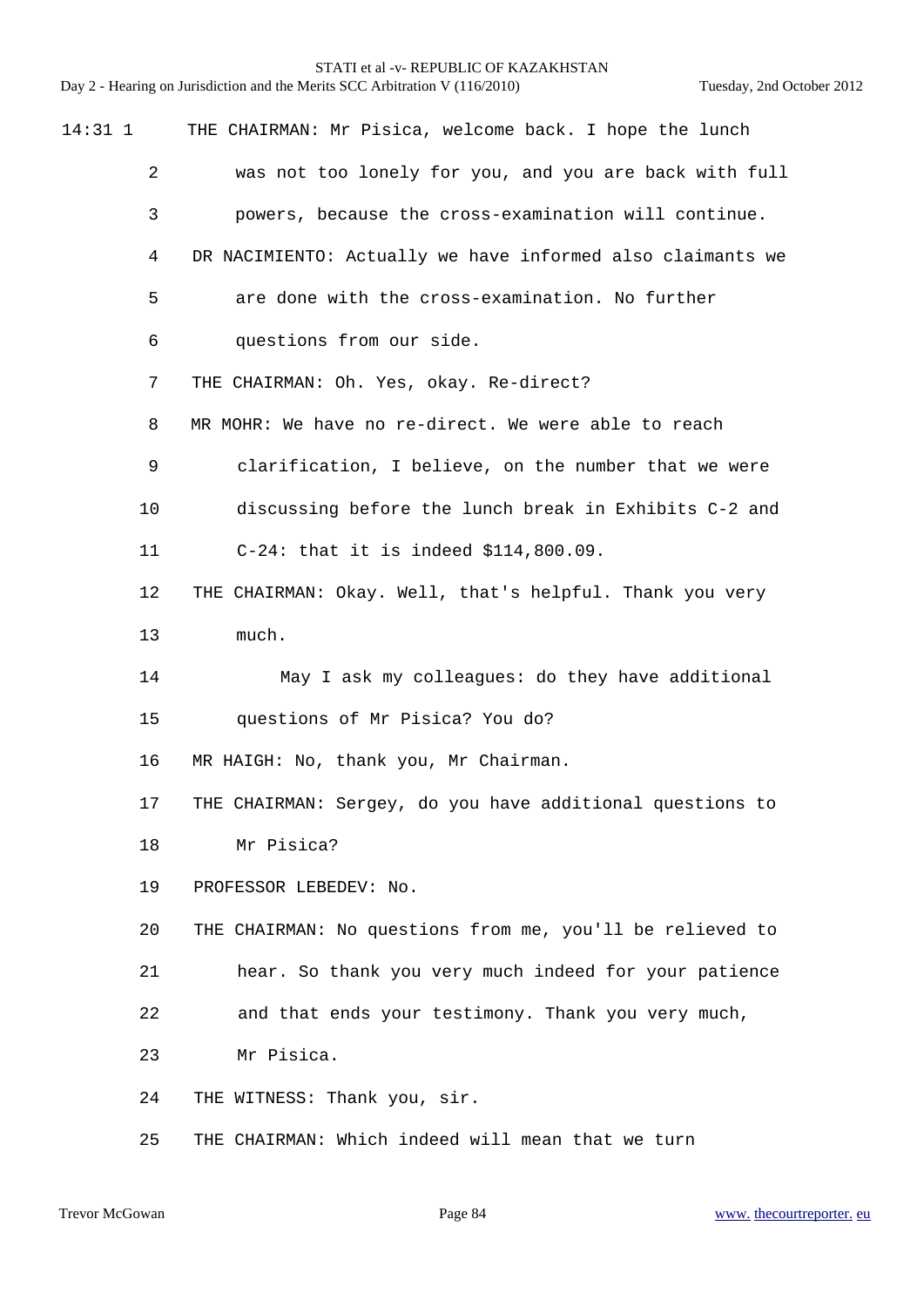STATI et al -v- REPUBLIC OF KAZAKHSTAN Day 2 - Hearing on Jurisdiction and the Merits SCC Arbitration V (116/2010) Tuesday, 2nd October 2012

| 14:31 1        | THE CHAIRMAN: Mr Pisica, welcome back. I hope the lunch    |
|----------------|------------------------------------------------------------|
| $\overline{2}$ | was not too lonely for you, and you are back with full     |
| 3              | powers, because the cross-examination will continue.       |
| 4              | DR NACIMIENTO: Actually we have informed also claimants we |
| 5              | are done with the cross-examination. No further            |
| 6              | questions from our side.                                   |
| 7              | THE CHAIRMAN: Oh. Yes, okay. Re-direct?                    |
| 8              | MR MOHR: We have no re-direct. We were able to reach       |
| 9              | clarification, I believe, on the number that we were       |
| 10             | discussing before the lunch break in Exhibits C-2 and      |
| 11             | $C-24$ : that it is indeed \$114,800.09.                   |
| 12             | THE CHAIRMAN: Okay. Well, that's helpful. Thank you very   |
| 13             | much.                                                      |
| 14             | May I ask my colleagues: do they have additional           |
| 15             | questions of Mr Pisica? You do?                            |
| 16             | MR HAIGH: No, thank you, Mr Chairman.                      |
| 17             | THE CHAIRMAN: Sergey, do you have additional questions to  |
| 18             | Mr Pisica?                                                 |
| 19             | PROFESSOR LEBEDEV: No.                                     |
| 20             | THE CHAIRMAN: No questions from me, you'll be relieved to  |
| 21             | hear. So thank you very much indeed for your patience      |
| 22             | and that ends your testimony. Thank you very much,         |
| 23             | Mr Pisica.                                                 |
| 24             | THE WITNESS: Thank you, sir.                               |
| 25             | THE CHAIRMAN: Which indeed will mean that we turn          |
|                |                                                            |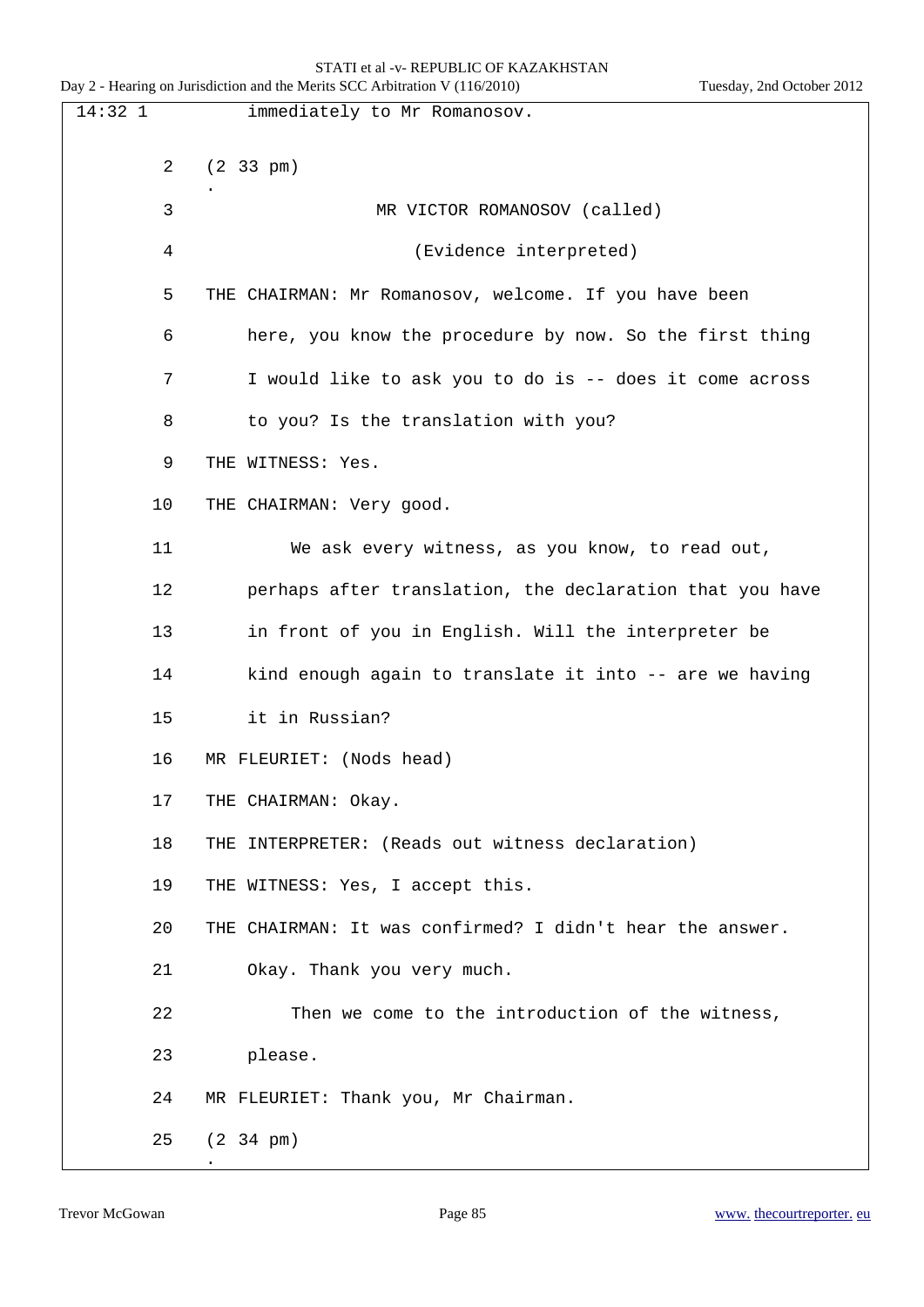| $14:32$ 1 | immediately to Mr Romanosov.                              |
|-----------|-----------------------------------------------------------|
| 2         | $(2\;33\;pm)$                                             |
| 3         | MR VICTOR ROMANOSOV (called)                              |
| 4         | (Evidence interpreted)                                    |
| 5         | THE CHAIRMAN: Mr Romanosov, welcome. If you have been     |
| 6         | here, you know the procedure by now. So the first thing   |
| 7         | I would like to ask you to do is -- does it come across   |
| 8         | to you? Is the translation with you?                      |
| 9         | THE WITNESS: Yes.                                         |
| 10        | THE CHAIRMAN: Very good.                                  |
| 11        | We ask every witness, as you know, to read out,           |
| 12        | perhaps after translation, the declaration that you have  |
| 13        | in front of you in English. Will the interpreter be       |
| 14        | kind enough again to translate it into -- are we having   |
| 15        | it in Russian?                                            |
| 16        | MR FLEURIET: (Nods head)                                  |
| 17        | THE CHAIRMAN: Okay.                                       |
| 18        | THE INTERPRETER: (Reads out witness declaration)          |
| 19        | THE WITNESS: Yes, I accept this.                          |
| 20        | THE CHAIRMAN: It was confirmed? I didn't hear the answer. |
| 21        | Okay. Thank you very much.                                |
| 22        | Then we come to the introduction of the witness,          |
| 23        | please.                                                   |
| 24        | MR FLEURIET: Thank you, Mr Chairman.                      |
| 25        | (2 34 pm)                                                 |
|           |                                                           |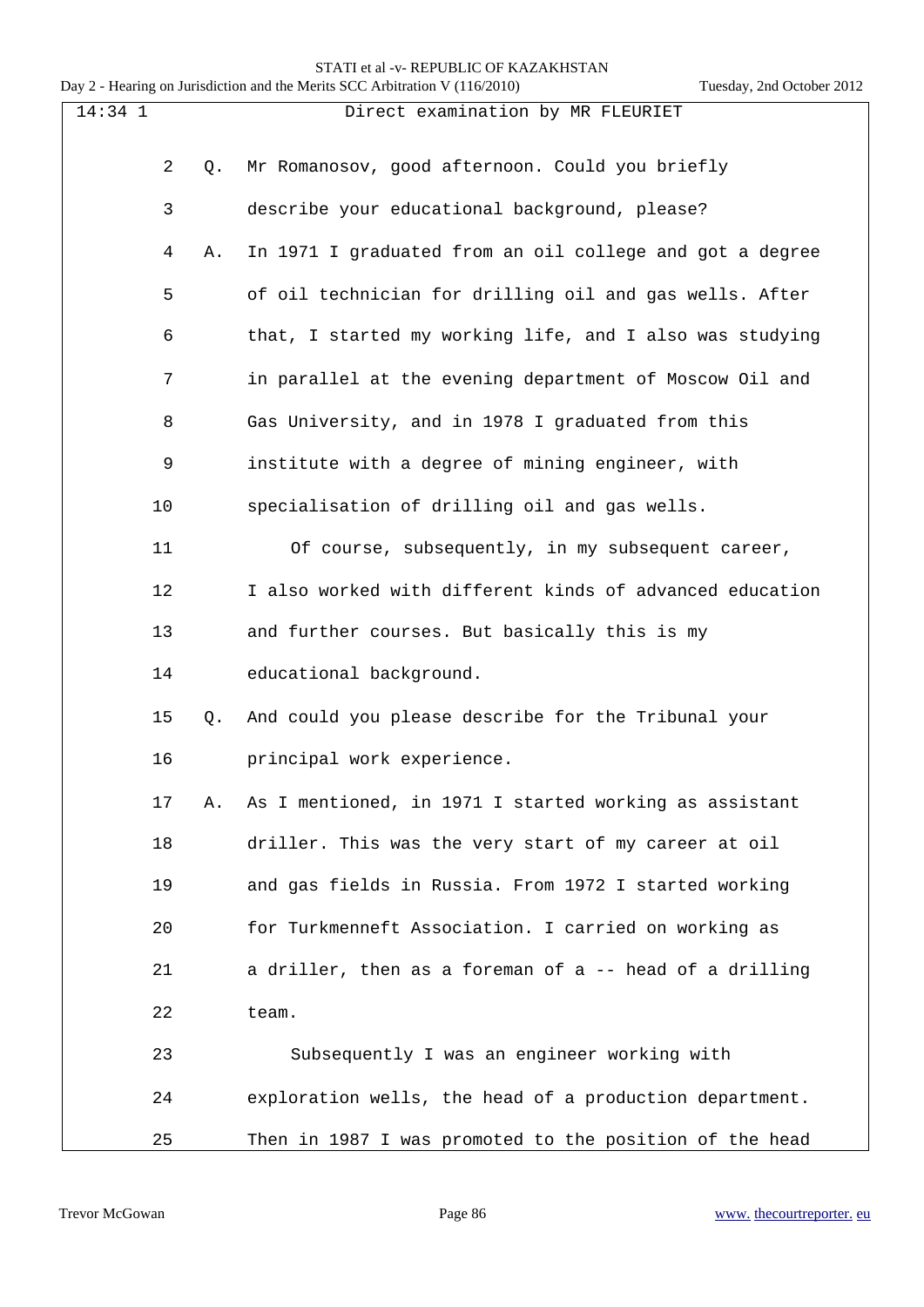| $14:34$ 1 |    |    | Direct examination by MR FLEURIET                        |  |
|-----------|----|----|----------------------------------------------------------|--|
|           | 2  | Q. | Mr Romanosov, good afternoon. Could you briefly          |  |
|           | 3  |    | describe your educational background, please?            |  |
|           | 4  | Α. | In 1971 I graduated from an oil college and got a degree |  |
|           | 5  |    | of oil technician for drilling oil and gas wells. After  |  |
|           | 6  |    | that, I started my working life, and I also was studying |  |
|           | 7  |    | in parallel at the evening department of Moscow Oil and  |  |
|           | 8  |    | Gas University, and in 1978 I graduated from this        |  |
|           | 9  |    | institute with a degree of mining engineer, with         |  |
|           | 10 |    | specialisation of drilling oil and gas wells.            |  |
|           | 11 |    | Of course, subsequently, in my subsequent career,        |  |
|           | 12 |    | I also worked with different kinds of advanced education |  |
|           | 13 |    | and further courses. But basically this is my            |  |
|           | 14 |    | educational background.                                  |  |
|           | 15 | Q. | And could you please describe for the Tribunal your      |  |
|           | 16 |    | principal work experience.                               |  |
|           | 17 |    | As I mentioned, in 1971 I started working as assistant   |  |
|           | 18 |    | driller. This was the very start of my career at oil     |  |
|           | 19 |    | and gas fields in Russia. From 1972 I started working    |  |
|           | 20 |    | for Turkmenneft Association. I carried on working as     |  |
|           | 21 |    | a driller, then as a foreman of a -- head of a drilling  |  |
|           | 22 |    | team.                                                    |  |
|           | 23 |    | Subsequently I was an engineer working with              |  |
|           | 24 |    | exploration wells, the head of a production department.  |  |
|           | 25 |    | Then in 1987 I was promoted to the position of the head  |  |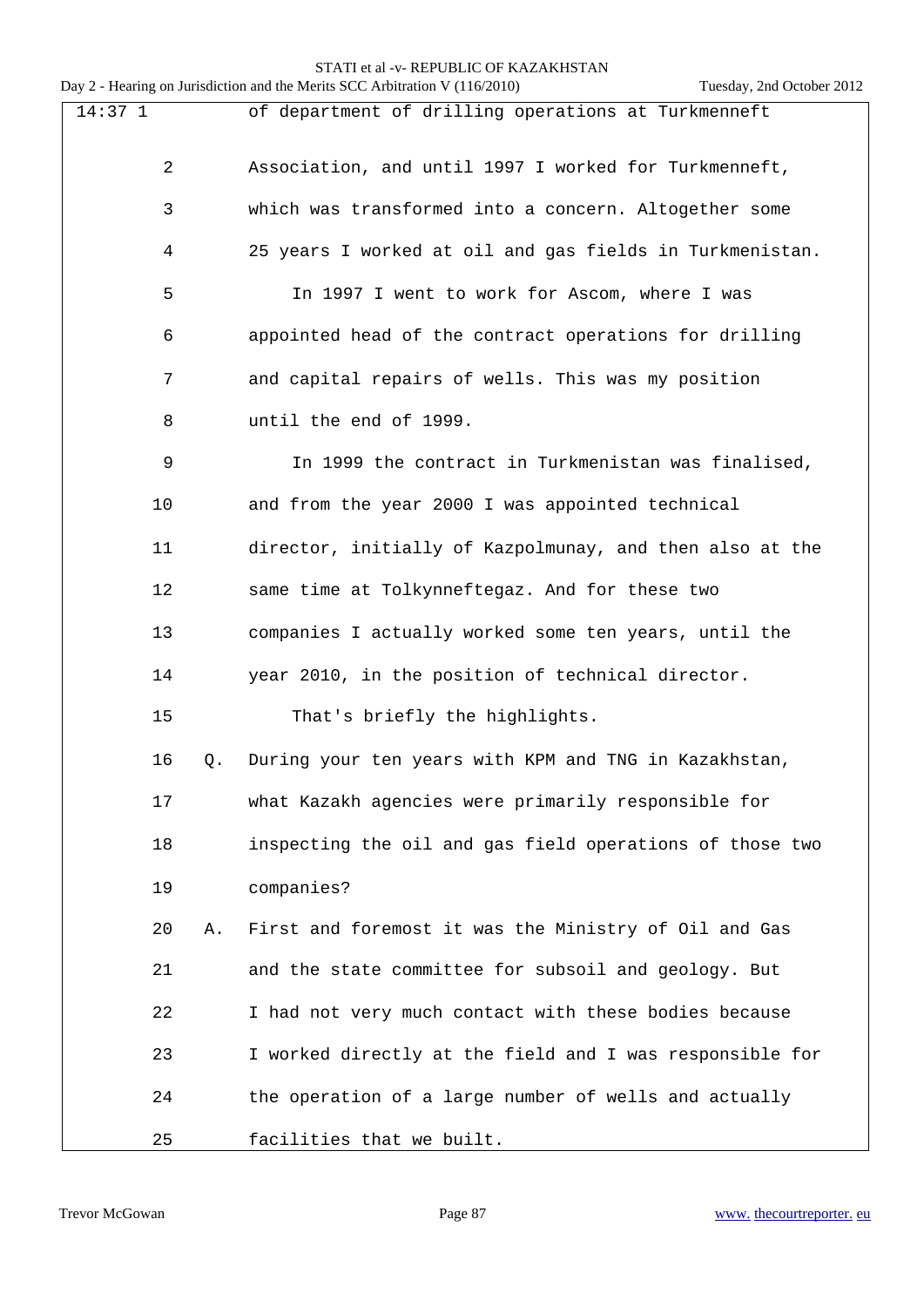| $14:37$ 1      |    | of department of drilling operations at Turkmenneft      |  |  |
|----------------|----|----------------------------------------------------------|--|--|
| $\overline{2}$ |    | Association, and until 1997 I worked for Turkmenneft,    |  |  |
| 3              |    | which was transformed into a concern. Altogether some    |  |  |
| 4              |    | 25 years I worked at oil and gas fields in Turkmenistan. |  |  |
| 5              |    | In 1997 I went to work for Ascom, where I was            |  |  |
| 6              |    | appointed head of the contract operations for drilling   |  |  |
| 7              |    | and capital repairs of wells. This was my position       |  |  |
| 8              |    | until the end of 1999.                                   |  |  |
| 9              |    | In 1999 the contract in Turkmenistan was finalised,      |  |  |
| 10             |    | and from the year 2000 I was appointed technical         |  |  |
| 11             |    | director, initially of Kazpolmunay, and then also at the |  |  |
| 12             |    | same time at Tolkynneftegaz. And for these two           |  |  |
| 13             |    | companies I actually worked some ten years, until the    |  |  |
| 14             |    | year 2010, in the position of technical director.        |  |  |
| 15             |    | That's briefly the highlights.                           |  |  |
| 16             | Q. | During your ten years with KPM and TNG in Kazakhstan,    |  |  |
| 17             |    | what Kazakh agencies were primarily responsible for      |  |  |
| 18             |    | inspecting the oil and gas field operations of those two |  |  |
| 19             |    | companies?                                               |  |  |
| 20             | Α. | First and foremost it was the Ministry of Oil and Gas    |  |  |
| 21             |    | and the state committee for subsoil and geology. But     |  |  |
| 22             |    | I had not very much contact with these bodies because    |  |  |
| 23             |    | I worked directly at the field and I was responsible for |  |  |
| 24             |    | the operation of a large number of wells and actually    |  |  |
| 25             |    | facilities that we built.                                |  |  |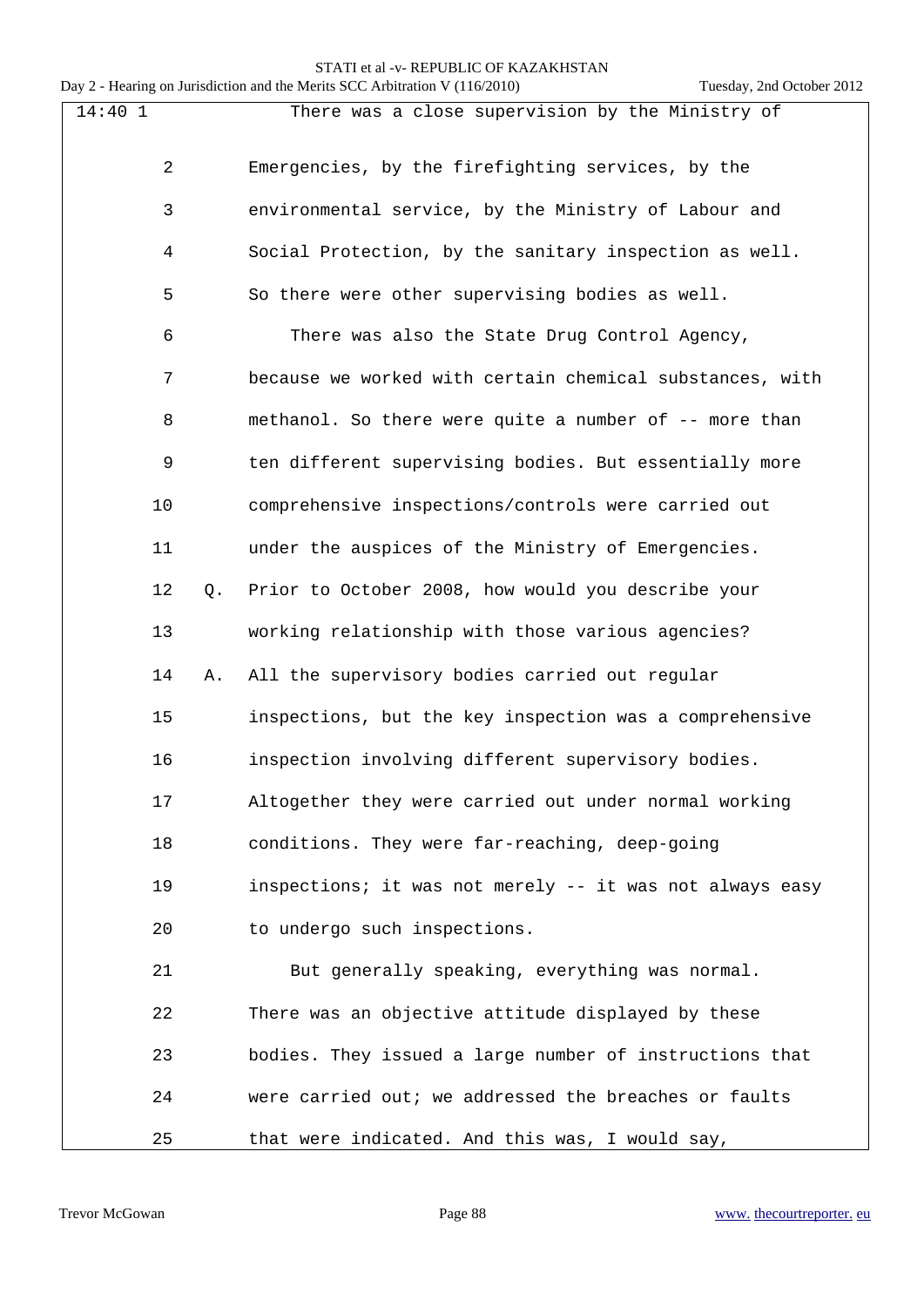| 14:401         |    | There was a close supervision by the Ministry of         |  |
|----------------|----|----------------------------------------------------------|--|
| $\overline{2}$ |    | Emergencies, by the firefighting services, by the        |  |
| 3              |    | environmental service, by the Ministry of Labour and     |  |
| 4              |    | Social Protection, by the sanitary inspection as well.   |  |
| 5              |    | So there were other supervising bodies as well.          |  |
| 6              |    | There was also the State Drug Control Agency,            |  |
| 7              |    | because we worked with certain chemical substances, with |  |
| 8              |    | methanol. So there were quite a number of -- more than   |  |
| 9              |    | ten different supervising bodies. But essentially more   |  |
| 10             |    | comprehensive inspections/controls were carried out      |  |
| 11             |    | under the auspices of the Ministry of Emergencies.       |  |
| 12             | Q. | Prior to October 2008, how would you describe your       |  |
| 13             |    | working relationship with those various agencies?        |  |
| 14             | Α. | All the supervisory bodies carried out regular           |  |
| 15             |    | inspections, but the key inspection was a comprehensive  |  |
| 16             |    | inspection involving different supervisory bodies.       |  |
| 17             |    | Altogether they were carried out under normal working    |  |
| 18             |    | conditions. They were far-reaching, deep-going           |  |
| 19             |    | inspections; it was not merely -- it was not always easy |  |
| 20             |    | to undergo such inspections.                             |  |
| 21             |    | But generally speaking, everything was normal.           |  |
| 22             |    | There was an objective attitude displayed by these       |  |
| 23             |    | bodies. They issued a large number of instructions that  |  |
| 24             |    | were carried out; we addressed the breaches or faults    |  |
| 25             |    | that were indicated. And this was, I would say,          |  |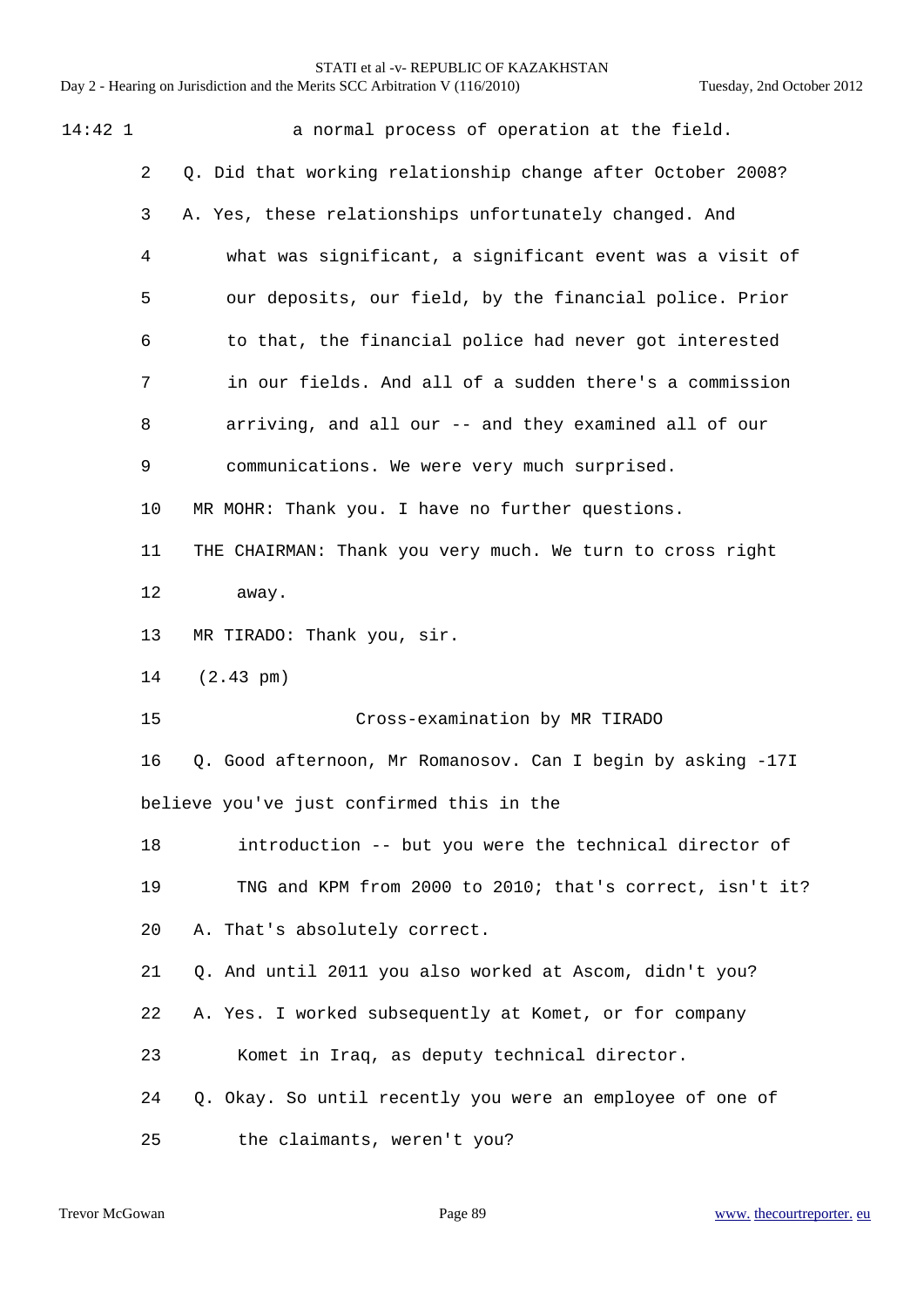## STATI et al -v- REPUBLIC OF KAZAKHSTAN Day 2 - Hearing on Jurisdiction and the Merits SCC Arbitration V (116/2010) Tuesday, 2nd October 2012

| $14:42$ 1 |    | a normal process of operation at the field.                 |
|-----------|----|-------------------------------------------------------------|
|           | 2  | Q. Did that working relationship change after October 2008? |
|           | 3  | A. Yes, these relationships unfortunately changed. And      |
|           | 4  | what was significant, a significant event was a visit of    |
|           | 5  | our deposits, our field, by the financial police. Prior     |
|           | 6  | to that, the financial police had never got interested      |
|           | 7  | in our fields. And all of a sudden there's a commission     |
|           | 8  | arriving, and all our -- and they examined all of our       |
|           | 9  | communications. We were very much surprised.                |
|           | 10 | MR MOHR: Thank you. I have no further questions.            |
|           | 11 | THE CHAIRMAN: Thank you very much. We turn to cross right   |
|           | 12 | away.                                                       |
|           | 13 | MR TIRADO: Thank you, sir.                                  |
|           | 14 | $(2.43 \text{ pm})$                                         |
|           | 15 | Cross-examination by MR TIRADO                              |
|           | 16 | Q. Good afternoon, Mr Romanosov. Can I begin by asking -17I |
|           |    | believe you've just confirmed this in the                   |
|           | 18 | introduction -- but you were the technical director of      |
|           | 19 | TNG and KPM from 2000 to 2010; that's correct, isn't it?    |
|           | 20 | A. That's absolutely correct.                               |
|           | 21 | Q. And until 2011 you also worked at Ascom, didn't you?     |
|           | 22 | A. Yes. I worked subsequently at Komet, or for company      |
|           | 23 | Komet in Iraq, as deputy technical director.                |
|           | 24 | Q. Okay. So until recently you were an employee of one of   |
|           | 25 | the claimants, weren't you?                                 |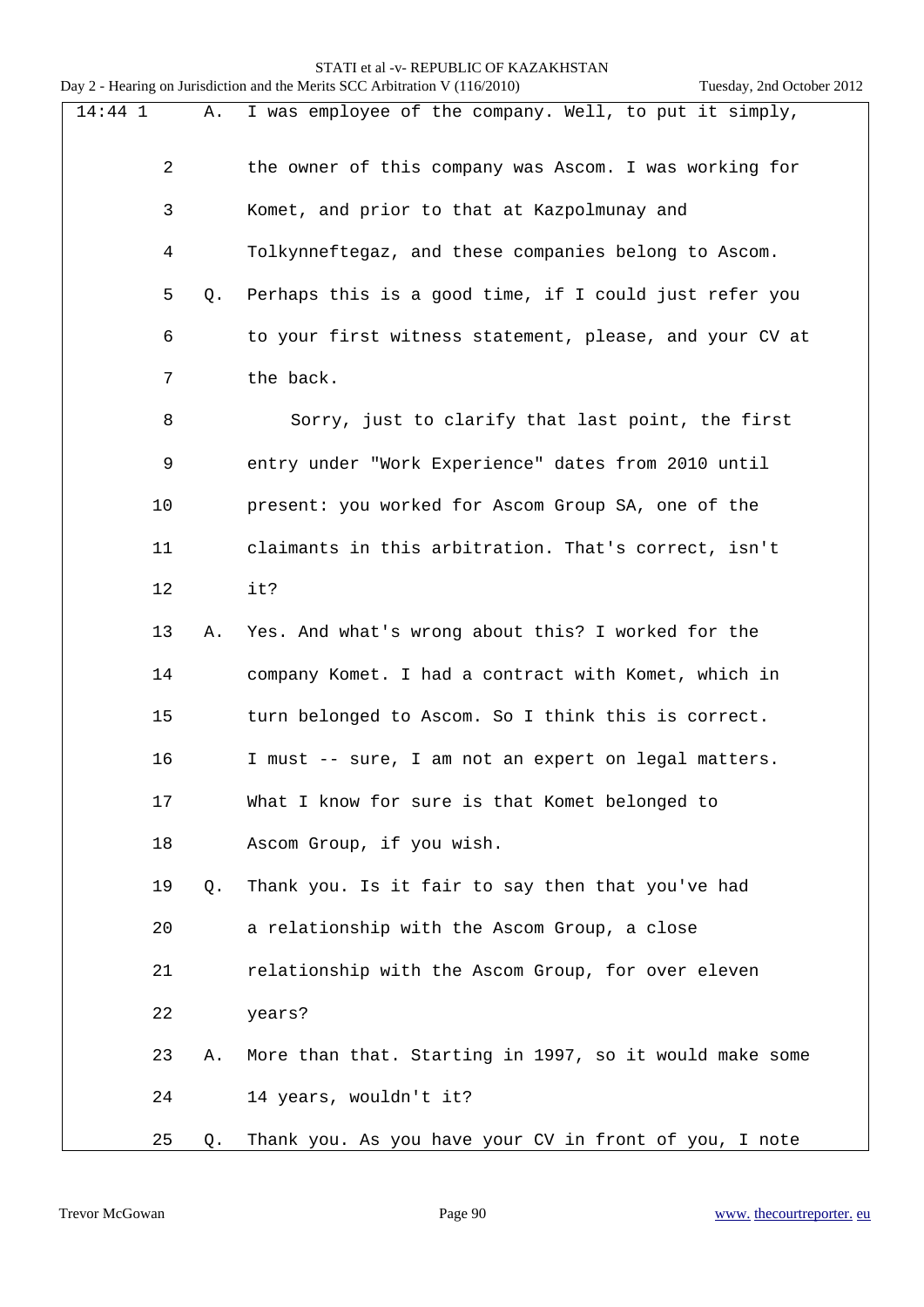| $14:44$ 1 | Α. | I was employee of the company. Well, to put it simply,  |  |
|-----------|----|---------------------------------------------------------|--|
| 2         |    | the owner of this company was Ascom. I was working for  |  |
| 3         |    | Komet, and prior to that at Kazpolmunay and             |  |
| 4         |    | Tolkynneftegaz, and these companies belong to Ascom.    |  |
| 5         | Q. | Perhaps this is a good time, if I could just refer you  |  |
| 6         |    | to your first witness statement, please, and your CV at |  |
| 7         |    | the back.                                               |  |
| 8         |    | Sorry, just to clarify that last point, the first       |  |
| 9         |    | entry under "Work Experience" dates from 2010 until     |  |
| 10        |    | present: you worked for Ascom Group SA, one of the      |  |
| 11        |    | claimants in this arbitration. That's correct, isn't    |  |
| 12        |    | it?                                                     |  |
| 13        | Α. | Yes. And what's wrong about this? I worked for the      |  |
| 14        |    | company Komet. I had a contract with Komet, which in    |  |
| 15        |    | turn belonged to Ascom. So I think this is correct.     |  |
| 16        |    | I must -- sure, I am not an expert on legal matters.    |  |
| 17        |    | What I know for sure is that Komet belonged to          |  |
| 18        |    | Ascom Group, if you wish.                               |  |
| 19        | Q. | Thank you. Is it fair to say then that you've had       |  |
| 20        |    | a relationship with the Ascom Group, a close            |  |
| 21        |    | relationship with the Ascom Group, for over eleven      |  |
| 22        |    | years?                                                  |  |
| 23        | Α. | More than that. Starting in 1997, so it would make some |  |
| 24        |    | 14 years, wouldn't it?                                  |  |
| 25        | Q. | Thank you. As you have your CV in front of you, I note  |  |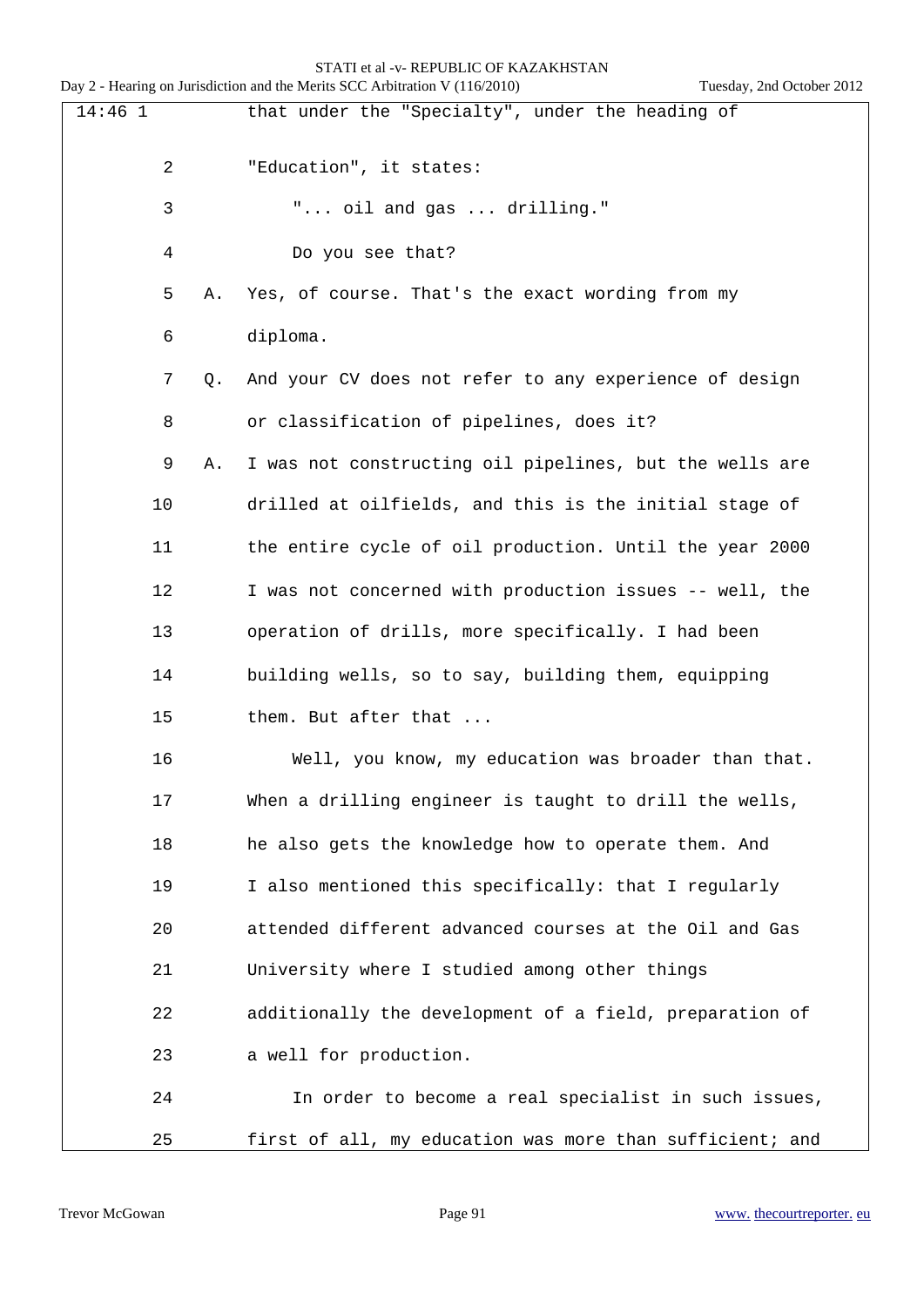| $14:46$ 1 |                         | that under the "Specialty", under the heading of         |  |  |
|-----------|-------------------------|----------------------------------------------------------|--|--|
| 2         | "Education", it states: |                                                          |  |  |
| 3         |                         | " oil and gas  drilling."                                |  |  |
| 4         |                         | Do you see that?                                         |  |  |
| 5         | Α.                      | Yes, of course. That's the exact wording from my         |  |  |
| 6         |                         | diploma.                                                 |  |  |
| 7         | Q.                      | And your CV does not refer to any experience of design   |  |  |
| 8         |                         | or classification of pipelines, does it?                 |  |  |
| 9         | Α.                      | I was not constructing oil pipelines, but the wells are  |  |  |
| 10        |                         | drilled at oilfields, and this is the initial stage of   |  |  |
| 11        |                         | the entire cycle of oil production. Until the year 2000  |  |  |
| 12        |                         | I was not concerned with production issues -- well, the  |  |  |
| 13        |                         | operation of drills, more specifically. I had been       |  |  |
| 14        |                         | building wells, so to say, building them, equipping      |  |  |
| 15        |                         | them. But after that                                     |  |  |
| 16        |                         | Well, you know, my education was broader than that.      |  |  |
| 17        |                         | When a drilling engineer is taught to drill the wells,   |  |  |
| 18        |                         | he also gets the knowledge how to operate them. And      |  |  |
| 19        |                         | I also mentioned this specifically: that I regularly     |  |  |
| 20        |                         | attended different advanced courses at the Oil and Gas   |  |  |
| 21        |                         | University where I studied among other things            |  |  |
| 22        |                         | additionally the development of a field, preparation of  |  |  |
| 23        |                         | a well for production.                                   |  |  |
| 24        |                         | In order to become a real specialist in such issues,     |  |  |
| 25        |                         | first of all, my education was more than sufficient; and |  |  |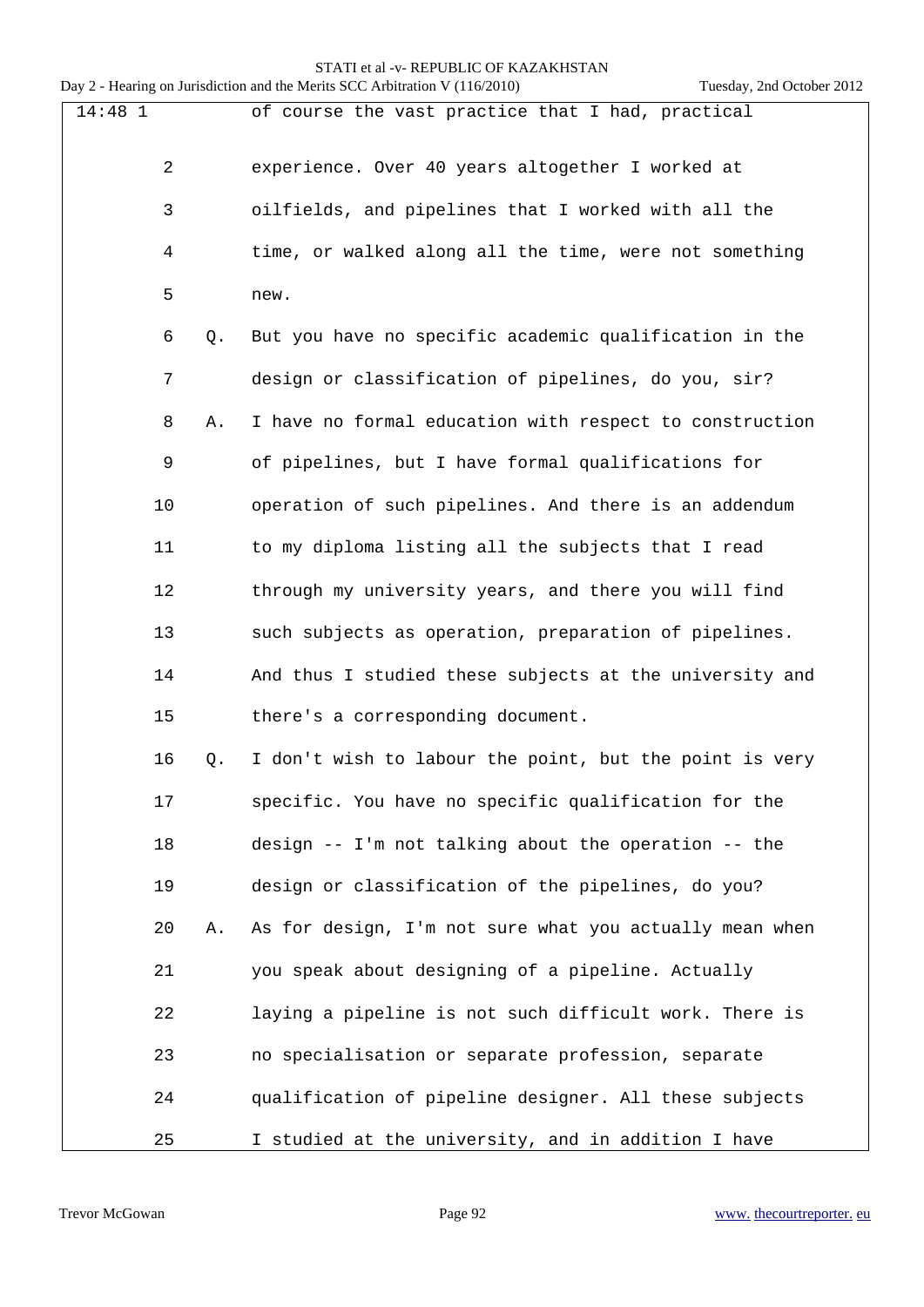| $14:48$ 1 |                                                     | of course the vast practice that I had, practical       |  |
|-----------|-----------------------------------------------------|---------------------------------------------------------|--|
| 2         |                                                     | experience. Over 40 years altogether I worked at        |  |
| 3         | oilfields, and pipelines that I worked with all the |                                                         |  |
| 4         |                                                     | time, or walked along all the time, were not something  |  |
| 5         |                                                     | new.                                                    |  |
| 6         | Q.                                                  | But you have no specific academic qualification in the  |  |
| 7         |                                                     | design or classification of pipelines, do you, sir?     |  |
| 8         | Α.                                                  | I have no formal education with respect to construction |  |
| 9         |                                                     | of pipelines, but I have formal qualifications for      |  |
| 10        |                                                     | operation of such pipelines. And there is an addendum   |  |
| 11        |                                                     | to my diploma listing all the subjects that I read      |  |
| 12        |                                                     | through my university years, and there you will find    |  |
| 13        |                                                     | such subjects as operation, preparation of pipelines.   |  |
| 14        |                                                     | And thus I studied these subjects at the university and |  |
| 15        |                                                     | there's a corresponding document.                       |  |
| 16        | Q.                                                  | I don't wish to labour the point, but the point is very |  |
| 17        |                                                     | specific. You have no specific qualification for the    |  |
| 18        |                                                     | design -- I'm not talking about the operation -- the    |  |
| 19        |                                                     | design or classification of the pipelines, do you?      |  |
| 20        | Α.                                                  | As for design, I'm not sure what you actually mean when |  |
| 21        |                                                     | you speak about designing of a pipeline. Actually       |  |
| 22        |                                                     | laying a pipeline is not such difficult work. There is  |  |
| 23        |                                                     | no specialisation or separate profession, separate      |  |
| 24        |                                                     | qualification of pipeline designer. All these subjects  |  |
| 25        |                                                     | I studied at the university, and in addition I have     |  |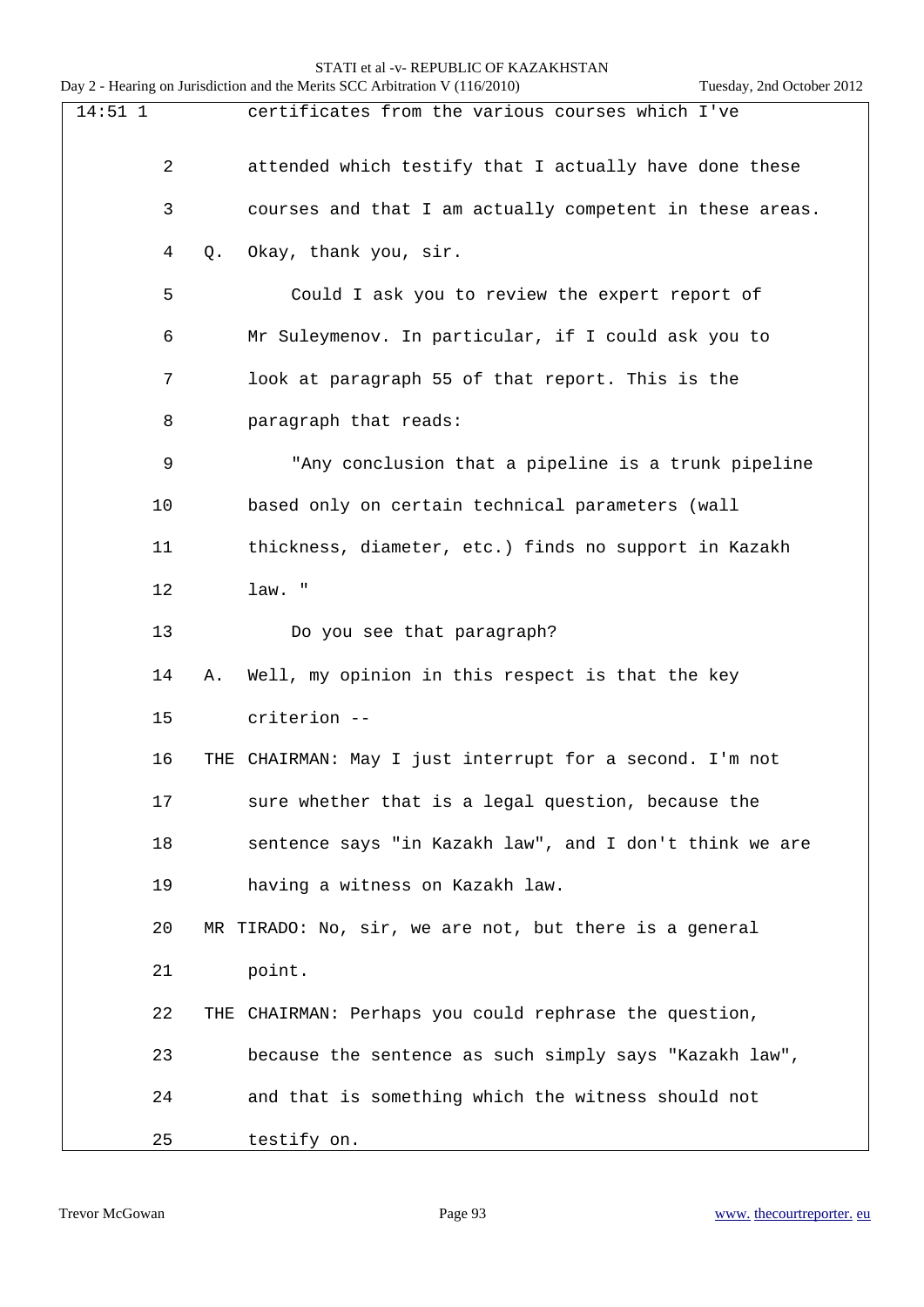| $14:51$ 1 | certificates from the various courses which I've         |
|-----------|----------------------------------------------------------|
| 2         | attended which testify that I actually have done these   |
| 3         | courses and that I am actually competent in these areas. |
| 4         | Okay, thank you, sir.<br>Q.                              |
|           |                                                          |
| 5         | Could I ask you to review the expert report of           |
| 6         | Mr Suleymenov. In particular, if I could ask you to      |
| 7         | look at paragraph 55 of that report. This is the         |
| 8         | paragraph that reads:                                    |
| 9         | "Any conclusion that a pipeline is a trunk pipeline      |
| 10        | based only on certain technical parameters (wall         |
| 11        | thickness, diameter, etc.) finds no support in Kazakh    |
| 12        | $law.$ "                                                 |
| 13        | Do you see that paragraph?                               |
| 14        | Well, my opinion in this respect is that the key<br>Α.   |
| 15        | criterion --                                             |
| 16        | THE CHAIRMAN: May I just interrupt for a second. I'm not |
| $17\,$    | sure whether that is a legal question, because the       |
| 18        | sentence says "in Kazakh law", and I don't think we are  |
| 19        | having a witness on Kazakh law.                          |
| 20        | MR TIRADO: No, sir, we are not, but there is a general   |
| 21        | point.                                                   |
| 22        | THE CHAIRMAN: Perhaps you could rephrase the question,   |
| 23        | because the sentence as such simply says "Kazakh law",   |
| 24        | and that is something which the witness should not       |
| 25        | testify on.                                              |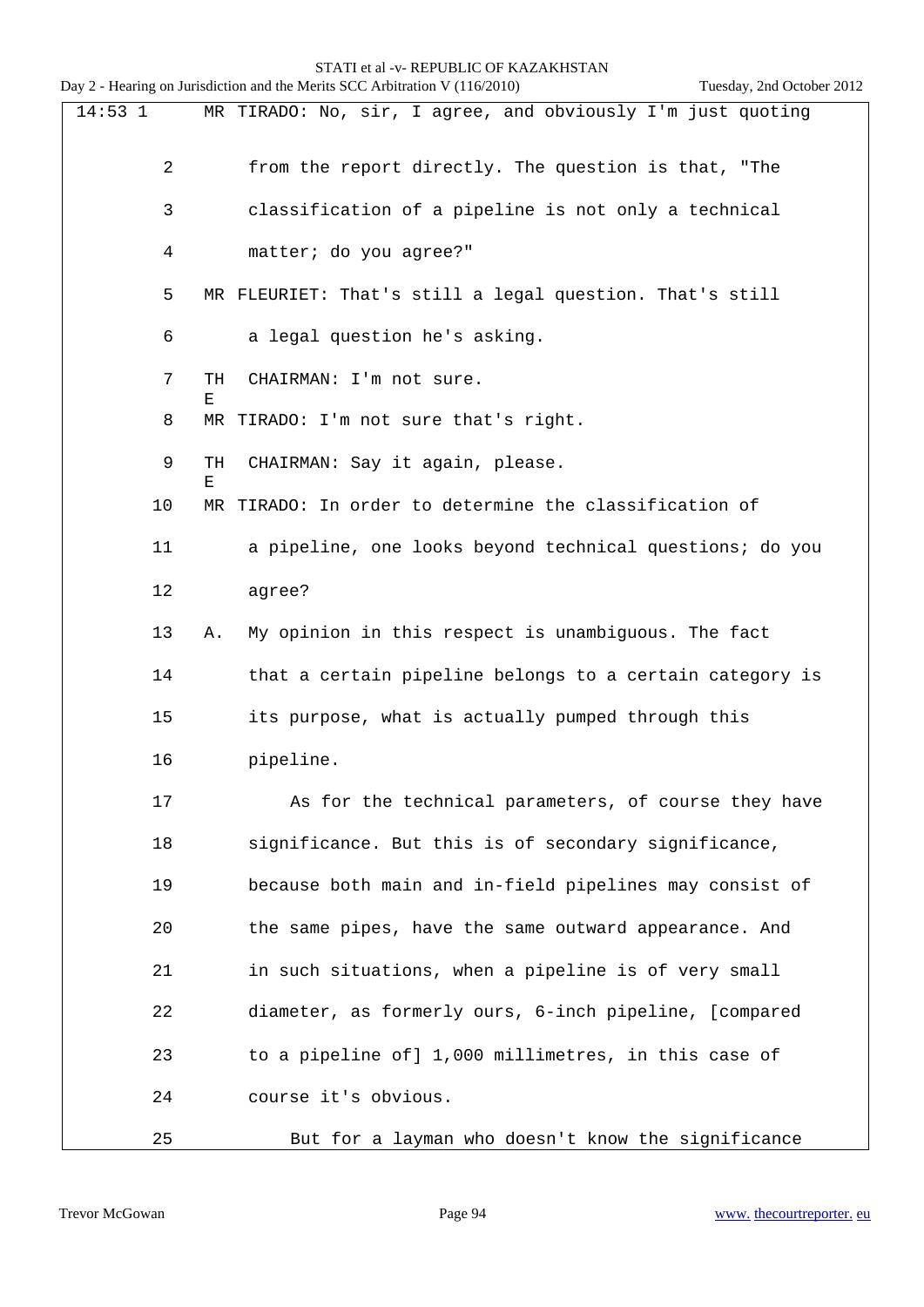| $14:53$ 1 | MR TIRADO: No, sir, I agree, and obviously I'm just quoting |                                                          |  |  |
|-----------|-------------------------------------------------------------|----------------------------------------------------------|--|--|
|           |                                                             |                                                          |  |  |
| 2         | from the report directly. The question is that, "The        |                                                          |  |  |
| 3         | classification of a pipeline is not only a technical        |                                                          |  |  |
| 4         | matter; do you agree?"                                      |                                                          |  |  |
| 5         |                                                             | MR FLEURIET: That's still a legal question. That's still |  |  |
| 6         | a legal question he's asking.                               |                                                          |  |  |
| 7         | TH<br>CHAIRMAN: I'm not sure.                               |                                                          |  |  |
| 8         | TIRADO: I'm not sure that's right.<br>MR                    |                                                          |  |  |
| 9         | CHAIRMAN: Say it again, please.<br>TH                       |                                                          |  |  |
| 10        | MR TIRADO: In order to determine the classification of      |                                                          |  |  |
| 11        | a pipeline, one looks beyond technical questions; do you    |                                                          |  |  |
| 12        | agree?                                                      |                                                          |  |  |
| 13        | My opinion in this respect is unambiguous. The fact<br>Α.   |                                                          |  |  |
| 14        | that a certain pipeline belongs to a certain category is    |                                                          |  |  |
| 15        | its purpose, what is actually pumped through this           |                                                          |  |  |
| 16        | pipeline.                                                   |                                                          |  |  |
| 17        | As for the technical parameters, of course they have        |                                                          |  |  |
| 18        | significance. But this is of secondary significance,        |                                                          |  |  |
| 19        | because both main and in-field pipelines may consist of     |                                                          |  |  |
| 20        | the same pipes, have the same outward appearance. And       |                                                          |  |  |
| 21        | in such situations, when a pipeline is of very small        |                                                          |  |  |
| 22        | diameter, as formerly ours, 6-inch pipeline, [compared      |                                                          |  |  |
| 23        | to a pipeline of] 1,000 millimetres, in this case of        |                                                          |  |  |
| 24        | course it's obvious.                                        |                                                          |  |  |
| 25        | But for a layman who doesn't know the significance          |                                                          |  |  |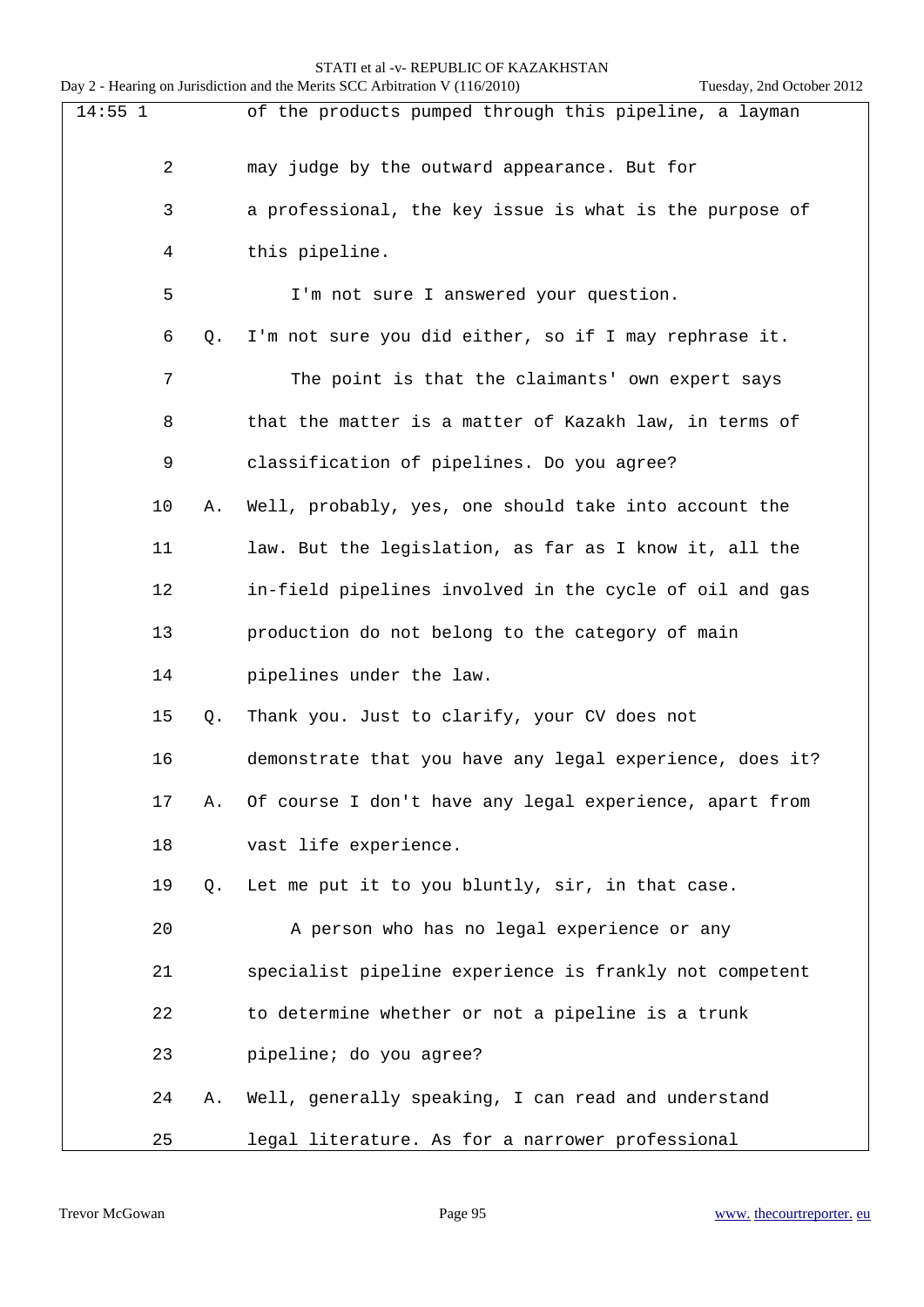| $14:55$ 1 |                | of the products pumped through this pipeline, a layman   |
|-----------|----------------|----------------------------------------------------------|
|           | $\overline{a}$ | may judge by the outward appearance. But for             |
|           | 3              | a professional, the key issue is what is the purpose of  |
|           | 4              | this pipeline.                                           |
|           | 5              | I'm not sure I answered your question.                   |
|           | 6<br>Q.        | I'm not sure you did either, so if I may rephrase it.    |
|           | 7              | The point is that the claimants' own expert says         |
|           | 8              | that the matter is a matter of Kazakh law, in terms of   |
|           | 9              | classification of pipelines. Do you agree?               |
| 10        | Α.             | Well, probably, yes, one should take into account the    |
| 11        |                | law. But the legislation, as far as I know it, all the   |
| 12        |                | in-field pipelines involved in the cycle of oil and gas  |
| 13        |                | production do not belong to the category of main         |
| 14        |                | pipelines under the law.                                 |
| 15        | Q.             | Thank you. Just to clarify, your CV does not             |
| 16        |                | demonstrate that you have any legal experience, does it? |
| 17        | Α.             | Of course I don't have any legal experience, apart from  |
| 18        |                | vast life experience.                                    |
| 19        | Q.             | Let me put it to you bluntly, sir, in that case.         |
| 20        |                | A person who has no legal experience or any              |
| 21        |                | specialist pipeline experience is frankly not competent  |
| 22        |                | to determine whether or not a pipeline is a trunk        |
| 23        |                | pipeline; do you agree?                                  |
| 24        | Α.             | Well, generally speaking, I can read and understand      |
| 25        |                | legal literature. As for a narrower professional         |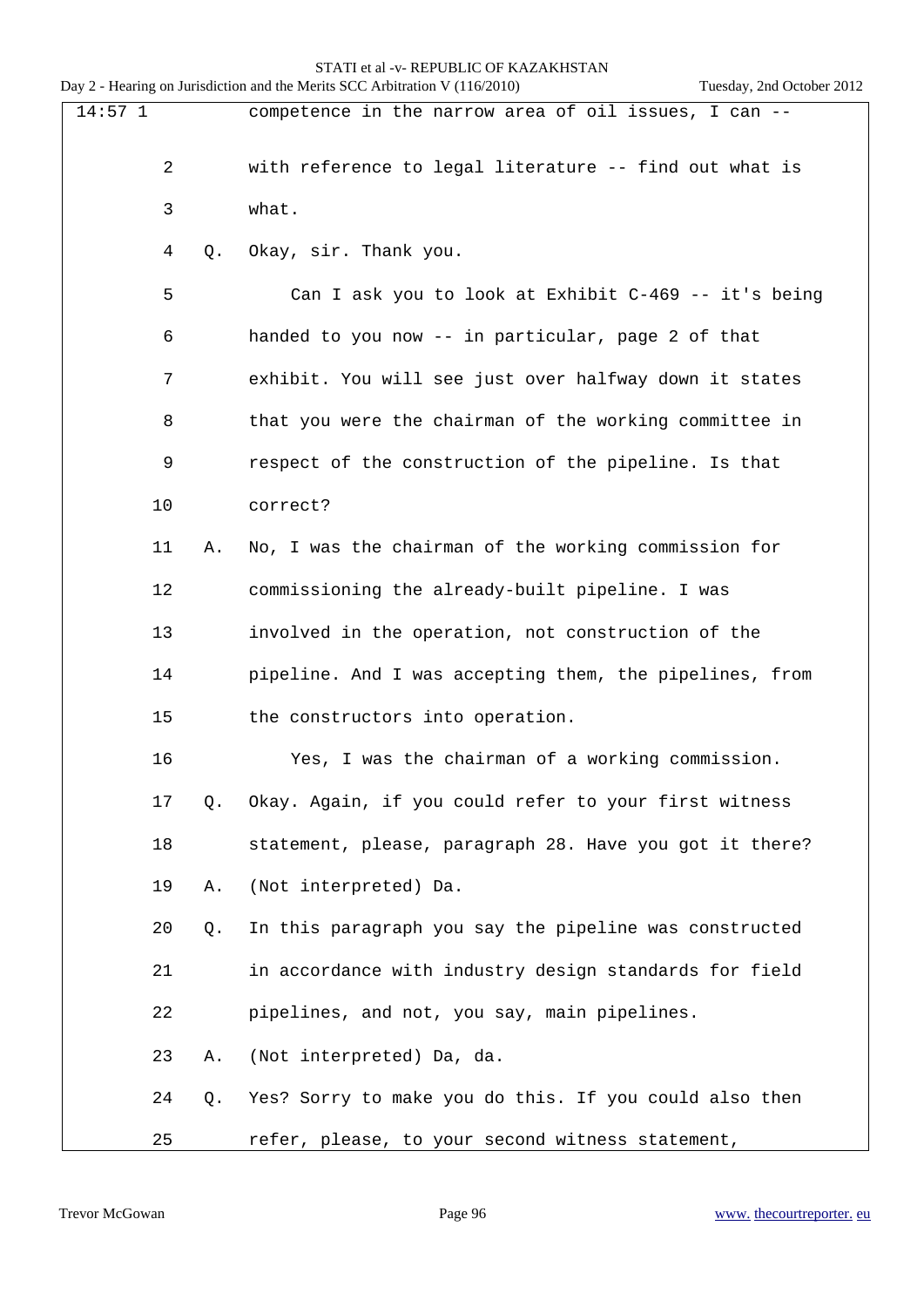| $14:57$ 1      |    | competence in the narrow area of oil issues, I can --   |
|----------------|----|---------------------------------------------------------|
| 2              |    | with reference to legal literature -- find out what is  |
| 3              |    | what.                                                   |
| 4              | Q. | Okay, sir. Thank you.                                   |
| 5              |    | Can I ask you to look at Exhibit C-469 -- it's being    |
| 6              |    | handed to you now -- in particular, page 2 of that      |
| $\overline{7}$ |    | exhibit. You will see just over halfway down it states  |
| 8              |    | that you were the chairman of the working committee in  |
| 9              |    | respect of the construction of the pipeline. Is that    |
| 10             |    | correct?                                                |
| 11             | Α. | No, I was the chairman of the working commission for    |
| 12             |    | commissioning the already-built pipeline. I was         |
| 13             |    | involved in the operation, not construction of the      |
| 14             |    | pipeline. And I was accepting them, the pipelines, from |
| 15             |    | the constructors into operation.                        |
| 16             |    | Yes, I was the chairman of a working commission.        |
| 17             | Q. | Okay. Again, if you could refer to your first witness   |
| 18             |    | statement, please, paragraph 28. Have you got it there? |
| 19             | Α. | (Not interpreted) Da.                                   |
| 20             | Q. | In this paragraph you say the pipeline was constructed  |
| 21             |    | in accordance with industry design standards for field  |
| 22             |    | pipelines, and not, you say, main pipelines.            |
| 23             | Α. | (Not interpreted) Da, da.                               |
| 24             | Q. | Yes? Sorry to make you do this. If you could also then  |
| 25             |    | refer, please, to your second witness statement,        |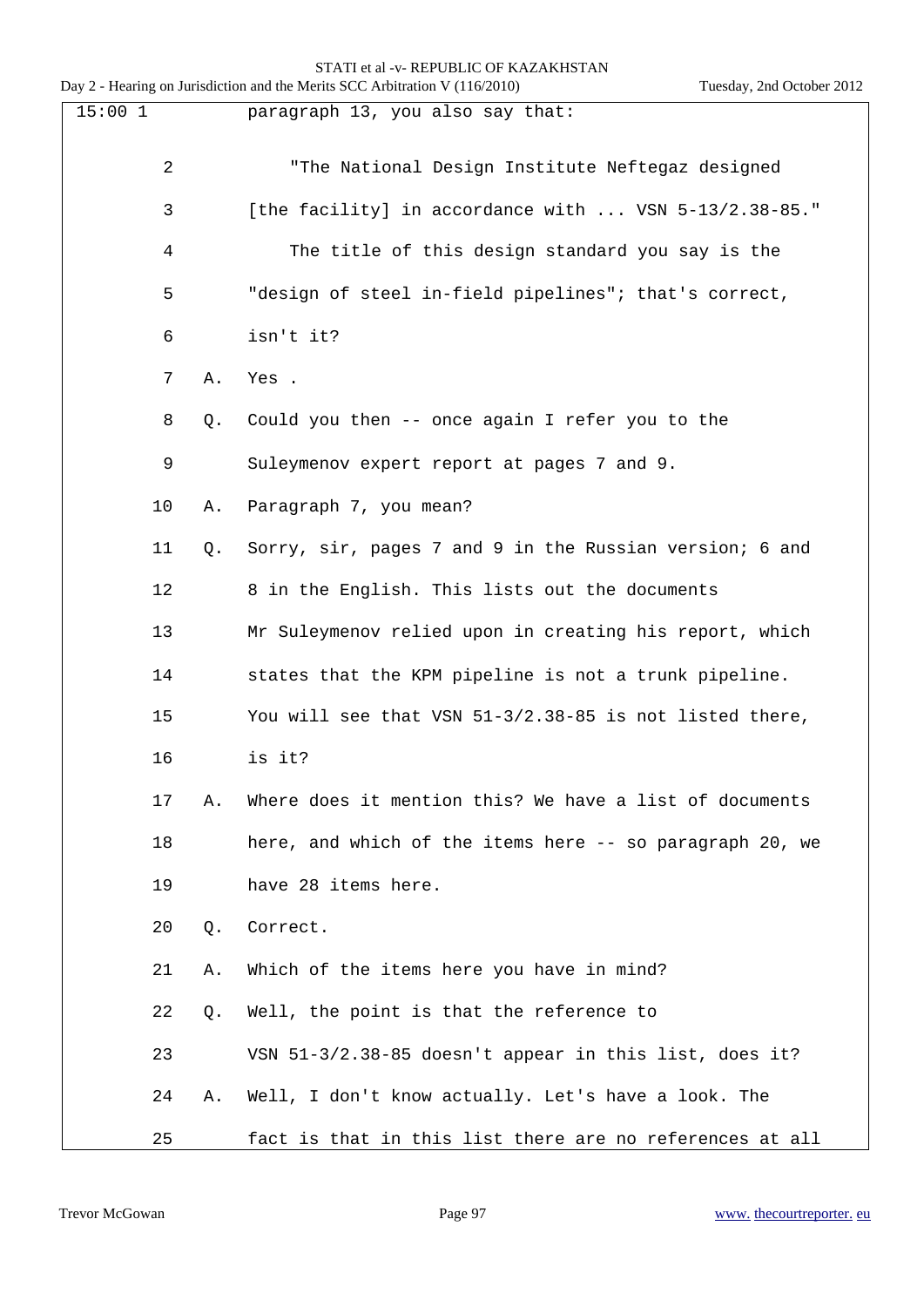| 15:001         |    | paragraph 13, you also say that:                         |
|----------------|----|----------------------------------------------------------|
| $\overline{2}$ |    | "The National Design Institute Neftegaz designed         |
| 3              |    | [the facility] in accordance with  VSN 5-13/2.38-85."    |
| 4              |    | The title of this design standard you say is the         |
| 5              |    | "design of steel in-field pipelines"; that's correct,    |
| 6              |    | isn't it?                                                |
| 7              | Α. | Yes .                                                    |
| 8              | Q. | Could you then -- once again I refer you to the          |
| 9              |    | Suleymenov expert report at pages 7 and 9.               |
| 10             | Α. | Paragraph 7, you mean?                                   |
| 11             | Q. | Sorry, sir, pages 7 and 9 in the Russian version; 6 and  |
| 12             |    | 8 in the English. This lists out the documents           |
| 13             |    | Mr Suleymenov relied upon in creating his report, which  |
| 14             |    | states that the KPM pipeline is not a trunk pipeline.    |
| 15             |    | You will see that VSN 51-3/2.38-85 is not listed there,  |
| 16             |    | is it?                                                   |
| 17             | Α. | Where does it mention this? We have a list of documents  |
| 18             |    | here, and which of the items here -- so paragraph 20, we |
| 19             |    | have 28 items here.                                      |
| 20             | Q. | Correct.                                                 |
| 21             | Α. | Which of the items here you have in mind?                |
| 22             | Q. | Well, the point is that the reference to                 |
| 23             |    | VSN 51-3/2.38-85 doesn't appear in this list, does it?   |
| 24             | Α. | Well, I don't know actually. Let's have a look. The      |
| 25             |    | fact is that in this list there are no references at all |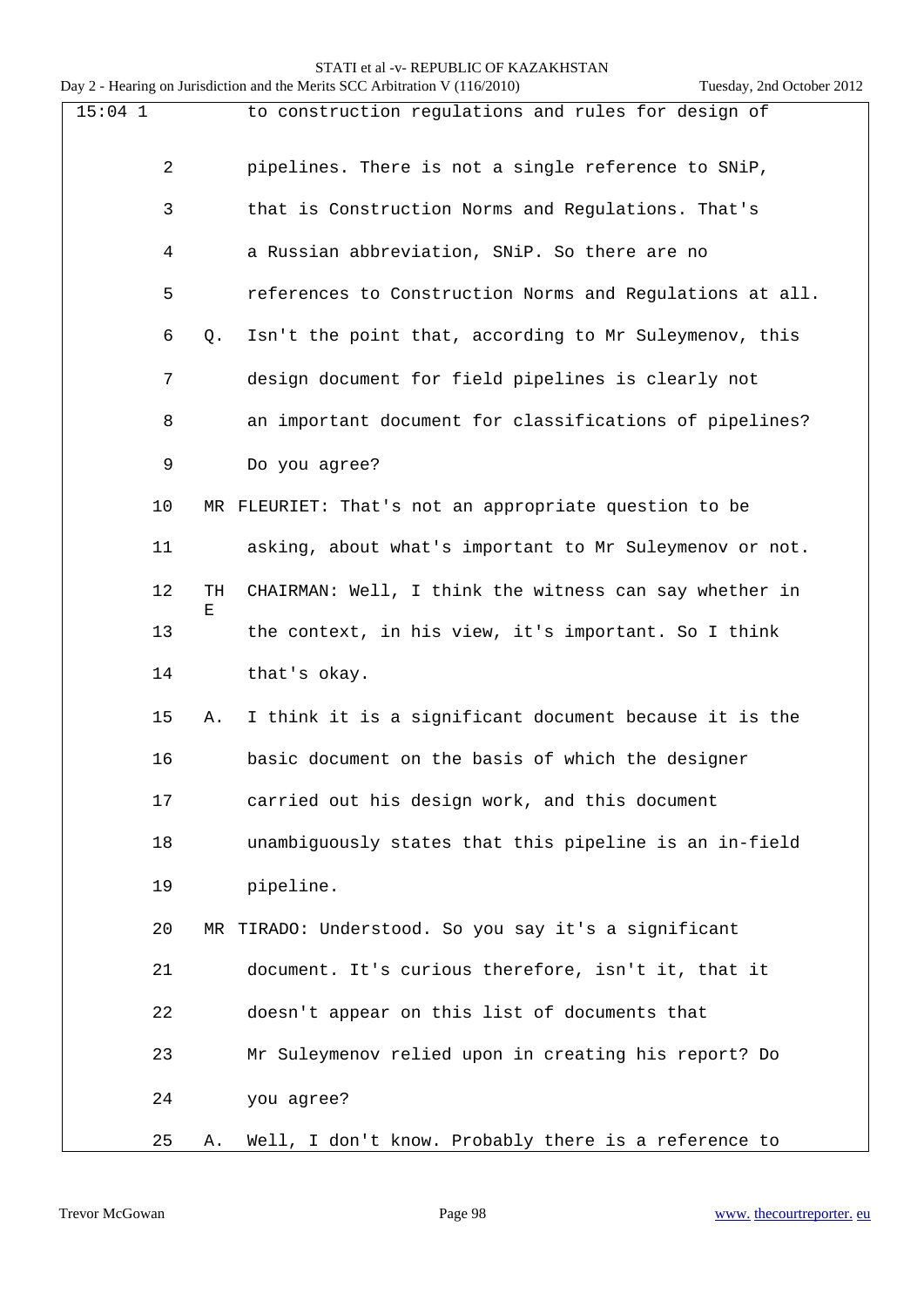| $15:04$ 1      |         | to construction regulations and rules for design of      |
|----------------|---------|----------------------------------------------------------|
| $\overline{2}$ |         | pipelines. There is not a single reference to SNiP,      |
| 3              |         | that is Construction Norms and Regulations. That's       |
| 4              |         | a Russian abbreviation, SNiP. So there are no            |
| 5              |         | references to Construction Norms and Regulations at all. |
| 6              | Q.      | Isn't the point that, according to Mr Suleymenov, this   |
| 7              |         | design document for field pipelines is clearly not       |
| 8              |         | an important document for classifications of pipelines?  |
| 9              |         | Do you agree?                                            |
| 10             |         | MR FLEURIET: That's not an appropriate question to be    |
| 11             |         | asking, about what's important to Mr Suleymenov or not.  |
| 12             | TH<br>Е | CHAIRMAN: Well, I think the witness can say whether in   |
| 13             |         | the context, in his view, it's important. So I think     |
| 14             |         | that's okay.                                             |
| 15             | Α.      | I think it is a significant document because it is the   |
| 16             |         | basic document on the basis of which the designer        |
| 17             |         | carried out his design work, and this document           |
| 18             |         | unambiguously states that this pipeline is an in-field   |
| 19             |         | pipeline.                                                |
| 20             |         | MR TIRADO: Understood. So you say it's a significant     |
| 21             |         | document. It's curious therefore, isn't it, that it      |
| 22             |         | doesn't appear on this list of documents that            |
| 23             |         | Mr Suleymenov relied upon in creating his report? Do     |
| 24             |         | you agree?                                               |
| 25             | Α.      | Well, I don't know. Probably there is a reference to     |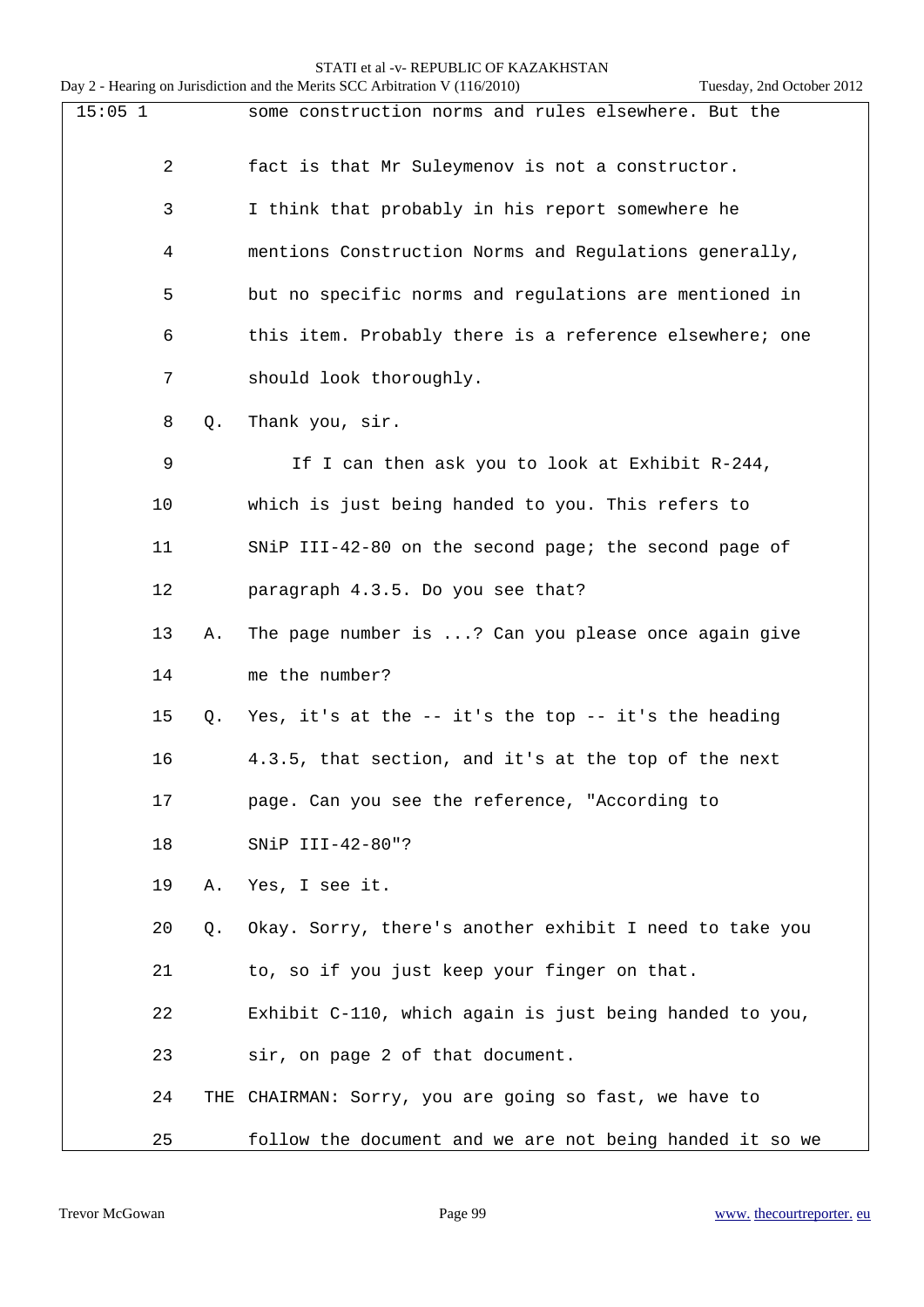| 15:051 |    | some construction norms and rules elsewhere. But the       |
|--------|----|------------------------------------------------------------|
| 2      |    | fact is that Mr Suleymenov is not a constructor.           |
| 3      |    | I think that probably in his report somewhere he           |
| 4      |    | mentions Construction Norms and Regulations generally,     |
| 5      |    | but no specific norms and regulations are mentioned in     |
| 6      |    | this item. Probably there is a reference elsewhere; one    |
| 7      |    | should look thoroughly.                                    |
| 8      | Q. | Thank you, sir.                                            |
| 9      |    | If I can then ask you to look at Exhibit R-244,            |
| 10     |    | which is just being handed to you. This refers to          |
| 11     |    | SNiP III-42-80 on the second page; the second page of      |
| 12     |    | paragraph 4.3.5. Do you see that?                          |
| 13     | Α. | The page number is ? Can you please once again give        |
| 14     |    | me the number?                                             |
| 15     | Q. | Yes, it's at the $-$ - it's the top $-$ - it's the heading |
| 16     |    | 4.3.5, that section, and it's at the top of the next       |
| 17     |    | page. Can you see the reference, "According to             |
| 18     |    | SNiP III-42-80"?                                           |
| 19     | Α. | Yes, I see it.                                             |
| 20     | Q. | Okay. Sorry, there's another exhibit I need to take you    |
| 21     |    | to, so if you just keep your finger on that.               |
| 22     |    | Exhibit C-110, which again is just being handed to you,    |
| 23     |    | sir, on page 2 of that document.                           |
| 24     |    | THE CHAIRMAN: Sorry, you are going so fast, we have to     |
| 25     |    | follow the document and we are not being handed it so we   |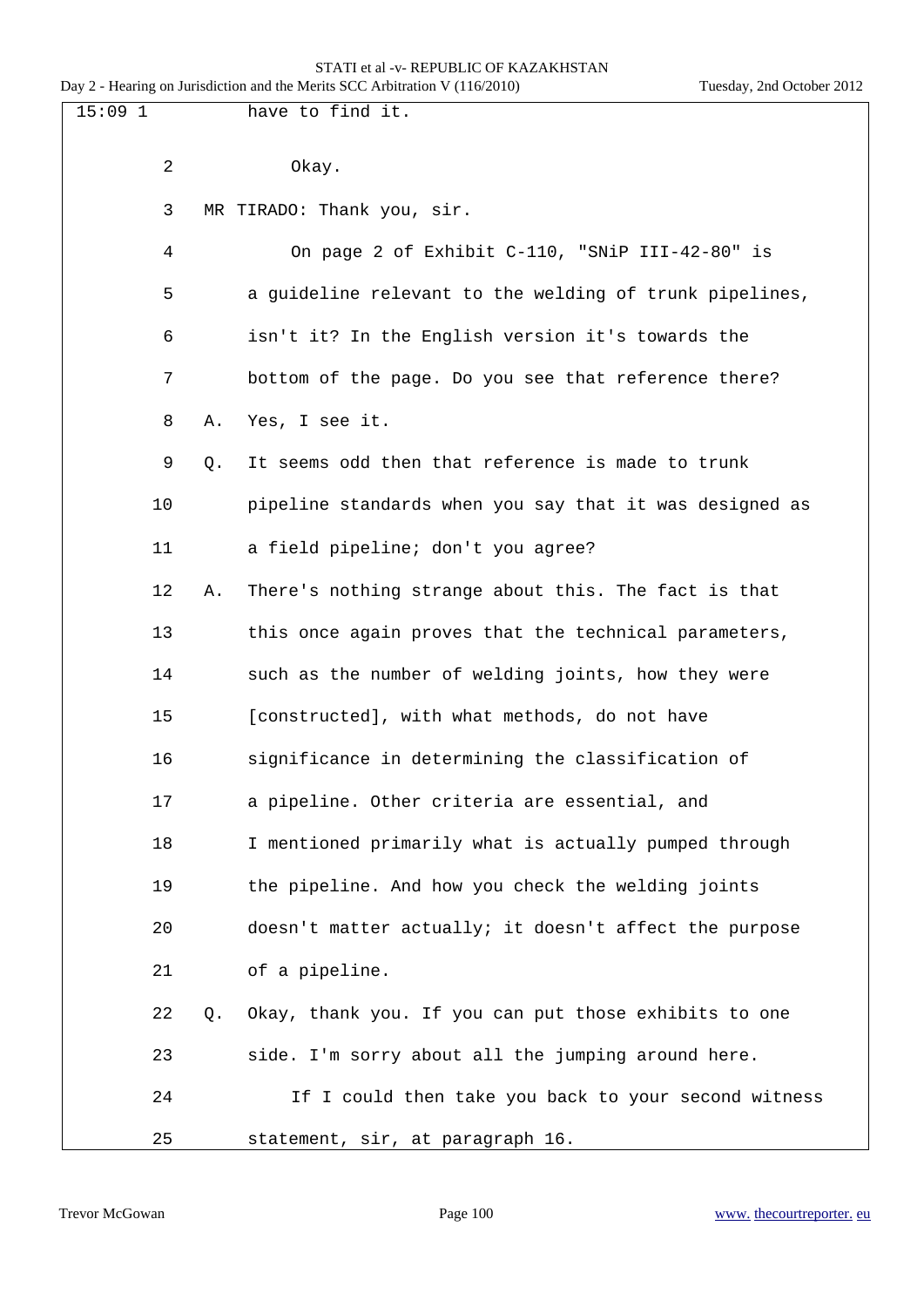| $15:09$ 1 |    | have to find it.                                        |
|-----------|----|---------------------------------------------------------|
| 2         |    | Okay.                                                   |
| 3         |    | MR TIRADO: Thank you, sir.                              |
| 4         |    | On page 2 of Exhibit C-110, "SNiP III-42-80" is         |
| 5         |    | a guideline relevant to the welding of trunk pipelines, |
| 6         |    | isn't it? In the English version it's towards the       |
| 7         |    | bottom of the page. Do you see that reference there?    |
| 8         | Α. | Yes, I see it.                                          |
| 9         | Q. | It seems odd then that reference is made to trunk       |
| 10        |    | pipeline standards when you say that it was designed as |
| 11        |    | a field pipeline; don't you agree?                      |
| 12        | Α. | There's nothing strange about this. The fact is that    |
| 13        |    | this once again proves that the technical parameters,   |
| 14        |    | such as the number of welding joints, how they were     |
| 15        |    | [constructed], with what methods, do not have           |
| 16        |    | significance in determining the classification of       |
| 17        |    | a pipeline. Other criteria are essential, and           |
| 18        |    | I mentioned primarily what is actually pumped through   |
| 19        |    | the pipeline. And how you check the welding joints      |
| 20        |    | doesn't matter actually; it doesn't affect the purpose  |
| 21        |    | of a pipeline.                                          |
| 22        | Q. | Okay, thank you. If you can put those exhibits to one   |
| 23        |    | side. I'm sorry about all the jumping around here.      |
| 24        |    | If I could then take you back to your second witness    |
| 25        |    | statement, sir, at paragraph 16.                        |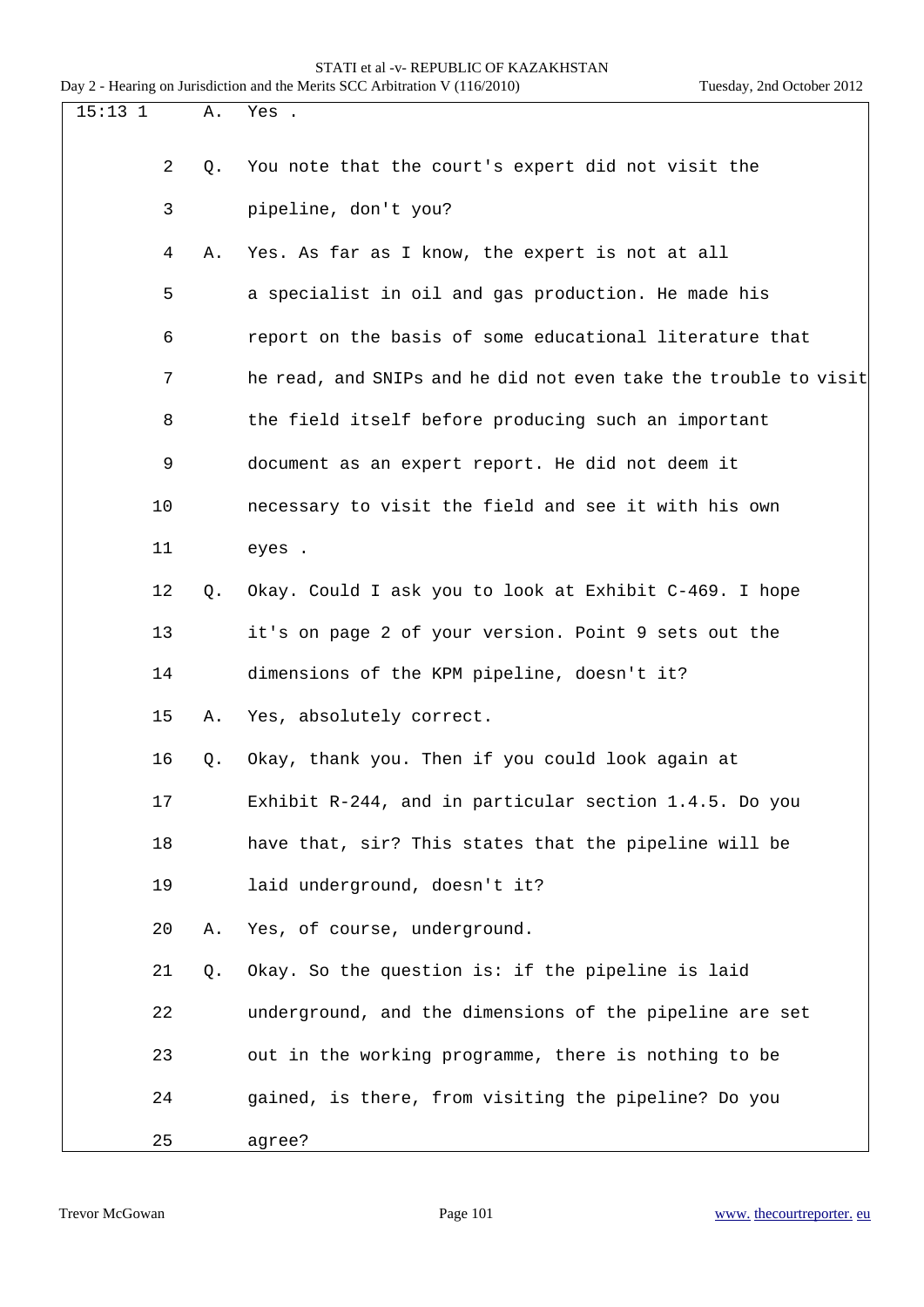| $15:13$ 1      | Α. | Yes .                                                            |
|----------------|----|------------------------------------------------------------------|
| $\overline{2}$ | Q. | You note that the court's expert did not visit the               |
| 3              |    | pipeline, don't you?                                             |
| 4              | Α. | Yes. As far as I know, the expert is not at all                  |
| 5              |    | a specialist in oil and gas production. He made his              |
| 6              |    | report on the basis of some educational literature that          |
| 7              |    | he read, and SNIPs and he did not even take the trouble to visit |
| 8              |    | the field itself before producing such an important              |
| 9              |    | document as an expert report. He did not deem it                 |
| $10 \,$        |    | necessary to visit the field and see it with his own             |
| 11             |    | eyes.                                                            |
| 12             | Q. | Okay. Could I ask you to look at Exhibit C-469. I hope           |
| 13             |    | it's on page 2 of your version. Point 9 sets out the             |
| 14             |    | dimensions of the KPM pipeline, doesn't it?                      |
| 15             | Α. | Yes, absolutely correct.                                         |
| 16             | Q. | Okay, thank you. Then if you could look again at                 |
| 17             |    | Exhibit R-244, and in particular section 1.4.5. Do you           |
| 18             |    | have that, sir? This states that the pipeline will be            |
| 19             |    | laid underground, doesn't it?                                    |
| 20             | Α. | Yes, of course, underground.                                     |
| 21             | Q. | Okay. So the question is: if the pipeline is laid                |
| 22             |    | underground, and the dimensions of the pipeline are set          |
| 23             |    | out in the working programme, there is nothing to be             |
| 24             |    | gained, is there, from visiting the pipeline? Do you             |
| 25             |    | agree?                                                           |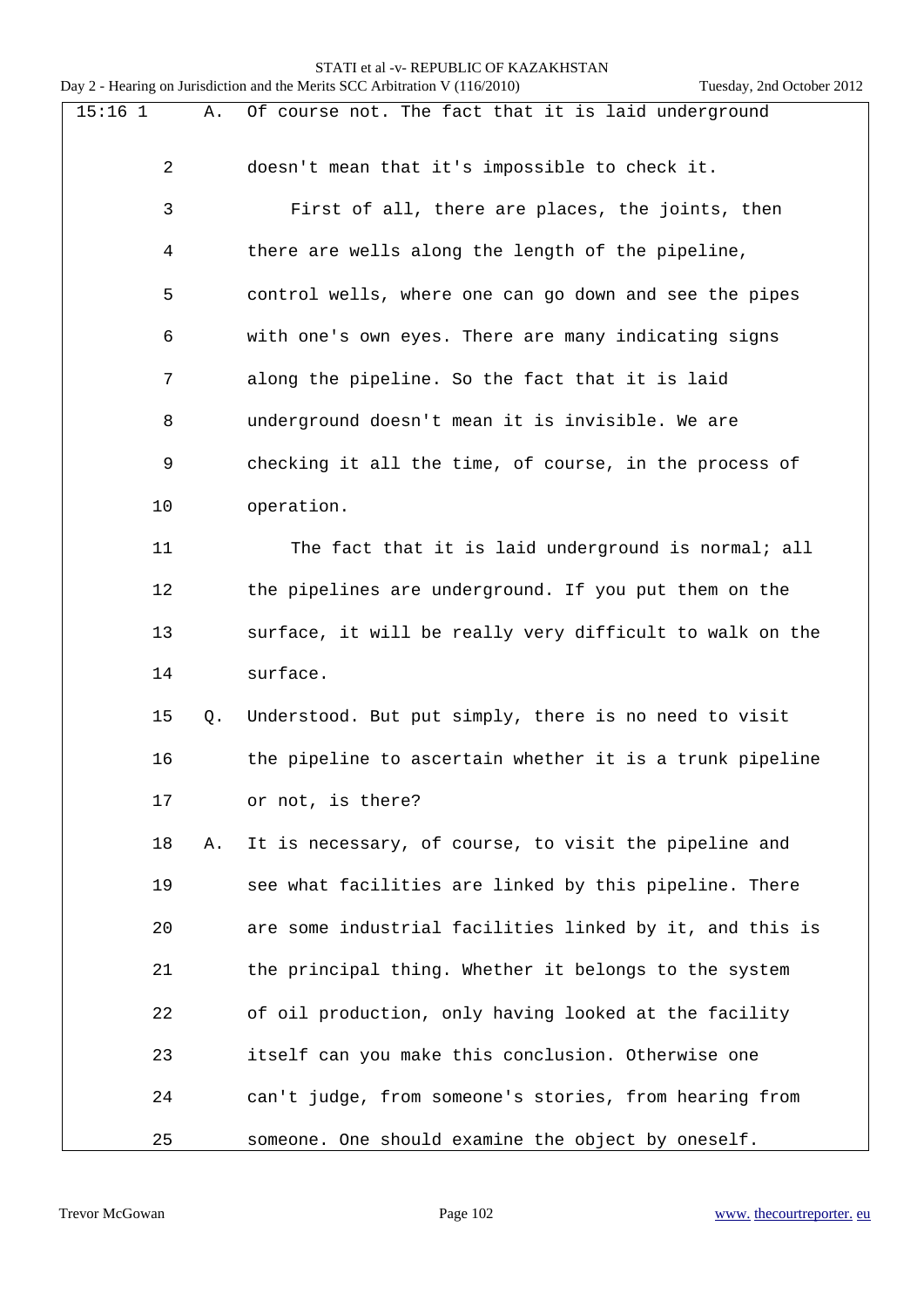| $15:16$ 1 | Α. | Of course not. The fact that it is laid underground      |
|-----------|----|----------------------------------------------------------|
| 2         |    | doesn't mean that it's impossible to check it.           |
| 3         |    | First of all, there are places, the joints, then         |
| 4         |    | there are wells along the length of the pipeline,        |
| 5         |    | control wells, where one can go down and see the pipes   |
| 6         |    | with one's own eyes. There are many indicating signs     |
| 7         |    | along the pipeline. So the fact that it is laid          |
| 8         |    | underground doesn't mean it is invisible. We are         |
| 9         |    | checking it all the time, of course, in the process of   |
| 10        |    | operation.                                               |
| 11        |    | The fact that it is laid underground is normal; all      |
| 12        |    | the pipelines are underground. If you put them on the    |
| 13        |    | surface, it will be really very difficult to walk on the |
| 14        |    | surface.                                                 |
| 15        | Q. | Understood. But put simply, there is no need to visit    |
| 16        |    | the pipeline to ascertain whether it is a trunk pipeline |
| 17        |    | or not, is there?                                        |
| 18        | Α. | It is necessary, of course, to visit the pipeline and    |
| 19        |    | see what facilities are linked by this pipeline. There   |
| 20        |    | are some industrial facilities linked by it, and this is |
| 21        |    | the principal thing. Whether it belongs to the system    |
| 22        |    | of oil production, only having looked at the facility    |
| 23        |    | itself can you make this conclusion. Otherwise one       |
| 24        |    | can't judge, from someone's stories, from hearing from   |
| 25        |    | someone. One should examine the object by oneself.       |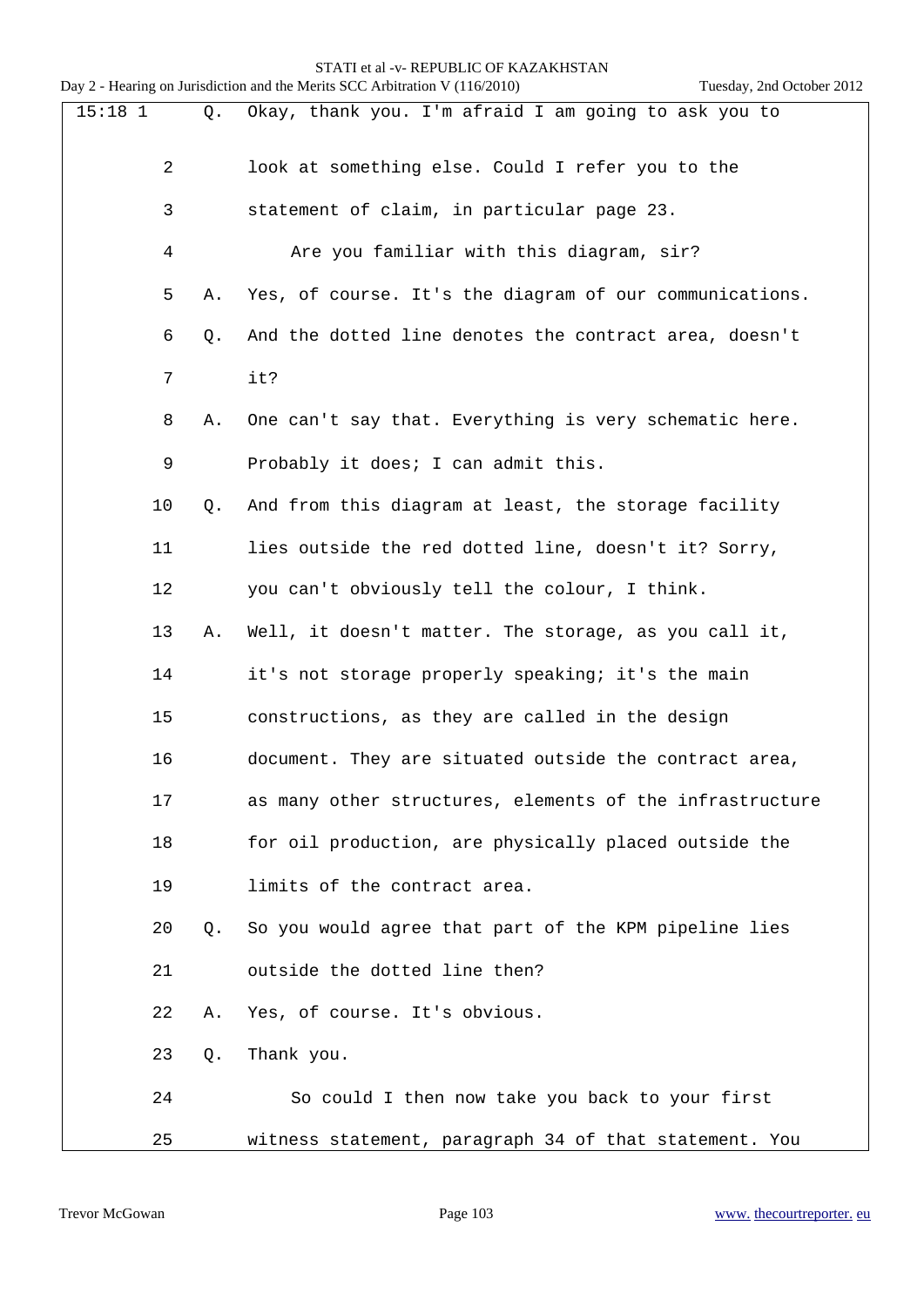| $15:18$ 1 | Q. | Okay, thank you. I'm afraid I am going to ask you to     |
|-----------|----|----------------------------------------------------------|
|           |    |                                                          |
| 2         |    | look at something else. Could I refer you to the         |
| 3         |    | statement of claim, in particular page 23.               |
| 4         |    | Are you familiar with this diagram, sir?                 |
| 5         | Α. | Yes, of course. It's the diagram of our communications.  |
| 6         | Q. | And the dotted line denotes the contract area, doesn't   |
| 7         |    | it?                                                      |
| 8         | Α. | One can't say that. Everything is very schematic here.   |
| 9         |    | Probably it does; I can admit this.                      |
| 10        | Q. | And from this diagram at least, the storage facility     |
| 11        |    | lies outside the red dotted line, doesn't it? Sorry,     |
| 12        |    | you can't obviously tell the colour, I think.            |
| 13        | Α. | Well, it doesn't matter. The storage, as you call it,    |
| 14        |    | it's not storage properly speaking; it's the main        |
| 15        |    | constructions, as they are called in the design          |
| 16        |    | document. They are situated outside the contract area,   |
| 17        |    | as many other structures, elements of the infrastructure |
| 18        |    | for oil production, are physically placed outside the    |
| 19        |    | limits of the contract area.                             |
| 20        | Q. | So you would agree that part of the KPM pipeline lies    |
| 21        |    | outside the dotted line then?                            |
| 22        | Α. | Yes, of course. It's obvious.                            |
| 23        | Q. | Thank you.                                               |
| 24        |    | So could I then now take you back to your first          |
| 25        |    | witness statement, paragraph 34 of that statement. You   |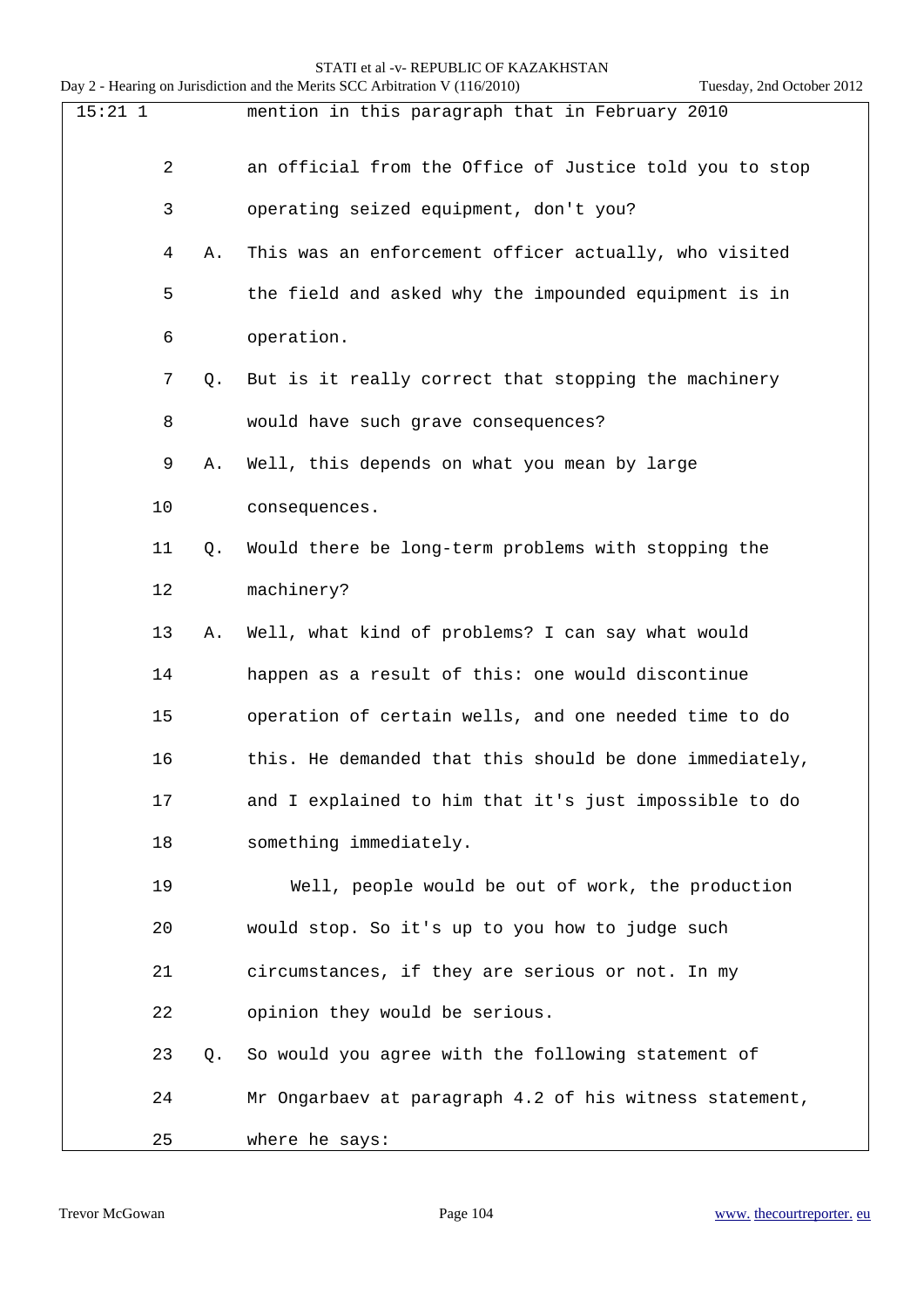| $15:21$ 1 |                | mention in this paragraph that in February 2010         |
|-----------|----------------|---------------------------------------------------------|
|           | $\overline{a}$ | an official from the Office of Justice told you to stop |
|           | 3              | operating seized equipment, don't you?                  |
|           | 4<br>Α.        | This was an enforcement officer actually, who visited   |
|           | 5              | the field and asked why the impounded equipment is in   |
|           | 6              | operation.                                              |
|           | 7<br>Q.        | But is it really correct that stopping the machinery    |
| 8         |                | would have such grave consequences?                     |
| 9         | Α.             | Well, this depends on what you mean by large            |
| 10        |                | consequences.                                           |
| 11        | Q.             | Would there be long-term problems with stopping the     |
| 12        |                | machinery?                                              |
| 13        | Α.             | Well, what kind of problems? I can say what would       |
| 14        |                | happen as a result of this: one would discontinue       |
| 15        |                | operation of certain wells, and one needed time to do   |
| 16        |                | this. He demanded that this should be done immediately, |
| 17        |                | and I explained to him that it's just impossible to do  |
| 18        |                | something immediately.                                  |
| 19        |                | Well, people would be out of work, the production       |
| 20        |                | would stop. So it's up to you how to judge such         |
| 21        |                | circumstances, if they are serious or not. In my        |
| 22        |                | opinion they would be serious.                          |
| 23        | Q.             | So would you agree with the following statement of      |
| 24        |                | Mr Ongarbaev at paragraph 4.2 of his witness statement, |
| 25        |                | where he says:                                          |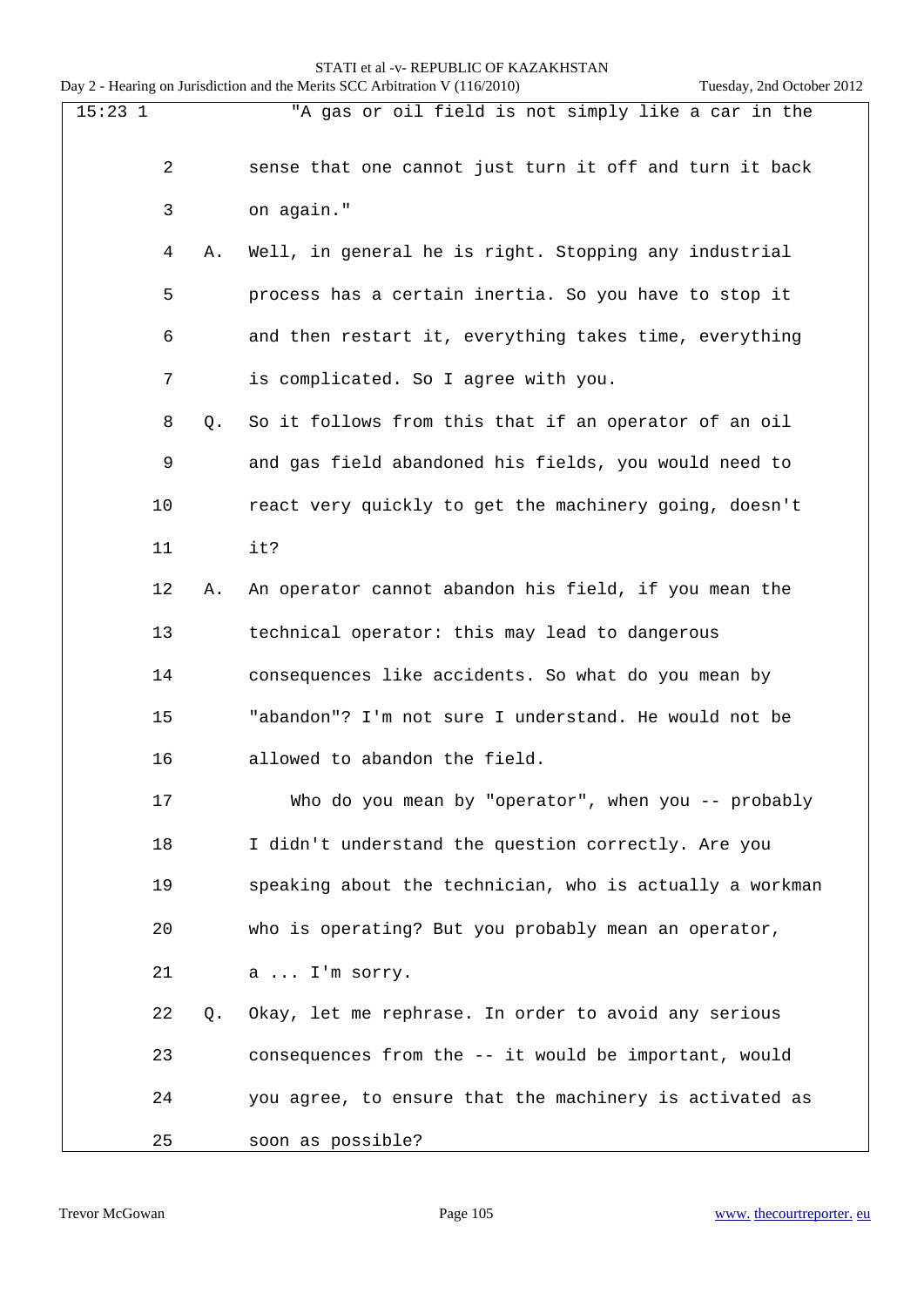| 15:231         |    | "A gas or oil field is not simply like a car in the      |
|----------------|----|----------------------------------------------------------|
| $\overline{2}$ |    | sense that one cannot just turn it off and turn it back  |
| 3              |    | on again."                                               |
| 4              | Α. | Well, in general he is right. Stopping any industrial    |
| 5              |    | process has a certain inertia. So you have to stop it    |
| 6              |    | and then restart it, everything takes time, everything   |
| 7              |    | is complicated. So I agree with you.                     |
| 8              | Q. | So it follows from this that if an operator of an oil    |
| 9              |    | and gas field abandoned his fields, you would need to    |
| 10             |    | react very quickly to get the machinery going, doesn't   |
| 11             |    | it?                                                      |
| 12             | Α. | An operator cannot abandon his field, if you mean the    |
| 13             |    | technical operator: this may lead to dangerous           |
| 14             |    | consequences like accidents. So what do you mean by      |
| 15             |    | "abandon"? I'm not sure I understand. He would not be    |
| 16             |    | allowed to abandon the field.                            |
| 17             |    | Who do you mean by "operator", when you -- probably      |
| 18             |    | I didn't understand the question correctly. Are you      |
| 19             |    | speaking about the technician, who is actually a workman |
| 20             |    | who is operating? But you probably mean an operator,     |
| 21             |    | a  I'm sorry.                                            |
| 22             | Q. | Okay, let me rephrase. In order to avoid any serious     |
| 23             |    | consequences from the -- it would be important, would    |
| 24             |    | you agree, to ensure that the machinery is activated as  |
| 25             |    | soon as possible?                                        |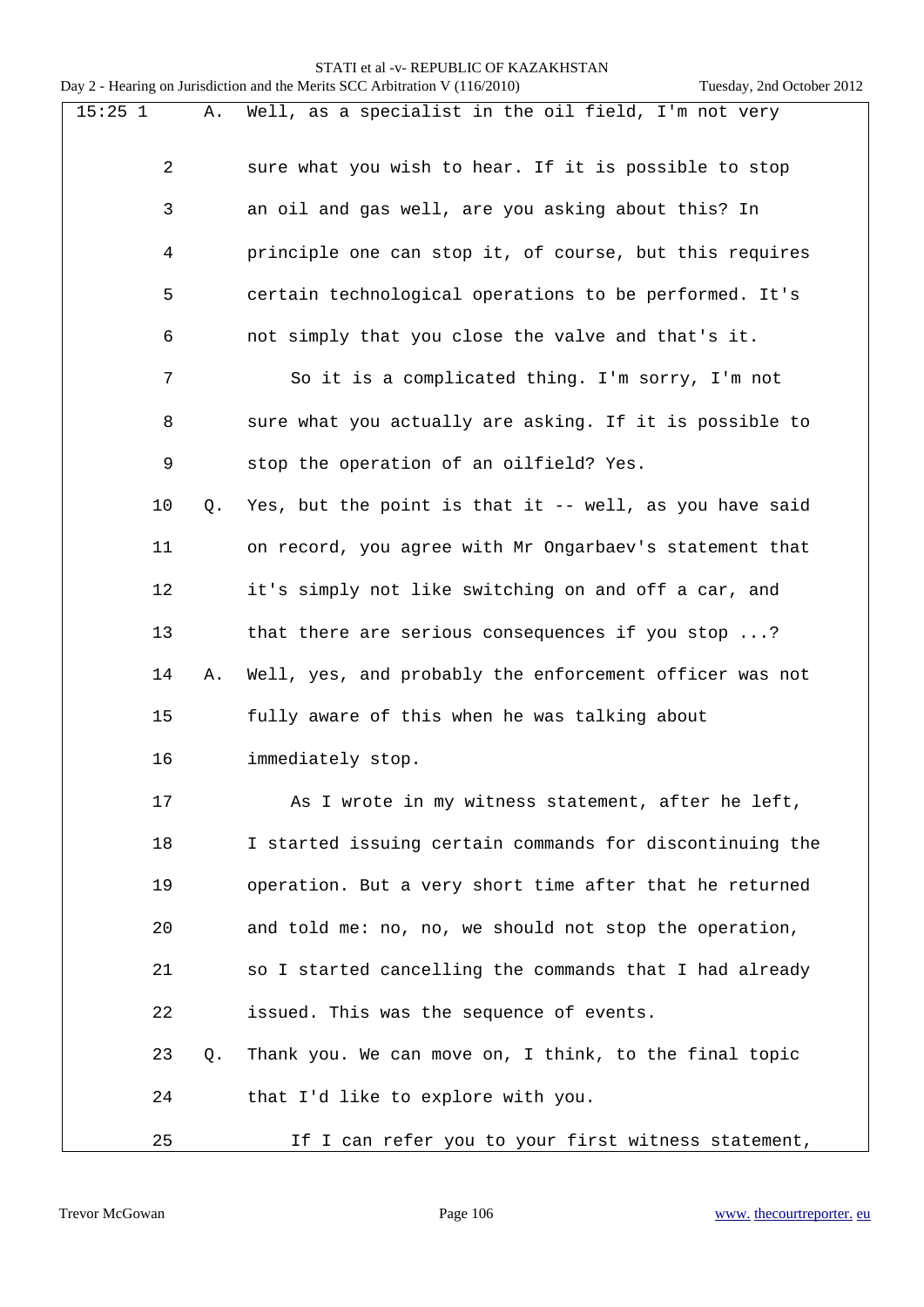| $15:25$ 1 | Α. | Well, as a specialist in the oil field, I'm not very     |
|-----------|----|----------------------------------------------------------|
| 2         |    | sure what you wish to hear. If it is possible to stop    |
| 3         |    | an oil and gas well, are you asking about this? In       |
| 4         |    | principle one can stop it, of course, but this requires  |
| 5         |    | certain technological operations to be performed. It's   |
| 6         |    | not simply that you close the valve and that's it.       |
| 7         |    | So it is a complicated thing. I'm sorry, I'm not         |
| 8         |    | sure what you actually are asking. If it is possible to  |
| 9         |    | stop the operation of an oilfield? Yes.                  |
| 10        | Q. | Yes, but the point is that it -- well, as you have said  |
| 11        |    | on record, you agree with Mr Ongarbaev's statement that  |
| 12        |    | it's simply not like switching on and off a car, and     |
| 13        |    | that there are serious consequences if you stop ?        |
| 14        | Α. | Well, yes, and probably the enforcement officer was not  |
| 15        |    | fully aware of this when he was talking about            |
| 16        |    | immediately stop.                                        |
| 17        |    | As I wrote in my witness statement, after he left,       |
| 18        |    | I started issuing certain commands for discontinuing the |
| 19        |    | operation. But a very short time after that he returned  |
| 20        |    | and told me: no, no, we should not stop the operation,   |
| 21        |    | so I started cancelling the commands that I had already  |
| 22        |    | issued. This was the sequence of events.                 |
| 23        | Q. | Thank you. We can move on, I think, to the final topic   |
| 24        |    | that I'd like to explore with you.                       |
| 25        |    | If I can refer you to your first witness statement,      |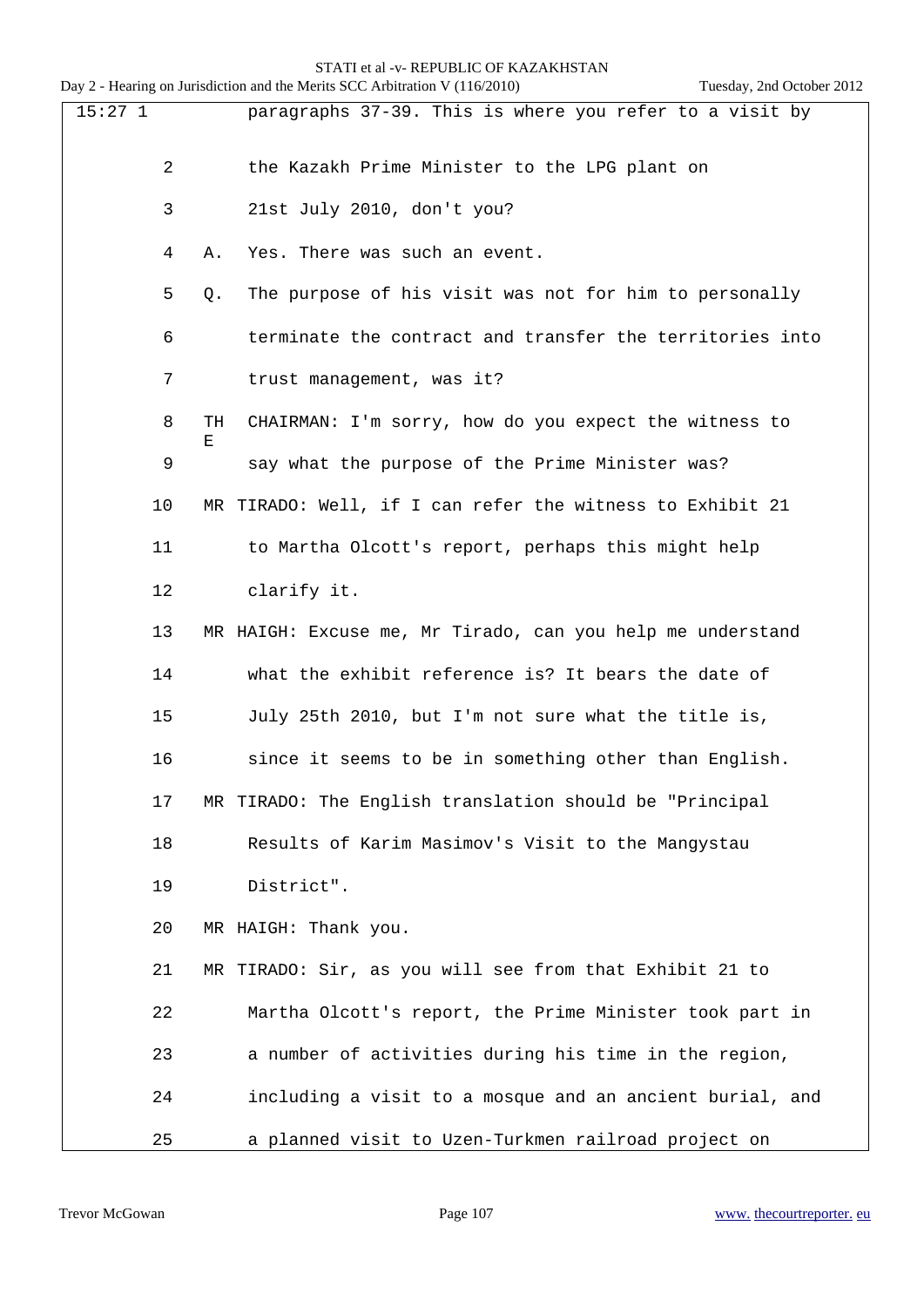| $15:27$ 1 |    | paragraphs 37-39. This is where you refer to a visit by    |
|-----------|----|------------------------------------------------------------|
|           |    |                                                            |
| 2         |    | the Kazakh Prime Minister to the LPG plant on              |
| 3         |    | 21st July 2010, don't you?                                 |
| 4         | Α. | Yes. There was such an event.                              |
| 5         | Q. | The purpose of his visit was not for him to personally     |
| 6         |    | terminate the contract and transfer the territories into   |
| 7         |    | trust management, was it?                                  |
| 8         | TH | CHAIRMAN: I'm sorry, how do you expect the witness to      |
| 9         | Ε  | say what the purpose of the Prime Minister was?            |
| $10 \,$   |    | MR TIRADO: Well, if I can refer the witness to Exhibit 21  |
| 11        |    | to Martha Olcott's report, perhaps this might help         |
| 12        |    | clarify it.                                                |
| 13        |    | MR HAIGH: Excuse me, Mr Tirado, can you help me understand |
| 14        |    | what the exhibit reference is? It bears the date of        |
| 15        |    | July 25th 2010, but I'm not sure what the title is,        |
| 16        |    | since it seems to be in something other than English.      |
| 17        |    | MR TIRADO: The English translation should be "Principal    |
| 18        |    | Results of Karim Masimov's Visit to the Mangystau          |
| 19        |    | District".                                                 |
| 20        |    | MR HAIGH: Thank you.                                       |
| 21        |    | MR TIRADO: Sir, as you will see from that Exhibit 21 to    |
| 22        |    | Martha Olcott's report, the Prime Minister took part in    |
| 23        |    | a number of activities during his time in the region,      |
| 24        |    | including a visit to a mosque and an ancient burial, and   |
| 25        |    | a planned visit to Uzen-Turkmen railroad project on        |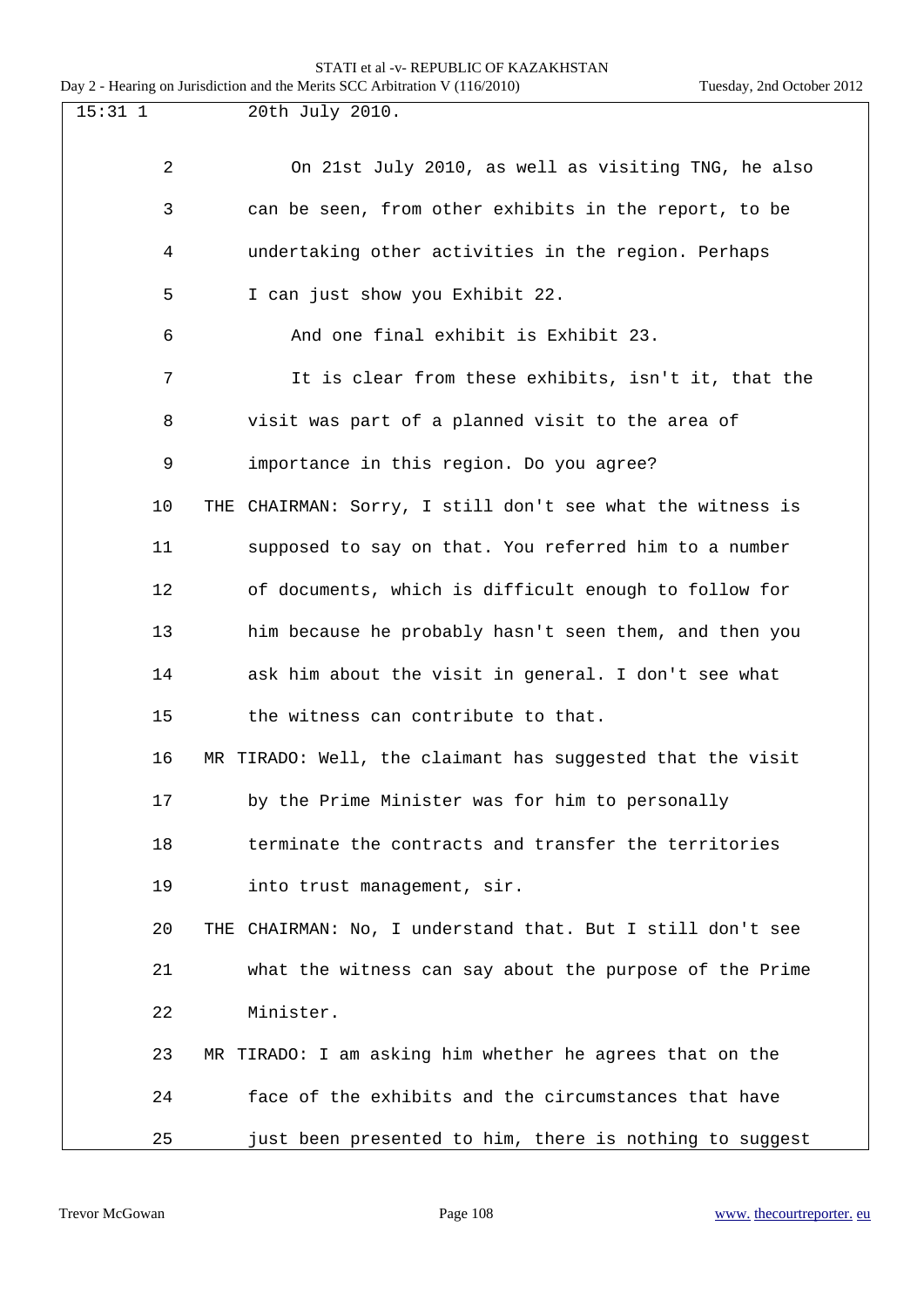| $15:31$ 1 | 20th July 2010.                                            |
|-----------|------------------------------------------------------------|
| 2         | On 21st July 2010, as well as visiting TNG, he also        |
| 3         | can be seen, from other exhibits in the report, to be      |
| 4         | undertaking other activities in the region. Perhaps        |
| 5         | I can just show you Exhibit 22.                            |
| 6         | And one final exhibit is Exhibit 23.                       |
| 7         | It is clear from these exhibits, isn't it, that the        |
| 8         | visit was part of a planned visit to the area of           |
| 9         | importance in this region. Do you agree?                   |
| 10        | THE CHAIRMAN: Sorry, I still don't see what the witness is |
| 11        | supposed to say on that. You referred him to a number      |
| 12        | of documents, which is difficult enough to follow for      |
| 13        | him because he probably hasn't seen them, and then you     |
| 14        | ask him about the visit in general. I don't see what       |
| 15        | the witness can contribute to that.                        |
| 16        | MR TIRADO: Well, the claimant has suggested that the visit |
| 17        | by the Prime Minister was for him to personally            |
| 18        | terminate the contracts and transfer the territories       |
| 19        | into trust management, sir.                                |
| 20        | THE CHAIRMAN: No, I understand that. But I still don't see |
| 21        | what the witness can say about the purpose of the Prime    |
| 22        | Minister.                                                  |
| 23        | MR TIRADO: I am asking him whether he agrees that on the   |
| 24        | face of the exhibits and the circumstances that have       |
| 25        | just been presented to him, there is nothing to suggest    |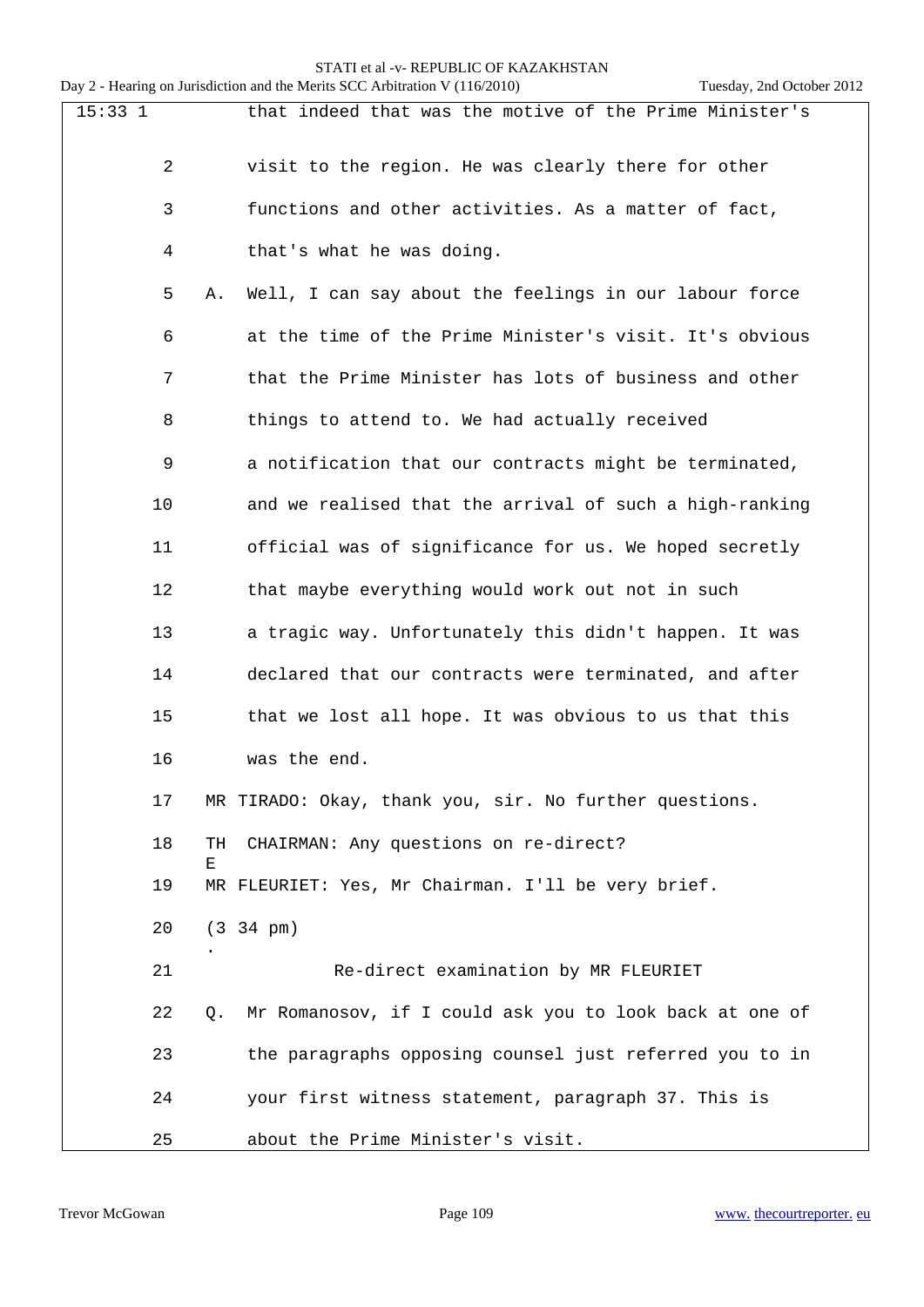| 15:331 | that indeed that was the motive of the Prime Minister's       |
|--------|---------------------------------------------------------------|
| 2      | visit to the region. He was clearly there for other           |
| 3      | functions and other activities. As a matter of fact,          |
| 4      | that's what he was doing.                                     |
| 5      | Well, I can say about the feelings in our labour force<br>Α.  |
| 6      | at the time of the Prime Minister's visit. It's obvious       |
| 7      | that the Prime Minister has lots of business and other        |
| 8      | things to attend to. We had actually received                 |
| 9      | a notification that our contracts might be terminated,        |
| 10     | and we realised that the arrival of such a high-ranking       |
| 11     | official was of significance for us. We hoped secretly        |
| 12     | that maybe everything would work out not in such              |
| 13     | a tragic way. Unfortunately this didn't happen. It was        |
| 14     | declared that our contracts were terminated, and after        |
| 15     | that we lost all hope. It was obvious to us that this         |
| 16     | was the end.                                                  |
| 17     | MR TIRADO: Okay, thank you, sir. No further questions.        |
| 18     | CHAIRMAN: Any questions on re-direct?<br>TH<br>Ε              |
| 19     | MR FLEURIET: Yes, Mr Chairman. I'll be very brief.            |
| 20     | $(3 \ 34 \ pm)$                                               |
| 21     | Re-direct examination by MR FLEURIET                          |
| 22     | Mr Romanosov, if I could ask you to look back at one of<br>Q. |
| 23     | the paragraphs opposing counsel just referred you to in       |
| 24     | your first witness statement, paragraph 37. This is           |
| 25     | about the Prime Minister's visit.                             |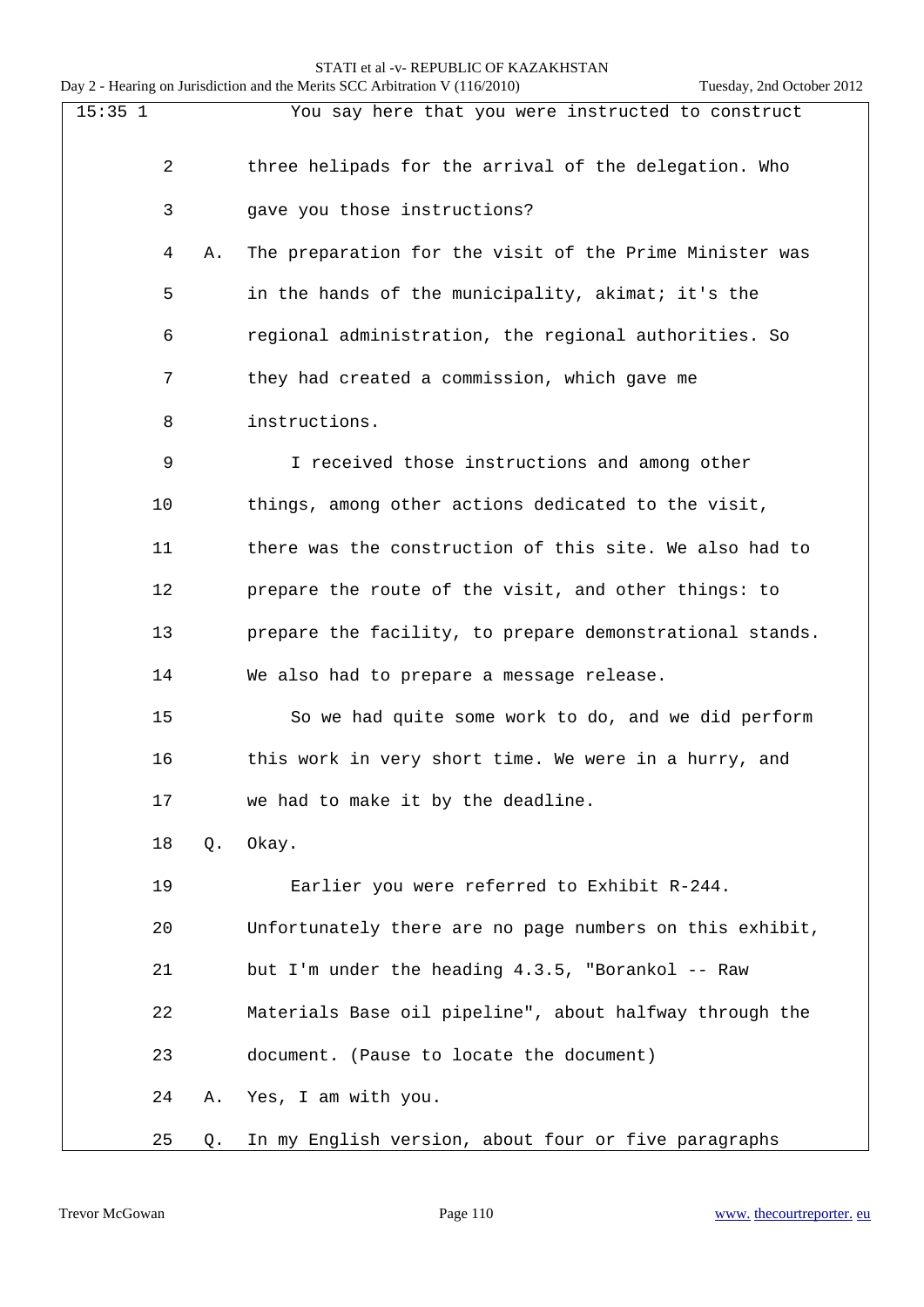| $15:35$ 1 |    | You say here that you were instructed to construct       |
|-----------|----|----------------------------------------------------------|
| 2         |    | three helipads for the arrival of the delegation. Who    |
| 3         |    | gave you those instructions?                             |
| 4         | Α. | The preparation for the visit of the Prime Minister was  |
| 5         |    | in the hands of the municipality, akimat; it's the       |
| 6         |    | regional administration, the regional authorities. So    |
| 7         |    | they had created a commission, which gave me             |
| 8         |    | instructions.                                            |
| 9         |    | I received those instructions and among other            |
| 10        |    | things, among other actions dedicated to the visit,      |
| 11        |    | there was the construction of this site. We also had to  |
| 12        |    | prepare the route of the visit, and other things: to     |
| 13        |    | prepare the facility, to prepare demonstrational stands. |
| 14        |    | We also had to prepare a message release.                |
| 15        |    | So we had quite some work to do, and we did perform      |
| 16        |    | this work in very short time. We were in a hurry, and    |
| 17        |    | we had to make it by the deadline.                       |
| 18        | Q. | Okay.                                                    |
| 19        |    | Earlier you were referred to Exhibit R-244.              |
| 20        |    | Unfortunately there are no page numbers on this exhibit, |
| 21        |    | but I'm under the heading 4.3.5, "Borankol -- Raw        |
| 22        |    | Materials Base oil pipeline", about halfway through the  |
| 23        |    | document. (Pause to locate the document)                 |
| 24        | Α. | Yes, I am with you.                                      |
| 25        | Q. | In my English version, about four or five paragraphs     |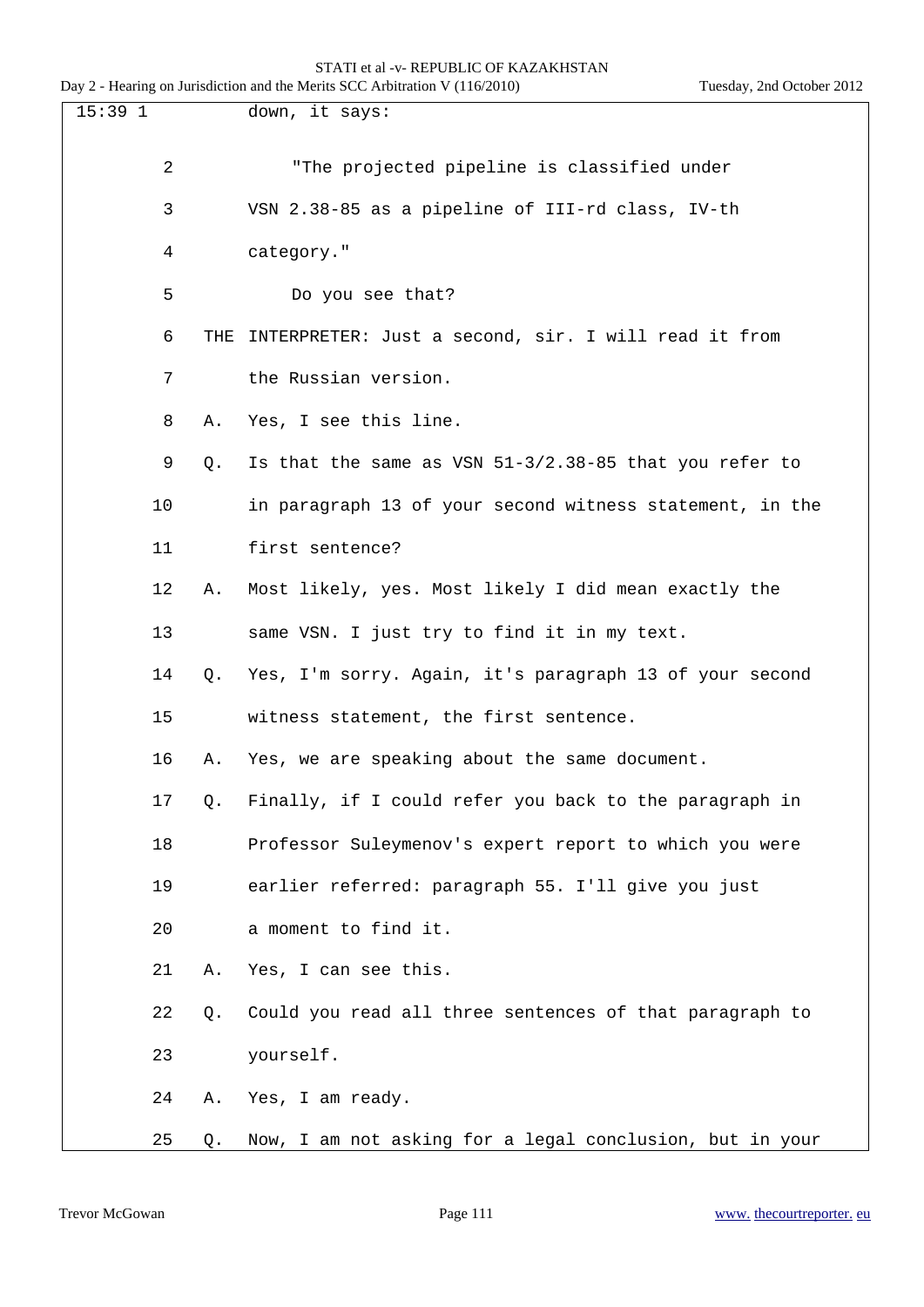| $15:39$ 1 |    | down, it says:                                           |
|-----------|----|----------------------------------------------------------|
| 2         |    | "The projected pipeline is classified under              |
| 3         |    | VSN 2.38-85 as a pipeline of III-rd class, IV-th         |
| 4         |    | category."                                               |
| 5         |    | Do you see that?                                         |
| 6         |    | THE INTERPRETER: Just a second, sir. I will read it from |
| 7         |    | the Russian version.                                     |
| 8         | Α. | Yes, I see this line.                                    |
| 9         | Q. | Is that the same as VSN $51-3/2.38-85$ that you refer to |
| 10        |    | in paragraph 13 of your second witness statement, in the |
| 11        |    | first sentence?                                          |
| 12        | Α. | Most likely, yes. Most likely I did mean exactly the     |
| 13        |    | same VSN. I just try to find it in my text.              |
| 14        | Q. | Yes, I'm sorry. Again, it's paragraph 13 of your second  |
| 15        |    | witness statement, the first sentence.                   |
| 16        | Α. | Yes, we are speaking about the same document.            |
| 17        | Q. | Finally, if I could refer you back to the paragraph in   |
| 18        |    | Professor Suleymenov's expert report to which you were   |
| 19        |    | earlier referred: paragraph 55. I'll give you just       |
| 20        |    | a moment to find it.                                     |
| 21        | Α. | Yes, I can see this.                                     |
| 22        | Q. | Could you read all three sentences of that paragraph to  |
| 23        |    | yourself.                                                |
| 24        | Α. | Yes, I am ready.                                         |
| 25        | Q. | Now, I am not asking for a legal conclusion, but in your |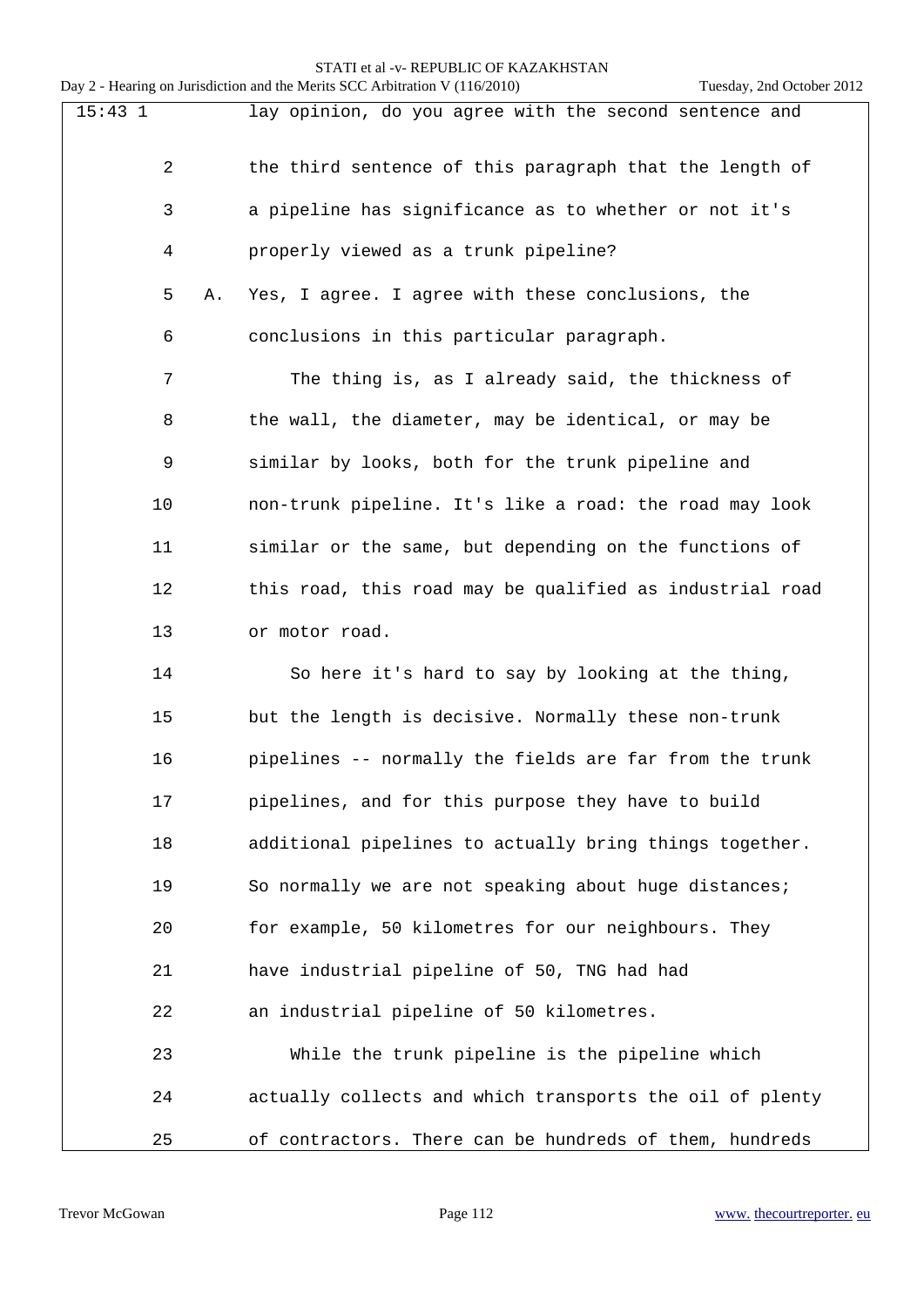| 15:431 | lay opinion, do you agree with the second sentence and   |
|--------|----------------------------------------------------------|
| 2      | the third sentence of this paragraph that the length of  |
| 3      | a pipeline has significance as to whether or not it's    |
| 4      | properly viewed as a trunk pipeline?                     |
| 5      | Yes, I agree. I agree with these conclusions, the<br>Α.  |
| 6      | conclusions in this particular paragraph.                |
| 7      | The thing is, as I already said, the thickness of        |
| 8      | the wall, the diameter, may be identical, or may be      |
| 9      | similar by looks, both for the trunk pipeline and        |
| 10     | non-trunk pipeline. It's like a road: the road may look  |
| 11     | similar or the same, but depending on the functions of   |
| 12     | this road, this road may be qualified as industrial road |
| 13     | or motor road.                                           |
| 14     | So here it's hard to say by looking at the thing,        |
| 15     | but the length is decisive. Normally these non-trunk     |
| 16     | pipelines -- normally the fields are far from the trunk  |
| 17     | pipelines, and for this purpose they have to build       |
| 18     | additional pipelines to actually bring things together.  |
| 19     | So normally we are not speaking about huge distances;    |
| 20     | for example, 50 kilometres for our neighbours. They      |
| 21     | have industrial pipeline of 50, TNG had had              |
| 22     | an industrial pipeline of 50 kilometres.                 |
| 23     | While the trunk pipeline is the pipeline which           |
| 24     | actually collects and which transports the oil of plenty |
| 25     | of contractors. There can be hundreds of them, hundreds  |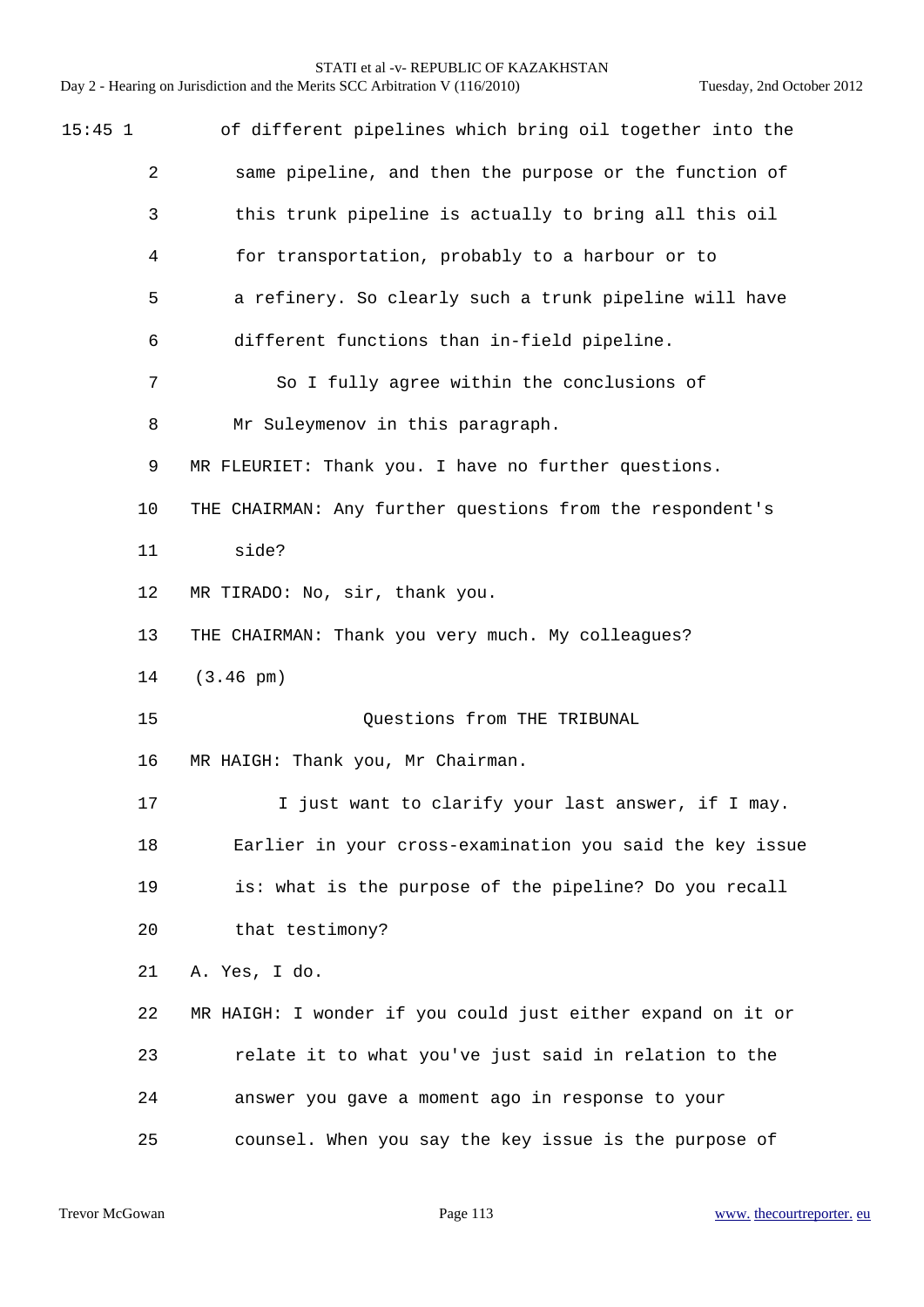## STATI et al -v- REPUBLIC OF KAZAKHSTAN Day 2 - Hearing on Jurisdiction and the Merits SCC Arbitration V (116/2010) Tuesday, 2nd October 2012

| $15:45$ 1      | of different pipelines which bring oil together into the    |
|----------------|-------------------------------------------------------------|
| $\overline{2}$ | same pipeline, and then the purpose or the function of      |
| 3              | this trunk pipeline is actually to bring all this oil       |
| 4              | for transportation, probably to a harbour or to             |
| 5              | a refinery. So clearly such a trunk pipeline will have      |
| 6              | different functions than in-field pipeline.                 |
| 7              | So I fully agree within the conclusions of                  |
| 8              | Mr Suleymenov in this paragraph.                            |
| 9              | MR FLEURIET: Thank you. I have no further questions.        |
| 10             | THE CHAIRMAN: Any further questions from the respondent's   |
| 11             | side?                                                       |
| 12             | MR TIRADO: No, sir, thank you.                              |
| 13             | THE CHAIRMAN: Thank you very much. My colleagues?           |
| 14             | $(3.46 \text{ pm})$                                         |
| 15             | Questions from THE TRIBUNAL                                 |
| 16             | MR HAIGH: Thank you, Mr Chairman.                           |
| 17             | I just want to clarify your last answer, if I may.          |
| 18             | Earlier in your cross-examination you said the key issue    |
| 19             | is: what is the purpose of the pipeline? Do you recall      |
| 20             | that testimony?                                             |
| 21             | A. Yes, I do.                                               |
| 22             | MR HAIGH: I wonder if you could just either expand on it or |
| 23             | relate it to what you've just said in relation to the       |
| 24             | answer you gave a moment ago in response to your            |
| 25             | counsel. When you say the key issue is the purpose of       |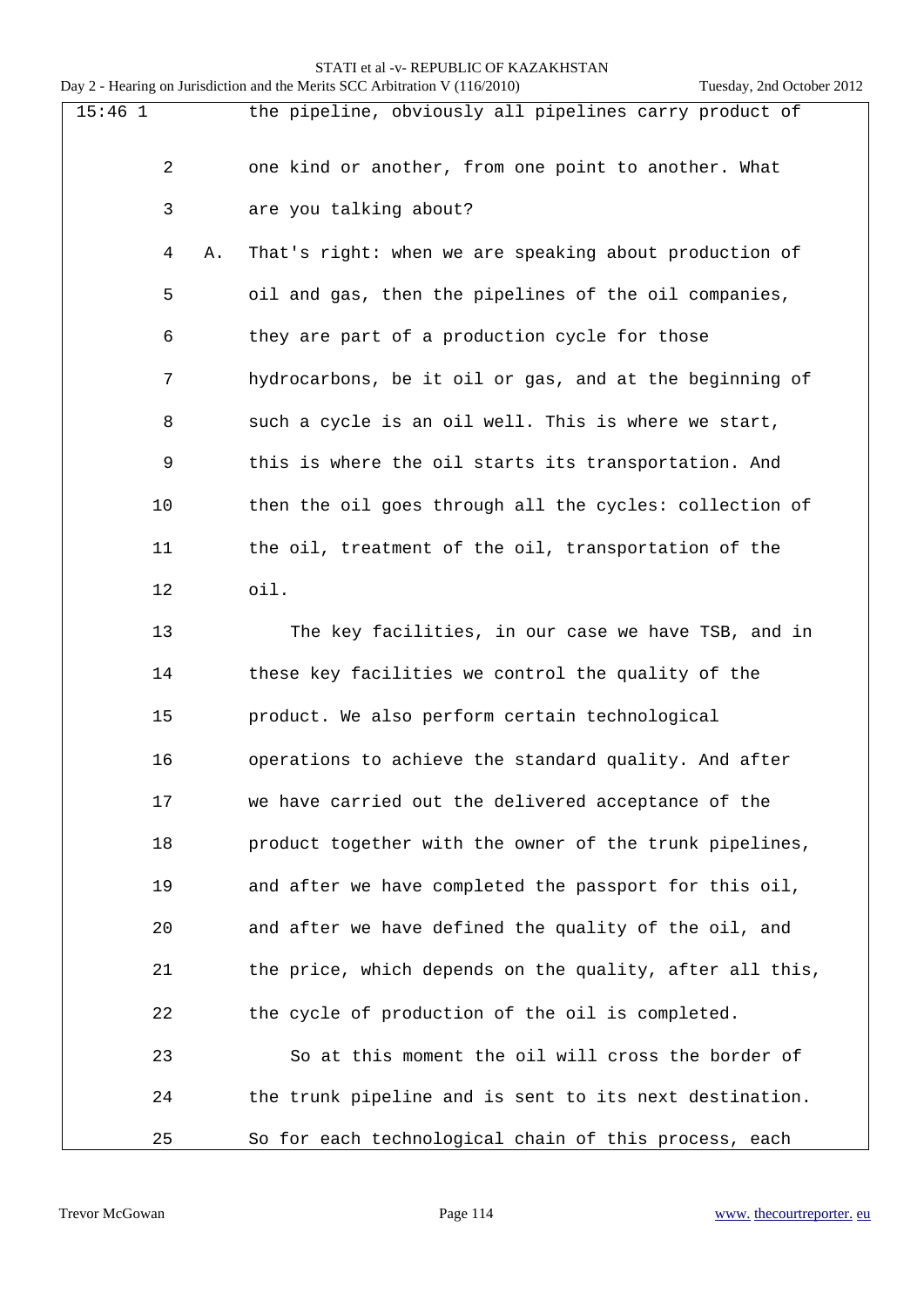| $15:46$ 1      |    | the pipeline, obviously all pipelines carry product of   |
|----------------|----|----------------------------------------------------------|
| $\overline{2}$ |    | one kind or another, from one point to another. What     |
| 3              |    | are you talking about?                                   |
| 4              | Α. | That's right: when we are speaking about production of   |
| 5              |    | oil and gas, then the pipelines of the oil companies,    |
| 6              |    | they are part of a production cycle for those            |
| 7              |    | hydrocarbons, be it oil or gas, and at the beginning of  |
| 8              |    | such a cycle is an oil well. This is where we start,     |
| 9              |    | this is where the oil starts its transportation. And     |
| 10             |    | then the oil goes through all the cycles: collection of  |
| 11             |    | the oil, treatment of the oil, transportation of the     |
| 12             |    | oil.                                                     |
| 13             |    | The key facilities, in our case we have TSB, and in      |
| 14             |    | these key facilities we control the quality of the       |
| 15             |    | product. We also perform certain technological           |
| 16             |    | operations to achieve the standard quality. And after    |
| 17             |    | we have carried out the delivered acceptance of the      |
| 18             |    | product together with the owner of the trunk pipelines,  |
| 19             |    | and after we have completed the passport for this oil,   |
| 20             |    | and after we have defined the quality of the oil, and    |
| 21             |    | the price, which depends on the quality, after all this, |
| 22             |    | the cycle of production of the oil is completed.         |
| 23             |    | So at this moment the oil will cross the border of       |
| 24             |    | the trunk pipeline and is sent to its next destination.  |
| 25             |    | So for each technological chain of this process, each    |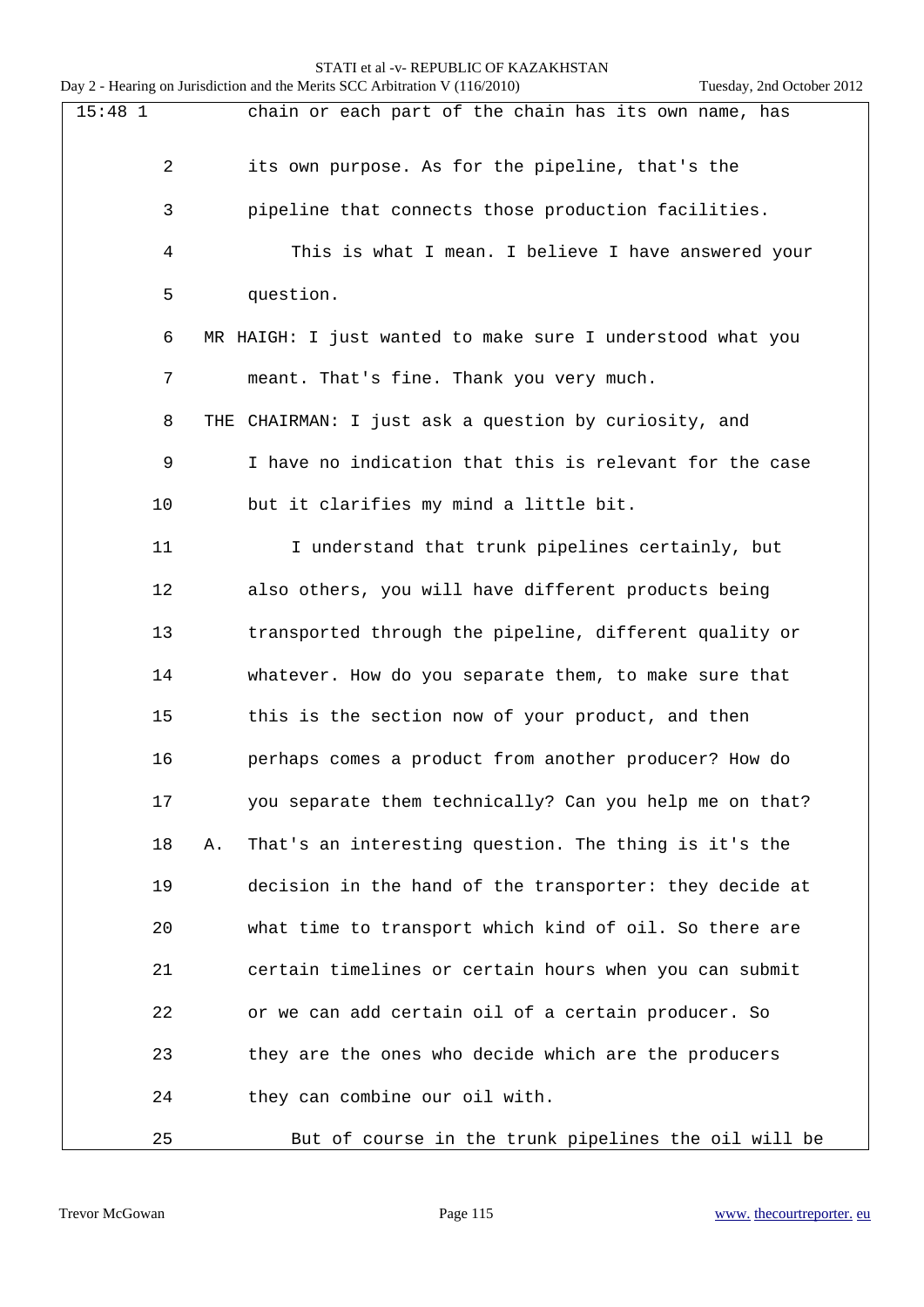| $15:48$ 1 | chain or each part of the chain has its own name, has       |
|-----------|-------------------------------------------------------------|
| 2         | its own purpose. As for the pipeline, that's the            |
|           |                                                             |
| 3         | pipeline that connects those production facilities.         |
| 4         | This is what I mean. I believe I have answered your         |
| 5         | question.                                                   |
| 6         | MR HAIGH: I just wanted to make sure I understood what you  |
| 7         | meant. That's fine. Thank you very much.                    |
| 8         | THE CHAIRMAN: I just ask a question by curiosity, and       |
| 9         | I have no indication that this is relevant for the case     |
| 10        | but it clarifies my mind a little bit.                      |
| 11        | I understand that trunk pipelines certainly, but            |
| 12        | also others, you will have different products being         |
| 13        | transported through the pipeline, different quality or      |
| 14        | whatever. How do you separate them, to make sure that       |
| 15        | this is the section now of your product, and then           |
| 16        | perhaps comes a product from another producer? How do       |
| 17        | you separate them technically? Can you help me on that?     |
| 18        | That's an interesting question. The thing is it's the<br>Α. |
| 19        | decision in the hand of the transporter: they decide at     |
| 20        | what time to transport which kind of oil. So there are      |
| 21        | certain timelines or certain hours when you can submit      |
| 22        | or we can add certain oil of a certain producer. So         |
| 23        | they are the ones who decide which are the producers        |
| 24        | they can combine our oil with.                              |
| 25        | But of course in the trunk pipelines the oil will be        |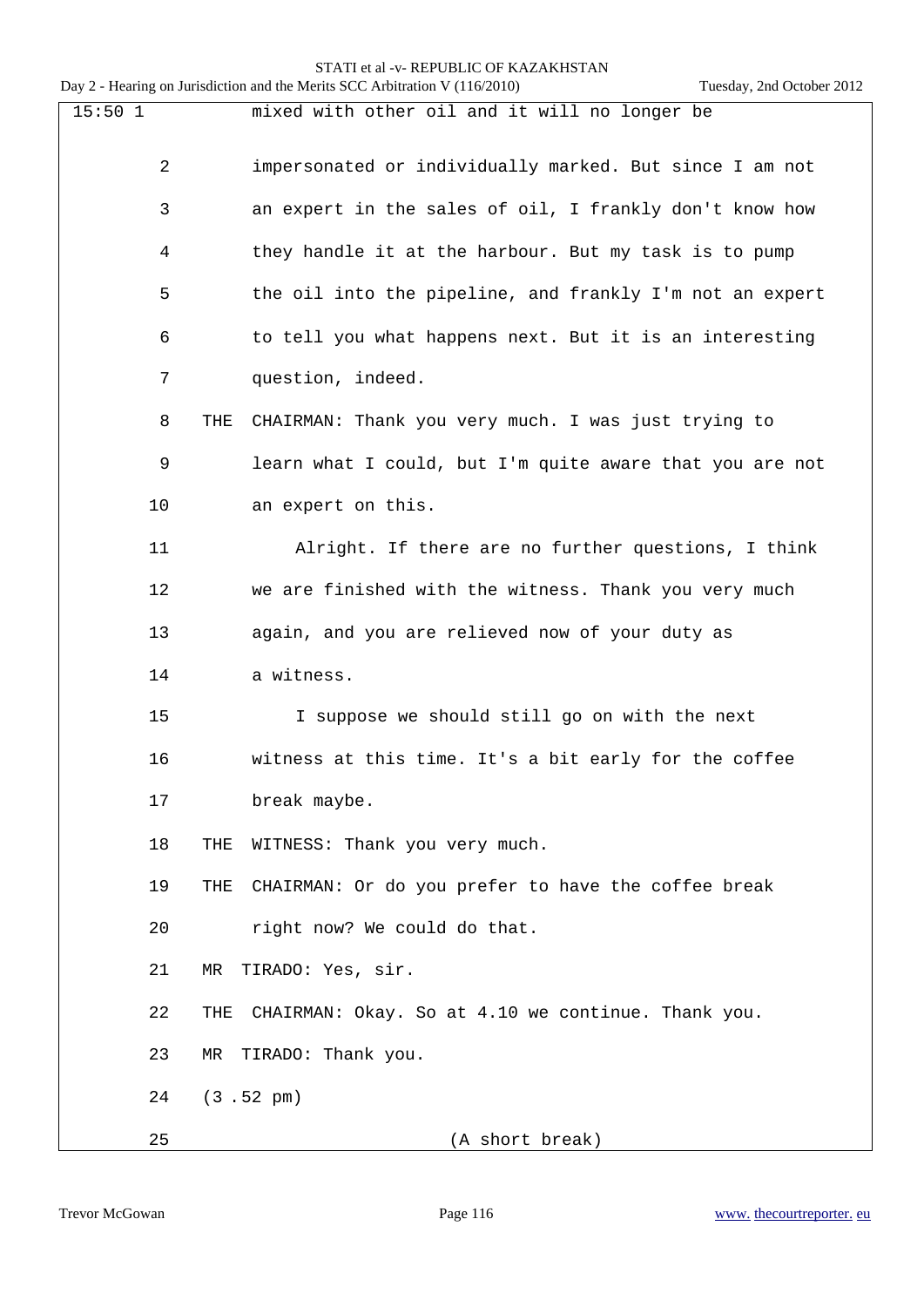| $15:50 \ \overline{1}$ | mixed with other oil and it will no longer be              |
|------------------------|------------------------------------------------------------|
| 2                      | impersonated or individually marked. But since I am not    |
| 3                      | an expert in the sales of oil, I frankly don't know how    |
| 4                      | they handle it at the harbour. But my task is to pump      |
| 5                      | the oil into the pipeline, and frankly I'm not an expert   |
| 6                      | to tell you what happens next. But it is an interesting    |
| $\overline{7}$         | question, indeed.                                          |
| 8                      | CHAIRMAN: Thank you very much. I was just trying to<br>THE |
| 9                      | learn what I could, but I'm quite aware that you are not   |
| 10                     | an expert on this.                                         |
| 11                     | Alright. If there are no further questions, I think        |
| 12                     | we are finished with the witness. Thank you very much      |
| 13                     | again, and you are relieved now of your duty as            |
| 14                     | a witness.                                                 |
| 15                     | I suppose we should still go on with the next              |
| 16                     | witness at this time. It's a bit early for the coffee      |
| $17$                   | break maybe.                                               |
| 18                     | WITNESS: Thank you very much.<br>THE                       |
| 19                     | CHAIRMAN: Or do you prefer to have the coffee break<br>THE |
| 20                     | right now? We could do that.                               |
| 21                     | TIRADO: Yes, sir.<br>MR                                    |
| 22                     | CHAIRMAN: Okay. So at 4.10 we continue. Thank you.<br>THE  |
| 23                     | TIRADO: Thank you.<br>MR                                   |
| 24                     | $(3.52 \text{ pm})$                                        |
| 25                     | (A short break)                                            |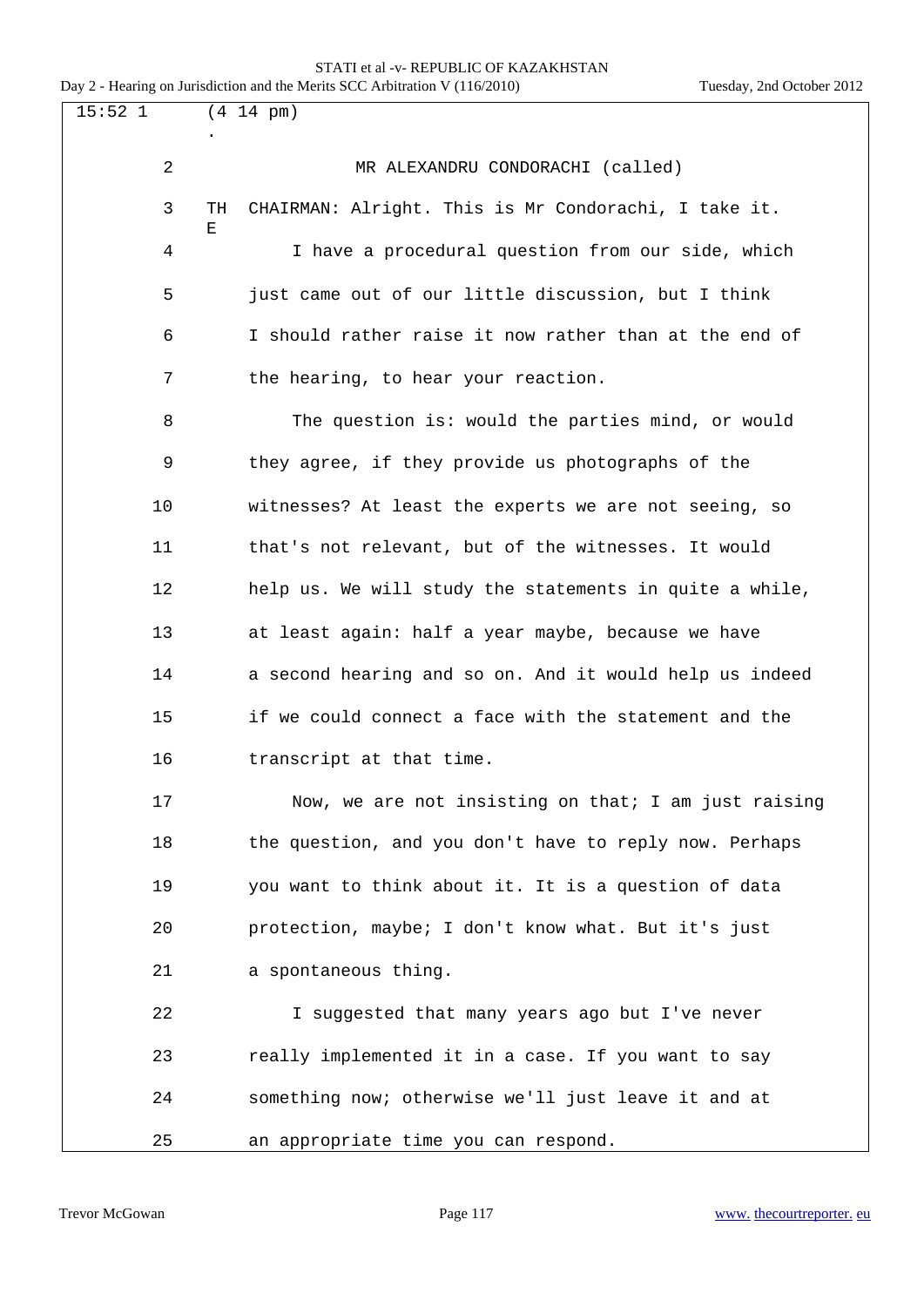| $15:52$ 1 | (4 14 pm)                                                  |
|-----------|------------------------------------------------------------|
| 2         | MR ALEXANDRU CONDORACHI (called)                           |
| 3         | CHAIRMAN: Alright. This is Mr Condorachi, I take it.<br>TH |
| 4         | Е<br>I have a procedural question from our side, which     |
| 5         | just came out of our little discussion, but I think        |
| 6         | I should rather raise it now rather than at the end of     |
| 7         | the hearing, to hear your reaction.                        |
| 8         | The question is: would the parties mind, or would          |
| 9         | they agree, if they provide us photographs of the          |
| 10        | witnesses? At least the experts we are not seeing, so      |
| 11        | that's not relevant, but of the witnesses. It would        |
| 12        | help us. We will study the statements in quite a while,    |
| 13        | at least again: half a year maybe, because we have         |
| 14        | a second hearing and so on. And it would help us indeed    |
| 15        | if we could connect a face with the statement and the      |
| 16        | transcript at that time.                                   |
| 17        | Now, we are not insisting on that; I am just raising       |
| 18        | the question, and you don't have to reply now. Perhaps     |
| 19        | you want to think about it. It is a question of data       |
| 20        | protection, maybe; I don't know what. But it's just        |
| 21        | a spontaneous thing.                                       |
| 22        | I suggested that many years ago but I've never             |
| 23        | really implemented it in a case. If you want to say        |
| 24        | something now; otherwise we'll just leave it and at        |
| 25        | an appropriate time you can respond.                       |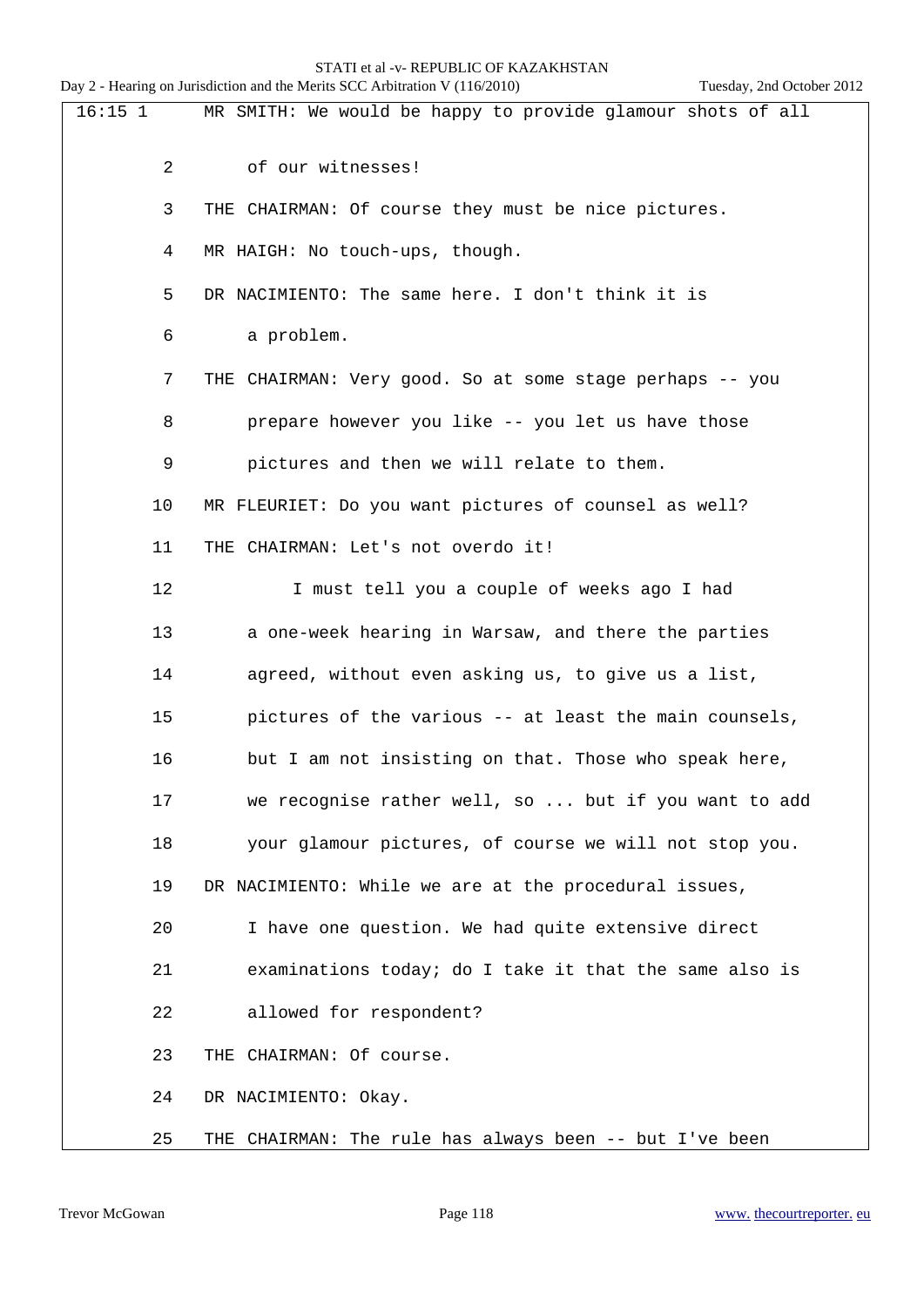| $16:15$ 1 | MR SMITH: We would be happy to provide glamour shots of all |
|-----------|-------------------------------------------------------------|
| 2         | of our witnesses!                                           |
| 3         | THE CHAIRMAN: Of course they must be nice pictures.         |
| 4         | MR HAIGH: No touch-ups, though.                             |
| 5         | DR NACIMIENTO: The same here. I don't think it is           |
| 6         | a problem.                                                  |
| 7         | THE CHAIRMAN: Very good. So at some stage perhaps -- you    |
| 8         | prepare however you like -- you let us have those           |
| 9         | pictures and then we will relate to them.                   |
| 10        | MR FLEURIET: Do you want pictures of counsel as well?       |
| 11        | THE CHAIRMAN: Let's not overdo it!                          |
| 12        | I must tell you a couple of weeks ago I had                 |
| 13        | a one-week hearing in Warsaw, and there the parties         |
| 14        | agreed, without even asking us, to give us a list,          |
| 15        | pictures of the various -- at least the main counsels,      |
| 16        | but I am not insisting on that. Those who speak here,       |
| 17        | we recognise rather well, so  but if you want to add        |
| 18        | your glamour pictures, of course we will not stop you.      |
| 19        | DR NACIMIENTO: While we are at the procedural issues,       |
| 20        | I have one question. We had quite extensive direct          |
| 21        | examinations today; do I take it that the same also is      |
| 22        | allowed for respondent?                                     |
| 23        | THE CHAIRMAN: Of course.                                    |
| 24        | DR NACIMIENTO: Okay.                                        |
| 25        | THE CHAIRMAN: The rule has always been -- but I've been     |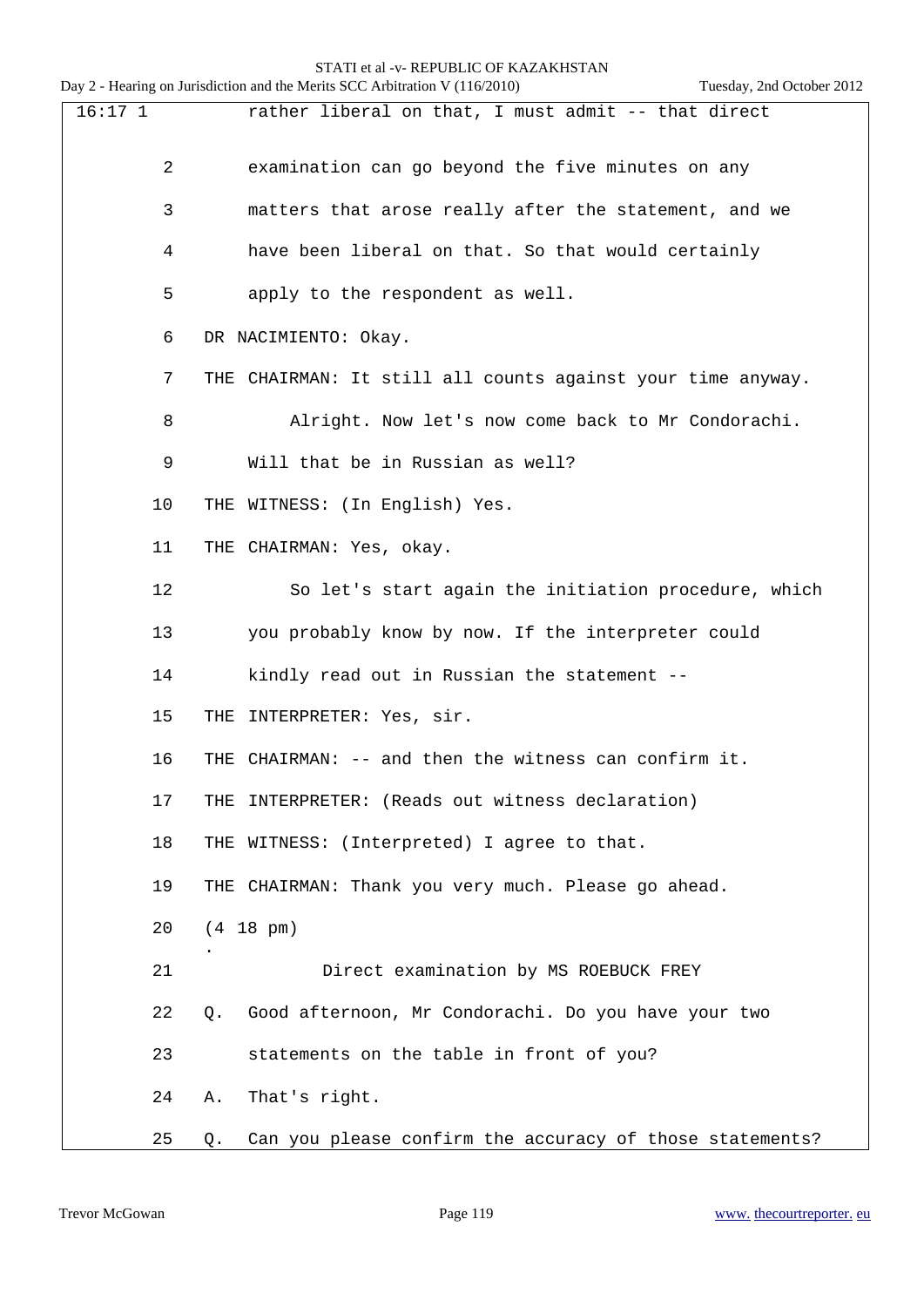| $16:17$ 1 | rather liberal on that, I must admit -- that direct            |
|-----------|----------------------------------------------------------------|
| 2         | examination can go beyond the five minutes on any              |
| 3         | matters that arose really after the statement, and we          |
| 4         | have been liberal on that. So that would certainly             |
| 5         | apply to the respondent as well.                               |
| 6         | DR NACIMIENTO: Okay.                                           |
| 7         | THE CHAIRMAN: It still all counts against your time anyway.    |
| 8         | Alright. Now let's now come back to Mr Condorachi.             |
| 9         | Will that be in Russian as well?                               |
| 10        | THE WITNESS: (In English) Yes.                                 |
| 11        | THE CHAIRMAN: Yes, okay.                                       |
| 12        | So let's start again the initiation procedure, which           |
| 13        | you probably know by now. If the interpreter could             |
| 14        | kindly read out in Russian the statement --                    |
| 15        | THE INTERPRETER: Yes, sir.                                     |
| 16        | THE CHAIRMAN: -- and then the witness can confirm it.          |
| 17        | THE INTERPRETER: (Reads out witness declaration)               |
| 18        | THE WITNESS: (Interpreted) I agree to that.                    |
| 19        | THE CHAIRMAN: Thank you very much. Please go ahead.            |
| 20        | (4 18 pm)                                                      |
| 21        | Direct examination by MS ROEBUCK FREY                          |
| 22        | Good afternoon, Mr Condorachi. Do you have your two<br>Q.      |
| 23        | statements on the table in front of you?                       |
| 24        | That's right.<br>Α.                                            |
| 25        | Can you please confirm the accuracy of those statements?<br>Q. |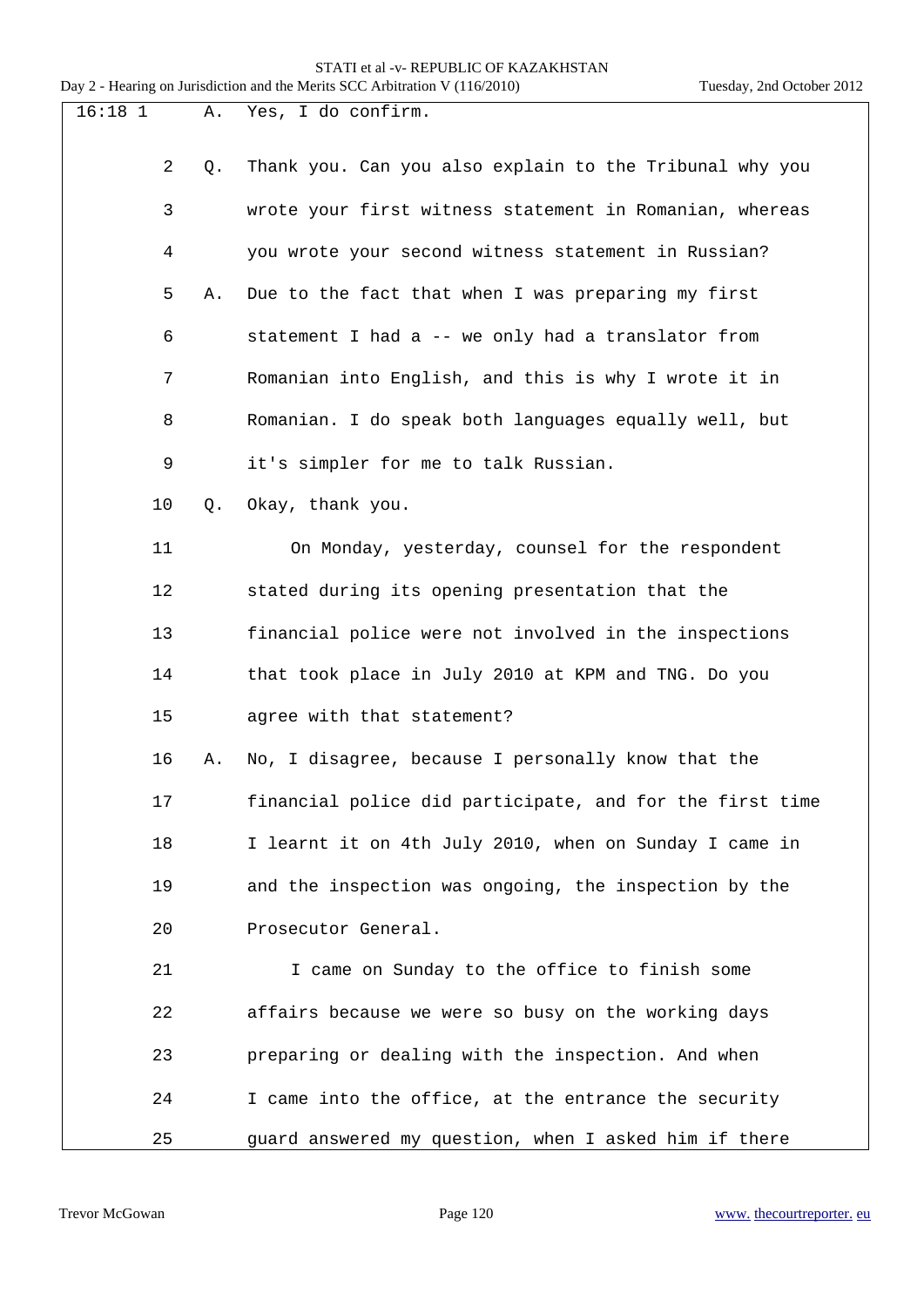| $16:18$ 1 | Α. | Yes, I do confirm.                                       |
|-----------|----|----------------------------------------------------------|
| 2         | Q. | Thank you. Can you also explain to the Tribunal why you  |
| 3         |    | wrote your first witness statement in Romanian, whereas  |
| 4         |    | you wrote your second witness statement in Russian?      |
| 5         | Α. | Due to the fact that when I was preparing my first       |
| 6         |    | statement I had a -- we only had a translator from       |
| 7         |    | Romanian into English, and this is why I wrote it in     |
| 8         |    | Romanian. I do speak both languages equally well, but    |
| 9         |    | it's simpler for me to talk Russian.                     |
| 10        | Q. | Okay, thank you.                                         |
| 11        |    | On Monday, yesterday, counsel for the respondent         |
| 12        |    | stated during its opening presentation that the          |
| 13        |    | financial police were not involved in the inspections    |
| 14        |    | that took place in July 2010 at KPM and TNG. Do you      |
| 15        |    | agree with that statement?                               |
| 16        | Α. | No, I disagree, because I personally know that the       |
| 17        |    | financial police did participate, and for the first time |
| 18        |    | I learnt it on 4th July 2010, when on Sunday I came in   |
| 19        |    | and the inspection was ongoing, the inspection by the    |
| 20        |    | Prosecutor General.                                      |
| 21        |    | I came on Sunday to the office to finish some            |
| 22        |    | affairs because we were so busy on the working days      |
| 23        |    | preparing or dealing with the inspection. And when       |
| 24        |    | I came into the office, at the entrance the security     |
| 25        |    | guard answered my question, when I asked him if there    |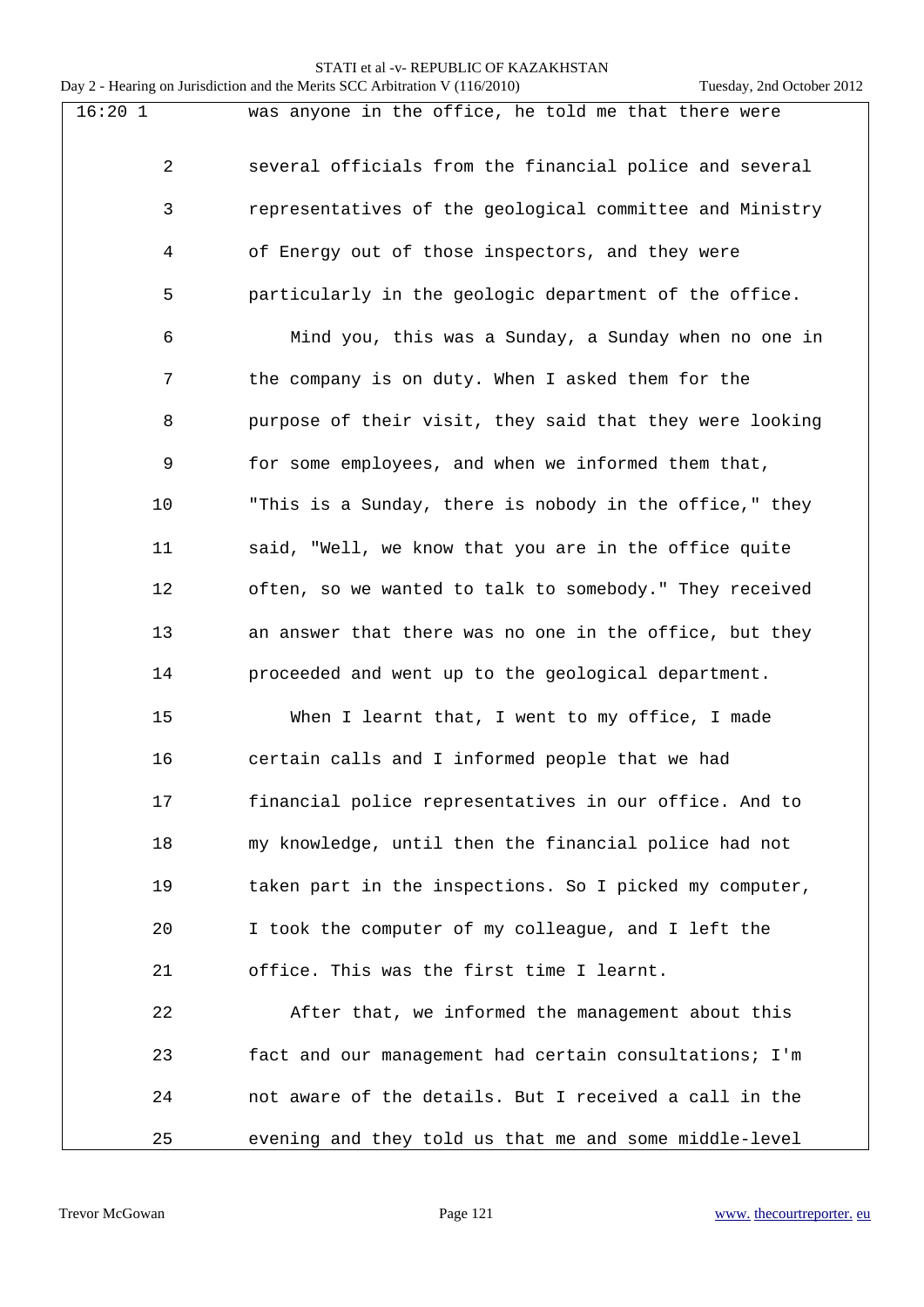| 16:201 | was anyone in the office, he told me that there were     |
|--------|----------------------------------------------------------|
| 2      | several officials from the financial police and several  |
| 3      | representatives of the geological committee and Ministry |
| 4      | of Energy out of those inspectors, and they were         |
| 5      | particularly in the geologic department of the office.   |
| 6      | Mind you, this was a Sunday, a Sunday when no one in     |
| 7      | the company is on duty. When I asked them for the        |
| 8      | purpose of their visit, they said that they were looking |
| 9      | for some employees, and when we informed them that,      |
| 10     | "This is a Sunday, there is nobody in the office," they  |
| 11     | said, "Well, we know that you are in the office quite    |
| 12     | often, so we wanted to talk to somebody." They received  |
| 13     | an answer that there was no one in the office, but they  |
| 14     | proceeded and went up to the geological department.      |
| 15     | When I learnt that, I went to my office, I made          |
| 16     | certain calls and I informed people that we had          |
| 17     | financial police representatives in our office. And to   |
| 18     | my knowledge, until then the financial police had not    |
| 19     | taken part in the inspections. So I picked my computer,  |
| 20     | I took the computer of my colleague, and I left the      |
| 21     | office. This was the first time I learnt.                |
| 22     | After that, we informed the management about this        |
| 23     | fact and our management had certain consultations; I'm   |
| 24     | not aware of the details. But I received a call in the   |
| 25     | evening and they told us that me and some middle-level   |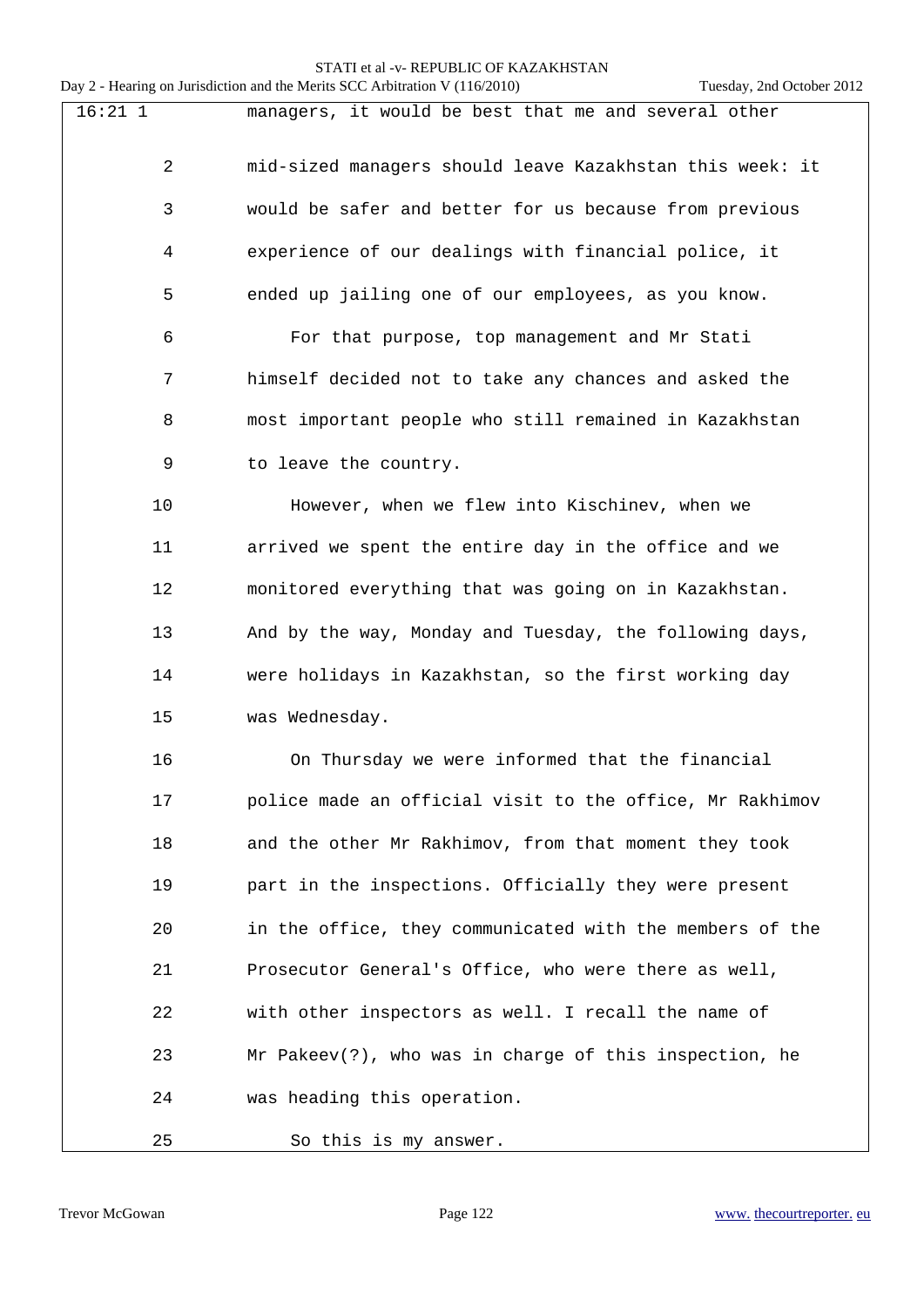| $16:21$ 1 | managers, it would be best that me and several other     |
|-----------|----------------------------------------------------------|
| 2         | mid-sized managers should leave Kazakhstan this week: it |
| 3         | would be safer and better for us because from previous   |
| 4         | experience of our dealings with financial police, it     |
| 5         | ended up jailing one of our employees, as you know.      |
| 6         | For that purpose, top management and Mr Stati            |
| 7         | himself decided not to take any chances and asked the    |
| 8         | most important people who still remained in Kazakhstan   |
| 9         | to leave the country.                                    |
| 10        | However, when we flew into Kischinev, when we            |
| 11        | arrived we spent the entire day in the office and we     |
| 12        | monitored everything that was going on in Kazakhstan.    |
| 13        | And by the way, Monday and Tuesday, the following days,  |
| 14        | were holidays in Kazakhstan, so the first working day    |
| 15        | was Wednesday.                                           |
| 16        | On Thursday we were informed that the financial          |
| 17        | police made an official visit to the office, Mr Rakhimov |
| 18        | and the other Mr Rakhimov, from that moment they took    |
| 19        | part in the inspections. Officially they were present    |
| 20        | in the office, they communicated with the members of the |
| 21        | Prosecutor General's Office, who were there as well,     |
| 22        | with other inspectors as well. I recall the name of      |
| 23        | Mr Pakeev(?), who was in charge of this inspection, he   |
| 24        | was heading this operation.                              |
| 25        | So this is my answer.                                    |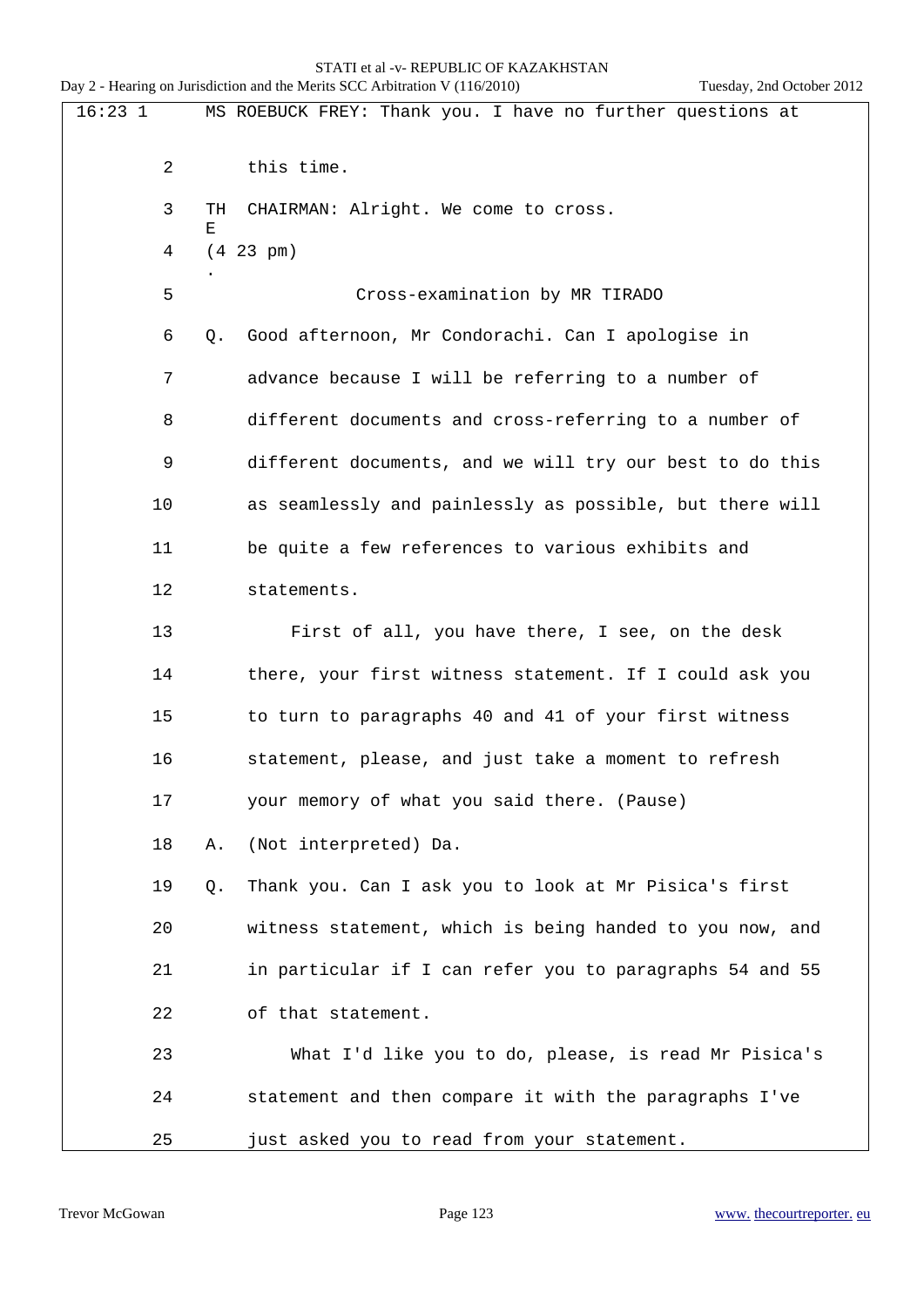| $16:23$ 1 |         | MS ROEBUCK FREY: Thank you. I have no further questions at |
|-----------|---------|------------------------------------------------------------|
|           |         |                                                            |
| 2         |         | this time.                                                 |
| 3         | TH<br>E | CHAIRMAN: Alright. We come to cross.                       |
| 4         |         | $(4\ 23\ pm)$                                              |
| 5         |         | Cross-examination by MR TIRADO                             |
| 6         | Q.      | Good afternoon, Mr Condorachi. Can I apologise in          |
| 7         |         | advance because I will be referring to a number of         |
| 8         |         | different documents and cross-referring to a number of     |
| 9         |         | different documents, and we will try our best to do this   |
| 10        |         | as seamlessly and painlessly as possible, but there will   |
| 11        |         | be quite a few references to various exhibits and          |
| 12        |         | statements.                                                |
| 13        |         | First of all, you have there, I see, on the desk           |
| 14        |         | there, your first witness statement. If I could ask you    |
| 15        |         | to turn to paragraphs 40 and 41 of your first witness      |
| 16        |         | statement, please, and just take a moment to refresh       |
| 17        |         | your memory of what you said there. (Pause)                |
| 18        | Α.      | (Not interpreted) Da.                                      |
| 19        | Q.      | Thank you. Can I ask you to look at Mr Pisica's first      |
| 20        |         | witness statement, which is being handed to you now, and   |
| 21        |         | in particular if I can refer you to paragraphs 54 and 55   |
| 22        |         | of that statement.                                         |
| 23        |         | What I'd like you to do, please, is read Mr Pisica's       |
| 24        |         | statement and then compare it with the paragraphs I've     |
| 25        |         | just asked you to read from your statement.                |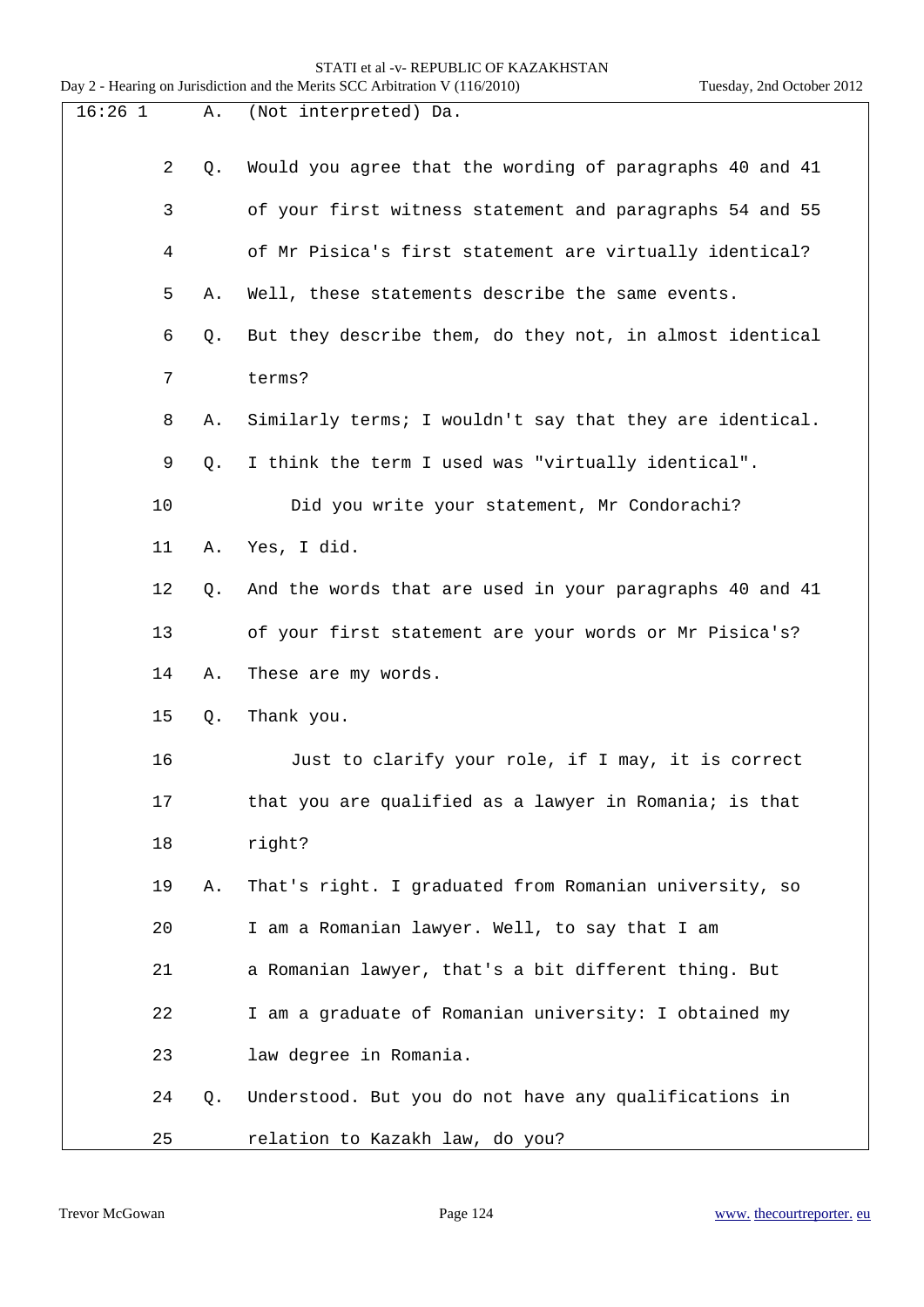| $16:26$ 1 | Α. | (Not interpreted) Da.                                    |
|-----------|----|----------------------------------------------------------|
| 2         | Q. | Would you agree that the wording of paragraphs 40 and 41 |
| 3         |    | of your first witness statement and paragraphs 54 and 55 |
| 4         |    | of Mr Pisica's first statement are virtually identical?  |
| 5         | Α. | Well, these statements describe the same events.         |
| 6         | Q. | But they describe them, do they not, in almost identical |
| 7         |    | terms?                                                   |
| 8         | Α. | Similarly terms; I wouldn't say that they are identical. |
| 9         | Q. | I think the term I used was "virtually identical".       |
| $10 \,$   |    | Did you write your statement, Mr Condorachi?             |
| 11        | Α. | Yes, I did.                                              |
| 12        | Q. | And the words that are used in your paragraphs 40 and 41 |
| 13        |    | of your first statement are your words or Mr Pisica's?   |
| 14        | Α. | These are my words.                                      |
| 15        | Q. | Thank you.                                               |
| 16        |    | Just to clarify your role, if I may, it is correct       |
| 17        |    | that you are qualified as a lawyer in Romania; is that   |
| 18        |    | right?                                                   |
| 19        | Α. | That's right. I graduated from Romanian university, so   |
| 20        |    | I am a Romanian lawyer. Well, to say that I am           |
| 21        |    | a Romanian lawyer, that's a bit different thing. But     |
| 22        |    | I am a graduate of Romanian university: I obtained my    |
| 23        |    | law degree in Romania.                                   |
| 24        | Q. | Understood. But you do not have any qualifications in    |
| 25        |    | relation to Kazakh law, do you?                          |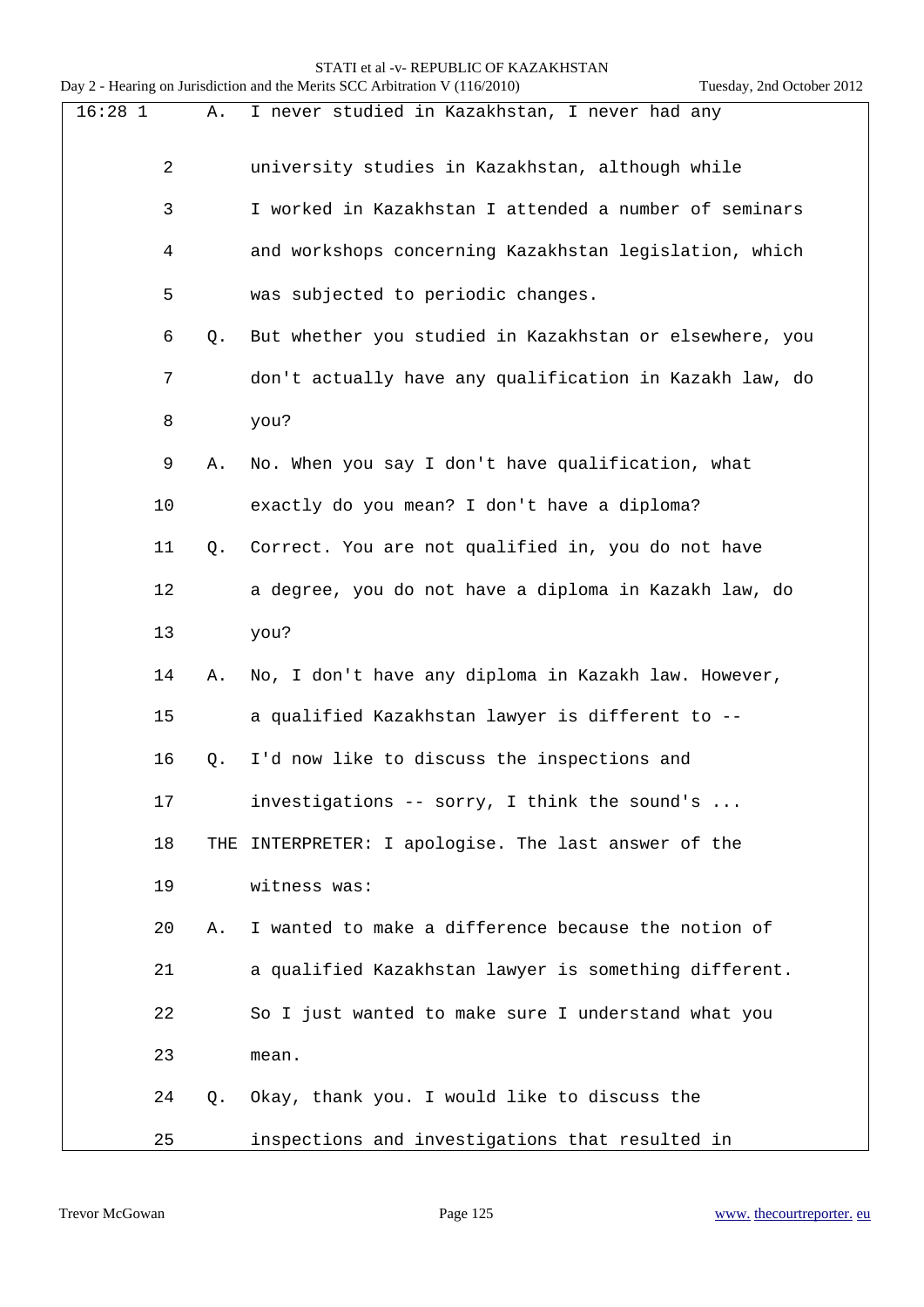| $16:28$ 1 | Α.  | I never studied in Kazakhstan, I never had any          |
|-----------|-----|---------------------------------------------------------|
| 2         |     | university studies in Kazakhstan, although while        |
| 3         |     | I worked in Kazakhstan I attended a number of seminars  |
| 4         |     | and workshops concerning Kazakhstan legislation, which  |
| 5         |     | was subjected to periodic changes.                      |
| 6         | Q.  | But whether you studied in Kazakhstan or elsewhere, you |
| 7         |     | don't actually have any qualification in Kazakh law, do |
| 8         |     | you?                                                    |
| 9         | Α.  | No. When you say I don't have qualification, what       |
| 10        |     | exactly do you mean? I don't have a diploma?            |
| 11        | Q.  | Correct. You are not qualified in, you do not have      |
| 12        |     | a degree, you do not have a diploma in Kazakh law, do   |
| 13        |     | you?                                                    |
| 14        | Α.  | No, I don't have any diploma in Kazakh law. However,    |
| 15        |     | a qualified Kazakhstan lawyer is different to --        |
| 16        | Q.  | I'd now like to discuss the inspections and             |
| 17        |     | investigations -- sorry, I think the sound's            |
| 18        | THE | INTERPRETER: I apologise. The last answer of the        |
| 19        |     | witness was:                                            |
| 20        | Α.  | I wanted to make a difference because the notion of     |
| 21        |     | a qualified Kazakhstan lawyer is something different.   |
| 22        |     | So I just wanted to make sure I understand what you     |
| 23        |     | mean.                                                   |
| 24        | Q.  | Okay, thank you. I would like to discuss the            |
| 25        |     | inspections and investigations that resulted in         |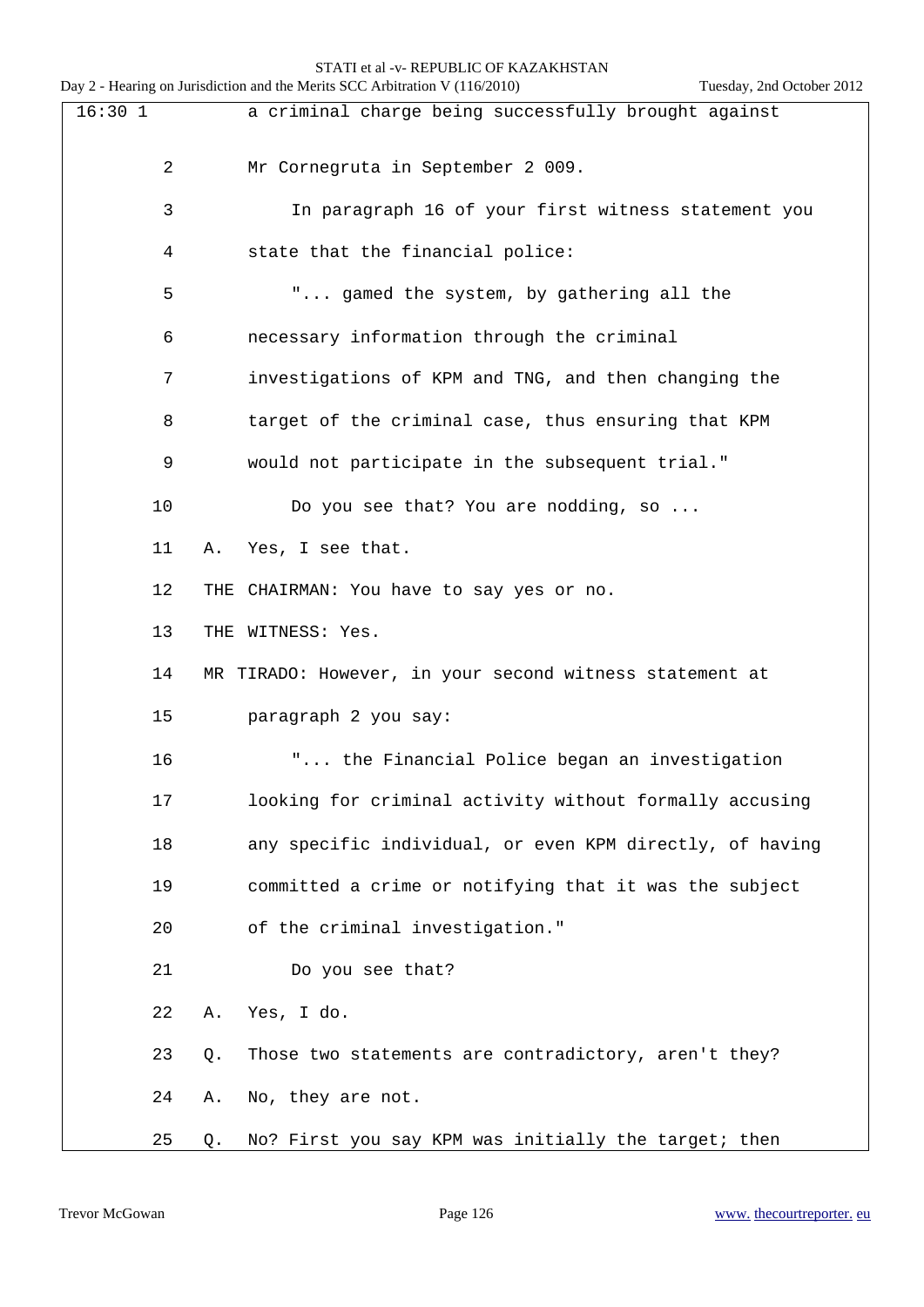| 16:301         | a criminal charge being successfully brought against       |
|----------------|------------------------------------------------------------|
| $\overline{2}$ | Mr Cornegruta in September 2 009.                          |
| 3              | In paragraph 16 of your first witness statement you        |
| 4              | state that the financial police:                           |
| 5              | " gamed the system, by gathering all the                   |
| 6              | necessary information through the criminal                 |
| 7              | investigations of KPM and TNG, and then changing the       |
| 8              | target of the criminal case, thus ensuring that KPM        |
| 9              | would not participate in the subsequent trial."            |
| 10             | Do you see that? You are nodding, so                       |
| 11             | Yes, I see that.<br>Α.                                     |
| 12             | THE CHAIRMAN: You have to say yes or no.                   |
| 13             | THE WITNESS: Yes.                                          |
| 14             | MR TIRADO: However, in your second witness statement at    |
| 15             | paragraph 2 you say:                                       |
| 16             | " the Financial Police began an investigation              |
| 17             | looking for criminal activity without formally accusing    |
| 18             | any specific individual, or even KPM directly, of having   |
| 19             | committed a crime or notifying that it was the subject     |
| 20             | of the criminal investigation."                            |
| 21             | Do you see that?                                           |
| 22             | Yes, I do.<br>Α.                                           |
| 23             | Those two statements are contradictory, aren't they?<br>Q. |
| 24             | No, they are not.<br>Α.                                    |
| 25             | No? First you say KPM was initially the target; then<br>Q. |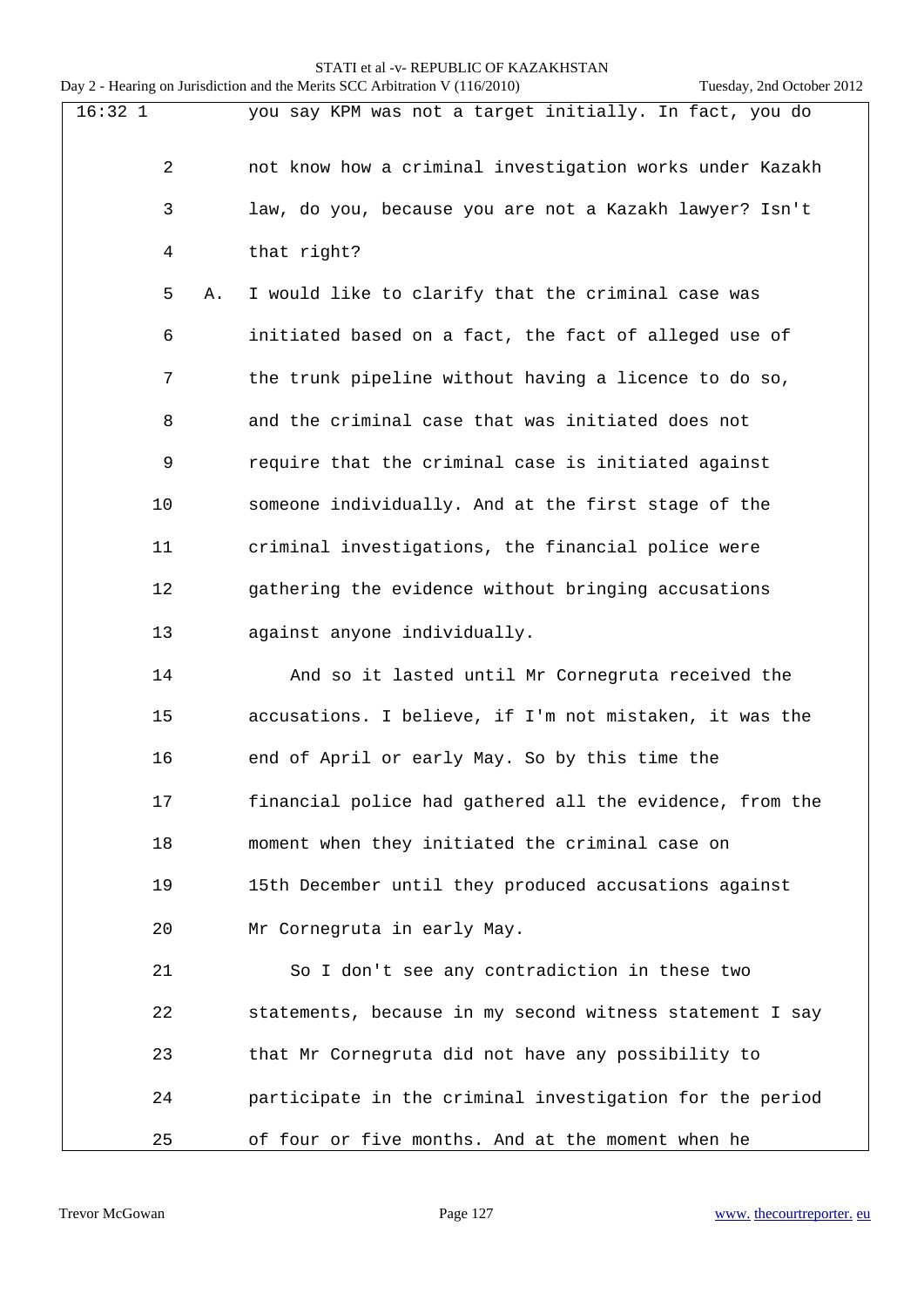| $16:32$ 1      | you say KPM was not a target initially. In fact, you do  |
|----------------|----------------------------------------------------------|
| $\overline{2}$ | not know how a criminal investigation works under Kazakh |
| 3              | law, do you, because you are not a Kazakh lawyer? Isn't  |
| 4              | that right?                                              |
| 5<br>Α.        | I would like to clarify that the criminal case was       |
| 6              | initiated based on a fact, the fact of alleged use of    |
| 7              | the trunk pipeline without having a licence to do so,    |
| 8              | and the criminal case that was initiated does not        |
| 9              | require that the criminal case is initiated against      |
| 10             | someone individually. And at the first stage of the      |
| 11             | criminal investigations, the financial police were       |
| 12             | gathering the evidence without bringing accusations      |
| 13             | against anyone individually.                             |
| 14             | And so it lasted until Mr Cornegruta received the        |
| 15             | accusations. I believe, if I'm not mistaken, it was the  |
| 16             | end of April or early May. So by this time the           |
| 17             | financial police had gathered all the evidence, from the |
| 18             | moment when they initiated the criminal case on          |
| 19             | 15th December until they produced accusations against    |
| 20             | Mr Cornegruta in early May.                              |
| 21             | So I don't see any contradiction in these two            |
| 22             | statements, because in my second witness statement I say |
| 23             | that Mr Cornegruta did not have any possibility to       |
| 24             | participate in the criminal investigation for the period |
| 25             | of four or five months. And at the moment when he        |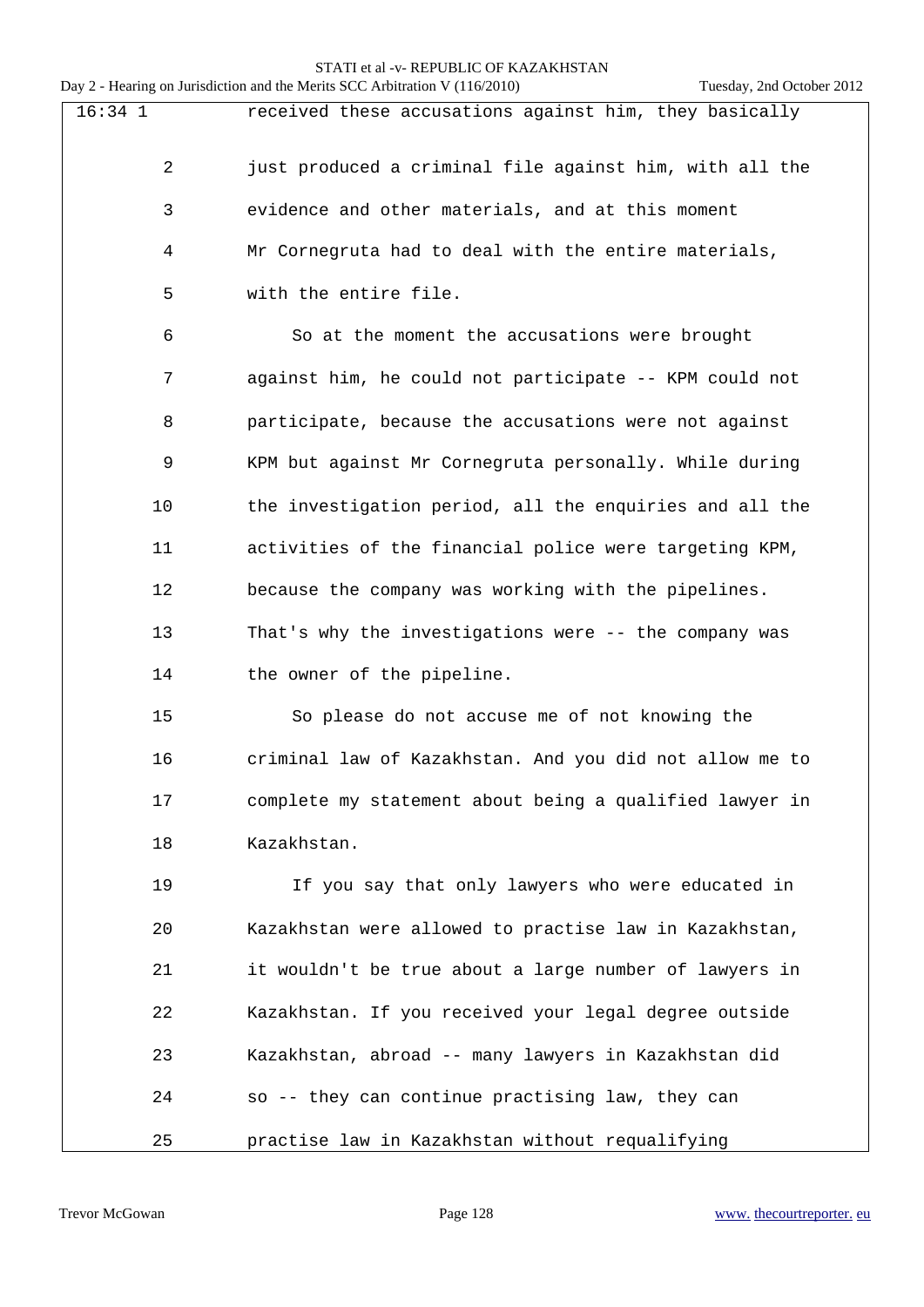| $16:34$ 1      | received these accusations against him, they basically  |
|----------------|---------------------------------------------------------|
| $\overline{a}$ | just produced a criminal file against him, with all the |
| 3              | evidence and other materials, and at this moment        |
| 4              | Mr Cornegruta had to deal with the entire materials,    |
| 5              | with the entire file.                                   |
| 6              | So at the moment the accusations were brought           |
| 7              | against him, he could not participate -- KPM could not  |
| 8              | participate, because the accusations were not against   |
| 9              | KPM but against Mr Cornegruta personally. While during  |
| 10             | the investigation period, all the enquiries and all the |
| 11             | activities of the financial police were targeting KPM,  |
| 12             | because the company was working with the pipelines.     |
| 13             | That's why the investigations were -- the company was   |
| 14             | the owner of the pipeline.                              |
| 15             | So please do not accuse me of not knowing the           |
| 16             | criminal law of Kazakhstan. And you did not allow me to |
| 17             | complete my statement about being a qualified lawyer in |
| 18             | Kazakhstan.                                             |
| 19             | If you say that only lawyers who were educated in       |
| 20             | Kazakhstan were allowed to practise law in Kazakhstan,  |
| 21             | it wouldn't be true about a large number of lawyers in  |
| 22             | Kazakhstan. If you received your legal degree outside   |
| 23             | Kazakhstan, abroad -- many lawyers in Kazakhstan did    |
| 24             | so -- they can continue practising law, they can        |
| 25             | practise law in Kazakhstan without requalifying         |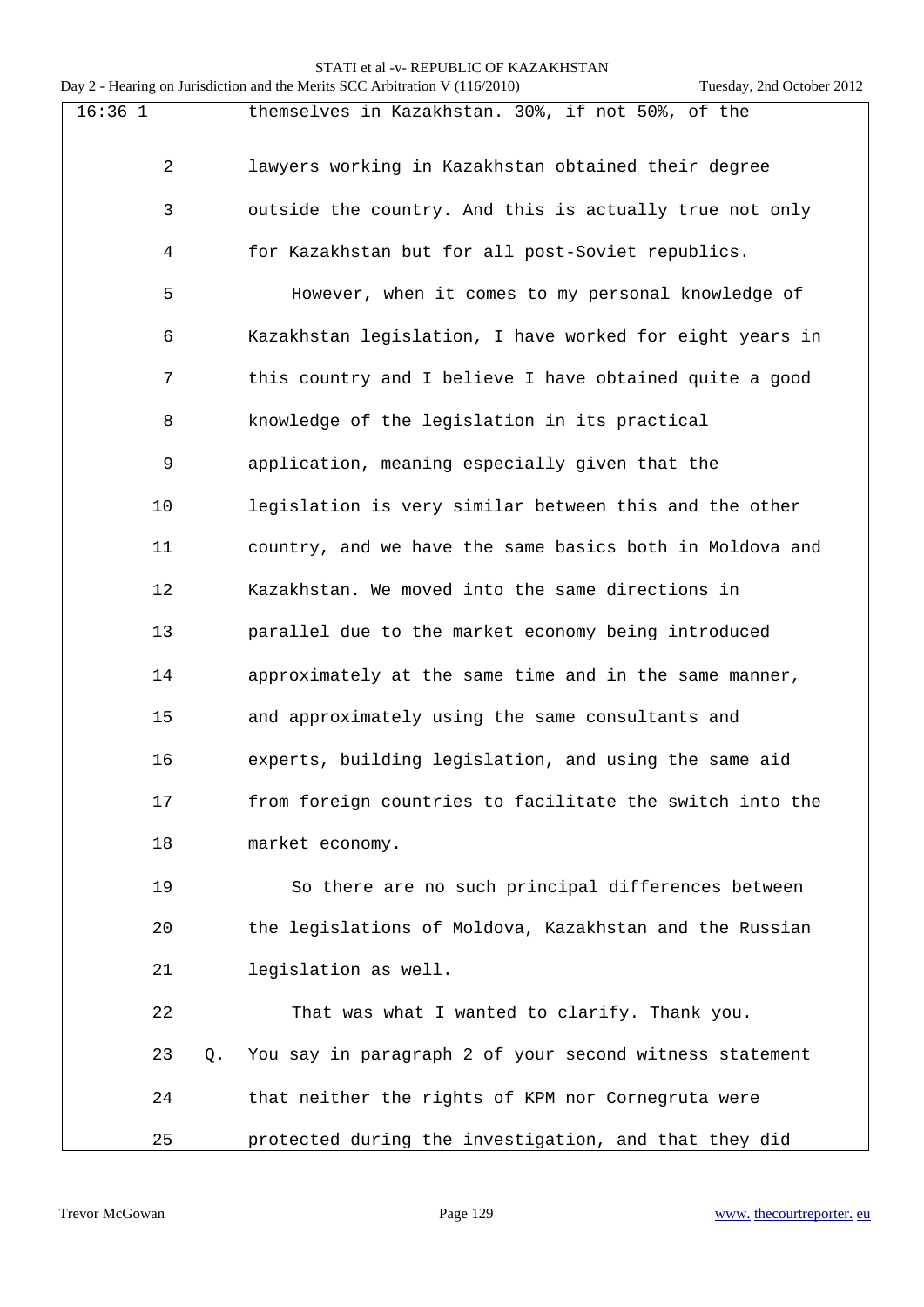| $16:36$ 1      | themselves in Kazakhstan. 30%, if not 50%, of the             |
|----------------|---------------------------------------------------------------|
| $\overline{a}$ | lawyers working in Kazakhstan obtained their degree           |
| 3              | outside the country. And this is actually true not only       |
| 4              | for Kazakhstan but for all post-Soviet republics.             |
| 5              | However, when it comes to my personal knowledge of            |
| 6              | Kazakhstan legislation, I have worked for eight years in      |
| 7              | this country and I believe I have obtained quite a good       |
| 8              | knowledge of the legislation in its practical                 |
| 9              | application, meaning especially given that the                |
| 10             | legislation is very similar between this and the other        |
| 11             | country, and we have the same basics both in Moldova and      |
| 12             | Kazakhstan. We moved into the same directions in              |
| 13             | parallel due to the market economy being introduced           |
| 14             | approximately at the same time and in the same manner,        |
| 15             | and approximately using the same consultants and              |
| 16             | experts, building legislation, and using the same aid         |
| 17             | from foreign countries to facilitate the switch into the      |
| 18             | market economy.                                               |
| 19             | So there are no such principal differences between            |
| 20             | the legislations of Moldova, Kazakhstan and the Russian       |
| 21             | legislation as well.                                          |
| 22             | That was what I wanted to clarify. Thank you.                 |
| 23             | You say in paragraph 2 of your second witness statement<br>Q. |
| 24             | that neither the rights of KPM nor Cornegruta were            |
| 25             | protected during the investigation, and that they did         |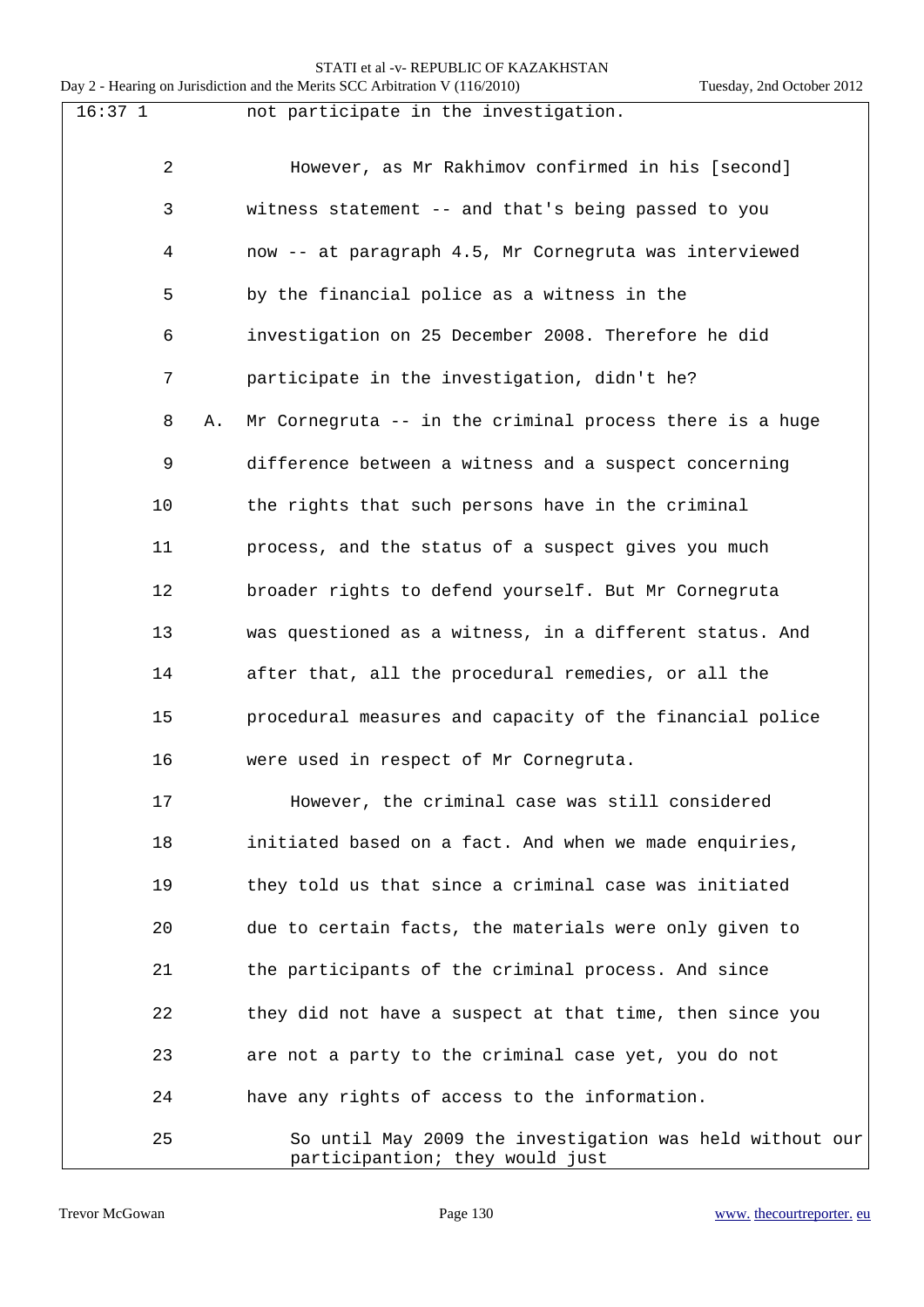| $16:37$ 1 |    | not participate in the investigation.                                                       |
|-----------|----|---------------------------------------------------------------------------------------------|
| 2         |    | However, as Mr Rakhimov confirmed in his [second]                                           |
| 3         |    | witness statement -- and that's being passed to you                                         |
| 4         |    | now -- at paragraph 4.5, Mr Cornegruta was interviewed                                      |
| 5         |    | by the financial police as a witness in the                                                 |
| 6         |    | investigation on 25 December 2008. Therefore he did                                         |
| 7         |    | participate in the investigation, didn't he?                                                |
| 8         | Α. | Mr Cornegruta -- in the criminal process there is a huge                                    |
| 9         |    | difference between a witness and a suspect concerning                                       |
| 10        |    | the rights that such persons have in the criminal                                           |
| 11        |    | process, and the status of a suspect gives you much                                         |
| 12        |    | broader rights to defend yourself. But Mr Cornegruta                                        |
| 13        |    | was questioned as a witness, in a different status. And                                     |
| 14        |    | after that, all the procedural remedies, or all the                                         |
| 15        |    | procedural measures and capacity of the financial police                                    |
| 16        |    | were used in respect of Mr Cornegruta.                                                      |
| 17        |    | However, the criminal case was still considered                                             |
| 18        |    | initiated based on a fact. And when we made enquiries,                                      |
| 19        |    | they told us that since a criminal case was initiated                                       |
| 20        |    | due to certain facts, the materials were only given to                                      |
| 21        |    | the participants of the criminal process. And since                                         |
| 22        |    | they did not have a suspect at that time, then since you                                    |
| 23        |    | are not a party to the criminal case yet, you do not                                        |
| 24        |    | have any rights of access to the information.                                               |
| 25        |    | So until May 2009 the investigation was held without our<br>participantion; they would just |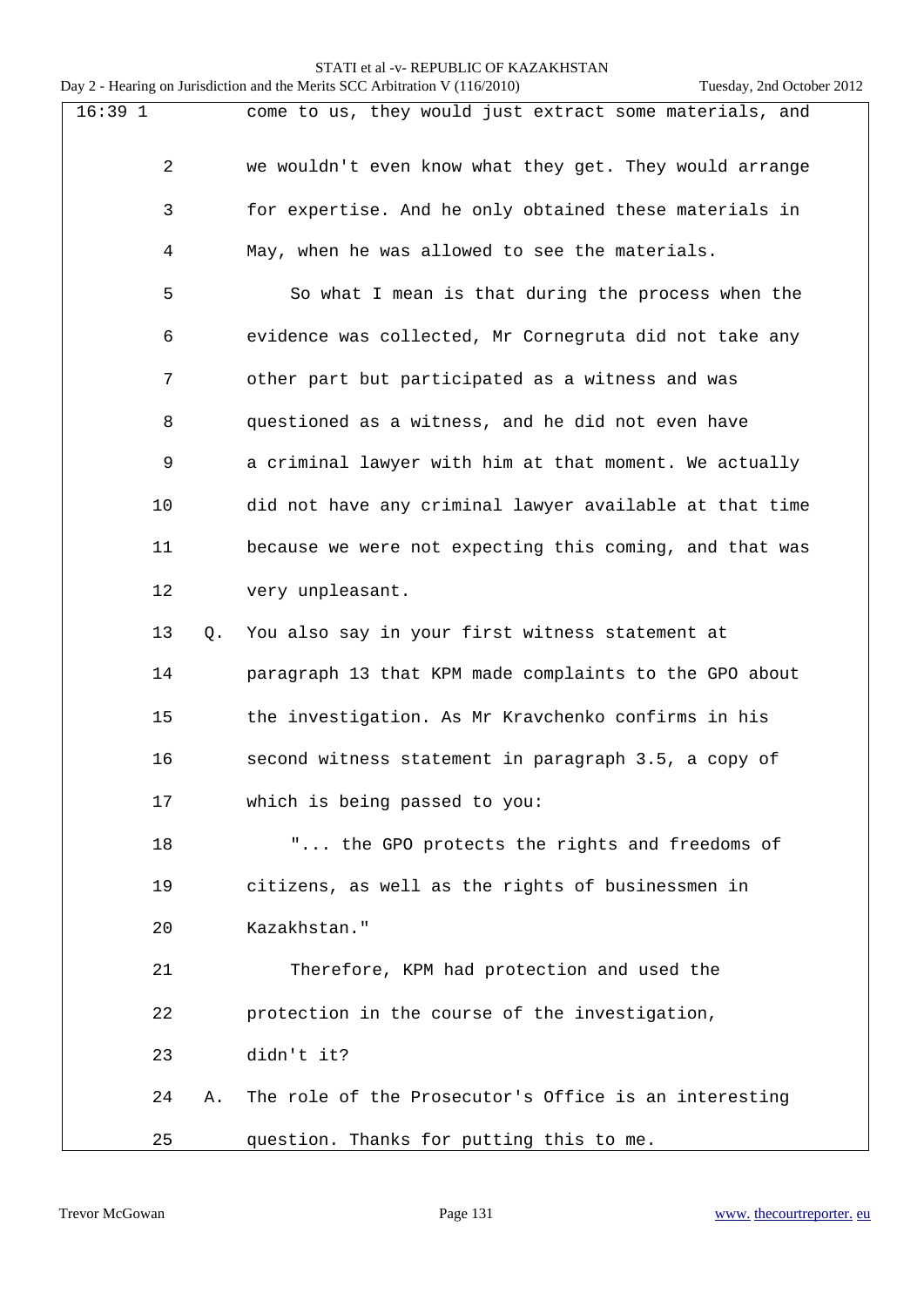| $16:39$ 1      |    | come to us, they would just extract some materials, and |
|----------------|----|---------------------------------------------------------|
| $\overline{a}$ |    | we wouldn't even know what they get. They would arrange |
| 3              |    | for expertise. And he only obtained these materials in  |
| 4              |    | May, when he was allowed to see the materials.          |
| 5              |    | So what I mean is that during the process when the      |
| 6              |    | evidence was collected, Mr Cornegruta did not take any  |
| 7              |    | other part but participated as a witness and was        |
| 8              |    | questioned as a witness, and he did not even have       |
| 9              |    | a criminal lawyer with him at that moment. We actually  |
| 10             |    | did not have any criminal lawyer available at that time |
| 11             |    | because we were not expecting this coming, and that was |
| 12             |    | very unpleasant.                                        |
| 13             | Q. | You also say in your first witness statement at         |
| 14             |    | paragraph 13 that KPM made complaints to the GPO about  |
| 15             |    | the investigation. As Mr Kravchenko confirms in his     |
| 16             |    | second witness statement in paragraph 3.5, a copy of    |
| 17             |    | which is being passed to you:                           |
| 18             |    | " the GPO protects the rights and freedoms of           |
| 19             |    | citizens, as well as the rights of businessmen in       |
| 20             |    | Kazakhstan."                                            |
| 21             |    | Therefore, KPM had protection and used the              |
| 22             |    | protection in the course of the investigation,          |
| 23             |    | didn't it?                                              |
| 24             | Α. | The role of the Prosecutor's Office is an interesting   |
| 25             |    | question. Thanks for putting this to me.                |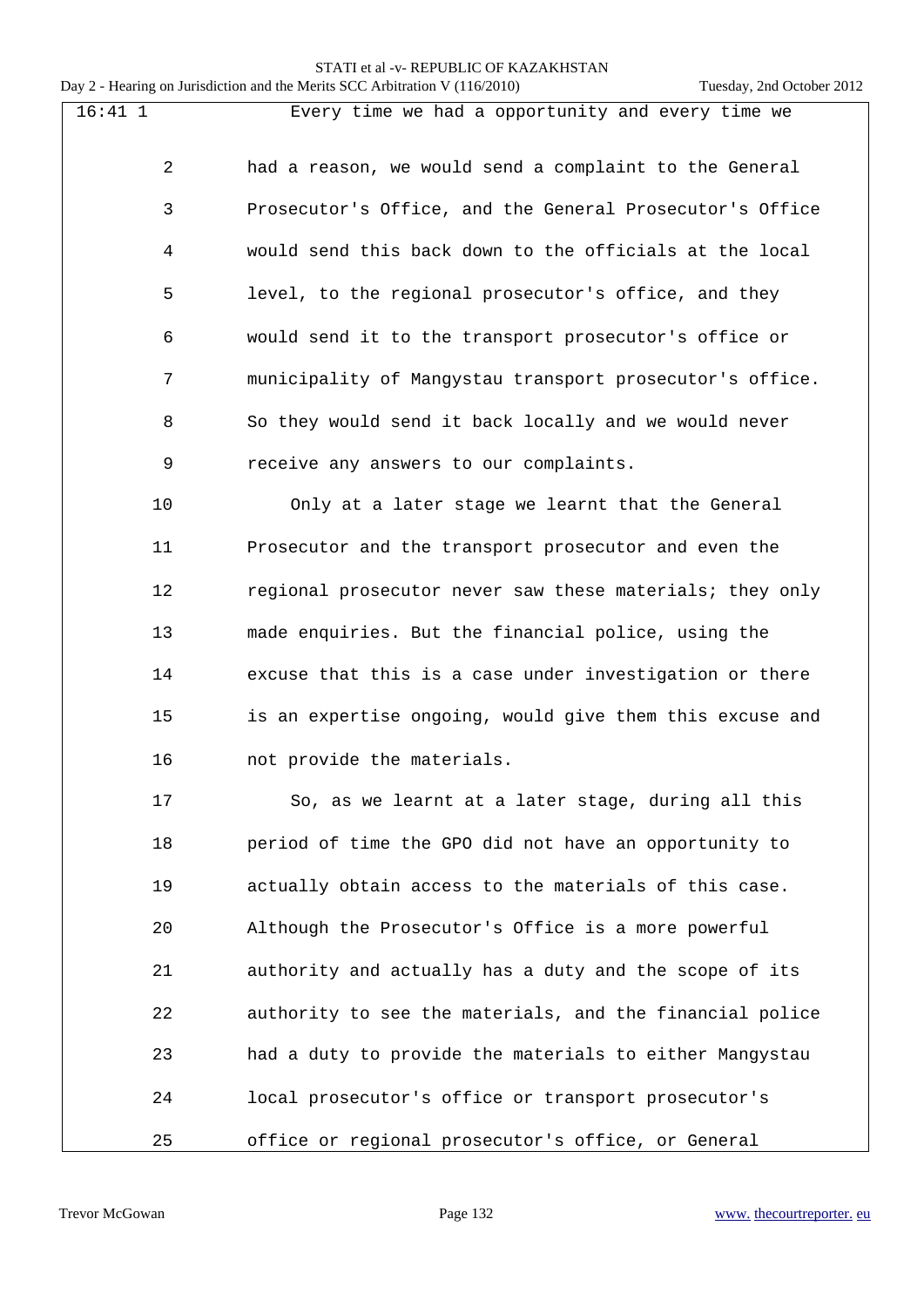| 16:411         | Every time we had a opportunity and every time we        |
|----------------|----------------------------------------------------------|
| $\overline{2}$ | had a reason, we would send a complaint to the General   |
| 3              | Prosecutor's Office, and the General Prosecutor's Office |
| 4              | would send this back down to the officials at the local  |
| 5              | level, to the regional prosecutor's office, and they     |
| 6              | would send it to the transport prosecutor's office or    |
| 7              | municipality of Mangystau transport prosecutor's office. |
| 8              | So they would send it back locally and we would never    |
| 9              | receive any answers to our complaints.                   |
| 10             | Only at a later stage we learnt that the General         |
| 11             | Prosecutor and the transport prosecutor and even the     |
| 12             | regional prosecutor never saw these materials; they only |
| 13             | made enquiries. But the financial police, using the      |
| 14             | excuse that this is a case under investigation or there  |
| 15             | is an expertise ongoing, would give them this excuse and |
| 16             | not provide the materials.                               |
| 17             | So, as we learnt at a later stage, during all this       |
| 18             | period of time the GPO did not have an opportunity to    |
| 19             | actually obtain access to the materials of this case.    |
| 20             | Although the Prosecutor's Office is a more powerful      |
| 21             | authority and actually has a duty and the scope of its   |
| 22             | authority to see the materials, and the financial police |
| 23             | had a duty to provide the materials to either Mangystau  |
| 24             | local prosecutor's office or transport prosecutor's      |
| 25             | office or regional prosecutor's office, or General       |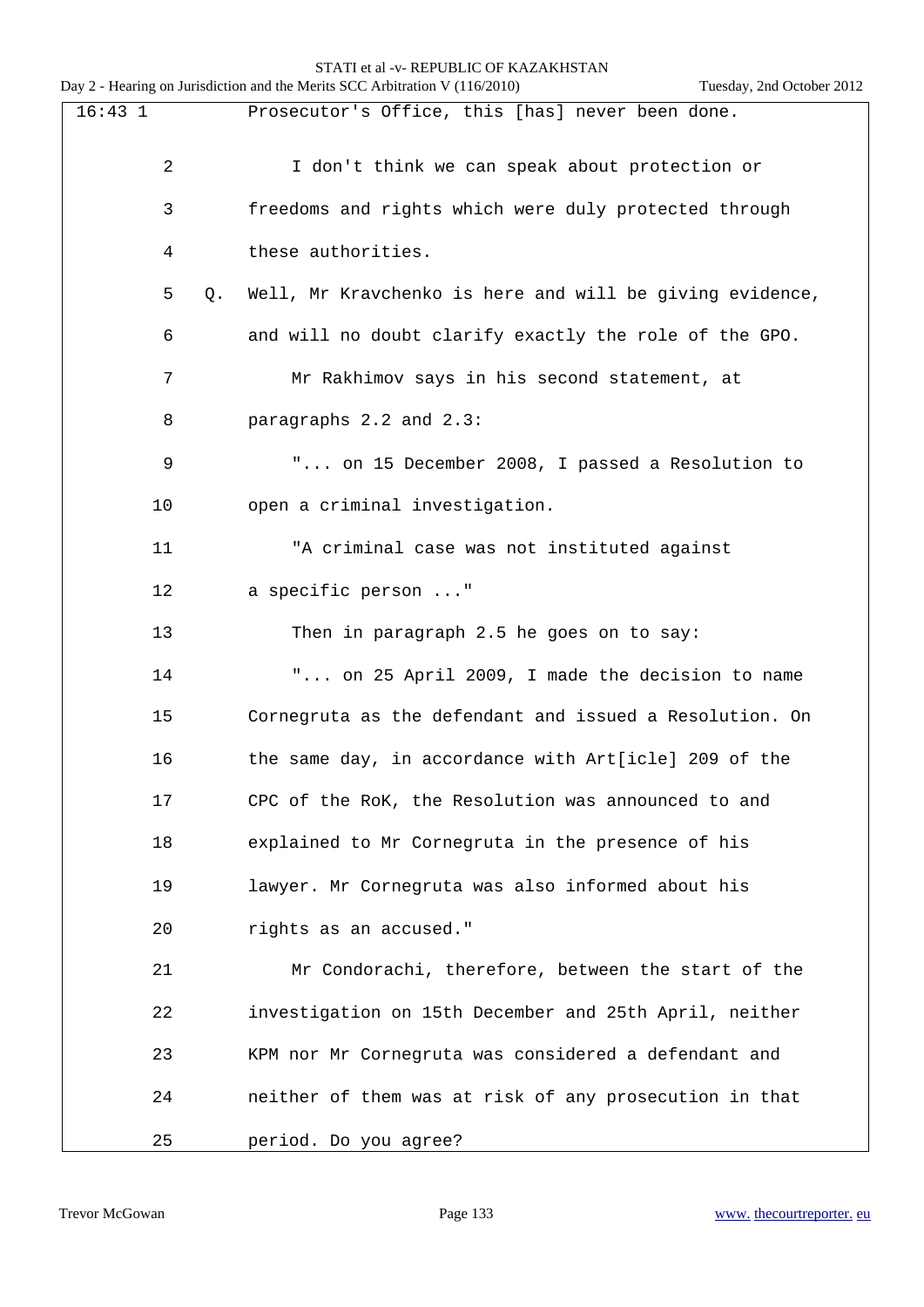| 16:431  |    | Prosecutor's Office, this [has] never been done.         |
|---------|----|----------------------------------------------------------|
| 2       |    | I don't think we can speak about protection or           |
| 3       |    | freedoms and rights which were duly protected through    |
| 4       |    | these authorities.                                       |
| 5       | Q. | Well, Mr Kravchenko is here and will be giving evidence, |
| 6       |    | and will no doubt clarify exactly the role of the GPO.   |
| 7       |    | Mr Rakhimov says in his second statement, at             |
| 8       |    | paragraphs 2.2 and 2.3:                                  |
| 9       |    | " on 15 December 2008, I passed a Resolution to          |
| $10 \,$ |    | open a criminal investigation.                           |
| 11      |    | "A criminal case was not instituted against              |
| 12      |    | a specific person "                                      |
| 13      |    | Then in paragraph 2.5 he goes on to say:                 |
| 14      |    | " on 25 April 2009, I made the decision to name          |
| 15      |    | Cornegruta as the defendant and issued a Resolution. On  |
| 16      |    | the same day, in accordance with Art[icle] 209 of the    |
| 17      |    | CPC of the RoK, the Resolution was announced to and      |
| 18      |    | explained to Mr Cornegruta in the presence of his        |
| 19      |    | lawyer. Mr Cornegruta was also informed about his        |
| 20      |    | rights as an accused."                                   |
| 21      |    | Mr Condorachi, therefore, between the start of the       |
| 22      |    | investigation on 15th December and 25th April, neither   |
| 23      |    | KPM nor Mr Cornegruta was considered a defendant and     |
| 24      |    | neither of them was at risk of any prosecution in that   |
| 25      |    | period. Do you agree?                                    |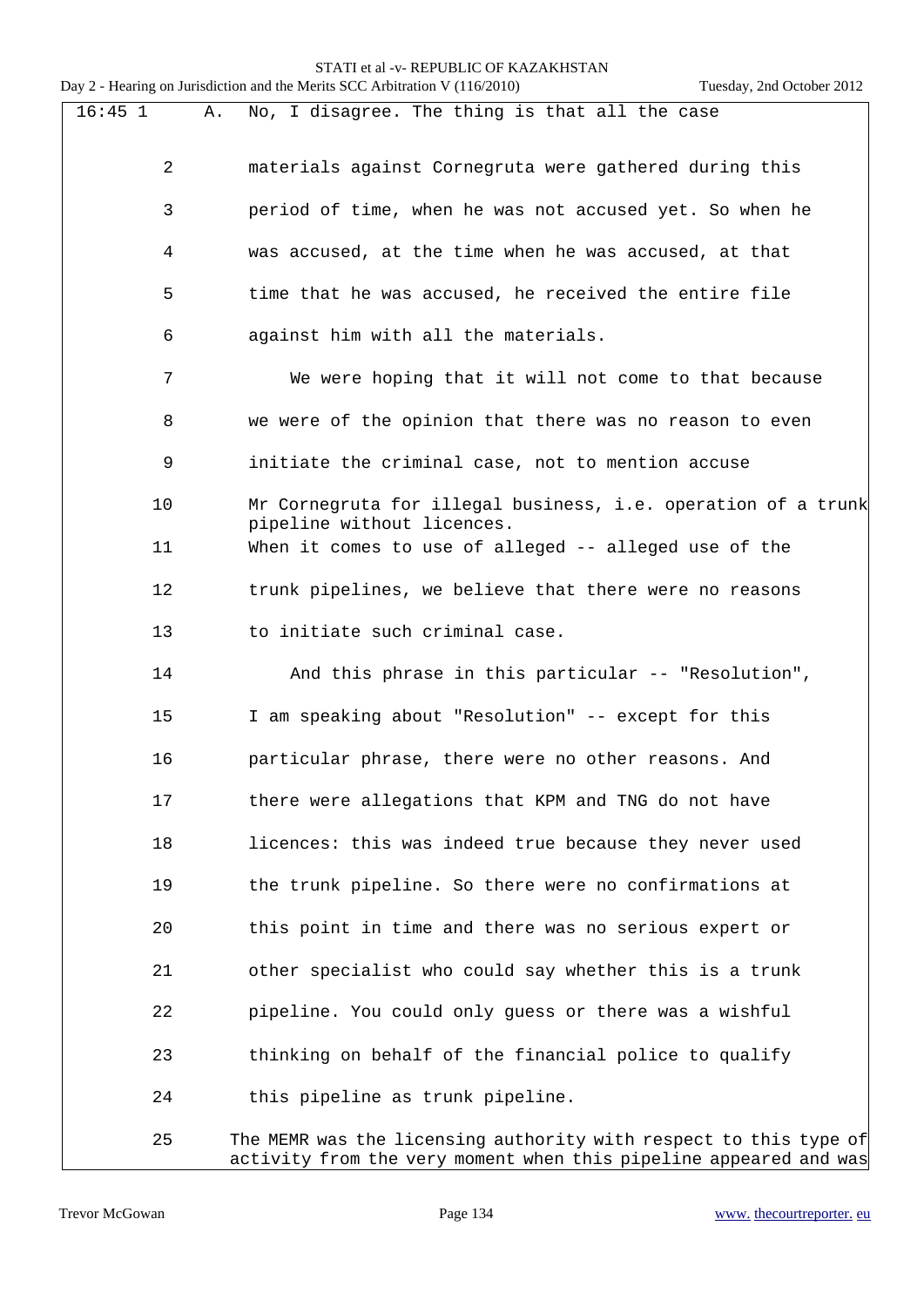| $16:45$ 1      | No, I disagree. The thing is that all the case<br>Α.                                                                                   |
|----------------|----------------------------------------------------------------------------------------------------------------------------------------|
| $\overline{2}$ | materials against Cornegruta were gathered during this                                                                                 |
| 3              | period of time, when he was not accused yet. So when he                                                                                |
| 4              | was accused, at the time when he was accused, at that                                                                                  |
| 5              | time that he was accused, he received the entire file                                                                                  |
| 6              | against him with all the materials.                                                                                                    |
| 7              | We were hoping that it will not come to that because                                                                                   |
| 8              | we were of the opinion that there was no reason to even                                                                                |
| 9              | initiate the criminal case, not to mention accuse                                                                                      |
| 10             | Mr Cornegruta for illegal business, i.e. operation of a trunk<br>pipeline without licences.                                            |
| 11             | When it comes to use of alleged -- alleged use of the                                                                                  |
| 12             | trunk pipelines, we believe that there were no reasons                                                                                 |
| 13             | to initiate such criminal case.                                                                                                        |
| 14             | And this phrase in this particular -- "Resolution",                                                                                    |
| 15             | I am speaking about "Resolution" -- except for this                                                                                    |
| 16             | particular phrase, there were no other reasons. And                                                                                    |
| 17             | there were allegations that KPM and TNG do not have                                                                                    |
| 18             | licences: this was indeed true because they never used                                                                                 |
| 19             | the trunk pipeline. So there were no confirmations at                                                                                  |
| 20             | this point in time and there was no serious expert or                                                                                  |
| 21             | other specialist who could say whether this is a trunk                                                                                 |
| 22             | pipeline. You could only guess or there was a wishful                                                                                  |
| 23             | thinking on behalf of the financial police to qualify                                                                                  |
| 24             | this pipeline as trunk pipeline.                                                                                                       |
| 25             | The MEMR was the licensing authority with respect to this type of<br>activity from the very moment when this pipeline appeared and was |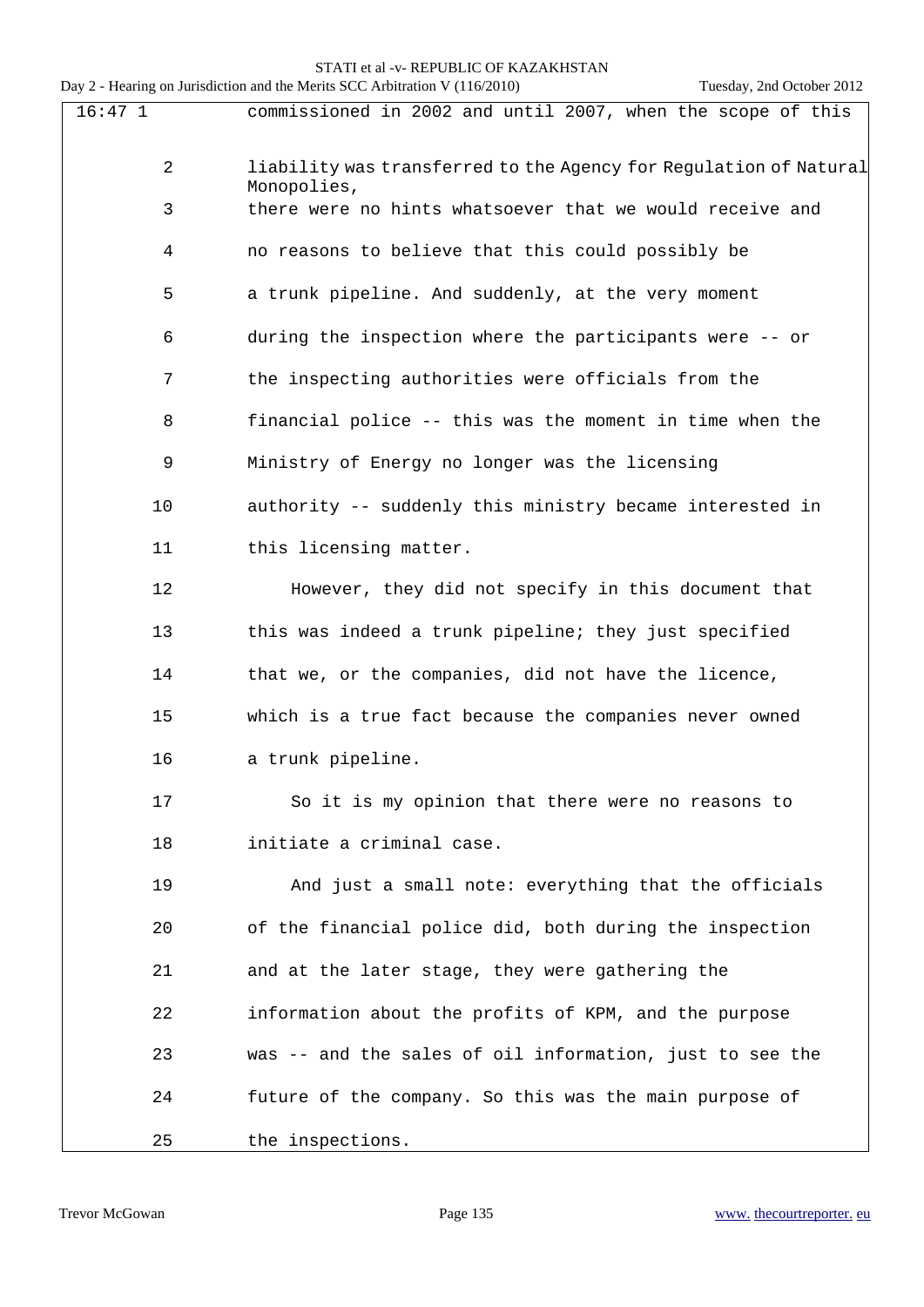| $16:47$ 1      | commissioned in 2002 and until 2007, when the scope of this                      |
|----------------|----------------------------------------------------------------------------------|
| $\overline{2}$ | liability was transferred to the Agency for Regulation of Natural<br>Monopolies, |
| 3              | there were no hints whatsoever that we would receive and                         |
| 4              | no reasons to believe that this could possibly be                                |
| 5              | a trunk pipeline. And suddenly, at the very moment                               |
| 6              | during the inspection where the participants were -- or                          |
| 7              | the inspecting authorities were officials from the                               |
| 8              | financial police -- this was the moment in time when the                         |
| $\mathsf 9$    | Ministry of Energy no longer was the licensing                                   |
| 10             | authority -- suddenly this ministry became interested in                         |
| 11             | this licensing matter.                                                           |
| 12             | However, they did not specify in this document that                              |
| 13             | this was indeed a trunk pipeline; they just specified                            |
| 14             | that we, or the companies, did not have the licence,                             |
| 15             | which is a true fact because the companies never owned                           |
| 16             | a trunk pipeline.                                                                |
| 17             | So it is my opinion that there were no reasons to                                |
| 18             | initiate a criminal case.                                                        |
| 19             | And just a small note: everything that the officials                             |
| 20             | of the financial police did, both during the inspection                          |
| 21             | and at the later stage, they were gathering the                                  |
| 22             | information about the profits of KPM, and the purpose                            |
| 23             | was -- and the sales of oil information, just to see the                         |
| 24             | future of the company. So this was the main purpose of                           |
| 25             | the inspections.                                                                 |
|                |                                                                                  |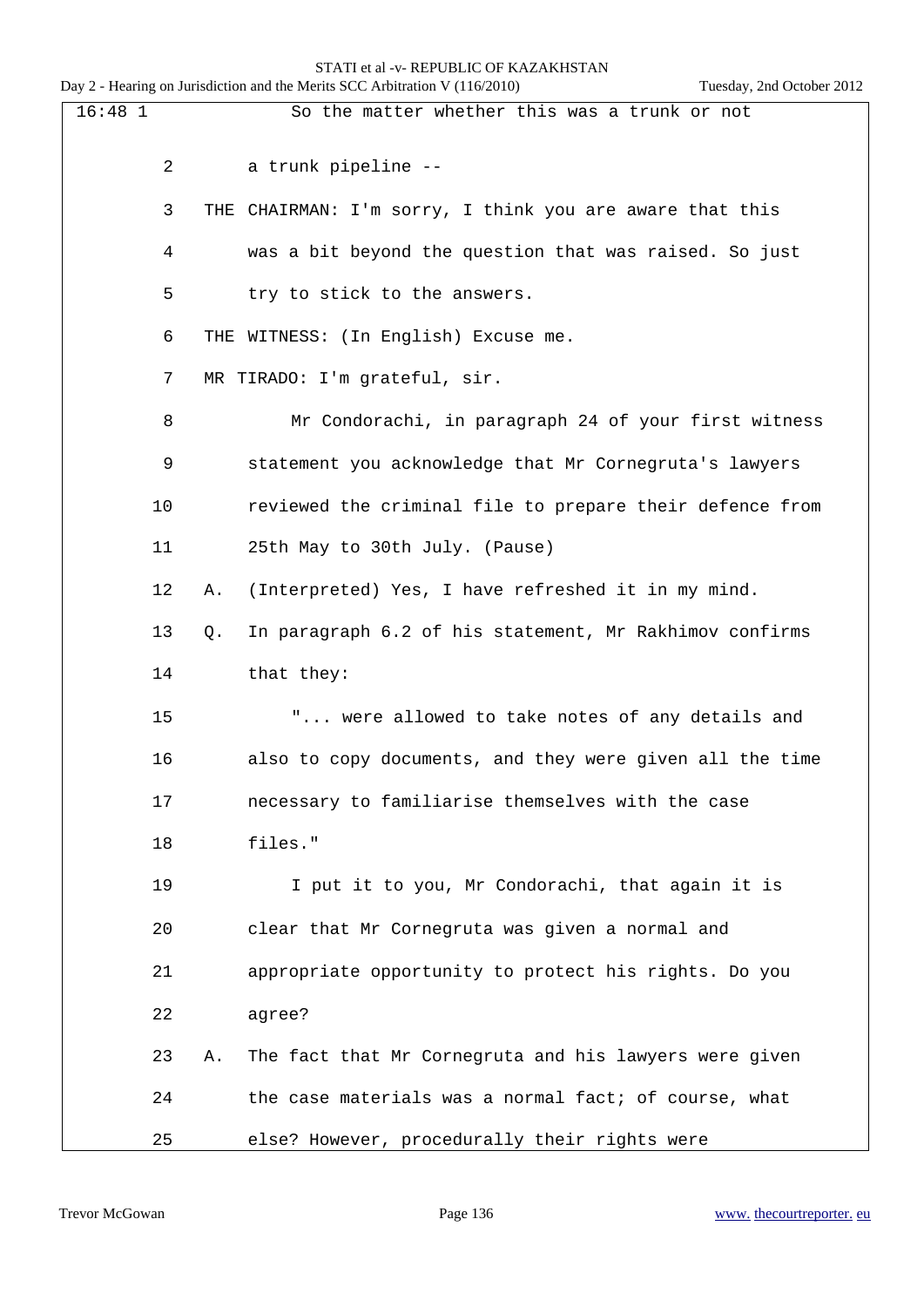| $16:48$ 1 | So the matter whether this was a trunk or not                 |
|-----------|---------------------------------------------------------------|
| 2         | a trunk pipeline --                                           |
| 3         | THE CHAIRMAN: I'm sorry, I think you are aware that this      |
| 4         | was a bit beyond the question that was raised. So just        |
| 5         | try to stick to the answers.                                  |
| 6         | THE WITNESS: (In English) Excuse me.                          |
| 7         | MR TIRADO: I'm grateful, sir.                                 |
| 8         | Mr Condorachi, in paragraph 24 of your first witness          |
| 9         | statement you acknowledge that Mr Cornegruta's lawyers        |
| 10        | reviewed the criminal file to prepare their defence from      |
| 11        | 25th May to 30th July. (Pause)                                |
| 12        | (Interpreted) Yes, I have refreshed it in my mind.<br>Α.      |
| 13        | In paragraph 6.2 of his statement, Mr Rakhimov confirms<br>Q. |
| 14        | that they:                                                    |
| 15        | " were allowed to take notes of any details and               |
| 16        | also to copy documents, and they were given all the time      |
| $17$      | necessary to familiarise themselves with the case             |
| 18        | files."                                                       |
| 19        | I put it to you, Mr Condorachi, that again it is              |
| 20        | clear that Mr Cornegruta was given a normal and               |
| 21        | appropriate opportunity to protect his rights. Do you         |
| 22        | agree?                                                        |
| 23        | The fact that Mr Cornegruta and his lawyers were given<br>Α.  |
| 24        | the case materials was a normal fact; of course, what         |
| 25        | else? However, procedurally their rights were                 |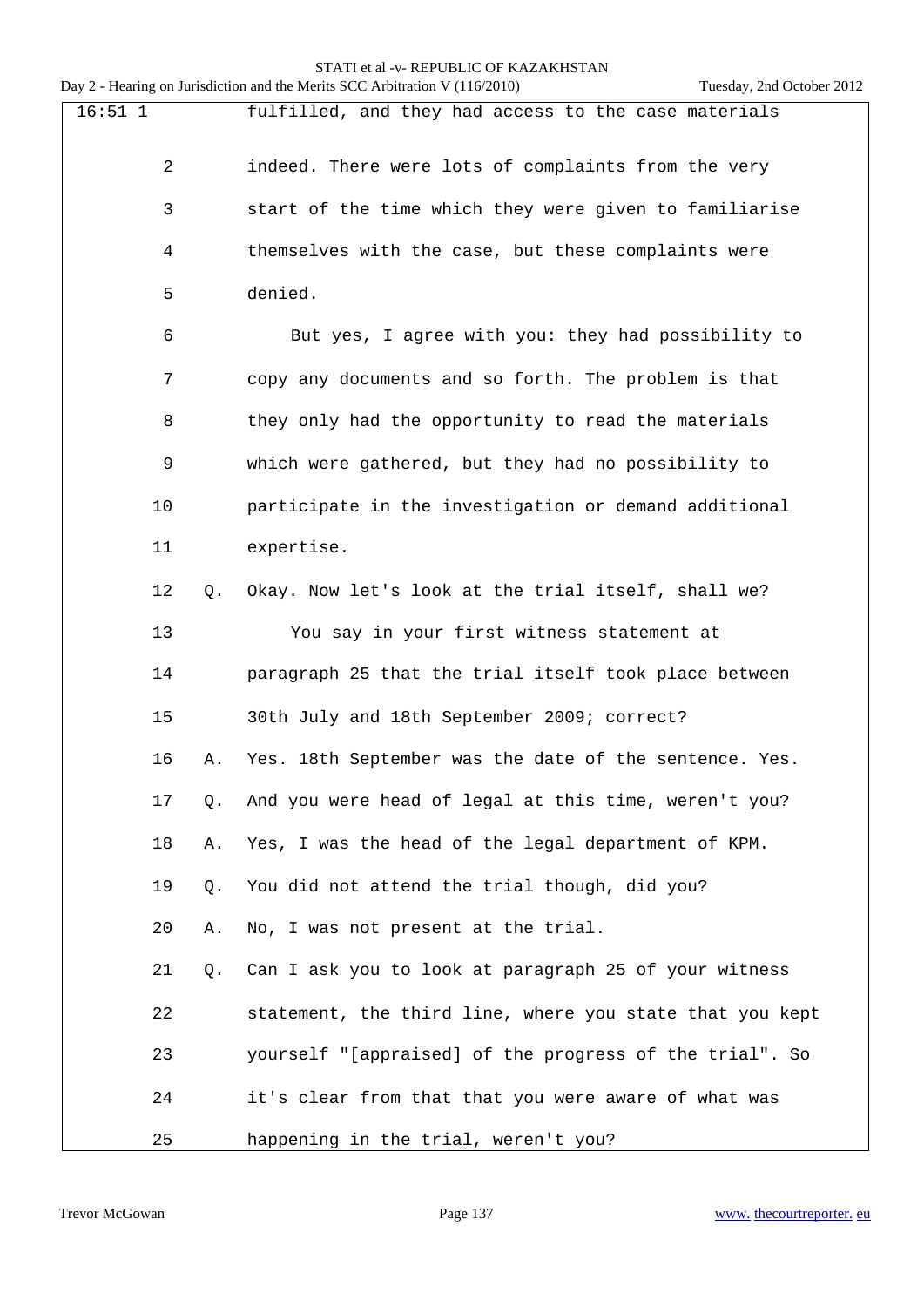| $16:51$ 1 |    | fulfilled, and they had access to the case materials     |
|-----------|----|----------------------------------------------------------|
| 2         |    | indeed. There were lots of complaints from the very      |
| 3         |    | start of the time which they were given to familiarise   |
| 4         |    | themselves with the case, but these complaints were      |
| 5         |    | denied.                                                  |
| 6         |    | But yes, I agree with you: they had possibility to       |
| 7         |    | copy any documents and so forth. The problem is that     |
| 8         |    | they only had the opportunity to read the materials      |
| 9         |    | which were gathered, but they had no possibility to      |
| 10        |    | participate in the investigation or demand additional    |
| 11        |    | expertise.                                               |
| 12        | Q. | Okay. Now let's look at the trial itself, shall we?      |
| 13        |    | You say in your first witness statement at               |
| 14        |    | paragraph 25 that the trial itself took place between    |
| 15        |    | 30th July and 18th September 2009; correct?              |
| 16        | Α. | Yes. 18th September was the date of the sentence. Yes.   |
| 17        | Q. | And you were head of legal at this time, weren't you?    |
| 18        | Α. | Yes, I was the head of the legal department of KPM.      |
| 19        | Q. | You did not attend the trial though, did you?            |
| 20        | Α. | No, I was not present at the trial.                      |
| 21        | Q. | Can I ask you to look at paragraph 25 of your witness    |
| 22        |    | statement, the third line, where you state that you kept |
| 23        |    | yourself "[appraised] of the progress of the trial". So  |
| 24        |    | it's clear from that that you were aware of what was     |
| 25        |    | happening in the trial, weren't you?                     |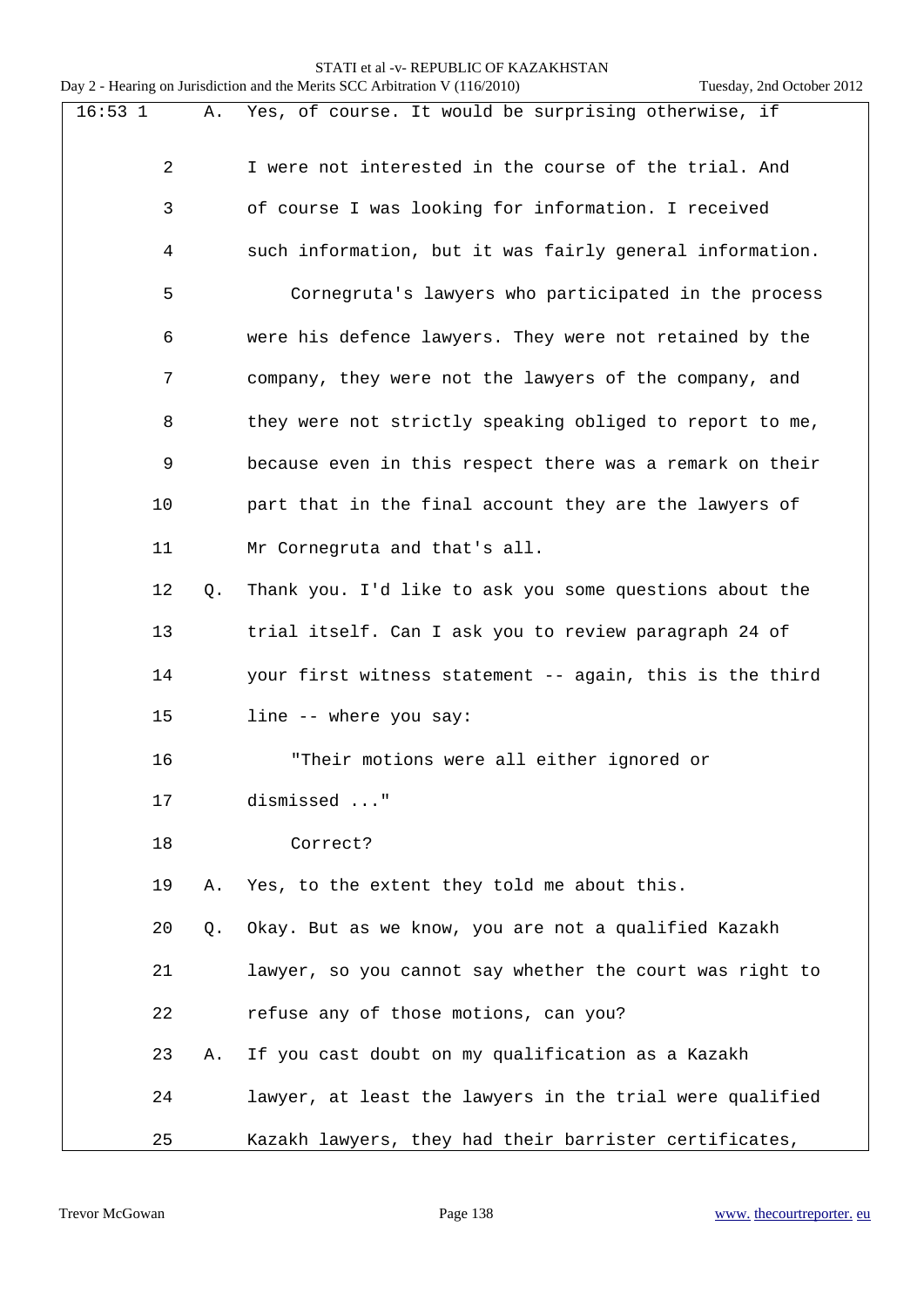| $16:53$ 1 | Α. | Yes, of course. It would be surprising otherwise, if     |
|-----------|----|----------------------------------------------------------|
| 2         |    | I were not interested in the course of the trial. And    |
| 3         |    | of course I was looking for information. I received      |
| 4         |    | such information, but it was fairly general information. |
| 5         |    | Cornegruta's lawyers who participated in the process     |
| 6         |    | were his defence lawyers. They were not retained by the  |
| 7         |    | company, they were not the lawyers of the company, and   |
| 8         |    | they were not strictly speaking obliged to report to me, |
| 9         |    | because even in this respect there was a remark on their |
| 10        |    | part that in the final account they are the lawyers of   |
| 11        |    | Mr Cornegruta and that's all.                            |
| 12        | Q. | Thank you. I'd like to ask you some questions about the  |
| 13        |    | trial itself. Can I ask you to review paragraph 24 of    |
| 14        |    | your first witness statement -- again, this is the third |
| 15        |    | line -- where you say:                                   |
| 16        |    | "Their motions were all either ignored or                |
| 17        |    | dismissed "                                              |
| 18        |    | Correct?                                                 |
| 19        | Α. | Yes, to the extent they told me about this.              |
| 20        | Q. | Okay. But as we know, you are not a qualified Kazakh     |
| 21        |    | lawyer, so you cannot say whether the court was right to |
| 22        |    | refuse any of those motions, can you?                    |
| 23        | Α. | If you cast doubt on my qualification as a Kazakh        |
| 24        |    | lawyer, at least the lawyers in the trial were qualified |
| 25        |    | Kazakh lawyers, they had their barrister certificates,   |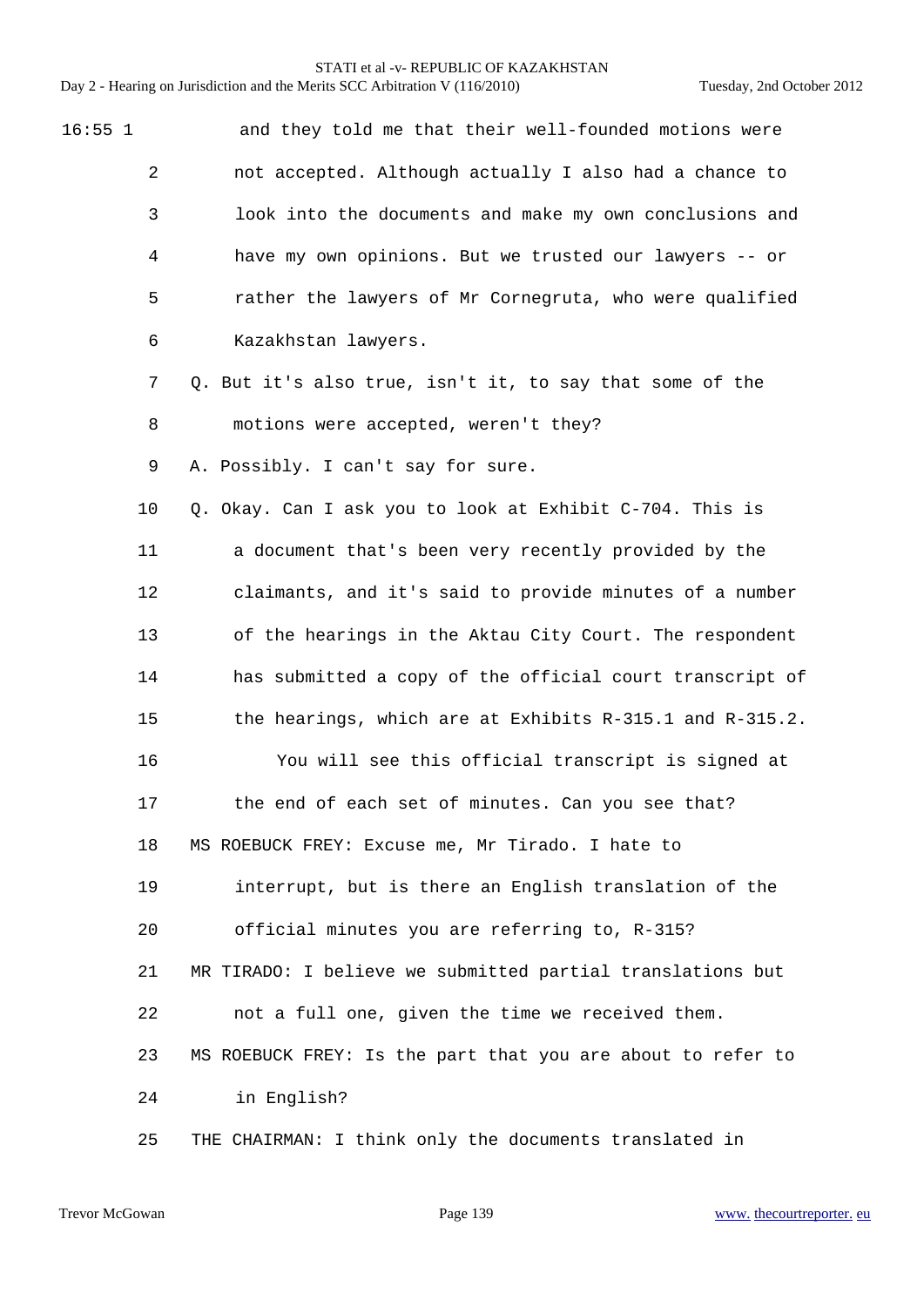## STATI et al -v- REPUBLIC OF KAZAKHSTAN Day 2 - Hearing on Jurisdiction and the Merits SCC Arbitration V (116/2010) Tuesday, 2nd October 2012

| 16:551 | and they told me that their well-founded motions were       |
|--------|-------------------------------------------------------------|
| 2      | not accepted. Although actually I also had a chance to      |
| 3      | look into the documents and make my own conclusions and     |
| 4      | have my own opinions. But we trusted our lawyers -- or      |
| 5      | rather the lawyers of Mr Cornegruta, who were qualified     |
| 6      | Kazakhstan lawyers.                                         |
| 7      | Q. But it's also true, isn't it, to say that some of the    |
| 8      | motions were accepted, weren't they?                        |
| 9      | A. Possibly. I can't say for sure.                          |
| 10     | Q. Okay. Can I ask you to look at Exhibit C-704. This is    |
| 11     | a document that's been very recently provided by the        |
| 12     | claimants, and it's said to provide minutes of a number     |
| 13     | of the hearings in the Aktau City Court. The respondent     |
| 14     | has submitted a copy of the official court transcript of    |
| 15     | the hearings, which are at Exhibits R-315.1 and R-315.2.    |
| 16     | You will see this official transcript is signed at          |
| 17     | the end of each set of minutes. Can you see that?           |
| 18     | MS ROEBUCK FREY: Excuse me, Mr Tirado. I hate to            |
| 19     | interrupt, but is there an English translation of the       |
| 20     | official minutes you are referring to, R-315?               |
| 21     | MR TIRADO: I believe we submitted partial translations but  |
| 22     | not a full one, given the time we received them.            |
| 23     | MS ROEBUCK FREY: Is the part that you are about to refer to |
| 24     | in English?                                                 |
| 25     | THE CHAIRMAN: I think only the documents translated in      |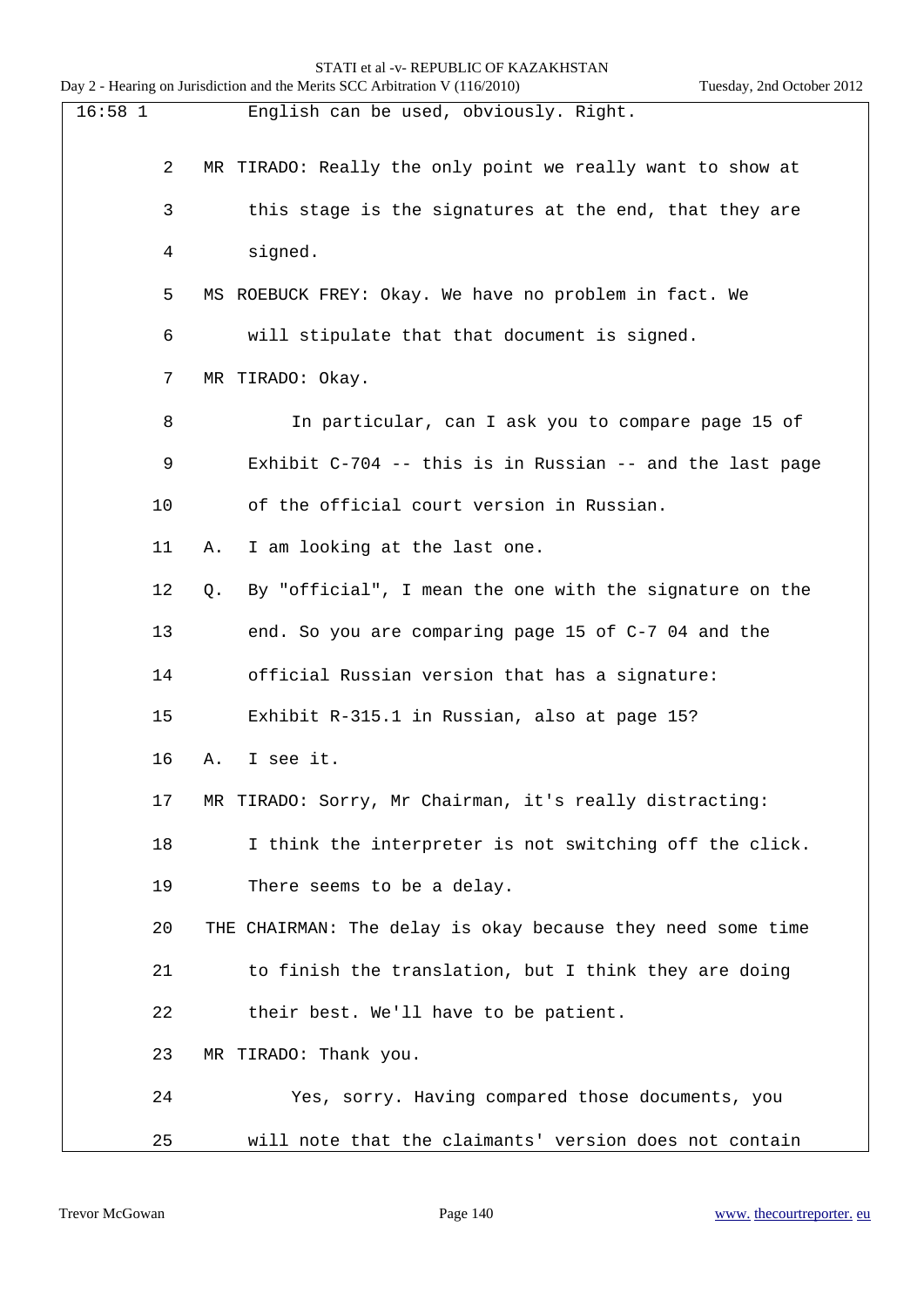| $16:58$ 1      | English can be used, obviously. Right.                        |
|----------------|---------------------------------------------------------------|
| $\overline{2}$ | MR TIRADO: Really the only point we really want to show at    |
| 3              | this stage is the signatures at the end, that they are        |
| 4              | signed.                                                       |
| 5              | MS ROEBUCK FREY: Okay. We have no problem in fact. We         |
| 6              | will stipulate that that document is signed.                  |
| 7              | MR TIRADO: Okay.                                              |
| 8              | In particular, can I ask you to compare page 15 of            |
| 9              | Exhibit C-704 -- this is in Russian -- and the last page      |
| 10             | of the official court version in Russian.                     |
| 11             | I am looking at the last one.<br>Α.                           |
| 12             | By "official", I mean the one with the signature on the<br>Q. |
| 13             | end. So you are comparing page 15 of C-7 04 and the           |
| 14             | official Russian version that has a signature:                |
| 15             | Exhibit R-315.1 in Russian, also at page 15?                  |
| 16             | I see it.<br>Α.                                               |
| 17             | MR TIRADO: Sorry, Mr Chairman, it's really distracting:       |
| 18             | I think the interpreter is not switching off the click.       |
| 19             | There seems to be a delay.                                    |
| 20             | THE CHAIRMAN: The delay is okay because they need some time   |
| 21             | to finish the translation, but I think they are doing         |
| 22             | their best. We'll have to be patient.                         |
| 23             | MR TIRADO: Thank you.                                         |
| 24             | Yes, sorry. Having compared those documents, you              |
| 25             | will note that the claimants' version does not contain        |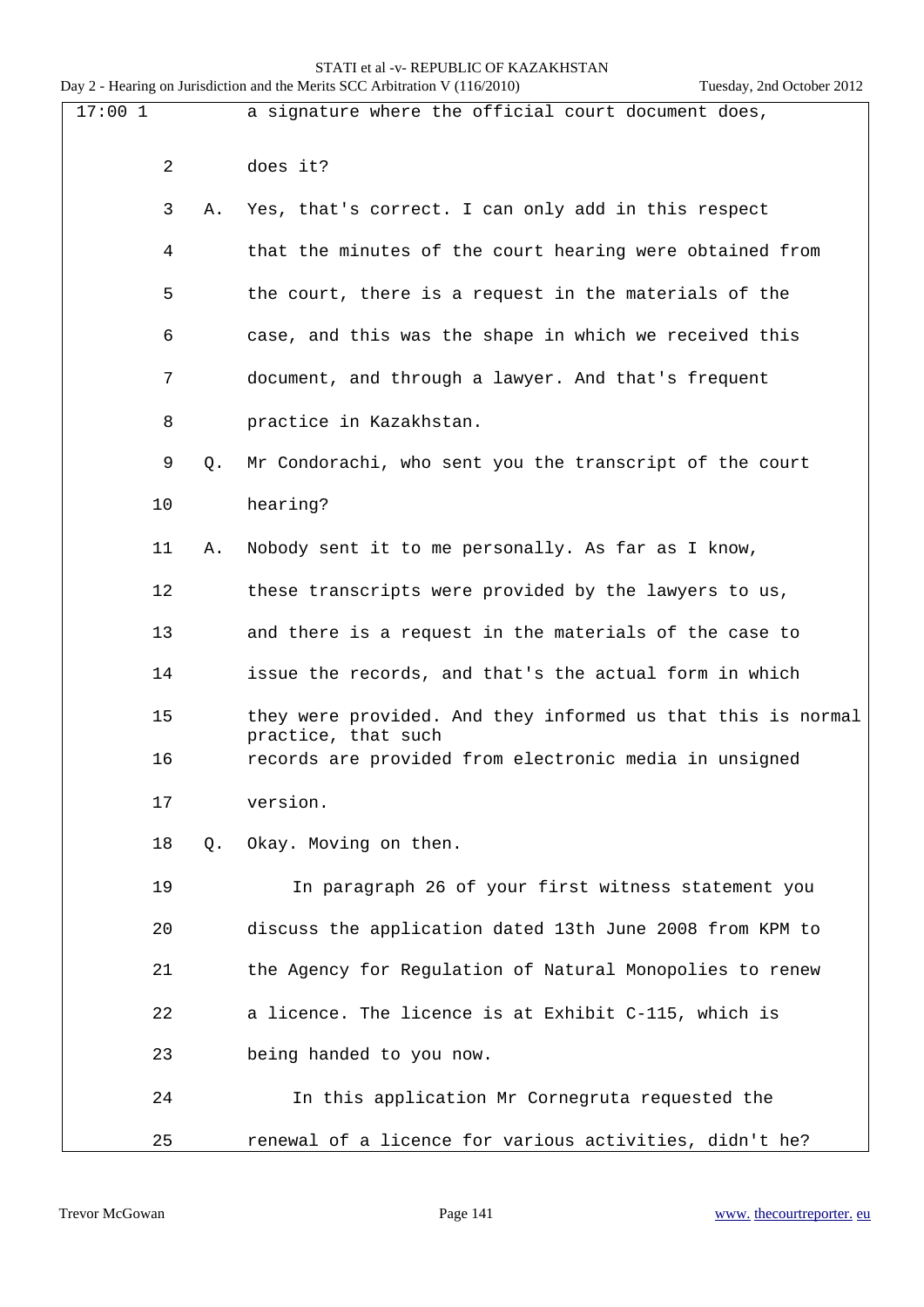| 17:001         |    | a signature where the official court document does,                                 |
|----------------|----|-------------------------------------------------------------------------------------|
| $\overline{2}$ |    | does it?                                                                            |
| 3              | Α. | Yes, that's correct. I can only add in this respect                                 |
| 4              |    | that the minutes of the court hearing were obtained from                            |
| 5              |    | the court, there is a request in the materials of the                               |
| 6              |    | case, and this was the shape in which we received this                              |
| 7              |    | document, and through a lawyer. And that's frequent                                 |
| 8              |    | practice in Kazakhstan.                                                             |
| 9              | Q. | Mr Condorachi, who sent you the transcript of the court                             |
| 10             |    | hearing?                                                                            |
| 11             | Α. | Nobody sent it to me personally. As far as I know,                                  |
| 12             |    | these transcripts were provided by the lawyers to us,                               |
| 13             |    | and there is a request in the materials of the case to                              |
| 14             |    | issue the records, and that's the actual form in which                              |
| 15             |    | they were provided. And they informed us that this is normal<br>practice, that such |
| 16             |    | records are provided from electronic media in unsigned                              |
| 17             |    | version.                                                                            |
| 18             | Q. | Okay. Moving on then.                                                               |
| 19             |    | In paragraph 26 of your first witness statement you                                 |
| 20             |    | discuss the application dated 13th June 2008 from KPM to                            |
| 21             |    | the Agency for Regulation of Natural Monopolies to renew                            |
| 22             |    | a licence. The licence is at Exhibit C-115, which is                                |
| 23             |    | being handed to you now.                                                            |
| 24             |    | In this application Mr Cornegruta requested the                                     |
| 25             |    | renewal of a licence for various activities, didn't he?                             |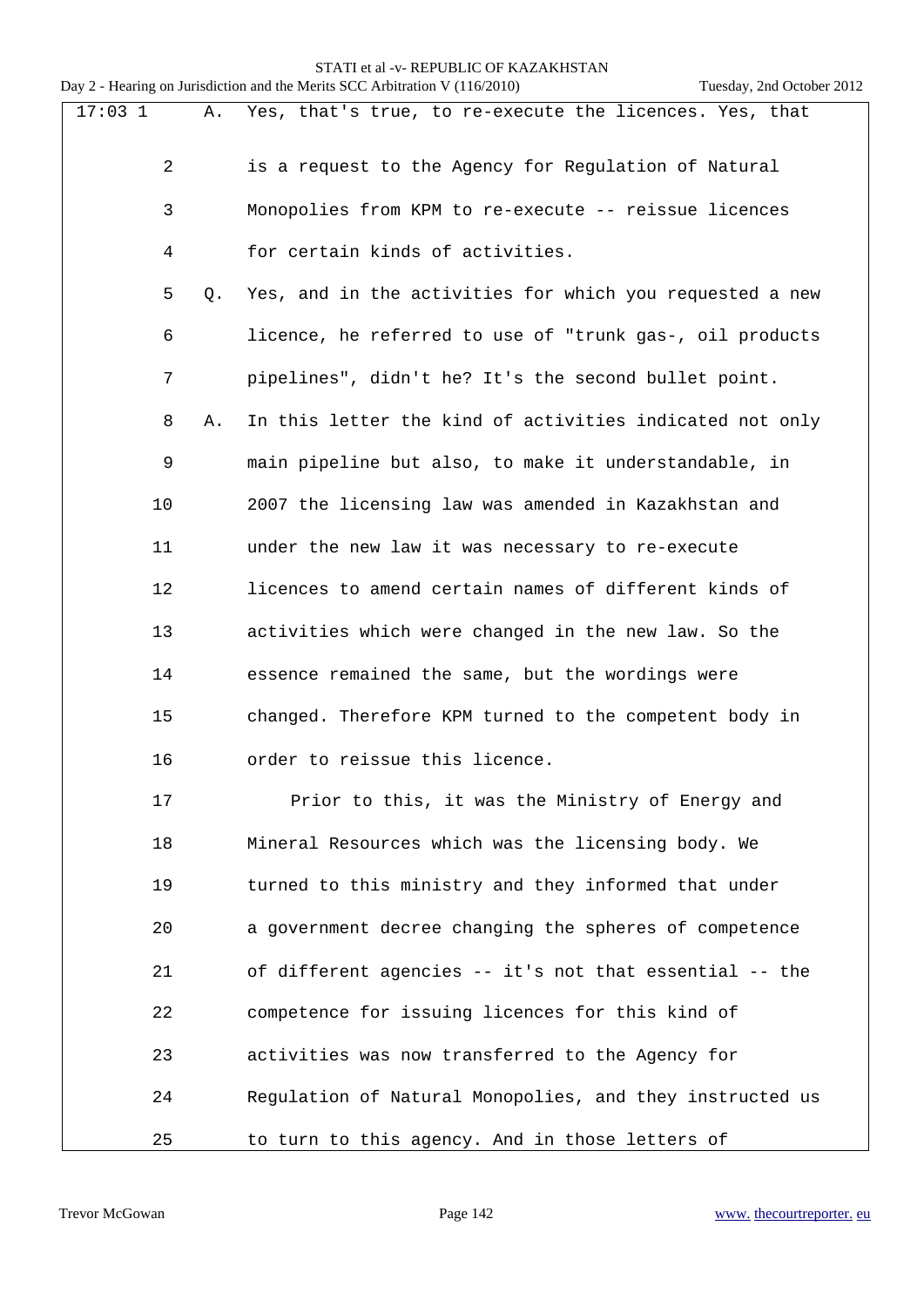| $17:03$ 1 | Α. | Yes, that's true, to re-execute the licences. Yes, that  |
|-----------|----|----------------------------------------------------------|
| 2         |    | is a request to the Agency for Regulation of Natural     |
| 3         |    | Monopolies from KPM to re-execute -- reissue licences    |
| 4         |    | for certain kinds of activities.                         |
| 5         | Q. | Yes, and in the activities for which you requested a new |
| 6         |    | licence, he referred to use of "trunk gas-, oil products |
| 7         |    | pipelines", didn't he? It's the second bullet point.     |
| 8         | Α. | In this letter the kind of activities indicated not only |
| 9         |    | main pipeline but also, to make it understandable, in    |
| 10        |    | 2007 the licensing law was amended in Kazakhstan and     |
| 11        |    | under the new law it was necessary to re-execute         |
| 12        |    | licences to amend certain names of different kinds of    |
| 13        |    | activities which were changed in the new law. So the     |
| 14        |    | essence remained the same, but the wordings were         |
| 15        |    | changed. Therefore KPM turned to the competent body in   |
| 16        |    | order to reissue this licence.                           |
| 17        |    | Prior to this, it was the Ministry of Energy and         |
| 18        |    | Mineral Resources which was the licensing body. We       |
| 19        |    | turned to this ministry and they informed that under     |
| 20        |    | a government decree changing the spheres of competence   |
| 21        |    | of different agencies -- it's not that essential -- the  |
| 22        |    | competence for issuing licences for this kind of         |
| 23        |    | activities was now transferred to the Agency for         |
| 24        |    | Regulation of Natural Monopolies, and they instructed us |
| 25        |    | to turn to this agency. And in those letters of          |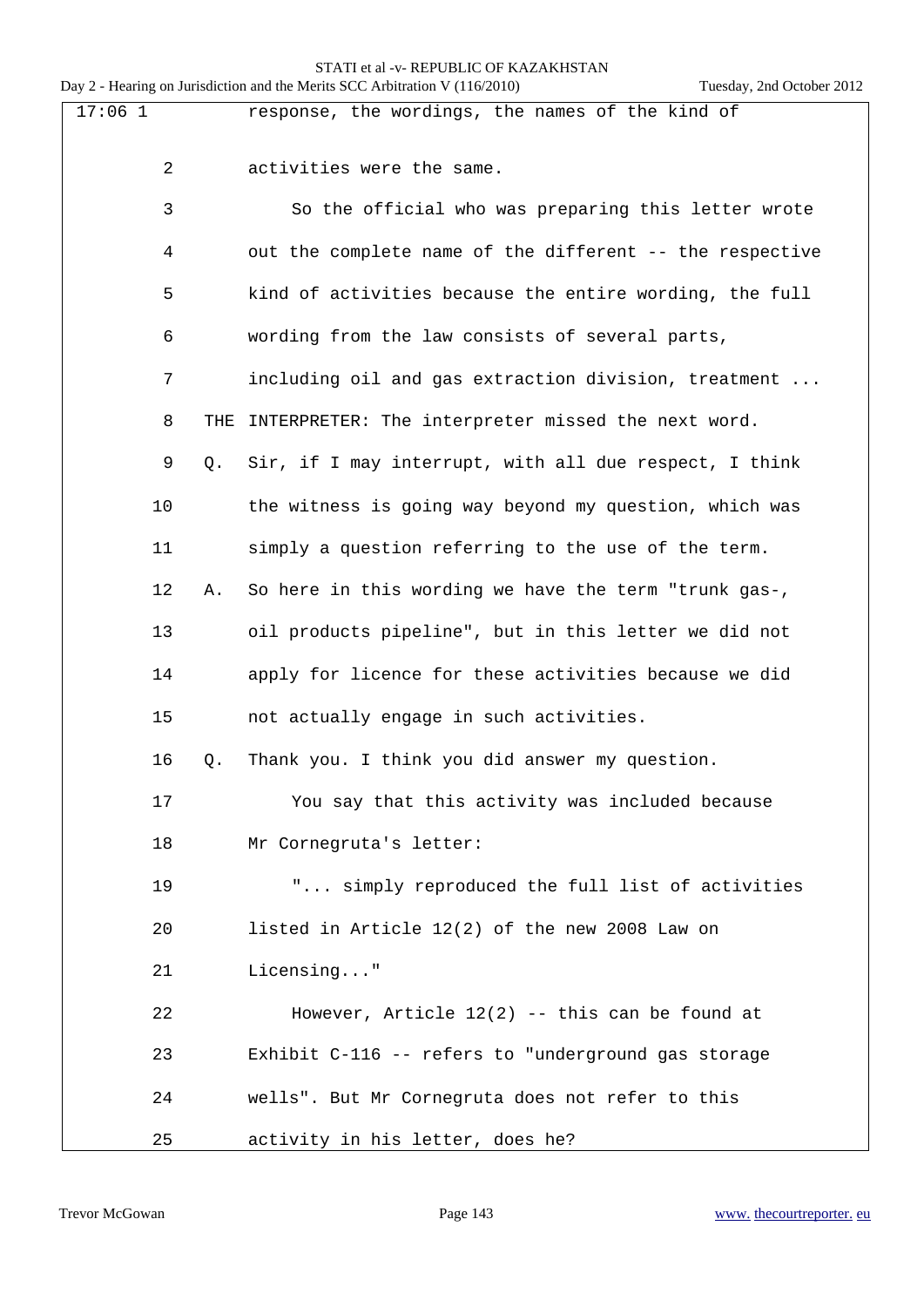| $17:06$ 1 |     | response, the wordings, the names of the kind of         |
|-----------|-----|----------------------------------------------------------|
| 2         |     | activities were the same.                                |
| 3         |     | So the official who was preparing this letter wrote      |
| 4         |     | out the complete name of the different -- the respective |
| 5         |     | kind of activities because the entire wording, the full  |
| 6         |     | wording from the law consists of several parts,          |
| 7         |     | including oil and gas extraction division, treatment     |
| 8         | THE | INTERPRETER: The interpreter missed the next word.       |
| 9         | Q.  | Sir, if I may interrupt, with all due respect, I think   |
| 10        |     | the witness is going way beyond my question, which was   |
| 11        |     | simply a question referring to the use of the term.      |
| 12        | Α.  | So here in this wording we have the term "trunk gas-,    |
| 13        |     | oil products pipeline", but in this letter we did not    |
| 14        |     | apply for licence for these activities because we did    |
| 15        |     | not actually engage in such activities.                  |
| 16        | Q.  | Thank you. I think you did answer my question.           |
| 17        |     | You say that this activity was included because          |
| 18        |     | Mr Cornegruta's letter:                                  |
| 19        |     | " simply reproduced the full list of activities          |
| 20        |     | listed in Article 12(2) of the new 2008 Law on           |
| 21        |     | Licensing"                                               |
| 22        |     | However, Article $12(2)$ -- this can be found at         |
| 23        |     | Exhibit C-116 -- refers to "underground gas storage      |
| 24        |     | wells". But Mr Cornegruta does not refer to this         |
| 25        |     | activity in his letter, does he?                         |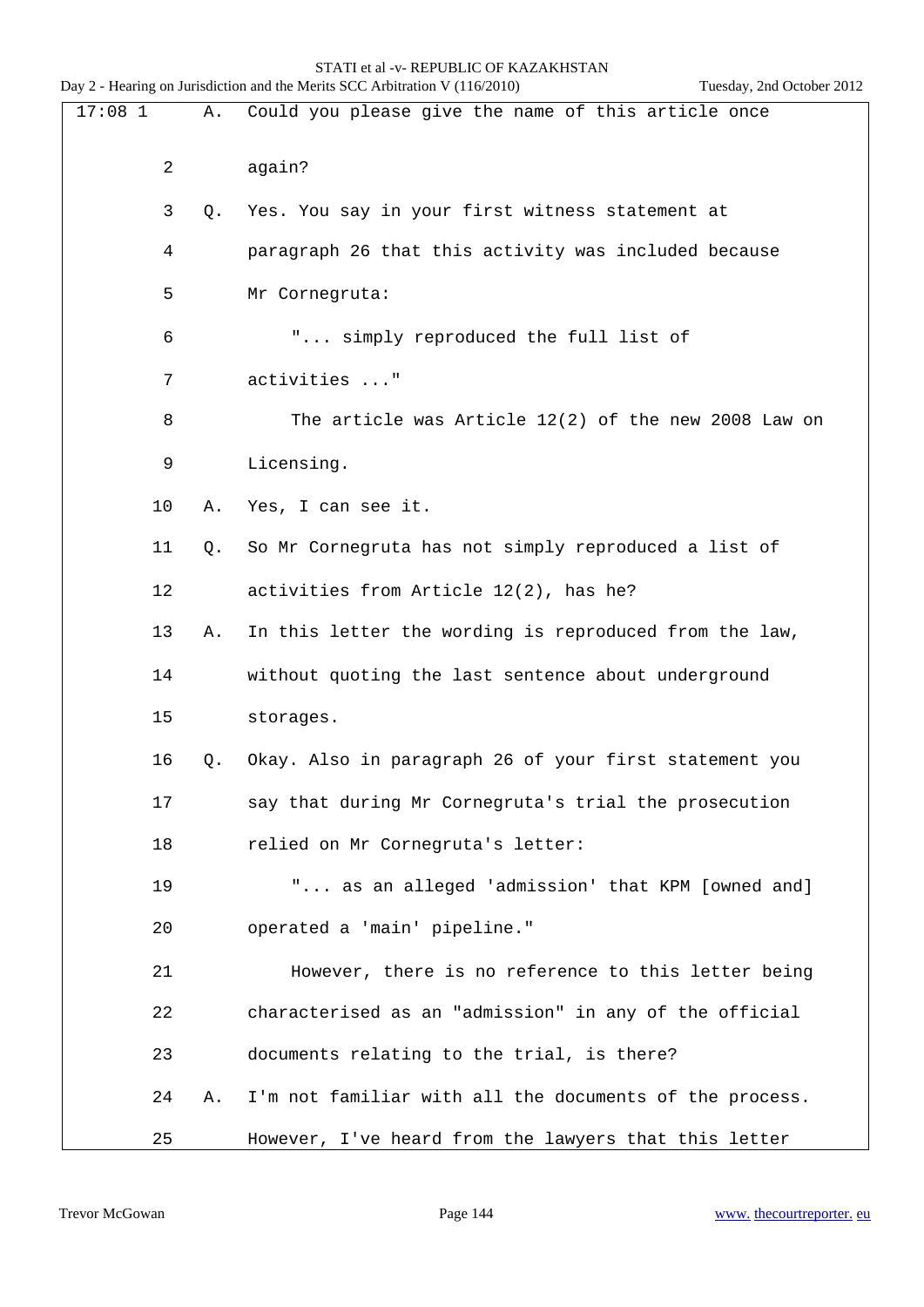| $17:08$ 1      | Α.             | Could you please give the name of this article once     |
|----------------|----------------|---------------------------------------------------------|
| $\overline{2}$ |                | again?                                                  |
| 3              | Q.             | Yes. You say in your first witness statement at         |
| 4              |                | paragraph 26 that this activity was included because    |
| 5              |                | Mr Cornegruta:                                          |
| 6              |                | " simply reproduced the full list of                    |
| 7              |                | activities "                                            |
| 8              |                | The article was Article 12(2) of the new 2008 Law on    |
| 9              |                | Licensing.                                              |
| 10             | Α.             | Yes, I can see it.                                      |
| 11             | Q.             | So Mr Cornegruta has not simply reproduced a list of    |
| 12             |                | activities from Article 12(2), has he?                  |
| 13             | Α.             | In this letter the wording is reproduced from the law,  |
| 14             |                | without quoting the last sentence about underground     |
| 15             |                | storages.                                               |
| 16             | Q <sub>z</sub> | Okay. Also in paragraph 26 of your first statement you  |
| 17             |                | say that during Mr Cornegruta's trial the prosecution   |
| 18             |                | relied on Mr Cornegruta's letter:                       |
| 19             |                | " as an alleged 'admission' that KPM [owned and]        |
| 20             |                | operated a 'main' pipeline."                            |
| 21             |                | However, there is no reference to this letter being     |
| 22             |                | characterised as an "admission" in any of the official  |
| 23             |                | documents relating to the trial, is there?              |
| 24             | Α.             | I'm not familiar with all the documents of the process. |
| 25             |                | However, I've heard from the lawyers that this letter   |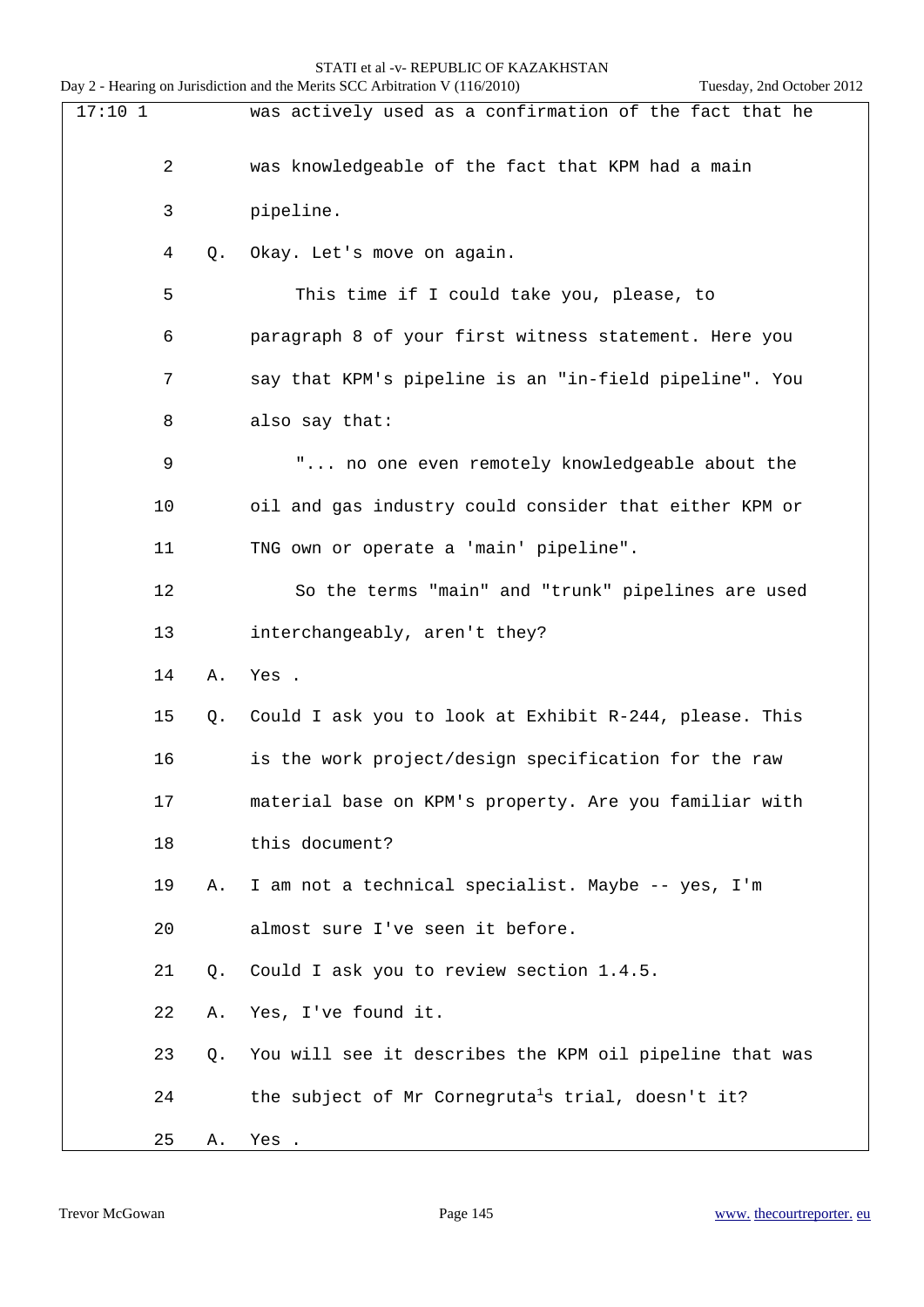| $17:10$ 1 |    | was actively used as a confirmation of the fact that he        |
|-----------|----|----------------------------------------------------------------|
| 2         |    | was knowledgeable of the fact that KPM had a main              |
| 3         |    | pipeline.                                                      |
| 4         | Q. | Okay. Let's move on again.                                     |
| 5         |    | This time if I could take you, please, to                      |
| 6         |    | paragraph 8 of your first witness statement. Here you          |
| 7         |    | say that KPM's pipeline is an "in-field pipeline". You         |
| 8         |    | also say that:                                                 |
| 9         |    | " no one even remotely knowledgeable about the                 |
| 10        |    | oil and gas industry could consider that either KPM or         |
| 11        |    | TNG own or operate a 'main' pipeline".                         |
| 12        |    | So the terms "main" and "trunk" pipelines are used             |
| 13        |    | interchangeably, aren't they?                                  |
| 14        | Α. | Yes.                                                           |
| 15        | Q. | Could I ask you to look at Exhibit R-244, please. This         |
| 16        |    | is the work project/design specification for the raw           |
| 17        |    | material base on KPM's property. Are you familiar with         |
| 18        |    | this document?                                                 |
| 19        | Α. | I am not a technical specialist. Maybe -- yes, I'm             |
| 20        |    | almost sure I've seen it before.                               |
| 21        | Q. | Could I ask you to review section 1.4.5.                       |
| 22        | Α. | Yes, I've found it.                                            |
| 23        | Q. | You will see it describes the KPM oil pipeline that was        |
| 24        |    | the subject of Mr Cornegruta <sup>1</sup> s trial, doesn't it? |
| 25        | Α. | Yes .                                                          |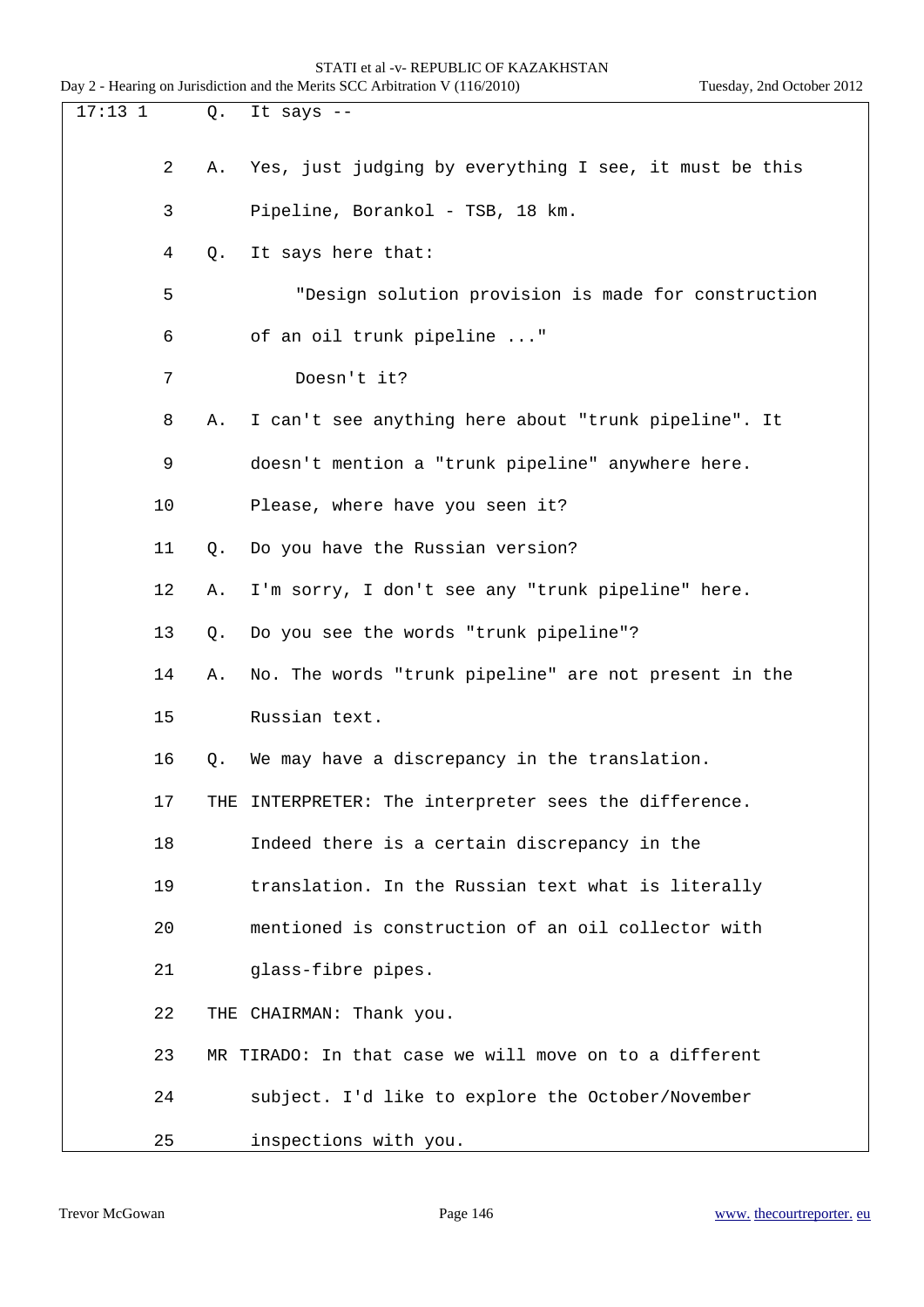| $17:13$ 1      | Q. | It says --                                             |
|----------------|----|--------------------------------------------------------|
| $\overline{2}$ | Α. | Yes, just judging by everything I see, it must be this |
| 3              |    | Pipeline, Borankol - TSB, 18 km.                       |
| 4              | Q. | It says here that:                                     |
| 5              |    | "Design solution provision is made for construction    |
| 6              |    | of an oil trunk pipeline "                             |
| 7              |    | Doesn't it?                                            |
| 8              | Α. | I can't see anything here about "trunk pipeline". It   |
| 9              |    | doesn't mention a "trunk pipeline" anywhere here.      |
| 10             |    | Please, where have you seen it?                        |
| 11             | Q. | Do you have the Russian version?                       |
| 12             | Α. | I'm sorry, I don't see any "trunk pipeline" here.      |
| 13             | Q. | Do you see the words "trunk pipeline"?                 |
| 14             | Α. | No. The words "trunk pipeline" are not present in the  |
| 15             |    | Russian text.                                          |
| 16             | Q. | We may have a discrepancy in the translation.          |
| 17             |    | THE INTERPRETER: The interpreter sees the difference.  |
| 18             |    | Indeed there is a certain discrepancy in the           |
| 19             |    | translation. In the Russian text what is literally     |
| 20             |    | mentioned is construction of an oil collector with     |
| 21             |    | glass-fibre pipes.                                     |
| 22             |    | THE CHAIRMAN: Thank you.                               |
| 23             |    | MR TIRADO: In that case we will move on to a different |
| 24             |    | subject. I'd like to explore the October/November      |
| 25             |    | inspections with you.                                  |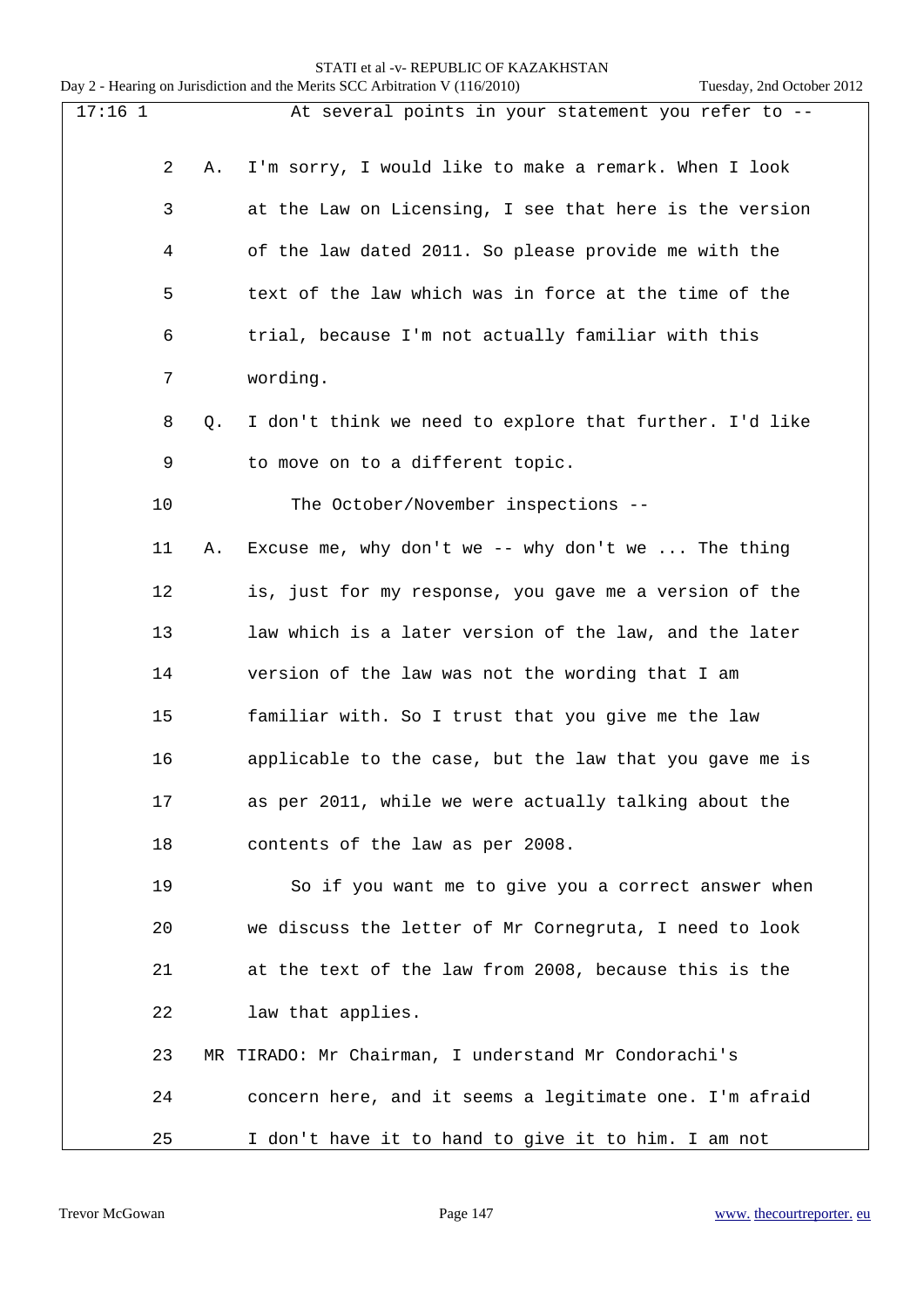| $17:16$ 1 |    | At several points in your statement you refer to --     |
|-----------|----|---------------------------------------------------------|
| 2         | Α. | I'm sorry, I would like to make a remark. When I look   |
| 3         |    | at the Law on Licensing, I see that here is the version |
| 4         |    | of the law dated 2011. So please provide me with the    |
| 5         |    | text of the law which was in force at the time of the   |
| 6         |    | trial, because I'm not actually familiar with this      |
| 7         |    | wording.                                                |
| 8         | Q. | I don't think we need to explore that further. I'd like |
| 9         |    | to move on to a different topic.                        |
| 10        |    | The October/November inspections --                     |
| 11        | Α. | Excuse me, why don't we -- why don't we  The thing      |
| 12        |    | is, just for my response, you gave me a version of the  |
| 13        |    | law which is a later version of the law, and the later  |
| 14        |    | version of the law was not the wording that I am        |
| 15        |    | familiar with. So I trust that you give me the law      |
| 16        |    | applicable to the case, but the law that you gave me is |
| 17        |    | as per 2011, while we were actually talking about the   |
| 18        |    | contents of the law as per 2008.                        |
| 19        |    | So if you want me to give you a correct answer when     |
| 20        |    | we discuss the letter of Mr Cornegruta, I need to look  |
| 21        |    | at the text of the law from 2008, because this is the   |
| 22        |    | law that applies.                                       |
| 23        |    | MR TIRADO: Mr Chairman, I understand Mr Condorachi's    |
| 24        |    | concern here, and it seems a legitimate one. I'm afraid |
| 25        |    | I don't have it to hand to give it to him. I am not     |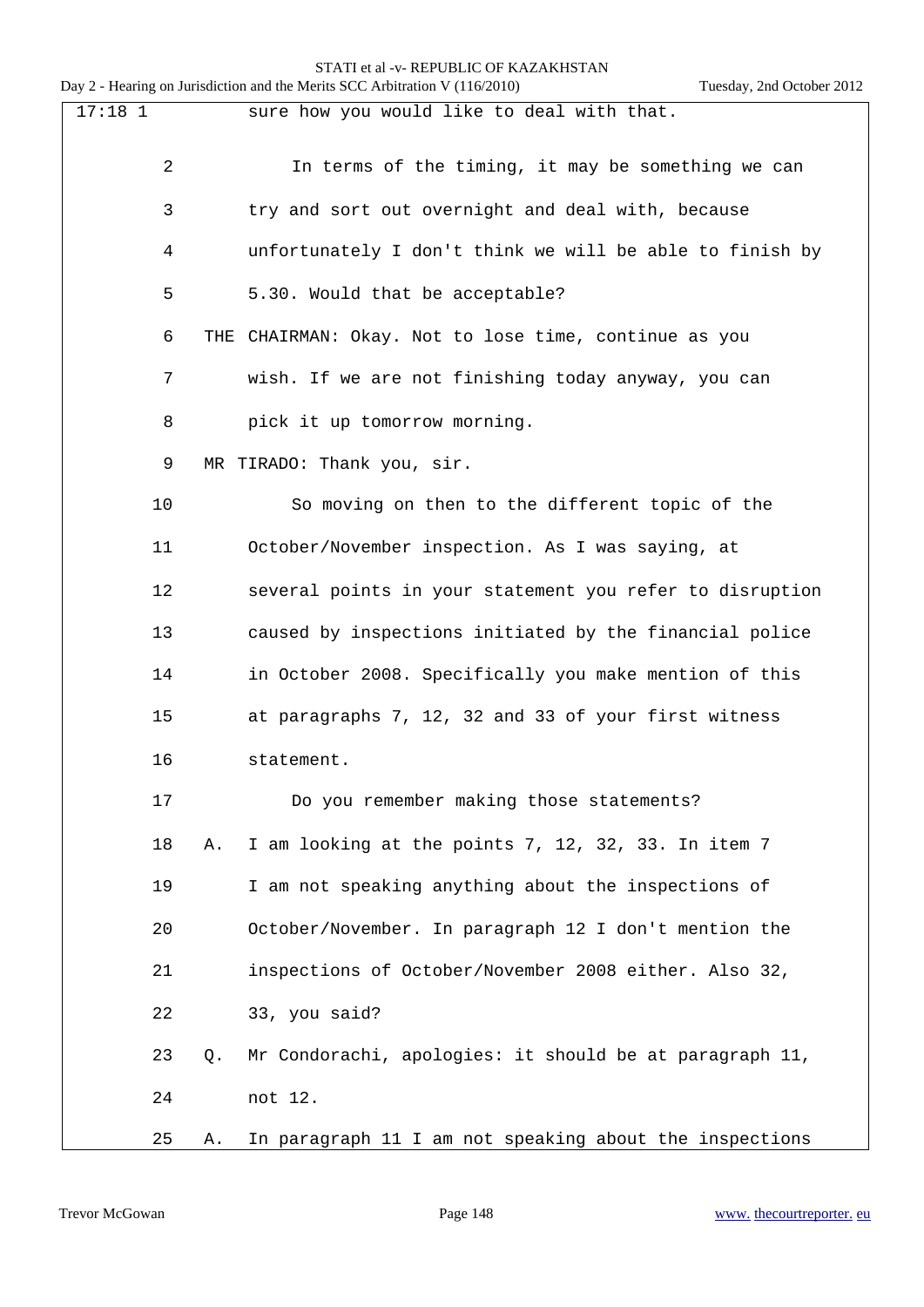| $17:18$ 1 | sure how you would like to deal with that.                    |
|-----------|---------------------------------------------------------------|
| 2         | In terms of the timing, it may be something we can            |
| 3         | try and sort out overnight and deal with, because             |
| 4         | unfortunately I don't think we will be able to finish by      |
| 5         | 5.30. Would that be acceptable?                               |
| 6         | THE CHAIRMAN: Okay. Not to lose time, continue as you         |
| 7         | wish. If we are not finishing today anyway, you can           |
| 8         | pick it up tomorrow morning.                                  |
| 9         | MR TIRADO: Thank you, sir.                                    |
| 10        | So moving on then to the different topic of the               |
| 11        | October/November inspection. As I was saying, at              |
| 12        | several points in your statement you refer to disruption      |
| 13        | caused by inspections initiated by the financial police       |
| 14        | in October 2008. Specifically you make mention of this        |
| 15        | at paragraphs 7, 12, 32 and 33 of your first witness          |
| 16        | statement.                                                    |
| 17        | Do you remember making those statements?                      |
| 18        | I am looking at the points 7, 12, 32, 33. In item 7<br>Α.     |
| 19        | I am not speaking anything about the inspections of           |
| 20        | October/November. In paragraph 12 I don't mention the         |
| 21        | inspections of October/November 2008 either. Also 32,         |
| 22        | 33, you said?                                                 |
| 23        | Mr Condorachi, apologies: it should be at paragraph 11,<br>Q. |
| 24        | not 12.                                                       |
| 25        | In paragraph 11 I am not speaking about the inspections<br>Α. |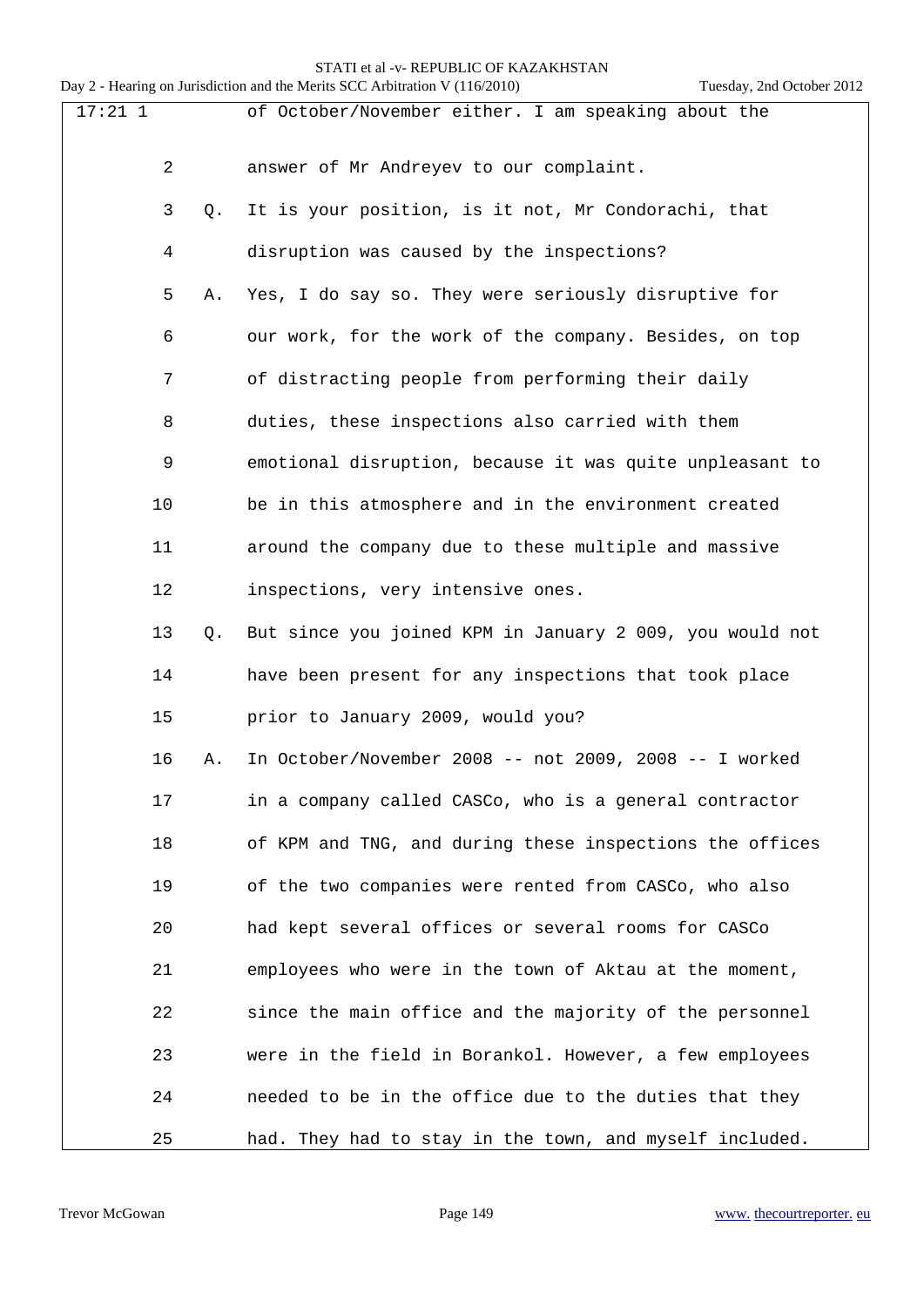| $17:21$ 1 |         | of October/November either. I am speaking about the      |
|-----------|---------|----------------------------------------------------------|
|           | 2       | answer of Mr Andreyev to our complaint.                  |
|           | 3<br>Q. | It is your position, is it not, Mr Condorachi, that      |
|           | 4       | disruption was caused by the inspections?                |
|           | 5<br>Α. | Yes, I do say so. They were seriously disruptive for     |
| 6         |         | our work, for the work of the company. Besides, on top   |
|           | 7       | of distracting people from performing their daily        |
|           | 8       | duties, these inspections also carried with them         |
| 9         |         | emotional disruption, because it was quite unpleasant to |
| 10        |         | be in this atmosphere and in the environment created     |
| 11        |         | around the company due to these multiple and massive     |
| 12        |         | inspections, very intensive ones.                        |
| 13        | Q.      | But since you joined KPM in January 2 009, you would not |
| 14        |         | have been present for any inspections that took place    |
| 15        |         | prior to January 2009, would you?                        |
| 16        | Α.      | In October/November 2008 -- not 2009, 2008 -- I worked   |
| 17        |         | in a company called CASCo, who is a general contractor   |
| 18        |         | of KPM and TNG, and during these inspections the offices |
| 19        |         | of the two companies were rented from CASCo, who also    |
| 20        |         | had kept several offices or several rooms for CASCo      |
| 21        |         | employees who were in the town of Aktau at the moment,   |
| 22        |         | since the main office and the majority of the personnel  |
| 23        |         | were in the field in Borankol. However, a few employees  |
| 24        |         | needed to be in the office due to the duties that they   |
| 25        |         | had. They had to stay in the town, and myself included.  |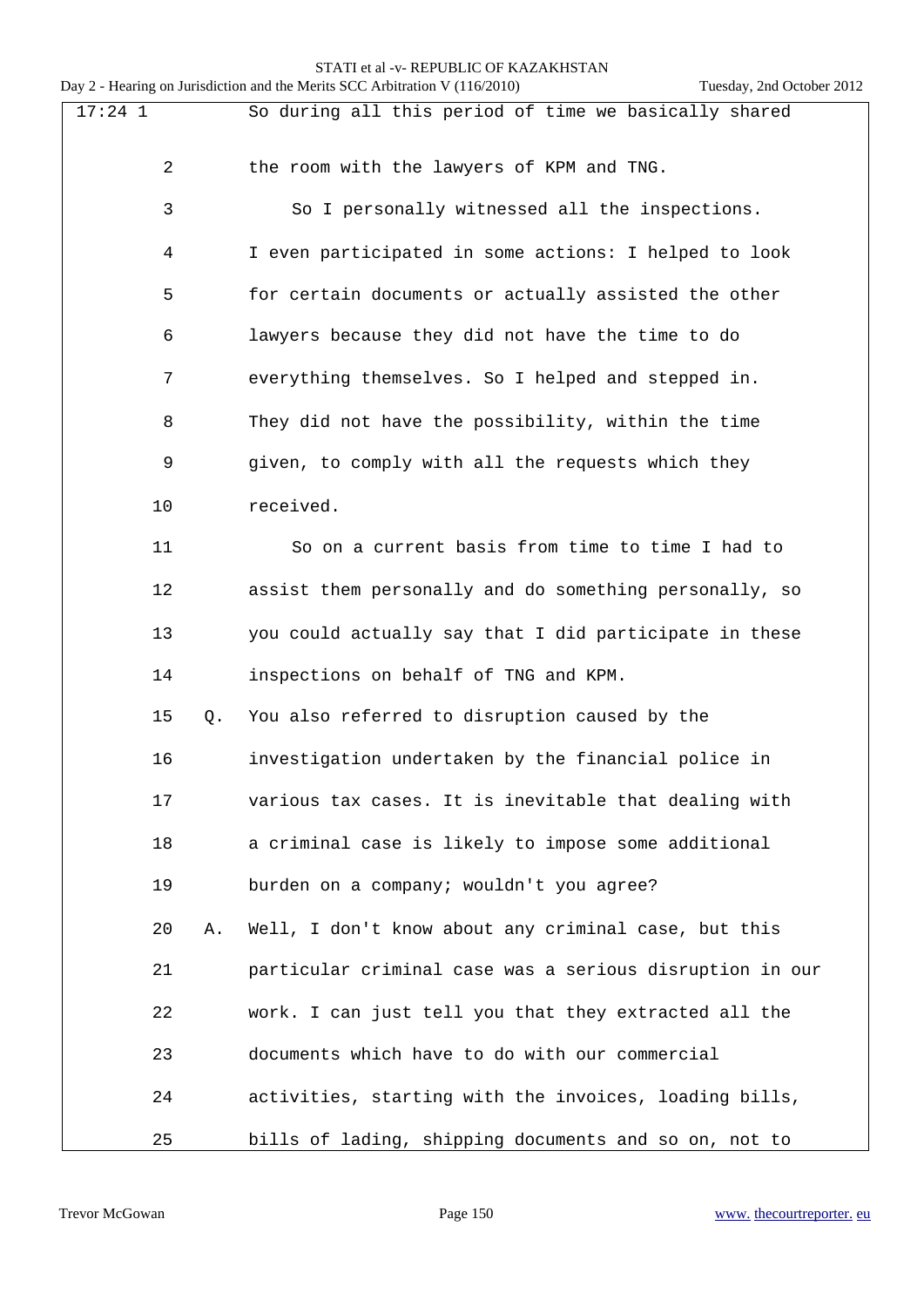| $17:24$ 1      |    | So during all this period of time we basically shared    |
|----------------|----|----------------------------------------------------------|
| $\overline{2}$ |    | the room with the lawyers of KPM and TNG.                |
| 3              |    | So I personally witnessed all the inspections.           |
| 4              |    | I even participated in some actions: I helped to look    |
| 5              |    | for certain documents or actually assisted the other     |
| 6              |    | lawyers because they did not have the time to do         |
| 7              |    | everything themselves. So I helped and stepped in.       |
| 8              |    | They did not have the possibility, within the time       |
| 9              |    | given, to comply with all the requests which they        |
| 10             |    | received.                                                |
| 11             |    | So on a current basis from time to time I had to         |
| 12             |    | assist them personally and do something personally, so   |
| 13             |    | you could actually say that I did participate in these   |
| 14             |    | inspections on behalf of TNG and KPM.                    |
| 15             | Q. | You also referred to disruption caused by the            |
| 16             |    | investigation undertaken by the financial police in      |
| 17             |    | various tax cases. It is inevitable that dealing with    |
| 18             |    | a criminal case is likely to impose some additional      |
| 19             |    | burden on a company; wouldn't you agree?                 |
| 20             | Α. | Well, I don't know about any criminal case, but this     |
| 21             |    | particular criminal case was a serious disruption in our |
| 22             |    | work. I can just tell you that they extracted all the    |
| 23             |    | documents which have to do with our commercial           |
| 24             |    | activities, starting with the invoices, loading bills,   |
| 25             |    | bills of lading, shipping documents and so on, not to    |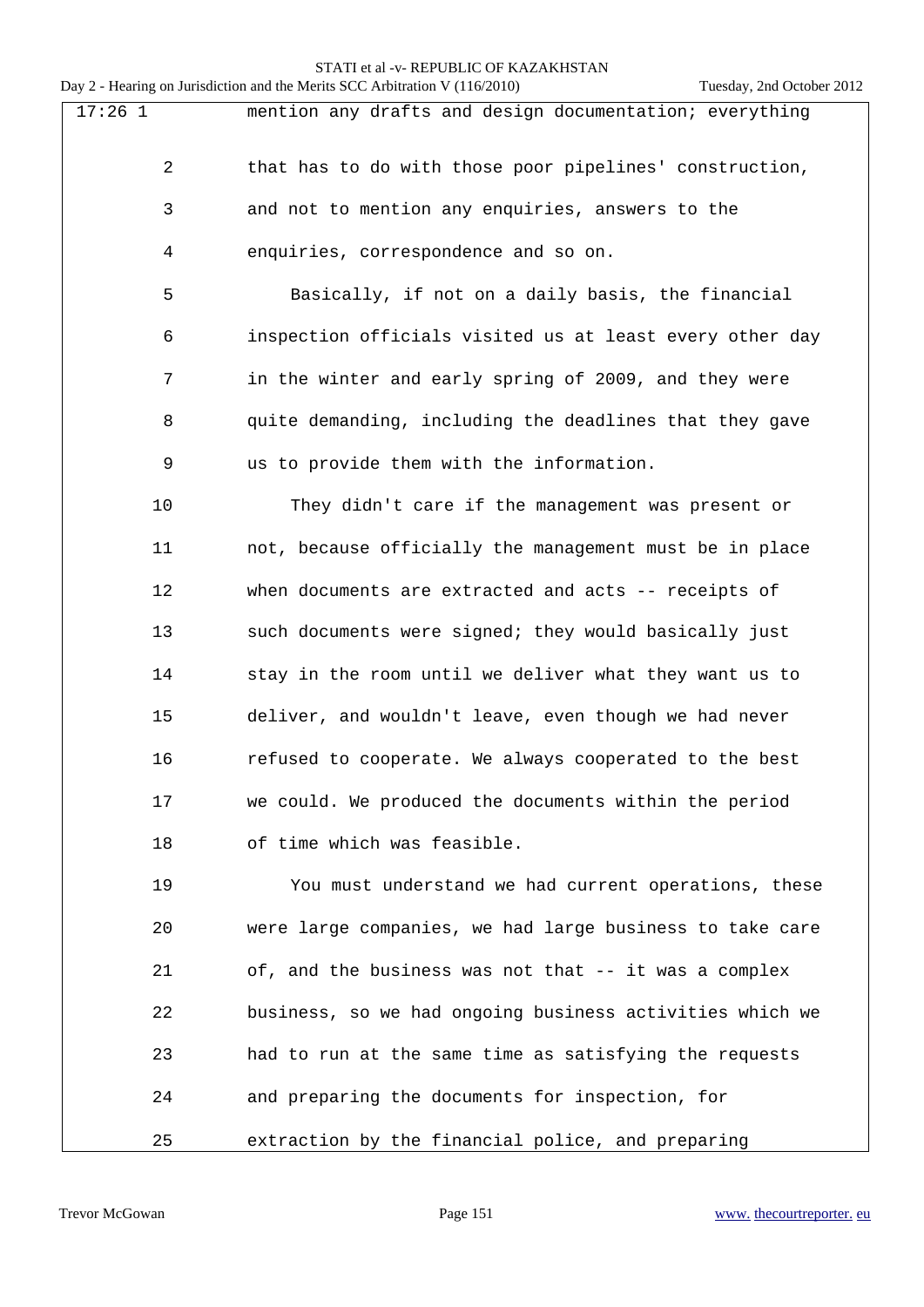| $17:26$ 1      | mention any drafts and design documentation; everything  |
|----------------|----------------------------------------------------------|
| $\overline{a}$ | that has to do with those poor pipelines' construction,  |
| 3              | and not to mention any enquiries, answers to the         |
| 4              | enquiries, correspondence and so on.                     |
| 5              | Basically, if not on a daily basis, the financial        |
| 6              | inspection officials visited us at least every other day |
| 7              | in the winter and early spring of 2009, and they were    |
| 8              | quite demanding, including the deadlines that they gave  |
| 9              | us to provide them with the information.                 |
| 10             | They didn't care if the management was present or        |
| 11             | not, because officially the management must be in place  |
| 12             | when documents are extracted and acts -- receipts of     |
| 13             | such documents were signed; they would basically just    |
| 14             | stay in the room until we deliver what they want us to   |
| 15             | deliver, and wouldn't leave, even though we had never    |
| 16             | refused to cooperate. We always cooperated to the best   |
| 17             | we could. We produced the documents within the period    |
| 18             | of time which was feasible.                              |
| 19             | You must understand we had current operations, these     |
| 20             | were large companies, we had large business to take care |
| 21             | of, and the business was not that -- it was a complex    |
| 22             | business, so we had ongoing business activities which we |
| 23             | had to run at the same time as satisfying the requests   |
| 24             | and preparing the documents for inspection, for          |
| 25             | extraction by the financial police, and preparing        |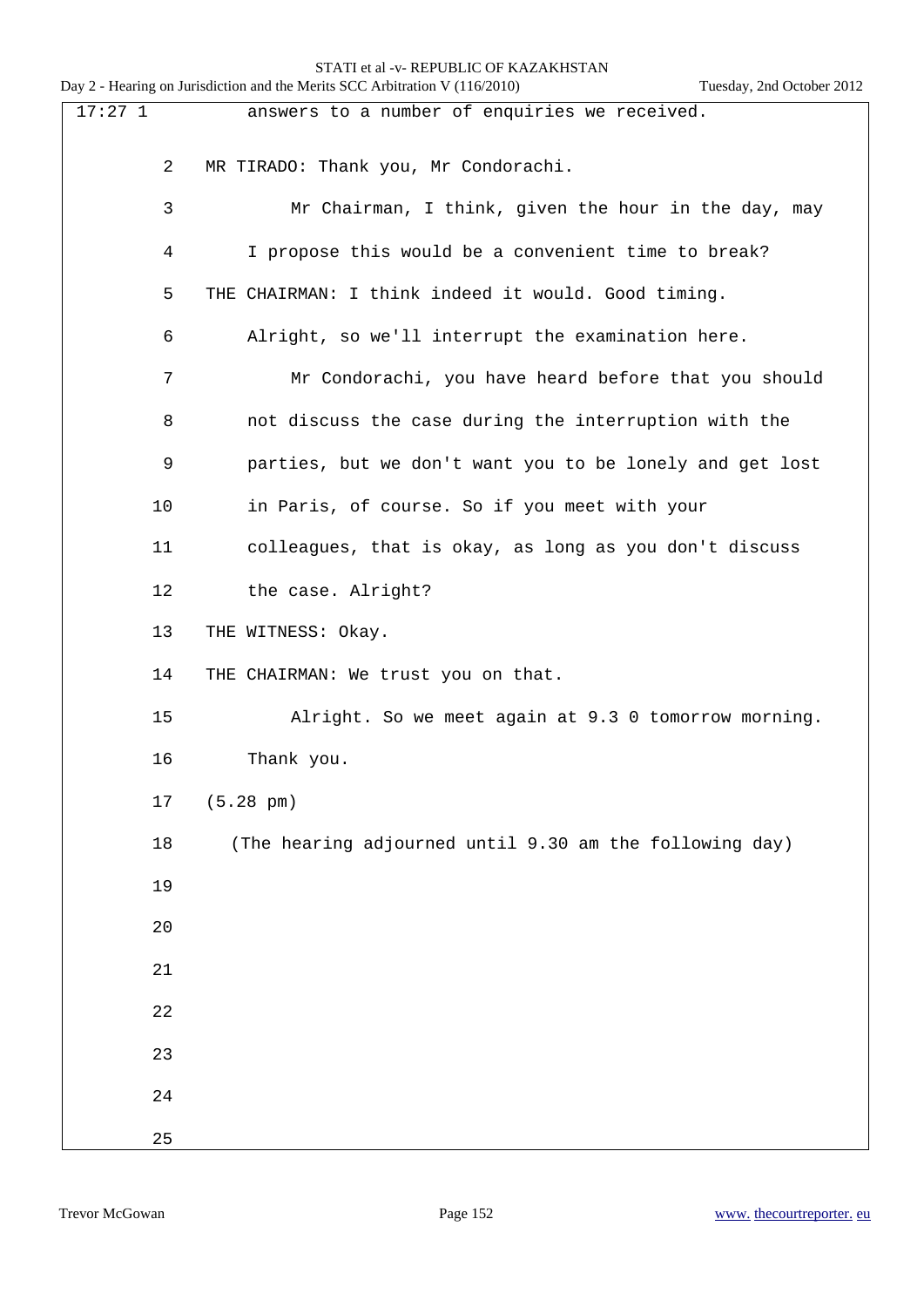| $17:27$ 1      | answers to a number of enquiries we received.            |
|----------------|----------------------------------------------------------|
| $\overline{a}$ | MR TIRADO: Thank you, Mr Condorachi.                     |
| 3              | Mr Chairman, I think, given the hour in the day, may     |
| 4              | I propose this would be a convenient time to break?      |
| 5              | THE CHAIRMAN: I think indeed it would. Good timing.      |
| 6              | Alright, so we'll interrupt the examination here.        |
| 7              | Mr Condorachi, you have heard before that you should     |
| 8              | not discuss the case during the interruption with the    |
| 9              | parties, but we don't want you to be lonely and get lost |
| 10             | in Paris, of course. So if you meet with your            |
| 11             | colleagues, that is okay, as long as you don't discuss   |
| 12             | the case. Alright?                                       |
| 13             | THE WITNESS: Okay.                                       |
| 14             | THE CHAIRMAN: We trust you on that.                      |
| 15             | Alright. So we meet again at 9.3 0 tomorrow morning.     |
| 16             | Thank you.                                               |
| 17             | $(5.28 \text{ pm})$                                      |
| 18             | (The hearing adjourned until 9.30 am the following day)  |
| 19             |                                                          |
| 20             |                                                          |
| 21             |                                                          |
| 22             |                                                          |
| 23             |                                                          |
| 24             |                                                          |
| 25             |                                                          |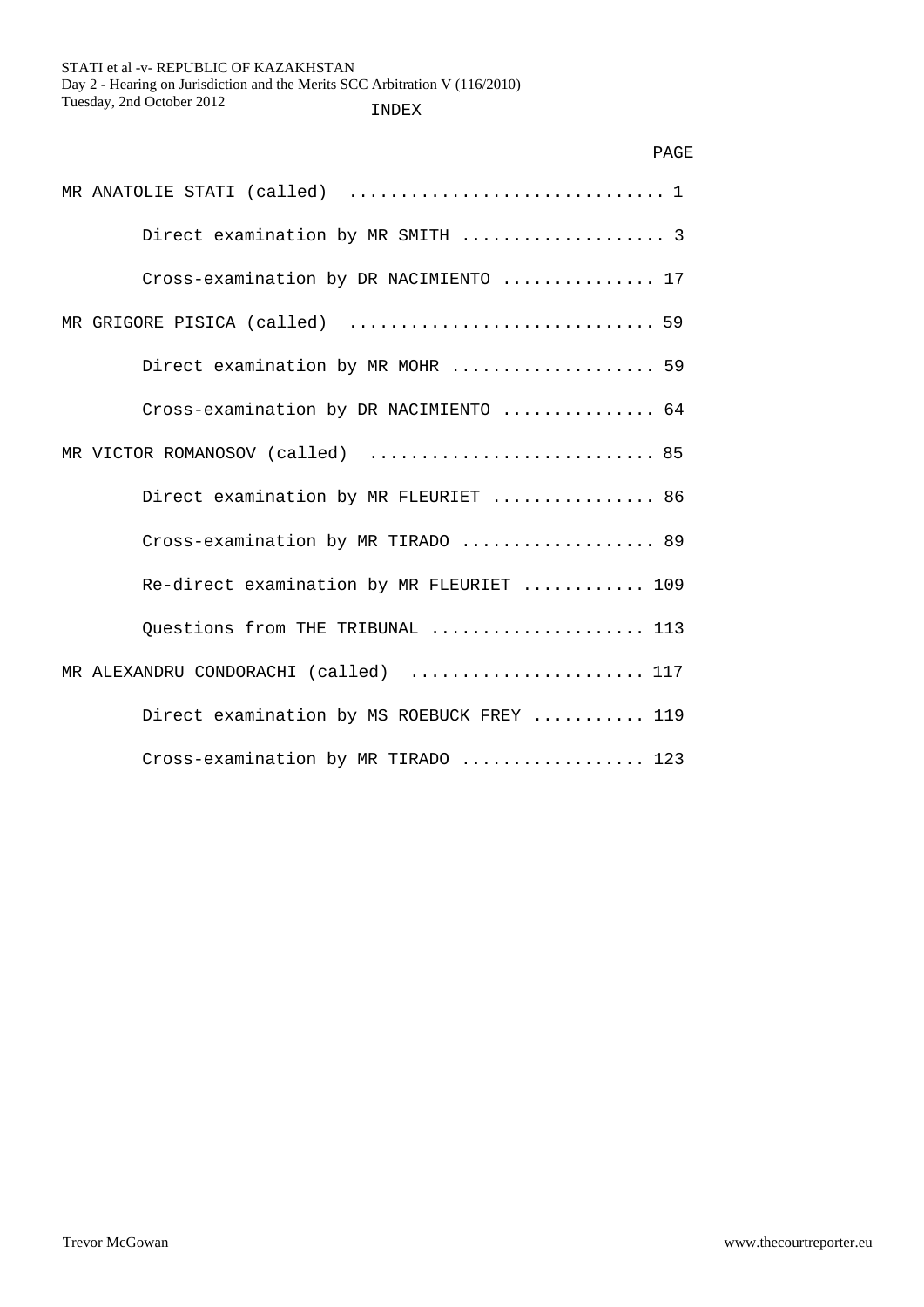| Direct examination by MR SMITH  3          |
|--------------------------------------------|
| Cross-examination by DR NACIMIENTO  17     |
|                                            |
| Direct examination by MR MOHR  59          |
| Cross-examination by DR NACIMIENTO  64     |
| MR VICTOR ROMANOSOV (called)  85           |
| Direct examination by MR FLEURIET  86      |
| Cross-examination by MR TIRADO  89         |
| Re-direct examination by MR FLEURIET  109  |
| Questions from THE TRIBUNAL  113           |
| MR ALEXANDRU CONDORACHI (called)  117      |
| Direct examination by MS ROEBUCK FREY  119 |
| Cross-examination by MR TIRADO  123        |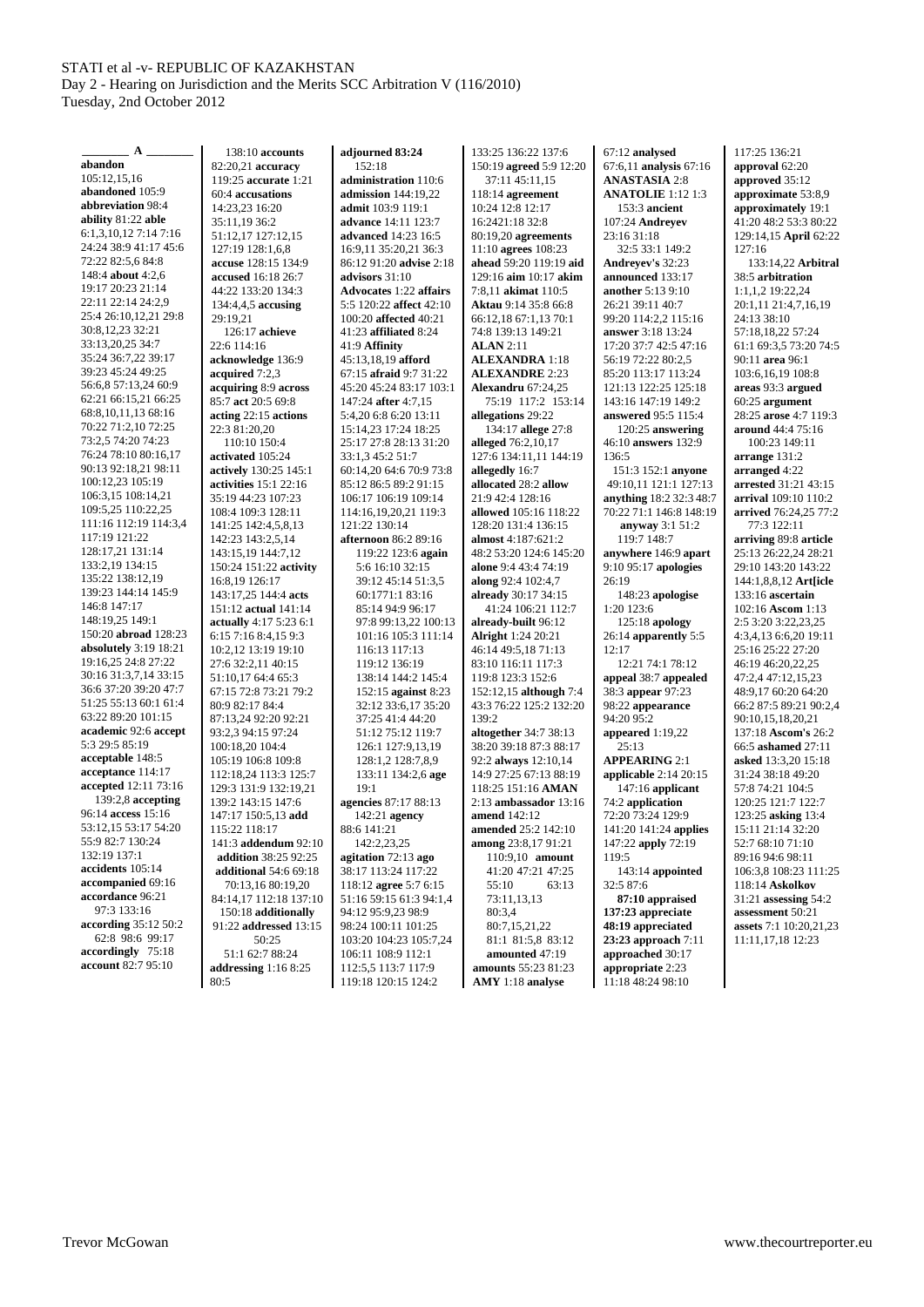**adjourned 83:24**  152:18 **administration** 110:6

 $\mathbf{A}$ **abandon** 105:12,15,16 **abandoned** 105:9 **abbreviation** 98:4 **ability** 81:22 **able** 6:1,3,10,12 7:14 7:16 24:24 38:9 41:17 45:6 72:22 82:5,6 84:8 148:4 **about** 4:2,6 19:17 20:23 21:14  $22 \cdot 11$   $22 \cdot 14$   $24 \cdot 29$ 25:4 26:10,12,21 29:8 30:8,12,23 32:21 33:13,20,25 34:7 35:24 36:7,22 39:17 39:23 45:24 49:25 56:6,8 57:13,24 60:9 62:21 66:15,21 66:25 68:8,10,11,13 68:16 70:22 71:2,10 72:25 73:2,5 74:20 74:23 76:24 78:10 80:16,17 90:13 92:18,21 98:11 100:12,23 105:19 106:3,15 108:14,21 109:5,25 110:22,25 111:16 112:19 114:3,4 117:19 121:22 128:17,21 131:14 133:2,19 134:15 135:22 138:12,19 139:23 144:14 145:9 146:8 147:17 148:19,25 149:1 150:20 **abroad** 128:23 **absolutely** 3:19 18:21 19:16,25 24:8 27:22 30:16 31:3,7,14 33:15 36:6 37:20 39:20 47:7 51:25 55:13 60:1 61:4 63:22 89:20 101:15 **academic** 92:6 **accept** 5:3 29:5 85:19 **acceptable** 148:5 **acceptance** 114:17 **accepted** 12:11 73:16 139:2,8 **accepting** 96:14 **access** 15:16 53:12,15 53:17 54:20 55:9 82:7 130:24 132:19 137:1 **accidents** 105:14 **accompanied** 69:16 **accordance** 96:21 97:3 133:16 **according** 35:12 50:2 62:8 98:6 99:17 **accordingly** 75:18 **account** 82:7 95:10

138:10 **accounts** 82:20,21 **accuracy** 119:25 **accurate** 1:21 60:4 **accusations** 14:23,23 16:20 35:11,19 36:2 51:12,17 127:12,15 127:19 128:1,6,8 **accuse** 128:15 134:9 **accused** 16:18 26:7 44:22 133:20 134:3 134:4,4,5 **accusing** 29:19,21 126:17 **achieve** 22:6 114:16 **acknowledge** 136:9 **acquired** 7:2,3 **acquiring** 8:9 **across** 85:7 **act** 20:5 69:8 **acting** 22:15 **actions** 22:3 81:20,20 110:10 150:4 **activated** 105:24 **actively** 130:25 145:1 **activities** 15:1 22:16 35:19 44:23 107:23 108:4 109:3 128:11 141:25 142:4,5,8,13 142:23 143:2,5,14 143:15,19 144:7,12 150:24 151:22 **activity** 16:8,19 126:17 143:17,25 144:4 **acts** 151:12 **actual** 141:14 **actually** 4:17 5:23 6:1 6:15 7:16 8:4,15 9:3 10:2,12 13:19 19:10 27:6 32:2,11 40:15 51:10,17 64:4 65:3 67:15 72:8 73:21 79:2 80:9 82:17 84:4 87:13,24 92:20 92:21 93:2,3 94:15 97:24 100:18,20 104:4 105:19 106:8 109:8 112:18,24 113:3 125:7 129:3 131:9 132:19,21 139:2 143:15 147:6 147:17 150:5,13 **add** 115:22 118:17 141:3 **addendum** 92:10 **addition** 38:25 92:25 **additional** 54:6 69:18 70:13,16 80:19,20 84:14,17 112:18 137:10 150:18 **additionally** 91:22 **addressed** 13:15 50:25 51:1 62:7 88:24 **addressing** 1:16 8:25 80:5

### **admission**  $144 \cdot 19$ , 22 **admit** 103:9 119:1 **advance** 14:11 123:7 **advanced** 14:23 16:5 16:9,11 35:20,21 36:3 86:12 91:20 **advise** 2:18 **advisors** 31:10 **Advocates** 1:22 **affairs** 5:5 120:22 **affect** 42:10 100:20 **affected** 40:21 41:23 **affiliated** 8:24 41:9 **Affinity** 45:13,18,19 **afford** 67:15 **afraid** 9:7 31:22 45:20 45:24 83:17 103:1 147:24 **after** 4:7,15 5:4,20 6:8 6:20 13:11 15:14,23 17:24 18:25 25:17 27:8 28:13 31:20 33:1,3 45:2 51:7 60:14,20 64:6 70:9 73:8 85:12 86:5 89:2 91:15 106:17 106:19 109:14 114:16,19,20,21 119:3 121:22 130:14 **afternoon** 86:2 89:16 119:22 123:6 **again** 5:6 16:10 32:15 39:12 45:14 51:3,5 60:1771:1 83:16 85:14 94:9 96:17 97:8 99:13,22 100:13 101:16 105:3 111:14 116:13 117:13 119:12 136:19 138:14 144:2 145:4 152:15 **against** 8:23 32:12 33:6,17 35:20 37:25 41:4 44:20 51:12 75:12 119:7 126:1 127:9,13,19  $128.1,2 128.7,89$ 133:11 134:2,6 **age** 19:1 **agencies** 87:17 88:13 142:21 **agency**  $88.6141.21$ 142:2,23,25 **agitation** 72:13 **ago** 38:17 113:24 117:22 118:12 **agree** 5:7 6:15  $51.16$   $59.15$   $61.3$   $94.14$ 94:12 95:9,23 98:9 98:24 100:11 101:25 103:20 104:23 105:7,24 106:11 108:9 112:1 112:5,5 113:7 117:9 119:18 120:15 124:2

133:25 136:22 137:6 150:19 **agreed** 5:9 12:20 37:11 45:11,15 118:14 **agreement** 10:24 12:8 12:17 16:2421:18 32:8 80:19,20 **agreements** 11:10 **agrees** 108:23 **ahead** 59:20 119:19 **aid** 129:16 **aim** 10:17 **akim** 7:8,11 **akimat** 110:5 **Aktau** 9:14 35:8 66:8 66:12,18 67:1,13 70:1 74:8 139:13 149:21 **ALAN** 2:11 **ALEXANDRA** 1:18 **ALEXANDRE** 2:23 **Alexandru** 67:24,25 75:19 117:2 153:14 **allegations** 29:22 134:17 **allege** 27:8 **alleged** 76:2,10,17 127:6 134:11,11 144:19 **allegedly** 16:7 **allocated** 28:2 **allow** 21:9 42:4 128:16 **allowed** 105:16 118:22 128:20 131:4 136:15 **almost** 4:187:621:2 48:2 53:20 124:6 145:20 **alone** 9:4 43:4 74:19 **along** 92:4 102:4,7 **already** 30:17 34:15 41:24 106:21 112:7 **already-built** 96:12 **Alright** 1:24 20:21 46:14 49:5,18 71:13 83:10 116:11 117:3 119:8 123:3 152:6 152:12,15 **although** 7:4 43:3 76:22 125:2 132:20  $139.2$ **altogether** 34:7 38:13 38:20 39:18 87:3 88:17 92:2 **always** 12:10,14 14:9 27:25 67:13 88:19 118:25 151:16 **AMAN** 2:13 **ambassador** 13:16 **amend** 142:12 **amended** 25:2 142:10 **among** 23:8,17 91:21 110:9,10 **amount** 41:20 47:21 47:25 55:10 63:13 73:11,13,13  $80.34$ 80:7,15,21,22 81:1 81:5,8 83:12 **amounted** 47:19 **amounts** 55:23 81:23 **AMY** 1:18 **analyse**

67:12 **analysed** 67:6,11 **analysis** 67:16 **ANASTASIA** 2:8 **ANATOLIE** 1:12 1:3 153:3 **ancient** 107:24 **Andreyev** 23:16 31:18 32:5 33:1 149:2 **Andreyev's** 32:23 **announced** 133:17 **another** 5:13 9:10 26:21 39:11 40:7 99:20 114:2,2 115:16 **answer** 3:18 13:24 17:20 37:7 42:5 47:16 56:19 72:22 80:2,5 85:20 113:17 113:24 121:13 122:25 125:18 143:16 147:19 149:2 **answered** 95:5 115:4 120:25 **answering** 46:10 **answers** 132:9 136:5 151:3 152:1 **anyone** 49:10,11 121:1 127:13 **anything** 18:2 32:3 48:7 70:22 71:1 146:8 148:19 **anyway** 3:1 51:2 119:7 148:7 **anywhere** 146:9 **apart** 9:10 95:17 **apologies**  $26.19$ 148:23 **apologise**  $1.20 123.6$ 125:18 **apology** 26:14 **apparently** 5:5 12:17 12:21 74:1 78:12 **appeal** 38:7 **appealed** 38:3 **appear** 97:23 98:22 **appearance** 94:20 95:2 **appeared** 1:19,22  $25.13$ **APPEARING** 2:1 **applicable** 2:14 20:15 147:16 **applicant** 74:2 **application** 72:20 73:24 129:9 141:20 141:24 **applies** 147:22 **apply** 72:19 119:5 143:14 **appointed** 32:5 87:6 **87:10 appraised 137:23 appreciate 48:19 appreciated 23:23 approach** 7:11

**approached** 30:17 **appropriate** 2:23 11:18 48:24 98:10

117:25 136:21 **approval** 62:20 **approved** 35:12 **approximate** 53:8,9 **approximately** 19:1 41:20 48:2 53:3 80:22 129:14,15 **April** 62:22 127:16 133:14,22 **Arbitral** 38:5 **arbitration** 1:1,1,2 19:22,24 20:1,11 21:4,7,16,19 24:13 38:10 57:18,18,22 57:24  $61:169:3573:2074:5$ 90:11 **area** 96:1 103:6,16,19 108:8 **areas** 93:3 **argued** 60:25 **argument** 28:25 **arose** 4:7 119:3 **around** 44:4 75:16 100:23 149:11 **arrange** 131:2 **arranged** 4:22 **arrested** 31:21 43:15 **arrival** 109:10 110:2 **arrived** 76:24,25 77:2 77:3 122:11 **arriving** 89:8 **article** 25:13 26:22,24 28:21 29:10 143:20 143:22 144:1,8,8,12 **Art[icle** 133:16 **ascertain** 102:16 **Ascom** 1:13 2:5 3:20 3:22,23,25 4:3,4,13 6:6,20 19:11 25:16 25:22 27:20  $46:1946:20222$ 47:2,4 47:12,15,23 48:9,17 60:20 64:20 66:2 87:5 89:21 90:2,4 90:10,15,18,20,21 137:18 **Ascom's** 26:2 66:5 **ashamed** 27:11 **asked** 13:3,20 15:18 31:24 38:18 49:20 57:8 74:21 104:5 120:25 121:7 122:7 123:25 **asking** 13:4 15:11 21:14 32:20 52:7 68:10 71:10 89:16 94:6 98:11 106:3,8 108:23 111:25 118:14 **Askolkov** 31:21 **assessing** 54:2 **assessment** 50:21 **assets** 7:1 10:20,21,23 11:11,17,18 12:23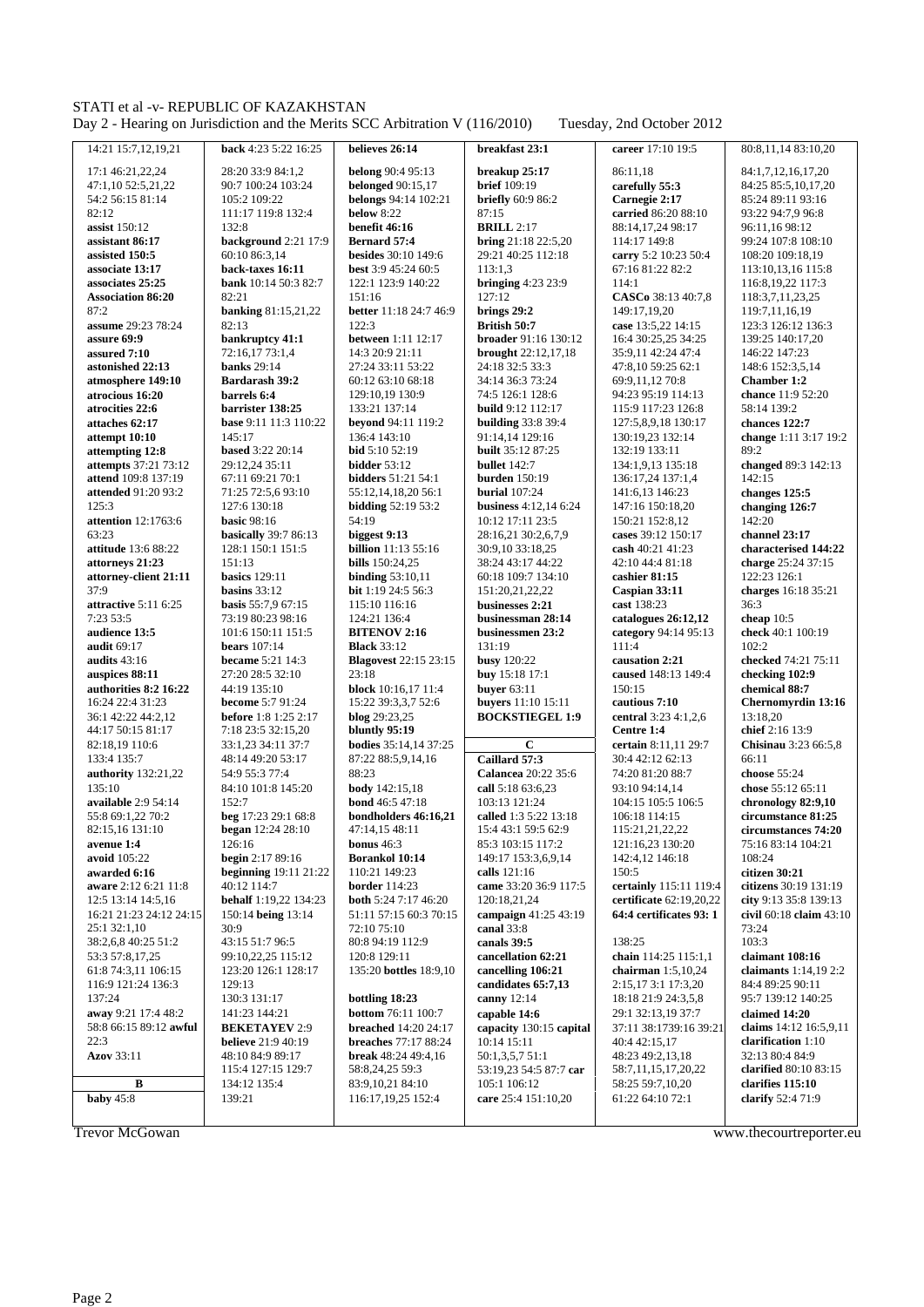| 14:21 15:7,12,19,21                | back 4:23 5:22 16:25                           | believes 26:14                                                | breakfast 23:1                           | career 17:10 19:5                     | 80:8,11,14 83:10,20                     |
|------------------------------------|------------------------------------------------|---------------------------------------------------------------|------------------------------------------|---------------------------------------|-----------------------------------------|
| 17:1 46:21,22,24                   | 28:20 33:9 84:1,2                              | <b>belong</b> 90:4 95:13                                      | breakup 25:17                            | 86:11.18                              | 84:1,7,12,16,17,20                      |
| 47:1,10 52:5,21,22                 | 90:7 100:24 103:24                             | <b>belonged</b> 90:15,17                                      | <b>brief</b> 109:19                      | carefully 55:3                        | 84:25 85:5,10,17,20                     |
| 54:2 56:15 81:14                   | 105:2 109:22                                   | belongs 94:14 102:21                                          | <b>briefly</b> 60:9 86:2                 | Carnegie 2:17                         | 85:24 89:11 93:16                       |
| 82:12                              | 111:17 119:8 132:4                             | below 8:22                                                    | 87:15                                    | carried 86:20 88:10                   | 93:22 94:7,9 96:8                       |
| assist 150:12                      | 132:8                                          | benefit 46:16                                                 | <b>BRILL 2:17</b>                        | 88:14,17,24 98:17                     | 96:11,16 98:12                          |
| assistant 86:17                    | background 2:21 17:9                           | Bernard 57:4                                                  | bring 21:18 22:5,20                      | 114:17 149:8                          | 99:24 107:8 108:10                      |
| assisted 150:5                     | 60:10 86:3,14                                  | <b>besides</b> 30:10 149:6                                    | 29:21 40:25 112:18                       | carry 5:2 10:23 50:4                  | 108:20 109:18,19                        |
| associate 13:17                    | back-taxes 16:11                               | <b>best</b> 3:9 45:24 60:5                                    | 113:1,3                                  | 67:16 81:22 82:2                      | 113:10,13,16 115:8                      |
| associates 25:25                   | bank 10:14 50:3 82:7                           | 122:1 123:9 140:22                                            | <b>bringing 4:23 23:9</b>                | 114:1                                 | 116:8, 19, 22 117:3                     |
| <b>Association 86:20</b>           | 82:21                                          | 151:16                                                        | 127:12                                   | CASCo 38:13 40:7,8                    | 118:3,7,11,23,25                        |
| 87:2                               | banking 81:15,21,22                            | better 11:18 24:7 46:9                                        | brings 29:2                              | 149:17,19,20                          | 119:7,11,16,19                          |
| assume 29:23 78:24                 | 82:13                                          | 122:3                                                         | British 50:7                             | case 13:5,22 14:15                    | 123:3 126:12 136:3                      |
| assure 69:9                        | bankruptcy 41:1                                | between 1:11 12:17                                            | broader 91:16 130:12                     | 16:4 30:25,25 34:25                   | 139:25 140:17,20                        |
| assured 7:10                       | 72:16,17 73:1,4                                | 14:3 20:9 21:11                                               | brought 22:12,17,18                      | 35:9,11 42:24 47:4                    | 146:22 147:23                           |
| astonished 22:13                   | <b>banks</b> 29:14                             | 27:24 33:11 53:22                                             | 24:18 32:5 33:3                          | 47:8,10 59:25 62:1                    | 148:6 152:3,5,14                        |
| atmosphere 149:10                  | <b>Bardarash 39:2</b>                          | 60:12 63:10 68:18<br>129:10,19 130:9                          | 34:14 36:3 73:24<br>74:5 126:1 128:6     | 69:9,11,12 70:8<br>94:23 95:19 114:13 | <b>Chamber 1:2</b><br>chance 11:9 52:20 |
| atrocious 16:20<br>atrocities 22:6 | barrels 6:4<br>barrister 138:25                | 133:21 137:14                                                 | <b>build</b> 9:12 112:17                 | 115:9 117:23 126:8                    | 58:14 139:2                             |
| attaches 62:17                     | base 9:11 11:3 110:22                          | beyond 94:11 119:2                                            | <b>building 33:8 39:4</b>                | 127:5,8,9,18 130:17                   | chances 122:7                           |
| attempt 10:10                      | 145:17                                         | 136:4 143:10                                                  | 91:14,14 129:16                          | 130:19,23 132:14                      | change 1:11 3:17 19:2                   |
| attempting 12:8                    | <b>based</b> 3:22 20:14                        | <b>bid</b> 5:10 52:19                                         | built 35:12 87:25                        | 132:19 133:11                         | 89:2                                    |
| <b>attempts</b> 37:21 73:12        | 29:12,24 35:11                                 | bidden 53:12                                                  | <b>bullet</b> 142:7                      | 134:1,9,13 135:18                     | changed 89:3 142:13                     |
| attend 109:8 137:19                | 67:11 69:21 70:1                               | <b>bidders</b> 51:21 54:1                                     | <b>burden</b> 150:19                     | 136:17,24 137:1,4                     | 142:15                                  |
| attended 91:20 93:2                | 71:25 72:5,6 93:10                             | 55:12,14,18,20 56:1                                           | <b>burial</b> 107:24                     | 141:6,13 146:23                       | changes 125:5                           |
| 125:3                              | 127:6 130:18                                   | <b>bidding</b> $52:1953:2$                                    | business 4:12,14 6:24                    | 147:16 150:18,20                      | changing 126:7                          |
| attention 12:1763:6                | <b>basic 98:16</b>                             | 54:19                                                         | 10:12 17:11 23:5                         | 150:21 152:8,12                       | 142:20                                  |
| 63:23                              | basically 39:7 86:13                           | biggest 9:13                                                  | 28:16,21 30:2,6,7,9                      | cases 39:12 150:17                    | channel 23:17                           |
| attitude 13:6 88:22                | 128:1 150:1 151:5                              | <b>billion</b> 11:13 55:16                                    | 30:9,10 33:18,25                         | cash 40:21 41:23                      | characterised 144:22                    |
| attorneys 21:23                    | 151:13                                         | bills 150:24,25                                               | 38:24 43:17 44:22                        | 42:10 44:4 81:18                      | charge 25:24 37:15                      |
| attorney-client 21:11<br>37:9      | <b>basics</b> 129:11                           | binding $53:10,11$                                            | 60:18 109:7 134:10                       | cashier 81:15                         | 122:23 126:1                            |
| attractive $5:11$ 6:25             | basins $33:12$                                 | bit 1:19 24:5 56:3<br>115:10 116:16                           | 151:20,21,22,22<br>businesses 2:21       | Caspian 33:11<br>cast 138:23          | charges 16:18 35:21<br>36:3             |
| 7:23 53:5                          | <b>basis</b> 55:7,9 67:15<br>73:19 80:23 98:16 | 124:21 136:4                                                  | businessman 28:14                        | catalogues 26:12,12                   | cheap $10:5$                            |
| audience 13:5                      | 101:6 150:11 151:5                             | <b>BITENOV 2:16</b>                                           | businessmen 23:2                         | category 94:14 95:13                  | check 40:1 100:19                       |
| audit 69:17                        | <b>bears</b> 107:14                            | <b>Black</b> 33:12                                            | 131:19                                   | 111:4                                 | 102:2                                   |
| audits $43:16$                     | <b>became</b> 5:21 14:3                        | <b>Blagovest</b> 22:15 23:15                                  | <b>busy</b> 120:22                       | causation 2:21                        | checked 74:21 75:11                     |
| auspices 88:11                     |                                                |                                                               | buy 15:18 17:1                           | caused 148:13 149:4                   | checking 102:9                          |
|                                    | 27:20 28:5 32:10                               | 23:18                                                         |                                          |                                       |                                         |
| authorities 8:2 16:22              | 44:19 135:10                                   | block 10:16,17 11:4                                           | buyer $63:11$                            | 150:15                                | chemical 88:7                           |
| 16:24 22:4 31:23                   | become 5:7 91:24                               | 15:22 39:3,3,7 52:6                                           | buyers 11:10 15:11                       | cautious 7:10                         | Chernomyrdin 13:16                      |
| 36:1 42:22 44:2,12                 | <b>before</b> 1:8 1:25 2:17                    | blog 29:23,25                                                 | <b>BOCKSTIEGEL 1:9</b>                   | central 3:23 4:1,2,6                  | 13:18,20                                |
| 44:17 50:15 81:17                  | 7:18 23:5 32:15,20                             | <b>bluntly 95:19</b>                                          |                                          | Centre 1:4                            | chief 2:16 13:9                         |
| 82:18,19 110:6                     | 33:1,23 34:11 37:7                             | <b>bodies</b> 35:14,14 37:25                                  | $\mathbf C$                              | certain 8:11,11 29:7                  | Chisinau 3:23 66:5,8                    |
| 133:4 135:7                        | 48:14 49:20 53:17                              | 87:22 88:5,9,14,16                                            | Caillard 57:3                            | 30:4 42:12 62:13                      | 66:11                                   |
| authority 132:21,22                | 54:9 55:3 77:4                                 | 88:23                                                         | Calancea 20:22 35:6                      | 74:20 81:20 88:7                      | choose 55:24                            |
| 135:10                             | 84:10 101:8 145:20                             | <b>body</b> 142:15,18                                         | call 5:18 63:6,23                        | 93:10 94:14,14                        | chose 55:12 65:11                       |
| available 2:9 54:14                | 152:7                                          | <b>bond</b> 46:5 47:18                                        | 103:13 121:24                            | 104:15 105:5 106:5                    | chronology 82:9,10                      |
| 55:8 69:1,22 70:2                  | beg 17:23 29:1 68:8                            | bondholders 46:16,21                                          | called 1:3 5:22 13:18                    | 106:18 114:15                         | circumstance 81:25                      |
| 82:15,16 131:10                    | <b>began</b> 12:24 28:10                       | 47:14,15 48:11                                                | 15:4 43:1 59:5 62:9                      | 115:21,21,22,22                       | circumstances 74:20                     |
| avenue 1:4<br>avoid 105:22         | 126:16<br>begin 2:17 89:16                     | <b>bonus</b> $46:3$<br><b>Borankol 10:14</b>                  | 85:3 103:15 117:2<br>149:17 153:3,6,9,14 | 121:16,23 130:20<br>142:4,12 146:18   | 75:16 83:14 104:21<br>108:24            |
| awarded 6:16                       | beginning $19:11$ $21:22$                      | 110:21 149:23                                                 | calls 121:16                             | 150:5                                 | citizen 30:21                           |
| aware 2:12 6:21 11:8               | 40:12 114:7                                    | <b>border</b> 114:23                                          | came 33:20 36:9 117:5                    | certainly 115:11 119:4                | citizens 30:19 131:19                   |
| 12:5 13:14 14:5,16                 | <b>behalf</b> 1:19,22 134:23                   | both 5:24 7:17 46:20                                          | 120:18,21,24                             | certificate 62:19,20,22               | city 9:13 35:8 139:13                   |
| 16:21 21:23 24:12 24:15            | 150:14 being 13:14                             | 51:11 57:15 60:3 70:15                                        | campaign 41:25 43:19                     | 64:4 certificates 93: 1               | civil 60:18 claim 43:10                 |
| 25:1 32:1,10                       | 30:9                                           | 72:10 75:10                                                   | canal 33:8                               |                                       | 73:24                                   |
| 38:2,6,8 40:25 51:2                | 43:15 51:7 96:5                                | 80:8 94:19 112:9                                              | canals 39:5                              | 138:25                                | 103:3                                   |
| 53:3 57:8,17,25                    | 99:10,22,25 115:12                             | 120:8 129:11                                                  | cancellation 62:21                       | chain 114:25 115:1,1                  | claimant 108:16                         |
| 61:8 74:3,11 106:15                | 123:20 126:1 128:17                            | 135:20 <b>bottles</b> 18:9,10                                 | cancelling 106:21                        | chairman $1:5,10,24$                  | claimants 1:14,19 2:2                   |
| 116:9 121:24 136:3                 | 129:13                                         |                                                               | candidates 65:7,13                       | 2:15,17 3:1 17:3,20                   | 84:4 89:25 90:11                        |
| 137:24                             | 130:3 131:17                                   | bottling 18:23                                                | canny 12:14                              | 18:18 21:9 24:3,5,8                   | 95:7 139:12 140:25                      |
| away 9:21 17:4 48:2                | 141:23 144:21                                  | <b>bottom</b> 76:11 100:7                                     | capable 14:6                             | 29:1 32:13,19 37:7                    | claimed 14:20                           |
| 58:8 66:15 89:12 awful             | <b>BEKETAYEV 2:9</b>                           | <b>breached</b> 14:20 24:17                                   | capacity 130:15 capital                  | 37:11 38:1739:16 39:21                | claims 14:12 16:5,9,11                  |
| 22:3<br><b>Azov</b> 33:11          | <b>believe</b> 21:9 40:19<br>48:10 84:9 89:17  | <b>breaches</b> 77:17 88:24<br><b>break</b> $48:24$ $49:4,16$ | 10:14 15:11<br>50:1,3,5,7 51:1           | 40:4 42:15,17<br>48:23 49:2,13,18     | clarification 1:10<br>32:13 80:4 84:9   |
|                                    | 115:4 127:15 129:7                             | 58:8,24,25 59:3                                               | 53:19,23 54:5 87:7 car                   | 58:7,11,15,17,20,22                   | clarified 80:10 83:15                   |
| B<br><b>baby</b> 45:8              | 134:12 135:4                                   | 83:9,10,21 84:10                                              | 105:1 106:12<br>care 25:4 151:10,20      | 58:25 59:7,10,20                      | clarifies 115:10                        |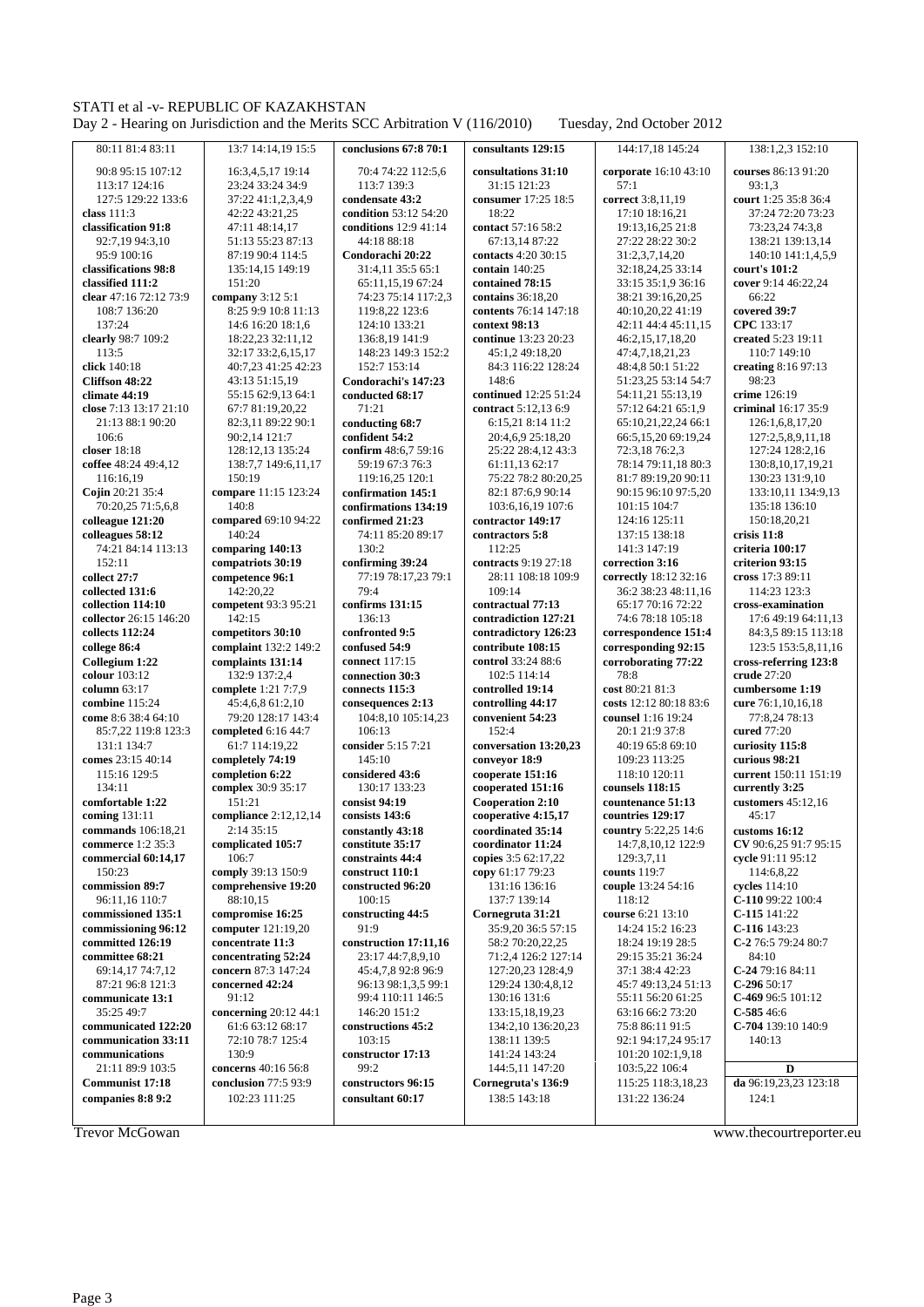**clear** 47:16 72:12 73:9<br>108:7 136:20 87:21 96:8 121:3 **concerned 42:24 concerned 42:24 communicate 13:1 communicate 13:1** 99:11 **communicate 13:1 communicate 13:1 communicate 13:1 communicate 13:1 c** 

51:13 55:23 87:13<br>87:19 90:4 114:5 **complete** 1:21 7:7,9 **completed** 6:16 44:7 106:13 152:4<br>61:7 114:19.22 **consider** 5:15 7:21 **converse complex** 30:9 35:17 **compliance** 2:12,12,14

**152:11 contracts 9:19 27:18<br>**  $\begin{array}{r} 77:19\ 78:17.23\ 79:1 \end{array}$  **<b>contracts** 9:19 27:18 contradictory 126:23 correspondence 151:4 **comply** 39:13 150:9 **construct 110:1 copy** 61:17 79:23 **counts** 119:7 **comprehensive 19:20 constructed 96:20** 131:16 136:16 **couple** 13:24 54:16 **communications** 130:9 **constructor 17:13** 141:24 143:24 101:20 102:1,9,<br>21:11 89:9 103:5.22 106:4 **concerns** 40:16 56:8 99:2 144:5,11 147:20 103:5.22 106:4 **companies 8:8 9:2** 102:23 111:25 **consultant 60:17** 138:5 143:18 131:22 136:24 124:1

80:11 81:4 83:11 13:7 14:14,19 15:5 **conclusions 67:8 70:1 consultants 129:15** 144:17,18 145:24 138:1,2,3 152:10 90:8 95:15 107:12 16:3,4,5,17 19:14 70:4 74:22 112:5,6 **consultations 31:10 corporate** 16:10 43:10 **courses** 86:13 91:20 113:17 124:16 23:24 33:24 34:9 113:7 139:3 31:15 121:23 57:1 93:1,3 127:5 129:22 133:6 37:22 41:1,2,3,4,9 **condensate 43:2** consumer 17:25 18:5 **correct** 3:8,11,19 **court** 1:25 35:8 36:4 **consumer** 17:25 18:5 **correct** 3:8,11,19 **court** 1:25 35:8 36:4 **condition** 53:12 54:20 18:22 17:10 18 **class** 111:3 42:22 43:21,25 **condition** 53:12 54:20 18:22 17:10 18:16,21 37:24 72:20 73:2<br> **conditions** 12:9 41:14 **conditions** 12:9 41:14 **conditions** 12:9 41:14 **conditions** 12:9 41:14 **conditions** 12:9 41:14 **condition 91:8 conditions** 12:9 41:14 **contact** 57:16 58:2 19:13,16,25 21:8 19:13,16,25 21:8 138:21 139:13,14 138:21 139:13,14 **conditions** 12:9 41:18 88:18 **conditions** 12:9 13:14 **contact** 57:16 58:2 139:23,24 74:3,8 95:9 100:16 **87:19 90:4 114:5 Condorachi 20:22 contacts** 4:20 30:15 31:2,3,7,14,20 140:10 141:1,4,5,9 **classifications 98:8** 135:14,15 149:19 31:4,11 35:5 65:1 **contain** 140:25 32:18,24,25 33:14 **court's 101:2 classified 111:2 classified 111:2 company** 3:12 5:1 **contained 78:15 contained 78:15 cover** 9:14 46:22,24 **contained 78:15 contained 78:15** 33:15 35:1,9 36:16 **cover** 9:14 46:22,24 **contained 78:15 contains** 3 108:7 136:20 8:25 9:9 10:8 11:13 119:8,22 123:6 **contents** 76:14 147:18 40:10,20,22 41:19 **covered 39:7**  137:24 14:6 16:20 18:1,6 124:10 133:21 **context 98:13** 42:11 44:4 45:11,15 **CPC** 133:17 **clearly** 98:7 109:2 18:22,23 32:11,12 136:8,19 141:9 **continue** 13:23 20:23 46:2,15,17,18,20 **created** 5:23 19:11 113:5 22:17 33:2,6,15,17 148:23 149:3 152:2 15:12, 49:18,20 47:4,7,18,21,23 110:7 149:10 113:5 32:17 33:2,6,15,17 148:23 149:3 152:2 45:1,2 49:18,20 47:4,7,18,21,23 110:7 149:10<br>
152:7 153:14 48:4,8 50:1 51:22 128:24 48:4,8 50:1 51:22 creating 8:16 97: **click** 140:18 40:7,23 41:25 42:23 152:7 153:14 84:3 116:22 128:24 48:4,8 50:1 51:22 **creating** 8:16 97:13 **Cliffson 48:22** 43:13 51:15,19 **Condorachi's 147:23** 148:6 51:23,25 53:14 54:7 98:23 **climate 44:19** 55:15 62:9,13 64:1 **conducted 68:17 continued** 12:25 51:24 54:11,21 55:13,19 **crime** 126:19 **close** 7:13 13:17 21:10 67:7 81:19,20,22 71:21 **contract** 5:12,13 6:9 57:12 64:21 65:1,9 **criminal** 16:17 35:9 21:13 88:1 90:20 **82:3,11 89:22 90:1 conducting 68:7** 6:15,21 8:14 11:2 65:10,21,22,24 66:1 126:1,6,8,17,20 106:6 90:2,14 121:7 **confident 54:2** 20:4,6,9 25:18,20 **66:5,15,20 69:19,24** 127:2,5,8,9,11,18<br> **confirm** 48:6.7 59:16 25:22 28:4.12 43:3 72:3.18 76:2.3 127:24 128:2.16 **confirm** 48:6,7 59:16 25:22 28:4,12 43:3 72:3,18 76:2,3 127:24 128:2,16 **coffee** 48:24 49:4,12 | 138:7,7 149:6,11,17 | 59:19 67:3 76:3 | 61:11,13 62:17 | 78:14 79:11,18 80:3 | 130:8,10,17,19,21 116:16,19 150:19 119:16,25 120:1 75:22 78:2 80:20,25 81:7 89:19,20 90:11 130:23 131:9,10 **Cojin** 20:21 35:4 **compare** 11:15 123:24 **confirmation 145:1** 82:1 87:6,9 90:14 90:15 96:10 97:5,20 133:10,11 134:9,13<br> **confirmations 134:19** 103:6.16.19 107:6 101:15 104:7 135:18 136:10 70:20,25 71:5,6,8 140:8 **confirmations 134:19** 103:6,16,19 107:6 101:15 104:7 135:18 136:10 **colleague 121:20 compared** 69:10 94:22 **confirmed 21:23 contractor 149:17** 124:16 125:11 150:18,20,21 **colleagues 58:12** 140:24 74:11 85:20 89:17 **contractors 5:8** 137:15 138:18 **crisis 11:8**  74:21 84:14 113:13 **comparing 140:13** 130:2 112:25 141:3 147:19 **comparing 140:17 comparing 39:24 confirming 39:24 confirming 39:24 confirming 39:24 confirming 39:24 confirming 39:24 confirming 39:24 confir collect 27:7 competence 96:1** 77:19 78:17,23 79:1 28:11 108:18 109:9 **correctly** 18:12 32:16 **cross** 17:3 89:11 **collected 131:6** 132:032 123:3 **collection 114:10** competent 93:3 95:21 **confirms 131:15** contractual 77:13 **contractual 77:13 collector 26:17 70:16 72:22 cross-examination contradiction 127:21** 74:6 78:18 105:18 17:6 49:19 64:11.13 **collector** 26:15 146:20 142:15 **collects** 126:23 **contradiction 127:21** 136:13 **collects** 112:24 **competition 127:21** 17:6 49:19 **contradiction 127:21** 17:6 49:19 **contradiction 127:21** 12:5 **29:18** 17:6 49:19 **contradict college 86:4 complaint** 132:2 149:2 **confused 54:9 contribute 108:15 corresponding 92:15** 123:5 153:5,8,11,16 **Collegium 1:22 complaints 131:14 connect** 117:15 **control** 33:24 88:6 **corroborating 77:22 cross-referring 123:8 colour** 103:12 132:9 137:2,4 **connection 30:3** 102:5 114:14 78:8 **column** 63:17 **complete** 1:21 7:7,9 **connects 115:3 connection 30:3 connection 30:3 connection 30:3 connection 30:3 connection 30:3 connection combine** 115:24 **d** 45:4,6,8 61:2,10 **consequences 2:13** controlling 44:17 **costs** 12:12 80:18 83:6 **cure** 76:1,10,16,18 **come** 8:6 38:4 64:10 **come** 8:6 38:4 64:10 **79:20 128:17 143:4** 104:8,10 105:14,23 **convenient 54:23 counsel** 1:16 19:24 **77:8,24 78:13**<br>85:7,22 119:8 123:3 **completed** 6:16 44:7 106:13 152:4 20:1 21:9 37:8 **cured** 77:2 131:1 134:7 61:7 114:19,22 **consider** 5:15 7:21 **conversation 13:20,23** 40:19 65:8 69:10 **curiosity 115:8 comes** 23:15 40:14 **completely 74:19** 145:10 **conveyor 18:9** 109:23 113:25 **curious 98:21**  115:16 129:5 **completion 6:22** considered 43:6 **cooperate 151:16** 118:10 120:11 **current** 150:11 151:19 **complex** 30:9 35:17 130:17 133:23 **cooperated 151:16 consistents** 118:15 **currently 3:25 comfortable 1:22** 151:21 **compliance 2:12,12,14 consist 94:19 cooperation 2:10 countenance 51:13** customers 45:12,16<br> **compliance 2:12,12,14 consists 143:6 cooperative 4:15,17 countries 129:17** 45:17 **commands** 106:18,21 2:14 35:15 **constantly 43:18 coordinated 35:14 constantly 43:18 coordinated 35:14 constantly 43:18 coordinated 35:14 coordinated 35:14 coordinated 105:7 coordinated 105:7 coordinated commerce** 1:2 35:3 **commercial 60:14,17 complicated 105:7 constraints 44:4 constraints 44:4 constraints 44:4 constraints 44:4 constraints 44:4 constraints 44:4 constraints 44:4 constraints 44:4 constra commercial 60:14,17 commercial 60:14,17 cycle** 91:11 9:3.5 **commercial 60:14,17 cycle** 91:11 9:7<br>114:6,8,22 **commercial 60:127 commercial 60:14.17 cycle** 91:11 9:7 **commission 89:7 comprehensive 19:20 constructed 96:20** 131:16 136:16 **couple** 13:24 54:16 **cycles** 114:10 96:11,16 110:7 88:10,15 100:15 137:7 139:14 118:12 **C-110** 99:22 100:4 **commissioned 135:1 compromise 16:25 constructing 44:5 Cornegruta 31:21 course** 6:21 13:10 **C-115** 141:22 **commissioning 96:12** computer 121:19,20 91:9 35:9,20 36:5 57:15 14:24 15:2 16:23 C-116 143:23<br> **contrate** 11:3 construction 17:11.16 58:2 70:20.22.25 18:24 19:19 28:5 C-2 76:5 79:2 **committed 126:19** concentrate 11:3 concentrate 11:3 construction 17:11,16 58:2 70:20,22,25 18:24 19:19 28:5 **C-2** 76:5 79:24 80:7 **committee 68:21** concentrating 52:24 23:17 44:7,8,9,10 71:2,4 126:2 127:14 29:15 35:21 36:24 84:10 69:14,17 74:7,12 **concern** 87:3 147:24 45:4,7,8 92:8 96:9 127:20,23 128:4,9 37:1 38:4 42:23 **C-24** 79:16 84:11<br>87:21 96:8 121:3 **concerned 42:24** 96:13 98:1.3,5 99:1 129:24 130:4.8,12 45:7 49:13.24 51:13 **C-296** 50:17 **concerning** 20:12 44:1 **99:4 110:11 146:5** 130:16 131:6 55:11 56:20 61:25 **C-469** 96:5 101:12 **concerning** 20:12 44:1 146:20 151:2 133:15,18,19,23 63:16 66:2 73:20 **C-585** 46:6 35:25 49:7 **concerning** 20:12 44:1 **146:20 151:2** 133:15,18,19,23 63:16 66:2 73:20 **C-585** 46:6<br> **communicated 122:20** 61:6 63:12 68:17 **constructions 45:2** 134:2 10 136:20 23 75:8 86:11 91:5 **C-704** 139:10 140:9 **communicated 122:20** 61:6 63:12 68:17 **constructions 45:2** 134:2,10 136:20,23 75:8 86:11 91:5 **C-704** 139:10 140:9 **communication 33:11** 12:10 78:7 125:4 103:15 138:11 139:5 92:1 94:17,24 95:17 140:13<br> **communications** 130:9 141:24 143:24 141:24 143:24 101:20 102:1.9.18 **concerns** 40:16 56:8 99:2 144:5,11 147:20 103:5,22 106:4 **D Communist 17:18 conclusion** 77:5 93:9 **constructors 96:15 Cornegruta's 136:9** 115:25 118:3,18,23 **da** 96:19,23,23 123:18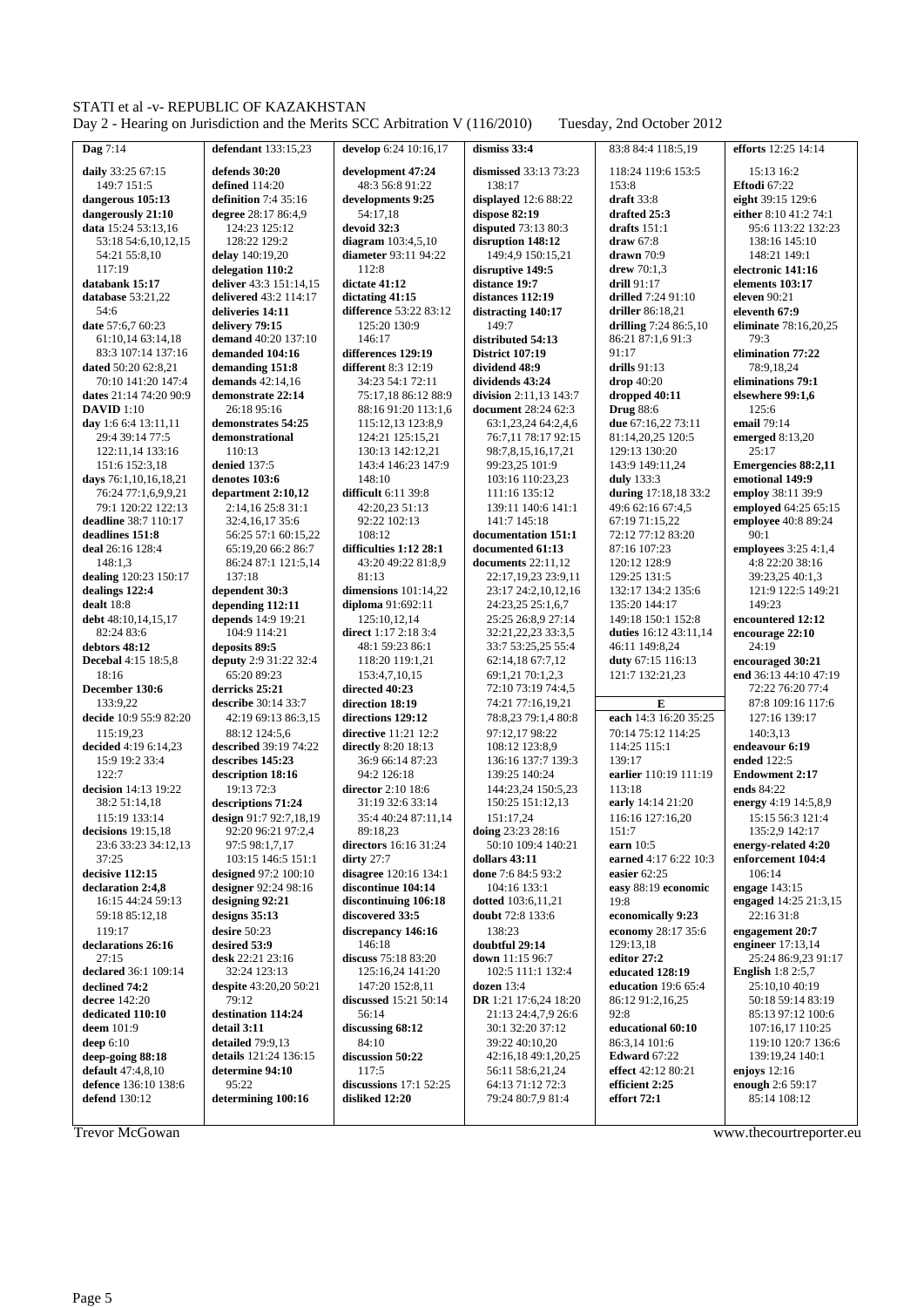| Dag 7:14                   | defendant 133:15,23    | develop 6:24 10:16,17         | dismiss 33:4                 | 83:8 84:4 118:5,19     | efforts 12:25 14:14        |
|----------------------------|------------------------|-------------------------------|------------------------------|------------------------|----------------------------|
| daily 33:25 67:15          | defends 30:20          | development 47:24             | dismissed 33:13 73:23        | 118:24 119:6 153:5     | 15:13 16:2                 |
| 149:7 151:5                | defined $114:20$       | 48:3 56:8 91:22               | 138:17                       | 153:8                  | <b>Eftodi</b> 67:22        |
| dangerous 105:13           | definition $7:435:16$  | developments 9:25             | displayed $12:688:22$        | draft $33:8$           | eight 39:15 129:6          |
|                            |                        |                               | dispose 82:19                |                        |                            |
| dangerously 21:10          | degree 28:17 86:4,9    | 54:17.18                      |                              | drafted 25:3           | either 8:10 41:2 74:1      |
| data 15:24 53:13,16        | 124:23 125:12          | devoid 32:3                   | <b>disputed</b> 73:13 80:3   | drafts $151:1$         | 95:6 113:22 132:23         |
| 53:18 54:6,10,12,15        | 128:22 129:2           | diagram $103:4,5,10$          | disruption 148:12            | draw $67:8$            | 138:16 145:10              |
| 54:21 55:8,10              | delay 140:19,20        | diameter 93:11 94:22          | 149:4,9 150:15,21            | drawn $70:9$           | 148:21 149:1               |
| 117:19                     | delegation 110:2       | 112:8                         | disruptive 149:5             | drew $70:1,3$          | electronic 141:16          |
| databank 15:17             | deliver 43:3 151:14,15 | dictate 41:12                 | distance 19:7                | drill 91:17            | elements 103:17            |
| database 53:21,22          | delivered 43:2 114:17  | dictating 41:15               | distances 112:19             | drilled 7:24 91:10     | eleven 90:21               |
| 54:6                       | deliveries 14:11       | <b>difference</b> 53:22 83:12 | distracting 140:17           | driller 86:18,21       | eleventh 67:9              |
| date 57:6,7 60:23          | delivery 79:15         | 125:20 130:9                  | 149:7                        | drilling $7:2486:5,10$ | eliminate 78:16,20,25      |
| 61:10,14 63:14,18          | demand 40:20 137:10    | 146:17                        | distributed 54:13            | 86:21 87:1,6 91:3      | 79:3                       |
| 83:3 107:14 137:16         | demanded 104:16        | differences 129:19            | <b>District 107:19</b>       | 91:17                  | elimination 77:22          |
| dated 50:20 62:8,21        | demanding 151:8        | different 8:3 12:19           | dividend 48:9                | drills $91:13$         | 78:9,18,24                 |
| 70:10 141:20 147:4         | demands 42:14,16       | 34:23 54:1 72:11              | dividends 43:24              | $drop\,40:20$          | eliminations 79:1          |
| dates 21:14 74:20 90:9     | demonstrate 22:14      | 75:17,18 86:12 88:9           | division 2:11,13 143:7       | dropped 40:11          | elsewhere 99:1,6           |
| <b>DAVID</b> 1:10          | 26:18 95:16            | 88:16 91:20 113:1,6           | document 28:24 62:3          | <b>Drug 88:6</b>       | 125:6                      |
| day 1:6 6:4 13:11,11       | demonstrates 54:25     | 115:12,13 123:8,9             | 63:1,23,24 64:2,4,6          | due 67:16,22 73:11     | email 79:14                |
|                            |                        |                               |                              |                        |                            |
| 29:4 39:14 77:5            | demonstrational        | 124:21 125:15,21              | 76:7,11 78:17 92:15          | 81:14,20,25 120:5      | emerged 8:13,20            |
| 122:11,14 133:16           | 110:13                 | 130:13 142:12,21              | 98:7,8,15,16,17,21           | 129:13 130:20          | 25:17                      |
| 151:6 152:3,18             | denied 137:5           | 143:4 146:23 147:9            | 99:23,25 101:9               | 143:9 149:11,24        | <b>Emergencies 88:2,11</b> |
| days 76:1,10,16,18,21      | denotes 103:6          | 148:10                        | 103:16 110:23,23             | duly $133:3$           | emotional 149:9            |
| 76:24 77:1,6,9,9,21        | department 2:10,12     | difficult 6:11 39:8           | 111:16 135:12                | during 17:18,18 33:2   | employ 38:11 39:9          |
| 79:1 120:22 122:13         | 2:14,16 25:8 31:1      | 42:20,23 51:13                | 139:11 140:6 141:1           | 49:6 62:16 67:4.5      | employed 64:25 65:15       |
| deadline 38:7 110:17       | 32:4,16,17 35:6        | 92:22 102:13                  | 141:7 145:18                 | 67:19 71:15,22         | employee 40:8 89:24        |
| deadlines 151:8            | 56:25 57:1 60:15,22    | 108:12                        | documentation 151:1          | 72:12 77:12 83:20      | 90:1                       |
| deal 26:16 128:4           | 65:19,20 66:2 86:7     | difficulties 1:12 28:1        | documented 61:13             | 87:16 107:23           | employees 3:25 4:1,4       |
| 148:1,3                    | 86:24 87:1 121:5,14    | 43:20 49:22 81:8,9            | documents $22:11,12$         | 120:12 128:9           | 4:8 22:20 38:16            |
| dealing 120:23 150:17      | 137:18                 | 81:13                         | 22:17,19,23 23:9,11          | 129:25 131:5           | 39:23,25 40:1,3            |
| dealings 122:4             | dependent 30:3         | dimensions $101:14,22$        | 23:17 24:2,10,12,16          | 132:17 134:2 135:6     | 121:9 122:5 149:21         |
| dealt 18:8                 | depending 112:11       | diploma 91:692:11             | 24:23,25 25:1,6,7            | 135:20 144:17          | 149:23                     |
| debt 48:10,14,15,17        | depends 14:9 19:21     | 125:10,12,14                  | 25:25 26:8,9 27:14           | 149:18 150:1 152:8     | encountered 12:12          |
| 82:24 83:6                 | 104:9 114:21           | direct $1:17$ $2:18$ $3:4$    | 32:21, 22, 23 33:3, 5        | duties 16:12 43:11,14  | encourage 22:10            |
| debtors 48:12              | deposits 89:5          | 48:1 59:23 86:1               | 33:7 53:25,25 55:4           | 46:11 149:8,24         | 24:19                      |
| <b>Decebal</b> 4:15 18:5,8 | deputy 2:9 31:22 32:4  | 118:20 119:1,21               | 62:14,18 67:7,12             | duty 67:15 116:13      | encouraged 30:21           |
| 18:16                      | 65:20 89:23            | 153:4,7,10,15                 | 69:1,21 70:1,2,3             | 121:7 132:21,23        | end 36:13 44:10 47:19      |
| December 130:6             | derricks 25:21         | directed 40:23                | 72:10 73:19 74:4,5           |                        | 72:22 76:20 77:4           |
| 133:9,22                   | describe 30:14 33:7    | direction 18:19               | 74:21 77:16,19,21            | E                      | 87:8 109:16 117:6          |
| decide 10:9 55:9 82:20     | 42:19 69:13 86:3,15    | directions 129:12             | 78:8,23 79:1,4 80:8          | each 14:3 16:20 35:25  | 127:16 139:17              |
| 115:19,23                  | 88:12 124:5,6          | directive 11:21 12:2          | 97:12,17 98:22               | 70:14 75:12 114:25     | 140:3.13                   |
| decided 4:19 6:14,23       | described 39:19 74:22  | directly $8:20$ 18:13         | 108:12 123:8,9               | 114:25 115:1           | endeavour 6:19             |
| 15:9 19:2 33:4             | describes 145:23       | 36:9 66:14 87:23              |                              | 139:17                 | ended 122:5                |
|                            |                        | 94:2 126:18                   | 136:16 137:7 139:3           |                        | <b>Endowment 2:17</b>      |
| 122:7                      | description 18:16      |                               | 139:25 140:24                | earlier 110:19 111:19  |                            |
| decision 14:13 19:22       | 19:13 72:3             | director 2:10 18:6            | 144:23,24 150:5,23           | 113:18                 | ends 84:22                 |
| 38:2 51:14,18              | descriptions 71:24     | 31:19 32:6 33:14              | 150:25 151:12,13             | early 14:14 21:20      | energy 4:19 14:5,8,9       |
| 115:19 133:14              | design 91:7 92:7,18,19 | 35:4 40:24 87:11,14           | 151:17,24                    | 116:16 127:16,20       | 15:15 56:3 121:4           |
| decisions $19:15,18$       | 92:20 96:21 97:2,4     | 89:18,23                      | doing $23:23\,28:16$         | 151:7                  | 135:2,9 142:17             |
| 23:6 33:23 34:12,13        | 97:5 98:1,7,17         | directors 16:16 31:24         | 50:10 109:4 140:21           | earn $10:5$            | energy-related 4:20        |
| 37:25                      | 103:15 146:5 151:1     | dirty $27:7$                  | dollars 43:11                | earned 4:17 6:22 10:3  | enforcement 104:4          |
| decisive 112:15            | designed 97:2 100:10   | disagree 120:16 134:1         | done 7:6 84:5 93:2           | easier $62:25$         | 106:14                     |
| declaration 2:4,8          | designer 92:24 98:16   | discontinue 104:14            | 104:16 133:1                 | easy 88:19 economic    | engage $143:15$            |
| 16:15 44:24 59:13          | designing 92:21        | discontinuing 106:18          | dotted $103:6,11,21$         | 19:8                   | engaged 14:25 21:3,15      |
| 59:18 85:12,18             | designs $35:13$        | discovered 33:5               | doubt 72:8 133:6             | economically 9:23      | 22:16 31:8                 |
| 119:17                     | desire $50:23$         | discrepancy 146:16            | 138:23                       | economy 28:17 35:6     | engagement 20:7            |
| declarations 26:16         | desired 53:9           | 146:18                        | doubtful 29:14               | 129:13.18              | engineer $17:13,14$        |
| 27:15                      | desk 22:21 23:16       | discuss 75:18 83:20           | down 11:15 96:7              | editor 27:2            | 25:24 86:9,23 91:17        |
| declared 36:1 109:14       | 32:24 123:13           | 125:16,24 141:20              | 102:5 111:1 132:4            | educated 128:19        | <b>English</b> 1:8 2:5,7   |
| declined 74:2              | despite 43:20,20 50:21 | 147:20 152:8,11               | dozen $13:4$                 | education 19:6 65:4    | 25:10,10 40:19             |
| decree 142:20              | 79:12                  | discussed 15:21 50:14         | <b>DR</b> 1:21 17:6,24 18:20 | 86:12 91:2,16,25       | 50:18 59:14 83:19          |
| dedicated 110:10           | destination 114:24     | 56:14                         | 21:13 24:4,7,9 26:6          | 92:8                   | 85:13 97:12 100:6          |
| deem 101:9                 | detail 3:11            | discussing 68:12              | 30:1 32:20 37:12             | educational 60:10      | 107:16,17 110:25           |
| deep $6:10$                | detailed 79:9,13       | 84:10                         | 39:22 40:10,20               | 86:3,14 101:6          | 119:10 120:7 136:6         |
| deep-going 88:18           | details 121:24 136:15  | discussion 50:22              | 42:16,18 49:1,20,25          | Edward 67:22           | 139:19,24 140:1            |
| default $47:4,8,10$        | determine 94:10        | 117:5                         | 56:11 58:6,21,24             | effect 42:12 80:21     | enjoys $12:16$             |
| defence 136:10 138:6       | 95:22                  | discussions 17:1 52:25        | 64:13 71:12 72:3             | efficient 2:25         | enough 2:6 59:17           |
| defend $130:12$            | determining 100:16     | disliked 12:20                | 79:24 80:7,9 81:4            | effort 72:1            | 85:14 108:12               |

Trevor McGowan and the contract of the contract of the contract of the contract of the contract of the contract of the contract of the contract of the contract of the contract of the contract of the contract of the contrac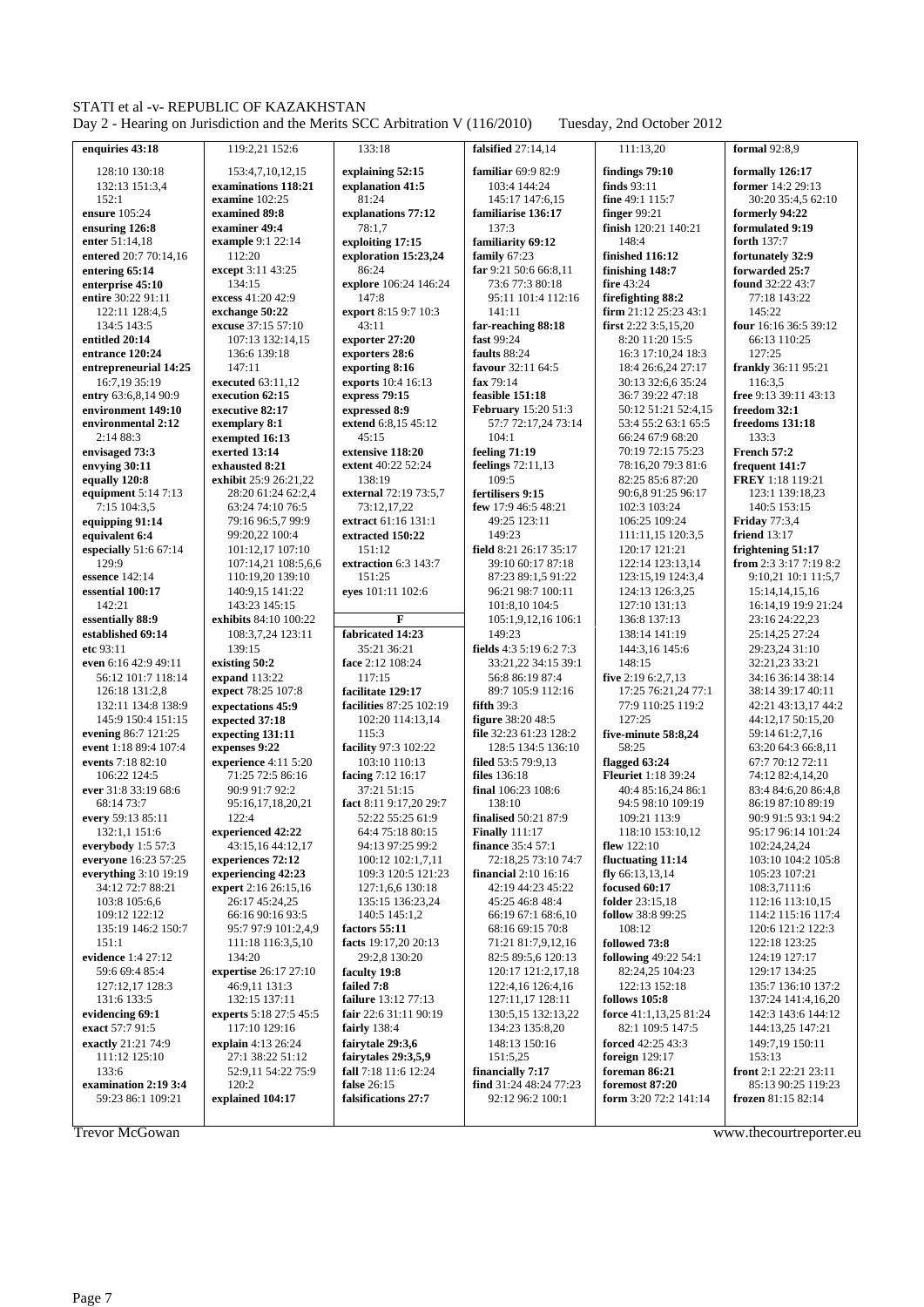**enquiries 43:18** 119:2,21 152:6 133:18 **falsified** 27:14,14 111:13,20 **formal** 92:8,9 128:10 130:18 153:4,7,10,12,15 **explaining 52:15 familiar** 69:9 82:9 **findings 79:10 formally 126:17**  132:13 151:3,4 **examinations 118:21 explanation 41:5** 103:4 144:24 **finds** 93:11 **former** 14:2 29:13 152:1 **examine** 102:25 **examine** 102:25 **examined 89:8 examined 89:8 examined 89:8 examined 89:8 examined 89:8 explanations 77:12 finallarise 136:17 finger** 99:21 **examined 89:8 explanations 77:12 finalla examined 89:8** explanations 77:12 **ensuring 126:8 examiner 49:4** 78:1,7 137:3 **finish** 120:21 140:21 **formulated 9:19 enter** 51:14,18 **example** 9:1 22:14 **exploiting 17:15 familiarity 69:12** 148:4 **forth** 137:7 **entered** 20:7 70:14,16 112:20 **exploration 15:23,24 family** 67:23 **finished 116:12 fortunately 32:9 entering 65:14 except** 3:11 43:25 86:24 **far** 9:21 50:6 66:8,11 **finishing 148:7 forwarded 25:7**<br>**explore** 106:24 146:24 73:6 77:3 80:18 **fire** 43:24 **found** 32:22 43:7 **enterprise 45:10** 134:15 **explore** 106:24 146:24 73:6 77:3 80:18 **fire** 43:24 **fire** 43:24 **for a fire** 30:22 91:11 **excess** 41:20 42:9 147:8 **entire** 30:22 91:11 **excess** 41:20 42:9 **exchange** 50:22 **export** 8:15 9:7 10:3 **141:11** 112:16 **firefighting 88:2** *rough* **122:11 128:4.5 <b>exchange** 50:22 **export** 8:15 9:7 10:3 141:11 134:5 143:5 **excuse** 37:15 57:10 **excuse** 37:15 43:11 **far-reaching 88:18 <b>first** 2:22 3:5,15,20 **four** 16:16 36:5 3<br>**entitled 20:14** 107:13 132:14.15 **exporter 27:20 fast** 99:24 8:20 11:20 15:5 66:13 110:25 **entitled 20:14** 107:13 132:14,15 **exporter 27:20 fast** 99:24 8:20 11:20 15:5 66:13 111:20 **fast** 99:24 **66:13** 127:25 **entrance 120:24** 136:6 139:18 **exporters 28:6 exporters 28:6 exporters 28:6 exporting 8:16 exporting 8:16 exporting 8:16 exporting 8:16 exporting 8:16 exporting 8:16 exporting 8:16 exporting 8:16 exp** 16:7,19 35:19 **executed** 63:11,12 **exports** 10:4 16:13 **fax** 79:14 **diverse 10:4 16:13 fax** 79:14 **fax** 79:14 **f** 30:13 32:6,6 35:24 116:3,5 **free** 9:13 3 **entry** 63:6,8,14 90:9 **execution 62:15 express 79:15 express 79:15 feasible 151:18** 36:7 39:22 47:18 **free** 9:13 39:11 43:13<br>**expressed 8:9 February** 15:20 51:3 50:12 51:21 52:4.15 **freedom 32:1 environment 149:10 executive 82:17** expressed 8:9 **February** 15:20 51:3 50:12 51:21 52:4,15 **freedom 32:1 extend** 6:8.15 45:12 52:4,15 **freedoms** 131 **environmental 2:12** exemplary 8:1 extend 6:8,15 45:12 57:7 72:17,24 73:14 53:4 55:2 63:1 65:5 **freedoms 131:18**<br>2:14 88:3 **freedoms** 131:18 **freedoms** 131:18 **for 24 67:9 68:20** 133:3 2:14 88:3 **exempted 16:13** 45:15 104:1 66:24 67:9 68:20 133:3 **envisaged 73:3** exerted 13:14 extensive 118:20 **extensive 118:20 envisaged 73:15** 75:23 **French 57:2 envying 30:11 exhausted 8:21 extent** 40:22 52:24 **freedings** 72:11,13 78:16,20 79:3 81:6 **frequent 14 frequent envying 30:11 exhausted 8:21 exhausted 8:21 extent** 40:22 52:24 **feelings** 72:11,13 78:16,20 79:3 81:6 **frequent 141:7 equally 120:8 exhibit** 25:9 26:21.22 138:19 109:5 82:25 85:6 87:20 **FREY** 1:18 119 **equally 120:8** exhibit 25:9 26:21,22 138:19 109:5 82:25 85:6 87:20 **FREY** 1:18 119:21 **FREY** 1:18 119:21 **FREY** 1:18 119:21 **equipment** 5:14 7:13 28:20 61:24 62:2,4 **external** 72:19 73:5,7 **fertilisers 9:15** 90:6,8 91:25 96:17 123:1 139:18<br>7:15 104:3.5 63:24 74:10 76:5 73:12 17:22<br>102:3 103:24 10:5 132:15 7:15 104:3,5 63:24 74:10 76:5 73:12,17,22 **few** 17:9 46:5 48:21 102:3 103:24 140:5 153:15 **equipping 91:14 equivalent 6:4** *P9:26 123:11* **<b>equivalent 6:4** *P9:26 123:11* **P9:26 123:11 P9:26 109:24 P9:26 11:11,15 120:3,5 Friend 13:17 equivalent 6:4 equivalent 6:4 extracted 150:22 extracted 150:22 expecially 51:6 67:14** 101:12,17 107:10 **extracted 150:22 field** 8:21 26:17 35:17 120:3,5 **friend** 13:17 **expecially 51:6 67:14** 101:12,17 107:10 129:9 107:14,21 108:5,6,6 **extraction** 6:3 143:7 39:10 60:17 87:18 122:14 123:13,14 **from** 2:3 3:17 7:19 8:2 **essence** 142:14 110:19,20 139:10 151:25 89:23 89:1,5 91:22 123:15,19 124:3,4 9:10,21 10:1 11:5,7 **essential 100:17** 140:9,15 141:22 **eyes** 101:11 102:6 96:21 98:7 100:11 124:13 126:3,25 15:14,14,15,16<br>143:23 145:15 141:22 15:14,19 19:9 21:24 142:21 143:23 145:15 101:8,10 104:5 127:10 131:13 16:14,19 19:9 21:24 **essentially 88:9 exhibits** 84:10 100:22 **F** 105:1,9,12,16 106:1 136:8 137:13 23:16 24:22,23 **established 69:14** 108:3,7,24 123:11 **fabricated 14:23** 149:23 138:14 141:19 25:14,25 27:24 **etc** 93:11 139:15 **etc** 93:11 139:15 **fields** 4:3 5:19 6:2 7:3 144:3,16 145:6 **29:23,24 31:10**<br>**even** 6:16 42:9 49:11 **existing 50:2 face** 2:12 108:24 133:21,22 34:15 39:1 148:15 32:21,23 33:21 **even** 6:16 42:9 49:11 56:12 101:7 118:14 **expand** 113:22 117:15 56:8 86:19 87:4 **five** 2:19 6:2,7,13 34:16 36:14 38:14 126:18 131:2,8 **expect** 78:25 107:8 **facilitate 129:17** 89:7 105:9 112:16 17:25 76:21,24 77:1 38:14 39:17 40:11<br>132:11 134:8 138:9 **expectations 45:9 facilities** 87:25 102:19 **fifth** 39:3 77:9 110:25 119:2 42:21 43:13,17 145:9 150:4 151:15 **expected 37:18** 102:20 114:13,14 **figure** 38:20 48:5 127:25<br> **expecting 131:11** 115:3 **file** 32:23 61:23 128:2 **five-minute** 58:8 24 **evening** 86:7 121:25 **expecting 131:11 file** 32:23 61:23 128:2 **five-minute 58:8,24** 59:14 61:2,7,16 **event** 1:18 89:4 107:4 **expenses 9:22 facility** 97:3 102:22 **128:5 134:5 136:10 58:25** 63:20 64:3 66:8,11 **events** 7:18 82:10 **experience** 4:11 5:20 103:10 110:13 **filed** 53:5 79:9,13 **flagged 63:24** 67:7 70:12 72:11 **files** 136:18 **flacing** 7:12 16:17 **files** 136:18 **flacing** 1:18 39:24 74:12 82:4,14,20 **ever** 31:8 33:19 68:6 90:9 91:7 92:2 37:21 51:15 **final** 106:23 108:6 40:4 85:16,24 86:1 83:4 84:6,20 86:4,8<br>68:14 73:7 95:16.17.18.20.21 **fact** 8:11 9:17.20 29:7 138:10 94:5 98:10 109:19 86:19 87:10 89:19 68:14 73:7 95:16,17,18,20,21 **fact** 8:11 9:17,20 29:7 138:10 94:5 98:10 109:19 86:19 87:10 89:19 **every** 59:13 85:11 122:4 52:22 55:22 55:25 61:9 **finalised** 50:21 87:9 109:21 113:9 90:9 91:5 93:1 94:2<br>132:1.1 151:6 **experienced 42:22** 64:4 75:18 80:15 **Finally** 111:17 118:10 153:10.12 95:17 96:14 101:24 **everybody** 1:5 57:3 **everybody** 1:5 57:3 **everybody** 1:5 57:3 **everybody** 1:5 57:3 **everyone** 16:23 57:25 **experiences** 72:12 100:12 102:24,24,24 100:12 102:21,7,11 102:218,25 73:10 74:7 **fluctuating 11:14** 103:10 104:2 1 **everyone** 16:23 57:25 **experiences 72:12** 100:12 102:1,7,11 72:18,25 73:10 74:<br> **experiences 72:12** 100-3 120:5 121:23 **financial** 2:10 16:16 **everything** 3:10 19:19 **experiencing 42:23** 109:3 120:5 121:23 **financial** 2:10 16:16 **fly** 66:13,13,14 105:23 107:21 34:12 72:7 88:21 **expert** 2:16 26:15,16 127:1,6,6 130:18 42:19 44:23 45:22 **focused 60:17** 108:3,7111:6 103:8 105:6,6 26:17 45:24,25 135:15 136:23,24 45:25 46:8 48:4 **folder** 23:15,18 112:16 113:10,15<br>109:12 122:12 66:16 90:16 93:5 140:5 145:1,2 66:19 67:1 68:6,10 **follow** 38:8 99:25 114:2 115:16 117 109:12 122:12 66:16 90:16 93:5 140:5 145:1,2 66:19 67:1 68:6,10 **follow** 38:8 99:25 14:2 115:16 117:4<br>135:19 146:2 150:7 95:7 97:9 101:2.4.9 **factors 55:11** 68:16 69:15 70:8 108:12 120:6 121:2 122:3 95:7 97:9 101:2.4.9 151:1 111:18 116:3,5,10 **facts** 19:17,20 20:13 71:21 81:7,9,12,16 **followed 73:8** 122:18 123:25 **evidence** 1:4 27:12 134:20 134:20 29:2,8 130:20 82:5 89:5,6 120:13 **following** 49:22 54:1 **following** 127:17<br>59:6 69:4 85:4 **expertise** 26:17 27:10 **faculty 19:8** 120:17 121:2.17.18 82:24.25 104:23 129:17 134:25 59:6 69:4 85:4 **expertise** 26:17 27:10 **faculty 19:8** 120:17 121:2,17,18 82:24,25 104:23 129:17 134:25 127:12,17 128:3 46:9,11 131:3 **failed 7:8** 122:4,16 126:4,16 122:13 152:18 135:7 136:10 137:2 **evidencing 69:1 experts** 5:18 27:5 45:5 **fair** 22:6 31:11 90:19 130:5,15 132:13,22 **force** 41:1,13,25 81:24 142:3 143:6 144:12<br>**exact** 57:7 91:5 144:13,25 147:21 134:23 135:8,20 147:5 144:13,25 147:21 **exact** 57:7 91:5 117:10 129:16 **fairly** 138:4 134:23 135:8,20 **for 117:10** 121:11 14:13,25 147:2<br>**exactly** 21:21 74:9 **exactly** 21:21 74:9 **exactly** 21:21 74:9 **exactly** 21:21 74:13 15:0:11 **formed** 42:25 43:3 **exactly** 21:21 74:9 **explain** 4:13 26:24 **fairytale 29:3.6** 148:13 150:16 **forced** 42:25 43:3 111:12 125:10 27:1 38:22 51:12 **fairytales 29:3,5,9** 151:5,25 **foreign** 129:17 153:13 133:6 52:9,11 54:22 75:9 **fall** 7:18 11:6 12:24 **financially 7:17 foreman 86:21 foreman 86:21 financially 7:17 foreman 86:21 f foreman 86:21 f foreman 86:21 f foreman 86:21 f foreman 86:21 f for examination 2:19 3:4 cx** 120:2 **false** 26:15 **find** 31:24 48:24 77:23 **foremost 87:20 form 3:20 72:2 141:14 frozen 81:15 82:14 f** 120:25 **f** 1390:25 119 **f** 13:23 86:1 109:21 **explained 104:17 falsifications 27:** 

**export** 8:15 9:7 10:3 141:11 **firm** 21:12 25:23 43:1 145:22<br>43:11 **far-reaching 88:18 first** 2:22 3:5,15,20 **four** 16:16 36:5 39:12 **field** 8:21 26:17 35:17 **expectations 45:9 expectations 45:9 facilities** 87:25 102:19 **fifth** 39:3 77:9 110:25 119:2 42:21 43:13,17 44:<br> **expected 37:18** 102:20 114:13,14 **figure** 38:20 48:5 127:25 44:12,17 50:15.20 106:22 124:5 71:25 72:5 86:16 **facing** 7:12 16:17 **files** 136:18 **Fleuriet** 1:18 39:24 74:12 82:4,14,20 **experienced 42:22 64:4 75:18 80:15 Finally** 111:17 **118:10 153:10,12 95:17 96:14 143:15.16 44:12.17 94:13 97:25 99:2 <b>finance** 35:4 57:1 **flew** 122:10 102:24.24.24 **failure** 13:12 77:13 127:11,17 128:11 **follows 105:8**<br>**fair** 22:6 31:11 90:19 130:5 15 132:13 22 **force** 41:1,13,25 81:24

59:23 86:1 109:21 **explained 104:17 falsifications 27:7** 92:12 96:2 100:1 **form** 3:20 72:2 141:14 **frozen** 81:15 82:14

**entrepreneurial 14:25** 147:11 **exporting 8:16 favour** 32:11 64:5 18:4 26:6,24 27:17 **frankly** 36:11 95:21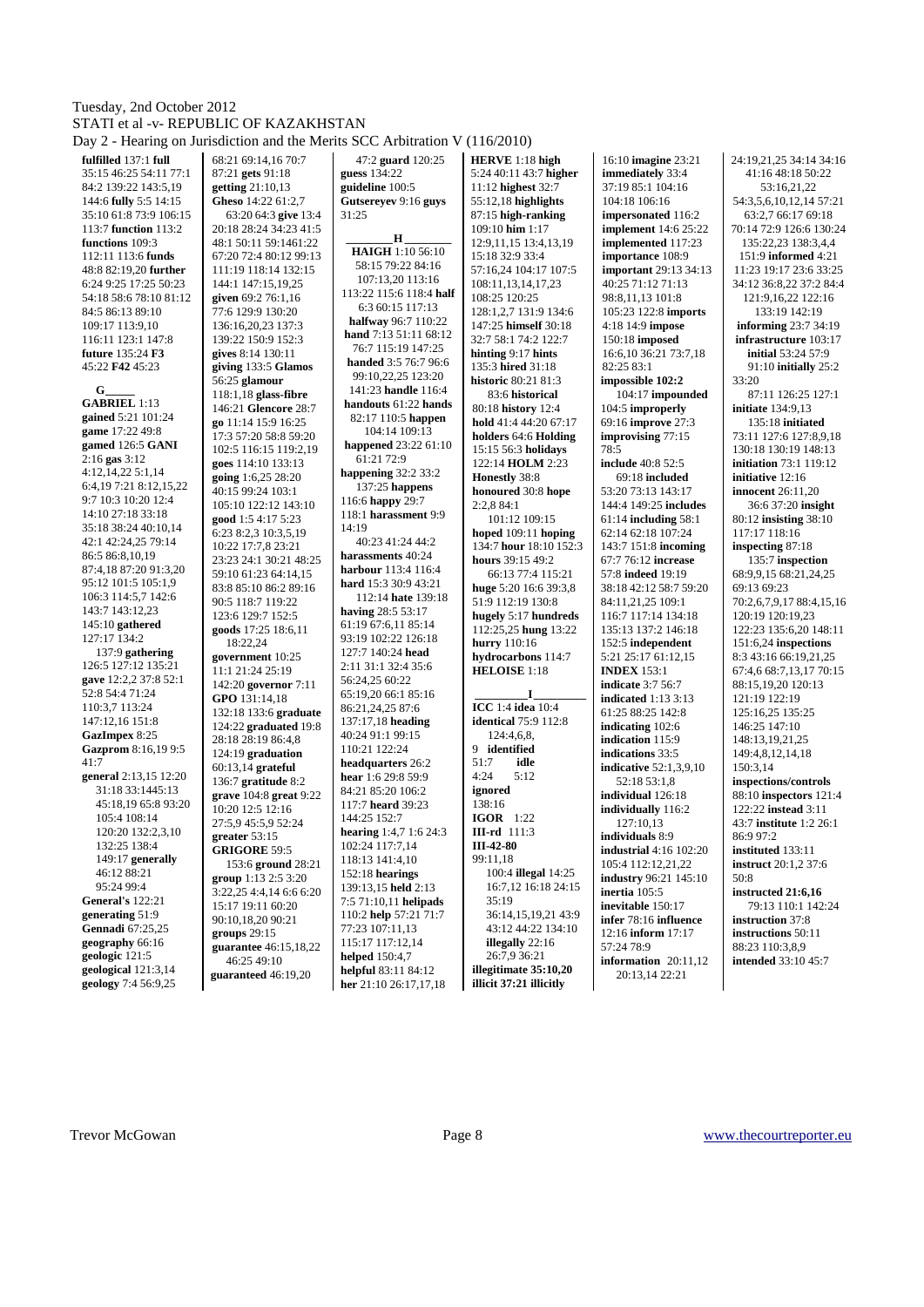## Tuesday, 2nd October 2012 STATI et al -v- REPUBLIC OF KAZAKHSTAN Day 2 - Hearing on Jurisdiction and the Merits SCC Arbitration V (116/2010)

fulfilled 137:1 full 35:15 46:25 54:11 77:1 84:2 139:22 143:5,19 144:6 fully 5:5 14:15 35:10 61:8 73:9 106:15 113.7 function  $113.2$ functions 109:3 112:11 113:6 funds 48:8 82:19,20 further 6:24 9:25 17:25 50:23 54:18 58:6 78:10 81:12  $84.586.1389.10$  $109.17113.910$ 116:11 123:1 147:8 future 135:24 F3 45:22 F42 45:23

G  $GARTE1.113$ gained 5:21 101:24 game 17:22 49:8 gamed 126:5 GANI  $2:16$  gas  $3:12$  $4.12$   $14.22$  5.1 14  $6:4$  19 7:21 8:12 15 22 9:7 10:3 10:20 12:4 14:10 27:18 33:18 35:18 38:24 40:10,14  $42.142.242579.14$ 86:5 86:8.10.19 87:4.18 87:20 91:3.20  $95.12$  101.5 105.1 9 106:3 114:5.7 142:6 143:7 143:12,23 145:10 gathered  $127.17134.2$ 137:9 gathering 126:5 127:12 135:21 gave 12:2,2 37:8 52:1  $52.854471.24$ 110:3.7 113:24 147:12.16 151:8 GazImpex 8:25 Gazprom 8:16,19 9:5  $41.7$ general 2:13.15 12:20  $31.1833.1445.13$  $45.181965893.20$  $105.4108.14$ 120:20 132:2,3,10  $132.25138.4$ 149:17 generally  $46.12.88.21$  $95.24994$ **General's 122:21** generating 51.9 Gennadi 67:25,25 geography 66:16 geologic 121:5 geological 121:3,14 geology 7:4 56:9,25

68:21 69:14,16 70:7 87:21 gets 91:18 getting 21:10,13 Gheso 14:22 61:2.7 63:20 64:3 give 13:4  $20.1828.2434.2341.5$ 48:1 50:11 59:1461:22 67:20 72:4 80:12 99:13 111:19 118:14 132:15 144.1 147.15 19 25 given 69:2 76:1.16  $77.6129.9130.20$ 136:16.20.23 137:3 139:22 150:9 152:3 gives 8:14 130:11 giving 133:5 Glamos 56:25 glamour 118:1,18 glass-fibre 146.21 Glencore 28.7 go 11:14 15:9 16:25 17:3 57:20 58:8 59:20 102:5 116:15 119:2,19 goes 114:10 133:13 going 1:6,25 28:20 40:15 99:24 103:1 105:10 122:12 143:10 good 1:5 4:17 5:23 6:23 8:2.3 10:3.5.19  $10.22$   $17.7$   $8$   $23.21$ 23.23.24.1.30.21.48.25 59:10 61:23 64:14,15 83:8 85:10 86:2 89:16 90:5 118:7 119:22 123:6 129:7 152:5 goods 17:25 18:6.11  $18.22.24$ government 10:25 11:1 21:24 25:19 142:20 governor 7:11 GPO 131:14.18 132:18 133:6 graduate  $124.22$  graduated  $19.8$ 28:18 28:19 86:4,8 124:19 graduation  $60:13.14$  grateful  $136.7$  gratitude  $8.2$ grave 104:8 great 9:22 10:20 12:5 12:16 27:5,9 45:5,9 52:24 greater 53:15 GRIGORE 59:5 153:6 ground 28:21 group 1:13 2:5 3:20 3:22,25 4:4,14 6:6 6:20 15:17 19:11 60:20 90:10,18,20 90:21 groups  $29:15$ guarantee 46:15,18.22  $46.2549.10$ guaranteed 46:19,20

47:2 guard 120:25 guess 134:22 guideline 100:5 Gutserevey 9:16 guys  $31:25$  $H$ HAIGH 1:10 56:10 58:15 79:22 84:16 107:13,20 113:16 113.22.115.6.118.4 half  $6.360.15117.13$ halfway 96.7 110.22 hand 7:13 51:11 68:12 76:7 115:19 147:25 handed 3:5 76:7 96:6 99:10 22 25 123:20 141.23 handle 116.4 handouts 61:22 hands 82:17 110:5 happen  $104.14$   $109.13$ happened 23:22 61:10  $61.21729$ happening 32:2 33:2 137:25 happens 116:6 happy 29:7 118:1 harassment 9:9  $14.19$  $40.2341.24442$ harassments 40.24 harbour 113:4 116:4 hard 15:3 30:9 43:21 112:14 hate 139:18 having 28:5 53:17  $61.19676118514$  $93.19102.22126.18$ 127:7 140:24 head 2:11 31:1 32:4 35:6 56:24,25 60:22 65:19.20 66:1 85:16 86:21.24.25 87:6 137:17,18 heading 40:24 91:1 99:15 110:21 122:24 headquarters 26:2 hear  $1.629.859.9$  $84.2185.20106.2$ 117:7 heard 39:23 144:25 152:7 hearing 1:4,7 1:6 24:3 102:24 117:7.14 118:13 141:4.10 152:18 hearings 139:13,15 held 2:13 7:5 71:10,11 helipads 110:2 help 57:21 71:7 77:23 107:11.13 115:17 117:12.14 helped  $150.47$ helpful 83:11 84:12 her 21:10 26:17,17,18

HERVE 1:18 high 5:24 40:11 43:7 higher 11:12 highest 32:7  $55:12.18$  highlights 87:15 high-ranking  $109.10$  him  $1.17$ 12:9.11.15 13:4.13.19 15:18 32:9 33:4 57:16,24 104:17 107:5 108:11 13 14 17 23 108:25 120:25  $128.127131.9134.6$ 147:25 himself 30:18 32:7 58:1 74:2 122:7 hinting 9:17 hints 135:3 hired 31:18 historic  $80.2181.3$ 83:6 historical 80:18 history 12:4 hold 41:4 44:20 67:17 holders 64:6 Holding 15:15 56:3 holidays  $122.14$  HOLM  $2.23$ Honestly 38:8 honoured 30:8 hope  $2:2.884:1$  $101 \cdot 12$  109.15 hoped 109:11 hoping  $134.7$  hour  $18.10$   $152.3$ hours 39:15 49:2 66:13 77:4 115:21 huge 5:20 16:6 39:3,8 51:9 112:19 130:8 hugely 5:17 hundreds 112:25.25 hung 13:22 hurry 110:16 hydrocarbons 114:7 HELOISE 1:18  $\overline{ICC}$  1:4 idea 10:4 identical  $75.9$  112.8  $124.468$ 9 identified  $51.7$ idle  $4:24$  $5:12$ ignored  $138.16$  $ICOR$  1.22 **III-rd** 111:3 **III-42-80** 99:11.18 100:4 illegal 14:25 16:7.12 16:18 24:15 35:19 36:14.15.19.21 43:9 43:12 44:22 134:10 illegally 22:16  $26.7936.21$ illegitimate 35:10.20

37:19 85:1 104:16 104:18 106:16 impersonated 116:2 implement  $14:625:22$ implemented 117:23 importance 108:9 important 29:13 34:13 40:25 71:12 71:13 98:8.11.13 101:8 105.23 122.8 imports 4:18 14:9 impose 150:18 imposed 16:6,10 36:21 73:7,18 82:25 83:1 impossible 102:2 104:17 impounded 104:5 improperly 69:16 improve 27:3 improvising 77:15  $78:5$ include  $40.852.5$  $69.18$  included 53:20 73:13 143:17 144:4 149:25 includes 61:14 including 58:1 62:14 62:18 107:24  $143.7$   $151.8$  incoming  $67.776.12$  increase 57:8 indeed 19:19 38:18 42:12 58:7 59:20 84:11,21,25 109:1 116:7 117:14 134:18 135.13 137.2 146.18 152:5 independent 5:21 25:17 61:12.15 **INDEX 153:1** indicate 3:7 56:7 indicated  $1:133:13$  $61.2588.25142.8$ indicating 102:6 indication 115:9 indications 33:5 **indicative** 52:1,3,9,10  $52.1853.18$ individual 126.18 individually 116:2 127:10.13 individuals 8:9 **industrial** 4:16 102:20  $105:4$  112 $\cdot$ 12 21 22 industry 96:21 145:10 inertia 105:5 inevitable 150:17 infer 78:16 influence 12:16 inform 17:17  $57.2478.9$ information  $20:11:12$ 20:13,14 22:21

16:10 imagine 23:21

immediately 33:4

41:16 48:18 50:22 53:16,21,22 54:3.5.6.10.12.14 57:21  $63:2,766:1769:18$ 70:14 72:9 126:6 130:24  $135.2223138.344$ 151:9 informed 4:21 11:23 19:17 23:6 33:25 34:12 36:8.22 37:2 84:4 121:9,16,22 122:16  $133.19$   $142.19$ informing 23:7 34:19 infrastructure 103:17 initial  $53.2457.9$ 91:10 initially 25:2  $33.20$ 87:11 126:25 127:1 initiate  $134.913$ 135:18 initiated 73:11 127:6 127:8,9,18 130:18 130:19 148:13 initiation  $73.1119.12$ initiative 12:16 **innocent** 26:11,20 36:6 37:20 insight 80:12 insisting 38:10 117:17 118:16 inspecting 87:18 135:7 inspection 68:9,9,15 68:21,24,25 69:13 69:23 70:2,6,7,9,17 88:4,15,16 120:19 120:19.23 122:23 135:6 20 148:11 151:6,24 inspections 8:3 43:16 66:19,21,25 67:4,6 68:7,13,17 70:15 88:15,19,20 120:13 121:19 122:19 125:16.25 135:25  $146.25$   $147.10$ 148:13,19,21,25 149:4.8.12.14.18 150:3,14 inspections/controls 88:10 inspectors 121:4 122:22 instead 3:11 43:7 institute 1:2 26:1  $86.997.2$ instituted 133:11 **instruct** 20:1.2 37:6  $50.8$ instructed 21:6.16 79:13 110:1 142:24 instruction 37:8 instructions 50:11  $88.23110.389$ intended 33:10 45:7

24:19.21.25 34:14 34:16

illicit 37:21 illicitly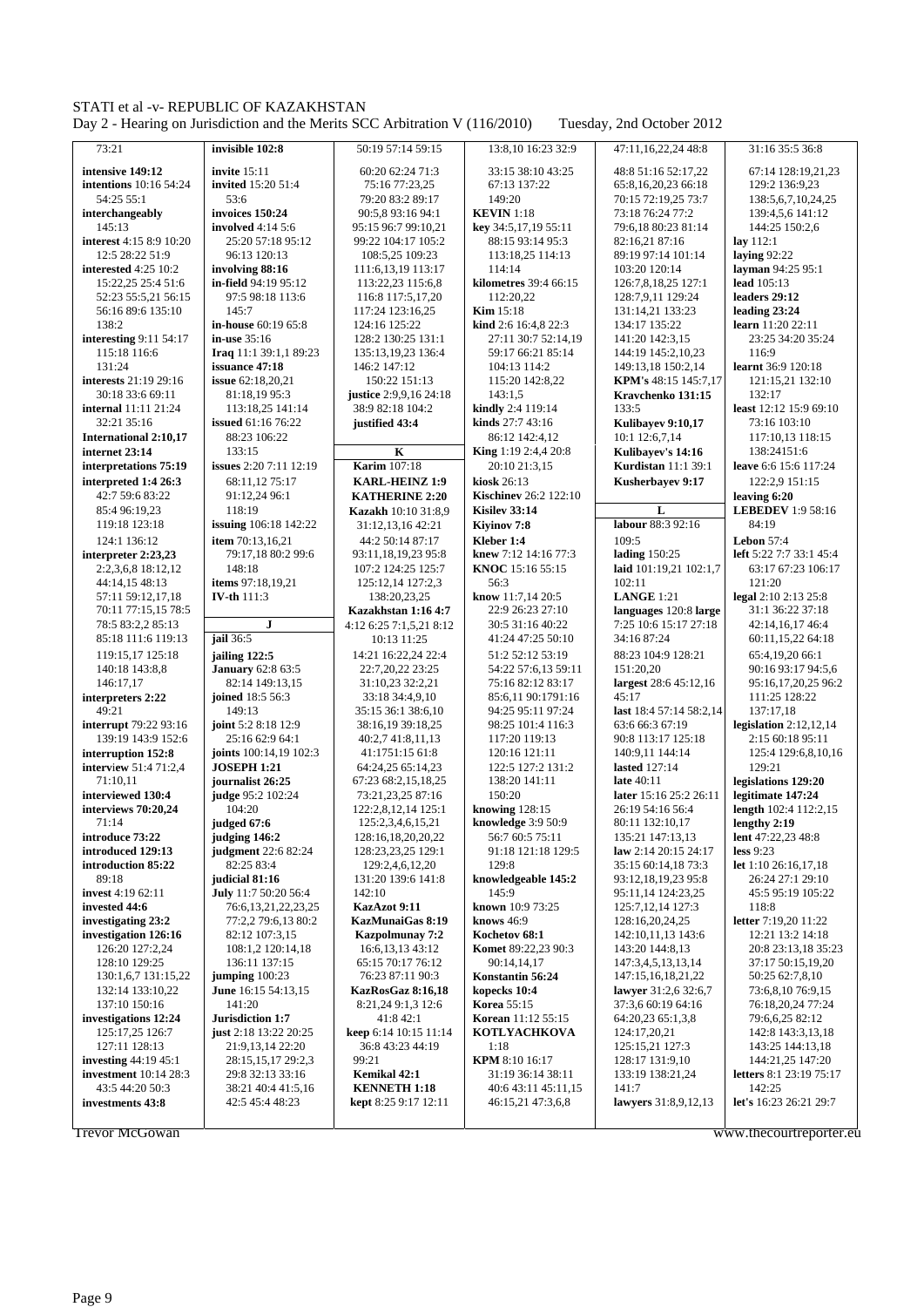| 73:21                                     | invisible 102:8                           | 50:19 57:14 59:15                       | 13:8,10 16:23 32:9                 | 47:11,16,22,24 48:8                       | 31:16 35:5 36:8                            |
|-------------------------------------------|-------------------------------------------|-----------------------------------------|------------------------------------|-------------------------------------------|--------------------------------------------|
| intensive 149:12                          | invite 15:11                              | 60:20 62:24 71:3                        | 33:15 38:10 43:25                  | 48:8 51:16 52:17,22                       | 67:14 128:19,21,23                         |
| intentions 10:16 54:24                    | invited 15:20 51:4                        | 75:16 77:23,25                          | 67:13 137:22                       | 65:8,16,20,23 66:18                       | 129:2 136:9,23                             |
| 54:25 55:1                                | 53:6                                      | 79:20 83:2 89:17                        | 149:20                             | 70:15 72:19,25 73:7                       | 138:5,6,7,10,24,25                         |
| interchangeably                           | invoices 150:24                           | 90:5,8 93:16 94:1                       | <b>KEVIN</b> 1:18                  | 73:18 76:24 77:2                          | 139:4,5,6 141:12                           |
| 145:13                                    | involved 4:14 5:6                         | 95:15 96:7 99:10,21                     | key 34:5,17,19 55:11               | 79:6,18 80:23 81:14                       | 144:25 150:2,6                             |
| interest 4:15 8:9 10:20                   | 25:20 57:18 95:12                         | 99:22 104:17 105:2                      | 88:15 93:14 95:3                   | 82:16.21 87:16                            | lay $112:1$                                |
| 12:5 28:22 51:9                           | 96:13 120:13                              | 108:5,25 109:23                         | 113:18,25 114:13                   | 89:19 97:14 101:14                        | laying $92:22$                             |
| interested $4:25$ 10:2                    | involving 88:16                           | 111:6,13,19 113:17                      | 114:14                             | 103:20 120:14                             | layman 94:25 95:1                          |
| 15:22,25 25:4 51:6                        | in-field 94:19 95:12                      | 113:22,23 115:6,8                       | kilometres 39:4 66:15              | 126:7,8,18,25 127:1                       | lead $105:13$                              |
| 52:23 55:5,21 56:15                       | 97:5 98:18 113:6                          | 116:8 117:5,17,20                       | 112:20,22                          | 128:7,9,11 129:24                         | leaders 29:12                              |
| 56:16 89:6 135:10                         | 145:7                                     | 117:24 123:16,25                        | <b>Kim</b> 15:18                   | 131:14,21 133:23                          | leading 23:24                              |
| 138:2                                     | in-house 60:19 65:8                       | 124:16 125:22                           | kind 2:6 16:4,8 22:3               | 134:17 135:22                             | learn 11:20 22:11                          |
| interesting 9:11 54:17                    | in-use 35:16                              | 128:2 130:25 131:1                      | 27:11 30:7 52:14,19                | 141:20 142:3,15                           | 23:25 34:20 35:24                          |
| 115:18 116:6                              | Iraq 11:1 39:1,1 89:23                    | 135:13,19,23 136:4                      | 59:17 66:21 85:14                  | 144:19 145:2,10,23                        | 116:9                                      |
| 131:24                                    | issuance 47:18                            | 146:2 147:12                            | 104:13 114:2                       | 149:13,18 150:2,14                        | learnt 36:9 120:18                         |
| interests 21:19 29:16<br>30:18 33:6 69:11 | <b>issue</b> 62:18,20,21<br>81:18,19 95:3 | 150:22 151:13<br>justice 2:9,9,16 24:18 | 115:20 142:8,22<br>143:1,5         | <b>KPM's</b> 48:15 145:7,17               | 121:15,21 132:10<br>132:17                 |
| <b>internal</b> 11:11 21:24               | 113:18,25 141:14                          | 38:9 82:18 104:2                        | kindly 2:4 119:14                  | Kravchenko 131:15<br>133:5                | least 12:12 15:9 69:10                     |
| 32:21 35:16                               | issued 61:16 76:22                        | justified 43:4                          | <b>kinds</b> $27:743:16$           | Kulibayev 9:10,17                         | 73:16 103:10                               |
| <b>International 2:10,17</b>              | 88:23 106:22                              |                                         | 86:12 142:4,12                     | 10:1 12:6,7,14                            | 117:10,13 118:15                           |
| internet 23:14                            | 133:15                                    | $\mathbf K$                             | King 1:19 2:4,4 20:8               | Kulibayev's 14:16                         | 138:24151:6                                |
| interpretations 75:19                     | issues 2:20 7:11 12:19                    | <b>Karim</b> 107:18                     | 20:10 21:3,15                      | <b>Kurdistan 11:1 39:1</b>                | leave 6:6 15:6 117:24                      |
| interpreted 1:4 26:3                      | 68:11,12 75:17                            | <b>KARL-HEINZ 1:9</b>                   | kiosk 26:13                        | Kusherbayev 9:17                          | 122:2,9 151:15                             |
| 42:7 59:6 83:22                           | 91:12,24 96:1                             | <b>KATHERINE 2:20</b>                   | <b>Kischinev</b> 26:2 122:10       |                                           | leaving 6:20                               |
| 85:4 96:19,23                             | 118:19                                    | <b>Kazakh</b> 10:10 31:8,9              | Kisilev 33:14                      | L                                         | <b>LEBEDEV</b> 1:9 58:16                   |
| 119:18 123:18                             | issuing 106:18 142:22                     | 31:12,13,16 42:21                       | Kiyinov 7:8                        | labour 88:3 92:16                         | 84:19                                      |
|                                           |                                           |                                         |                                    | 109:5                                     |                                            |
| 124:1 136:12<br>interpreter 2:23,23       | item 70:13,16,21<br>79:17,18 80:2 99:6    | 44:2 50:14 87:17<br>93:11,18,19,23 95:8 | Kleber 1:4<br>knew 7:12 14:16 77:3 | lading $150:25$                           | Lebon $57:4$<br>left 5:22 7:7 33:1 45:4    |
| 2:2,3,6,8 18:12,12                        | 148:18                                    | 107:2 124:25 125:7                      | KNOC 15:16 55:15                   | laid 101:19,21 102:1,7                    | 63:17 67:23 106:17                         |
| 44:14,15 48:13                            | items 97:18,19,21                         | 125:12,14 127:2,3                       | 56:3                               | 102:11                                    | 121:20                                     |
| 57:11 59:12,17,18                         | <b>IV-th</b> 111:3                        | 138:20,23,25                            | know 11:7,14 20:5                  | <b>LANGE 1:21</b>                         | legal 2:10 2:13 25:8                       |
| 70:11 77:15,15 78:5                       |                                           | Kazakhstan 1:16 4:7                     | 22:9 26:23 27:10                   | languages 120:8 large                     | 31:1 36:22 37:18                           |
| 78:5 83:2,2 85:13                         | $\mathbf J$                               | 4:12 6:25 7:1,5,21 8:12                 | 30:5 31:16 40:22                   | 7:25 10:6 15:17 27:18                     | 42:14,16,17 46:4                           |
| 85:18 111:6 119:13                        | jail 36:5                                 | 10:13 11:25                             | 41:24 47:25 50:10                  | 34:16 87:24                               | 60:11,15,22 64:18                          |
| 119:15,17 125:18                          | jailing 122:5                             | 14:21 16:22,24 22:4                     | 51:2 52:12 53:19                   | 88:23 104:9 128:21                        | 65:4,19,20 66:1                            |
| 140:18 143:8,8                            | <b>January</b> 62:8 63:5                  | 22:7,20,22 23:25                        | 54:22 57:6,13 59:11                | 151:20,20                                 | 90:16 93:17 94:5,6                         |
| 146:17,17                                 | 82:14 149:13,15                           | 31:10,23 32:2,21                        | 75:16 82:12 83:17                  | largest 28:6 45:12,16                     | 95:16,17,20,25 96:2                        |
| interpreters 2:22                         | joined 18:5 56:3                          | 33:18 34:4,9,10                         | 85:6,11 90:1791:16                 | 45:17                                     | 111:25 128:22                              |
| 49:21                                     | 149:13                                    | 35:15 36:1 38:6,10                      | 94:25 95:11 97:24                  | last 18:4 57:14 58:2,14                   | 137:17,18                                  |
| interrupt 79:22 93:16                     | joint 5:2 8:18 12:9                       | 38:16,19 39:18,25                       | 98:25 101:4 116:3                  | 63:6 66:3 67:19                           | legislation $2:12,12,14$                   |
| 139:19 143:9 152:6                        | 25:16 62:9 64:1                           | 40:2,7 41:8,11,13                       | 117:20 119:13                      | 90:8 113:17 125:18                        | 2:15 60:18 95:11                           |
| interruption 152:8                        | joints 100:14,19 102:3                    | 41:1751:15 61:8                         | 120:16 121:11                      | 140:9,11 144:14                           | 125:4 129:6,8,10,16                        |
| <b>interview</b> 51:4 71:2,4              | <b>JOSEPH 1:21</b>                        | 64:24,25 65:14,23                       | 122:5 127:2 131:2                  | <b>lasted</b> 127:14                      | 129:21                                     |
| 71:10,11                                  | journalist 26:25                          | 67:23 68:2,15,18,25                     | 138:20 141:11                      | late $40:11$                              | legislations 129:20                        |
| interviewed 130:4                         | judge 95:2 102:24                         | 73:21,23,25 87:16                       | 150:20                             | later 15:16 25:2 26:11                    | legitimate 147:24                          |
| interviews 70:20,24                       | 104:20                                    | 122:2,8,12,14 125:1                     | knowing 128:15                     | 26:19 54:16 56:4                          | length 102:4 112:2,15                      |
| 71:14                                     | judged 67:6                               | 125:2,3,4,6,15,21                       | knowledge 3:9 50:9                 | 80:11 132:10,17                           | lengthy $2:19$                             |
| introduce 73:22                           | judging 146:2                             | 128:16,18,20,20,22                      | 56:7 60:5 75:11                    | 135:21 147:13,13                          | lent $47:22,23\,48:8$                      |
| introduced 129:13                         | <b>judgment</b> 22:6 82:24                | 128:23,23,25 129:1                      | 91:18 121:18 129:5                 | law 2:14 20:15 24:17                      | less $9:23$                                |
| introduction 85:22<br>89:18               | 82:25 83:4                                | 129:2,4,6,12,20<br>131:20 139:6 141:8   | 129:8                              | 35:15 60:14,18 73:3                       | let $1:10$ 26:16,17,18<br>26:24 27:1 29:10 |
| invest $4:1962:11$                        | judicial 81:16<br>July 11:7 50:20 56:4    | 142:10                                  | knowledgeable 145:2<br>145:9       | 93:12,18,19,23 95:8<br>95:11,14 124:23,25 | 45:5 95:19 105:22                          |
| invested 44:6                             | 76:6,13,21,22,23,25                       | KazAzot 9:11                            | known 10:9 73:25                   | 125:7, 12, 14 127:3                       | 118:8                                      |
| investigating 23:2                        | 77:2,2 79:6,13 80:2                       | KazMunaiGas 8:19                        | knows 46:9                         | 128:16,20,24,25                           | letter 7:19,20 11:22                       |
| investigation 126:16                      | 82:12 107:3,15                            | Kazpolmunav 7:2                         | Kochetov <sub>68:1</sub>           | 142:10,11,13 143:6                        | 12:21 13:2 14:18                           |
| 126:20 127:2,24                           | 108:1,2 120:14,18                         | 16:6, 13, 13 43: 12                     | <b>Komet 89:22,23 90:3</b>         | 143:20 144:8,13                           | 20:8 23:13,18 35:23                        |
| 128:10 129:25                             | 136:11 137:15                             | 65:15 70:17 76:12                       | 90:14,14,17                        | 147:3,4,5,13,13,14                        | 37:17 50:15,19,20                          |
| 130:1,6,7 131:15,22                       | jumping $100:23$                          | 76:23 87:11 90:3                        | Konstantin 56:24                   | 147:15,16,18,21,22                        | 50:25 62:7,8,10                            |
| 132:14 133:10,22                          | <b>June</b> 16:15 54:13,15                | KazRosGaz 8:16,18                       | kopecks 10:4                       | lawyer 31:2,6 32:6,7                      | 73:6,8,10 76:9,15                          |
| 137:10 150:16                             | 141:20                                    | 8:21,24 9:1,3 12:6                      | <b>Korea</b> 55:15                 | 37:3,6 60:19 64:16                        | 76:18,20,24 77:24                          |
| investigations 12:24                      | Jurisdiction 1:7                          | 41:8 42:1                               | <b>Korean 11:12 55:15</b>          | 64:20,23 65:1,3,8                         | 79:6,6,25 82:12                            |
| 125:17,25 126:7                           | just 2:18 13:22 20:25                     | <b>keep</b> $6:14$ 10:15 11:14          | <b>KOTLYACHKOVA</b>                | 124:17,20,21                              | 142:8 143:3,13,18                          |
| 127:11 128:13                             | 21:9,13,14 22:20                          | 36:8 43:23 44:19                        | 1:18                               | 125:15,21 127:3                           | 143:25 144:13,18                           |
| <b>investing 44:19 45:1</b>               | 28:15,15,17 29:2,3                        | 99:21                                   | <b>KPM</b> 8:10 16:17              | 128:17 131:9,10                           | 144:21,25 147:20                           |
| investment $10:14$ 28:3                   | 29:8 32:13 33:16                          | Kemikal 42:1                            | 31:19 36:14 38:11                  | 133:19 138:21,24                          | letters 8:1 23:19 75:17                    |
| 43:5 44:20 50:3                           | 38:21 40:4 41:5,16                        | <b>KENNETH 1:18</b>                     | 40:6 43:11 45:11,15                | 141:7                                     | 142:25                                     |
| investments 43:8                          | 42:5 45:4 48:23                           | <b>kept</b> 8:25 9:17 12:11             | 46:15,21 47:3,6,8                  | lawyers 31:8,9,12,13                      | let's 16:23 26:21 29:7                     |
|                                           |                                           |                                         |                                    |                                           |                                            |
| Trevor McGowan                            |                                           |                                         |                                    |                                           | www.thecourtreporter.eu                    |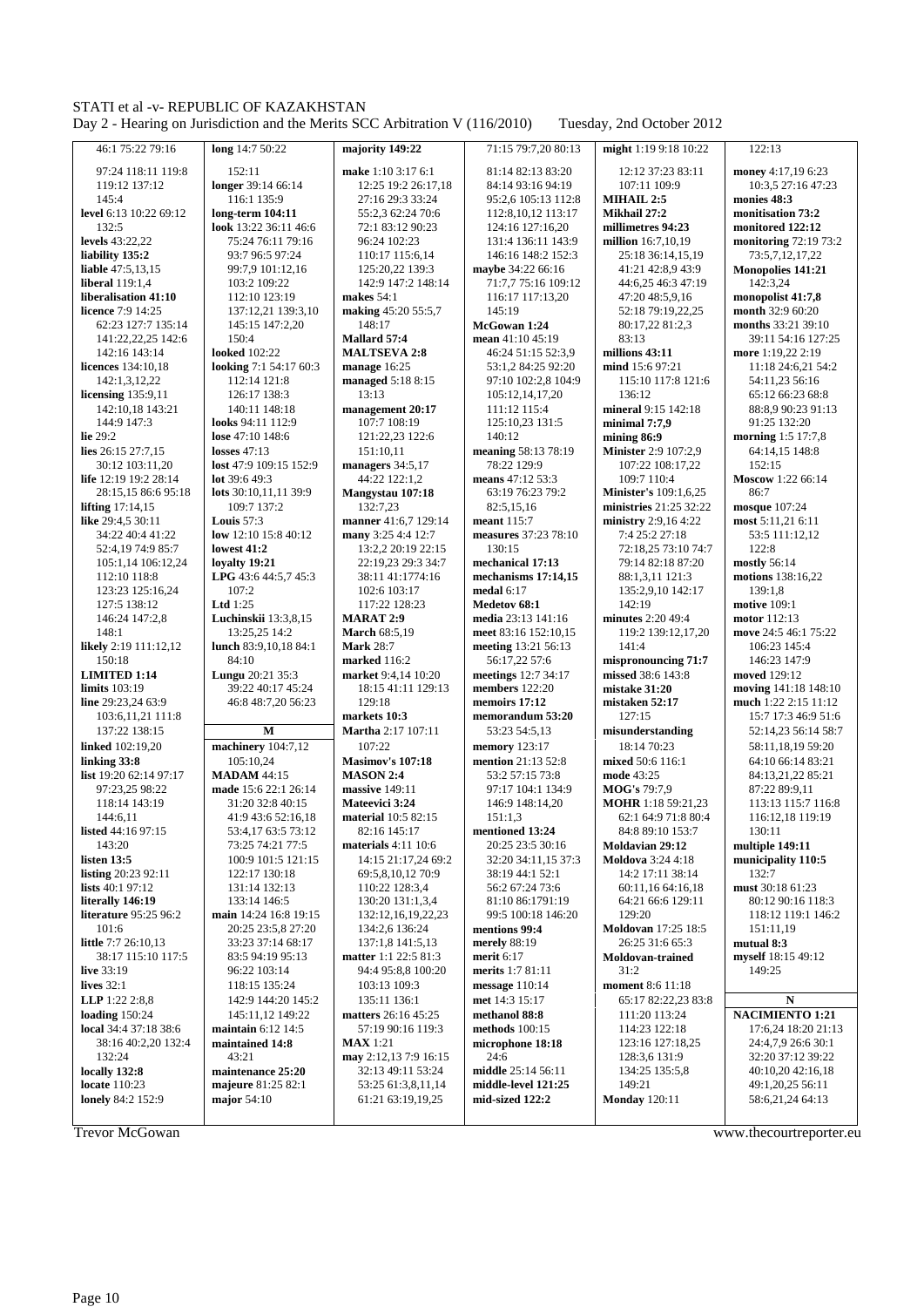46:1 75:22 79:16 long 14:7 50:22 97.24 118.11 119.8  $110.12137.12$  $145:4$ level 6:13 10:22 69:12 132:5 levels  $43.22.22$ liability 135:2 liable  $47.51315$ **liberal** 119:1.4 liberalisation 41:10 licence 7.9 14.25  $62.23127.7135.14$ 141:22,22,25 142:6  $142.16$   $143.14$ licences 134:10.18  $142.131222$ licensing 135:9,11 142:10,18 143:21  $144.9147.3$ lie  $29.2$ lies 26:15 27:7 15 30:12 103:11.20 life 12:19 19:2 28:14 28:15,15 86:6 95:18 lifting 17:14,15 like 29:4.5 30:11  $34.2240.441.22$ 52:4,19 74:9 85:7 105:1,14 106:12,24  $112.10118.8$  $123.23$   $125.16$   $24$ 127:5 138:12 Ltd  $1:25$ 146:24 147:2,8  $148.1$ likely 2:19 111:12 12  $150.18$ **LIMITED 1:14** limits  $103:19$ line 29:23,24 63:9 103:6.11.21 111:8 137:22 138:15 **linked** 102:19,20 linking 33:8 list 19:20 62:14 97:17 97:23,25 98:22 118:14 143:19  $144.611$ listed  $44.1697.15$  $143.20$ listen 13:5 listing 20:23 92:11 lists  $40.197.12$ literally 146:19 literature 95:25 96:2  $101:6$ little 7:7 26:10.13 38:17 115:10 117:5 live 33:19 lives  $32-1$ LLP 1:22 2:8,8 loading  $150:24$ local 34:4 37:18 38:6 38:16:40:2.20.132:4  $132.24$ locally 132:8 **locate** 110:23 **lonely** 84:2 152:9

 $152.11$ longer 39:14 66:14 116:1 135:9 long-term 104:11 look 13:22 36:11 46:6 75.24 76.11 79.16  $93.796.597.24$  $99.79101.1216$ 103:2 109:22 112:10 123:19 137.12.21.139.3.10 145:15 147:2.20  $150-4$ **looked** 102:22 looking 7:1 54:17 60:3  $112.14$   $121.8$ 126:17 138:3 140:11 148:18 looks 94:11 112:9 lose 47:10 148:6 Insses  $47.13$ lost 47:9 109:15 152:9 lot 39:6 49:3 lots 30:10,11,11 39:9  $109.7137.2$ Louis  $57.3$  $\frac{1}{2}$  low 12:10 15:8 40:12 lowest  $41:2$ loyalty 19:21 LPG 43.6 44.5 7 45.3  $107.2$ **Luchinskii** 13:3,8,15 13:25,25 14:2 lunch 83.9 10 18 84.1  $84.10$ **Lungu 20:21 35:3** 39:22 40:17 45:24 46:8 48:7,20 56:23 M machinery 104:7,12 105:10,24  $$ made 15:6 22:1 26:14 31:20 32:8 40:15  $41.9436521618$  $53.4$  17 63.5 73.12 73:25 74:21 77:5 100:9 101:5 121:15  $122.17130.18$  $131.14$   $132.13$ 133:14 146:5 main 14:24 16:8 19:15 20:25 23:5.8 27:20 33:23 37:14 68:17 83:5 94:19 95:13 96:22 103:14 118:15 135:24  $142.9144.20145.2$ 145:11,12 149:22 maintain 6:12 14:5 maintained  $14.8$  $43.21$ maintenance 25:20 majeure 81:25 82:1 maior  $54.10$ 

majority 149:22 make 1:10 3:17 6:1  $12.2519.226.1718$ 27:16 29:3 33:24 55:2,3 62:24 70:6 72:1 83:12 90:23  $96.24102.23$  $110.17115.614$  $125.20221393$ 142:9 147:2 148:14 makes 54:1 making 45:20 55:5,7  $148.17$ Mallard 57:4 **MALTSEVA 2:8** manage 16:25 managed 5:18 8:15  $13:13$ management 20:17 107:7 108:19 121:22.23 122:6  $151 \cdot 1011$ managers 34:5,17 44:22 122:1,2 Mangystau 107:18  $132.723$ manner  $41.67129.14$ many 3:25 4:4 12:7 13:2,2 20:19 22:15 22:19,23 29:3 34:7  $38.1141.1774.16$  $102.6103.17$ 117:22 128:23 **MARAT 2:9 March 68:5,19** Mark  $28.7$ marked  $116.2$ market 9:4.14 10:20 18:15 41:11 129:13  $129.18$ markets 10:3 Martha 2:17 107:11  $107.22$ **Masimov's 107:18 MASON 2:4** massive 149:11 Mateevici 3:24 material  $10.582.15$  $82.16$   $145.17$ materials  $4.11106$ 14:15 21:17,24 69:2 69:5.8.10.12 70:9 110:22 128:3.4 130:20 131:1,3,4 132:12,16,19,22,23 134:2.6 136:24 137:1.8 141:5.13 matter 1:1 22:5 81:3 94:4 95:8,8 100:20 103:13 109:3  $135.11$   $136.1$ matters 26:16 45:25 57:19 90:16 119:3  $MAX 1.21$ may 2:12,13 7:9 16:15 32:13 49:11 53:24 53:25 61:3,8,11,14  $61.2163.191925$ 

71:15 79:7.20 80:13  $81.1482.1383.20$  $84.1493.1694.19$ 95:2,6 105:13 112:8 112:8.10.12 113:17 124:16 127:16.20 131.4 136.11 143.9  $146.16$   $148.2$   $152.3$ maybe 34:22 66:16 71:7.7 75:16 109:12 116:17 117:13,20  $145.19$ McGowan 1:24 mean 41:10 45:19 46:24 51:15 52:3,9 53:1,2 84:25 92:20  $97.10102281049$ 105:12.14.17.20 111:12 115:4  $125 \cdot 1023131 \cdot 5$ 140:12 meaning 58:13 78:19 78:22 129:9 means 47:12 53:3 63:19 76:23 79:2  $82.51516$ meant  $115.7$ measures 37:23 78:10  $130.15$ mechanical 17:13 mechanisms 17.14 15 medal  $6:17$ Medetov 68:1 media 23:13 141:16 meet 83:16 152:10,15 meeting 13:21 56:13  $56.1722576$ meetings 12:7 34:17 members 122:20 memoirs 17:12 memorandum 53:20 53:23 54:5,13 memory 123:17 mention 21:13 52:8 53:2 57:15 73:8 97:17 104:1 134:9 146:9 148:14.20  $151.13$ mentioned 13:24  $20.2523.530.16$ 32:20 34:11,15 37:3  $38.19441521$  $56.267.24736$ 81:10 86:1791:19 99:5 100:18 146:20 mentions 99:4 merely 88:19 merit  $6:17$ merits 1:7 81:11 message 110:14 met 14.3 15.17 methanol 88:8 methods 100:15 microphone 18:18  $24:6$ middle 25:14 56:11 middle-level 121:25 mid-sized  $122:2$ 

 $12.1237.2383.11$  $107.11100.0$ **MIHAIL 2:5** Mikhail 27:2 millimetres 94:23 million 16:7 10 19 25:18 36:14.15.19 41:21 42:8,9 43:9 44:6.25 46:3 47:19 47:20 48:5,9,16 52:18 79:19.22.25  $80.172281223$  $83.13$ millions 43.11 mind 15:6 97:21  $115.10117.8121.6$ 136:12 mineral 9:15 142:18 minimal 7:7,9 mining 86:9 Minister  $2.9107.29$  $107.22108.17.22$ 109:7 110:4 Minister's 109:1,6,25 ministries  $21:25$   $32:22$ ministry 2:9.16  $4.22$ 7:4 25:2 27:18 72:18,25 73:10 74:7 79:14 82:18 87:20  $88.13111213$  $135.2910142.17$  $142:19$ minutes 2:20 49:4 119:2 139:12,17,20  $141 - 4$ mispronouncing 71:7 missed 38:6 143:8 mistake 31:20 mistaken 52:17  $127:15$ misunderstanding  $18.1470.23$ mixed 50:6 116:1 mode  $43.25$ **MOG's** 79:7,9 **MOHR** 1:18 59:21.23  $62.1649718804$ 94-9-90-10 153-7 Moldavian 29:12 Moldova 3:24 4:18  $14.2$  17.11 38.14 60:11.16 64:16.18 64:21 66:6 129:11  $129.20$ Moldovan 17:25 18:5 26:25 31:6 65:3 Moldovan-trained  $31:2$ moment 8:6 11:18 65.17 82.22 23 83.8 111:20 113:24 114:23 122:18  $123.16$   $127.18$  25 128:3.6 131:9 134:25 135:5,8  $149.21$ **Monday 120:11** 

might 1:19 9:18 10:22

 $122:13$ money  $4.17196.23$  $10.3527164723$ monies 48:3 monitisation 73:2 monitored 122:12 monitoring 72:19 73:2 73:5.7.12.17.22 Monopolies 141:21 142:3.24 monopolist 41:7,8 month  $32.960.20$ months 33:21 39:10 39:11 54:16 127:25 more  $1.19222.19$ 11:18 24:6,21 54:2  $54.11$  23  $56.16$ 65:12 66:23 68:8 88:8,9 90:23 91:13 91:25 132:20 morning 1:5 17:7.8  $64.14$  15  $148.8$  $152.15$ Moscow 1:22 66:14  $86.7$ mosque  $107.24$  $most 5:11.21.6:11$ 53:5 111:12.12  $122:8$ mostly 56:14 motions  $138.16.22$  $139.18$ motive 109:1 motor 112:13 move 24:5 46:1 75:22  $106.23145.4$  $146.23147.0$ moved 129:12 moving 141:18 148:10 much 1:22 2:15 11:12 15:7 17:3 46:9 51:6 52:14,23 56:14 58:7 58:11,18,19 59:20 64:10 66:14 83:21 84:13,21,22 85:21 87:22 89:9,11 113:13 115:7 116:8  $116.1218119.19$  $120.11$ multiple 149:11 municipality 110:5  $132.7$ must 30:18 61:23 80:12 90:16 118:3  $118.12119.1146.2$ 151:11.19 mutual 8:3 myself 18:15 49:12 149:25  $\mathbf{N}$ **NACIMIENTO 1:21** 17:6,24 18:20 21:13  $24.479266301$  $32.20$   $37.12$   $39.22$ 40:10,20 42:16,18 49:1,20,25 56:11

**Trevor McGowan** 

www.thecourtreporter.eu

58:6.21.24 64:13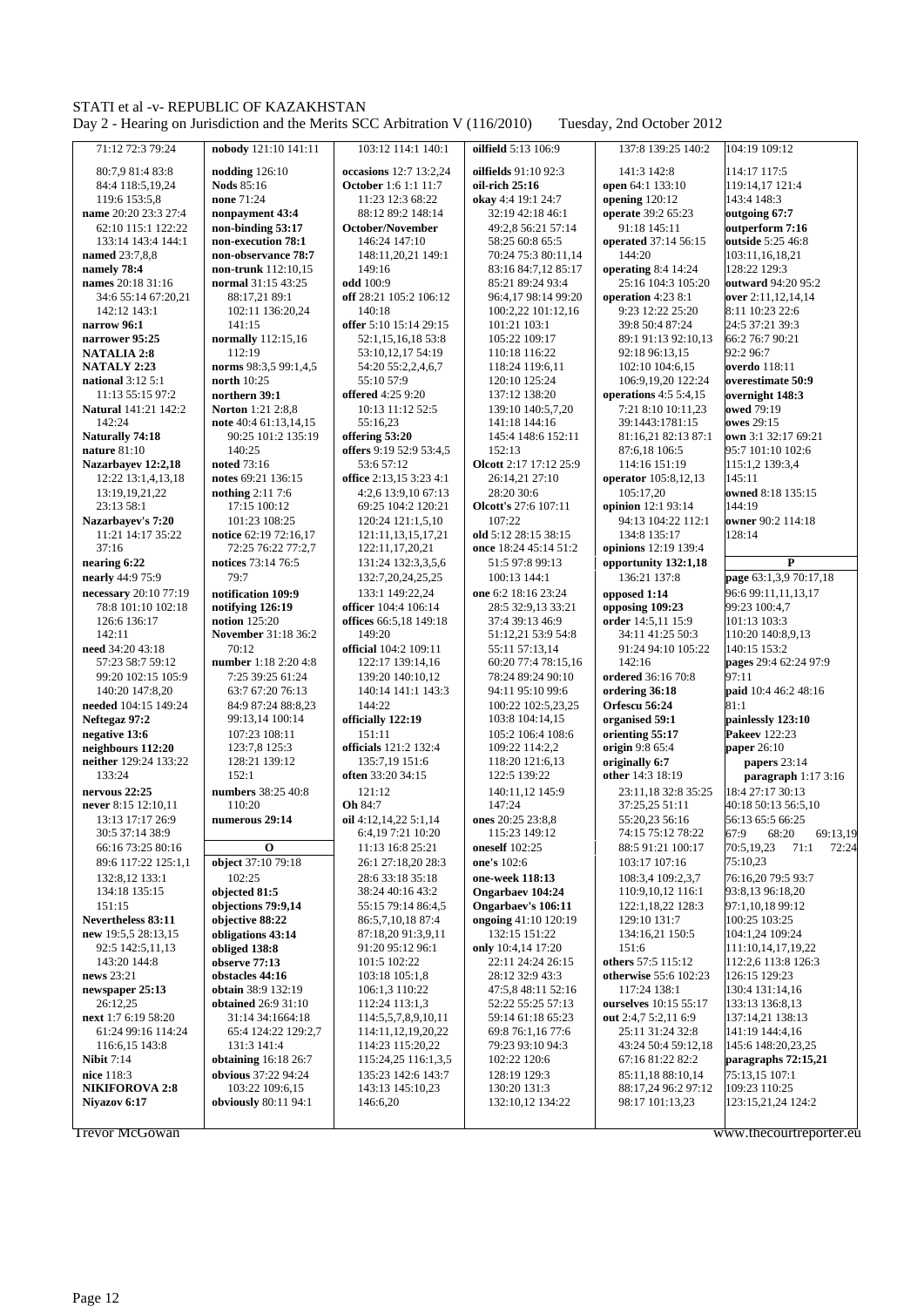71:12 72:3 79:24  $80.7981.483.8$ 84.4 118.5 19 24 119:6 153:5.8 name 20:20 23:3 27:4 62:10 115:1 122:22 133.14 143.4 144.1 named  $23.788$ namely 78:4 names 20:18 31:16  $34.655.1467.2021$  $142.12$   $143.1$ narrow 96:1 narrower 95:25 NATALIA  $2.8$ **NATALY 2:23**  $n$  national  $3:12\ 5:1$ 11:13 55:15 97:2 Natural 141:21 142:2  $142.24$ Naturally 74:18 nature  $81:10$ Nazarbayev 12:2,18 12:22 13:1,4,13,18 13:19,19,21,22  $23:13.58:1$ Nazarbayev's 7.20 11:21 14:17 35:22  $37:16$ nearing 6:22 nearly 44:9 75:9 necessary 20:10 77:19 78:8 101:10 102:18 126:6 136:17  $142.11$ need 34:20 43:18 57:23 58:7 59:12  $99.20102.15105.9$  $140.20$   $147.8$  20 needed 104:15 149:24 Neftegaz 97:2 negative 13:6 neighbours 112:20 neither 129:24 133:22  $133.24$ nervous 22:25 never 8:15 12:10,11 13:13 17:17 26:9 30:5 37:14 38:9  $66.1673.2580.16$ 89:6 117:22 125:1,1  $132.812133.1$  $134.18$   $135.15$  $151:15$ Nevertheless 83:11 new 19.5 5 28.13 15  $02.5142.51113$ 143:20 144:8 news 23:21 newspaper 25:13  $26.12.25$ next  $1.76.1958.20$  $61.2499.16114.24$ 116:6,15 143:8 Nibit  $7:14$ nice  $118.3$ NIKIFOROVA 2:8 Niyazov 6:17

nobody 121:10 141:11 nodding  $126:10$ **Nods 85:16** none 71:24 nonpayment 43:4  $non-binding 53:17$ non-execution 78.1 non-observance 78.7 non-trunk  $112:10.15$ normal 31:15 43:25 88.17.21.89.1  $102.11$  136.20 24  $141.15$ normally 112:15,16  $112.19$ norms 98:3,5 99:1,4,5 north  $10:25$ northern 39:1 **Norton** 1:21 2:8,8 note 40:4 61:13,14,15 90:25 101:2 135:19 140:25 noted 73:16 notes 69:21 136:15 **nothing** 2:11 7:6 17:15 100:12  $101.23108.25$ notice 62:19 72:16,17 72:25 76:22 77:2,7 notices 73:14 76:5  $79.7$ notification 109:9 notifying 126:19 notion  $125.20$ November 31:18 36:2  $70:12$ number 1:18 2:20 4:8  $7.2539.2561.24$  $63.767.2076.13$ 84:9 87:24 88:8,23 99:13,14 100:14  $107.23108.11$  $123.781253$  $128.21$   $139.12$  $152 - 1$ numbers 38:25 40:8  $110.20$ numerous 29:14  $\Omega$ object 37:10 79:18  $102.25$ objected 81:5 objections 79:9,14 objective 88:22 obligations 43.14  $\alpha$ bliged 138.8 observe  $77:13$ obstacles 44:16 obtain 38:9 132:19 obtained  $26.931 \cdot 10$  $31.1434.1664.18$ 65:4 124:22 129:2.7 131:3 141:4 **obtaining** 16:18 26:7 obvious 37:22 94:24  $103.22109615$ obviously 80:11 94:1

103:12 114:1 140:1 occasions  $12.713.224$ October 1:6 1:1 11:7 11:23 12:3 68:22 88:12 89:2 148:14 October/November  $146.24$   $147.10$ 148:11.20.21 149:1  $149.16$ odd 100:9 off 28:21 105:2 106:12  $140.18$ offer 5:10 15:14 29:15 52:1,15,16,18 53:8 53:10,12,17 54:19 54:20 55:2,2,4,6,7 55:10 57:9 offered 4:25 9:20 10:13 11:12 52:5 55:16,23 offering 53:20 offers 9:19 52:9 53:4,5 53:657:12 office 2:13,15 3:23 4:1 4:2,6 13:9,10 67:13 69:25 104:2 120:21  $120.24$   $121.1$  5 10 121:11,13,15,17,21 122:11.17.20.21 131:24 132:3,3,5,6  $132.720242525$  $133 \cdot 1149 \cdot 2224$ officer 104:4 106:14 offices 66:5 18 149:18  $149.20$ official 104:2 109:11 122:17 139:14,16  $139.20$   $140.10$   $12$  $140.14$   $141.1$   $143.3$ 144:22 officially 122:19  $151 - 11$ officials  $121 \cdot 2$   $132 \cdot 4$ 135:7,19 151:6 often 33:20 34:15  $121 - 12$ Oh  $84-7$ oil 4:12,14,22 5:1,14 6:4.19 7:21 10:20  $11.1316.825.21$ 26:1 27:18,20 28:3  $28.633.1835.18$ 38:24 40:16 43:2 55:15 79:14 86:4,5 86:5,7,10,18 87:4 87.18.20.91.3.9.11  $01.2005.1206.1$ 101:5 102:22 103:18 105:1.8 106:1.3 110:22  $112.24$  113.13 114:5.5.7.8.9.10.11 114:11 12 19 20 22 114:23 115:20,22  $115.2425116135$ 135.23 142.6 143.7  $143.13$   $145.10$  23 146:6,20

oilfield 5:13 106:9 oilfields  $91 \cdot 10$   $92 \cdot 3$  $oil$ -rich  $25.16$ okay 4:4 19:1 24:7 32:19 42:18 46:1 49:2.8 56:21 57:14  $58.2560.8655$ 70.24 75.3 80.11 14  $83.1684.71285.17$ 85:21 89:24 93:4 96:4,17 98:14 99:20  $100 \cdot 2$  22  $101 \cdot 12$  16  $101.21$   $103.1$ 105:22 109:17 110:18 116:22 118:24 119:6,11  $120 \cdot 10$  125 $\cdot 24$ 137:12 138:20 139:10 140:5,7,20 141:18 144:16 145:4 148:6 152:11  $152:13$ Olcott 2:17 17:12 25:9 26:14,21 27:10 28:20 30:6 **Olcott's 27:6 107:11**  $107.22$ old 5:12.28:15.38:15 once 18:24 45:14 51:2 51:5 97:8 99:13  $100.13144.1$ one 6:2 18:16 23:24 28:5 32:9.13 33:21  $37.439.13469$ 51:12,21 53:9 54:8 55:11 57:13,14 60:20 77:4 78:15,16 78.24.89.24.90.10  $94.1195.10996$ 100:22 102:5,23,25 103:8 104:14,15  $105.2106.4108.6$  $109.22$   $114.2$  2 118:20 121:6,13 122:5 139:22 140:11,12 145:9  $147.24$ ones 20:25 23:8,8  $115.23149.12$ oneself  $102.25$ one's  $102.6$ one-week  $118.13$ Ongarbaev 104:24 Ongarbaev's 106:11 ongoing 41:10 120:19  $132.151.22$ only 10:4,14 17:20 22:11 24:24 26:15 28:12 32:9 43:3 47:5,8 48:11 52:16  $52.22552557.13$  $59.1461.1865.23$  $69.876116776$ 79:23 93:10 94:3  $102.22.120.6$  $128.19$   $129.3$  $130.20131.3$ 132:10,12 134:22

 $141.3142.8$ open 64:1 133:10 opening  $120:12$ operate 39:2 65:23 91:18 145:11 operated 37:14 56:15  $144.20$ operating  $8:4$  14:24 25:16 104:3 105:20 operation  $4.2381$  $9.2312.2225.20$  $39.850.487.24$ 89:1 91:13 92:10,13 92:18 96:13,15 102:10 104:6,15 106:9,19,20 122:24 operations  $4:5, 5:4, 15$ 7:21 8:10 10:11,23 39:1443:1781:15 81:16.21 82:13 87:1 87:6.18 106:5 114:16 151:19 operator 105:8,12,13 105:17,20 opinion 12:1 93:14  $94.13104.22112.1$ 134:8 135:17 opinions 12:19 139:4 opportunity 132:1,18 136:21 137:8 opposed 1:14 opposing 109:23 order  $14.51115.9$  $34.1141.2550.3$ 91:24 94:10 105:22  $142:16$ ordered  $36:16.70:8$ ordering 36:18 Orfescu 56:24 organised 59:1 orienting 55:17 origin 9:8 65:4 originally 6:7 other 14:3 18:19 23:11,18 32:8 35:25 37:25.25.51:11 55:20,23 56:16 74:15 75:12 78:22 88.5 91.21 100.17 103:17 107:16  $108.34109.237$ 110:9,10,12 116:1 122:1,18,22 128:3 129:10 131:7  $134.1621150.5$  $151 - 6$ others 57:5 115:12 otherwise 55:6 102:23 117:24 138:1 ourselves  $10.1555.17$ out 2:4.7 5:2.11 6:9  $25.1131.2432.8$ 43:24 50:4 59:12,18  $67.1681.2282.2$ 85:11.18 88:10.14 88.17.24.96.2.97.12 98:17 101:13,23

137:8 139:25 140:2

104:19 109:12  $114.17117.5$ 119-14 17 121-4 143:4 148:3 outgoing 67:7 outperform 7:16 outside  $5.2546.8$  $103.11$  16 18 21  $128.22129.3$ outward 94:20 95:2 over 2:11,12,14,14  $8.11$  10.23 22.6  $24.537.2139.3$ 66:2 76:7 90:21  $92.296.7$ overdo 118:11 overestimate 50:9 overnight 148:3 owed 79:19 owes  $29:15$ own 3:1 32:17 69:21 95:7 101:10 102:6  $115.12139.34$ 145:11 owned 8:18 135:15 144:19 owner 90:2 114:18 128:14  $\overline{P}$ page 63:1,3,9 70:17,18 96:6 99:11.11.13.17 99:23 100:4.7  $101.13103.3$  $110.20140.8913$ 140:15 153:2 pages 29:4 62:24 97:9  $97.11$ paid 10:4 46:2 48:16  $81:1$ painlessly 123:10  $P_9$ keev 122.23 paper 26:10 papers 23:14  $\frac{1}{2}$  paragraph 1:17 3:16  $18.427.1730.13$ 40:18 50:13 56:5,10 56:13 65:5 66:25  $69.1310$  $67.9$  $68.20$ 70:5.19.23  $71.1$  $72.24$ 75:10,23  $76.1620795937$ 93:8.13 96:18.20 97:1,10,18 99:12 100:25 103:25 104:1.24 109:24 111-10 14 17 19 22 112:2,6 113:8 126:3 126:15 129:23 130:4 131:14,16  $133.13136.813$ 137.14.21.138.13  $141.19144416$ 145:6 148:20,23,25 paragraphs 72:15,21  $75:13.15$  107:1 109.23.110.25 123:15,21,24 124:2

**Trevor McGowan** 

www.thecourtreporter.eu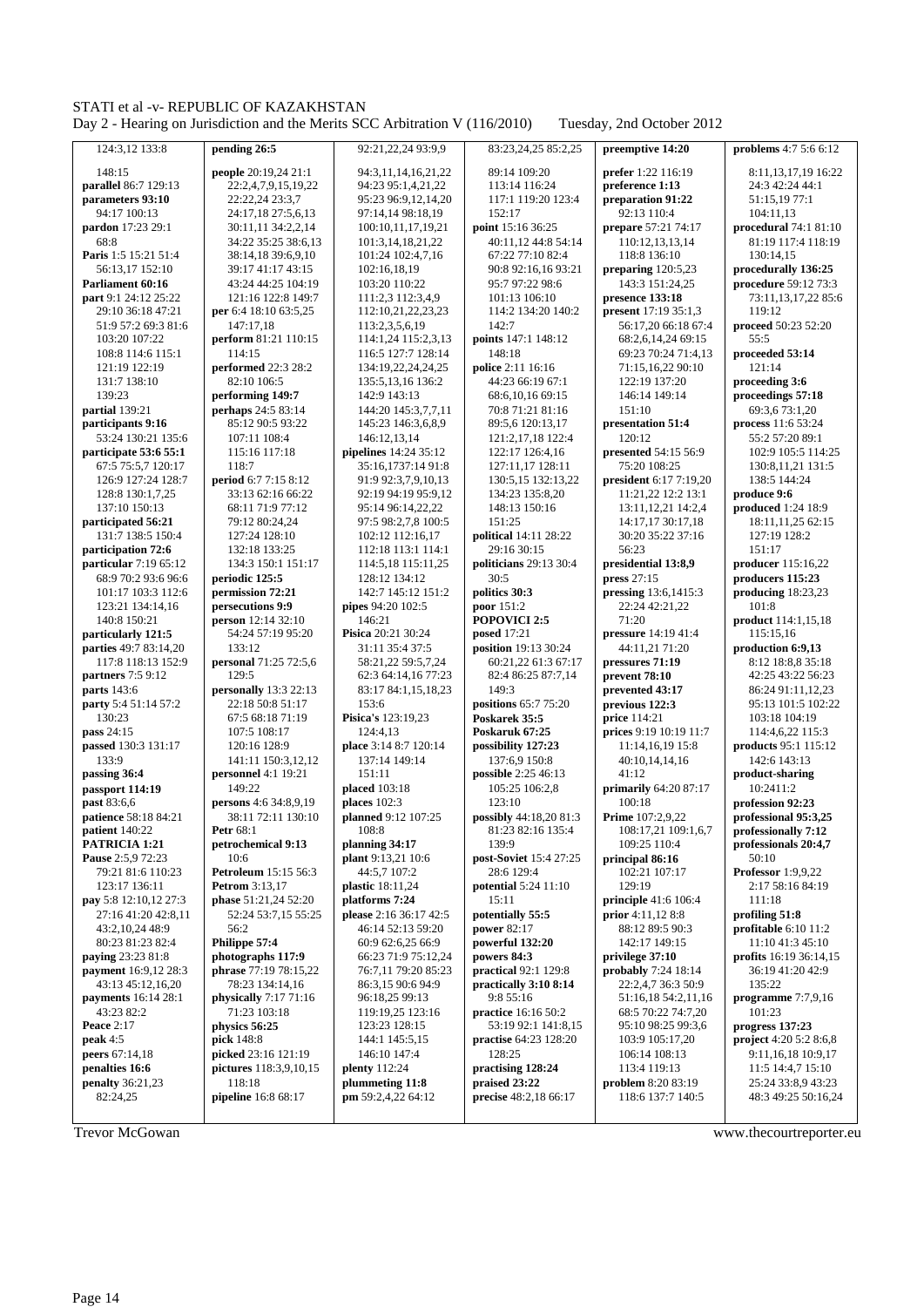|                                             | on $\theta$ and $\theta$ and the memory $\theta$ of $\theta$ in dimension $\theta$ , (110/2010) |                                                    |                                            |                                        |                                                   |
|---------------------------------------------|-------------------------------------------------------------------------------------------------|----------------------------------------------------|--------------------------------------------|----------------------------------------|---------------------------------------------------|
| 124:3,12 133:8                              | pending 26:5                                                                                    | 92:21,22,24 93:9,9                                 | 83:23,24,25 85:2,25                        | preemptive 14:20                       | problems 4:7 5:6 6:12                             |
| 148:15                                      | <b>people</b> 20:19,24 21:1                                                                     | 94:3,11,14,16,21,22                                | 89:14 109:20                               | prefer 1:22 116:19                     | 8:11, 13, 17, 19 16: 22                           |
| parallel 86:7 129:13                        | 22:2,4,7,9,15,19,22                                                                             | 94:23 95:1,4,21,22                                 | 113:14 116:24                              | preference 1:13                        | 24:3 42:24 44:1                                   |
| parameters 93:10                            | 22:22,24 23:3,7                                                                                 | 95:23 96:9,12,14,20                                | 117:1 119:20 123:4                         | preparation 91:22                      | 51:15,1977:1                                      |
| 94:17 100:13                                | 24:17,18 27:5,6,13                                                                              | 97:14,14 98:18,19                                  | 152:17                                     | 92:13 110:4                            | 104:11,13                                         |
| pardon 17:23 29:1                           | 30:11,11 34:2,2,14                                                                              | 100:10,11,17,19,21                                 | point 15:16 36:25                          | prepare 57:21 74:17                    | $\bold{procedural}$ 74:1 $81:10$                  |
| 68:8<br>Paris 1:5 15:21 51:4                | 34:22 35:25 38:6,13<br>38:14,18 39:6,9,10                                                       | 101:3,14,18,21,22<br>101:24 102:4,7,16             | 40:11,12 44:8 54:14<br>67:22 77:10 82:4    | 110:12,13,13,14<br>118:8 136:10        | 81:19 117:4 118:19<br>130:14,15                   |
| 56:13,17 152:10                             | 39:17 41:17 43:15                                                                               | 102:16,18,19                                       | 90:8 92:16,16 93:21                        | preparing 120:5,23                     | procedurally 136:25                               |
| Parliament 60:16                            | 43:24 44:25 104:19                                                                              | 103:20 110:22                                      | 95:7 97:22 98:6                            | 143:3 151:24,25                        | procedure 59:12 73:3                              |
| part 9:1 24:12 25:22                        | 121:16 122:8 149:7                                                                              | 111:2,3 112:3,4,9                                  | 101:13 106:10                              | presence 133:18                        | 73:11,13,17,22 85:6                               |
| 29:10 36:18 47:21                           | per 6:4 18:10 63:5,25                                                                           | 112:10,21,22,23,23                                 | 114:2 134:20 140:2                         | present 17:19 35:1,3                   | 119:12                                            |
| 51:9 57:2 69:3 81:6                         | 147:17,18                                                                                       | 113:2,3,5,6,19                                     | 142:7                                      | 56:17,20 66:18 67:4                    | proceed 50:23 52:20                               |
| 103:20 107:22                               | perform 81:21 110:15                                                                            | 114:1,24 115:2,3,13                                | points 147:1 148:12                        | 68:2,6,14,24 69:15                     | 55:5                                              |
| 108:8 114:6 115:1                           | 114:15                                                                                          | 116:5 127:7 128:14                                 | 148:18                                     | 69:23 70:24 71:4,13                    | proceeded 53:14                                   |
| 121:19 122:19                               | performed 22:3 28:2                                                                             | 134:19,22,24,24,25                                 | <b>police</b> 2:11 16:16                   | 71:15,16,22 90:10                      | 121:14                                            |
| 131:7 138:10                                | 82:10 106:5                                                                                     | 135:5, 13, 16 136:2                                | 44:23 66:19 67:1                           | 122:19 137:20                          | proceeding 3:6                                    |
| 139:23                                      | performing 149:7                                                                                | 142:9 143:13                                       | 68:6, 10, 16 69:15                         | 146:14 149:14                          | proceedings 57:18                                 |
| partial 139:21                              | perhaps 24:5 83:14                                                                              | 144:20 145:3,7,7,11                                | 70:8 71:21 81:16                           | 151:10                                 | 69:3,673:1,20                                     |
| participants 9:16                           | 85:12 90:5 93:22                                                                                | 145:23 146:3,6,8,9                                 | 89:5,6 120:13,17                           | presentation 51:4                      | process 11:6 53:24                                |
| 53:24 130:21 135:6                          | 107:11 108:4<br>115:16 117:18                                                                   | 146:12,13,14                                       | 121:2,17,18 122:4                          | 120:12<br>presented 54:15 56:9         | 55:2 57:20 89:1<br>102:9 105:5 114:25             |
| participate 53:6 55:1<br>67:5 75:5.7 120:17 | 118:7                                                                                           | <b>pipelines</b> 14:24 35:12<br>35:16,1737:14 91:8 | 122:17 126:4,16<br>127:11,17 128:11        | 75:20 108:25                           | 130:8,11,21 131:5                                 |
| 126:9 127:24 128:7                          | period 6:7 7:15 8:12                                                                            | 91:9 92:3,7,9,10,13                                | 130:5,15 132:13,22                         | <b>president</b> 6:17 7:19,20          | 138:5 144:24                                      |
| 128:8 130:1,7,25                            | 33:13 62:16 66:22                                                                               | 92:19 94:19 95:9,12                                | 134:23 135:8,20                            | 11:21,22 12:2 13:1                     | produce 9:6                                       |
| 137:10 150:13                               | 68:11 71:9 77:12                                                                                | 95:14 96:14,22,22                                  | 148:13 150:16                              | 13:11,12,21 14:2,4                     | produced 1:24 18:9                                |
| participated 56:21                          | 79:12 80:24,24                                                                                  | 97:5 98:2,7,8 100:5                                | 151:25                                     | 14:17,17 30:17,18                      | 18:11,11,25 62:15                                 |
| 131:7 138:5 150:4                           | 127:24 128:10                                                                                   | 102:12 112:16,17                                   | political 14:11 28:22                      | 30:20 35:22 37:16                      | 127:19 128:2                                      |
| participation 72:6                          | 132:18 133:25                                                                                   | 112:18 113:1 114:1                                 | 29:16 30:15                                | 56:23                                  | 151:17                                            |
| particular 7:19 65:12                       | 134:3 150:1 151:17                                                                              | 114:5,18 115:11,25                                 | politicians 29:13 30:4                     | presidential 13:8,9                    | producer 115:16,22                                |
| 68:9 70:2 93:6 96:6                         | periodic 125:5                                                                                  | 128:12 134:12                                      | 30:5                                       | press 27:15                            | producers 115:23                                  |
| 101:17 103:3 112:6                          | permission 72:21                                                                                | 142:7 145:12 151:2                                 | politics 30:3                              | pressing 13:6,1415:3                   | producing $18:23,23$                              |
| 123:21 134:14,16                            | persecutions 9:9                                                                                | pipes 94:20 102:5                                  | poor 151:2                                 | 22:24 42:21,22                         | 101:8                                             |
| 140:8 150:21<br>particularly 121:5          | person 12:14 32:10<br>54:24 57:19 95:20                                                         | 146:21<br>Pisica 20:21 30:24                       | POPOVICI 2:5<br>posed 17:21                | 71:20<br>pressure 14:19 41:4           | product 114:1,15,18<br>115:15,16                  |
| <b>parties</b> 49:7 83:14,20                | 133:12                                                                                          | 31:11 35:4 37:5                                    | position 19:13 30:24                       | 44:11,21 71:20                         | production 6:9,13                                 |
| 117:8 118:13 152:9                          | personal 71:25 72:5,6                                                                           | 58:21,22 59:5,7,24                                 | 60:21,22 61:3 67:17                        | pressures 71:19                        | 8:12 18:8,8 35:18                                 |
| partners 7:5 9:12                           | 129:5                                                                                           | 62:3 64:14,16 77:23                                | 82:4 86:25 87:7,14                         | prevent 78:10                          | 42:25 43:22 56:23                                 |
| <b>parts</b> 143:6                          | personally 13:3 22:13                                                                           | 83:17 84:1,15,18,23                                | 149:3                                      | prevented 43:17                        | 86:24 91:11,12,23                                 |
| <b>party</b> 5:4 51:14 57:2                 | 22:18 50:8 51:17                                                                                | 153:6                                              | positions 65:7 75:20                       | previous 122:3                         | 95:13 101:5 102:22                                |
| 130:23                                      | 67:5 68:18 71:19                                                                                | Pisica's 123:19,23                                 | Poskarek 35:5                              | <b>price</b> 114:21                    | 103:18 104:19                                     |
| pass 24:15                                  | 107:5 108:17                                                                                    | 124:4,13                                           | Poskaruk 67:25                             | prices 9:19 10:19 11:7                 | 114:4,6,22 115:3                                  |
| passed 130:3 131:17                         | 120:16 128:9                                                                                    | place 3:14 8:7 120:14                              | possibility 127:23                         | 11:14,16,19 15:8                       | products 95:1 115:12                              |
| 133:9                                       | 141:11 150:3,12,12                                                                              | 137:14 149:14                                      | 137:6,9 150:8                              | 40:10,14,14,16                         | 142:6 143:13                                      |
| passing 36:4                                | personnel 4:1 19:21                                                                             | 151:11                                             | possible 2:25 46:13                        | 41:12                                  | product-sharing                                   |
| passport 114:19<br><b>past</b> 83:6,6       | 149:22<br>persons 4:6 34:8,9,19                                                                 | placed 103:18<br>places 102:3                      | 105:25 106:2,8<br>123:10                   | primarily 64:20 87:17<br>100:18        | 10:2411:2<br>profession 92:23                     |
| patience 58:18 84:21                        | 38:11 72:11 130:10                                                                              | planned 9:12 107:25                                | possibly 44:18,20 81:3                     | <b>Prime</b> 107:2,9,22                | professional 95:3,25                              |
| patient 140:22                              | <b>Petr</b> 68:1                                                                                | 108:8                                              | 81:23 82:16 135:4                          | 108:17,21 109:1,6,7                    | professionally 7:12                               |
| <b>PATRICIA 1:21</b>                        | petrochemical 9:13                                                                              | planning 34:17                                     | 139:9                                      | 109:25 110:4                           | professionals 20:4,7                              |
| Pause 2:5,9 72:23                           | 10:6                                                                                            | plant 9:13,21 10:6                                 | post-Soviet 15:4 27:25                     | principal 86:16                        | 50:10                                             |
| 79:21 81:6 110:23                           | Petroleum 15:15 56:3                                                                            | 44:5,7 107:2                                       | 28:6 129:4                                 | 102:21 107:17                          | <b>Professor</b> 1:9,9,22                         |
| 123:17 136:11                               | <b>Petrom</b> 3:13,17                                                                           | <b>plastic</b> 18:11,24                            | potential 5:24 11:10                       | 129:19                                 | 2:17 58:16 84:19                                  |
| pay 5:8 12:10,12 27:3                       | phase 51:21,24 52:20                                                                            | platforms 7:24                                     | 15:11                                      | principle 41:6 106:4                   | 111:18                                            |
| 27:16 41:20 42:8,11                         | 52:24 53:7,15 55:25                                                                             | please 2:16 36:17 42:5                             | potentially 55:5                           | prior $4:11,128:8$                     | profiling 51:8                                    |
| 43:2, 10, 24 48:9                           | 56:2                                                                                            | 46:14 52:13 59:20                                  | <b>power</b> 82:17                         | 88:12 89:5 90:3                        | profitable $6:10$ 11:2                            |
| 80:23 81:23 82:4                            | Philippe 57:4                                                                                   | 60:9 62:6,25 66:9                                  | powerful 132:20                            | 142:17 149:15                          | 11:10 41:3 45:10                                  |
| paying 23:23 81:8<br>payment 16:9,12 28:3   | photographs 117:9<br><b>phrase</b> 77:19 78:15,22                                               | 66:23 71:9 75:12,24<br>76:7,11 79:20 85:23         | powers 84:3<br><b>practical</b> 92:1 129:8 | privilege 37:10<br>probably 7:24 18:14 | <b>profits</b> 16:19 36:14,15<br>36:19 41:20 42:9 |
| 43:13 45:12,16,20                           | 78:23 134:14,16                                                                                 | 86:3,15 90:6 94:9                                  | practically 3:10 8:14                      | 22:2,4,7 36:3 50:9                     | 135:22                                            |
| payments 16:14 28:1                         | physically 7:17 71:16                                                                           | 96:18,25 99:13                                     | 9:8 55:16                                  | 51:16,18 54:2,11,16                    | programme 7:7,9,16                                |
| 43:23 82:2                                  | 71:23 103:18                                                                                    | 119:19,25 123:16                                   | <b>practice</b> 16:16 50:2                 | 68:5 70:22 74:7,20                     | 101:23                                            |
| <b>Peace 2:17</b>                           | physics 56:25                                                                                   | 123:23 128:15                                      | 53:19 92:1 141:8,15                        | 95:10 98:25 99:3,6                     | progress 137:23                                   |
| peak 4:5                                    | <b>pick</b> 148:8                                                                               | 144:1 145:5,15                                     | <b>practise</b> 64:23 128:20               | 103:9 105:17,20                        | <b>project</b> 4:20 5:2 8:6,8                     |
| peers 67:14,18                              | picked 23:16 121:19                                                                             | 146:10 147:4                                       | 128:25                                     | 106:14 108:13                          | 9:11,16,18 10:9,17                                |
| penalties 16:6                              | pictures 118:3,9,10,15                                                                          | <b>plenty</b> 112:24                               | practising 128:24                          | 113:4 119:13                           | 11:5 14:4,7 15:10                                 |
| penalty 36:21,23                            | 118:18                                                                                          | plummeting 11:8                                    | praised 23:22                              | <b>problem</b> 8:20 83:19              | 25:24 33:8,9 43:23                                |
| 82:24,25                                    | pipeline 16:8 68:17                                                                             | pm 59:2,4,22 64:12                                 | precise 48:2,18 66:17                      | 118:6 137:7 140:5                      | 48:3 49:25 50:16,24                               |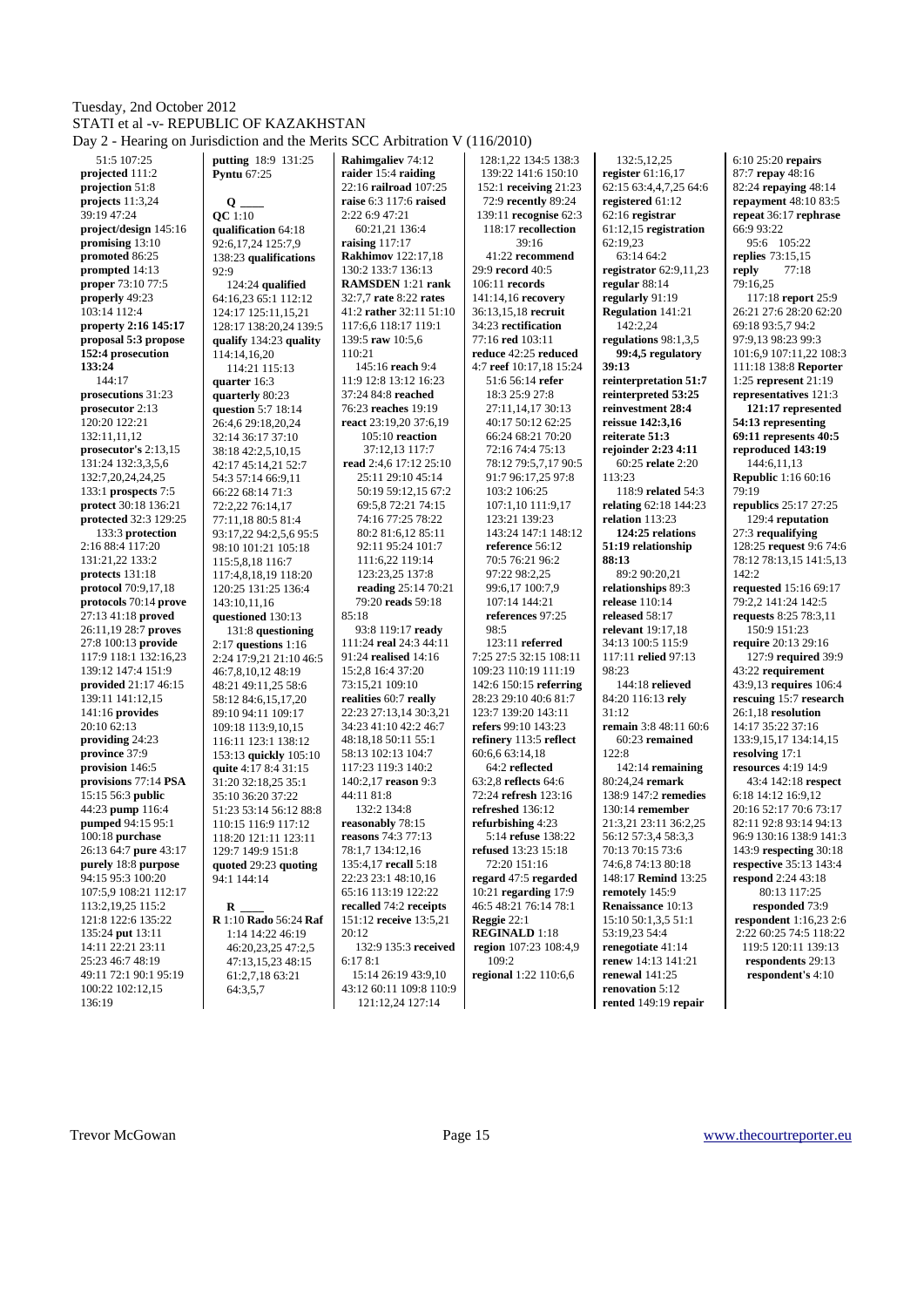## Tuesday, 2nd October 2012 STATI et al -v- REPUBLIC OF KAZAKHSTAN Day 2 - Hearing on Jurisdiction and the Merits SCC Arbitration V (116/2010)

51:5 107:25 **projected** 111:2 **projection** 51:8 **projects** 11:3,24 39:19 47:24 **project/design** 145:16 **promising** 13:10 **promoted** 86:25 **prompted** 14:13 **proper** 73:10 77:5 **properly** 49:23  $103.14$  112:4 **property 2:16 145:17 proposal 5:3 propose 152:4 prosecution 133:24**  144:17 **prosecutions** 31:23 **prosecutor** 2:13 120:20 122:21 132:11,11,12 **prosecutor's** 2:13,15  $131.24$  132:3,3,56 132:7,20,24,24,25 133:1 **prospects** 7:5 **protect** 30:18 136:21 **protected** 32:3 129:25 133:3 **protection** 2:16 88:4 117:20  $131.21.22 133.2$ **protects** 131:18 **protocol** 70:9,17,18 **protocols** 70:14 **prove** 27:13 41:18 **proved** 26:11,19 28:7 **proves** 27:8 100:13 **provide** 117:9 118:1 132:16,23 139:12 147:4 151:9 **provided** 21:17 46:15 139:11 141:12,15 141:16 **provides** 20:10 62:13 **providing** 24:23 **province** 37:9 **provision** 146:5 **provisions** 77:14 **PSA** 15:15 56:3 **public** 44:23 **pump** 116:4 **pumped** 94:15 95:1 100:18 **purchase** 26:13 64:7 **pure** 43:17 **purely** 18:8 **purpose** 94:15 95:3 100:20 107:5,9 108:21 112:17 113:2,19,25 115:2 121:8 122:6 135:22 135:24 **put** 13:11 14:11 22:21 23:11 25:23 46:7 48:19 49:11 72:1 90:1 95:19 100:22 102:12,15 136:19

**putting** 18:9 131:25 **Pyntu** 67:25  $\bf{Q}$   $\bf{=}$ **QC** 1:10 **qualification** 64:18 92:6,17,24 125:7,9 138:23 **qualifications**  $92.9$ 124:24 **qualified** 64:16,23 65:1 112:12 124:17 125:11,15,21 128:17 138:20,24 139:5 **qualify** 134:23 **quality** 114:14,16,20 114:21 115:13 **quarter** 16:3 **quarterly** 80:23 **question** 5:7 18:14 26:4,6 29:18,20,24 32:14 36:17 37:10 38:18 42:2,5,10,15 42:17 45:14,21 52:7 54:3 57:14 66:9,11 66:22 68:14 71:3 72:2,22 76:14,17 77:11,18 80:5 81:4 93:17,22 94:2,5,6 95:5 98:10 101:21 105:18 115:5,8,18 116:7 117:4,8,18,19 118:20 120:25 131:25 136:4 143:10,11,16 **questioned** 130:13 131:8 **questioning** 2:17 **questions** 1:16 2:24 17:9,21 21:10 46:5 46:7,8,10,12 48:19 48:21 49:11,25 58:6 58:12 84:6,15,17,20 89:10 94:11 109:17 109:18 113:9,10,15 116:11 123:1 138:12 153:13 **quickly** 105:10 **quite** 4:17 8:4 31:15 31:20 32:18,25 35:1 35:10 36:20 37:22 51:23 53:14 56:12 88:8 110:15 116:9 117:12 118:20 121:11 123:11 129:7 149:9 151:8 **quoted** 29:23 **quoting** 94:1 144:14  **R \_\_\_\_ R** 1:10 **Rado** 56:24 **Raf** 1:14 14:22 46:19 46:20,23,25 47:2,5

> 47:13,15,23 48:15 61:2,7,18 63:21 64:3,5,7

**Rahimgaliev** 74:12 **raider** 15:4 **raiding** 22:16 **railroad** 107:25 **raise** 6:3 117:6 **raised** 2:22 6:9 47:21 60:21,21 136:4 **raising** 117:17 **Rakhimov** 122:17,18 130:2 133:7 136:13 **RAMSDEN** 1:21 **rank** 32:7,7 **rate** 8:22 **rates** 41:2 **rather** 32:11 51:10 117:6,6 118:17 119:1 139:5 **raw** 10:5,6 110:21 145:16 **reach** 9:4 11:9 12:8 13:12 16:23 37:24 84:8 **reached** 76:23 **reaches** 19:19 **react** 23:19,20 37:6,19 105:10 **reaction** 37:12,13 117:7 **read** 2:4,6 17:12 25:10 25:11 29:10 45:14 50:19 59:12,15 67:2 69:5,8 72:21 74:15 74:16 77:25 78:22 80:2 81:6,12 85:11 92:11 95:24 101:7 111:6,22 119:14 123:23,25 137:8 **reading** 25:14 70:21 79:20 **reads** 59:18 85:18 93:8 119:17 **ready** 111:24 **real** 24:3 44:11 91:24 **realised** 14:16 15:2,8 16:4 37:20 73:15,21 109:10 **realities** 60:7 **really** 22:23 27:13,14 30:3,21 34:23 41:10 42:2 46:7 48:18,18 50:11 55:1 58:13 102:13 104:7 117:23 119:3 140:2 140:2,17 **reason** 9:3 44:11 81:8 132:2 134:8 **reasonably** 78:15 **reasons** 74:3 77:13 78:1,7 134:12,16 135:4,17 **recall** 5:18 22:23 23:1 48:10,16 65:16 113:19 122:22 **recalled** 74:2 **receipts** 151:12 **receive** 13:5,21 20:12 132:9 135:3 **received** 6:17 8:1 15:14 26:19 43:9,10 43:12 60:11 109:8 110:9 121:12,24 127:14

128:1,22 134:5 138:3 139:22 141:6 150:10 152:1 **receiving** 21:23 72:9 **recently** 89:24 139:11 **recognise** 62:3 118:17 **recollection** 39:16 41:22 **recommend** 29:9 **record** 40:5 106:11 **records** 141:14,16 **recovery** 36:13,15,18 **recruit** 34:23 **rectification** 77:16 **red** 103:11 **reduce** 42:25 **reduced** 4:7 **reef** 10:17,18 15:24 51:6 56:14 **refer** 18:3 25:9 27:8 27:11,14,17 30:13 40:17 50:12 62:25 66:24 68:21 70:20 72:16 74:4 75:13 78:12 79:5,7,17 90:5 91:7 96:17,25 97:8 103:2 106:25 107:1,10 111:9,17 123:21 139:23 143:24 147:1 148:12 **reference** 56:12 70:5 76:21 96:2 97:22 98:2,25 99:6,17 100:7,9 107:14 144:21 **references** 97:25 98:5 123:11 **referred** 7:25 27:5 32:15 108:11 109:23 110:19 111:19 142:6 150:15 **referring** 28:23 29:10 40:6 81:7 123:7 139:20 143:11 **refers** 99:10 143:23 **refinery** 113:5 **reflect** 60:6,6 63:14,18 64:2 **reflected** 63:2,8 **reflects** 64:6 72:24 **refresh** 123:16 **refreshed** 136:12 **refurbishing** 4:23 5:14 **refuse** 138:22 **refused** 13:23 15:18 72:20 151:16 **regard** 47:5 **regarded** 10:21 **regarding** 17:9 46:5 48:21 76:14 78:1 **Reggie** 22:1 **REGINALD** 1:18 **region** 107:23 108:4,9  $109.2$ **regional** 1:22 110:6,6

**register** 61:16,17 62:15 63:4,4,7,25 64:6 **registered** 61:12 62:16 **registrar** 61:12,15 **registration** 62:19,23 63:14 64:2 **registrator** 62:9,11,23 **regular** 88:14 **regularly** 91:19 **Regulation** 141:21  $142.2.24$ **regulations** 98:1,3,5 **99:4,5 regulatory 39:13 reinterpretation 51:7 reinterpreted 53:25 reinvestment 28:4 reissue 142:3,16 reiterate 51:3 rejoinder 2:23 4:11**  60:25 **relate** 2:20 113:23 118:9 **related** 54:3 **relating** 62:18 144:23 **relation** 113:23 **124:25 relations 51:19 relationship 88:13**  89:2 90:20,21 **relationships** 89:3 **release** 110:14 **released** 58:17 **relevant** 19:17,18 34:13 100:5 115:9 117:11 **relied** 97:13 98:23 144:18 **relieved** 84:20 116:13 **rely**  $31.12$ **remain** 3:8 48:11 60:6 60:23 **remained** 122:8 142:14 **remaining** 80:24,24 **remark** 138:9 147:2 **remedies** 130:14 **remember** 21:3,21 23:11 36:2,25 56:12 57:3,4 58:3,3 70:13 70:15 73:6 74:6,8 74:13 80:18 148:17 **Remind** 13:25 **remotely** 145:9 **Renaissance** 10:13 15:10 50:1,3,5 51:1 53:19,23 54:4 **renegotiate** 41:14 **renew** 14:13 141:21 **renewal** 141:25 **renovation** 5:12 **rented** 149:19 **repair**

132:5,12,25

6:10 25:20 **repairs** 87:7 **repay** 48:16 82:24 **repaying** 48:14 **repayment** 48:10 83:5 **repeat** 36:17 **rephrase** 66:9 93:22 95:6 105:22 **replies** 73:15,15 **reply** 77:18 79:16,25 117:18 **report** 25:9 26:21 27:6 28:20 62:20  $69.1893.5794.2$ 97:9,13 98:23 99:3 101:6,9 107:11,22 108:3 111:18 138:8 **Reporter** 1:25 **represent** 21:19 **representatives** 121:3 **121:17 represented 54:13 representing 69:11 represents 40:5 reproduced 143:19**  144:6,11,13 **Republic** 1:16 60:16 79:19 **republics** 25:17 27:25 129:4 **reputation** 27:3 **requalifying** 128:25 **request** 9:6 74:6 78:12 78:13,15 141:5,13  $142.2$ **requested** 15:16 69:17 79:2,2 141:24 142:5 **requests** 8:25 78:3,11  $150.9 151.23$ **require** 20:13 29:16 127:9 **required** 39:9 43:22 **requirement** 43:9,13 **requires** 106:4 **rescuing** 15:7 **research** 26:1,18 **resolution** 14:17 35:22 37:16 133:9,15,17 134:14,15 **resolving** 17:1 **resources** 4:19 14:9 43:4 142:18 **respect** 6:18 14:12 16:9,12 20:16 52:17 70:6 73:17 82:11 92:8 93:14 94:13 96:9 130:16 138:9 141:3 143:9 **respecting** 30:18 **respective** 35:13 143:4 **respond** 2:24 43:18 80:13 117:25 **responded** 73:9 **respondent** 1:16,23 2:6 2:22 60:25 74:5 118:22 119:5 120:11 139:13 **respondents** 29:13 **respondent's** 4:10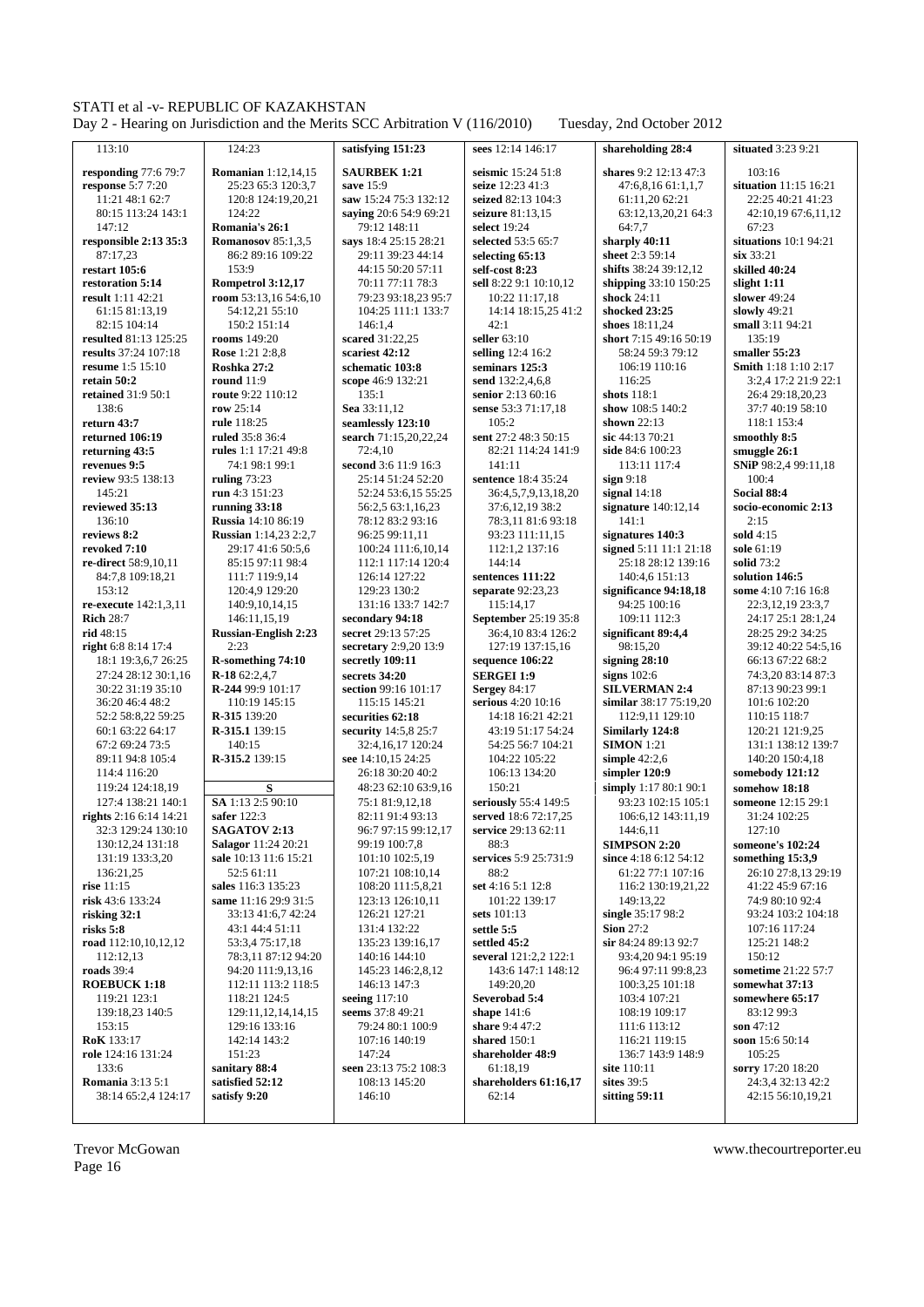113:10 124:23 **satisfying 151:23 sees** 12:14 146:17 **shareholding 28:4 situated** 3:23 9:21 **responding** 77:6 79:7 **Romanian** 1:12,14,15 **SAURBEK 1:21 seismic** 15:24 51:8 **shares** 9:2 12:13 47:3 103:16 **response** 5:7 7:20 25:23 65:3 120:3,7 **save** 15:9 **seize** 12:23 41:3 47:6,8,16 61:1,1,7 **situation** 11:15 16:21 11:21 48:1 62:7 120:8 124:19,20,21 **saw** 15:24 75:3 132:12 **seized** 82:13 104:3 61:11,20 62:21 22:25 40:21 41:23<br>80:15 113:24 143:1 124:22 **saying** 20:6 54:9 69:21 **seizure** 81:13,15 63:12,13,20,21 64:3 42:10,19 67:6,11,12 80:15 113:24 143:1 **124:22 saying** 20:6 54:9 69:21 **seizure** 81:13,15 63:12,13,20,21 64:3 **Romania's 26:1** 79:12 148:11 **64:7,7** 63:12,13,20,21 64:3 **6 14.5 Romania's 26:1 Romania's 26:1** *P9:12 148:11* **<b>select** 19:24<br> **14.7 14.25:15 18:25 <b>15.98:21 14:25 14.25:15 18:26 19:24 14:25 14:21 14:21 14:21 14:21 14:21 14:21 14:21 14:21 14:21 14: responsible 2:13 35:3 Romanosov** 85:1,3,5 **s says** 18:4 25:15 28:21 **selected** 53:5 65:7 **sharply 40:11** 87:17,23 86:2 89:16 109:22 29:11 39:23 44:14 **selecting 65:13 sheet** 2:3 59:14 **six** 33:21 **restart 105:6** 153:9 153:9 153:9 153:9 153:9 153:9 153:24 39:12,12 **17:11 78:3 12.17** 17:11 78:3 **self-cost 8:23 shifts** 38:24 39:12,12 **18:11 11 Rompetrol 3:12,17** 10:11 77:11 78:3 **12.12 11 111 111 111 1 restoration 5:14 Rompetrol 3:12,17 70:11 77:11 78:3 sell** 8:22 9:1 10:10,12 **shipping** 33:10 150:25 **slight 1:11 result** 1:11 42:21 **room** 53:13,16 54:6,10 **79:23 93:18,23 95:7 10:22 11:17,18 shock** 24:11 **sho room** 53:13,16 54:6,10 79:23 93:18,23 95:7 10:22 11:17,18 **shock** 24:11 **slower** 49:24 11:15 81:13 19 **slower** 49:24 61:15 81:13,19 54:12,21 55:10 104:25 111:1 133:7 14:14 18:15,25 41:2 **shocked 23:25 slowly** 49:21 82:15 104:14 150:2 151:14 146:1,4 42:1 **shoes** 18:11,24 **small** 3:11 94:21 **resulted** 81:13 125:25 **rooms** 149:20 **scared** 31:22,25 **seller** 63:10 **seller** 63:10 **seller** for 1:15 49:16 50:19 135:19 **results** 37:24 107:18 **Rose** 1:21 2:8.8 **scariest 42:12 selling** 12:4 16:2 58:24 59:3 79:12 **sm results** 37:24 107:18 **Rose** 1:21 2:8,8 **scariest 42:12 schematic 103:8 schematic 103:8 schematic 103:8 seminars 125:3** 106:19 110:16 **resume** 1:5 15:10 **Roshka 27:2** schematic 103:8 seminars 125:3 **come 11:9 retain 50:2 Smith** 1:18 1:10 2:17<br>**retain 50:2 retain 50:2 retain 50:2 retain 50:2 redain 50:2 retain 50:2 redain 50:2 retain 50: retain 50:2 commental round** 11:9 **scope** 46:9 132:21 **send** 132:2,4,6,8 116:25 **116:25** 16:25 3:2,4 17:2 21:9 22:1

**retained** 31:9 50:1 **route** 9:22 110:12 135:1 **senior** 2:13 60:16 **shots** 118:1 26:4 29:18,20,23 **row** 25:14 **row** 25:14 **Sea** 33:11,12 **row** 25:14 **row** 22:13 **row** 108:5 140:2 **row 13:7** 37:7 40:19 58:10 **row 13:7 rule** 118:25 **roward 3:7 rule** 118:25 **roward 3:7 rule** 118:25 **return 43:7 rule** 118:25 **return 43:7 rule** 118:25 **shown** 22:13 **shown** 22:13 **returned 106:19 ruled** 35:8 36:4 **search** 71:15.20.22.24 **search** 71:248:3 50:15 **sic** 44:13 70:21 **smoothly 8:5 returned 106:19 ruled** 35:8 36:4 **search** 71:15,20,22,24 **sent** 27:2 48:3 50:15 **side** 84:13 70:21 **smoothly 8:5 returning 43:5 rules** 1:1 17:21 49:8 **rules** 1:1 17:21 49:8 **smoothly 8:5 returning 43:5 returning 43:5 rules** 1:1 17:21 49:8 72:4,10 **82:21 114:24 141:9 side** 84:6 100:23 **smuggle 26:1 revenues 9:5 revenues 9:5** 14:1 99:1 **second** 3:6 11:9 16:3 141:11 113:11 117:4 **SNIP** 98:2,4 99:11,18 **review** 93:5 138:13 **ruling** 73:23 25:14 51:24 52:20 **review** 93:5 138:13 **ruling** 73:23 **riew** 93:5 138:13<br>**ruling** 73:23 **run** 4:3 151:23 25:14 51:24 52:20 **sentence** 18:4 35:24 **sign** 9:18<br>**52:24 53:6.15 55:25** 36:4.5.7.9.13.18.20 **signal** 14 145:21 **run** 4:3 151:23 52:24 53:6,15 55:25 36:4,5,7,9,13,18,20 **signal** 14:18 **Social 88:4**  136:10 **Russia** 14:10 86:19 **78:12 83:2 93:16 78:3,11 81:6 93:18 141:1 2:15 reviews 8:2 Russian** 1:14,23 2:2,7 **8:25 99:11.11 93:23 111:11.15 <b>signatures 140:3** sold 4:15 **revoked 7:10 29:17 41:6 50:5,6** 100:24 111:6,10,14 112:1,2 137:16 **signed** 5:11 11:1 21:18 **sole** 61:19<br> **re-direct** 58:9,10,11 85:15 97:11 98:4 112:1 117:14 120:4 144:14 12:1 84:7,8 109:18,21 111:7 119:9,14 126:14 127:22 **sentences 111:22** 140:4,6 151:13 **solution 146:5**  153:12 120:4,9 129:20 129:23 130:2 **separate** 92:23,23 **significance 94:18,18 some** 4:10 7:16 16:8 **re-execute** 142:1,3,11 140:9,10,14,15 131:16 133:7 142:7 115:14,17 115:14,17 94:25 100:16 22:3,12,19 23:3,7<br>**Rich** 28:7 14:17 25:1 28:1,24 17 14:17 15:19 **September** 25:19 35:8 109:11 112:3 24:17 25:1 28:1.24 **September** 25:19 35:8 **rid** 48:15 **Russian-English 2:23 secret** 29:13 57:25 **right** 6:8 8:14 17:4 **Russian-English 2:23 right** 6:8 8:14 17:4 2:23 **right** 6:8 8:14 17:4 2:23 **rightary** 2:9,20 13:9 127:19 137:15,16 98:15.20 18:1 19:3,6,7 26:25 **R**-something 74:10 secretly 109:11 sequence 106:22 signing 28:10 66:13 67:22 68:2<br>27:24 28:12 30:1,16 **R-18** 62:2,4,7 secrets 34:20 **SERGEI 1:9** signs 102:6 74:3.20 83:14 87:3 27:24 28:12 30:1,16 **R-18** 62:2,4,7 **secrets 34:20 SERGEI 1:9 signs** 102:6 **74:3,20 83:14 87**<br>30:22 31:19 35:10 **R-244** 99:9 101:17 **section** 99:16 101:17 **Sergey** 84:17 **SILVERMAN 2:4** 87:13 90:23 99:1 30:22 31:19 35:10 **R-244** 99:9 101:17 **section** 99:16 101:17 **Sergey** 84:17 **SILVERMAN 2:4** 87:13 90:23 9<br>36:20 46:4 48:2 110:19 145:15 145:15 145:21 **SILVERMAN 2:4 SILVERMAN 2:4** 87:13 90:23 9 36:20 46:4 48:2 110:19 145:15 115:15 145:15 115:15 145:21 **serious** 4:20 10:16 **similar** 38:17 75:19,20<br>52:20 58:8 22:20 **R-315** 139:20 **securities 62:18** 14:18 16:21 42:21 112:9 11 12:9 10 52:2 58:8,22 59:25 **R-315** 139:20 **securities 62:18** 14:18 16:21 42:21 112:9,11 129:10 110:15 118:7 60:1 63:22 64:17 **R-315.1** 139:15 **security** 14:5,8 25:7 43:19 51:17 54:24 **Similarly 124:8** 120:21 121:9,25 67:2 69:24 73:5 140:15 140:15 32:4,16,17 120:24 54:25 56:7 104:21 **SIMON** 1:21 131:1 138:12 139:7<br>89:11 94:8 105:4 **R-315.2** 139:15 see 14:10,15 24:25 104:22 105:22 **simple 42:2.6** 140:20 150:4,18 89:11 94:8 105:4 **R-315.2** 139:15 **see** 14:10,15 24:25 104:22 105:22 **simple** 42:2,6 140:20 150:4,18 114:4 116:20 26:18 30:20 40:2 106:13 134:20 **simpler 120:9 somebody 121:12**  119:24 124:18,19 **S** 48:23 62:10 63:9,16 150:21 **simply** 1:17 80:1 90:1 **somehow 18:18**  127:4 138:21 140:1 **SA** 1:13 2:5 90:10 75:1 81:9,12,18 **seriously** 55:4 149:5 93:23 102:15 105:1 **someone** 12:15 29:1 **rights** 2:16 6:14 14:21 **safer** 122:3 82:11 91:4 93:13 **served** 18:6 72:17,25 106:6,12 143:11,19 32:3 129:24 130:10 **SAGATOV 2:13** 96:7 97:15 99:12,17 **service** 29:13 62:11 144:6,11 127:10 130:12,24 131:18 **Salagor** 11:24 20:21 99:19 100:7,8 88:3 **SIMPSON 2:20** someone's 102:24 **SIMPSON 2:20** someone's 102:24 **SIMPSON 2:20** someone's 102:24 **SIMPSON 2:20** something 15:3,9 131:19 133:3,20 **sale** 10:13 11:6 15:21 101:10 102:5,19 **services** 5:9 25:731:9 **since** 4:18 6:12 54:12 **something** 15:25 61:11 107:21 108:10.14 88:2 136:21,25 52:5 61:11 107:21 108:10,14 88:2 61:22 77:1 107:16 26:10 27:8,13 29:19 **rise** 11:15 **sales** 116:3 135:23 108:20 111:5,8,21 **set** 4:16 5:1 12:8 116:2 130:19,21,22 41:22 45:9 67:16 **risk** 43:6 133:24 **same** 11:16 29:9 31:5 123:13 126:10,11 101:22 139:17 149:13,22 149:13,22 14:9 80:10 92:4 **risking 32:1** 33:13 41:6,7 42:24 126:21 127:21 **sets** 101:13 **single** 35:17 98:2 93:24 103:2 104:18<br>**risks 5:8** 43:1 44:4 51:11 131:4 132:22 **settle** 5:5 **Single** 35:17 98:2 107:16 117:24 **risks 5:8 43:1 44:4 51:11 131:4 132:22 settle 5:5 Sion** 27:2 107:16 117:24 **road** 112:10,10,12,12 53:3,4 75:17,18 135:23 139:16,17 **settled 45:2** sir 84:24 89:13 92:7 125:21 148:2 112:12 13<br>140:16 144:10 **several** 121:2 2 122:1 **sir** 84:24 89:13 92:7 125:21 148:2 several 121:2.2 122:1 **roads** 39:4 94:20 111:9,13,16 145:23 146:2,8,12 143:6 147:1 148:12 96:4 97:11 99:8,23 **sometime** 21:22 57:7 **ROEBUCK 1:18** 112:11 113:2 118:5 146:13 147:3 149:20,20 100:3,25 101:18 somewhat 37:13 119:21 123:1 118:21 124:5 **seeing** 117:10 **Severobad 5:4** 103:4 107:21 **somewhere 65:17**  139:18,23 140:5 129:11,12,14,14,15 **seems** 37:8 49:21 **shape** 141:6 108:19 109:17 83:12 99:3 153:15 129:16 133:16 79:24 80:1 100:9 **share** 9:4 47:2 111:6 113:12 **son** 47:12 **RoK** 133:17 **Soon** 142:14 143:2 107:16 140:19 **shared** 150:1 116:21 119:15 **soon** 15:6 50:14 **role** 124:16 131:24 151:23 **sanitary 88:4** 147:24 **shareholder 48:9** 133:6 110:11 151:23 **shareholder 48:9** 133:6 110:11 151:25 **sen** 23:13 75:2 108:3 **shareholder 48:9 site** 110:11 **sorry** 17:20 18:20 **133:6 sanitary 88:4 seen** 23:13 75:2 108:3 **samitary 88:4 seen** 23:13 75:2 108:3 **same folders** 61:18,19 **site** 110:11 **sorry** 17:20 18:20 **steen** 113 5:1 **sorry** 17:20 18:20 **shareholders** 61:16.17 **sites** 39:5 24: **Romania** 3:13 5:1 **satisfied 52:12** 108:13 145:20 **shareholders 61:16,17 satisfied 52:12 s** 39:14 65:2,4 124:17 **satisfy 9:20** 146:10 **b** 146:10 **c** 24:3,4 32:13 42:2 38:14 65:2,4 124:17 **satisfy 9:20** 146:10 62:14 **sitting 59:11** 42:15 56:10,19,21

**reviewed 35:13 running 33:18** 56:2,5 63:1,16,23 37:6,12,19 38:2 **signature** 140:12,14 **socio-economic 2:13** 

Page 16

**re-direct** 58:9,10,11<br>84:7.8 109:18.21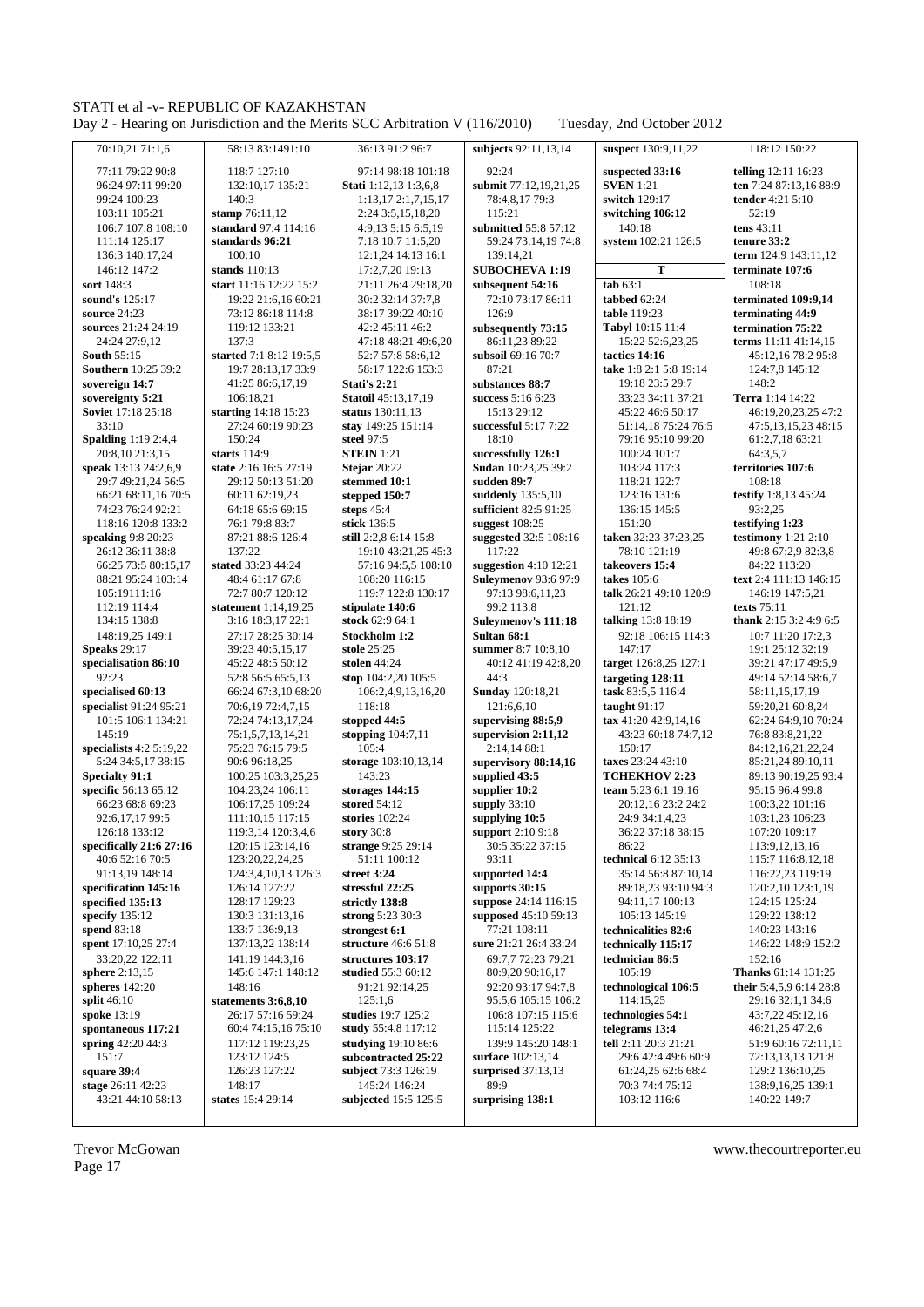Tuesday, 2nd October 2012

| 70:10,21 71:1,6                         | 58:13 83:1491:10                      | 36:13 91:2 96:7                          | subjects $92:11,13,14$                    | suspect 130:9,11,22                  | 118:12 150:22                           |
|-----------------------------------------|---------------------------------------|------------------------------------------|-------------------------------------------|--------------------------------------|-----------------------------------------|
|                                         |                                       | 97:14 98:18 101:18                       | 92:24                                     |                                      |                                         |
| 77:11 79:22 90:8                        | 118:7 127:10                          |                                          |                                           | suspected 33:16<br><b>SVEN</b> 1:21  | telling 12:11 16:23                     |
| 96:24 97:11 99:20                       | 132:10,17 135:21                      | Stati 1:12,13 1:3,6,8                    | submit 77:12,19,21,25                     |                                      | ten 7:24 87:13,16 88:9                  |
| 99:24 100:23<br>103:11 105:21           | 140:3<br>stamp 76:11,12               | 1:13,17 2:1,7,15,17                      | 78:4,8,17 79:3<br>115:21                  | switch 129:17<br>switching 106:12    | tender 4:21 5:10<br>52:19               |
|                                         | standard 97:4 114:16                  | 2:24 3:5,15,18,20                        |                                           |                                      | tens $43:11$                            |
| 106:7 107:8 108:10                      | standards 96:21                       | 4:9.13 5:15 6:5.19                       | submitted 55:8 57:12                      | 140:18<br>system 102:21 126:5        | tenure 33:2                             |
| 111:14 125:17<br>136:3 140:17,24        | 100:10                                | 7:18 10:7 11:5,20<br>12:1,24 14:13 16:1  | 59:24 73:14,19 74:8<br>139:14,21          |                                      | term 124:9 143:11,12                    |
| 146:12 147:2                            | stands $110:13$                       | 17:2,7,20 19:13                          | <b>SUBOCHEVA 1:19</b>                     | T                                    | terminate 107:6                         |
| sort 148:3                              | start 11:16 12:22 15:2                |                                          |                                           | tab 63:1                             | 108:18                                  |
| sound's 125:17                          | 19:22 21:6,16 60:21                   | 21:11 26:4 29:18,20<br>30:2 32:14 37:7,8 | subsequent 54:16<br>72:10 73:17 86:11     | tabbed 62:24                         |                                         |
| source 24:23                            | 73:12 86:18 114:8                     | 38:17 39:22 40:10                        | 126:9                                     | table 119:23                         | terminated 109:9,14<br>terminating 44:9 |
| sources 21:24 24:19                     | 119:12 133:21                         | 42:2 45:11 46:2                          | subsequently 73:15                        | <b>Tabyl</b> 10:15 11:4              | termination 75:22                       |
| 24:24 27:9,12                           | 137:3                                 | 47:18 48:21 49:6.20                      | 86:11,23 89:22                            | 15:22 52:6,23,25                     | terms 11:11 41:14,15                    |
| <b>South 55:15</b>                      | started 7:1 8:12 19:5,5               | 52:7 57:8 58:6,12                        | subsoil 69:16 70:7                        | tactics 14:16                        | 45:12,16 78:2 95:8                      |
| <b>Southern</b> 10:25 39:2              | 19:7 28:13,17 33:9                    | 58:17 122:6 153:3                        | 87:21                                     | take 1:8 2:1 5:8 19:14               | 124:7,8 145:12                          |
| sovereign 14:7                          | 41:25 86:6,17,19                      | <b>Stati's 2:21</b>                      | substances 88:7                           | 19:18 23:5 29:7                      | 148:2                                   |
| sovereignty 5:21                        | 106:18,21                             | <b>Statoil 45:13,17,19</b>               | success 5:16 6:23                         | 33:23 34:11 37:21                    | Terra 1:14 14:22                        |
| Soviet 17:18 25:18                      | starting 14:18 15:23                  | status 130:11,13                         | 15:13 29:12                               | 45:22 46:6 50:17                     | 46:19,20,23,25 47:2                     |
| 33:10                                   | 27:24 60:19 90:23                     | stay 149:25 151:14                       | successful $5:17$ 7:22                    | 51:14,18 75:24 76:5                  | 47:5,13,15,23 48:15                     |
| <b>Spalding 1:19 2:4,4</b>              | 150:24                                | steel 97:5                               | 18:10                                     | 79:16 95:10 99:20                    | 61:2,7,18 63:21                         |
| 20:8,10 21:3,15                         | starts 114:9                          | <b>STEIN</b> 1:21                        | successfully 126:1                        | 100:24 101:7                         | 64:3,5,7                                |
| speak 13:13 24:2,6,9                    | state 2:16 16:5 27:19                 | Stejar $20:22$                           | Sudan 10:23,25 39:2                       | 103:24 117:3                         | territories 107:6                       |
| 29:7 49:21,24 56:5                      | 29:12 50:13 51:20                     | stemmed 10:1                             | sudden 89:7                               | 118:21 122:7                         | 108:18                                  |
| 66:21 68:11,16 70:5                     | 60:11 62:19,23                        | stepped 150:7                            | suddenly 135:5,10                         | 123:16 131:6                         | testify 1:8,13 45:24                    |
| 74:23 76:24 92:21                       | 64:18 65:6 69:15                      | steps $45:4$                             | sufficient 82:5 91:25                     | 136:15 145:5                         | 93:2,25                                 |
| 118:16 120:8 133:2                      | 76:1 79:8 83:7                        | stick 136:5                              | suggest $108:25$                          | 151:20                               | testifying 1:23                         |
| speaking $9:820:23$                     | 87:21 88:6 126:4                      | still 2:2,8 6:14 15:8                    | suggested 32:5 108:16                     | taken 32:23 37:23,25                 | testimony $1:21$ $2:10$                 |
| 26:12 36:11 38:8<br>66:25 73:5 80:15,17 | 137:22<br>stated 33:23 44:24          | 19:10 43:21,25 45:3                      | 117:22<br>suggestion 4:10 12:21           | 78:10 121:19<br>takeovers 15:4       | 49:8 67:2,9 82:3,8<br>84:22 113:20      |
| 88:21 95:24 103:14                      | 48:4 61:17 67:8                       | 57:16 94:5,5 108:10<br>108:20 116:15     | <b>Suleymenov 93:6 97:9</b>               | takes $105:6$                        | text 2:4 111:13 146:15                  |
| 105:19111:16                            | 72:7 80:7 120:12                      | 119:7 122:8 130:17                       | 97:13 98:6,11,23                          | talk 26:21 49:10 120:9               | 146:19 147:5,21                         |
| 112:19 114:4                            | statement 1:14,19,25                  | stipulate 140:6                          | 99:2 113:8                                | 121:12                               | texts $75:11$                           |
| 134:15 138:8                            | 3:16 18:3,17 22:1                     | stock 62:9 64:1                          | Suleymenov's 111:18                       | talking 13:8 18:19                   | thank 2:15 3:2 4:9 6:5                  |
| 148:19,25 149:1                         | 27:17 28:25 30:14                     | Stockholm 1:2                            | Sultan 68:1                               | 92:18 106:15 114:3                   | 10:7 11:20 17:2,3                       |
| <b>Speaks</b> 29:17                     | 39:23 40:5,15,17                      | stole 25:25                              | summer 8:7 10:8,10                        | 147:17                               | 19:1 25:12 32:19                        |
| specialisation 86:10                    | 45:22 48:5 50:12                      | stolen $44:24$                           | 40:12 41:19 42:8,20                       | target 126:8,25 127:1                | 39:21 47:17 49:5,9                      |
| 92:23                                   | 52:8 56:5 65:5,13                     | stop $104:2,20105:5$                     | 44:3                                      | targeting 128:11                     | 49:14 52:14 58:6.7                      |
| specialised 60:13                       | 66:24 67:3,10 68:20                   | 106:2,4,9,13,16,20                       | <b>Sunday</b> 120:18,21                   | task 83:5,5 116:4                    | 58:11,15,17,19                          |
| specialist 91:24 95:21                  | 70:6,19 72:4,7,15                     | 118:18                                   | 121:6,6,10                                | taught $91:17$                       | 59:20,21 60:8,24                        |
| 101:5 106:1 134:21<br>145:19            | 72:24 74:13,17,24                     | stopped 44:5                             | supervising 88:5,9<br>supervision 2:11,12 | tax 41:20 42:9,14,16                 | 62:24 64:9,10 70:24<br>76:8 83:8,21,22  |
| specialists $4:2 5:19,22$               | 75:1,5,7,13,14,21<br>75:23 76:15 79:5 | stopping $104:7,11$<br>105:4             | 2:14.14 88:1                              | 43:23 60:18 74:7,12<br>150:17        | 84:12,16,21,22,24                       |
| 5:24 34:5,17 38:15                      | 90:6 96:18,25                         | storage 103:10,13,14                     | supervisory 88:14,16                      | taxes 23:24 43:10                    | 85:21,24 89:10,11                       |
| <b>Specialty 91:1</b>                   | 100:25 103:3,25,25                    | 143:23                                   | supplied 43:5                             | <b>TCHEKHOV 2:23</b>                 | 89:13 90:19,25 93:4                     |
| specific 56:13 65:12                    | 104:23,24 106:11                      | storages $144:15$                        | supplier 10:2                             | team 5:23 6:1 19:16                  | 95:15 96:4 99:8                         |
| 66:23 68:8 69:23                        | 106:17,25 109:24                      | stored 54:12                             | supply $33:10$                            | 20:12,16 23:2 24:2                   | 100:3,22 101:16                         |
| 92:6,17,17 99:5                         | 111:10,15 117:15                      | stories 102:24                           | supplying 10:5                            | 24:9 34:1,4,23                       | 103:1,23 106:23                         |
| 126:18 133:12                           | 119:3,14 120:3,4,6                    | story $30:8$                             | support 2:10 9:18                         | 36:22 37:18 38:15                    | 107:20 109:17                           |
| specifically 21:6 27:16                 | 120:15 123:14,16                      | strange 9:25 29:14                       | 30:5 35:22 37:15                          | 86:22                                | 113:9, 12, 13, 16                       |
| 40:6 52:16 70:5                         | 123:20,22,24,25                       | 51:11 100:12                             | 93:11                                     | technical 6:12 35:13                 | 115:7 116:8,12,18                       |
| 91:13,19 148:14                         | 124:3,4,10,13 126:3                   | street 3:24                              | supported 14:4                            | 35:14 56:8 87:10,14                  | 116:22,23 119:19                        |
| specification 145:16                    | 126:14 127:22                         | stressful 22:25                          | supports 30:15                            | 89:18,23 93:10 94:3                  | 120:2,10 123:1,19                       |
| specified 135:13                        | 128:17 129:23                         | strictly 138:8                           | suppose 24:14 116:15                      | 94:11,17 100:13                      | 124:15 125:24                           |
| specify $135:12$<br>spend 83:18         | 130:3 131:13,16<br>133:7 136:9,13     | strong $5:23:30:3$<br>strongest 6:1      | supposed 45:10 59:13<br>77:21 108:11      | 105:13 145:19<br>technicalities 82:6 | 129:22 138:12<br>140:23 143:16          |
| spent 17:10,25 27:4                     | 137:13,22 138:14                      | structure 46:6 51:8                      | sure 21:21 26:4 33:24                     | technically 115:17                   | 146:22 148:9 152:2                      |
| 33:20,22 122:11                         | 141:19 144:3,16                       | structures 103:17                        | 69:7,7 72:23 79:21                        | technician 86:5                      | 152:16                                  |
| sphere 2:13,15                          | 145:6 147:1 148:12                    | studied 55:3 60:12                       | 80:9,20 90:16,17                          | 105:19                               | Thanks 61:14 131:25                     |
| spheres $142:20$                        | 148:16                                | 91:21 92:14,25                           | 92:20 93:17 94:7,8                        | technological 106:5                  | their 5:4,5,9 6:14 28:8                 |
| split $46:10$                           | statements 3:6,8,10                   | 125:1,6                                  | 95:5,6 105:15 106:2                       | 114:15,25                            | 29:16 32:1,1 34:6                       |
| spoke 13:19                             | 26:17 57:16 59:24                     | studies 19:7 125:2                       | 106:8 107:15 115:6                        | technologies 54:1                    | 43:7,22 45:12,16                        |
| spontaneous 117:21                      | 60:4 74:15,16 75:10                   | study 55:4,8 117:12                      | 115:14 125:22                             | telegrams 13:4                       | 46:21,25 47:2,6                         |
| spring 42:20 44:3                       | 117:12 119:23,25                      | studying 19:10 86:6                      | 139:9 145:20 148:1                        | tell 2:11 20:3 21:21                 | 51:9 60:16 72:11,11                     |
| 151:7                                   | 123:12 124:5                          | subcontracted 25:22                      | surface 102:13,14                         | 29:6 42:4 49:6 60:9                  | 72:13,13,13 121:8                       |
| square 39:4                             | 126:23 127:22                         | subject 73:3 126:19                      | surprised $37:13,13$                      | 61:24,25 62:6 68:4                   | 129:2 136:10,25                         |
| stage 26:11 42:23                       | 148:17                                | 145:24 146:24                            | 89:9                                      | 70:3 74:4 75:12                      | 138:9,16,25 139:1                       |
| 43:21 44:10 58:13                       | states 15:4 29:14                     | subjected 15:5 125:5                     | surprising 138:1                          | 103:12 116:6                         | 140:22 149:7                            |
|                                         |                                       |                                          |                                           |                                      |                                         |

Trevor McGowan<br>Page 17

www.thecourtreporter.eu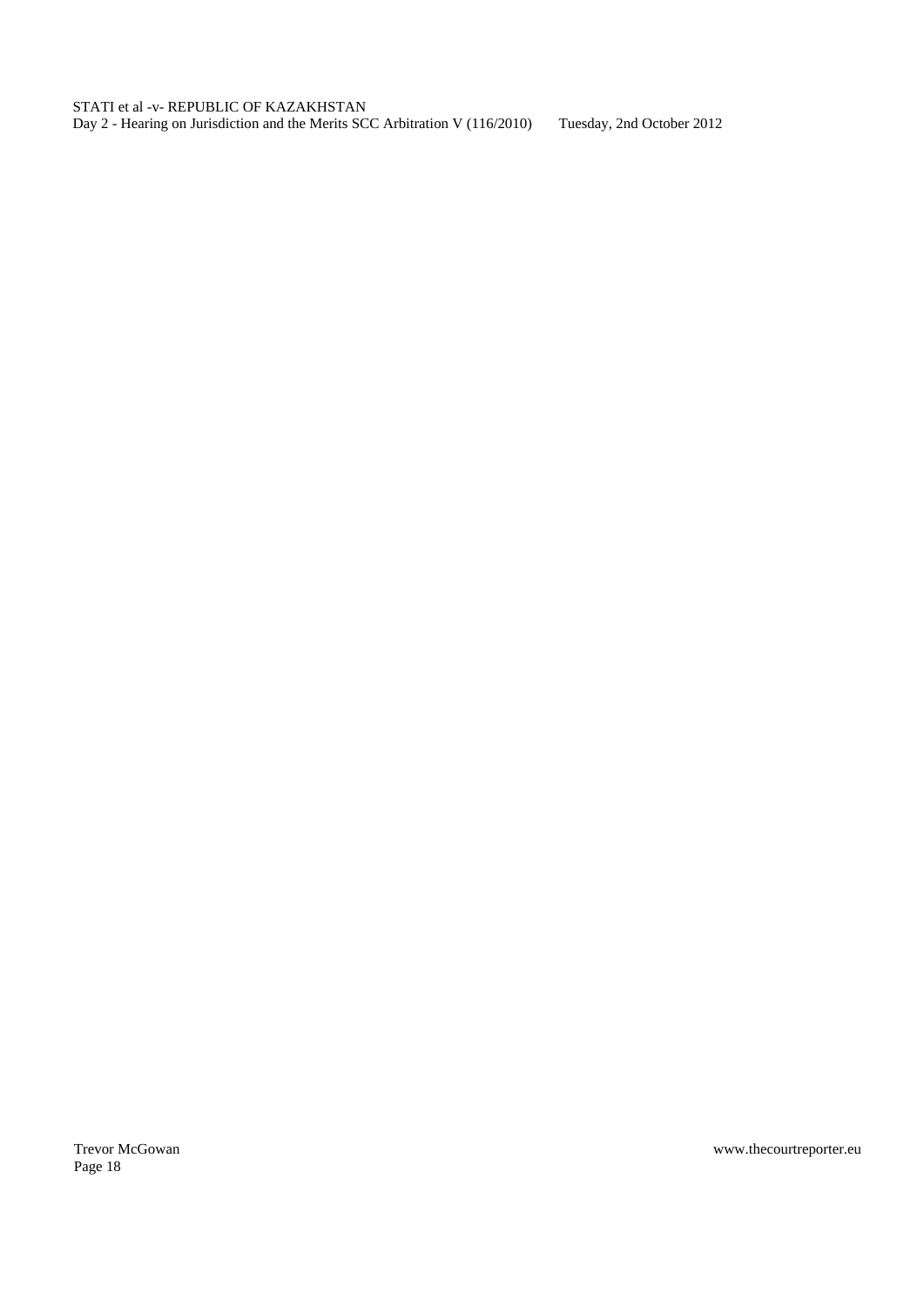Page 18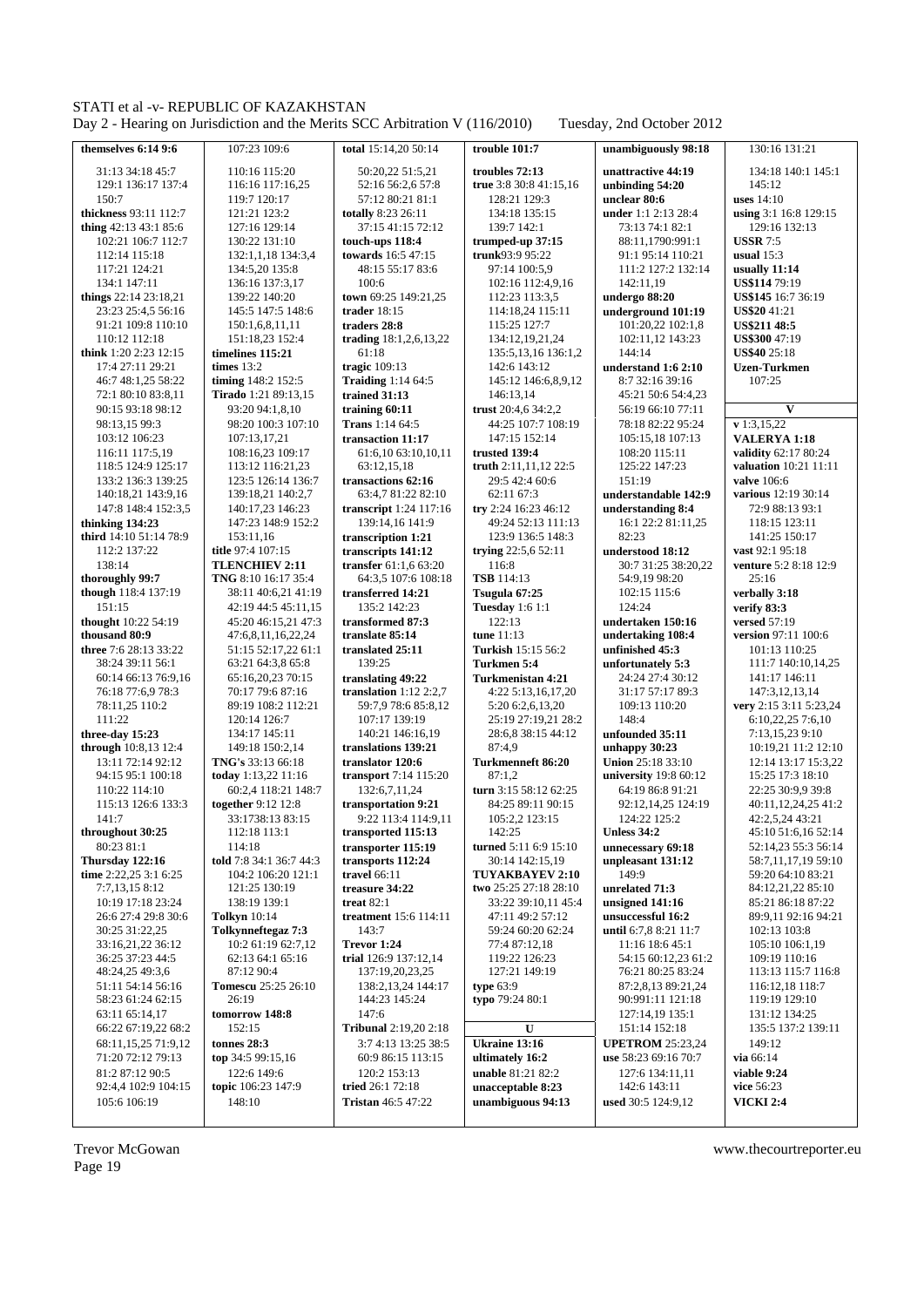Tuesday, 2nd October 2012

| themselves 6:14 9:6                       | 107:23 109:6                                      | total 15:14,20 50:14                      | trouble 101:7                                | unambiguously 98:18                        | 130:16 131:21                               |
|-------------------------------------------|---------------------------------------------------|-------------------------------------------|----------------------------------------------|--------------------------------------------|---------------------------------------------|
| 31:13 34:18 45:7                          | 110:16 115:20                                     | 50:20,22 51:5,21                          | troubles 72:13                               | unattractive 44:19                         | 134:18 140:1 145:1                          |
| 129:1 136:17 137:4                        | 116:16 117:16.25                                  | 52:16 56:2,6 57:8                         | true 3:8 30:8 41:15,16                       | unbinding 54:20                            | 145:12                                      |
| 150:7                                     | 119:7 120:17                                      | 57:12 80:21 81:1                          | 128:21 129:3                                 | unclear 80:6                               | uses 14:10                                  |
| thickness 93:11 112:7                     | 121:21 123:2                                      | totally 8:23 26:11                        | 134:18 135:15                                | under 1:1 2:13 28:4                        | using 3:1 16:8 129:15                       |
| thing 42:13 43:1 85:6                     | 127:16 129:14                                     | 37:15 41:15 72:12                         | 139:7 142:1                                  | 73:13 74:1 82:1                            | 129:16 132:13                               |
| 102:21 106:7 112:7                        | 130:22 131:10                                     | touch-ups 118:4                           | trumped-up 37:15                             | 88:11,1790:991:1                           | <b>USSR 7:5</b>                             |
| 112:14 115:18                             | 132:1,1,18 134:3,4                                | towards 16:5 47:15                        | trunk93:9 95:22                              | 91:1 95:14 110:21                          | usual $15:3$                                |
| 117:21 124:21                             | 134:5,20 135:8                                    | 48:15 55:17 83:6                          | 97:14 100:5,9                                | 111:2 127:2 132:14                         | usually 11:14                               |
| 134:1 147:11                              | 136:16 137:3,17                                   | 100:6                                     | 102:16 112:4,9,16                            | 142:11,19                                  | <b>US\$114 79:19</b>                        |
| things 22:14 23:18,21                     | 139:22 140:20                                     | town 69:25 149:21,25                      | 112:23 113:3,5                               | undergo 88:20                              | US\$145 16:7 36:19                          |
| 23:23 25:4,5 56:16                        | 145:5 147:5 148:6                                 | trader $18:15$                            | 114:18,24 115:11                             | underground 101:19                         | <b>US\$20</b> 41:21                         |
| 91:21 109:8 110:10                        | 150:1,6,8,11,11                                   | traders 28:8                              | 115:25 127:7                                 | 101:20,22 102:1,8                          | <b>US\$21148:5</b>                          |
| 110:12 112:18                             | 151:18,23 152:4                                   | trading 18:1,2,6,13,22                    | 134:12,19,21,24                              | 102:11,12 143:23                           | <b>US\$300</b> 47:19                        |
| think 1:20 2:23 12:15                     | timelines 115:21                                  | 61:18                                     | 135:5, 13, 16 136:1, 2                       | 144:14                                     | <b>US\$40 25:18</b>                         |
| 17:4 27:11 29:21                          | times $13:2$                                      | tragic 109:13                             | 142:6 143:12                                 | understand 1:6 2:10                        | <b>Uzen-Turkmen</b>                         |
| 46:7 48:1,25 58:22<br>72:1 80:10 83:8,11  | timing 148:2 152:5<br><b>Tirado</b> 1:21 89:13,15 | <b>Traiding 1:14 64:5</b>                 | 145:12 146:6,8,9,12<br>146:13,14             | 8:7 32:16 39:16<br>45:21 50:6 54:4,23      | 107:25                                      |
| 90:15 93:18 98:12                         |                                                   | trained 31:13                             |                                              | 56:19 66:10 77:11                          | $\mathbf{V}$                                |
| 98:13,15 99:3                             | 93:20 94:1,8,10<br>98:20 100:3 107:10             | training 60:11<br>Trans 1:14 64:5         | trust $20:4,6\,34:2,2$<br>44:25 107:7 108:19 | 78:18 82:22 95:24                          | $\sqrt{1:3,15,22}$                          |
| 103:12 106:23                             | 107:13,17,21                                      | transaction 11:17                         | 147:15 152:14                                | 105:15,18 107:13                           |                                             |
| 116:11 117:5,19                           | 108:16,23 109:17                                  | 61:6,10 63:10,10,11                       | trusted 139:4                                | 108:20 115:11                              | <b>VALERYA 1:18</b><br>validity 62:17 80:24 |
| 118:5 124:9 125:17                        | 113:12 116:21,23                                  | 63:12,15,18                               | truth 2:11,11,12 22:5                        | 125:22 147:23                              | <b>valuation</b> 10:21 11:11                |
| 133:2 136:3 139:25                        | 123:5 126:14 136:7                                | transactions 62:16                        | 29:5 42:4 60:6                               | 151:19                                     | valve 106:6                                 |
| 140:18,21 143:9,16                        | 139:18,21 140:2,7                                 | 63:4,7 81:22 82:10                        | 62:11 67:3                                   | understandable 142:9                       | various 12:19 30:14                         |
| 147:8 148:4 152:3,5                       | 140:17,23 146:23                                  | transcript 1:24 117:16                    | try 2:24 16:23 46:12                         | understanding 8:4                          | 72:9 88:13 93:1                             |
| thinking 134:23                           | 147:23 148:9 152:2                                | 139:14,16 141:9                           | 49:24 52:13 111:13                           | 16:1 22:2 81:11,25                         | 118:15 123:11                               |
| third 14:10 51:14 78:9                    | 153:11,16                                         | transcription 1:21                        | 123:9 136:5 148:3                            | 82:23                                      | 141:25 150:17                               |
| 112:2 137:22                              | title 97:4 107:15                                 | transcripts 141:12                        | trying 22:5,6 52:11                          | understood 18:12                           | vast 92:1 95:18                             |
| 138:14                                    | <b>TLENCHIEV 2:11</b>                             | transfer 61:1,6 63:20                     | 116:8                                        | 30:7 31:25 38:20,22                        | venture 5:2 8:18 12:9                       |
| thoroughly 99:7                           | TNG 8:10 16:17 35:4                               | 64:3,5 107:6 108:18                       | <b>TSB</b> 114:13                            | 54:9,19 98:20                              | 25:16                                       |
| though 118:4 137:19                       | 38:11 40:6,21 41:19                               | transferred 14:21                         | Tsugula 67:25                                | 102:15 115:6                               | verbally 3:18                               |
| 151:15                                    | 42:19 44:5 45:11,15                               | 135:2 142:23                              | <b>Tuesday</b> 1:6 1:1                       | 124:24                                     | verify 83:3                                 |
| thought 10:22 54:19                       | 45:20 46:15,21 47:3                               | transformed 87:3                          | 122:13                                       | undertaken 150:16                          | versed $57:19$                              |
| thousand 80:9                             | 47:6,8,11,16,22,24                                | translate 85:14                           | tune 11:13                                   | undertaking 108:4                          | version 97:11 100:6                         |
| three 7:6 28:13 33:22                     | 51:15 52:17,22 61:1                               | translated 25:11                          | Turkish 15:15 56:2                           | unfinished 45:3                            | 101:13 110:25                               |
| 38:24 39:11 56:1                          | 63:21 64:3,8 65:8                                 | 139:25                                    | Turkmen 5:4                                  | unfortunately 5:3                          | 111:7 140:10,14,25                          |
| 60:14 66:13 76:9,16                       | 65:16,20,23 70:15                                 | translating 49:22                         | <b>Turkmenistan 4:21</b>                     | 24:24 27:4 30:12                           | 141:17 146:11                               |
| 76:18 77:6,9 78:3                         | 70:17 79:6 87:16                                  | translation $1:12$ 2:2,7                  | 4:22 5:13,16,17,20                           | 31:17 57:17 89:3                           | 147:3,12,13,14                              |
| 78:11,25 110:2                            | 89:19 108:2 112:21                                | 59:7,9 78:6 85:8,12                       | 5:20 6:2,6,13,20                             | 109:13 110:20                              | very 2:15 3:11 5:23,24                      |
| 111:22                                    | 120:14 126:7                                      | 107:17 139:19                             | 25:19 27:19,21 28:2                          | 148:4                                      | 6:10,22,25 7:6,10                           |
| three-day 15:23                           | 134:17 145:11                                     | 140:21 146:16,19<br>translations 139:21   | 28:6,8 38:15 44:12                           | unfounded 35:11                            | 7:13,15,23 9:10                             |
| through 10:8,13 12:4<br>13:11 72:14 92:12 | 149:18 150:2,14                                   |                                           | 87:4,9                                       | unhappy 30:23                              | 10:19,21 11:2 12:10                         |
| 94:15 95:1 100:18                         | TNG's 33:13 66:18<br>today 1:13,22 11:16          | translator 120:6<br>transport 7:14 115:20 | <b>Turkmenneft 86:20</b><br>87:1,2           | Union 25:18 33:10<br>university 19:8 60:12 | 12:14 13:17 15:3,22<br>15:25 17:3 18:10     |
| 110:22 114:10                             | 60:2,4 118:21 148:7                               | 132:6,7,11,24                             | turn 3:15 58:12 62:25                        | 64:19 86:8 91:21                           | 22:25 30:9,9 39:8                           |
| 115:13 126:6 133:3                        | together 9:12 12:8                                | transportation 9:21                       | 84:25 89:11 90:15                            | 92:12,14,25 124:19                         | 40:11,12,24,25 41:2                         |
| 141:7                                     | 33:1738:13 83:15                                  | 9:22 113:4 114:9,11                       | 105:2,2 123:15                               | 124:22 125:2                               | 42:2,5,24 43:21                             |
| throughout 30:25                          | 112:18 113:1                                      | transported 115:13                        | 142:25                                       | Unless 34:2                                | 45:10 51:6,16 52:14                         |
| 80:23 81:1                                | 114:18                                            | transporter 115:19                        | turned 5:11 6:9 15:10                        | unnecessary 69:18                          | 52:14,23 55:3 56:14                         |
| Thursday 122:16                           | told 7:8 34:1 36:7 44:3                           | transports 112:24                         | 30:14 142:15,19                              | unpleasant 131:12                          | 58:7,11,17,19 59:10                         |
| time 2:22,25 3:1 6:25                     | 104:2 106:20 121:1                                | travel $66:11$                            | TUYAKBAYEV 2:10                              | 149:9                                      | 59:20 64:10 83:21                           |
| 7:7,13,15 8:12                            | 121:25 130:19                                     | treasure 34:22                            | two 25:25 27:18 28:10                        | unrelated 71:3                             | 84:12,21,22 85:10                           |
| 10:19 17:18 23:24                         | 138:19 139:1                                      | treat $82:1$                              | 33:22 39:10,11 45:4                          | unsigned 141:16                            | 85:21 86:18 87:22                           |
| 26:6 27:4 29:8 30:6                       | <b>Tolkyn</b> 10:14                               | treatment 15:6 114:11                     | 47:11 49:2 57:12                             | unsuccessful 16:2                          | 89:9,11 92:16 94:21                         |
| 30:25 31:22,25                            | Tolkynneftegaz 7:3                                | 143:7                                     | 59:24 60:20 62:24                            | until 6:7,8 8:21 11:7                      | 102:13 103:8                                |
| 33:16,21,22 36:12                         | 10:2 61:19 62:7,12                                | Trevor 1:24                               | 77:4 87:12,18                                | 11:16 18:6 45:1                            | 105:10 106:1,19                             |
| 36:25 37:23 44:5                          | 62:13 64:1 65:16                                  | trial 126:9 137:12,14                     | 119:22 126:23                                | 54:15 60:12,23 61:2                        | 109:19 110:16                               |
| 48:24,25 49:3,6                           | 87:12 90:4                                        | 137:19,20,23,25                           | 127:21 149:19                                | 76:21 80:25 83:24                          | 113:13 115:7 116:8                          |
| 51:11 54:14 56:16                         | <b>Tomescu</b> 25:25 26:10                        | 138:2,13,24 144:17                        | type $63.9$                                  | 87:2,8,13 89:21,24                         | 116:12,18 118:7                             |
| 58:23 61:24 62:15                         | 26:19                                             | 144:23 145:24                             | typo 79:24 80:1                              | 90:991:11 121:18                           | 119:19 129:10                               |
| 63:11 65:14,17                            | tomorrow $148:8$                                  | 147:6                                     |                                              | 127:14,19 135:1                            | 131:12 134:25                               |
| 66:22 67:19,22 68:2                       | 152:15                                            | <b>Tribunal</b> 2:19,20 2:18              | U                                            | 151:14 152:18                              | 135:5 137:2 139:11                          |
| 68:11,15,25 71:9,12                       | tonnes 28:3                                       | 3:7 4:13 13:25 38:5                       | Ukraine 13:16                                | <b>UPETROM 25:23,24</b>                    | 149:12                                      |
| 71:20 72:12 79:13                         | top 34:5 99:15,16                                 | 60:9 86:15 113:15                         | ultimately 16:2                              | use 58:23 69:16 70:7                       | via 66:14                                   |
| 81:2 87:12 90:5<br>92:4,4 102:9 104:15    | 122:6 149:6<br>topic 106:23 147:9                 | 120:2 153:13<br>tried 26:1 72:18          | unable 81:21 82:2<br>unacceptable 8:23       | 127:6 134:11,11<br>142:6 143:11            | viable 9:24<br>vice 56:23                   |
|                                           | 148:10                                            | <b>Tristan 46:5 47:22</b>                 | unambiguous 94:13                            | used 30:5 124:9,12                         | <b>VICKI 2:4</b>                            |
| 105:6 106:19                              |                                                   |                                           |                                              |                                            |                                             |

Trevor McGowan<br>Page 19

www.thecourtreporter.eu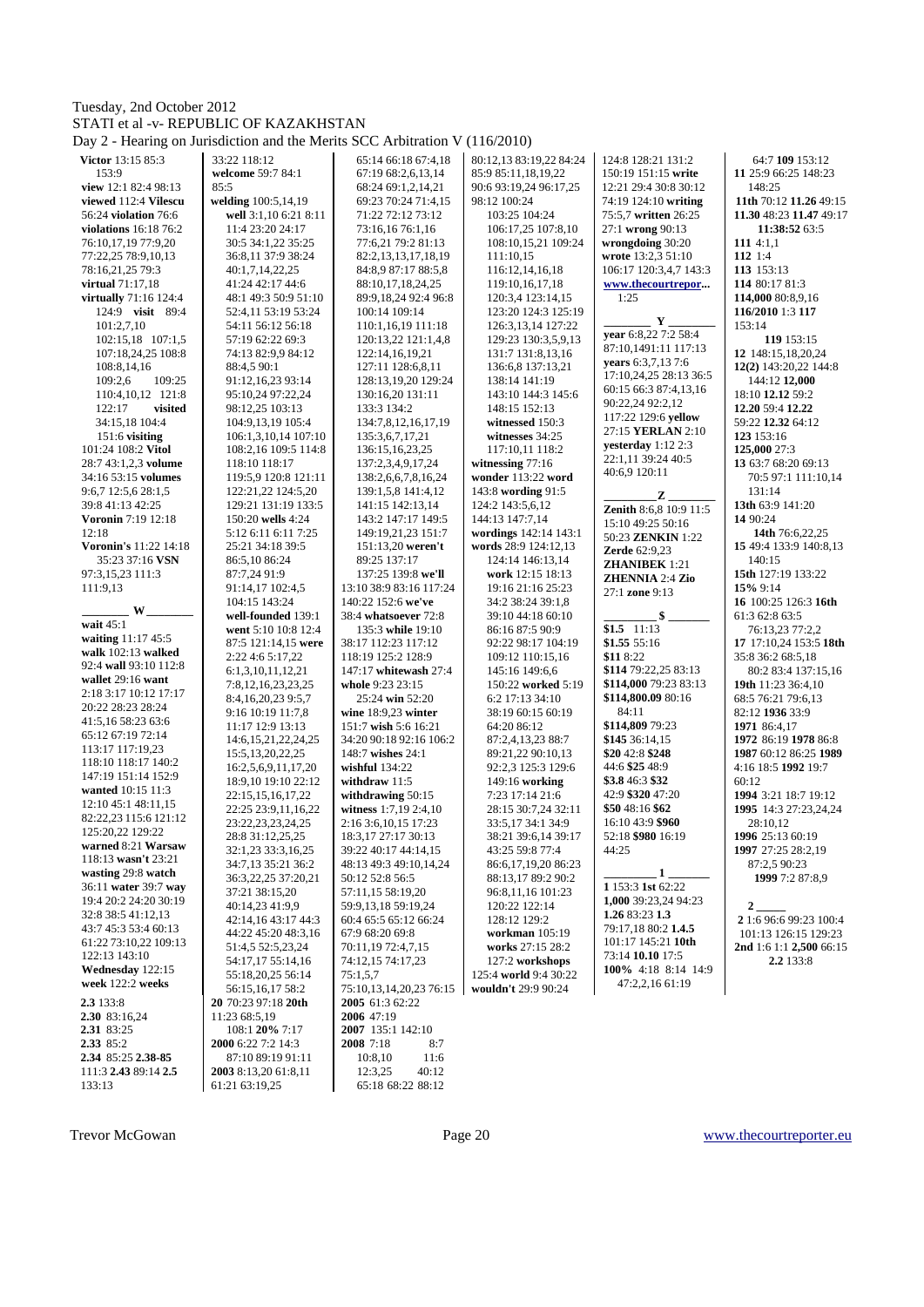## Tuesday, 2nd October 2012 STATI et al -v- REPUBLIC OF KAZAKHSTAN Day 2 - Hearing on Jurisdiction and the Merits SCC Arbitration V (116/2010)

|                                               |                                              | $Day 2$ Theating on surfacetion and the metric been from allow $\sqrt{(110/2010)}$ |                                        |                                           |                                           |
|-----------------------------------------------|----------------------------------------------|------------------------------------------------------------------------------------|----------------------------------------|-------------------------------------------|-------------------------------------------|
| <b>Victor</b> 13:15 85:3                      | 33:22 118:12                                 | 65:14 66:18 67:4,18                                                                | 80:12,13 83:19,22 84:24                | 124:8 128:21 131:2                        | 64:7 109 153:12                           |
| 153:9                                         | welcome 59:7 84:1                            | 67:19 68:2,6,13,14                                                                 | 85:9 85:11,18,19,22                    | 150:19 151:15 write                       | 11 25:9 66:25 148:23                      |
| view 12:1 82:4 98:13                          | 85:5                                         | 68:24 69:1,2,14,21                                                                 | 90:6 93:19,24 96:17,25                 | 12:21 29:4 30:8 30:12                     | 148:25                                    |
| viewed 112:4 Vilescu                          | welding 100:5,14,19                          | 69:23 70:24 71:4,15                                                                | 98:12 100:24                           | 74:19 124:10 writing                      | 11th 70:12 11.26 49:15                    |
| 56:24 violation 76:6                          | well 3:1,10 6:21 8:11                        | 71:22 72:12 73:12                                                                  | 103:25 104:24                          | 75:5,7 written 26:25                      | 11.30 48:23 11.47 49:17                   |
| violations $16:1876:2$                        | 11:4 23:20 24:17                             | 73:16,16 76:1,16                                                                   | 106:17,25 107:8,10                     | 27:1 wrong 90:13                          | 11:38:52 63:5                             |
| 76:10,17,19 77:9,20                           | 30:5 34:1,22 35:25                           | 77:6,21 79:2 81:13                                                                 | 108:10,15,21 109:24                    | wrongdoing 30:20                          | 111 $4:1,1$                               |
| 77:22,25 78:9,10,13                           | 36:8,11 37:9 38:24                           | 82:2,13,13,17,18,19                                                                | 111:10.15                              | wrote 13:2,3 51:10                        | 112 1:4                                   |
| 78:16,21,25 79:3                              | 40:1,7,14,22,25                              | 84:8,9 87:17 88:5,8                                                                | 116:12,14,16,18                        | 106:17 120:3,4,7 143:3                    | 113 153:13                                |
| virtual 71:17,18                              | 41:24 42:17 44:6                             | 88:10,17,18,24,25                                                                  | 119:10,16,17,18                        | www.thecourtrepor                         | 114 80:17 81:3                            |
| virtually 71:16 124:4                         | 48:1 49:3 50:9 51:10                         | 89:9,18,24 92:4 96:8                                                               | 120:3,4 123:14,15                      | 1:25                                      | 114,000 80:8,9,16                         |
| 124:9 visit 89:4                              | 52:4,11 53:19 53:24                          | 100:14 109:14                                                                      | 123:20 124:3 125:19                    |                                           | 116/2010 1:3 117                          |
| 101:2,7,10                                    | 54:11 56:12 56:18                            | 110:1,16,19 111:18                                                                 | 126:3, 13, 14 127: 22                  | $\mathbf{Y}_{-}$<br>year 6:8,22 7:2 58:4  | 153:14                                    |
| 102:15,18 107:1,5                             | 57:19 62:22 69:3                             | 120:13,22 121:1,4,8                                                                | 129:23 130:3,5,9,13                    | 87:10,1491:11 117:13                      | 119 153:15                                |
| 107:18,24,25 108:8                            | 74:13 82:9,9 84:12                           | 122:14,16,19,21                                                                    | 131:7 131:8,13,16                      | years 6:3,7,13 7:6                        | 12 148:15,18,20,24                        |
| 108:8,14,16                                   | 88:4,5 90:1                                  | 127:11 128:6,8,11                                                                  | 136:6,8 137:13,21                      | 17:10,24,25 28:13 36:5                    | 12(2) 143:20,22 144:8                     |
| 109:2,6<br>109:25                             | 91:12,16,23 93:14                            | 128:13,19,20 129:24                                                                | 138:14 141:19                          | 60:15 66:3 87:4,13,16                     | 144:12 12,000                             |
| 110:4,10,12 121:8                             | 95:10,24 97:22,24                            | 130:16,20 131:11                                                                   | 143:10 144:3 145:6                     | 90:22,24 92:2,12                          | 18:10 12.12 59:2                          |
| 122:17<br>visited                             | 98:12,25 103:13                              | 133:3 134:2                                                                        | 148:15 152:13                          | 117:22 129:6 yellow                       | 12.20 59:4 12.22                          |
| 34:15,18 104:4                                | 104:9,13,19 105:4                            | 134:7,8,12,16,17,19                                                                | witnessed 150:3                        | 27:15 YERLAN 2:10                         | 59:22 12.32 64:12                         |
| $151:6$ visiting                              | 106:1,3,10,14 107:10                         | 135:3,6,7,17,21                                                                    | witnesses 34:25                        | yesterday 1:12 2:3                        | 123 153:16                                |
| 101:24 108:2 Vitol                            | 108:2,16 109:5 114:8                         | 136:15,16,23,25                                                                    | 117:10,11 118:2                        | 22:1,11 39:24 40:5                        | 125,000 27:3                              |
| 28:7 43:1,2,3 volume                          | 118:10 118:17                                | 137:2,3,4,9,17,24                                                                  | witnessing $77:16$                     | 40:6,9 120:11                             | 13 63:7 68:20 69:13                       |
| 34:16 53:15 volumes                           | 119:5,9 120:8 121:11                         | 138:2,6,6,7,8,16,24                                                                | wonder 113:22 word                     |                                           | 70:5 97:1 111:10,14<br>131:14             |
| 9:6,7 12:5,6 28:1,5                           | 122:21,22 124:5,20                           | 139:1,5,8 141:4,12                                                                 | 143:8 wording 91:5<br>124:2 143:5,6,12 | $\mathbf{z}_-$                            |                                           |
| 39:8 41:13 42:25<br>Voronin 7:19 12:18        | 129:21 131:19 133:5<br>150:20 wells 4:24     | 141:15 142:13,14<br>143:2 147:17 149:5                                             | 144:13 147:7,14                        | Zenith 8:6,8 10:9 11:5                    | 13th 63:9 141:20<br>14 90:24              |
| 12:18                                         | 5:12 6:11 6:11 7:25                          | 149:19,21,23 151:7                                                                 | wordings 142:14 143:1                  | 15:10 49:25 50:16                         | 14th 76:6,22,25                           |
| <b>Voronin's 11:22 14:18</b>                  | 25:21 34:18 39:5                             | 151:13,20 weren't                                                                  | words 28:9 124:12,13                   | 50:23 ZENKIN 1:22                         | 15 49:4 133:9 140:8,13                    |
| 35:23 37:16 VSN                               | 86:5,10 86:24                                | 89:25 137:17                                                                       | 124:14 146:13,14                       | Zerde 62:9,23                             | 140:15                                    |
| 97:3,15,23 111:3                              | 87:7,24 91:9                                 | 137:25 139:8 we'll                                                                 | work 12:15 18:13                       | <b>ZHANIBEK 1:21</b>                      | 15th 127:19 133:22                        |
| 111:9,13                                      | 91:14,17 102:4,5                             | 13:10 38:9 83:16 117:24                                                            | 19:16 21:16 25:23                      | <b>ZHENNIA 2:4 Zio</b>                    | 15% 9:14                                  |
|                                               | 104:15 143:24                                | 140:22 152:6 we've                                                                 | 34:2 38:24 39:1,8                      | 27:1 zone 9:13                            | 16 100:25 126:3 16th                      |
| wait 45:1 $W$ — wait:                         | well-founded 139:1                           | 38:4 whatsoever 72:8                                                               | 39:10 44:18 60:10                      | \$                                        | 61:3 62:8 63:5                            |
|                                               | went 5:10 10:8 12:4                          | 135:3 while 19:10                                                                  | 86:16 87:5 90:9                        | $$1.5$ 11:13                              | 76:13,23 77:2,2                           |
|                                               |                                              |                                                                                    |                                        |                                           |                                           |
| waiting 11:17 45:5                            |                                              |                                                                                    |                                        |                                           |                                           |
| walk 102:13 walked                            | 87:5 121:14,15 were                          | 38:17 112:23 117:12                                                                | 92:22 98:17 104:19                     | \$1.55 55:16<br>\$118:22                  | 17 17:10,24 153:5 18th                    |
| 92:4 wall 93:10 112:8                         | 2:22 4:6 5:17,22                             | 118:19 125:2 128:9                                                                 | 109:12 110:15,16                       | \$114 79:22,25 83:13                      | 35:8 36:2 68:5,18                         |
| wallet 29:16 want                             | 6:1,3,10,11,12,21<br>7:8, 12, 16, 23, 23, 25 | 147:17 whitewash 27:4<br>whole 9:23 23:15                                          | 145:16 149:6,6<br>150:22 worked 5:19   | \$114,000 79:23 83:13                     | 80:2 83:4 137:15,16<br>19th 11:23 36:4,10 |
| 2:18 3:17 10:12 17:17                         | 8:4, 16, 20, 23 9:5, 7                       | 25:24 win 52:20                                                                    | 6:2 17:13 34:10                        | \$114,800.09 80:16                        | 68:5 76:21 79:6,13                        |
| 20:22 28:23 28:24                             | 9:16 10:19 11:7,8                            | wine 18:9,23 winter                                                                | 38:19 60:15 60:19                      | 84:11                                     | 82:12 1936 33:9                           |
| 41:5,16 58:23 63:6                            | 11:17 12:9 13:13                             | 151:7 wish 5:6 16:21                                                               | 64:20 86:12                            | \$114,809 79:23                           | 1971 86:4,17                              |
| 65:12 67:19 72:14                             | 14:6, 15, 21, 22, 24, 25                     | 34:20 90:18 92:16 106:2                                                            | 87:2,4,13,23 88:7                      | \$145 36:14,15                            | 1972 86:19 1978 86:8                      |
| 113:17 117:19,23                              | 15:5, 13, 20, 22, 25                         | 148:7 wishes 24:1                                                                  | 89:21,22 90:10,13                      | \$20 42:8 \$248                           | 1987 60:12 86:25 1989                     |
| 118:10 118:17 140:2                           | 16:2,5,6,9,11,17,20                          | wishful 134:22                                                                     | 92:2,3 125:3 129:6                     | 44:6 \$25 48:9                            | 4:16 18:5 1992 19:7                       |
| 147:19 151:14 152:9                           | 18:9,10 19:10 22:12                          | withdraw 11:5                                                                      | 149:16 working                         | \$3.8 46:3 \$32                           | 60:12                                     |
| wanted 10:15 11:3                             | 22:15,15,16,17,22                            | withdrawing $50:15$                                                                | 7:23 17:14 21:6                        | 42:9 \$320 47:20                          | 1994 3:21 18:7 19:12                      |
| 12:10 45:1 48:11,15                           | 22:25 23:9,11,16,22                          | witness 1:7,19 2:4,10                                                              | 28:15 30:7,24 32:11                    | \$50 48:16 \$62                           | 1995 14:3 27:23,24,24                     |
| 82:22,23 115:6 121:12                         | 23:22,23,23,24,25                            | 2:16 3:6,10,15 17:23                                                               | 33:5,17 34:1 34:9                      | 16:10 43:9 \$960                          | 28:10,12                                  |
| 125:20,22 129:22                              | 28:8 31:12,25,25                             | 18:3, 17 27: 17 30: 13                                                             | 38:21 39:6,14 39:17                    | 52:18 \$980 16:19                         | 1996 25:13 60:19                          |
| warned 8:21 Warsaw                            | 32:1,23 33:3,16,25                           | 39:22 40:17 44:14,15                                                               | 43:25 59:8 77:4                        | 44:25                                     | 1997 27:25 28:2,19                        |
| 118:13 wasn't 23:21                           | 34:7,13 35:21 36:2                           | 48:13 49:3 49:10,14,24                                                             | 86:6, 17, 19, 20 86: 23                |                                           | 87:2,5 90:23                              |
| wasting 29:8 watch                            | 36:3,22,25 37:20,21                          | 50:12 52:8 56:5                                                                    | 88:13,17 89:2 90:2                     | $_{-1}$ $_{-}$                            | 1999 7:2 87:8,9                           |
| 36:11 water 39:7 way                          | 37:21 38:15,20                               | 57:11,15 58:19,20                                                                  | 96:8,11,16 101:23                      | 1 153:3 1st 62:22                         |                                           |
| 19:4 20:2 24:20 30:19                         | 40:14,23 41:9,9                              | 59:9,13,18 59:19,24                                                                | 120:22 122:14                          | 1,000 39:23,24 94:23                      | $2\equiv$                                 |
| 32:8 38:5 41:12,13                            | 42:14,16 43:17 44:3                          | 60:4 65:5 65:12 66:24                                                              | 128:12 129:2                           | 1.26 83:23 1.3                            | 2 1:6 96:6 99:23 100:4                    |
| 43:7 45:3 53:4 60:13<br>61:22 73:10,22 109:13 | 44:22 45:20 48:3,16                          | 67:9 68:20 69:8                                                                    | workman $105:19$                       | 79:17,18 80:2 1.4.5<br>101:17 145:21 10th | 101:13 126:15 129:23                      |
| 122:13 143:10                                 | 51:4,5 52:5,23,24                            | 70:11,19 72:4,7,15                                                                 | works 27:15 28:2                       | 73:14 10.10 17:5                          | 2nd 1:6 1:1 2,500 66:15                   |
| Wednesday 122:15                              | 54:17,17 55:14,16                            | 74:12,15 74:17,23                                                                  | 127:2 workshops                        | 100% 4:18 8:14 14:9                       | 2.2 133:8                                 |
| week 122:2 weeks                              | 55:18,20,25 56:14                            | 75:1,5,7                                                                           | 125:4 world 9:4 30:22                  | 47:2,2,16 61:19                           |                                           |
|                                               | 56:15,16,17 58:2                             | 75:10,13,14,20,23 76:15                                                            | wouldn't 29:9 90:24                    |                                           |                                           |
| 2.3 133:8                                     | 20 70:23 97:18 20th                          | 2005 61:3 62:22                                                                    |                                        |                                           |                                           |
| 2.30 83:16,24                                 | 11:23 68:5,19                                | 2006 47:19                                                                         |                                        |                                           |                                           |
| 2.31 83:25                                    | 108:1 20% 7:17                               | 2007 135:1 142:10                                                                  |                                        |                                           |                                           |
| 2.33 85:2<br>2.34 85:25 2.38-85               | 2000 6:22 7:2 14:3<br>87:10 89:19 91:11      | 8:7<br>2008 7:18<br>10:8,10<br>11:6                                                |                                        |                                           |                                           |

**2003** 8:13,20 61:8,11 61:21 63:19,25

133:13

12:3,25 65:18 68:22 88:12

Trevor McGowan Page 20 www.thecourtreporter.eu